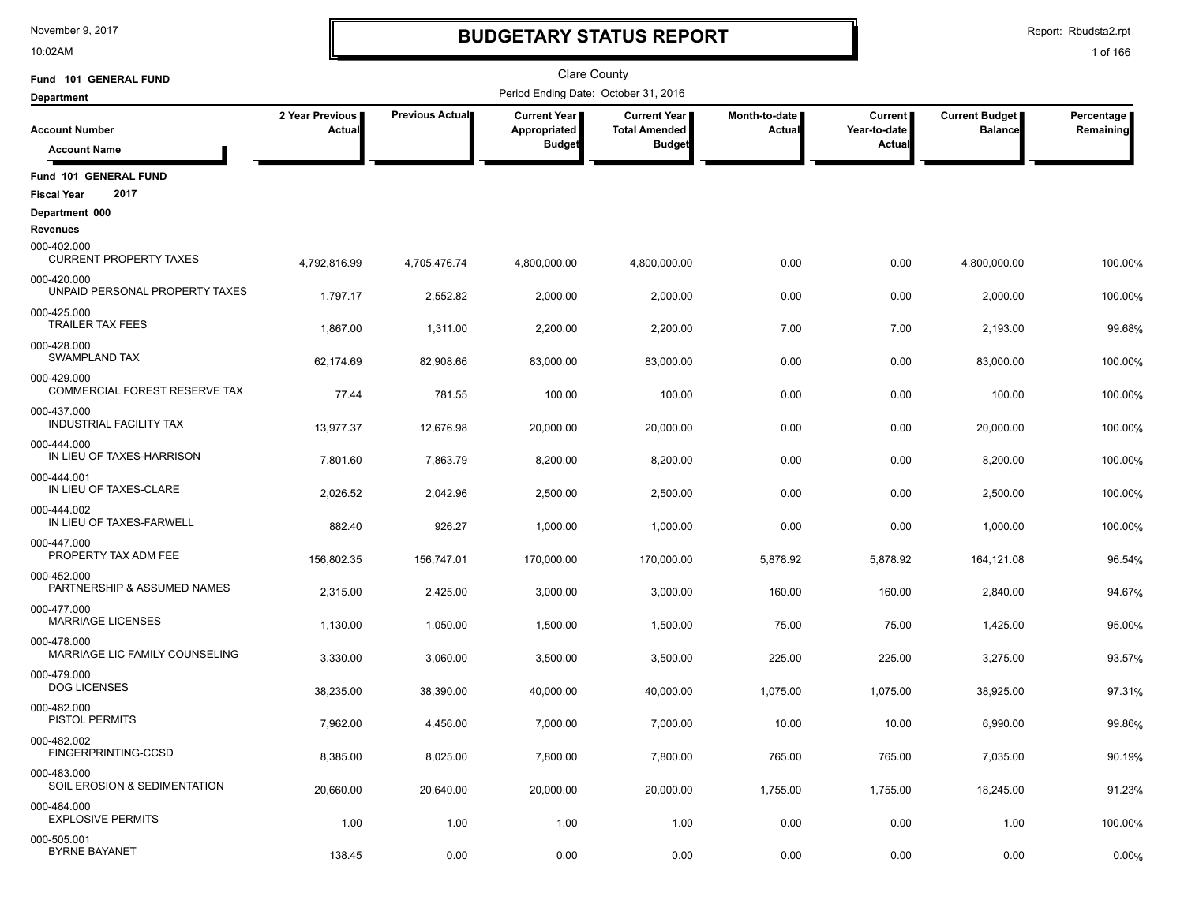10:02AM

# **BUDGETARY STATUS REPORT**

Report: Rbudsta2.rpt

| Fund 101 GENERAL FUND                         |                                  |                 | <b>Clare County</b>                  |                                               |                         |                                |                                         |                         |
|-----------------------------------------------|----------------------------------|-----------------|--------------------------------------|-----------------------------------------------|-------------------------|--------------------------------|-----------------------------------------|-------------------------|
| <b>Department</b>                             |                                  |                 | Period Ending Date: October 31, 2016 |                                               |                         |                                |                                         |                         |
| <b>Account Number</b>                         | 2 Year Previous<br><b>Actual</b> | Previous Actual | Current Year<br>Appropriated         | <b>Current Year I</b><br><b>Total Amended</b> | Month-to-date<br>Actual | <b>Current</b><br>Year-to-date | <b>Current Budget</b><br><b>Balance</b> | Percentage<br>Remaining |
| <b>Account Name</b>                           |                                  |                 | <b>Budget</b>                        | <b>Budget</b>                                 |                         | Actua                          |                                         |                         |
| Fund 101 GENERAL FUND<br>2017                 |                                  |                 |                                      |                                               |                         |                                |                                         |                         |
| <b>Fiscal Year</b>                            |                                  |                 |                                      |                                               |                         |                                |                                         |                         |
| Department 000<br><b>Revenues</b>             |                                  |                 |                                      |                                               |                         |                                |                                         |                         |
| 000-402.000<br><b>CURRENT PROPERTY TAXES</b>  | 4,792,816.99                     | 4,705,476.74    | 4,800,000.00                         | 4,800,000.00                                  | 0.00                    | 0.00                           | 4,800,000.00                            | 100.00%                 |
| 000-420.000<br>UNPAID PERSONAL PROPERTY TAXES | 1,797.17                         | 2,552.82        | 2,000.00                             | 2,000.00                                      | 0.00                    | 0.00                           | 2,000.00                                | 100.00%                 |
| 000-425.000<br><b>TRAILER TAX FEES</b>        | 1,867.00                         | 1,311.00        | 2,200.00                             | 2,200.00                                      | 7.00                    | 7.00                           | 2,193.00                                | 99.68%                  |
| 000-428.000<br><b>SWAMPLAND TAX</b>           | 62,174.69                        | 82,908.66       | 83,000.00                            | 83,000.00                                     | 0.00                    | 0.00                           | 83,000.00                               | 100.00%                 |
| 000-429.000<br>COMMERCIAL FOREST RESERVE TAX  | 77.44                            | 781.55          | 100.00                               | 100.00                                        | 0.00                    | 0.00                           | 100.00                                  | 100.00%                 |
| 000-437.000<br><b>INDUSTRIAL FACILITY TAX</b> | 13,977.37                        | 12,676.98       | 20,000.00                            | 20,000.00                                     | 0.00                    | 0.00                           | 20,000.00                               | 100.00%                 |
| 000-444.000<br>IN LIEU OF TAXES-HARRISON      | 7,801.60                         | 7,863.79        | 8,200.00                             | 8,200.00                                      | 0.00                    | 0.00                           | 8,200.00                                | 100.00%                 |
| 000-444.001<br>IN LIEU OF TAXES-CLARE         | 2,026.52                         | 2,042.96        | 2,500.00                             | 2,500.00                                      | 0.00                    | 0.00                           | 2,500.00                                | 100.00%                 |
| 000-444.002<br>IN LIEU OF TAXES-FARWELL       | 882.40                           | 926.27          | 1,000.00                             | 1,000.00                                      | 0.00                    | 0.00                           | 1,000.00                                | 100.00%                 |
| 000-447.000<br>PROPERTY TAX ADM FEE           | 156,802.35                       | 156,747.01      | 170,000.00                           | 170,000.00                                    | 5,878.92                | 5,878.92                       | 164,121.08                              | 96.54%                  |
| 000-452.000<br>PARTNERSHIP & ASSUMED NAMES    | 2,315.00                         | 2,425.00        | 3,000.00                             | 3,000.00                                      | 160.00                  | 160.00                         | 2,840.00                                | 94.67%                  |
| 000-477.000<br><b>MARRIAGE LICENSES</b>       | 1,130.00                         | 1,050.00        | 1,500.00                             | 1,500.00                                      | 75.00                   | 75.00                          | 1,425.00                                | 95.00%                  |
| 000-478.000<br>MARRIAGE LIC FAMILY COUNSELING | 3,330.00                         | 3,060.00        | 3,500.00                             | 3,500.00                                      | 225.00                  | 225.00                         | 3,275.00                                | 93.57%                  |
| 000-479.000<br><b>DOG LICENSES</b>            | 38,235.00                        | 38,390.00       | 40,000.00                            | 40,000.00                                     | 1,075.00                | 1,075.00                       | 38,925.00                               | 97.31%                  |
| 000-482.000<br>PISTOL PERMITS                 | 7,962.00                         | 4,456.00        | 7,000.00                             | 7,000.00                                      | 10.00                   | 10.00                          | 6,990.00                                | 99.86%                  |
| 000-482.002<br>FINGERPRINTING-CCSD            | 8,385.00                         | 8,025.00        | 7,800.00                             | 7,800.00                                      | 765.00                  | 765.00                         | 7,035.00                                | 90.19%                  |
| 000-483.000<br>SOIL EROSION & SEDIMENTATION   | 20,660.00                        | 20,640.00       | 20,000.00                            | 20,000.00                                     | 1,755.00                | 1,755.00                       | 18,245.00                               | 91.23%                  |
| 000-484.000<br><b>EXPLOSIVE PERMITS</b>       | 1.00                             | 1.00            | 1.00                                 | 1.00                                          | 0.00                    | 0.00                           | 1.00                                    | 100.00%                 |
| 000-505.001<br><b>BYRNE BAYANET</b>           | 138.45                           | 0.00            | 0.00                                 | 0.00                                          | 0.00                    | 0.00                           | 0.00                                    | 0.00%                   |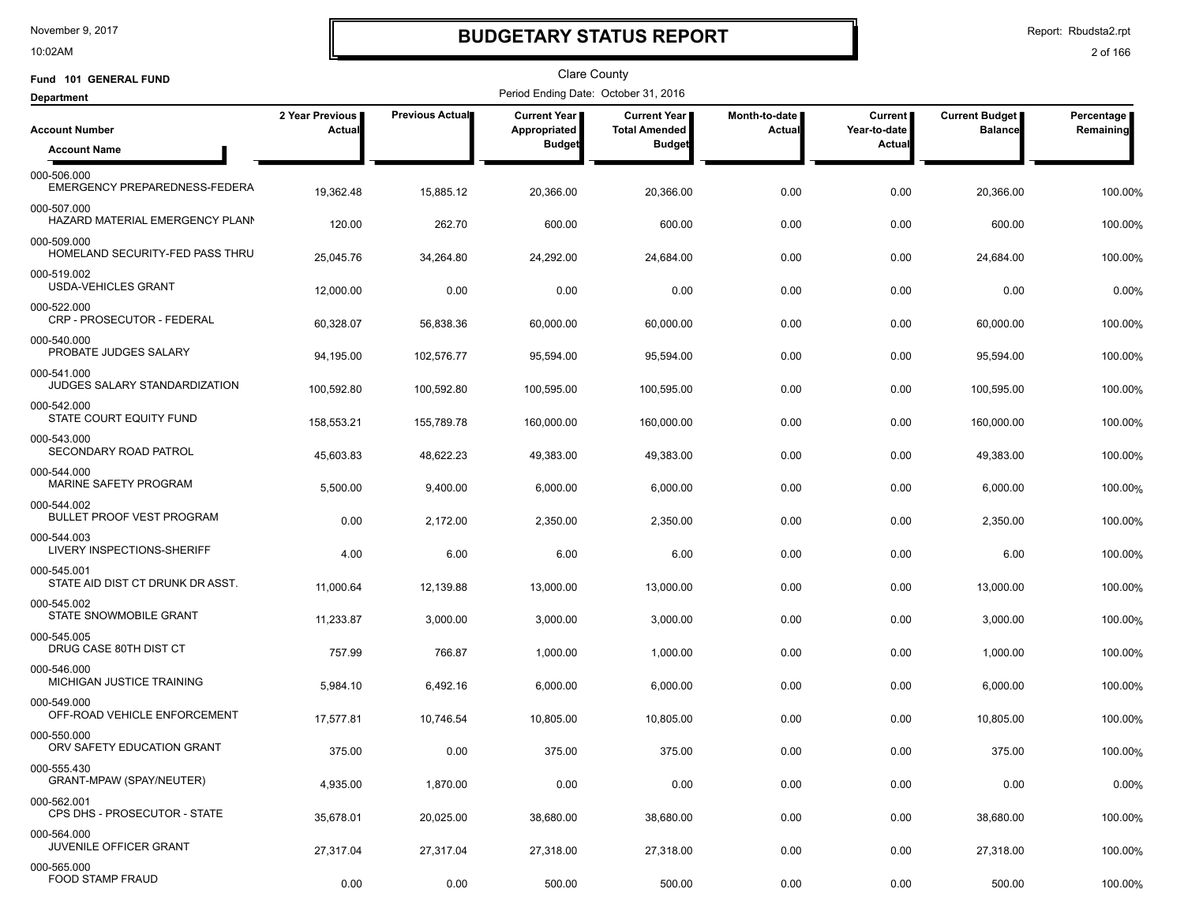10:02AM

## **BUDGETARY STATUS REPORT**

Report: Rbudsta2.rpt

| Fund 101 GENERAL FUND                           |                           |                 | <b>Clare County</b>                  |                                      |                         |                                |                                         |                         |
|-------------------------------------------------|---------------------------|-----------------|--------------------------------------|--------------------------------------|-------------------------|--------------------------------|-----------------------------------------|-------------------------|
| <b>Department</b>                               |                           |                 | Period Ending Date: October 31, 2016 |                                      |                         |                                |                                         |                         |
| <b>Account Number</b>                           | 2 Year Previous<br>Actual | Previous Actual | <b>Current Year</b><br>Appropriated  | Current Year<br><b>Total Amended</b> | Month-to-date<br>Actual | <b>Current</b><br>Year-to-date | <b>Current Budget</b><br><b>Balance</b> | Percentage<br>Remaining |
| <b>Account Name</b>                             |                           |                 | <b>Budget</b>                        | <b>Budget</b>                        |                         | <b>Actual</b>                  |                                         |                         |
| 000-506.000<br>EMERGENCY PREPAREDNESS-FEDERA    | 19,362.48                 | 15,885.12       | 20,366.00                            | 20,366.00                            | 0.00                    | 0.00                           | 20,366.00                               | 100.00%                 |
| 000-507.000<br>HAZARD MATERIAL EMERGENCY PLANN  | 120.00                    | 262.70          | 600.00                               | 600.00                               | 0.00                    | 0.00                           | 600.00                                  | 100.00%                 |
| 000-509.000<br>HOMELAND SECURITY-FED PASS THRU  | 25,045.76                 | 34,264.80       | 24,292.00                            | 24,684.00                            | 0.00                    | 0.00                           | 24,684.00                               | 100.00%                 |
| 000-519.002<br><b>USDA-VEHICLES GRANT</b>       | 12,000.00                 | 0.00            | 0.00                                 | 0.00                                 | 0.00                    | 0.00                           | 0.00                                    | 0.00%                   |
| 000-522.000<br>CRP - PROSECUTOR - FEDERAL       | 60,328.07                 | 56,838.36       | 60,000.00                            | 60,000.00                            | 0.00                    | 0.00                           | 60,000.00                               | 100.00%                 |
| 000-540.000<br>PROBATE JUDGES SALARY            | 94,195.00                 | 102,576.77      | 95,594.00                            | 95,594.00                            | 0.00                    | 0.00                           | 95,594.00                               | 100.00%                 |
| 000-541.000<br>JUDGES SALARY STANDARDIZATION    | 100,592.80                | 100,592.80      | 100,595.00                           | 100,595.00                           | 0.00                    | 0.00                           | 100,595.00                              | 100.00%                 |
| 000-542.000<br>STATE COURT EQUITY FUND          | 158,553.21                | 155,789.78      | 160,000.00                           | 160,000.00                           | 0.00                    | 0.00                           | 160,000.00                              | 100.00%                 |
| 000-543.000<br>SECONDARY ROAD PATROL            | 45,603.83                 | 48,622.23       | 49,383.00                            | 49,383.00                            | 0.00                    | 0.00                           | 49,383.00                               | 100.00%                 |
| 000-544.000<br>MARINE SAFETY PROGRAM            | 5,500.00                  | 9,400.00        | 6,000.00                             | 6,000.00                             | 0.00                    | 0.00                           | 6,000.00                                | 100.00%                 |
| 000-544.002<br><b>BULLET PROOF VEST PROGRAM</b> | 0.00                      | 2,172.00        | 2,350.00                             | 2,350.00                             | 0.00                    | 0.00                           | 2,350.00                                | 100.00%                 |
| 000-544.003<br>LIVERY INSPECTIONS-SHERIFF       | 4.00                      | 6.00            | 6.00                                 | 6.00                                 | 0.00                    | 0.00                           | 6.00                                    | 100.00%                 |
| 000-545.001<br>STATE AID DIST CT DRUNK DR ASST. | 11,000.64                 | 12,139.88       | 13,000.00                            | 13,000.00                            | 0.00                    | 0.00                           | 13,000.00                               | 100.00%                 |
| 000-545.002<br>STATE SNOWMOBILE GRANT           | 11,233.87                 | 3,000.00        | 3,000.00                             | 3,000.00                             | 0.00                    | 0.00                           | 3,000.00                                | 100.00%                 |
| 000-545.005<br>DRUG CASE 80TH DIST CT           | 757.99                    | 766.87          | 1,000.00                             | 1,000.00                             | 0.00                    | 0.00                           | 1,000.00                                | 100.00%                 |
| 000-546.000<br>MICHIGAN JUSTICE TRAINING        | 5,984.10                  | 6,492.16        | 6,000.00                             | 6,000.00                             | 0.00                    | 0.00                           | 6,000.00                                | 100.00%                 |
| 000-549.000<br>OFF-ROAD VEHICLE ENFORCEMENT     | 17,577.81                 | 10,746.54       | 10,805.00                            | 10,805.00                            | 0.00                    | 0.00                           | 10,805.00                               | 100.00%                 |
| 000-550.000<br>ORV SAFETY EDUCATION GRANT       | 375.00                    | 0.00            | 375.00                               | 375.00                               | 0.00                    | 0.00                           | 375.00                                  | 100.00%                 |
| 000-555.430<br>GRANT-MPAW (SPAY/NEUTER)         | 4,935.00                  | 1,870.00        | 0.00                                 | 0.00                                 | 0.00                    | 0.00                           | 0.00                                    | 0.00%                   |
| 000-562.001<br>CPS DHS - PROSECUTOR - STATE     | 35,678.01                 | 20,025.00       | 38,680.00                            | 38,680.00                            | 0.00                    | 0.00                           | 38,680.00                               | 100.00%                 |
| 000-564.000<br>JUVENILE OFFICER GRANT           | 27,317.04                 | 27,317.04       | 27,318.00                            | 27,318.00                            | 0.00                    | 0.00                           | 27,318.00                               | 100.00%                 |
| 000-565.000<br>FOOD STAMP FRAUD                 | 0.00                      | 0.00            | 500.00                               | 500.00                               | 0.00                    | 0.00                           | 500.00                                  | 100.00%                 |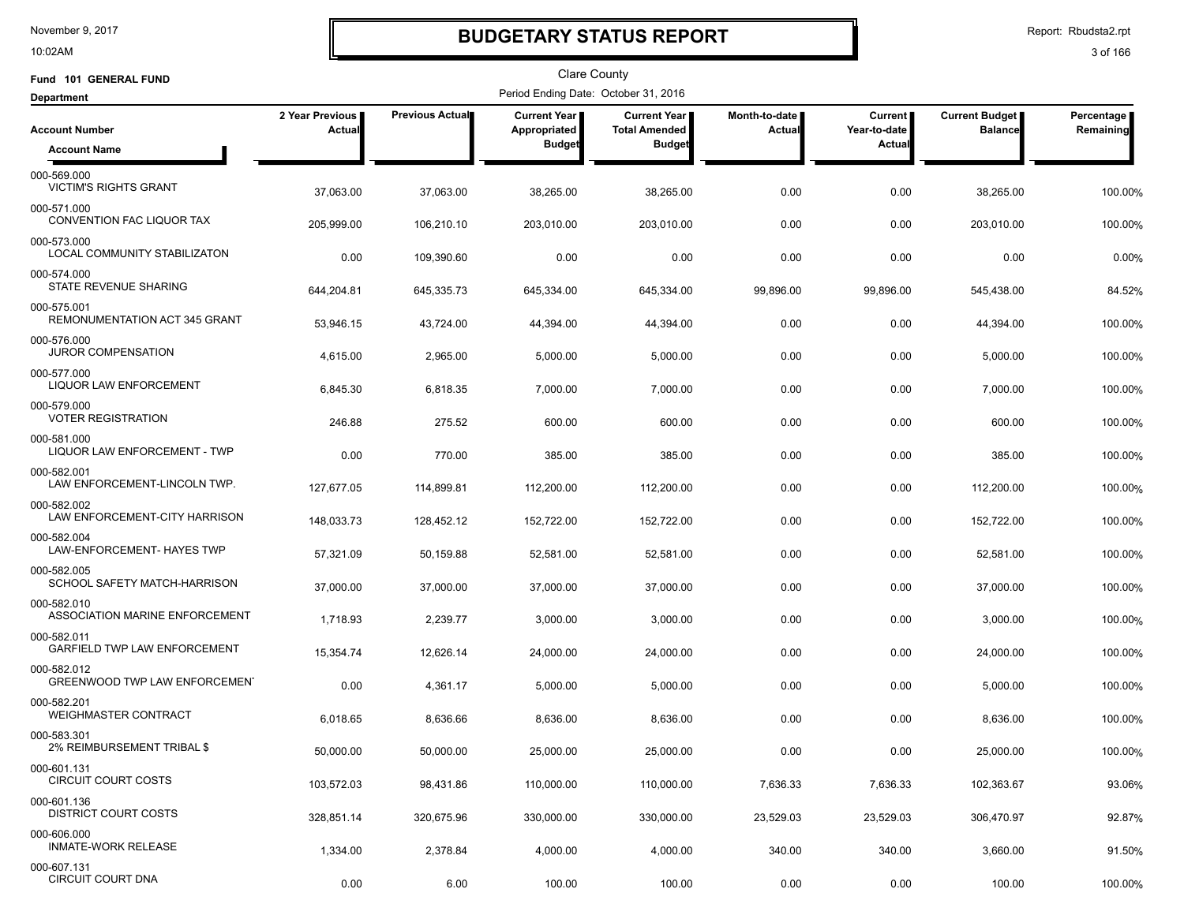10:02AM

## **BUDGETARY STATUS REPORT**

Report: Rbudsta2.rpt

| Fund 101 GENERAL FUND                         |                           |                        | <b>Clare County</b>                  |                                      |                                |                           |                                         |                         |
|-----------------------------------------------|---------------------------|------------------------|--------------------------------------|--------------------------------------|--------------------------------|---------------------------|-----------------------------------------|-------------------------|
| <b>Department</b>                             |                           |                        | Period Ending Date: October 31, 2016 |                                      |                                |                           |                                         |                         |
| <b>Account Number</b>                         | 2 Year Previous<br>Actual | <b>Previous Actual</b> | Current Year<br>Appropriated         | Current Year<br><b>Total Amended</b> | Month-to-date<br><b>Actual</b> | Current  <br>Year-to-date | <b>Current Budget</b><br><b>Balance</b> | Percentage<br>Remaining |
| <b>Account Name</b>                           |                           |                        | <b>Budget</b>                        | <b>Budget</b>                        |                                | Actual                    |                                         |                         |
| 000-569.000<br><b>VICTIM'S RIGHTS GRANT</b>   | 37,063.00                 | 37,063.00              | 38,265.00                            | 38,265.00                            | 0.00                           | 0.00                      | 38,265.00                               | 100.00%                 |
| 000-571.000<br>CONVENTION FAC LIQUOR TAX      | 205,999.00                | 106,210.10             | 203,010.00                           | 203,010.00                           | 0.00                           | 0.00                      | 203,010.00                              | 100.00%                 |
| 000-573.000<br>LOCAL COMMUNITY STABILIZATON   | 0.00                      | 109,390.60             | 0.00                                 | 0.00                                 | 0.00                           | 0.00                      | 0.00                                    | 0.00%                   |
| 000-574.000<br>STATE REVENUE SHARING          | 644,204.81                | 645,335.73             | 645,334.00                           | 645,334.00                           | 99,896.00                      | 99,896.00                 | 545,438.00                              | 84.52%                  |
| 000-575.001<br>REMONUMENTATION ACT 345 GRANT  | 53,946.15                 | 43,724.00              | 44,394.00                            | 44,394.00                            | 0.00                           | 0.00                      | 44,394.00                               | 100.00%                 |
| 000-576.000<br><b>JUROR COMPENSATION</b>      | 4,615.00                  | 2,965.00               | 5,000.00                             | 5,000.00                             | 0.00                           | 0.00                      | 5,000.00                                | 100.00%                 |
| 000-577.000<br><b>LIQUOR LAW ENFORCEMENT</b>  | 6,845.30                  | 6,818.35               | 7,000.00                             | 7,000.00                             | 0.00                           | 0.00                      | 7,000.00                                | 100.00%                 |
| 000-579.000<br><b>VOTER REGISTRATION</b>      | 246.88                    | 275.52                 | 600.00                               | 600.00                               | 0.00                           | 0.00                      | 600.00                                  | 100.00%                 |
| 000-581.000<br>LIQUOR LAW ENFORCEMENT - TWP   | 0.00                      | 770.00                 | 385.00                               | 385.00                               | 0.00                           | 0.00                      | 385.00                                  | 100.00%                 |
| 000-582.001<br>LAW ENFORCEMENT-LINCOLN TWP.   | 127,677.05                | 114,899.81             | 112,200.00                           | 112,200.00                           | 0.00                           | 0.00                      | 112,200.00                              | 100.00%                 |
| 000-582.002<br>LAW ENFORCEMENT-CITY HARRISON  | 148,033.73                | 128,452.12             | 152,722.00                           | 152,722.00                           | 0.00                           | 0.00                      | 152,722.00                              | 100.00%                 |
| 000-582.004<br>LAW-ENFORCEMENT- HAYES TWP     | 57,321.09                 | 50,159.88              | 52,581.00                            | 52,581.00                            | 0.00                           | 0.00                      | 52,581.00                               | 100.00%                 |
| 000-582.005<br>SCHOOL SAFETY MATCH-HARRISON   | 37,000.00                 | 37,000.00              | 37,000.00                            | 37,000.00                            | 0.00                           | 0.00                      | 37,000.00                               | 100.00%                 |
| 000-582.010<br>ASSOCIATION MARINE ENFORCEMENT | 1,718.93                  | 2,239.77               | 3,000.00                             | 3,000.00                             | 0.00                           | 0.00                      | 3,000.00                                | 100.00%                 |
| 000-582.011<br>GARFIELD TWP LAW ENFORCEMENT   | 15,354.74                 | 12.626.14              | 24,000.00                            | 24,000.00                            | 0.00                           | 0.00                      | 24,000.00                               | 100.00%                 |
| 000-582.012<br>GREENWOOD TWP LAW ENFORCEMENT  | 0.00                      | 4,361.17               | 5,000.00                             | 5,000.00                             | 0.00                           | 0.00                      | 5,000.00                                | 100.00%                 |
| 000-582.201<br><b>WEIGHMASTER CONTRACT</b>    | 6,018.65                  | 8,636.66               | 8,636.00                             | 8,636.00                             | 0.00                           | 0.00                      | 8,636.00                                | 100.00%                 |
| 000-583.301<br>2% REIMBURSEMENT TRIBAL \$     | 50,000.00                 | 50,000.00              | 25,000.00                            | 25,000.00                            | 0.00                           | 0.00                      | 25,000.00                               | 100.00%                 |
| 000-601.131<br><b>CIRCUIT COURT COSTS</b>     | 103,572.03                | 98,431.86              | 110,000.00                           | 110,000.00                           | 7,636.33                       | 7,636.33                  | 102,363.67                              | 93.06%                  |
| 000-601.136<br><b>DISTRICT COURT COSTS</b>    | 328,851.14                | 320,675.96             | 330,000.00                           | 330,000.00                           | 23,529.03                      | 23,529.03                 | 306,470.97                              | 92.87%                  |
| 000-606.000<br><b>INMATE-WORK RELEASE</b>     | 1,334.00                  | 2,378.84               | 4,000.00                             | 4,000.00                             | 340.00                         | 340.00                    | 3,660.00                                | 91.50%                  |
| 000-607.131<br><b>CIRCUIT COURT DNA</b>       | 0.00                      | 6.00                   | 100.00                               | 100.00                               | 0.00                           | 0.00                      | 100.00                                  | 100.00%                 |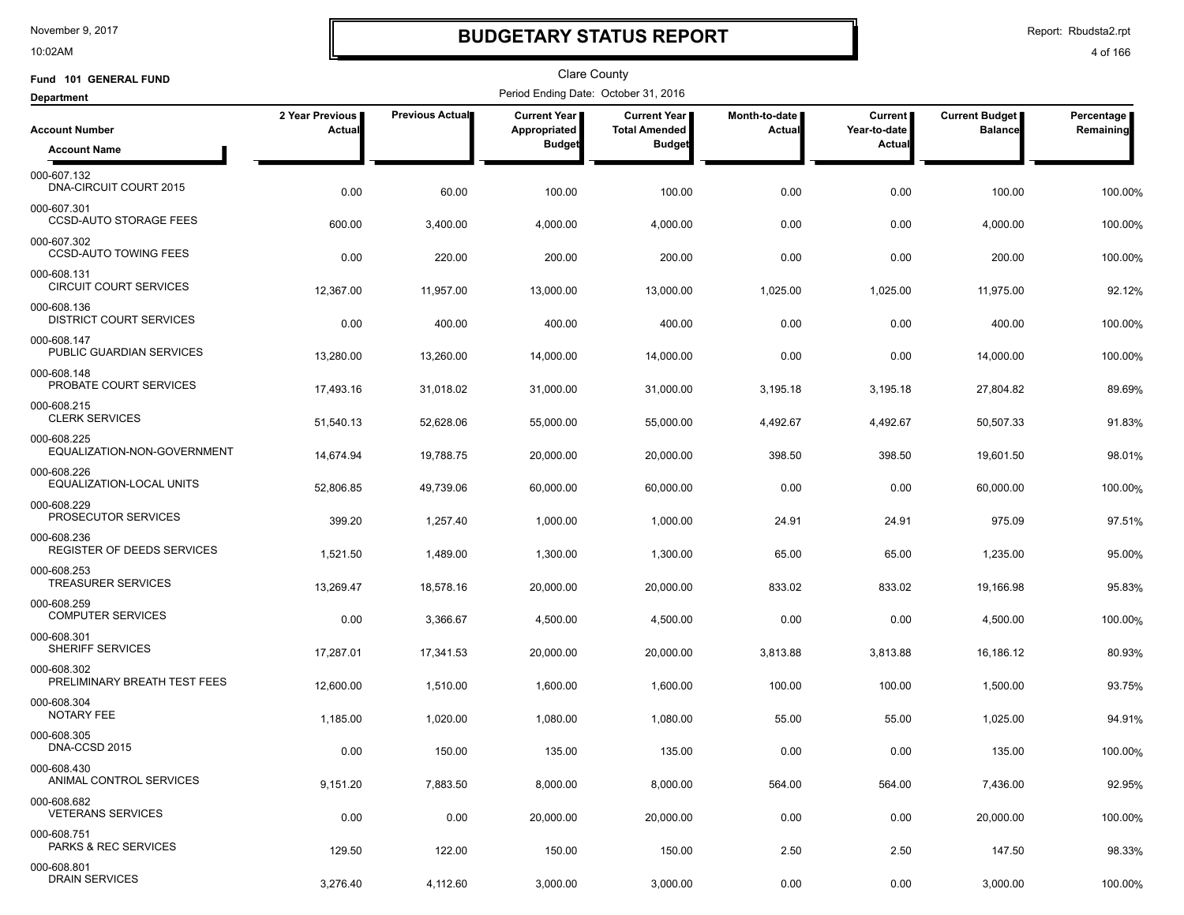10:02AM

## **BUDGETARY STATUS REPORT**

Report: Rbudsta2.rpt

| Fund 101 GENERAL FUND                                  |                           |                 | <b>Clare County</b>                  |                                      |                                |                           |                                  |                         |
|--------------------------------------------------------|---------------------------|-----------------|--------------------------------------|--------------------------------------|--------------------------------|---------------------------|----------------------------------|-------------------------|
| <b>Department</b>                                      |                           |                 | Period Ending Date: October 31, 2016 |                                      |                                |                           |                                  |                         |
| <b>Account Number</b>                                  | 2 Year Previous<br>Actual | Previous Actual | <b>Current Year</b><br>Appropriated  | Current Year<br><b>Total Amended</b> | Month-to-date<br><b>Actual</b> | Current  <br>Year-to-date | Current Budget<br><b>Balance</b> | Percentage<br>Remaining |
| <b>Account Name</b>                                    |                           |                 | <b>Budget</b>                        | <b>Budget</b>                        |                                | Actual                    |                                  |                         |
| 000-607.132<br>DNA-CIRCUIT COURT 2015                  | 0.00                      | 60.00           | 100.00                               | 100.00                               | 0.00                           | 0.00                      | 100.00                           | 100.00%                 |
| 000-607.301<br><b>CCSD-AUTO STORAGE FEES</b>           | 600.00                    | 3,400.00        | 4,000.00                             | 4,000.00                             | 0.00                           | 0.00                      | 4,000.00                         | 100.00%                 |
| 000-607.302<br><b>CCSD-AUTO TOWING FEES</b>            | 0.00                      | 220.00          | 200.00                               | 200.00                               | 0.00                           | 0.00                      | 200.00                           | 100.00%                 |
| 000-608.131<br><b>CIRCUIT COURT SERVICES</b>           | 12,367.00                 | 11,957.00       | 13,000.00                            | 13,000.00                            | 1,025.00                       | 1,025.00                  | 11,975.00                        | 92.12%                  |
| 000-608.136<br><b>DISTRICT COURT SERVICES</b>          | 0.00                      | 400.00          | 400.00                               | 400.00                               | 0.00                           | 0.00                      | 400.00                           | 100.00%                 |
| 000-608.147<br>PUBLIC GUARDIAN SERVICES                | 13,280.00                 | 13,260.00       | 14,000.00                            | 14,000.00                            | 0.00                           | 0.00                      | 14,000.00                        | 100.00%                 |
| 000-608.148<br>PROBATE COURT SERVICES                  | 17,493.16                 | 31,018.02       | 31,000.00                            | 31,000.00                            | 3,195.18                       | 3,195.18                  | 27,804.82                        | 89.69%                  |
| 000-608.215<br><b>CLERK SERVICES</b>                   | 51,540.13                 | 52,628.06       | 55,000.00                            | 55,000.00                            | 4,492.67                       | 4,492.67                  | 50,507.33                        | 91.83%                  |
| 000-608.225<br>EQUALIZATION-NON-GOVERNMENT             | 14,674.94                 | 19,788.75       | 20,000.00                            | 20,000.00                            | 398.50                         | 398.50                    | 19,601.50                        | 98.01%                  |
| 000-608.226<br>EQUALIZATION-LOCAL UNITS<br>000-608.229 | 52,806.85                 | 49,739.06       | 60,000.00                            | 60,000.00                            | 0.00                           | 0.00                      | 60,000.00                        | 100.00%                 |
| PROSECUTOR SERVICES<br>000-608.236                     | 399.20                    | 1,257.40        | 1,000.00                             | 1,000.00                             | 24.91                          | 24.91                     | 975.09                           | 97.51%                  |
| REGISTER OF DEEDS SERVICES<br>000-608.253              | 1,521.50                  | 1,489.00        | 1,300.00                             | 1,300.00                             | 65.00                          | 65.00                     | 1,235.00                         | 95.00%                  |
| <b>TREASURER SERVICES</b><br>000-608.259               | 13,269.47                 | 18,578.16       | 20,000.00                            | 20,000.00                            | 833.02                         | 833.02                    | 19,166.98                        | 95.83%                  |
| <b>COMPUTER SERVICES</b><br>000-608.301                | 0.00                      | 3,366.67        | 4,500.00                             | 4,500.00                             | 0.00                           | 0.00                      | 4,500.00                         | 100.00%                 |
| <b>SHERIFF SERVICES</b><br>000-608.302                 | 17,287.01                 | 17,341.53       | 20,000.00                            | 20,000.00                            | 3,813.88                       | 3,813.88                  | 16,186.12                        | 80.93%                  |
| PRELIMINARY BREATH TEST FEES<br>000-608.304            | 12,600.00                 | 1,510.00        | 1,600.00                             | 1,600.00                             | 100.00                         | 100.00                    | 1,500.00                         | 93.75%                  |
| NOTARY FEE<br>000-608.305                              | 1,185.00                  | 1,020.00        | 1,080.00                             | 1,080.00                             | 55.00                          | 55.00                     | 1,025.00                         | 94.91%                  |
| DNA-CCSD 2015<br>000-608.430                           | 0.00                      | 150.00          | 135.00                               | 135.00                               | 0.00                           | 0.00                      | 135.00                           | 100.00%                 |
| ANIMAL CONTROL SERVICES                                | 9,151.20                  | 7,883.50        | 8,000.00                             | 8,000.00                             | 564.00                         | 564.00                    | 7,436.00                         | 92.95%                  |
| 000-608.682<br><b>VETERANS SERVICES</b>                | 0.00                      | 0.00            | 20,000.00                            | 20,000.00                            | 0.00                           | 0.00                      | 20,000.00                        | 100.00%                 |
| 000-608.751<br>PARKS & REC SERVICES                    | 129.50                    | 122.00          | 150.00                               | 150.00                               | 2.50                           | 2.50                      | 147.50                           | 98.33%                  |
| 000-608.801<br><b>DRAIN SERVICES</b>                   | 3,276.40                  | 4,112.60        | 3,000.00                             | 3,000.00                             | 0.00                           | 0.00                      | 3,000.00                         | 100.00%                 |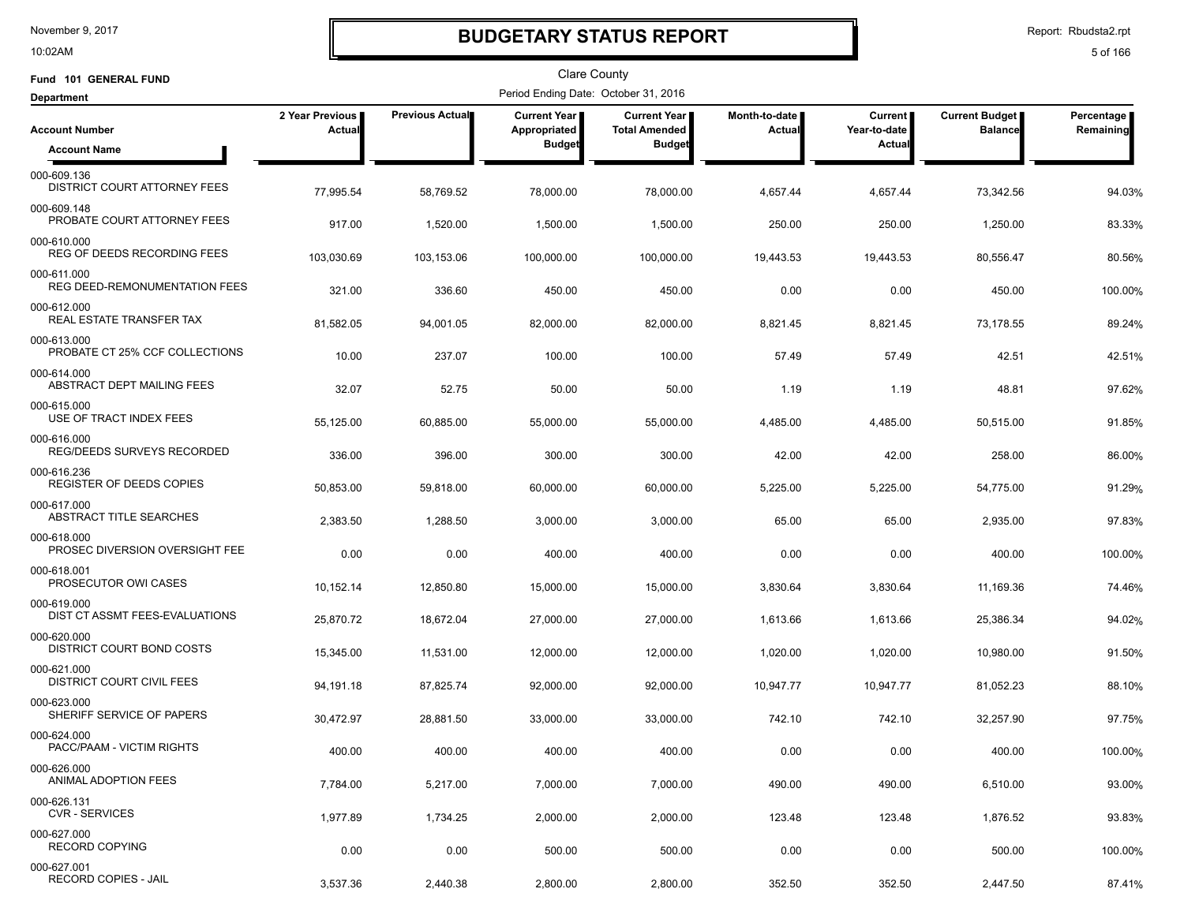10:02AM

## **BUDGETARY STATUS REPORT**

Report: Rbudsta2.rpt

| Fund 101 GENERAL FUND                           |                           |                        | <b>Clare County</b>                   |                                             |                         |                           |                                  |                         |
|-------------------------------------------------|---------------------------|------------------------|---------------------------------------|---------------------------------------------|-------------------------|---------------------------|----------------------------------|-------------------------|
| <b>Department</b>                               |                           |                        | Period Ending Date: October 31, 2016  |                                             |                         |                           |                                  |                         |
| <b>Account Number</b>                           | 2 Year Previous<br>Actual | <b>Previous Actual</b> | <b>Current Year I</b><br>Appropriated | <b>Current Year</b><br><b>Total Amended</b> | Month-to-date<br>Actual | Current  <br>Year-to-date | Current Budget<br><b>Balance</b> | Percentage<br>Remaining |
| <b>Account Name</b>                             |                           |                        | <b>Budget</b>                         | <b>Budget</b>                               |                         | Actual                    |                                  |                         |
| 000-609.136<br>DISTRICT COURT ATTORNEY FEES     | 77,995.54                 | 58,769.52              | 78,000.00                             | 78,000.00                                   | 4,657.44                | 4,657.44                  | 73,342.56                        | 94.03%                  |
| 000-609.148<br>PROBATE COURT ATTORNEY FEES      | 917.00                    | 1,520.00               | 1,500.00                              | 1,500.00                                    | 250.00                  | 250.00                    | 1,250.00                         | 83.33%                  |
| 000-610.000<br>REG OF DEEDS RECORDING FEES      | 103,030.69                | 103,153.06             | 100,000.00                            | 100,000.00                                  | 19,443.53               | 19,443.53                 | 80,556.47                        | 80.56%                  |
| 000-611.000<br>REG DEED-REMONUMENTATION FEES    | 321.00                    | 336.60                 | 450.00                                | 450.00                                      | 0.00                    | 0.00                      | 450.00                           | 100.00%                 |
| 000-612.000<br>REAL ESTATE TRANSFER TAX         | 81,582.05                 | 94,001.05              | 82,000.00                             | 82,000.00                                   | 8,821.45                | 8,821.45                  | 73,178.55                        | 89.24%                  |
| 000-613.000<br>PROBATE CT 25% CCF COLLECTIONS   | 10.00                     | 237.07                 | 100.00                                | 100.00                                      | 57.49                   | 57.49                     | 42.51                            | 42.51%                  |
| 000-614.000<br>ABSTRACT DEPT MAILING FEES       | 32.07                     | 52.75                  | 50.00                                 | 50.00                                       | 1.19                    | 1.19                      | 48.81                            | 97.62%                  |
| 000-615.000<br>USE OF TRACT INDEX FEES          | 55,125.00                 | 60,885.00              | 55,000.00                             | 55,000.00                                   | 4,485.00                | 4,485.00                  | 50,515.00                        | 91.85%                  |
| 000-616.000<br>REG/DEEDS SURVEYS RECORDED       | 336.00                    | 396.00                 | 300.00                                | 300.00                                      | 42.00                   | 42.00                     | 258.00                           | 86.00%                  |
| 000-616.236<br><b>REGISTER OF DEEDS COPIES</b>  | 50,853.00                 | 59,818.00              | 60,000.00                             | 60,000.00                                   | 5,225.00                | 5,225.00                  | 54,775.00                        | 91.29%                  |
| 000-617.000<br>ABSTRACT TITLE SEARCHES          | 2,383.50                  | 1,288.50               | 3,000.00                              | 3,000.00                                    | 65.00                   | 65.00                     | 2,935.00                         | 97.83%                  |
| 000-618.000<br>PROSEC DIVERSION OVERSIGHT FEE   | 0.00                      | 0.00                   | 400.00                                | 400.00                                      | 0.00                    | 0.00                      | 400.00                           | 100.00%                 |
| 000-618.001<br>PROSECUTOR OWI CASES             | 10,152.14                 | 12,850.80              | 15,000.00                             | 15,000.00                                   | 3,830.64                | 3,830.64                  | 11,169.36                        | 74.46%                  |
| 000-619.000<br>DIST CT ASSMT FEES-EVALUATIONS   | 25,870.72                 | 18,672.04              | 27,000.00                             | 27,000.00                                   | 1,613.66                | 1,613.66                  | 25,386.34                        | 94.02%                  |
| 000-620.000<br>DISTRICT COURT BOND COSTS        | 15,345.00                 | 11,531.00              | 12,000.00                             | 12,000.00                                   | 1,020.00                | 1,020.00                  | 10,980.00                        | 91.50%                  |
| 000-621.000<br><b>DISTRICT COURT CIVIL FEES</b> | 94,191.18                 | 87,825.74              | 92,000.00                             | 92,000.00                                   | 10,947.77               | 10,947.77                 | 81,052.23                        | 88.10%                  |
| 000-623.000<br>SHERIFF SERVICE OF PAPERS        | 30,472.97                 | 28,881.50              | 33,000.00                             | 33,000.00                                   | 742.10                  | 742.10                    | 32,257.90                        | 97.75%                  |
| 000-624.000<br>PACC/PAAM - VICTIM RIGHTS        | 400.00                    | 400.00                 | 400.00                                | 400.00                                      | 0.00                    | 0.00                      | 400.00                           | 100.00%                 |
| 000-626.000<br>ANIMAL ADOPTION FEES             | 7,784.00                  | 5,217.00               | 7,000.00                              | 7,000.00                                    | 490.00                  | 490.00                    | 6,510.00                         | 93.00%                  |
| 000-626.131<br><b>CVR - SERVICES</b>            | 1,977.89                  | 1,734.25               | 2,000.00                              | 2,000.00                                    | 123.48                  | 123.48                    | 1,876.52                         | 93.83%                  |
| 000-627.000<br><b>RECORD COPYING</b>            | 0.00                      | 0.00                   | 500.00                                | 500.00                                      | 0.00                    | 0.00                      | 500.00                           | 100.00%                 |
| 000-627.001<br>RECORD COPIES - JAIL             | 3,537.36                  | 2,440.38               | 2,800.00                              | 2,800.00                                    | 352.50                  | 352.50                    | 2,447.50                         | 87.41%                  |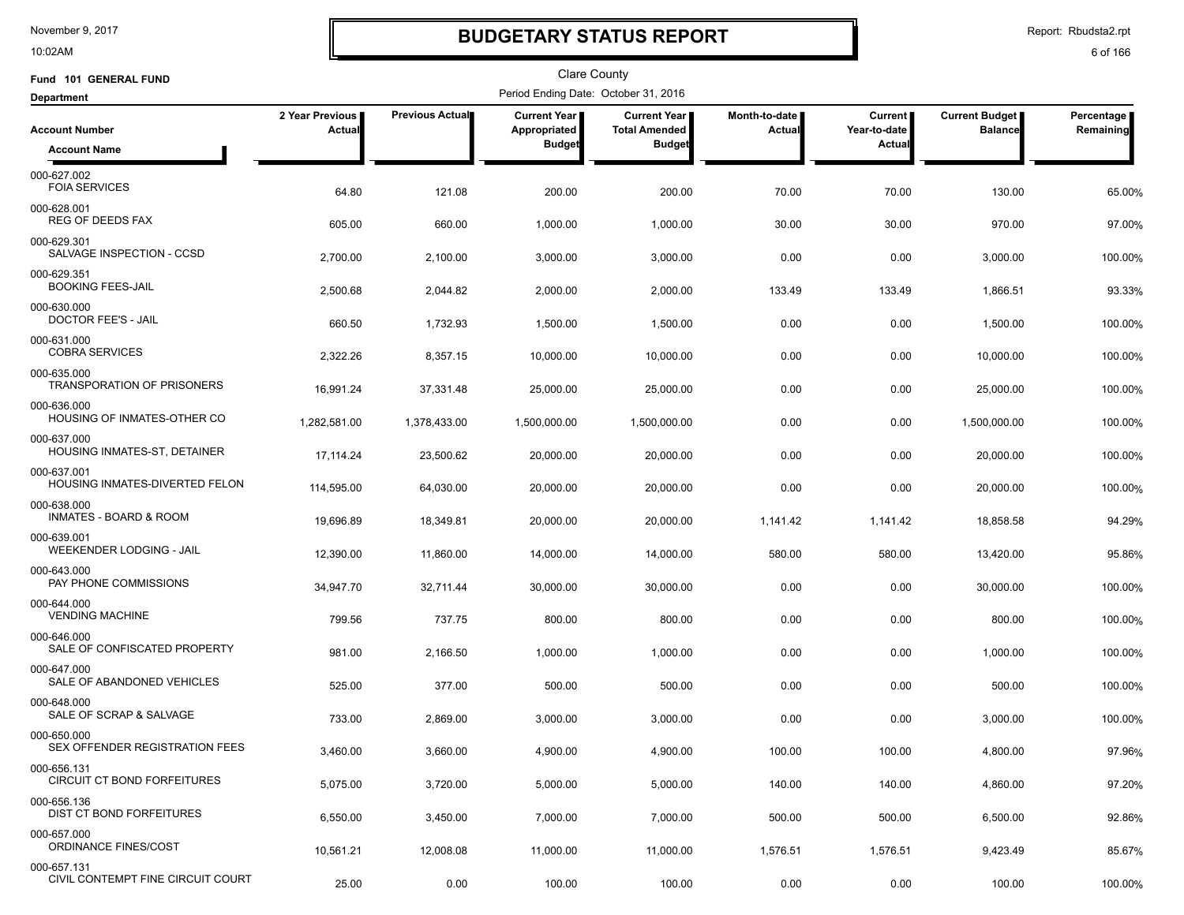10:02AM

## **BUDGETARY STATUS REPORT**

Report: Rbudsta2.rpt

| Fund 101 GENERAL FUND                                      |                           |                        | Clare County                         |                                             |                         |                                |                                  |                         |
|------------------------------------------------------------|---------------------------|------------------------|--------------------------------------|---------------------------------------------|-------------------------|--------------------------------|----------------------------------|-------------------------|
| <b>Department</b>                                          |                           |                        | Period Ending Date: October 31, 2016 |                                             |                         |                                |                                  |                         |
| <b>Account Number</b>                                      | 2 Year Previous<br>Actual | <b>Previous Actual</b> | Current Year<br>Appropriated         | <b>Current Year</b><br><b>Total Amended</b> | Month-to-date<br>Actual | <b>Current</b><br>Year-to-date | Current Budget<br><b>Balance</b> | Percentage<br>Remaining |
| <b>Account Name</b>                                        |                           |                        | <b>Budget</b>                        | <b>Budget</b>                               |                         | <b>Actual</b>                  |                                  |                         |
| 000-627.002<br><b>FOIA SERVICES</b>                        | 64.80                     | 121.08                 | 200.00                               | 200.00                                      | 70.00                   | 70.00                          | 130.00                           | 65.00%                  |
| 000-628.001<br>REG OF DEEDS FAX                            | 605.00                    | 660.00                 | 1,000.00                             | 1,000.00                                    | 30.00                   | 30.00                          | 970.00                           | 97.00%                  |
| 000-629.301<br>SALVAGE INSPECTION - CCSD                   | 2,700.00                  | 2,100.00               | 3,000.00                             | 3,000.00                                    | 0.00                    | 0.00                           | 3,000.00                         | 100.00%                 |
| 000-629.351<br><b>BOOKING FEES-JAIL</b>                    | 2,500.68                  | 2,044.82               | 2,000.00                             | 2,000.00                                    | 133.49                  | 133.49                         | 1,866.51                         | 93.33%                  |
| 000-630.000<br><b>DOCTOR FEE'S - JAIL</b>                  | 660.50                    | 1,732.93               | 1,500.00                             | 1,500.00                                    | 0.00                    | 0.00                           | 1,500.00                         | 100.00%                 |
| 000-631.000<br><b>COBRA SERVICES</b>                       | 2,322.26                  | 8,357.15               | 10,000.00                            | 10,000.00                                   | 0.00                    | 0.00                           | 10,000.00                        | 100.00%                 |
| 000-635.000<br><b>TRANSPORATION OF PRISONERS</b>           | 16,991.24                 | 37,331.48              | 25,000.00                            | 25,000.00                                   | 0.00                    | 0.00                           | 25,000.00                        | 100.00%                 |
| 000-636.000<br>HOUSING OF INMATES-OTHER CO                 | 1,282,581.00              | 1,378,433.00           | 1,500,000.00                         | 1,500,000.00                                | 0.00                    | 0.00                           | 1,500,000.00                     | 100.00%                 |
| 000-637.000<br>HOUSING INMATES-ST, DETAINER                | 17, 114.24                | 23,500.62              | 20,000.00                            | 20,000.00                                   | 0.00                    | 0.00                           | 20,000.00                        | 100.00%                 |
| 000-637.001<br>HOUSING INMATES-DIVERTED FELON              | 114,595.00                | 64,030.00              | 20,000.00                            | 20,000.00                                   | 0.00                    | 0.00                           | 20,000.00                        | 100.00%                 |
| 000-638.000<br><b>INMATES - BOARD &amp; ROOM</b>           | 19,696.89                 | 18,349.81              | 20,000.00                            | 20,000.00                                   | 1,141.42                | 1,141.42                       | 18,858.58                        | 94.29%                  |
| 000-639.001<br>WEEKENDER LODGING - JAIL                    | 12,390.00                 | 11,860.00              | 14,000.00                            | 14,000.00                                   | 580.00                  | 580.00                         | 13,420.00                        | 95.86%                  |
| 000-643.000<br>PAY PHONE COMMISSIONS                       | 34,947.70                 | 32,711.44              | 30,000.00                            | 30,000.00                                   | 0.00                    | 0.00                           | 30,000.00                        | 100.00%                 |
| 000-644.000<br><b>VENDING MACHINE</b>                      | 799.56                    | 737.75                 | 800.00                               | 800.00                                      | 0.00                    | 0.00                           | 800.00                           | 100.00%                 |
| 000-646.000<br>SALE OF CONFISCATED PROPERTY<br>000-647.000 | 981.00                    | 2,166.50               | 1,000.00                             | 1,000.00                                    | 0.00                    | 0.00                           | 1,000.00                         | 100.00%                 |
| SALE OF ABANDONED VEHICLES<br>000-648.000                  | 525.00                    | 377.00                 | 500.00                               | 500.00                                      | 0.00                    | 0.00                           | 500.00                           | 100.00%                 |
| SALE OF SCRAP & SALVAGE<br>000-650.000                     | 733.00                    | 2,869.00               | 3,000.00                             | 3,000.00                                    | 0.00                    | 0.00                           | 3,000.00                         | 100.00%                 |
| SEX OFFENDER REGISTRATION FEES                             | 3,460.00                  | 3,660.00               | 4,900.00                             | 4,900.00                                    | 100.00                  | 100.00                         | 4,800.00                         | 97.96%                  |
| 000-656.131<br><b>CIRCUIT CT BOND FORFEITURES</b>          | 5,075.00                  | 3,720.00               | 5,000.00                             | 5,000.00                                    | 140.00                  | 140.00                         | 4,860.00                         | 97.20%                  |
| 000-656.136<br>DIST CT BOND FORFEITURES                    | 6,550.00                  | 3,450.00               | 7,000.00                             | 7,000.00                                    | 500.00                  | 500.00                         | 6,500.00                         | 92.86%                  |
| 000-657.000<br>ORDINANCE FINES/COST                        | 10,561.21                 | 12,008.08              | 11,000.00                            | 11,000.00                                   | 1,576.51                | 1,576.51                       | 9,423.49                         | 85.67%                  |
| 000-657.131<br>CIVIL CONTEMPT FINE CIRCUIT COURT           | 25.00                     | 0.00                   | 100.00                               | 100.00                                      | 0.00                    | 0.00                           | 100.00                           | 100.00%                 |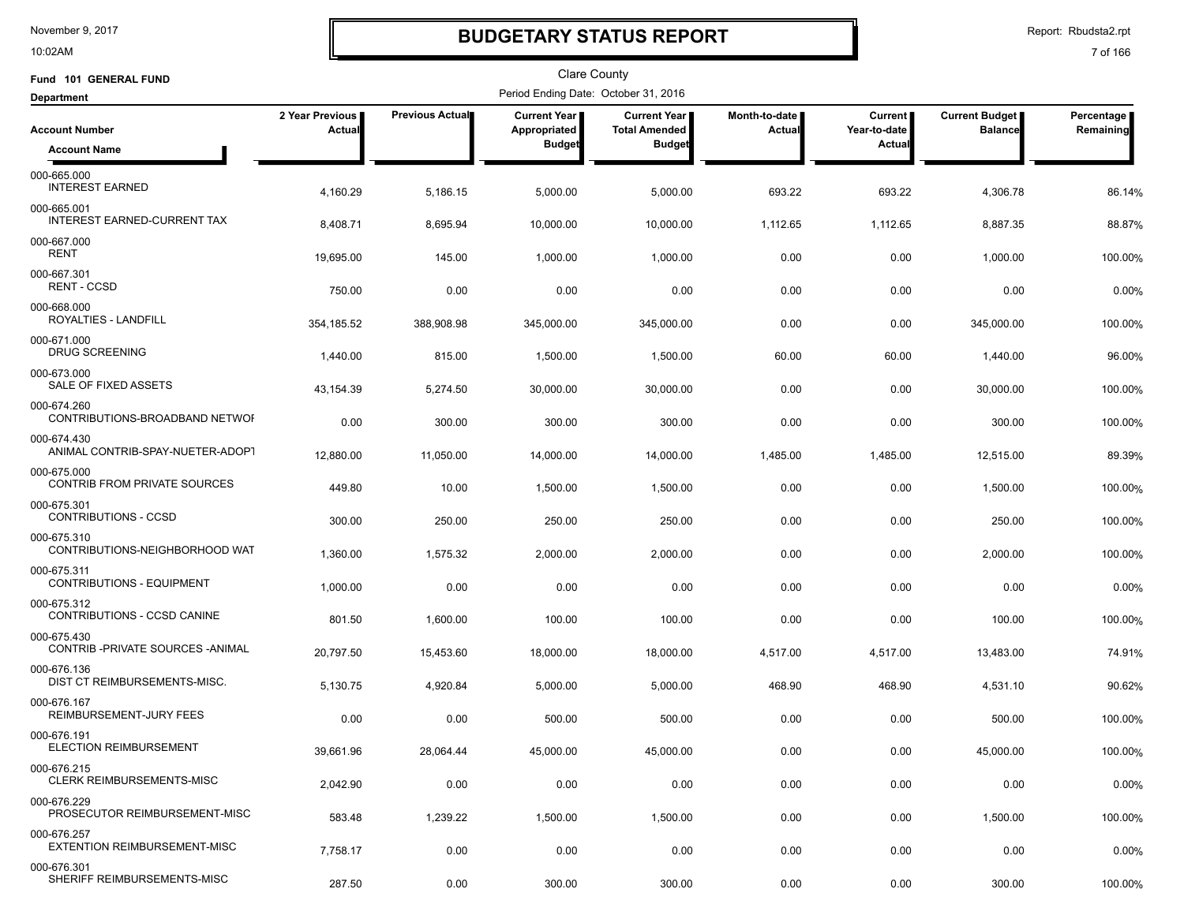10:02AM

## **BUDGETARY STATUS REPORT**

Report: Rbudsta2.rpt

| Fund 101 GENERAL FUND                              |                           |                        | Clare County                         |                                             |                         |                                |                                  |                         |
|----------------------------------------------------|---------------------------|------------------------|--------------------------------------|---------------------------------------------|-------------------------|--------------------------------|----------------------------------|-------------------------|
| <b>Department</b>                                  |                           |                        | Period Ending Date: October 31, 2016 |                                             |                         |                                |                                  |                         |
| <b>Account Number</b>                              | 2 Year Previous<br>Actual | <b>Previous Actual</b> | Current Year<br>Appropriated         | <b>Current Year</b><br><b>Total Amended</b> | Month-to-date<br>Actual | <b>Current</b><br>Year-to-date | Current Budget<br><b>Balance</b> | Percentage<br>Remaining |
| <b>Account Name</b>                                |                           |                        | <b>Budget</b>                        | <b>Budget</b>                               |                         | <b>Actual</b>                  |                                  |                         |
| 000-665.000<br><b>INTEREST EARNED</b>              | 4,160.29                  | 5,186.15               | 5,000.00                             | 5,000.00                                    | 693.22                  | 693.22                         | 4,306.78                         | 86.14%                  |
| 000-665.001<br><b>INTEREST EARNED-CURRENT TAX</b>  | 8,408.71                  | 8,695.94               | 10,000.00                            | 10,000.00                                   | 1,112.65                | 1,112.65                       | 8,887.35                         | 88.87%                  |
| 000-667.000<br>RENT                                | 19,695.00                 | 145.00                 | 1,000.00                             | 1,000.00                                    | 0.00                    | 0.00                           | 1,000.00                         | 100.00%                 |
| 000-667.301<br><b>RENT - CCSD</b>                  | 750.00                    | 0.00                   | 0.00                                 | 0.00                                        | 0.00                    | 0.00                           | 0.00                             | 0.00%                   |
| 000-668.000<br>ROYALTIES - LANDFILL                | 354,185.52                | 388,908.98             | 345,000.00                           | 345,000.00                                  | 0.00                    | 0.00                           | 345,000.00                       | 100.00%                 |
| 000-671.000<br><b>DRUG SCREENING</b>               | 1,440.00                  | 815.00                 | 1,500.00                             | 1,500.00                                    | 60.00                   | 60.00                          | 1,440.00                         | 96.00%                  |
| 000-673.000<br>SALE OF FIXED ASSETS                | 43,154.39                 | 5,274.50               | 30,000.00                            | 30,000.00                                   | 0.00                    | 0.00                           | 30,000.00                        | 100.00%                 |
| 000-674.260<br>CONTRIBUTIONS-BROADBAND NETWOF      | 0.00                      | 300.00                 | 300.00                               | 300.00                                      | 0.00                    | 0.00                           | 300.00                           | 100.00%                 |
| 000-674.430<br>ANIMAL CONTRIB-SPAY-NUETER-ADOP1    | 12,880.00                 | 11,050.00              | 14,000.00                            | 14,000.00                                   | 1,485.00                | 1,485.00                       | 12,515.00                        | 89.39%                  |
| 000-675.000<br><b>CONTRIB FROM PRIVATE SOURCES</b> | 449.80                    | 10.00                  | 1,500.00                             | 1,500.00                                    | 0.00                    | 0.00                           | 1,500.00                         | 100.00%                 |
| 000-675.301<br>CONTRIBUTIONS - CCSD                | 300.00                    | 250.00                 | 250.00                               | 250.00                                      | 0.00                    | 0.00                           | 250.00                           | 100.00%                 |
| 000-675.310<br>CONTRIBUTIONS-NEIGHBORHOOD WAT      | 1,360.00                  | 1,575.32               | 2,000.00                             | 2,000.00                                    | 0.00                    | 0.00                           | 2,000.00                         | 100.00%                 |
| 000-675.311<br><b>CONTRIBUTIONS - EQUIPMENT</b>    | 1,000.00                  | 0.00                   | 0.00                                 | 0.00                                        | 0.00                    | 0.00                           | 0.00                             | 0.00%                   |
| 000-675.312<br>CONTRIBUTIONS - CCSD CANINE         | 801.50                    | 1,600.00               | 100.00                               | 100.00                                      | 0.00                    | 0.00                           | 100.00                           | 100.00%                 |
| 000-675.430<br>CONTRIB-PRIVATE SOURCES-ANIMAL      | 20,797.50                 | 15,453.60              | 18,000.00                            | 18,000.00                                   | 4,517.00                | 4,517.00                       | 13,483.00                        | 74.91%                  |
| 000-676.136<br><b>DIST CT REIMBURSEMENTS-MISC.</b> | 5,130.75                  | 4,920.84               | 5,000.00                             | 5,000.00                                    | 468.90                  | 468.90                         | 4,531.10                         | 90.62%                  |
| 000-676.167<br>REIMBURSEMENT-JURY FEES             | 0.00                      | 0.00                   | 500.00                               | 500.00                                      | 0.00                    | 0.00                           | 500.00                           | 100.00%                 |
| 000-676.191<br>ELECTION REIMBURSEMENT              | 39,661.96                 | 28,064.44              | 45,000.00                            | 45,000.00                                   | 0.00                    | 0.00                           | 45,000.00                        | 100.00%                 |
| 000-676.215<br><b>CLERK REIMBURSEMENTS-MISC</b>    | 2,042.90                  | 0.00                   | 0.00                                 | 0.00                                        | 0.00                    | 0.00                           | 0.00                             | 0.00%                   |
| 000-676.229<br>PROSECUTOR REIMBURSEMENT-MISC       | 583.48                    | 1,239.22               | 1,500.00                             | 1,500.00                                    | 0.00                    | 0.00                           | 1,500.00                         | 100.00%                 |
| 000-676.257<br>EXTENTION REIMBURSEMENT-MISC        | 7,758.17                  | 0.00                   | 0.00                                 | 0.00                                        | 0.00                    | 0.00                           | 0.00                             | 0.00%                   |
| 000-676.301<br>SHERIFF REIMBURSEMENTS-MISC         | 287.50                    | 0.00                   | 300.00                               | 300.00                                      | 0.00                    | 0.00                           | 300.00                           | 100.00%                 |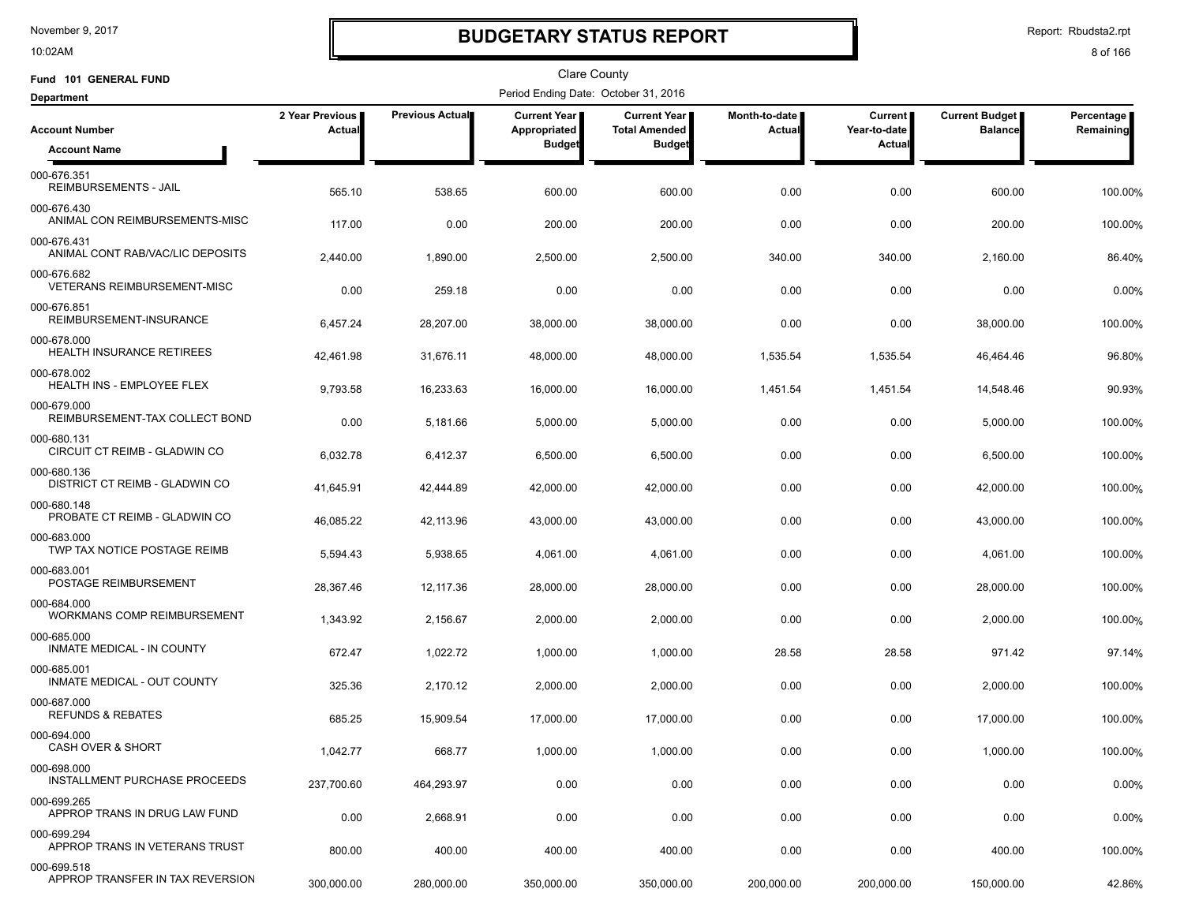10:02AM

## **BUDGETARY STATUS REPORT**

Report: Rbudsta2.rpt

| Fund 101 GENERAL FUND                             |                                  |                 | <b>Clare County</b>                  |                                             |                                |                                |                                  |                         |
|---------------------------------------------------|----------------------------------|-----------------|--------------------------------------|---------------------------------------------|--------------------------------|--------------------------------|----------------------------------|-------------------------|
| <b>Department</b>                                 |                                  |                 | Period Ending Date: October 31, 2016 |                                             |                                |                                |                                  |                         |
| <b>Account Number</b>                             | 2 Year Previous<br><b>Actual</b> | Previous Actual | <b>Current Year</b><br>Appropriated  | <b>Current Year</b><br><b>Total Amended</b> | Month-to-date<br><b>Actual</b> | <b>Current</b><br>Year-to-date | Current Budget<br><b>Balance</b> | Percentage<br>Remaining |
| <b>Account Name</b>                               |                                  |                 | <b>Budget</b>                        | <b>Budget</b>                               |                                | Actual                         |                                  |                         |
| 000-676.351<br>REIMBURSEMENTS - JAIL              | 565.10                           | 538.65          | 600.00                               | 600.00                                      | 0.00                           | 0.00                           | 600.00                           | 100.00%                 |
| 000-676.430<br>ANIMAL CON REIMBURSEMENTS-MISC     | 117.00                           | 0.00            | 200.00                               | 200.00                                      | 0.00                           | 0.00                           | 200.00                           | 100.00%                 |
| 000-676.431<br>ANIMAL CONT RAB/VAC/LIC DEPOSITS   | 2,440.00                         | 1,890.00        | 2,500.00                             | 2,500.00                                    | 340.00                         | 340.00                         | 2,160.00                         | 86.40%                  |
| 000-676.682<br><b>VETERANS REIMBURSEMENT-MISC</b> | 0.00                             | 259.18          | 0.00                                 | 0.00                                        | 0.00                           | 0.00                           | 0.00                             | 0.00%                   |
| 000-676.851<br>REIMBURSEMENT-INSURANCE            | 6,457.24                         | 28,207.00       | 38,000.00                            | 38,000.00                                   | 0.00                           | 0.00                           | 38,000.00                        | 100.00%                 |
| 000-678.000<br>HEALTH INSURANCE RETIREES          | 42,461.98                        | 31,676.11       | 48,000.00                            | 48,000.00                                   | 1,535.54                       | 1,535.54                       | 46,464.46                        | 96.80%                  |
| 000-678.002<br><b>HEALTH INS - EMPLOYEE FLEX</b>  | 9,793.58                         | 16,233.63       | 16,000.00                            | 16,000.00                                   | 1,451.54                       | 1,451.54                       | 14,548.46                        | 90.93%                  |
| 000-679.000<br>REIMBURSEMENT-TAX COLLECT BOND     | 0.00                             | 5,181.66        | 5,000.00                             | 5,000.00                                    | 0.00                           | 0.00                           | 5,000.00                         | 100.00%                 |
| 000-680.131<br>CIRCUIT CT REIMB - GLADWIN CO      | 6,032.78                         | 6,412.37        | 6,500.00                             | 6,500.00                                    | 0.00                           | 0.00                           | 6,500.00                         | 100.00%                 |
| 000-680.136<br>DISTRICT CT REIMB - GLADWIN CO     | 41,645.91                        | 42,444.89       | 42,000.00                            | 42,000.00                                   | 0.00                           | 0.00                           | 42,000.00                        | 100.00%                 |
| 000-680.148<br>PROBATE CT REIMB - GLADWIN CO      | 46,085.22                        | 42,113.96       | 43,000.00                            | 43,000.00                                   | 0.00                           | 0.00                           | 43,000.00                        | 100.00%                 |
| 000-683.000<br>TWP TAX NOTICE POSTAGE REIMB       | 5,594.43                         | 5,938.65        | 4,061.00                             | 4,061.00                                    | 0.00                           | 0.00                           | 4,061.00                         | 100.00%                 |
| 000-683.001<br>POSTAGE REIMBURSEMENT              | 28,367.46                        | 12,117.36       | 28,000.00                            | 28,000.00                                   | 0.00                           | 0.00                           | 28,000.00                        | 100.00%                 |
| 000-684.000<br>WORKMANS COMP REIMBURSEMENT        | 1,343.92                         | 2,156.67        | 2,000.00                             | 2,000.00                                    | 0.00                           | 0.00                           | 2,000.00                         | 100.00%                 |
| 000-685.000<br>INMATE MEDICAL - IN COUNTY         | 672.47                           | 1,022.72        | 1,000.00                             | 1,000.00                                    | 28.58                          | 28.58                          | 971.42                           | 97.14%                  |
| 000-685.001<br>INMATE MEDICAL - OUT COUNTY        | 325.36                           | 2,170.12        | 2,000.00                             | 2,000.00                                    | 0.00                           | 0.00                           | 2,000.00                         | 100.00%                 |
| 000-687.000<br><b>REFUNDS &amp; REBATES</b>       | 685.25                           | 15,909.54       | 17,000.00                            | 17,000.00                                   | 0.00                           | 0.00                           | 17,000.00                        | 100.00%                 |
| 000-694.000<br><b>CASH OVER &amp; SHORT</b>       | 1,042.77                         | 668.77          | 1,000.00                             | 1,000.00                                    | 0.00                           | 0.00                           | 1,000.00                         | 100.00%                 |
| 000-698.000<br>INSTALLMENT PURCHASE PROCEEDS      | 237,700.60                       | 464,293.97      | 0.00                                 | 0.00                                        | 0.00                           | 0.00                           | 0.00                             | 0.00%                   |
| 000-699.265<br>APPROP TRANS IN DRUG LAW FUND      | 0.00                             | 2,668.91        | 0.00                                 | 0.00                                        | 0.00                           | 0.00                           | 0.00                             | 0.00%                   |
| 000-699.294<br>APPROP TRANS IN VETERANS TRUST     | 800.00                           | 400.00          | 400.00                               | 400.00                                      | 0.00                           | 0.00                           | 400.00                           | 100.00%                 |
| 000-699.518<br>APPROP TRANSFER IN TAX REVERSION   | 300,000.00                       | 280,000.00      | 350,000.00                           | 350,000.00                                  | 200,000.00                     | 200,000.00                     | 150,000.00                       | 42.86%                  |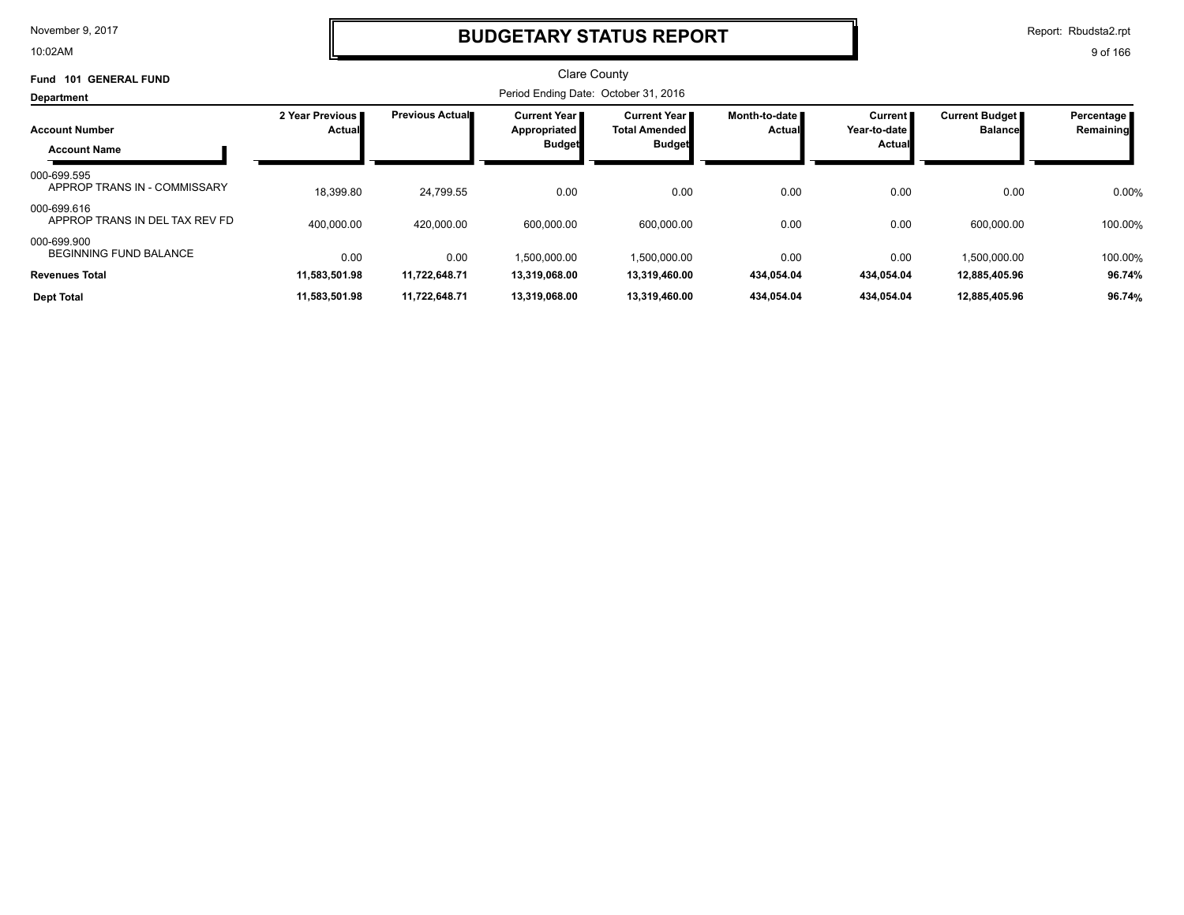10:02AM

### **BUDGETARY STATUS REPORT**

Report: Rbudsta2.rpt

| <b>GENERAL FUND</b><br>Fund<br>101            |                           |                        | <b>Clare County</b>                   |                                               |                                  |                                  |                                  |                           |
|-----------------------------------------------|---------------------------|------------------------|---------------------------------------|-----------------------------------------------|----------------------------------|----------------------------------|----------------------------------|---------------------------|
| Department                                    |                           |                        | Period Ending Date: October 31, 2016  |                                               |                                  |                                  |                                  |                           |
| <b>Account Number</b>                         | 2 Year Previous<br>Actual | <b>Previous Actual</b> | <b>Current Year</b> ∎<br>Appropriated | <b>Current Year I</b><br><b>Total Amended</b> | Month-to-date ∎<br><b>Actual</b> | <b>Current</b><br>Year-to-date I | Current Budget<br><b>Balance</b> | Percentage I<br>Remaining |
| <b>Account Name</b>                           |                           |                        | <b>Budget</b>                         | <b>Budget</b>                                 |                                  | <b>Actual</b>                    |                                  |                           |
| 000-699.595<br>APPROP TRANS IN - COMMISSARY   | 18,399.80                 | 24,799.55              | 0.00                                  | 0.00                                          | 0.00                             | 0.00                             | 0.00                             | 0.00%                     |
| 000-699.616<br>APPROP TRANS IN DEL TAX REV FD | 400.000.00                | 420.000.00             | 600.000.00                            | 600.000.00                                    | 0.00                             | 0.00                             | 600.000.00                       | 100.00%                   |
| 000-699.900<br>BEGINNING FUND BALANCE         | 0.00                      | 0.00                   | 1.500.000.00                          | 1,500,000.00                                  | 0.00                             | 0.00                             | 1.500.000.00                     | 100.00%                   |
| <b>Revenues Total</b>                         | 11,583,501.98             | 11,722,648.71          | 13,319,068.00                         | 13,319,460.00                                 | 434,054.04                       | 434,054.04                       | 12,885,405.96                    | 96.74%                    |
| <b>Dept Total</b>                             | 11,583,501.98             | 11,722,648.71          | 13,319,068.00                         | 13,319,460.00                                 | 434,054.04                       | 434,054.04                       | 12,885,405.96                    | 96.74%                    |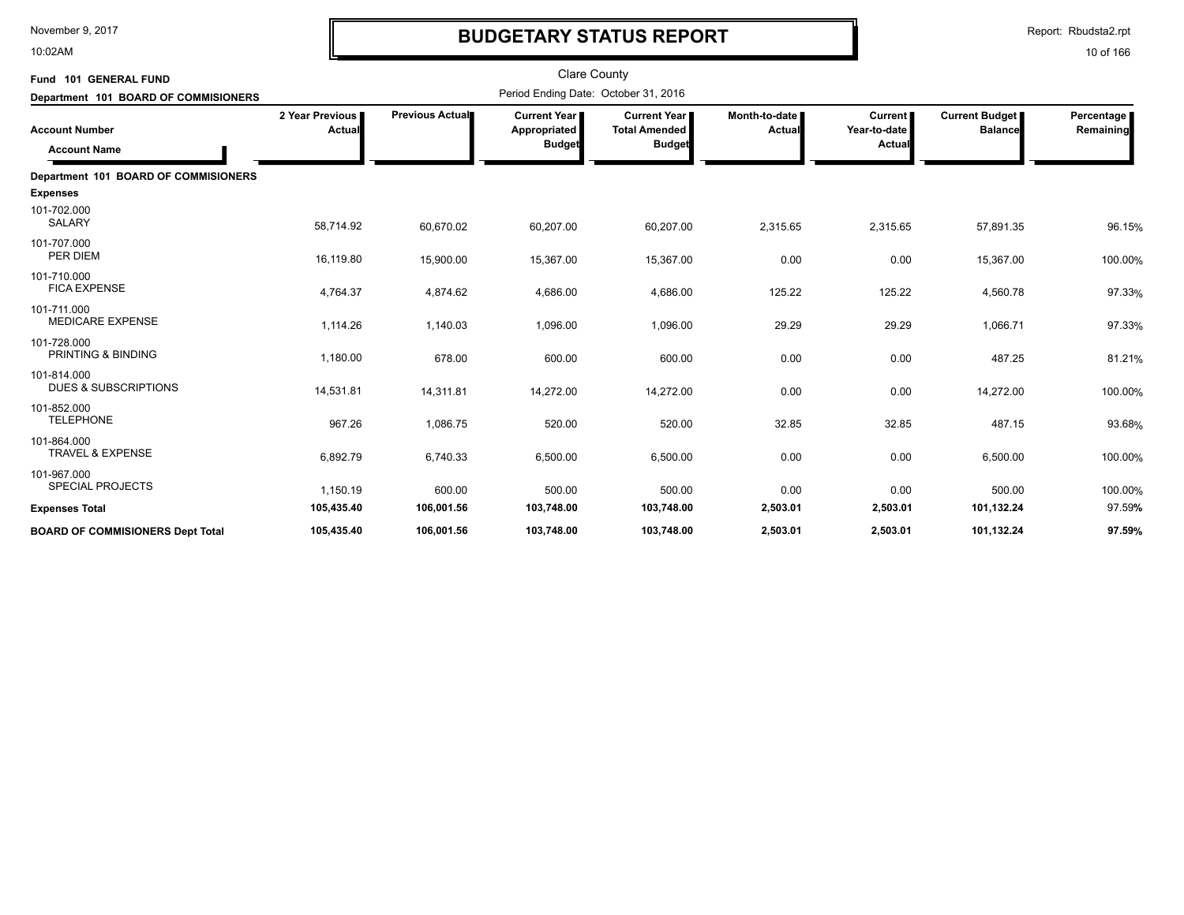10:02AM

# **BUDGETARY STATUS REPORT**

Report: Rbudsta2.rpt

| Fund 101 GENERAL FUND<br>Department 101 BOARD OF COMMISIONERS |                             |                        | <b>Clare County</b><br>Period Ending Date: October 31, 2016 |                                                              |                         |                                          |                                         |                         |
|---------------------------------------------------------------|-----------------------------|------------------------|-------------------------------------------------------------|--------------------------------------------------------------|-------------------------|------------------------------------------|-----------------------------------------|-------------------------|
| <b>Account Number</b><br><b>Account Name</b>                  | 2 Year Previous  <br>Actual | <b>Previous Actual</b> | <b>Current Year</b><br>Appropriated<br><b>Budget</b>        | <b>Current Year</b><br><b>Total Amended</b><br><b>Budget</b> | Month-to-date<br>Actual | <b>Current</b><br>Year-to-date<br>Actual | <b>Current Budget</b><br><b>Balance</b> | Percentage<br>Remaining |
| Department 101 BOARD OF COMMISIONERS                          |                             |                        |                                                             |                                                              |                         |                                          |                                         |                         |
| <b>Expenses</b>                                               |                             |                        |                                                             |                                                              |                         |                                          |                                         |                         |
| 101-702.000<br><b>SALARY</b>                                  | 58,714.92                   | 60,670.02              | 60,207.00                                                   | 60,207.00                                                    | 2,315.65                | 2,315.65                                 | 57,891.35                               | 96.15%                  |
| 101-707.000<br>PER DIEM                                       | 16,119.80                   | 15,900.00              | 15,367.00                                                   | 15,367.00                                                    | 0.00                    | 0.00                                     | 15,367.00                               | 100.00%                 |
| 101-710.000<br><b>FICA EXPENSE</b>                            | 4,764.37                    | 4,874.62               | 4,686.00                                                    | 4,686.00                                                     | 125.22                  | 125.22                                   | 4,560.78                                | 97.33%                  |
| 101-711.000<br><b>MEDICARE EXPENSE</b>                        | 1,114.26                    | 1,140.03               | 1,096.00                                                    | 1,096.00                                                     | 29.29                   | 29.29                                    | 1,066.71                                | 97.33%                  |
| 101-728.000<br><b>PRINTING &amp; BINDING</b>                  | 1,180.00                    | 678.00                 | 600.00                                                      | 600.00                                                       | 0.00                    | 0.00                                     | 487.25                                  | 81.21%                  |
| 101-814.000<br><b>DUES &amp; SUBSCRIPTIONS</b>                | 14,531.81                   | 14,311.81              | 14,272.00                                                   | 14,272.00                                                    | 0.00                    | 0.00                                     | 14,272.00                               | 100.00%                 |
| 101-852.000<br><b>TELEPHONE</b>                               | 967.26                      | 1,086.75               | 520.00                                                      | 520.00                                                       | 32.85                   | 32.85                                    | 487.15                                  | 93.68%                  |
| 101-864.000<br>TRAVEL & EXPENSE                               | 6,892.79                    | 6,740.33               | 6,500.00                                                    | 6,500.00                                                     | 0.00                    | 0.00                                     | 6,500.00                                | 100.00%                 |
| 101-967.000<br><b>SPECIAL PROJECTS</b>                        | 1,150.19                    | 600.00                 | 500.00                                                      | 500.00                                                       | 0.00                    | 0.00                                     | 500.00                                  | 100.00%                 |
| <b>Expenses Total</b>                                         | 105,435.40                  | 106,001.56             | 103,748.00                                                  | 103,748.00                                                   | 2,503.01                | 2,503.01                                 | 101,132.24                              | 97.59%                  |
| <b>BOARD OF COMMISIONERS Dept Total</b>                       | 105,435.40                  | 106.001.56             | 103,748.00                                                  | 103.748.00                                                   | 2,503.01                | 2,503.01                                 | 101,132.24                              | 97.59%                  |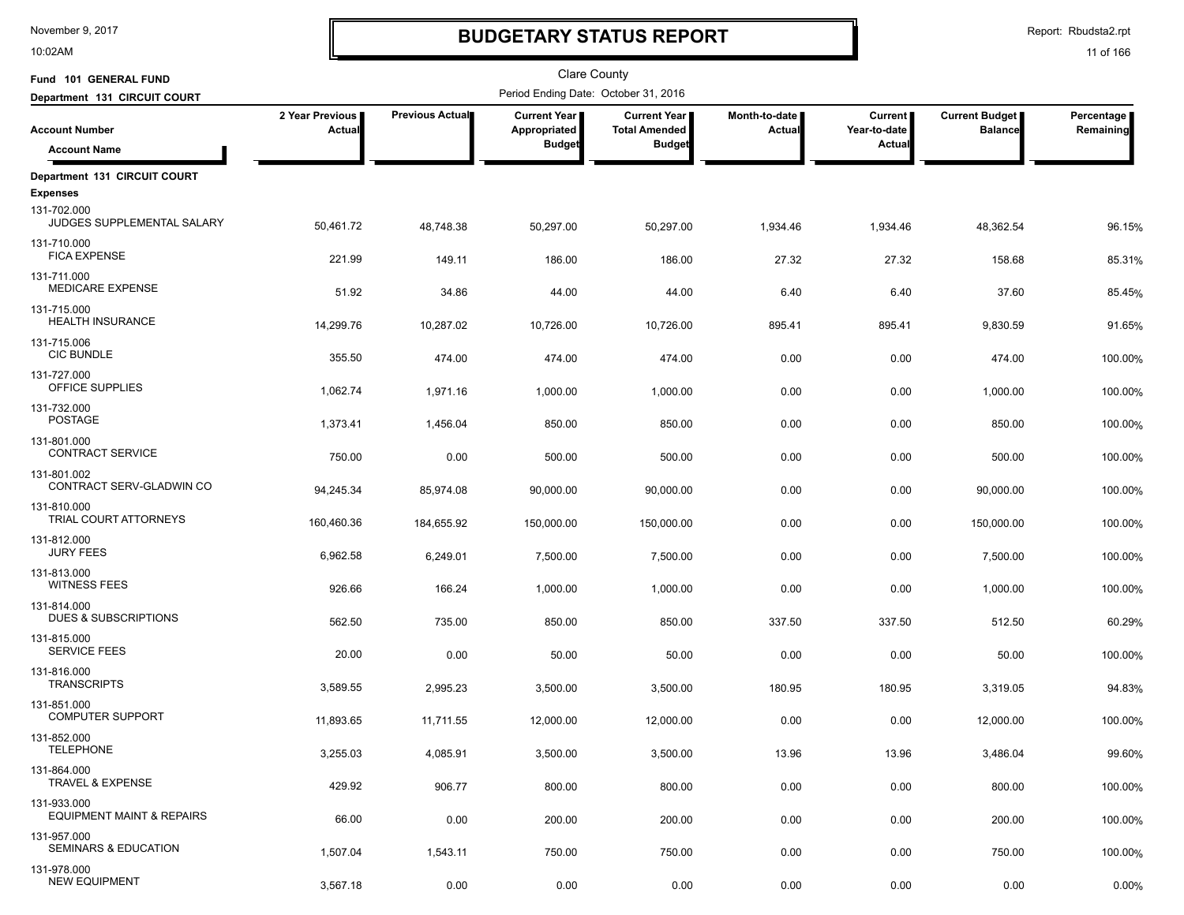10:02AM

# **BUDGETARY STATUS REPORT**

Report: Rbudsta2.rpt

| Fund 101 GENERAL FUND                               |                           |                 | Clare County                          |                                             |                         |                                |                                         |                         |
|-----------------------------------------------------|---------------------------|-----------------|---------------------------------------|---------------------------------------------|-------------------------|--------------------------------|-----------------------------------------|-------------------------|
| Department 131 CIRCUIT COURT                        |                           |                 | Period Ending Date: October 31, 2016  |                                             |                         |                                |                                         |                         |
| <b>Account Number</b>                               | 2 Year Previous<br>Actual | Previous Actual | <b>Current Year  </b><br>Appropriated | <b>Current Year</b><br><b>Total Amended</b> | Month-to-date<br>Actual | <b>Current</b><br>Year-to-date | <b>Current Budget</b><br><b>Balance</b> | Percentage<br>Remaining |
| <b>Account Name</b>                                 |                           |                 | <b>Budget</b>                         | <b>Budget</b>                               |                         | Actual                         |                                         |                         |
| Department 131 CIRCUIT COURT                        |                           |                 |                                       |                                             |                         |                                |                                         |                         |
| <b>Expenses</b>                                     |                           |                 |                                       |                                             |                         |                                |                                         |                         |
| 131-702.000<br>JUDGES SUPPLEMENTAL SALARY           | 50,461.72                 | 48,748.38       | 50,297.00                             | 50,297.00                                   | 1,934.46                | 1,934.46                       | 48,362.54                               | 96.15%                  |
| 131-710.000<br><b>FICA EXPENSE</b>                  | 221.99                    | 149.11          | 186.00                                | 186.00                                      | 27.32                   | 27.32                          | 158.68                                  | 85.31%                  |
| 131-711.000<br><b>MEDICARE EXPENSE</b>              | 51.92                     | 34.86           | 44.00                                 | 44.00                                       | 6.40                    | 6.40                           | 37.60                                   | 85.45%                  |
| 131-715.000<br><b>HEALTH INSURANCE</b>              | 14,299.76                 | 10,287.02       | 10,726.00                             | 10,726.00                                   | 895.41                  | 895.41                         | 9,830.59                                | 91.65%                  |
| 131-715.006                                         |                           |                 |                                       |                                             |                         |                                |                                         |                         |
| <b>CIC BUNDLE</b>                                   | 355.50                    | 474.00          | 474.00                                | 474.00                                      | 0.00                    | 0.00                           | 474.00                                  | 100.00%                 |
| 131-727.000<br>OFFICE SUPPLIES                      | 1,062.74                  | 1,971.16        | 1,000.00                              | 1,000.00                                    | 0.00                    | 0.00                           | 1,000.00                                | 100.00%                 |
| 131-732.000<br><b>POSTAGE</b>                       | 1,373.41                  | 1,456.04        | 850.00                                | 850.00                                      | 0.00                    | 0.00                           | 850.00                                  | 100.00%                 |
| 131-801.000<br><b>CONTRACT SERVICE</b>              | 750.00                    | 0.00            | 500.00                                | 500.00                                      | 0.00                    | 0.00                           | 500.00                                  | 100.00%                 |
| 131-801.002<br>CONTRACT SERV-GLADWIN CO             | 94,245.34                 | 85,974.08       | 90,000.00                             | 90,000.00                                   | 0.00                    | 0.00                           | 90,000.00                               | 100.00%                 |
| 131-810.000<br>TRIAL COURT ATTORNEYS                | 160,460.36                | 184,655.92      | 150,000.00                            | 150,000.00                                  | 0.00                    | 0.00                           | 150,000.00                              | 100.00%                 |
| 131-812.000                                         |                           |                 |                                       |                                             |                         |                                |                                         |                         |
| <b>JURY FEES</b>                                    | 6,962.58                  | 6,249.01        | 7,500.00                              | 7,500.00                                    | 0.00                    | 0.00                           | 7,500.00                                | 100.00%                 |
| 131-813.000<br><b>WITNESS FEES</b>                  | 926.66                    | 166.24          | 1,000.00                              | 1,000.00                                    | 0.00                    | 0.00                           | 1,000.00                                | 100.00%                 |
| 131-814.000<br>DUES & SUBSCRIPTIONS                 | 562.50                    | 735.00          | 850.00                                | 850.00                                      | 337.50                  | 337.50                         | 512.50                                  | 60.29%                  |
| 131-815.000<br>SERVICE FEES                         | 20.00                     | 0.00            | 50.00                                 | 50.00                                       | 0.00                    | 0.00                           | 50.00                                   | 100.00%                 |
| 131-816.000<br><b>TRANSCRIPTS</b>                   | 3,589.55                  | 2.995.23        | 3,500.00                              | 3,500.00                                    | 180.95                  | 180.95                         | 3,319.05                                | 94.83%                  |
| 131-851.000<br><b>COMPUTER SUPPORT</b>              | 11,893.65                 | 11,711.55       | 12,000.00                             | 12,000.00                                   | 0.00                    | 0.00                           | 12,000.00                               | 100.00%                 |
| 131-852.000<br>TELEPHONE                            | 3,255.03                  | 4,085.91        | 3,500.00                              | 3,500.00                                    | 13.96                   | 13.96                          | 3,486.04                                | 99.60%                  |
| 131-864.000<br>TRAVEL & EXPENSE                     | 429.92                    | 906.77          | 800.00                                | 800.00                                      | 0.00                    | 0.00                           | 800.00                                  | 100.00%                 |
| 131-933.000<br><b>EQUIPMENT MAINT &amp; REPAIRS</b> | 66.00                     | 0.00            | 200.00                                | 200.00                                      | 0.00                    | 0.00                           | 200.00                                  | 100.00%                 |
| 131-957.000                                         |                           |                 |                                       |                                             |                         |                                |                                         |                         |
| SEMINARS & EDUCATION                                | 1,507.04                  | 1,543.11        | 750.00                                | 750.00                                      | 0.00                    | 0.00                           | 750.00                                  | 100.00%                 |
| 131-978.000<br><b>NEW EQUIPMENT</b>                 | 3,567.18                  | 0.00            | 0.00                                  | 0.00                                        | 0.00                    | 0.00                           | 0.00                                    | 0.00%                   |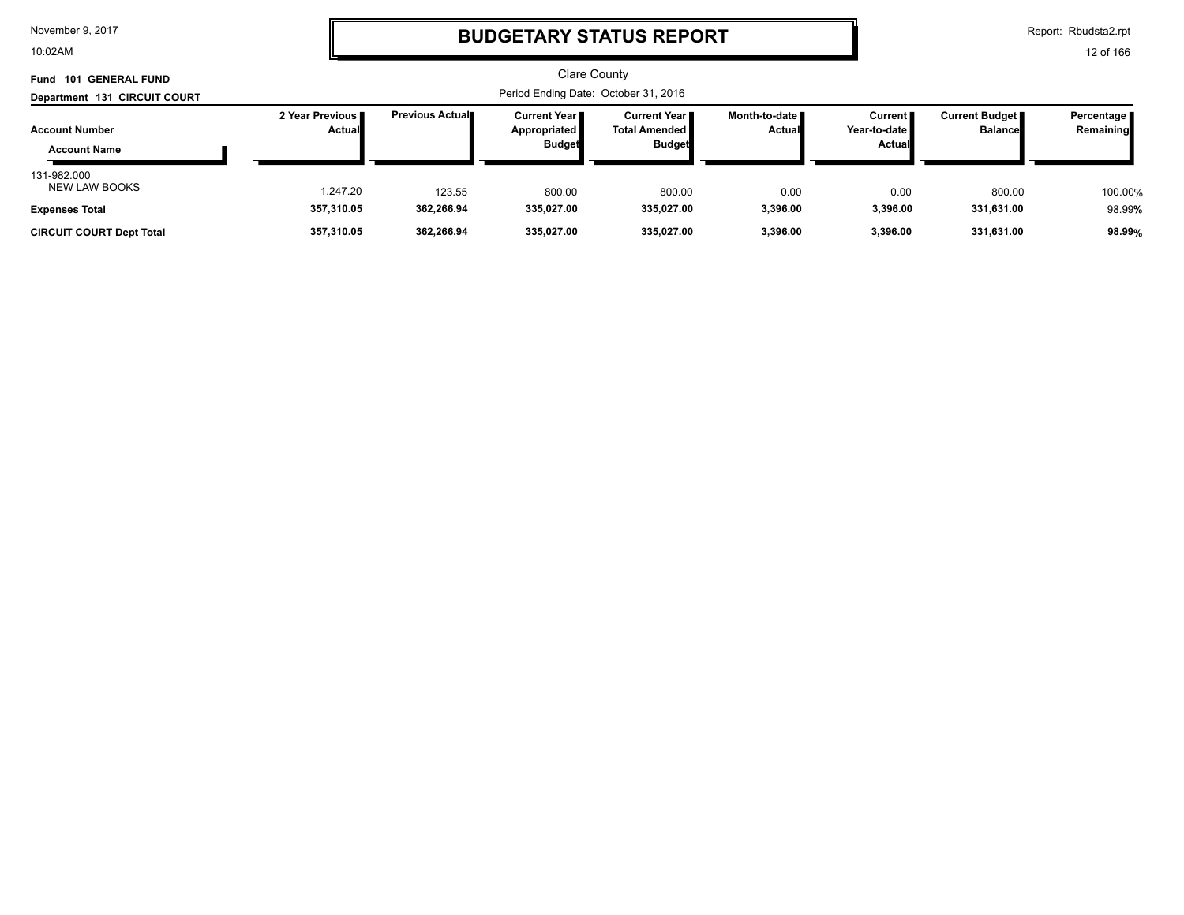10:02AM

# **BUDGETARY STATUS REPORT**

Report: Rbudsta2.rpt

| <b>101 GENERAL FUND</b><br>Fund              |                                  |                        | <b>Clare County</b>                             |                                                                |                         |                                                 |                                         |                         |
|----------------------------------------------|----------------------------------|------------------------|-------------------------------------------------|----------------------------------------------------------------|-------------------------|-------------------------------------------------|-----------------------------------------|-------------------------|
| Department 131 CIRCUIT COURT                 |                                  |                        | Period Ending Date: October 31, 2016            |                                                                |                         |                                                 |                                         |                         |
| <b>Account Number</b><br><b>Account Name</b> | 2 Year Previous<br><b>Actual</b> | <b>Previous Actual</b> | Current Year I<br>Appropriated<br><b>Budget</b> | <b>Current Year</b> ∎<br><b>Total Amended</b><br><b>Budget</b> | Month-to-date<br>Actual | <b>Current</b><br>Year-to-date<br><b>Actual</b> | <b>Current Budget</b><br><b>Balance</b> | Percentage<br>Remaining |
| 131-982.000<br><b>NEW LAW BOOKS</b>          | 1.247.20                         | 123.55                 | 800.00                                          | 800.00                                                         | 0.00                    | 0.00                                            | 800.00                                  | 100.00%                 |
| <b>Expenses Total</b>                        | 357,310.05                       | 362,266.94             | 335,027.00                                      | 335,027.00                                                     | 3,396.00                | 3,396.00                                        | 331,631.00                              | 98.99%                  |
| <b>CIRCUIT COURT Dept Total</b>              | 357,310.05                       | 362.266.94             | 335,027.00                                      | 335,027.00                                                     | 3,396.00                | 3.396.00                                        | 331,631.00                              | 98.99%                  |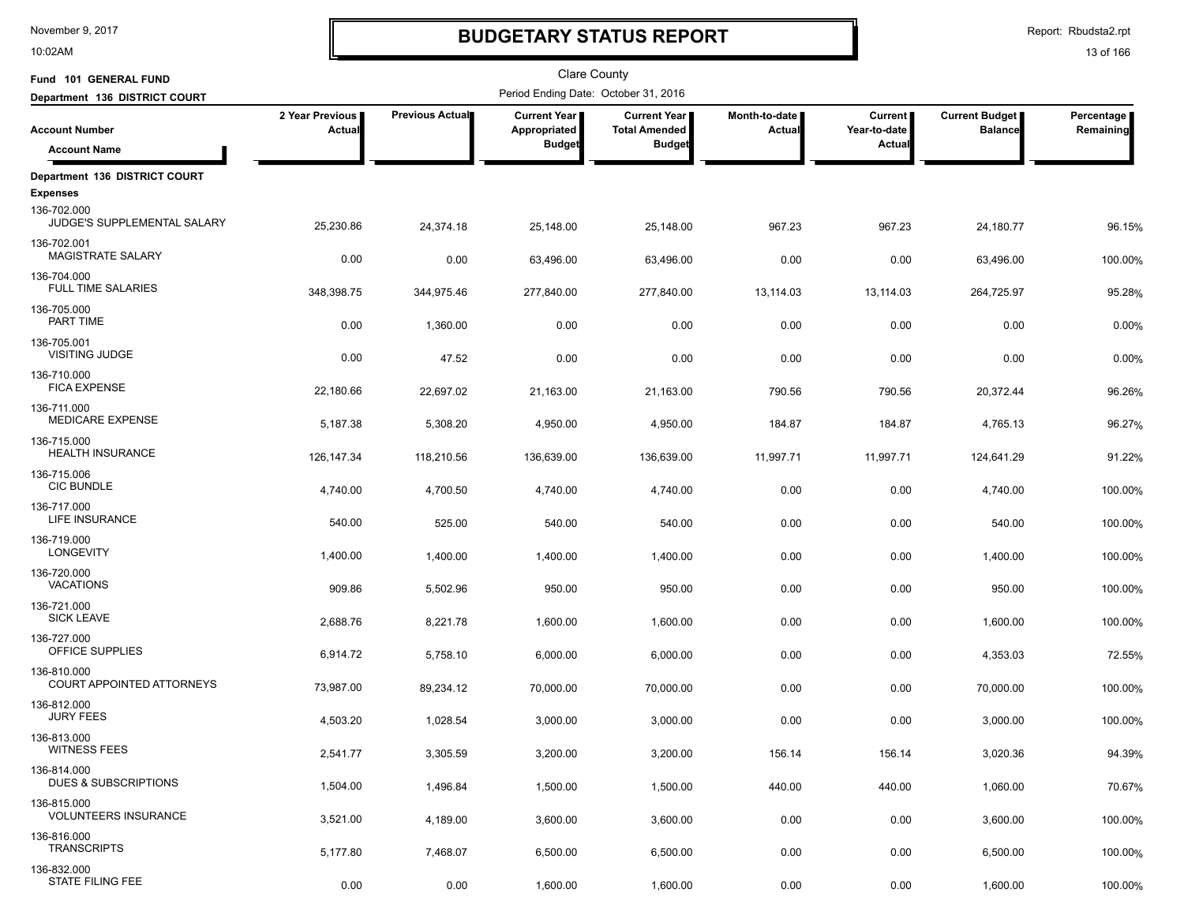10:02AM

# **BUDGETARY STATUS REPORT**

Report: Rbudsta2.rpt

| Fund 101 GENERAL FUND                                         |                           |                        | <b>Clare County</b>                   |                                             |                                  |                                |                                         |                         |
|---------------------------------------------------------------|---------------------------|------------------------|---------------------------------------|---------------------------------------------|----------------------------------|--------------------------------|-----------------------------------------|-------------------------|
| Department 136 DISTRICT COURT                                 |                           |                        | Period Ending Date: October 31, 2016  |                                             |                                  |                                |                                         |                         |
| <b>Account Number</b>                                         | 2 Year Previous<br>Actual | <b>Previous Actual</b> | <b>Current Year</b>  <br>Appropriated | <b>Current Year</b><br><b>Total Amended</b> | Month-to-date  <br><b>Actual</b> | <b>Current</b><br>Year-to-date | <b>Current Budget</b><br><b>Balance</b> | Percentage<br>Remaining |
| <b>Account Name</b>                                           |                           |                        | <b>Budget</b>                         | <b>Budget</b>                               |                                  | Actual                         |                                         |                         |
| Department 136 DISTRICT COURT                                 |                           |                        |                                       |                                             |                                  |                                |                                         |                         |
| <b>Expenses</b><br>136-702.000<br>JUDGE'S SUPPLEMENTAL SALARY | 25,230.86                 | 24,374.18              | 25,148.00                             | 25,148.00                                   | 967.23                           | 967.23                         | 24,180.77                               | 96.15%                  |
| 136-702.001<br>MAGISTRATE SALARY                              | 0.00                      | 0.00                   | 63,496.00                             | 63,496.00                                   | 0.00                             | 0.00                           | 63,496.00                               | 100.00%                 |
| 136-704.000<br><b>FULL TIME SALARIES</b>                      | 348,398.75                | 344,975.46             | 277,840.00                            | 277,840.00                                  | 13,114.03                        | 13,114.03                      | 264,725.97                              | 95.28%                  |
| 136-705.000<br>PART TIME                                      | 0.00                      | 1,360.00               | 0.00                                  | 0.00                                        | 0.00                             | 0.00                           | 0.00                                    | 0.00%                   |
| 136-705.001<br><b>VISITING JUDGE</b>                          | 0.00                      | 47.52                  | 0.00                                  | 0.00                                        | 0.00                             | 0.00                           | 0.00                                    | 0.00%                   |
| 136-710.000<br><b>FICA EXPENSE</b>                            | 22,180.66                 | 22,697.02              | 21,163.00                             | 21,163.00                                   | 790.56                           | 790.56                         | 20,372.44                               | 96.26%                  |
| 136-711.000<br>MEDICARE EXPENSE                               | 5,187.38                  | 5,308.20               | 4,950.00                              | 4,950.00                                    | 184.87                           | 184.87                         | 4,765.13                                | 96.27%                  |
| 136-715.000<br><b>HEALTH INSURANCE</b>                        | 126.147.34                | 118,210.56             | 136,639.00                            | 136,639.00                                  | 11,997.71                        | 11,997.71                      | 124,641.29                              | 91.22%                  |
| 136-715.006<br><b>CIC BUNDLE</b>                              | 4,740.00                  | 4,700.50               | 4,740.00                              | 4,740.00                                    | 0.00                             | 0.00                           | 4,740.00                                | 100.00%                 |
| 136-717.000<br>LIFE INSURANCE                                 | 540.00                    | 525.00                 | 540.00                                | 540.00                                      | 0.00                             | 0.00                           | 540.00                                  | 100.00%                 |
| 136-719.000<br><b>LONGEVITY</b>                               | 1,400.00                  | 1,400.00               | 1,400.00                              | 1,400.00                                    | 0.00                             | 0.00                           | 1,400.00                                | 100.00%                 |
| 136-720.000<br><b>VACATIONS</b>                               | 909.86                    | 5,502.96               | 950.00                                | 950.00                                      | 0.00                             | 0.00                           | 950.00                                  | 100.00%                 |
| 136-721.000<br><b>SICK LEAVE</b>                              | 2,688.76                  | 8,221.78               | 1,600.00                              | 1,600.00                                    | 0.00                             | 0.00                           | 1,600.00                                | 100.00%                 |
| 136-727.000<br>OFFICE SUPPLIES                                | 6,914.72                  | 5,758.10               | 6,000.00                              | 6,000.00                                    | 0.00                             | 0.00                           | 4,353.03                                | 72.55%                  |
| 136-810.000<br>COURT APPOINTED ATTORNEYS                      | 73,987.00                 | 89,234.12              | 70,000.00                             | 70,000.00                                   | 0.00                             | 0.00                           | 70,000.00                               | 100.00%                 |
| 136-812.000<br><b>JURY FEES</b>                               | 4,503.20                  | 1,028.54               | 3,000.00                              | 3,000.00                                    | 0.00                             | 0.00                           | 3,000.00                                | 100.00%                 |
| 136-813.000<br><b>WITNESS FEES</b>                            | 2,541.77                  | 3,305.59               | 3,200.00                              | 3,200.00                                    | 156.14                           | 156.14                         | 3,020.36                                | 94.39%                  |
| 136-814.000<br><b>DUES &amp; SUBSCRIPTIONS</b>                | 1,504.00                  | 1,496.84               | 1,500.00                              | 1,500.00                                    | 440.00                           | 440.00                         | 1,060.00                                | 70.67%                  |
| 136-815.000<br><b>VOLUNTEERS INSURANCE</b>                    | 3,521.00                  | 4,189.00               | 3,600.00                              | 3,600.00                                    | 0.00                             | 0.00                           | 3,600.00                                | 100.00%                 |
| 136-816.000<br><b>TRANSCRIPTS</b>                             | 5,177.80                  | 7,468.07               | 6,500.00                              | 6,500.00                                    | 0.00                             | 0.00                           | 6,500.00                                | 100.00%                 |
| 136-832.000<br><b>STATE FILING FEE</b>                        | 0.00                      | 0.00                   | 1,600.00                              | 1,600.00                                    | 0.00                             | 0.00                           | 1,600.00                                | 100.00%                 |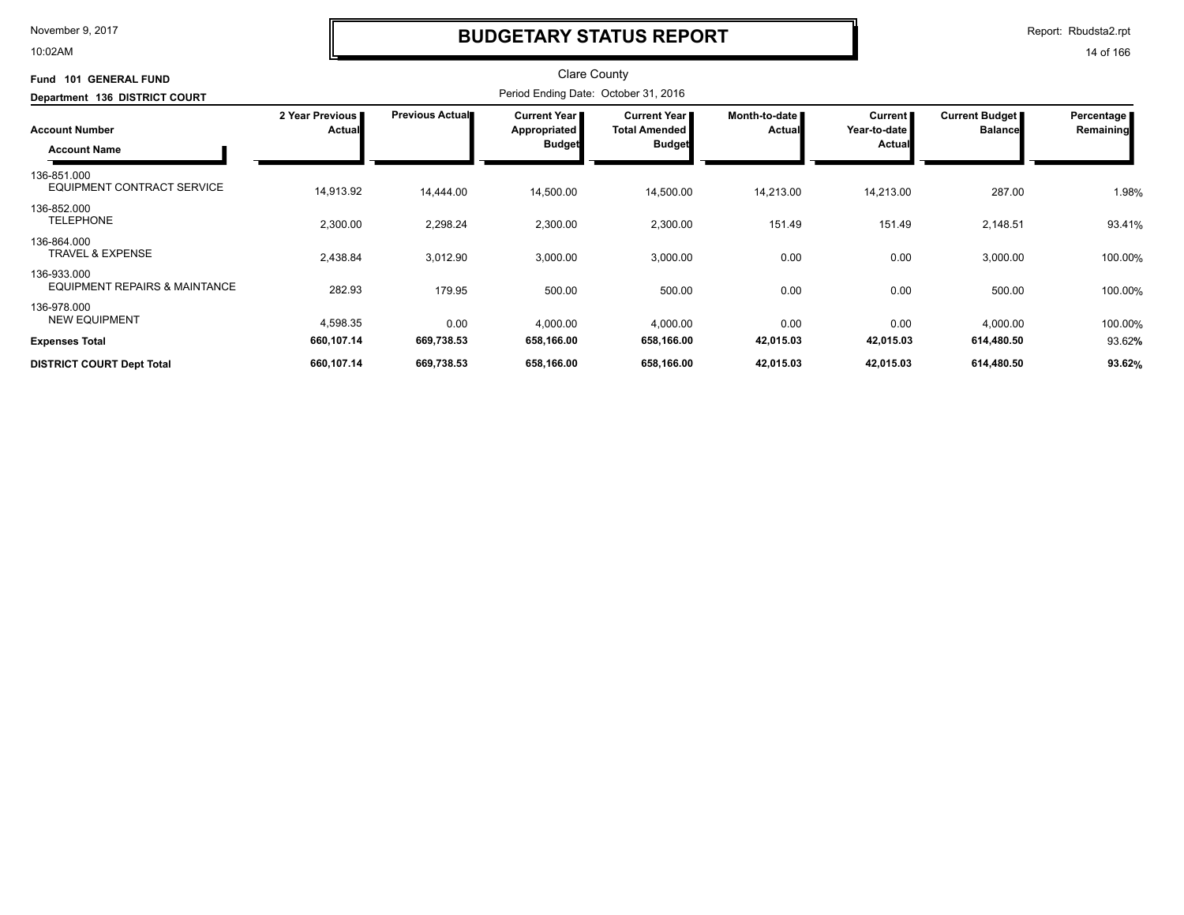10:02AM

### **BUDGETARY STATUS REPORT**

Report: Rbudsta2.rpt

| <b>GENERAL FUND</b><br><b>Fund 101</b><br>Department 136 DISTRICT COURT | <b>Clare County</b><br>Period Ending Date: October 31, 2016 |                        |                                                               |                                                                |                                |                                            |                                         |                         |
|-------------------------------------------------------------------------|-------------------------------------------------------------|------------------------|---------------------------------------------------------------|----------------------------------------------------------------|--------------------------------|--------------------------------------------|-----------------------------------------|-------------------------|
| <b>Account Number</b><br><b>Account Name</b>                            | 2 Year Previous<br>Actual                                   | <b>Previous Actual</b> | <b>Current Year</b> ∎<br><b>Appropriated</b><br><b>Budget</b> | <b>Current Year</b> I<br><b>Total Amended</b><br><b>Budget</b> | Month-to-date<br><b>Actual</b> | Current  <br>Year-to-date<br><b>Actual</b> | <b>Current Budget</b><br><b>Balance</b> | Percentage<br>Remaining |
| 136-851.000<br>EQUIPMENT CONTRACT SERVICE                               | 14,913.92                                                   | 14,444.00              | 14,500.00                                                     | 14,500.00                                                      | 14,213.00                      | 14,213.00                                  | 287.00                                  | 1.98%                   |
| 136-852.000<br><b>TELEPHONE</b>                                         | 2,300.00                                                    | 2,298.24               | 2,300.00                                                      | 2,300.00                                                       | 151.49                         | 151.49                                     | 2,148.51                                | 93.41%                  |
| 136-864.000<br><b>TRAVEL &amp; EXPENSE</b>                              | 2,438.84                                                    | 3,012.90               | 3,000.00                                                      | 3,000.00                                                       | 0.00                           | 0.00                                       | 3,000.00                                | 100.00%                 |
| 136-933.000<br><b>EQUIPMENT REPAIRS &amp; MAINTANCE</b>                 | 282.93                                                      | 179.95                 | 500.00                                                        | 500.00                                                         | 0.00                           | 0.00                                       | 500.00                                  | 100.00%                 |
| 136-978.000<br><b>NEW EQUIPMENT</b>                                     | 4,598.35                                                    | 0.00                   | 4,000.00                                                      | 4,000.00                                                       | 0.00                           | 0.00                                       | 4,000.00                                | 100.00%                 |
| <b>Expenses Total</b>                                                   | 660,107.14                                                  | 669,738.53             | 658,166.00                                                    | 658,166.00                                                     | 42,015.03                      | 42,015.03                                  | 614,480.50                              | 93.62%                  |
| <b>DISTRICT COURT Dept Total</b>                                        | 660,107.14                                                  | 669,738.53             | 658,166.00                                                    | 658,166.00                                                     | 42,015.03                      | 42,015.03                                  | 614,480.50                              | 93.62%                  |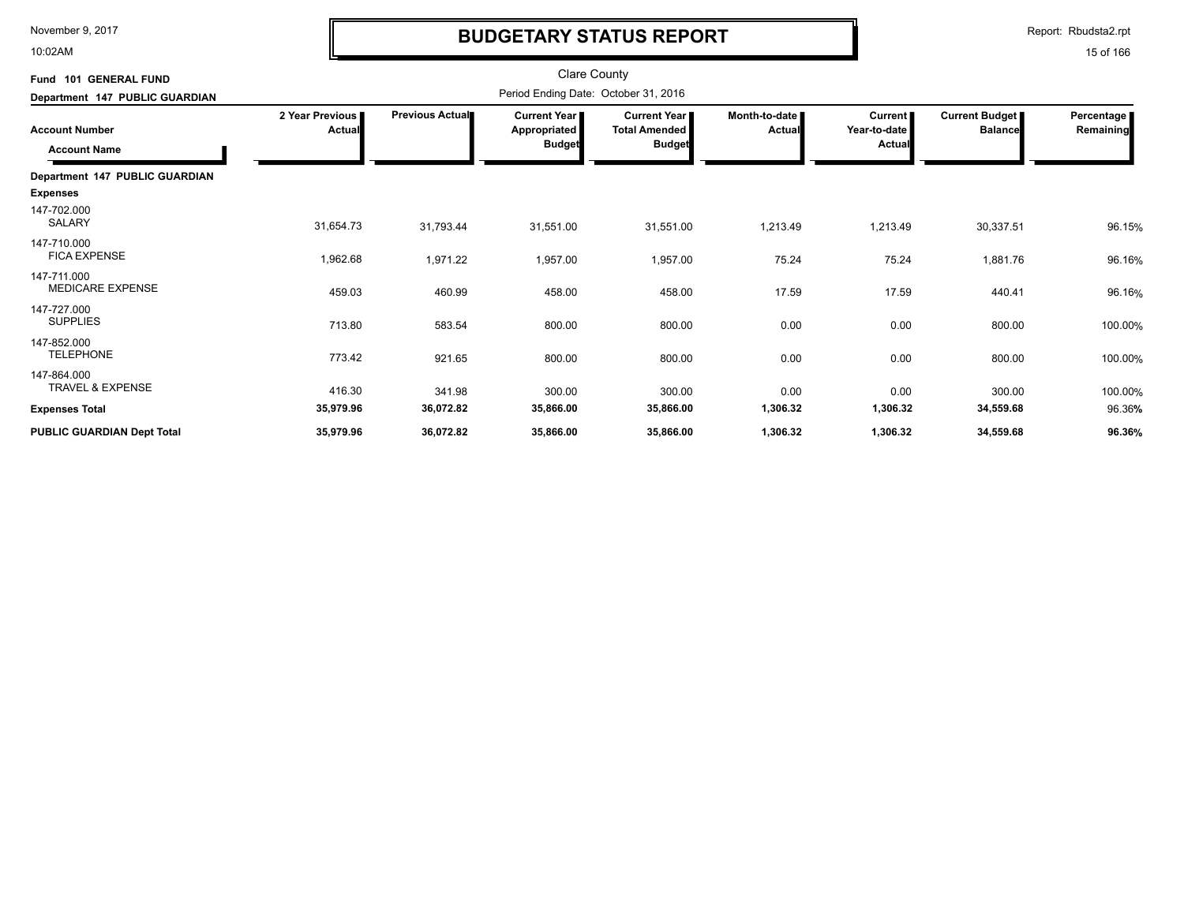10:02AM

# **BUDGETARY STATUS REPORT**

Report: Rbudsta2.rpt

| <b>GENERAL FUND</b><br><b>Fund 101</b><br>Department 147 PUBLIC GUARDIAN |                                  | <b>Clare County</b><br>Period Ending Date: October 31, 2016 |                                                               |                                                                |                                  |                                          |                                  |                         |
|--------------------------------------------------------------------------|----------------------------------|-------------------------------------------------------------|---------------------------------------------------------------|----------------------------------------------------------------|----------------------------------|------------------------------------------|----------------------------------|-------------------------|
| <b>Account Number</b><br><b>Account Name</b>                             | 2 Year Previous<br><b>Actual</b> | Previous Actual                                             | <b>Current Year I</b><br><b>Appropriated</b><br><b>Budget</b> | <b>Current Year I</b><br><b>Total Amended</b><br><b>Budget</b> | Month-to-date  <br><b>Actual</b> | <b>Current</b><br>Year-to-date<br>Actual | Current Budget<br><b>Balance</b> | Percentage<br>Remaining |
| Department 147 PUBLIC GUARDIAN<br><b>Expenses</b>                        |                                  |                                                             |                                                               |                                                                |                                  |                                          |                                  |                         |
| 147-702.000<br>SALARY                                                    | 31,654.73                        | 31,793.44                                                   | 31,551.00                                                     | 31,551.00                                                      | 1,213.49                         | 1,213.49                                 | 30,337.51                        | 96.15%                  |
| 147-710.000<br><b>FICA EXPENSE</b>                                       | 1,962.68                         | 1,971.22                                                    | 1,957.00                                                      | 1,957.00                                                       | 75.24                            | 75.24                                    | 1,881.76                         | 96.16%                  |
| 147-711.000<br><b>MEDICARE EXPENSE</b>                                   | 459.03                           | 460.99                                                      | 458.00                                                        | 458.00                                                         | 17.59                            | 17.59                                    | 440.41                           | 96.16%                  |
| 147-727.000<br><b>SUPPLIES</b>                                           | 713.80                           | 583.54                                                      | 800.00                                                        | 800.00                                                         | 0.00                             | 0.00                                     | 800.00                           | 100.00%                 |
| 147-852.000<br><b>TELEPHONE</b>                                          | 773.42                           | 921.65                                                      | 800.00                                                        | 800.00                                                         | 0.00                             | 0.00                                     | 800.00                           | 100.00%                 |
| 147-864.000<br>TRAVEL & EXPENSE                                          | 416.30                           | 341.98                                                      | 300.00                                                        | 300.00                                                         | 0.00                             | 0.00                                     | 300.00                           | 100.00%                 |
| <b>Expenses Total</b>                                                    | 35,979.96                        | 36,072.82                                                   | 35,866.00                                                     | 35,866.00                                                      | 1,306.32                         | 1,306.32                                 | 34,559.68                        | 96.36%                  |
| PUBLIC GUARDIAN Dept Total                                               | 35,979.96                        | 36,072.82                                                   | 35,866.00                                                     | 35,866.00                                                      | 1,306.32                         | 1,306.32                                 | 34,559.68                        | 96.36%                  |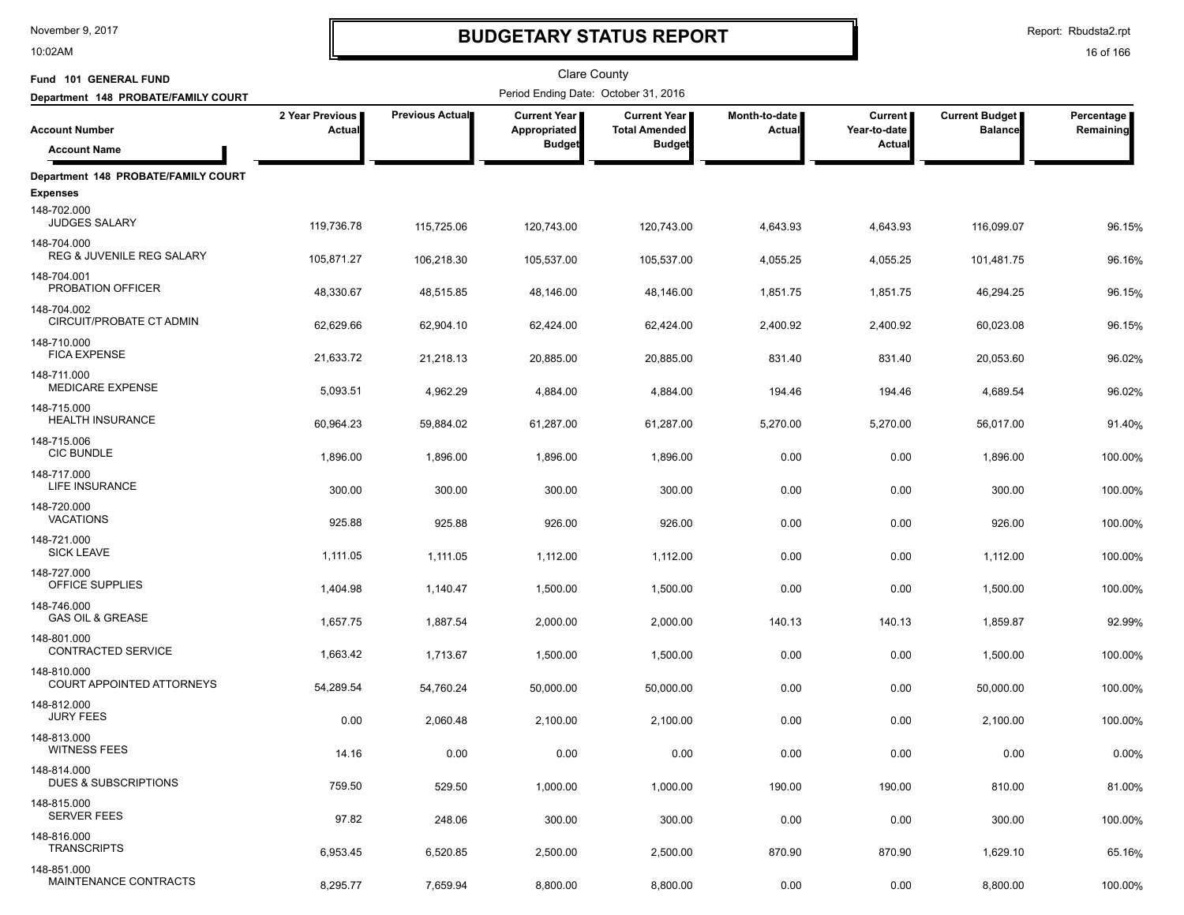10:02AM

# **BUDGETARY STATUS REPORT**

Report: Rbudsta2.rpt

| Fund 101 GENERAL FUND                               |                           |                 | Clare County                         |                                             |                         |                                |                                         |                         |
|-----------------------------------------------------|---------------------------|-----------------|--------------------------------------|---------------------------------------------|-------------------------|--------------------------------|-----------------------------------------|-------------------------|
| Department 148 PROBATE/FAMILY COURT                 |                           |                 | Period Ending Date: October 31, 2016 |                                             |                         |                                |                                         |                         |
| <b>Account Number</b>                               | 2 Year Previous<br>Actual | Previous Actual | Current Year<br>Appropriated         | <b>Current Year</b><br><b>Total Amended</b> | Month-to-date<br>Actual | <b>Current</b><br>Year-to-date | <b>Current Budget</b><br><b>Balance</b> | Percentage<br>Remaining |
| <b>Account Name</b>                                 |                           |                 | <b>Budget</b>                        | <b>Budget</b>                               |                         | Actual                         |                                         |                         |
| Department 148 PROBATE/FAMILY COURT                 |                           |                 |                                      |                                             |                         |                                |                                         |                         |
| <b>Expenses</b>                                     |                           |                 |                                      |                                             |                         |                                |                                         |                         |
| 148-702.000<br><b>JUDGES SALARY</b>                 | 119,736.78                | 115,725.06      | 120,743.00                           | 120,743.00                                  | 4,643.93                | 4,643.93                       | 116,099.07                              | 96.15%                  |
| 148-704.000<br><b>REG &amp; JUVENILE REG SALARY</b> | 105,871.27                | 106,218.30      | 105,537.00                           | 105,537.00                                  | 4,055.25                | 4,055.25                       | 101,481.75                              | 96.16%                  |
| 148-704.001<br>PROBATION OFFICER                    | 48,330.67                 | 48,515.85       | 48,146.00                            | 48,146.00                                   | 1,851.75                | 1,851.75                       | 46,294.25                               | 96.15%                  |
| 148-704.002<br>CIRCUIT/PROBATE CT ADMIN             | 62,629.66                 | 62,904.10       | 62,424.00                            | 62,424.00                                   | 2,400.92                | 2,400.92                       | 60,023.08                               | 96.15%                  |
| 148-710.000<br><b>FICA EXPENSE</b>                  | 21,633.72                 | 21,218.13       | 20,885.00                            | 20,885.00                                   | 831.40                  | 831.40                         | 20,053.60                               | 96.02%                  |
| 148-711.000<br><b>MEDICARE EXPENSE</b>              | 5,093.51                  | 4,962.29        | 4,884.00                             | 4,884.00                                    | 194.46                  | 194.46                         | 4,689.54                                | 96.02%                  |
| 148-715.000<br><b>HEALTH INSURANCE</b>              | 60,964.23                 | 59,884.02       | 61,287.00                            | 61,287.00                                   | 5,270.00                | 5,270.00                       | 56,017.00                               | 91.40%                  |
| 148-715.006<br><b>CIC BUNDLE</b>                    | 1,896.00                  | 1,896.00        | 1,896.00                             | 1,896.00                                    | 0.00                    | 0.00                           | 1,896.00                                | 100.00%                 |
| 148-717.000<br>LIFE INSURANCE                       | 300.00                    | 300.00          | 300.00                               | 300.00                                      | 0.00                    | 0.00                           | 300.00                                  | 100.00%                 |
| 148-720.000<br><b>VACATIONS</b>                     | 925.88                    | 925.88          | 926.00                               | 926.00                                      | 0.00                    | 0.00                           | 926.00                                  | 100.00%                 |
| 148-721.000<br><b>SICK LEAVE</b>                    | 1,111.05                  | 1,111.05        | 1,112.00                             | 1,112.00                                    | 0.00                    | 0.00                           | 1,112.00                                | 100.00%                 |
| 148-727.000<br>OFFICE SUPPLIES                      | 1,404.98                  | 1,140.47        | 1,500.00                             | 1,500.00                                    | 0.00                    | 0.00                           | 1,500.00                                | 100.00%                 |
| 148-746.000<br><b>GAS OIL &amp; GREASE</b>          | 1,657.75                  | 1,887.54        | 2,000.00                             | 2,000.00                                    | 140.13                  | 140.13                         | 1,859.87                                | 92.99%                  |
| 148-801.000<br>CONTRACTED SERVICE                   | 1,663.42                  | 1,713.67        | 1,500.00                             | 1,500.00                                    | 0.00                    | 0.00                           | 1,500.00                                | 100.00%                 |
| 148-810.000<br>COURT APPOINTED ATTORNEYS            | 54,289.54                 | 54,760.24       | 50,000.00                            | 50,000.00                                   | 0.00                    | 0.00                           | 50,000.00                               | 100.00%                 |
| 148-812.000<br><b>JURY FEES</b>                     | 0.00                      | 2,060.48        | 2,100.00                             | 2,100.00                                    | 0.00                    | 0.00                           | 2,100.00                                | 100.00%                 |
| 148-813.000<br><b>WITNESS FEES</b>                  | 14.16                     | 0.00            | 0.00                                 | 0.00                                        | 0.00                    | 0.00                           | 0.00                                    | 0.00%                   |
| 148-814.000<br>DUES & SUBSCRIPTIONS                 | 759.50                    | 529.50          | 1,000.00                             | 1,000.00                                    | 190.00                  | 190.00                         | 810.00                                  | 81.00%                  |
| 148-815.000<br><b>SERVER FEES</b>                   | 97.82                     | 248.06          | 300.00                               | 300.00                                      | 0.00                    | 0.00                           | 300.00                                  | 100.00%                 |
| 148-816.000<br><b>TRANSCRIPTS</b>                   | 6,953.45                  | 6,520.85        | 2,500.00                             | 2,500.00                                    | 870.90                  | 870.90                         | 1,629.10                                | 65.16%                  |
| 148-851.000<br>MAINTENANCE CONTRACTS                | 8,295.77                  | 7,659.94        | 8,800.00                             | 8,800.00                                    | 0.00                    | 0.00                           | 8,800.00                                | 100.00%                 |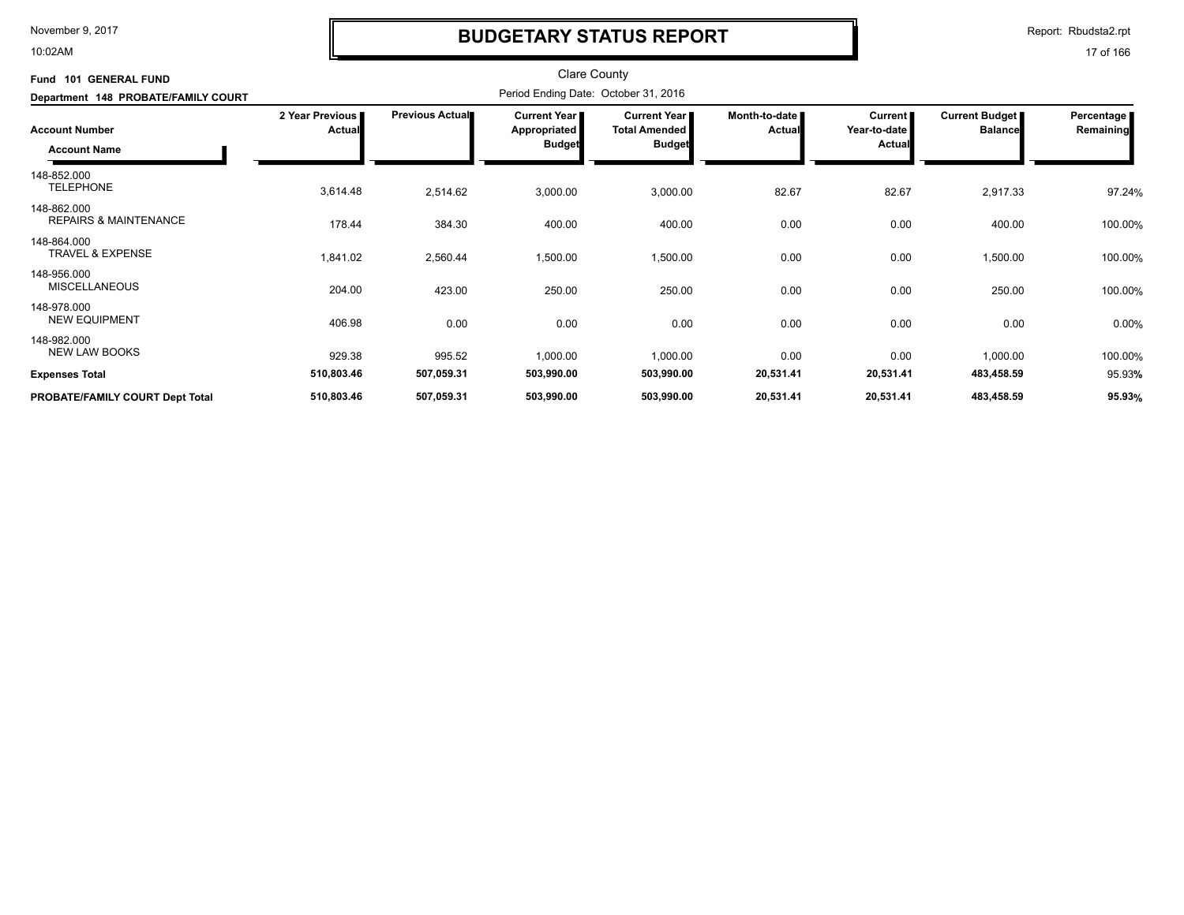10:02AM

# **BUDGETARY STATUS REPORT**

Report: Rbudsta2.rpt

| Fund 101 GENERAL FUND<br>Department 148 PROBATE/FAMILY COURT |                             |                        |                                                      |                                                                |                                |                                     |                                         |                         |
|--------------------------------------------------------------|-----------------------------|------------------------|------------------------------------------------------|----------------------------------------------------------------|--------------------------------|-------------------------------------|-----------------------------------------|-------------------------|
| <b>Account Number</b><br><b>Account Name</b>                 | 2 Year Previous  <br>Actual | <b>Previous Actual</b> | <b>Current Year</b><br>Appropriated<br><b>Budget</b> | <b>Current Year</b> I<br><b>Total Amended</b><br><b>Budget</b> | Month-to-date<br><b>Actual</b> | Current  <br>Year-to-date<br>Actual | <b>Current Budget</b><br><b>Balance</b> | Percentage<br>Remaining |
| 148-852.000<br><b>TELEPHONE</b>                              | 3,614.48                    | 2,514.62               | 3,000.00                                             | 3,000.00                                                       | 82.67                          | 82.67                               | 2,917.33                                | 97.24%                  |
| 148-862.000<br><b>REPAIRS &amp; MAINTENANCE</b>              | 178.44                      | 384.30                 | 400.00                                               | 400.00                                                         | 0.00                           | 0.00                                | 400.00                                  | 100.00%                 |
| 148-864.000<br><b>TRAVEL &amp; EXPENSE</b>                   | 1,841.02                    | 2,560.44               | 1,500.00                                             | 1,500.00                                                       | 0.00                           | 0.00                                | 1,500.00                                | 100.00%                 |
| 148-956.000<br><b>MISCELLANEOUS</b>                          | 204.00                      | 423.00                 | 250.00                                               | 250.00                                                         | 0.00                           | 0.00                                | 250.00                                  | 100.00%                 |
| 148-978.000<br><b>NEW EQUIPMENT</b>                          | 406.98                      | 0.00                   | 0.00                                                 | 0.00                                                           | 0.00                           | 0.00                                | 0.00                                    | 0.00%                   |
| 148-982.000<br><b>NEW LAW BOOKS</b>                          | 929.38                      | 995.52                 | 1,000.00                                             | 1,000.00                                                       | 0.00                           | 0.00                                | 1,000.00                                | 100.00%                 |
| <b>Expenses Total</b>                                        | 510,803.46                  | 507,059.31             | 503,990.00                                           | 503,990.00                                                     | 20,531.41                      | 20,531.41                           | 483,458.59                              | 95.93%                  |
| PROBATE/FAMILY COURT Dept Total                              | 510,803.46                  | 507,059.31             | 503,990.00                                           | 503,990.00                                                     | 20,531.41                      | 20,531.41                           | 483,458.59                              | 95.93%                  |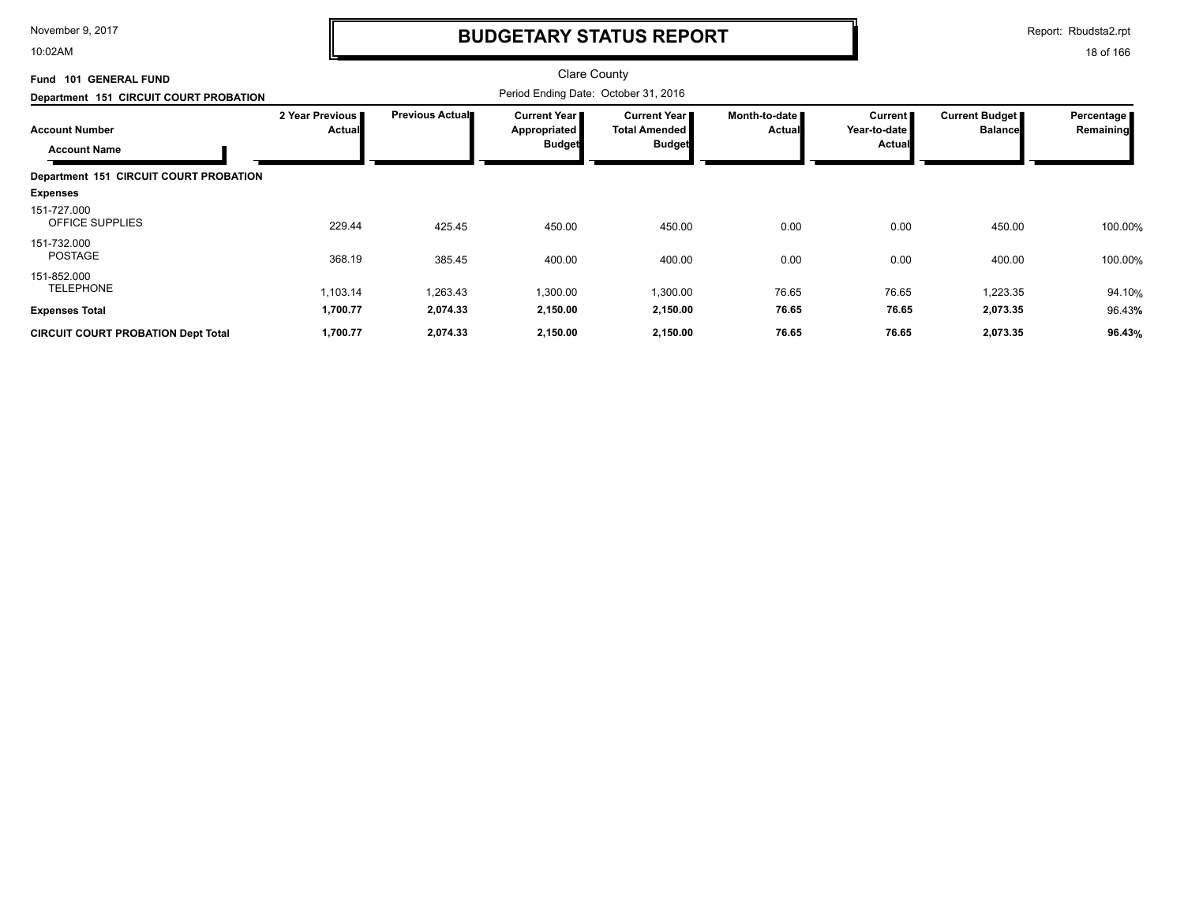10:02AM

## **BUDGETARY STATUS REPORT**

Report: Rbudsta2.rpt

| Fund 101 GENERAL FUND                        |                           |                        | <b>Clare County</b>                                  |                                                              |                                |                                                 |                                  |                         |
|----------------------------------------------|---------------------------|------------------------|------------------------------------------------------|--------------------------------------------------------------|--------------------------------|-------------------------------------------------|----------------------------------|-------------------------|
| Department 151 CIRCUIT COURT PROBATION       |                           |                        | Period Ending Date: October 31, 2016                 |                                                              |                                |                                                 |                                  |                         |
| <b>Account Number</b><br><b>Account Name</b> | 2 Year Previous<br>Actual | <b>Previous Actual</b> | Current Year<br><b>Appropriated</b><br><b>Budget</b> | <b>Current Year</b><br><b>Total Amended</b><br><b>Budget</b> | Month-to-date<br><b>Actual</b> | <b>Current</b><br>Year-to-date<br><b>Actual</b> | Current Budget<br><b>Balance</b> | Percentage<br>Remaining |
| Department 151 CIRCUIT COURT PROBATION       |                           |                        |                                                      |                                                              |                                |                                                 |                                  |                         |
| <b>Expenses</b>                              |                           |                        |                                                      |                                                              |                                |                                                 |                                  |                         |
| 151-727.000<br>OFFICE SUPPLIES               | 229.44                    | 425.45                 | 450.00                                               | 450.00                                                       | 0.00                           | 0.00                                            | 450.00                           | 100.00%                 |
| 151-732.000<br><b>POSTAGE</b>                | 368.19                    | 385.45                 | 400.00                                               | 400.00                                                       | 0.00                           | 0.00                                            | 400.00                           | 100.00%                 |
| 151-852.000<br><b>TELEPHONE</b>              | 1,103.14                  | 1,263.43               | 1,300.00                                             | 1,300.00                                                     | 76.65                          | 76.65                                           | 1,223.35                         | 94.10%                  |
| <b>Expenses Total</b>                        | 1,700.77                  | 2,074.33               | 2,150.00                                             | 2,150.00                                                     | 76.65                          | 76.65                                           | 2,073.35                         | 96.43%                  |
| <b>CIRCUIT COURT PROBATION Dept Total</b>    | 1,700.77                  | 2,074.33               | 2,150.00                                             | 2,150.00                                                     | 76.65                          | 76.65                                           | 2,073.35                         | 96.43%                  |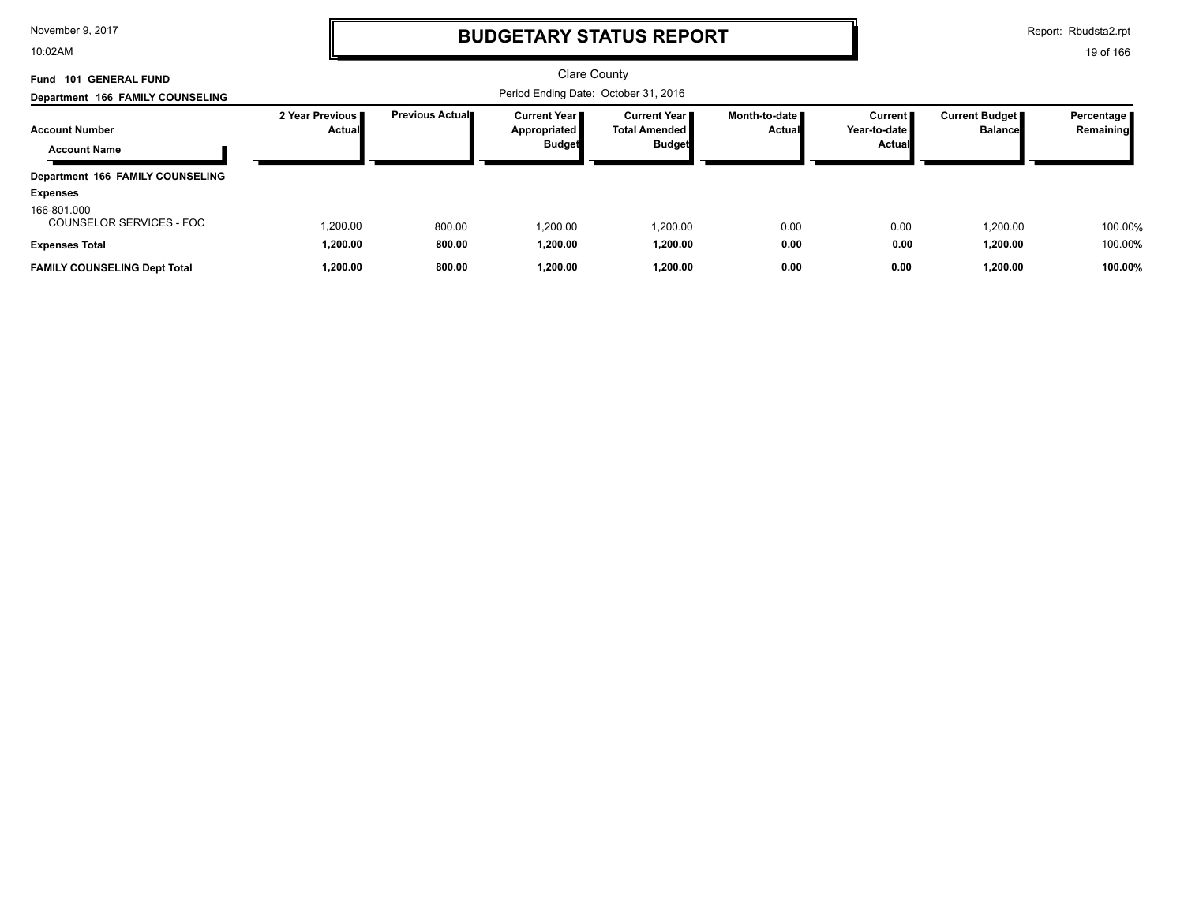10:02AM

# **BUDGETARY STATUS REPORT**

Report: Rbudsta2.rpt

| Fund 101 GENERAL FUND                        |                                    |                        | <b>Clare County</b>                                      |                                                         |                                  |                                            |                                         |                           |
|----------------------------------------------|------------------------------------|------------------------|----------------------------------------------------------|---------------------------------------------------------|----------------------------------|--------------------------------------------|-----------------------------------------|---------------------------|
| Department 166 FAMILY COUNSELING             |                                    |                        |                                                          |                                                         |                                  |                                            |                                         |                           |
| <b>Account Number</b><br><b>Account Name</b> | 2 Year Previous I<br><b>Actual</b> | <b>Previous Actual</b> | <b>Current Year I</b><br>Appropriated L<br><b>Budget</b> | Current Year I<br><b>Total Amended</b><br><b>Budget</b> | Month-to-date ■<br><b>Actual</b> | Current  <br>Year-to-date<br><b>Actual</b> | <b>Current Budget</b><br><b>Balance</b> | Percentage  <br>Remaining |
| Department 166 FAMILY COUNSELING             |                                    |                        |                                                          |                                                         |                                  |                                            |                                         |                           |
| <b>Expenses</b>                              |                                    |                        |                                                          |                                                         |                                  |                                            |                                         |                           |
| 166-801.000<br>COUNSELOR SERVICES - FOC      | 1,200.00                           | 800.00                 | .200.00                                                  | 1,200.00                                                | 0.00                             | 0.00                                       | 1,200.00                                | 100.00%                   |
| <b>Expenses Total</b>                        | 1,200.00                           | 800.00                 | 1,200.00                                                 | 1.200.00                                                | 0.00                             | 0.00                                       | 1,200.00                                | 100.00%                   |
| <b>FAMILY COUNSELING Dept Total</b>          | 1,200.00                           | 800.00                 | 1,200.00                                                 | 1.200.00                                                | 0.00                             | 0.00                                       | 1,200.00                                | 100.00%                   |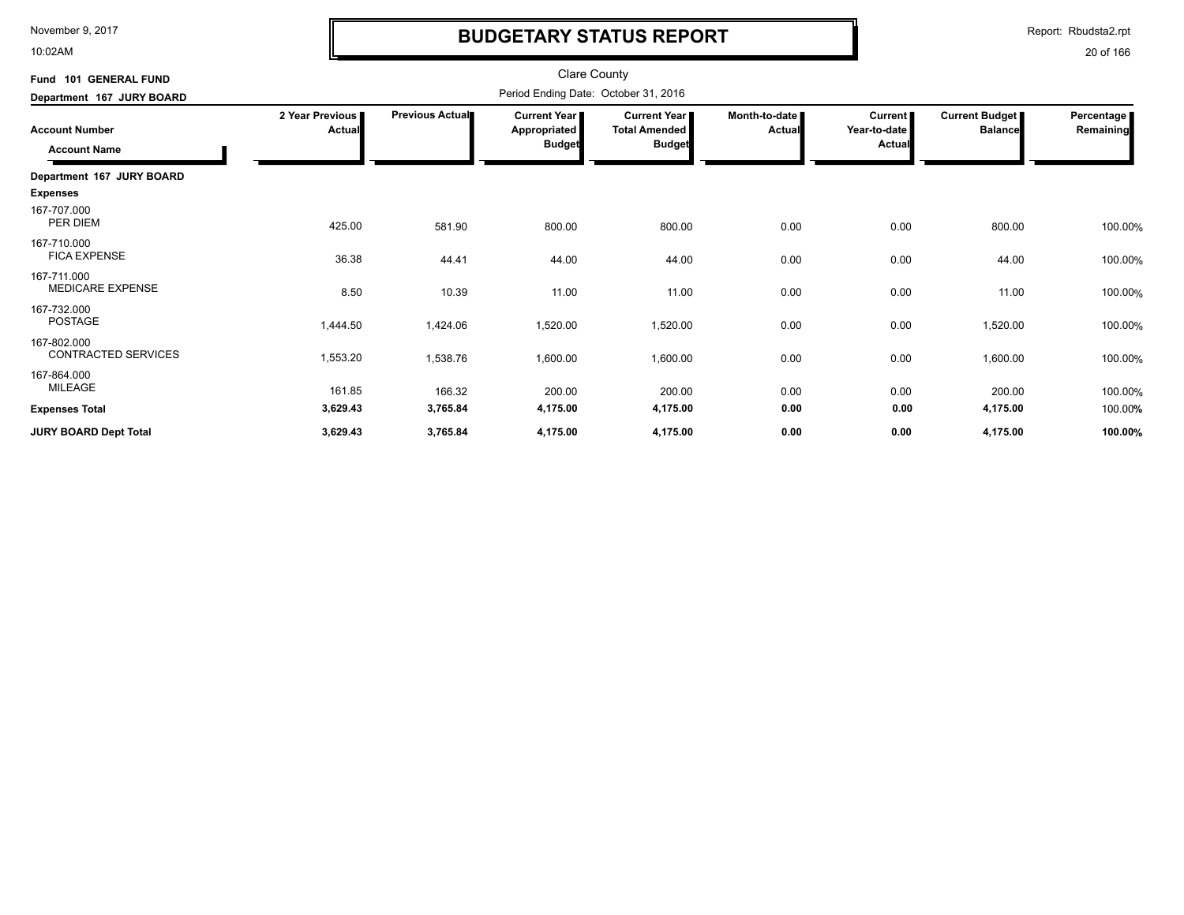10:02AM

# **BUDGETARY STATUS REPORT**

Report: Rbudsta2.rpt

| <b>Clare County</b><br>Period Ending Date: October 31, 2016 |                        |                                                      |                                                              |                         |                                          |                                  |                           |
|-------------------------------------------------------------|------------------------|------------------------------------------------------|--------------------------------------------------------------|-------------------------|------------------------------------------|----------------------------------|---------------------------|
| 2 Year Previous<br>Actual                                   | <b>Previous Actual</b> | <b>Current Year</b><br>Appropriated<br><b>Budget</b> | <b>Current Year</b><br><b>Total Amended</b><br><b>Budget</b> | Month-to-date<br>Actual | <b>Current</b><br>Year-to-date<br>Actual | Current Budget<br><b>Balance</b> | Percentage  <br>Remaining |
|                                                             |                        |                                                      |                                                              |                         |                                          |                                  |                           |
| 425.00                                                      | 581.90                 | 800.00                                               | 800.00                                                       | 0.00                    | 0.00                                     | 800.00                           | 100.00%                   |
| 36.38                                                       | 44.41                  | 44.00                                                | 44.00                                                        | 0.00                    | 0.00                                     | 44.00                            | 100.00%                   |
| 8.50                                                        | 10.39                  | 11.00                                                | 11.00                                                        | 0.00                    | 0.00                                     | 11.00                            | 100.00%                   |
| 1,444.50                                                    | 1,424.06               | 1,520.00                                             | 1,520.00                                                     | 0.00                    | 0.00                                     | 1,520.00                         | 100.00%                   |
| 1,553.20                                                    | 1,538.76               | 1,600.00                                             | 1,600.00                                                     | 0.00                    | 0.00                                     | 1,600.00                         | 100.00%                   |
| 161.85                                                      | 166.32                 | 200.00                                               | 200.00                                                       | 0.00                    | 0.00                                     | 200.00                           | 100.00%                   |
|                                                             |                        |                                                      |                                                              |                         |                                          |                                  | 100.00%<br>100.00%        |
|                                                             | 3,629.43<br>3,629.43   | 3,765.84<br>3,765.84                                 | 4,175.00<br>4,175.00                                         | 4,175.00                | 0.00<br>4,175.00<br>0.00                 | 0.00<br>0.00                     | 4,175.00<br>4,175.00      |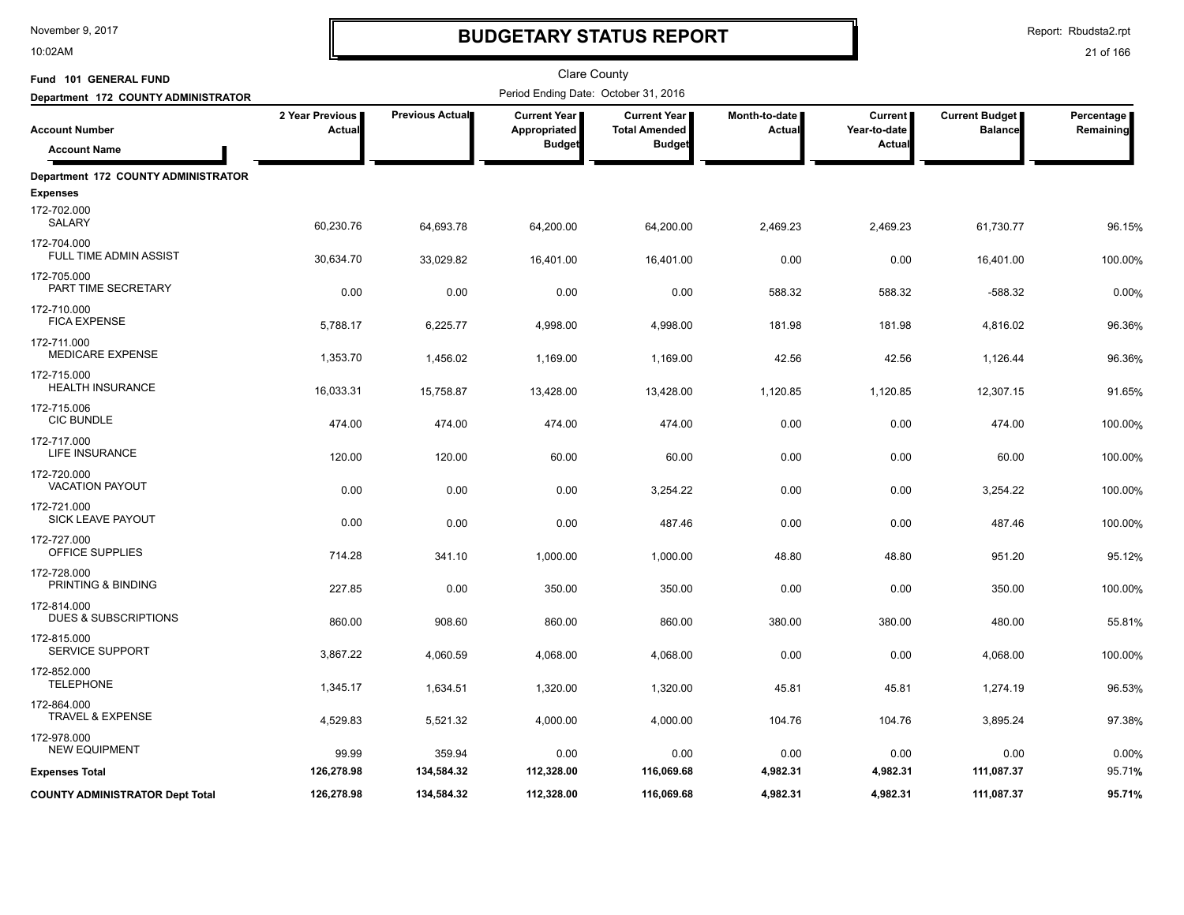10:02AM

# **BUDGETARY STATUS REPORT**

Report: Rbudsta2.rpt

| Fund 101 GENERAL FUND                          |                           |                 | Clare County                                         |                                                              |                                |                                          |                                         |                         |
|------------------------------------------------|---------------------------|-----------------|------------------------------------------------------|--------------------------------------------------------------|--------------------------------|------------------------------------------|-----------------------------------------|-------------------------|
| Department 172 COUNTY ADMINISTRATOR            |                           |                 | Period Ending Date: October 31, 2016                 |                                                              |                                |                                          |                                         |                         |
| <b>Account Number</b><br><b>Account Name</b>   | 2 Year Previous<br>Actual | Previous Actual | <b>Current Year</b><br>Appropriated<br><b>Budget</b> | <b>Current Year</b><br><b>Total Amended</b><br><b>Budget</b> | Month-to-date<br><b>Actual</b> | <b>Current</b><br>Year-to-date<br>Actual | <b>Current Budget</b><br><b>Balance</b> | Percentage<br>Remaining |
| Department 172 COUNTY ADMINISTRATOR            |                           |                 |                                                      |                                                              |                                |                                          |                                         |                         |
| <b>Expenses</b>                                |                           |                 |                                                      |                                                              |                                |                                          |                                         |                         |
| 172-702.000<br>SALARY                          | 60,230.76                 | 64,693.78       | 64,200.00                                            | 64,200.00                                                    | 2,469.23                       | 2,469.23                                 | 61,730.77                               | 96.15%                  |
| 172-704.000<br>FULL TIME ADMIN ASSIST          | 30,634.70                 | 33,029.82       | 16,401.00                                            | 16,401.00                                                    | 0.00                           | 0.00                                     | 16,401.00                               | 100.00%                 |
| 172-705.000<br>PART TIME SECRETARY             | 0.00                      | 0.00            | 0.00                                                 | 0.00                                                         | 588.32                         | 588.32                                   | $-588.32$                               | 0.00%                   |
| 172-710.000<br><b>FICA EXPENSE</b>             | 5,788.17                  | 6,225.77        | 4,998.00                                             | 4,998.00                                                     | 181.98                         | 181.98                                   | 4,816.02                                | 96.36%                  |
| 172-711.000<br><b>MEDICARE EXPENSE</b>         | 1,353.70                  | 1,456.02        | 1,169.00                                             | 1,169.00                                                     | 42.56                          | 42.56                                    | 1,126.44                                | 96.36%                  |
| 172-715.000<br><b>HEALTH INSURANCE</b>         | 16,033.31                 | 15,758.87       | 13,428.00                                            | 13,428.00                                                    | 1,120.85                       | 1,120.85                                 | 12,307.15                               | 91.65%                  |
| 172-715.006<br><b>CIC BUNDLE</b>               | 474.00                    | 474.00          | 474.00                                               | 474.00                                                       | 0.00                           | 0.00                                     | 474.00                                  | 100.00%                 |
| 172-717.000<br><b>LIFE INSURANCE</b>           | 120.00                    | 120.00          | 60.00                                                | 60.00                                                        | 0.00                           | 0.00                                     | 60.00                                   | 100.00%                 |
| 172-720.000<br><b>VACATION PAYOUT</b>          | 0.00                      | 0.00            | 0.00                                                 | 3,254.22                                                     | 0.00                           | 0.00                                     | 3,254.22                                | 100.00%                 |
| 172-721.000<br><b>SICK LEAVE PAYOUT</b>        | 0.00                      | 0.00            | 0.00                                                 | 487.46                                                       | 0.00                           | 0.00                                     | 487.46                                  | 100.00%                 |
| 172-727.000<br>OFFICE SUPPLIES                 | 714.28                    | 341.10          | 1,000.00                                             | 1,000.00                                                     | 48.80                          | 48.80                                    | 951.20                                  | 95.12%                  |
| 172-728.000<br>PRINTING & BINDING              | 227.85                    | 0.00            | 350.00                                               | 350.00                                                       | 0.00                           | 0.00                                     | 350.00                                  | 100.00%                 |
| 172-814.000<br><b>DUES &amp; SUBSCRIPTIONS</b> | 860.00                    | 908.60          | 860.00                                               | 860.00                                                       | 380.00                         | 380.00                                   | 480.00                                  | 55.81%                  |
| 172-815.000<br>SERVICE SUPPORT                 | 3,867.22                  | 4,060.59        | 4,068.00                                             | 4,068.00                                                     | 0.00                           | 0.00                                     | 4,068.00                                | 100.00%                 |
| 172-852.000<br><b>TELEPHONE</b>                | 1,345.17                  | 1,634.51        | 1,320.00                                             | 1,320.00                                                     | 45.81                          | 45.81                                    | 1,274.19                                | 96.53%                  |
| 172-864.000<br><b>TRAVEL &amp; EXPENSE</b>     | 4,529.83                  | 5,521.32        | 4,000.00                                             | 4,000.00                                                     | 104.76                         | 104.76                                   | 3,895.24                                | 97.38%                  |
| 172-978.000<br><b>NEW EQUIPMENT</b>            | 99.99                     | 359.94          | 0.00                                                 | 0.00                                                         | 0.00                           | 0.00                                     | 0.00                                    | 0.00%                   |
| <b>Expenses Total</b>                          | 126,278.98                | 134,584.32      | 112,328.00                                           | 116,069.68                                                   | 4,982.31                       | 4,982.31                                 | 111,087.37                              | 95.71%                  |
| <b>COUNTY ADMINISTRATOR Dept Total</b>         | 126,278.98                | 134,584.32      | 112,328.00                                           | 116,069.68                                                   | 4,982.31                       | 4,982.31                                 | 111,087.37                              | 95.71%                  |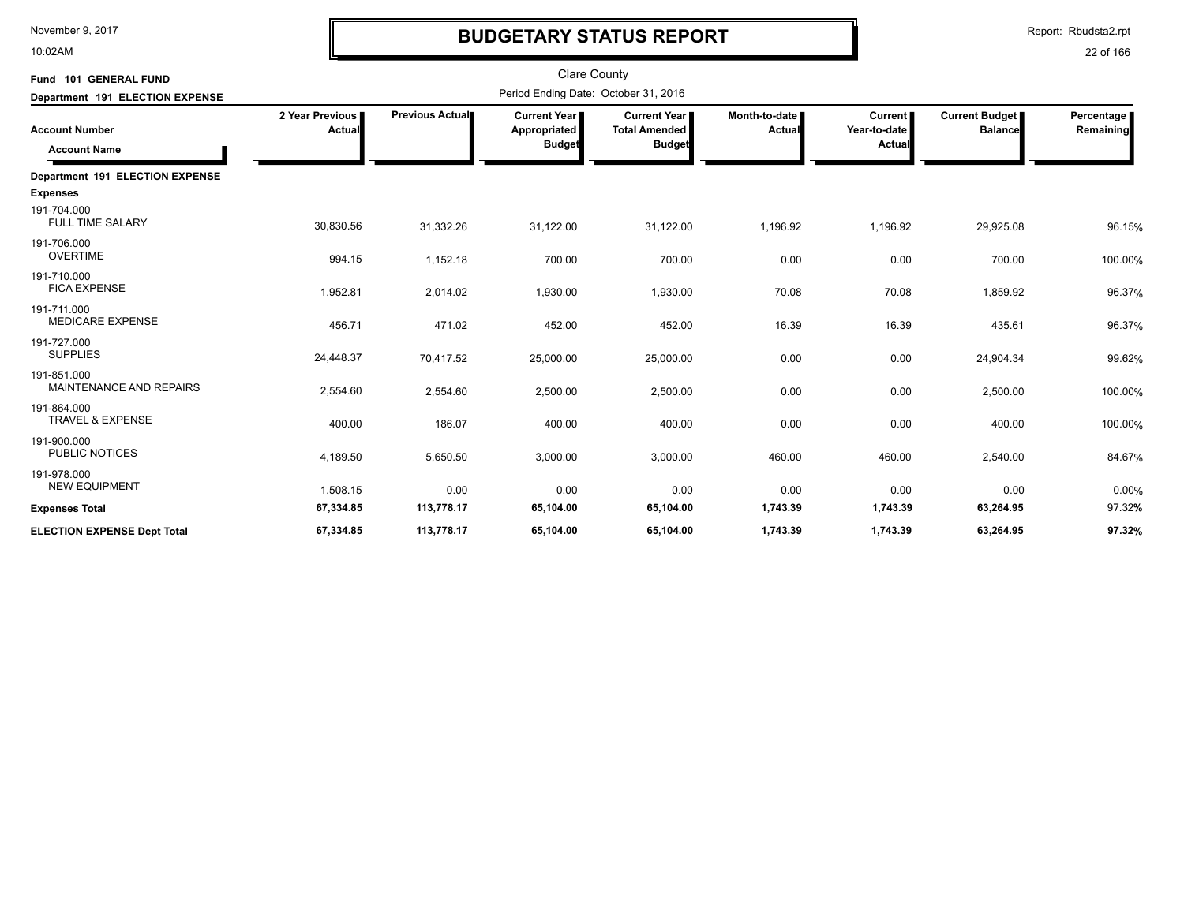10:02AM

# **BUDGETARY STATUS REPORT**

Report: Rbudsta2.rpt

| Fund 101 GENERAL FUND<br>Department 191 ELECTION EXPENSE |                           |                 | <b>Clare County</b><br>Period Ending Date: October 31, 2016 |                                                              |                         |                                                 |                                         |                         |
|----------------------------------------------------------|---------------------------|-----------------|-------------------------------------------------------------|--------------------------------------------------------------|-------------------------|-------------------------------------------------|-----------------------------------------|-------------------------|
| <b>Account Number</b><br><b>Account Name</b>             | 2 Year Previous<br>Actual | Previous Actual | <b>Current Year</b>  <br>Appropriated<br><b>Budget</b>      | <b>Current Year</b><br><b>Total Amended</b><br><b>Budget</b> | Month-to-date<br>Actual | <b>Current</b><br>Year-to-date<br><b>Actual</b> | <b>Current Budget</b><br><b>Balance</b> | Percentage<br>Remaining |
| Department 191 ELECTION EXPENSE                          |                           |                 |                                                             |                                                              |                         |                                                 |                                         |                         |
| <b>Expenses</b>                                          |                           |                 |                                                             |                                                              |                         |                                                 |                                         |                         |
| 191-704.000<br><b>FULL TIME SALARY</b>                   | 30,830.56                 | 31,332.26       | 31,122.00                                                   | 31,122.00                                                    | 1,196.92                | 1,196.92                                        | 29,925.08                               | 96.15%                  |
| 191-706.000<br><b>OVERTIME</b>                           | 994.15                    | 1,152.18        | 700.00                                                      | 700.00                                                       | 0.00                    | 0.00                                            | 700.00                                  | 100.00%                 |
| 191-710.000<br><b>FICA EXPENSE</b>                       | 1,952.81                  | 2,014.02        | 1,930.00                                                    | 1,930.00                                                     | 70.08                   | 70.08                                           | 1,859.92                                | 96.37%                  |
| 191-711.000<br><b>MEDICARE EXPENSE</b>                   | 456.71                    | 471.02          | 452.00                                                      | 452.00                                                       | 16.39                   | 16.39                                           | 435.61                                  | 96.37%                  |
| 191-727.000<br><b>SUPPLIES</b>                           | 24,448.37                 | 70,417.52       | 25,000.00                                                   | 25,000.00                                                    | 0.00                    | 0.00                                            | 24,904.34                               | 99.62%                  |
| 191-851.000<br><b>MAINTENANCE AND REPAIRS</b>            | 2,554.60                  | 2,554.60        | 2,500.00                                                    | 2,500.00                                                     | 0.00                    | 0.00                                            | 2,500.00                                | 100.00%                 |
| 191-864.000<br><b>TRAVEL &amp; EXPENSE</b>               | 400.00                    | 186.07          | 400.00                                                      | 400.00                                                       | 0.00                    | 0.00                                            | 400.00                                  | 100.00%                 |
| 191-900.000<br><b>PUBLIC NOTICES</b>                     | 4,189.50                  | 5,650.50        | 3,000.00                                                    | 3,000.00                                                     | 460.00                  | 460.00                                          | 2,540.00                                | 84.67%                  |
| 191-978.000<br><b>NEW EQUIPMENT</b>                      | 1,508.15                  | 0.00            | 0.00                                                        | 0.00                                                         | 0.00                    | 0.00                                            | 0.00                                    | 0.00%                   |
| <b>Expenses Total</b>                                    | 67,334.85                 | 113,778.17      | 65,104.00                                                   | 65,104.00                                                    | 1,743.39                | 1,743.39                                        | 63,264.95                               | 97.32%                  |
| <b>ELECTION EXPENSE Dept Total</b>                       | 67,334.85                 | 113,778.17      | 65,104.00                                                   | 65,104.00                                                    | 1,743.39                | 1,743.39                                        | 63,264.95                               | 97.32%                  |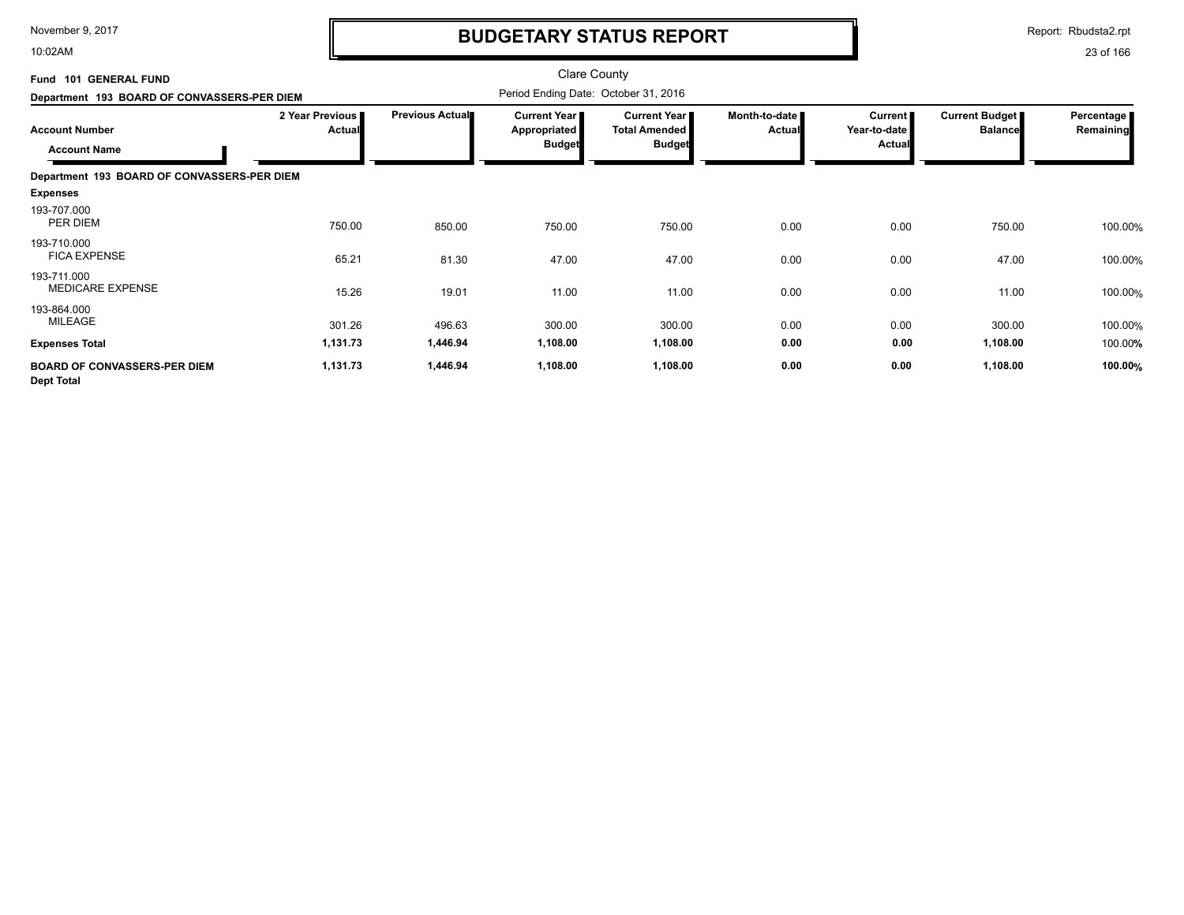10:02AM

# **BUDGETARY STATUS REPORT**

Report: Rbudsta2.rpt

| Fund 101 GENERAL FUND<br>Department 193 BOARD OF CONVASSERS-PER DIEM |                                  |                        | <b>Clare County</b><br>Period Ending Date: October 31, 2016 |                                                                |                                |                                                 |                                  |                         |
|----------------------------------------------------------------------|----------------------------------|------------------------|-------------------------------------------------------------|----------------------------------------------------------------|--------------------------------|-------------------------------------------------|----------------------------------|-------------------------|
| <b>Account Number</b><br><b>Account Name</b>                         | 2 Year Previous<br><b>Actual</b> | <b>Previous Actual</b> | Current Year<br>Appropriated<br><b>Budget</b>               | <b>Current Year I</b><br><b>Total Amended</b><br><b>Budget</b> | Month-to-date<br><b>Actual</b> | <b>Current</b><br>Year-to-date<br><b>Actual</b> | Current Budget<br><b>Balance</b> | Percentage<br>Remaining |
| Department 193 BOARD OF CONVASSERS-PER DIEM                          |                                  |                        |                                                             |                                                                |                                |                                                 |                                  |                         |
| <b>Expenses</b>                                                      |                                  |                        |                                                             |                                                                |                                |                                                 |                                  |                         |
| 193-707.000<br>PER DIEM                                              | 750.00                           | 850.00                 | 750.00                                                      | 750.00                                                         | 0.00                           | 0.00                                            | 750.00                           | 100.00%                 |
| 193-710.000<br><b>FICA EXPENSE</b>                                   | 65.21                            | 81.30                  | 47.00                                                       | 47.00                                                          | 0.00                           | 0.00                                            | 47.00                            | 100.00%                 |
| 193-711.000<br><b>MEDICARE EXPENSE</b>                               | 15.26                            | 19.01                  | 11.00                                                       | 11.00                                                          | 0.00                           | 0.00                                            | 11.00                            | 100.00%                 |
| 193-864.000<br>MILEAGE                                               | 301.26                           | 496.63                 | 300.00                                                      | 300.00                                                         | 0.00                           | 0.00                                            | 300.00                           | 100.00%                 |
| <b>Expenses Total</b>                                                | 1,131.73                         | 1,446.94               | 1,108.00                                                    | 1,108.00                                                       | 0.00                           | 0.00                                            | 1,108.00                         | 100.00%                 |
| <b>BOARD OF CONVASSERS-PER DIEM</b><br><b>Dept Total</b>             | 1,131.73                         | 1,446.94               | 1,108.00                                                    | 1,108.00                                                       | 0.00                           | 0.00                                            | 1,108.00                         | 100.00%                 |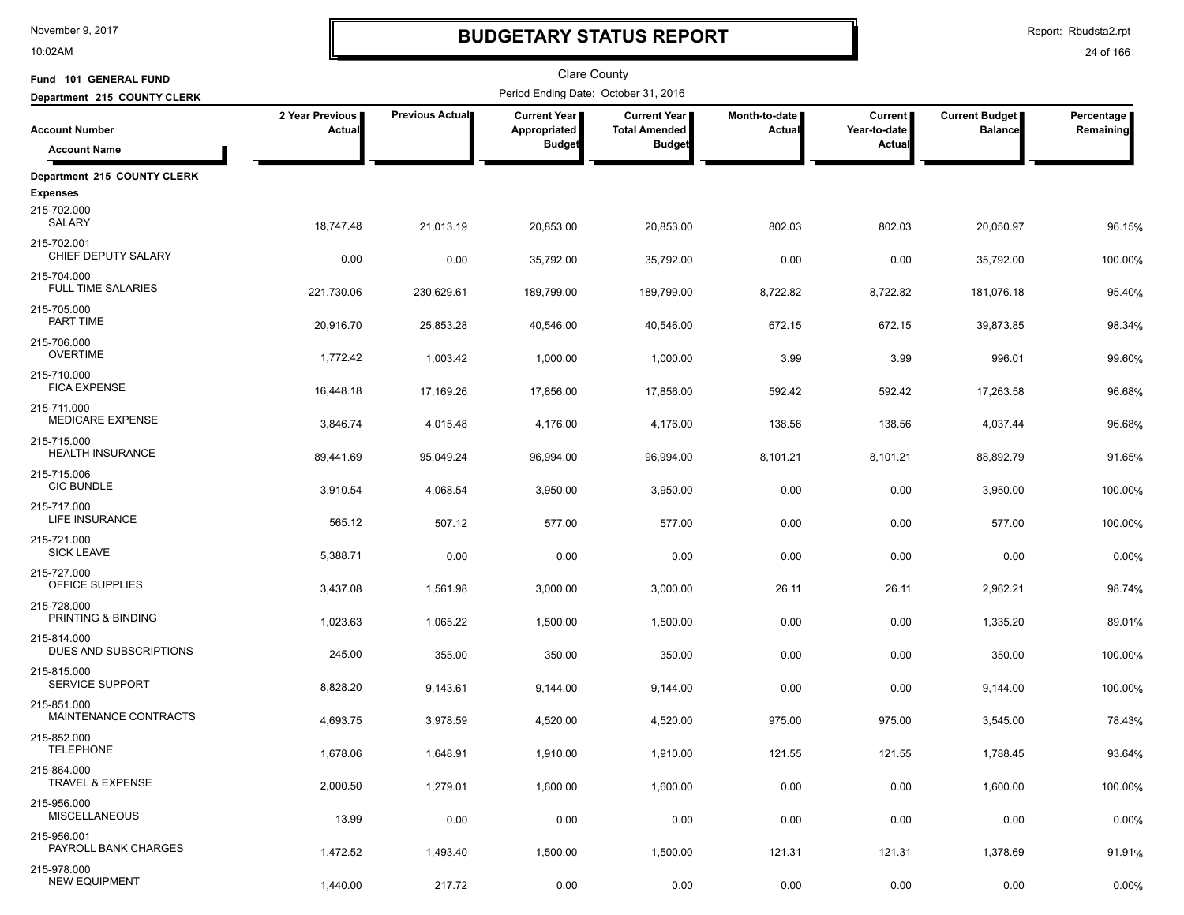10:02AM

# **BUDGETARY STATUS REPORT**

Report: Rbudsta2.rpt

| Fund 101 GENERAL FUND                    |                           |                        | <b>Clare County</b>                  |                                             |                         |                                |                                         |                         |
|------------------------------------------|---------------------------|------------------------|--------------------------------------|---------------------------------------------|-------------------------|--------------------------------|-----------------------------------------|-------------------------|
| Department 215 COUNTY CLERK              |                           |                        | Period Ending Date: October 31, 2016 |                                             |                         |                                |                                         |                         |
| <b>Account Number</b>                    | 2 Year Previous<br>Actual | <b>Previous Actual</b> | <b>Current Year</b><br>Appropriated  | <b>Current Year</b><br><b>Total Amended</b> | Month-to-date<br>Actual | <b>Current</b><br>Year-to-date | <b>Current Budget</b><br><b>Balance</b> | Percentage<br>Remaining |
| <b>Account Name</b>                      |                           |                        | <b>Budget</b>                        | <b>Budget</b>                               |                         | Actual                         |                                         |                         |
| Department 215 COUNTY CLERK              |                           |                        |                                      |                                             |                         |                                |                                         |                         |
| <b>Expenses</b><br>215-702.000<br>SALARY | 18,747.48                 | 21,013.19              | 20,853.00                            | 20,853.00                                   | 802.03                  | 802.03                         | 20,050.97                               | 96.15%                  |
| 215-702.001<br>CHIEF DEPUTY SALARY       | 0.00                      | 0.00                   | 35,792.00                            | 35,792.00                                   | 0.00                    | 0.00                           | 35,792.00                               | 100.00%                 |
| 215-704.000<br><b>FULL TIME SALARIES</b> | 221,730.06                | 230,629.61             | 189,799.00                           | 189,799.00                                  | 8,722.82                | 8,722.82                       | 181,076.18                              | 95.40%                  |
| 215-705.000<br>PART TIME                 | 20,916.70                 | 25,853.28              | 40,546.00                            | 40,546.00                                   | 672.15                  | 672.15                         | 39,873.85                               | 98.34%                  |
| 215-706.000<br><b>OVERTIME</b>           | 1,772.42                  | 1,003.42               | 1,000.00                             | 1,000.00                                    | 3.99                    | 3.99                           | 996.01                                  | 99.60%                  |
| 215-710.000<br><b>FICA EXPENSE</b>       | 16,448.18                 | 17,169.26              | 17,856.00                            | 17,856.00                                   | 592.42                  | 592.42                         | 17,263.58                               | 96.68%                  |
| 215-711.000<br>MEDICARE EXPENSE          | 3,846.74                  | 4,015.48               | 4,176.00                             | 4,176.00                                    | 138.56                  | 138.56                         | 4,037.44                                | 96.68%                  |
| 215-715.000<br><b>HEALTH INSURANCE</b>   | 89,441.69                 | 95,049.24              | 96,994.00                            | 96,994.00                                   | 8,101.21                | 8,101.21                       | 88,892.79                               | 91.65%                  |
| 215-715.006<br><b>CIC BUNDLE</b>         | 3,910.54                  | 4,068.54               | 3,950.00                             | 3,950.00                                    | 0.00                    | 0.00                           | 3,950.00                                | 100.00%                 |
| 215-717.000<br>LIFE INSURANCE            | 565.12                    | 507.12                 | 577.00                               | 577.00                                      | 0.00                    | 0.00                           | 577.00                                  | 100.00%                 |
| 215-721.000<br><b>SICK LEAVE</b>         | 5,388.71                  | 0.00                   | 0.00                                 | 0.00                                        | 0.00                    | 0.00                           | 0.00                                    | 0.00%                   |
| 215-727.000<br>OFFICE SUPPLIES           | 3,437.08                  | 1,561.98               | 3,000.00                             | 3,000.00                                    | 26.11                   | 26.11                          | 2,962.21                                | 98.74%                  |
| 215-728.000<br>PRINTING & BINDING        | 1,023.63                  | 1,065.22               | 1,500.00                             | 1,500.00                                    | 0.00                    | 0.00                           | 1,335.20                                | 89.01%                  |
| 215-814.000<br>DUES AND SUBSCRIPTIONS    | 245.00                    | 355.00                 | 350.00                               | 350.00                                      | 0.00                    | 0.00                           | 350.00                                  | 100.00%                 |
| 215-815.000<br>SERVICE SUPPORT           | 8,828.20                  | 9,143.61               | 9,144.00                             | 9,144.00                                    | 0.00                    | 0.00                           | 9,144.00                                | 100.00%                 |
| 215-851.000<br>MAINTENANCE CONTRACTS     | 4,693.75                  | 3,978.59               | 4,520.00                             | 4,520.00                                    | 975.00                  | 975.00                         | 3,545.00                                | 78.43%                  |
| 215-852.000<br><b>TELEPHONE</b>          | 1,678.06                  | 1,648.91               | 1,910.00                             | 1,910.00                                    | 121.55                  | 121.55                         | 1,788.45                                | 93.64%                  |
| 215-864.000<br>TRAVEL & EXPENSE          | 2,000.50                  | 1,279.01               | 1,600.00                             | 1,600.00                                    | 0.00                    | 0.00                           | 1,600.00                                | 100.00%                 |
| 215-956.000<br><b>MISCELLANEOUS</b>      | 13.99                     | 0.00                   | 0.00                                 | 0.00                                        | 0.00                    | 0.00                           | 0.00                                    | 0.00%                   |
| 215-956.001<br>PAYROLL BANK CHARGES      | 1,472.52                  | 1,493.40               | 1,500.00                             | 1,500.00                                    | 121.31                  | 121.31                         | 1,378.69                                | 91.91%                  |
| 215-978.000<br><b>NEW EQUIPMENT</b>      | 1,440.00                  | 217.72                 | 0.00                                 | 0.00                                        | 0.00                    | 0.00                           | 0.00                                    | 0.00%                   |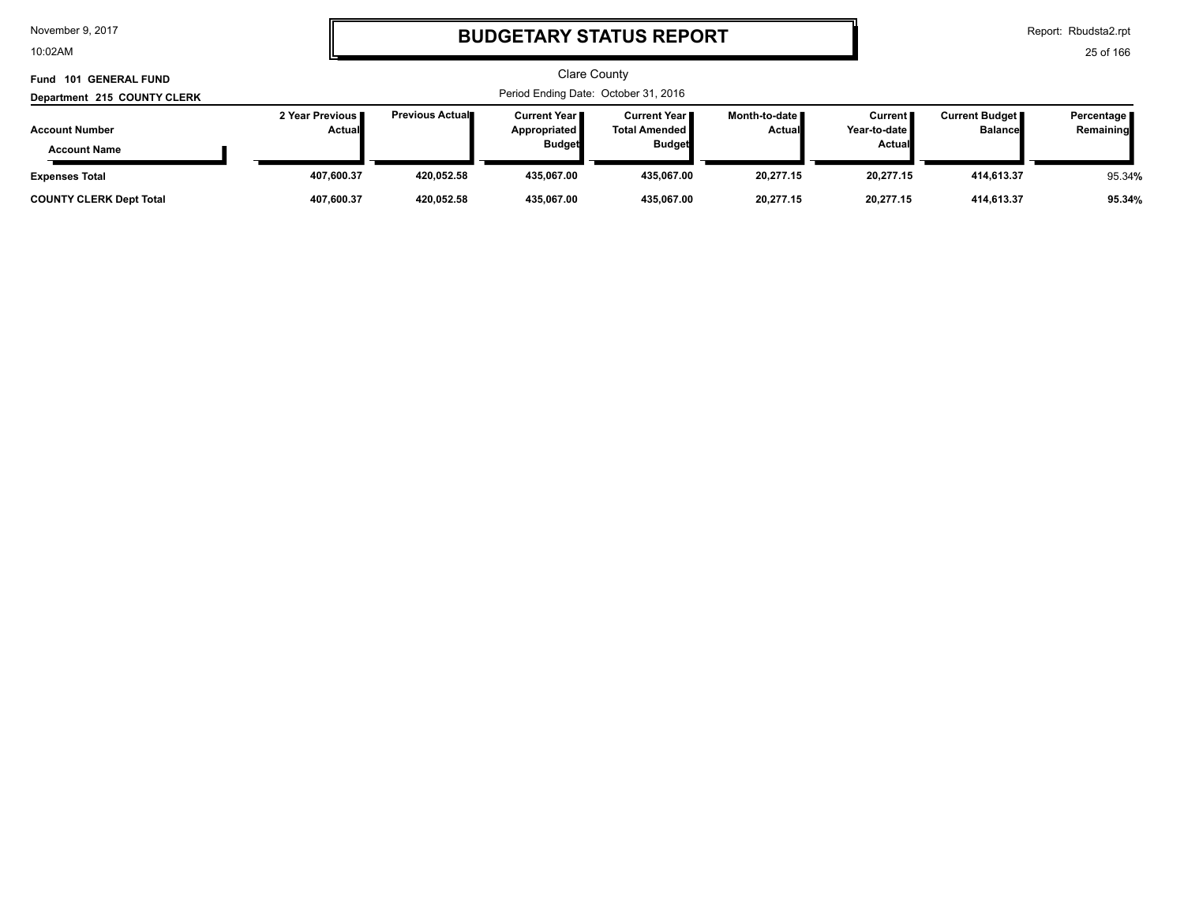10:02AM

# **BUDGETARY STATUS REPORT**

Report: Rbudsta2.rpt

| Fund 101 GENERAL FUND                        |                                  |                         |                                                        | Clare County                                            |                           |                                                   |                                         |                         |
|----------------------------------------------|----------------------------------|-------------------------|--------------------------------------------------------|---------------------------------------------------------|---------------------------|---------------------------------------------------|-----------------------------------------|-------------------------|
| Department 215 COUNTY CLERK                  |                                  |                         |                                                        | Period Ending Date: October 31, 2016                    |                           |                                                   |                                         |                         |
| <b>Account Number</b><br><b>Account Name</b> | 2 Year Previous<br><b>Actual</b> | <b>Previous Actual■</b> | <b>Current Year</b> ■<br>Appropriated<br><b>Budget</b> | Current Year I<br><b>Total Amended</b><br><b>Budget</b> | Month-to-date ∎<br>Actual | Current <b>I</b><br>Year-to-date<br><b>Actual</b> | <b>Current Budget</b><br><b>Balance</b> | Percentage<br>Remaining |
| <b>Expenses Total</b>                        | 407.600.37                       | 420.052.58              | 435.067.00                                             | 435.067.00                                              | 20.277.15                 | 20.277.15                                         | 414.613.37                              | 95.34%                  |
| <b>COUNTY CLERK Dept Total</b>               | 407.600.37                       | 420,052.58              | 435,067.00                                             | 435,067.00                                              | 20,277.15                 | 20,277.15                                         | 414,613.37                              | 95.34%                  |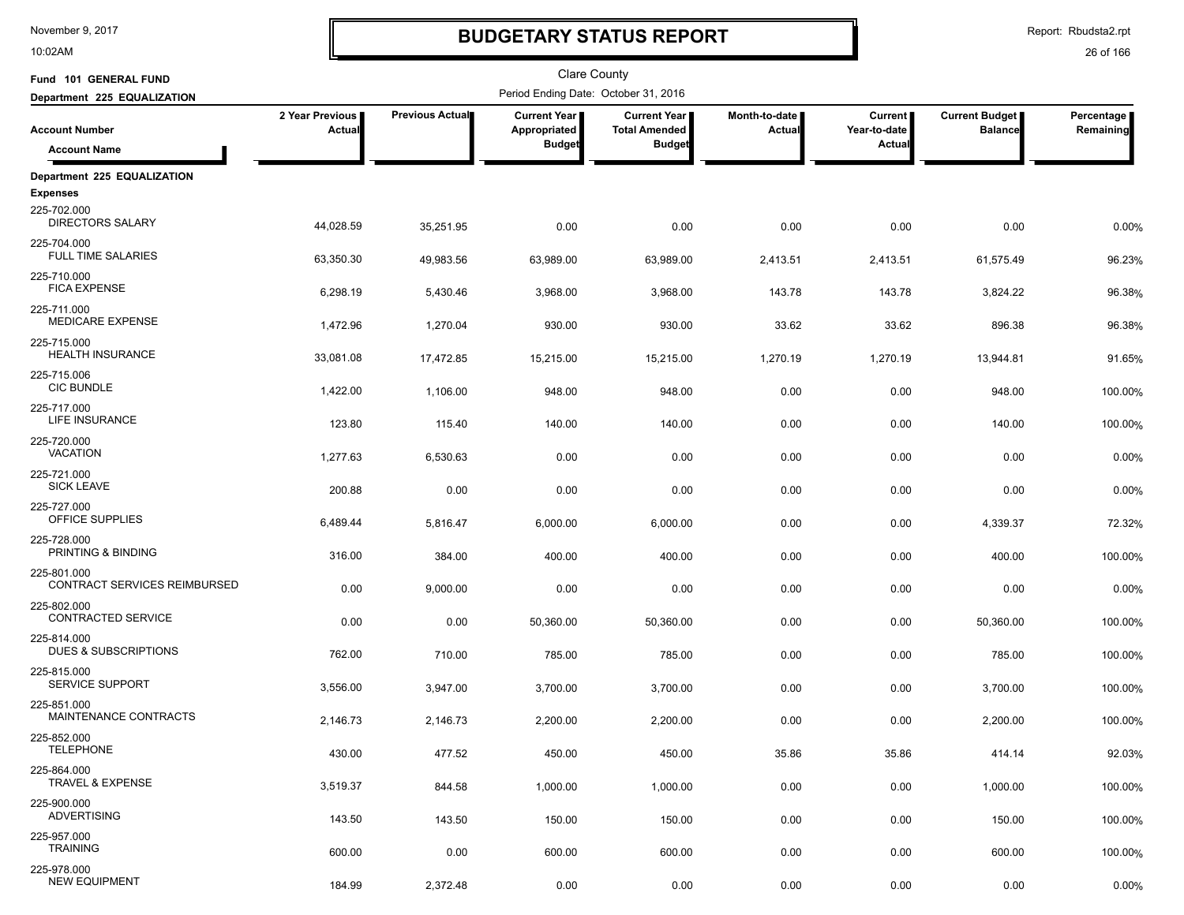10:02AM

# **BUDGETARY STATUS REPORT**

Report: Rbudsta2.rpt

| Fund 101 GENERAL FUND                          |                           |                 | Clare County                         |                                               |                         |                                |                                         |                         |
|------------------------------------------------|---------------------------|-----------------|--------------------------------------|-----------------------------------------------|-------------------------|--------------------------------|-----------------------------------------|-------------------------|
| Department 225 EQUALIZATION                    |                           |                 | Period Ending Date: October 31, 2016 |                                               |                         |                                |                                         |                         |
| <b>Account Number</b>                          | 2 Year Previous<br>Actual | Previous Actual | <b>Current Year</b><br>Appropriated  | <b>Current Year I</b><br><b>Total Amended</b> | Month-to-date<br>Actual | <b>Current</b><br>Year-to-date | <b>Current Budget</b><br><b>Balance</b> | Percentage<br>Remaining |
| <b>Account Name</b>                            |                           |                 | <b>Budget</b>                        | <b>Budget</b>                                 |                         | Actual                         |                                         |                         |
| Department 225 EQUALIZATION                    |                           |                 |                                      |                                               |                         |                                |                                         |                         |
| <b>Expenses</b>                                |                           |                 |                                      |                                               |                         |                                |                                         |                         |
| 225-702.000<br><b>DIRECTORS SALARY</b>         | 44,028.59                 | 35,251.95       | 0.00                                 | 0.00                                          | 0.00                    | 0.00                           | 0.00                                    | 0.00%                   |
| 225-704.000<br><b>FULL TIME SALARIES</b>       | 63,350.30                 | 49,983.56       | 63,989.00                            | 63,989.00                                     | 2,413.51                | 2,413.51                       | 61,575.49                               | 96.23%                  |
| 225-710.000<br><b>FICA EXPENSE</b>             | 6,298.19                  | 5,430.46        | 3,968.00                             | 3,968.00                                      | 143.78                  | 143.78                         | 3,824.22                                | 96.38%                  |
| 225-711.000<br><b>MEDICARE EXPENSE</b>         | 1,472.96                  | 1,270.04        | 930.00                               | 930.00                                        | 33.62                   | 33.62                          | 896.38                                  | 96.38%                  |
| 225-715.000<br><b>HEALTH INSURANCE</b>         | 33,081.08                 | 17,472.85       | 15,215.00                            | 15,215.00                                     | 1,270.19                | 1,270.19                       | 13,944.81                               | 91.65%                  |
| 225-715.006<br><b>CIC BUNDLE</b>               | 1,422.00                  | 1,106.00        | 948.00                               | 948.00                                        | 0.00                    | 0.00                           | 948.00                                  | 100.00%                 |
| 225-717.000<br>LIFE INSURANCE                  | 123.80                    | 115.40          | 140.00                               | 140.00                                        | 0.00                    | 0.00                           | 140.00                                  | 100.00%                 |
| 225-720.000<br><b>VACATION</b>                 | 1,277.63                  | 6,530.63        | 0.00                                 | 0.00                                          | 0.00                    | 0.00                           | 0.00                                    | 0.00%                   |
| 225-721.000<br><b>SICK LEAVE</b>               | 200.88                    | 0.00            | 0.00                                 | 0.00                                          | 0.00                    | 0.00                           | 0.00                                    | 0.00%                   |
| 225-727.000<br>OFFICE SUPPLIES                 | 6,489.44                  | 5,816.47        | 6,000.00                             | 6,000.00                                      | 0.00                    | 0.00                           | 4,339.37                                | 72.32%                  |
| 225-728.000<br>PRINTING & BINDING              | 316.00                    | 384.00          | 400.00                               | 400.00                                        | 0.00                    | 0.00                           | 400.00                                  | 100.00%                 |
| 225-801.000<br>CONTRACT SERVICES REIMBURSED    | 0.00                      | 9,000.00        | 0.00                                 | 0.00                                          | 0.00                    | 0.00                           | 0.00                                    | 0.00%                   |
| 225-802.000<br>CONTRACTED SERVICE              | 0.00                      | 0.00            | 50,360.00                            | 50,360.00                                     | 0.00                    | 0.00                           | 50,360.00                               | 100.00%                 |
| 225-814.000<br><b>DUES &amp; SUBSCRIPTIONS</b> | 762.00                    | 710.00          | 785.00                               | 785.00                                        | 0.00                    | 0.00                           | 785.00                                  | 100.00%                 |
| 225-815.000<br><b>SERVICE SUPPORT</b>          | 3,556.00                  | 3,947.00        | 3,700.00                             | 3,700.00                                      | 0.00                    | 0.00                           | 3,700.00                                | 100.00%                 |
| 225-851.000<br>MAINTENANCE CONTRACTS           | 2,146.73                  | 2,146.73        | 2,200.00                             | 2,200.00                                      | 0.00                    | 0.00                           | 2,200.00                                | 100.00%                 |
| 225-852.000<br><b>TELEPHONE</b>                | 430.00                    | 477.52          | 450.00                               | 450.00                                        | 35.86                   | 35.86                          | 414.14                                  | 92.03%                  |
| 225-864.000<br>TRAVEL & EXPENSE                | 3,519.37                  | 844.58          | 1,000.00                             | 1,000.00                                      | 0.00                    | 0.00                           | 1,000.00                                | 100.00%                 |
| 225-900.000<br><b>ADVERTISING</b>              | 143.50                    | 143.50          | 150.00                               | 150.00                                        | 0.00                    | 0.00                           | 150.00                                  | 100.00%                 |
| 225-957.000<br><b>TRAINING</b>                 | 600.00                    | 0.00            | 600.00                               | 600.00                                        | 0.00                    | 0.00                           | 600.00                                  | 100.00%                 |
| 225-978.000<br><b>NEW EQUIPMENT</b>            | 184.99                    | 2,372.48        | 0.00                                 | 0.00                                          | 0.00                    | 0.00                           | 0.00                                    | 0.00%                   |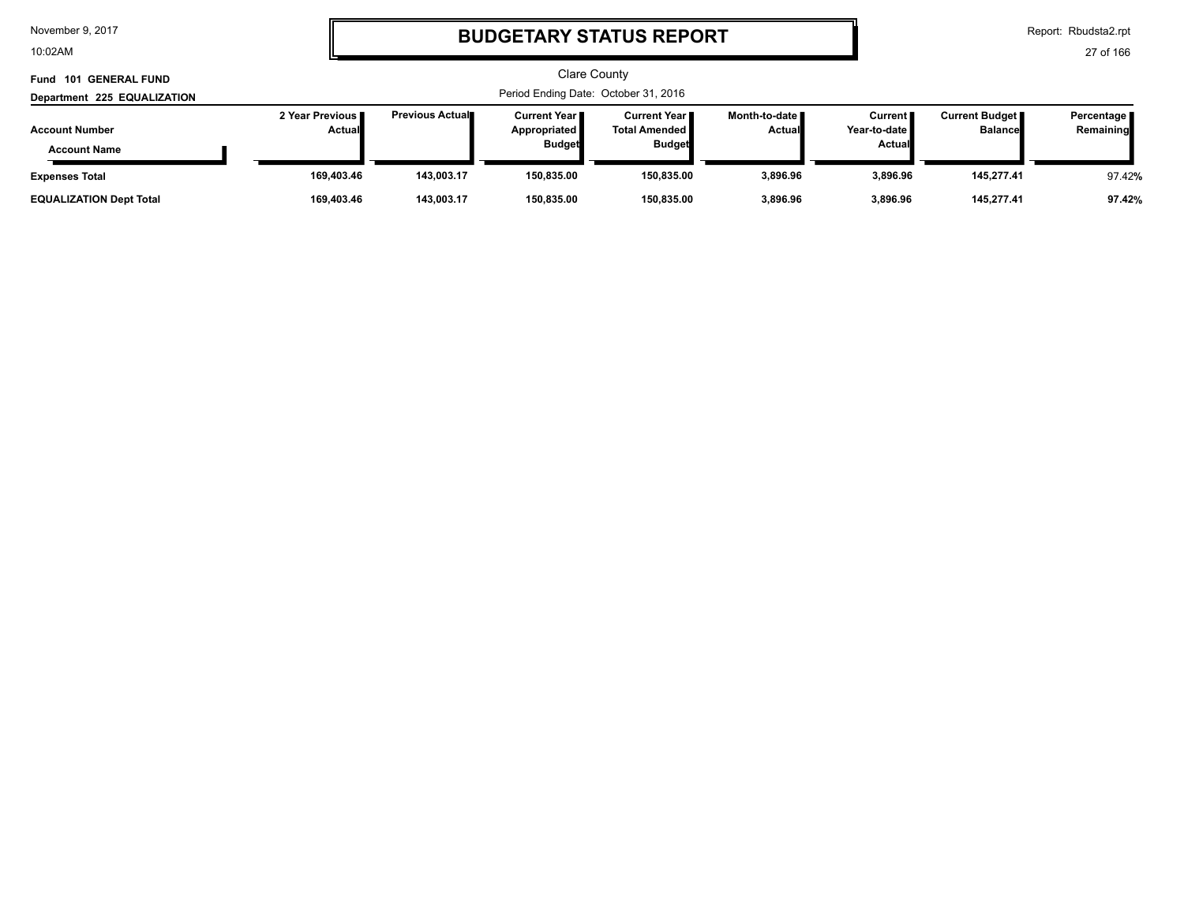10:02AM

# **BUDGETARY STATUS REPORT**

Report: Rbudsta2.rpt

| Fund 101 GENERAL FUND                                                       |                           |                         |                                                        | Clare County<br>Period Ending Date: October 31, 2016           |                           |                                          |                                         |                           |
|-----------------------------------------------------------------------------|---------------------------|-------------------------|--------------------------------------------------------|----------------------------------------------------------------|---------------------------|------------------------------------------|-----------------------------------------|---------------------------|
| Department 225 EQUALIZATION<br><b>Account Number</b><br><b>Account Name</b> | 2 Year Previous<br>Actual | <b>Previous Actual■</b> | Current Year I<br><b>Appropriated</b><br><b>Budget</b> | <b>Current Year I</b><br><b>Total Amended</b><br><b>Budget</b> | Month-to-date  <br>Actual | <b>Current</b><br>Year-to-date<br>Actual | <b>Current Budget</b><br><b>Balance</b> | Percentage  <br>Remaining |
| <b>Expenses Total</b>                                                       | 169.403.46                | 143.003.17              | 150,835.00                                             | 150,835.00                                                     | 3,896.96                  | 3,896.96                                 | 145,277.41                              | 97.42%                    |
| <b>EQUALIZATION Dept Total</b>                                              | 169,403.46                | 143.003.17              | 150,835.00                                             | 150,835.00                                                     | 3,896.96                  | 3.896.96                                 | 145,277.41                              | 97.42%                    |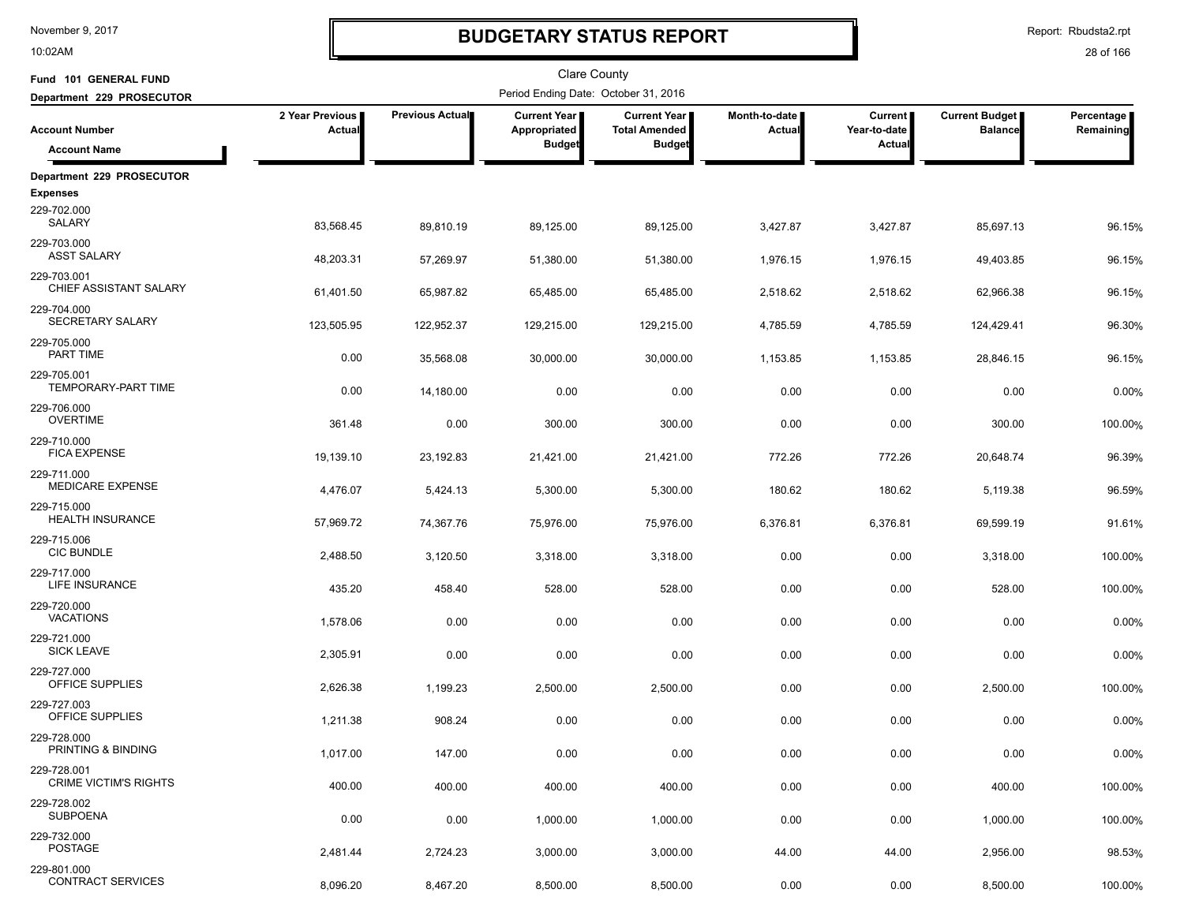10:02AM

# **BUDGETARY STATUS REPORT**

Report: Rbudsta2.rpt

| Fund 101 GENERAL FUND                       |                           |                        | <b>Clare County</b>                   |                                      |                                |                                |                                         |                         |
|---------------------------------------------|---------------------------|------------------------|---------------------------------------|--------------------------------------|--------------------------------|--------------------------------|-----------------------------------------|-------------------------|
| Department 229 PROSECUTOR                   |                           |                        | Period Ending Date: October 31, 2016  |                                      |                                |                                |                                         |                         |
| <b>Account Number</b>                       | 2 Year Previous<br>Actual | <b>Previous Actual</b> | <b>Current Year</b>  <br>Appropriated | Current Year<br><b>Total Amended</b> | Month-to-date<br><b>Actual</b> | <b>Current</b><br>Year-to-date | <b>Current Budget</b><br><b>Balance</b> | Percentage<br>Remaining |
| <b>Account Name</b>                         |                           |                        | <b>Budget</b>                         | <b>Budget</b>                        |                                | Actual                         |                                         |                         |
| Department 229 PROSECUTOR                   |                           |                        |                                       |                                      |                                |                                |                                         |                         |
| <b>Expenses</b>                             |                           |                        |                                       |                                      |                                |                                |                                         |                         |
| 229-702.000<br><b>SALARY</b>                | 83,568.45                 | 89,810.19              | 89,125.00                             | 89,125.00                            | 3,427.87                       | 3,427.87                       | 85,697.13                               | 96.15%                  |
| 229-703.000<br><b>ASST SALARY</b>           | 48,203.31                 | 57,269.97              | 51,380.00                             | 51,380.00                            | 1,976.15                       | 1,976.15                       | 49,403.85                               | 96.15%                  |
| 229-703.001<br>CHIEF ASSISTANT SALARY       | 61,401.50                 | 65,987.82              | 65,485.00                             | 65,485.00                            | 2,518.62                       | 2,518.62                       | 62,966.38                               | 96.15%                  |
| 229-704.000<br>SECRETARY SALARY             | 123,505.95                | 122,952.37             | 129,215.00                            | 129,215.00                           | 4,785.59                       | 4,785.59                       | 124,429.41                              | 96.30%                  |
| 229-705.000<br>PART TIME                    | 0.00                      | 35,568.08              | 30,000.00                             | 30,000.00                            | 1,153.85                       | 1,153.85                       | 28,846.15                               | 96.15%                  |
| 229-705.001<br><b>TEMPORARY-PART TIME</b>   | 0.00                      | 14,180.00              | 0.00                                  | 0.00                                 | 0.00                           | 0.00                           | 0.00                                    | 0.00%                   |
| 229-706.000<br><b>OVERTIME</b>              | 361.48                    | 0.00                   | 300.00                                | 300.00                               | 0.00                           | 0.00                           | 300.00                                  | 100.00%                 |
| 229-710.000<br><b>FICA EXPENSE</b>          | 19,139.10                 | 23,192.83              | 21,421.00                             | 21,421.00                            | 772.26                         | 772.26                         | 20,648.74                               | 96.39%                  |
| 229-711.000<br>MEDICARE EXPENSE             | 4,476.07                  | 5,424.13               | 5,300.00                              | 5,300.00                             | 180.62                         | 180.62                         | 5,119.38                                | 96.59%                  |
| 229-715.000<br><b>HEALTH INSURANCE</b>      | 57,969.72                 | 74,367.76              | 75,976.00                             | 75,976.00                            | 6,376.81                       | 6,376.81                       | 69,599.19                               | 91.61%                  |
| 229-715.006<br><b>CIC BUNDLE</b>            | 2,488.50                  | 3,120.50               | 3,318.00                              | 3,318.00                             | 0.00                           | 0.00                           | 3,318.00                                | 100.00%                 |
| 229-717.000<br>LIFE INSURANCE               | 435.20                    | 458.40                 | 528.00                                | 528.00                               | 0.00                           | 0.00                           | 528.00                                  | 100.00%                 |
| 229-720.000<br><b>VACATIONS</b>             | 1,578.06                  | 0.00                   | 0.00                                  | 0.00                                 | 0.00                           | 0.00                           | 0.00                                    | 0.00%                   |
| 229-721.000<br><b>SICK LEAVE</b>            | 2,305.91                  | 0.00                   | 0.00                                  | 0.00                                 | 0.00                           | 0.00                           | 0.00                                    | 0.00%                   |
| 229-727.000<br>OFFICE SUPPLIES              | 2,626.38                  | 1,199.23               | 2,500.00                              | 2,500.00                             | 0.00                           | 0.00                           | 2,500.00                                | 100.00%                 |
| 229-727.003<br>OFFICE SUPPLIES              | 1,211.38                  | 908.24                 | 0.00                                  | 0.00                                 | 0.00                           | 0.00                           | 0.00                                    | 0.00%                   |
| 229-728.000<br>PRINTING & BINDING           | 1,017.00                  | 147.00                 | 0.00                                  | 0.00                                 | 0.00                           | 0.00                           | 0.00                                    | 0.00%                   |
| 229-728.001<br><b>CRIME VICTIM'S RIGHTS</b> | 400.00                    | 400.00                 | 400.00                                | 400.00                               | 0.00                           | 0.00                           | 400.00                                  | 100.00%                 |
| 229-728.002<br><b>SUBPOENA</b>              | 0.00                      | 0.00                   | 1,000.00                              | 1,000.00                             | 0.00                           | 0.00                           | 1,000.00                                | 100.00%                 |
| 229-732.000<br><b>POSTAGE</b>               | 2,481.44                  | 2,724.23               | 3,000.00                              | 3,000.00                             | 44.00                          | 44.00                          | 2,956.00                                | 98.53%                  |
| 229-801.000<br><b>CONTRACT SERVICES</b>     | 8,096.20                  | 8,467.20               | 8,500.00                              | 8,500.00                             | 0.00                           | 0.00                           | 8,500.00                                | 100.00%                 |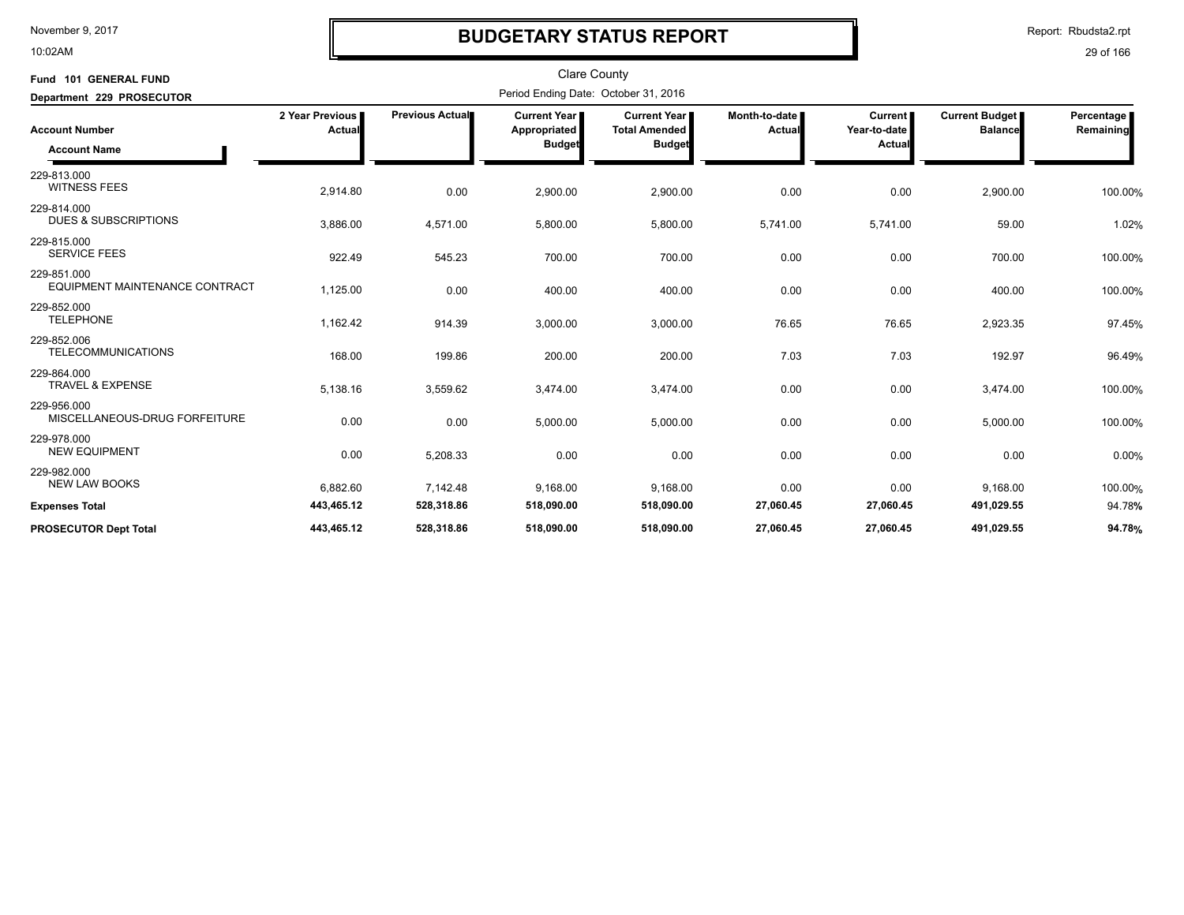10:02AM

# **BUDGETARY STATUS REPORT**

Report: Rbudsta2.rpt

| Fund 101 GENERAL FUND<br>Department 229 PROSECUTOR |                           |                 |                                                      |                                                              |                         |                                                 |                                  |                         |
|----------------------------------------------------|---------------------------|-----------------|------------------------------------------------------|--------------------------------------------------------------|-------------------------|-------------------------------------------------|----------------------------------|-------------------------|
| <b>Account Number</b><br><b>Account Name</b>       | 2 Year Previous<br>Actual | Previous Actual | <b>Current Year</b><br>Appropriated<br><b>Budget</b> | <b>Current Year</b><br><b>Total Amended</b><br><b>Budget</b> | Month-to-date<br>Actual | <b>Current</b><br>Year-to-date<br><b>Actual</b> | Current Budget<br><b>Balance</b> | Percentage<br>Remaining |
| 229-813.000<br><b>WITNESS FEES</b>                 | 2,914.80                  | 0.00            | 2,900.00                                             | 2,900.00                                                     | 0.00                    | 0.00                                            | 2,900.00                         | 100.00%                 |
| 229-814.000<br><b>DUES &amp; SUBSCRIPTIONS</b>     | 3,886.00                  | 4,571.00        | 5,800.00                                             | 5,800.00                                                     | 5,741.00                | 5,741.00                                        | 59.00                            | 1.02%                   |
| 229-815.000<br><b>SERVICE FEES</b>                 | 922.49                    | 545.23          | 700.00                                               | 700.00                                                       | 0.00                    | 0.00                                            | 700.00                           | 100.00%                 |
| 229-851.000<br>EQUIPMENT MAINTENANCE CONTRACT      | 1,125.00                  | 0.00            | 400.00                                               | 400.00                                                       | 0.00                    | 0.00                                            | 400.00                           | 100.00%                 |
| 229-852.000<br><b>TELEPHONE</b>                    | 1,162.42                  | 914.39          | 3,000.00                                             | 3,000.00                                                     | 76.65                   | 76.65                                           | 2,923.35                         | 97.45%                  |
| 229-852.006<br><b>TELECOMMUNICATIONS</b>           | 168.00                    | 199.86          | 200.00                                               | 200.00                                                       | 7.03                    | 7.03                                            | 192.97                           | 96.49%                  |
| 229-864.000<br>TRAVEL & EXPENSE                    | 5,138.16                  | 3,559.62        | 3,474.00                                             | 3,474.00                                                     | 0.00                    | 0.00                                            | 3,474.00                         | 100.00%                 |
| 229-956.000<br>MISCELLANEOUS-DRUG FORFEITURE       | 0.00                      | 0.00            | 5,000.00                                             | 5,000.00                                                     | 0.00                    | 0.00                                            | 5,000.00                         | 100.00%                 |
| 229-978.000<br><b>NEW EQUIPMENT</b>                | 0.00                      | 5,208.33        | 0.00                                                 | 0.00                                                         | 0.00                    | 0.00                                            | 0.00                             | 0.00%                   |
| 229-982.000<br><b>NEW LAW BOOKS</b>                | 6,882.60                  | 7,142.48        | 9,168.00                                             | 9,168.00                                                     | 0.00                    | 0.00                                            | 9,168.00                         | 100.00%                 |
| <b>Expenses Total</b>                              | 443,465.12                | 528,318.86      | 518,090.00                                           | 518,090.00                                                   | 27,060.45               | 27,060.45                                       | 491,029.55                       | 94.78%                  |
| <b>PROSECUTOR Dept Total</b>                       | 443,465.12                | 528,318.86      | 518,090.00                                           | 518,090.00                                                   | 27,060.45               | 27,060.45                                       | 491,029.55                       | 94.78%                  |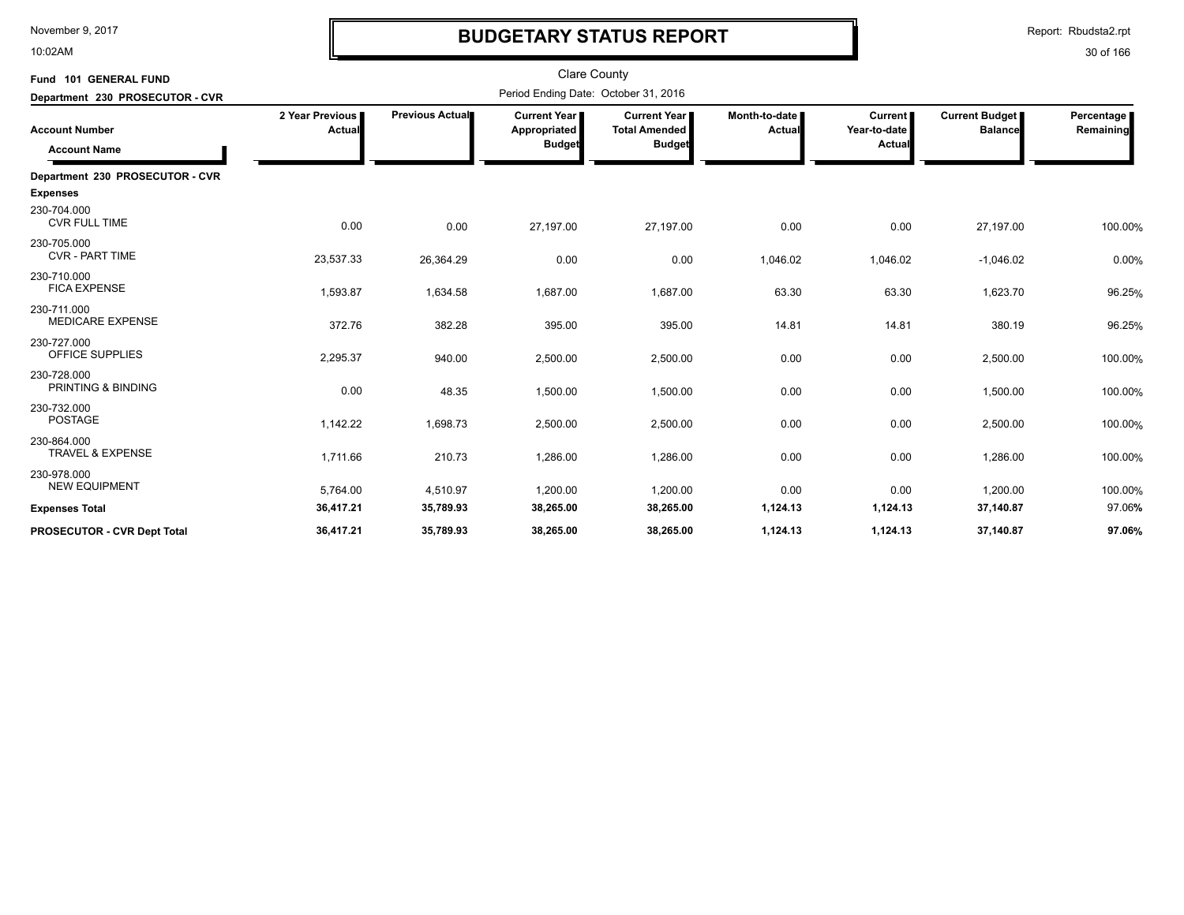10:02AM

# **BUDGETARY STATUS REPORT**

Report: Rbudsta2.rpt

| Fund 101 GENERAL FUND<br>Department 230 PROSECUTOR - CVR |                           |                 |                                                      |                                                       |                         |                                     |                                         |                         |
|----------------------------------------------------------|---------------------------|-----------------|------------------------------------------------------|-------------------------------------------------------|-------------------------|-------------------------------------|-----------------------------------------|-------------------------|
| <b>Account Number</b><br><b>Account Name</b>             | 2 Year Previous<br>Actual | Previous Actual | <b>Current Year</b><br>Appropriated<br><b>Budget</b> | Current Year<br><b>Total Amended</b><br><b>Budget</b> | Month-to-date<br>Actual | Current  <br>Year-to-date<br>Actual | <b>Current Budget</b><br><b>Balance</b> | Percentage<br>Remaining |
| Department 230 PROSECUTOR - CVR                          |                           |                 |                                                      |                                                       |                         |                                     |                                         |                         |
| <b>Expenses</b>                                          |                           |                 |                                                      |                                                       |                         |                                     |                                         |                         |
| 230-704.000<br><b>CVR FULL TIME</b>                      | 0.00                      | 0.00            | 27,197.00                                            | 27,197.00                                             | 0.00                    | 0.00                                | 27,197.00                               | 100.00%                 |
| 230-705.000<br><b>CVR - PART TIME</b>                    | 23,537.33                 | 26,364.29       | 0.00                                                 | 0.00                                                  | 1,046.02                | 1,046.02                            | $-1,046.02$                             | 0.00%                   |
| 230-710.000<br><b>FICA EXPENSE</b>                       | 1,593.87                  | 1,634.58        | 1,687.00                                             | 1,687.00                                              | 63.30                   | 63.30                               | 1,623.70                                | 96.25%                  |
| 230-711.000<br><b>MEDICARE EXPENSE</b>                   | 372.76                    | 382.28          | 395.00                                               | 395.00                                                | 14.81                   | 14.81                               | 380.19                                  | 96.25%                  |
| 230-727.000<br>OFFICE SUPPLIES                           | 2,295.37                  | 940.00          | 2,500.00                                             | 2,500.00                                              | 0.00                    | 0.00                                | 2,500.00                                | 100.00%                 |
| 230-728.000<br>PRINTING & BINDING                        | 0.00                      | 48.35           | 1,500.00                                             | 1,500.00                                              | 0.00                    | 0.00                                | 1,500.00                                | 100.00%                 |
| 230-732.000<br><b>POSTAGE</b>                            | 1,142.22                  | 1,698.73        | 2,500.00                                             | 2,500.00                                              | 0.00                    | 0.00                                | 2,500.00                                | 100.00%                 |
| 230-864.000<br><b>TRAVEL &amp; EXPENSE</b>               | 1,711.66                  | 210.73          | 1,286.00                                             | 1,286.00                                              | 0.00                    | 0.00                                | 1,286.00                                | 100.00%                 |
| 230-978.000<br><b>NEW EQUIPMENT</b>                      | 5,764.00                  | 4,510.97        | 1,200.00                                             | 1,200.00                                              | 0.00                    | 0.00                                | 1,200.00                                | 100.00%                 |
| <b>Expenses Total</b>                                    | 36,417.21                 | 35,789.93       | 38,265.00                                            | 38,265.00                                             | 1,124.13                | 1,124.13                            | 37,140.87                               | 97.06%                  |
| <b>PROSECUTOR - CVR Dept Total</b>                       | 36.417.21                 | 35,789.93       | 38,265.00                                            | 38,265.00                                             | 1,124.13                | 1,124.13                            | 37,140.87                               | 97.06%                  |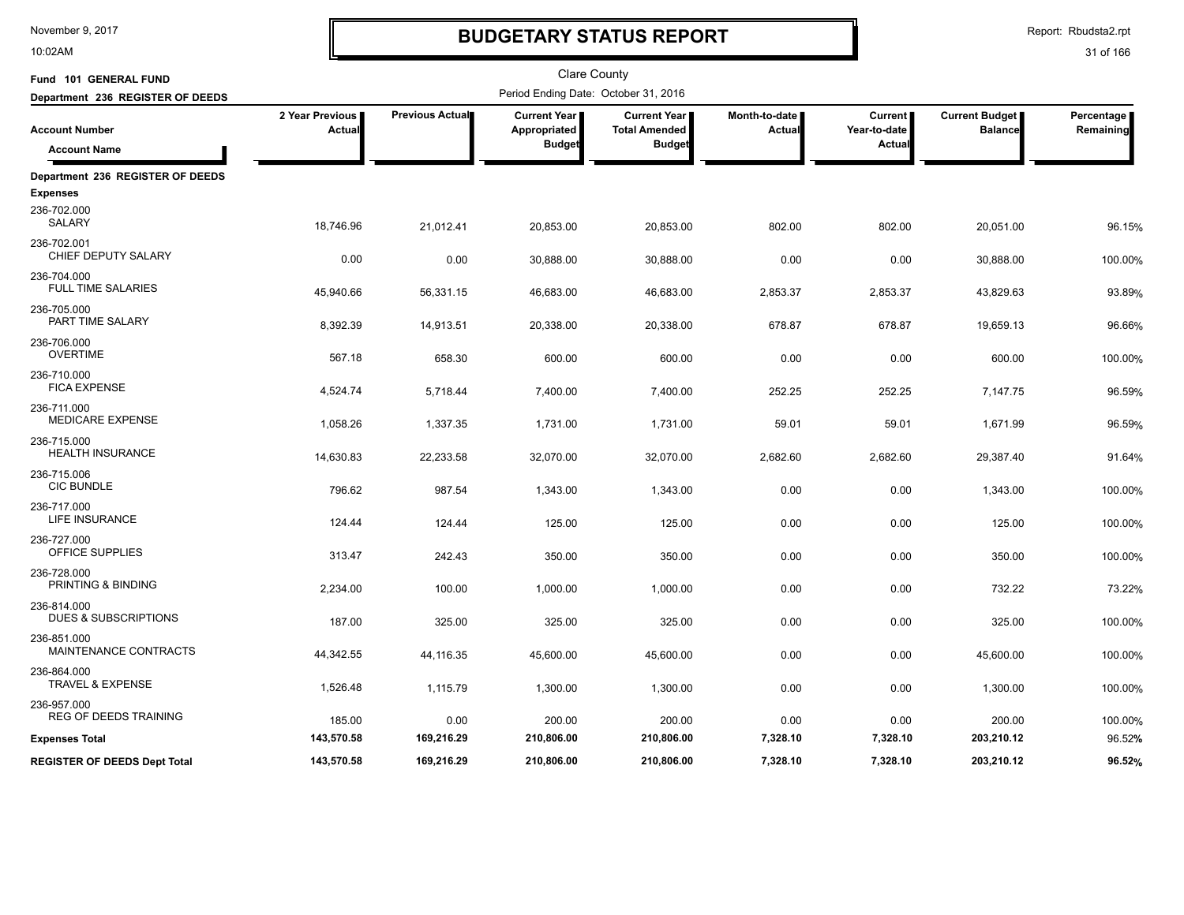10:02AM

# **BUDGETARY STATUS REPORT**

Report: Rbudsta2.rpt

| Fund 101 GENERAL FUND                          |                           |                 | <b>Clare County</b>                  |                                             |                                |                                |                                         |                         |
|------------------------------------------------|---------------------------|-----------------|--------------------------------------|---------------------------------------------|--------------------------------|--------------------------------|-----------------------------------------|-------------------------|
| Department 236 REGISTER OF DEEDS               |                           |                 | Period Ending Date: October 31, 2016 |                                             |                                |                                |                                         |                         |
| <b>Account Number</b>                          | 2 Year Previous<br>Actual | Previous Actual | <b>Current Year</b><br>Appropriated  | <b>Current Year</b><br><b>Total Amended</b> | Month-to-date<br><b>Actual</b> | <b>Current</b><br>Year-to-date | <b>Current Budget</b><br><b>Balance</b> | Percentage<br>Remaining |
| <b>Account Name</b>                            |                           |                 | <b>Budget</b>                        | <b>Budget</b>                               |                                | Actua                          |                                         |                         |
| Department 236 REGISTER OF DEEDS               |                           |                 |                                      |                                             |                                |                                |                                         |                         |
| <b>Expenses</b>                                |                           |                 |                                      |                                             |                                |                                |                                         |                         |
| 236-702.000<br><b>SALARY</b>                   | 18,746.96                 | 21,012.41       | 20,853.00                            | 20,853.00                                   | 802.00                         | 802.00                         | 20,051.00                               | 96.15%                  |
| 236-702.001<br>CHIEF DEPUTY SALARY             | 0.00                      | 0.00            | 30,888.00                            | 30,888.00                                   | 0.00                           | 0.00                           | 30,888.00                               | 100.00%                 |
| 236-704.000<br><b>FULL TIME SALARIES</b>       | 45,940.66                 | 56,331.15       | 46,683.00                            | 46,683.00                                   | 2,853.37                       | 2,853.37                       | 43,829.63                               | 93.89%                  |
| 236-705.000<br>PART TIME SALARY                | 8,392.39                  | 14,913.51       | 20,338.00                            | 20,338.00                                   | 678.87                         | 678.87                         | 19,659.13                               | 96.66%                  |
| 236-706.000<br><b>OVERTIME</b>                 | 567.18                    | 658.30          | 600.00                               | 600.00                                      | 0.00                           | 0.00                           | 600.00                                  | 100.00%                 |
| 236-710.000<br><b>FICA EXPENSE</b>             | 4,524.74                  | 5,718.44        | 7,400.00                             | 7,400.00                                    | 252.25                         | 252.25                         | 7,147.75                                | 96.59%                  |
| 236-711.000<br>MEDICARE EXPENSE                | 1,058.26                  | 1,337.35        | 1,731.00                             | 1,731.00                                    | 59.01                          | 59.01                          | 1,671.99                                | 96.59%                  |
| 236-715.000<br><b>HEALTH INSURANCE</b>         | 14,630.83                 | 22,233.58       | 32,070.00                            | 32,070.00                                   | 2,682.60                       | 2,682.60                       | 29,387.40                               | 91.64%                  |
| 236-715.006<br><b>CIC BUNDLE</b>               | 796.62                    | 987.54          | 1,343.00                             | 1,343.00                                    | 0.00                           | 0.00                           | 1,343.00                                | 100.00%                 |
| 236-717.000<br><b>LIFE INSURANCE</b>           | 124.44                    | 124.44          | 125.00                               | 125.00                                      | 0.00                           | 0.00                           | 125.00                                  | 100.00%                 |
| 236-727.000<br>OFFICE SUPPLIES                 | 313.47                    | 242.43          | 350.00                               | 350.00                                      | 0.00                           | 0.00                           | 350.00                                  | 100.00%                 |
| 236-728.000<br>PRINTING & BINDING              | 2,234.00                  | 100.00          | 1,000.00                             | 1,000.00                                    | 0.00                           | 0.00                           | 732.22                                  | 73.22%                  |
| 236-814.000<br><b>DUES &amp; SUBSCRIPTIONS</b> | 187.00                    | 325.00          | 325.00                               | 325.00                                      | 0.00                           | 0.00                           | 325.00                                  | 100.00%                 |
| 236-851.000<br>MAINTENANCE CONTRACTS           | 44,342.55                 | 44,116.35       | 45,600.00                            | 45,600.00                                   | 0.00                           | 0.00                           | 45,600.00                               | 100.00%                 |
| 236-864.000<br><b>TRAVEL &amp; EXPENSE</b>     | 1,526.48                  | 1,115.79        | 1,300.00                             | 1,300.00                                    | 0.00                           | 0.00                           | 1,300.00                                | 100.00%                 |
| 236-957.000<br><b>REG OF DEEDS TRAINING</b>    | 185.00                    | 0.00            | 200.00                               | 200.00                                      | 0.00                           | 0.00                           | 200.00                                  | 100.00%                 |
| <b>Expenses Total</b>                          | 143,570.58                | 169,216.29      | 210,806.00                           | 210,806.00                                  | 7,328.10                       | 7,328.10                       | 203,210.12                              | 96.52%                  |
| <b>REGISTER OF DEEDS Dept Total</b>            | 143,570.58                | 169,216.29      | 210.806.00                           | 210.806.00                                  | 7.328.10                       | 7,328.10                       | 203,210.12                              | 96.52%                  |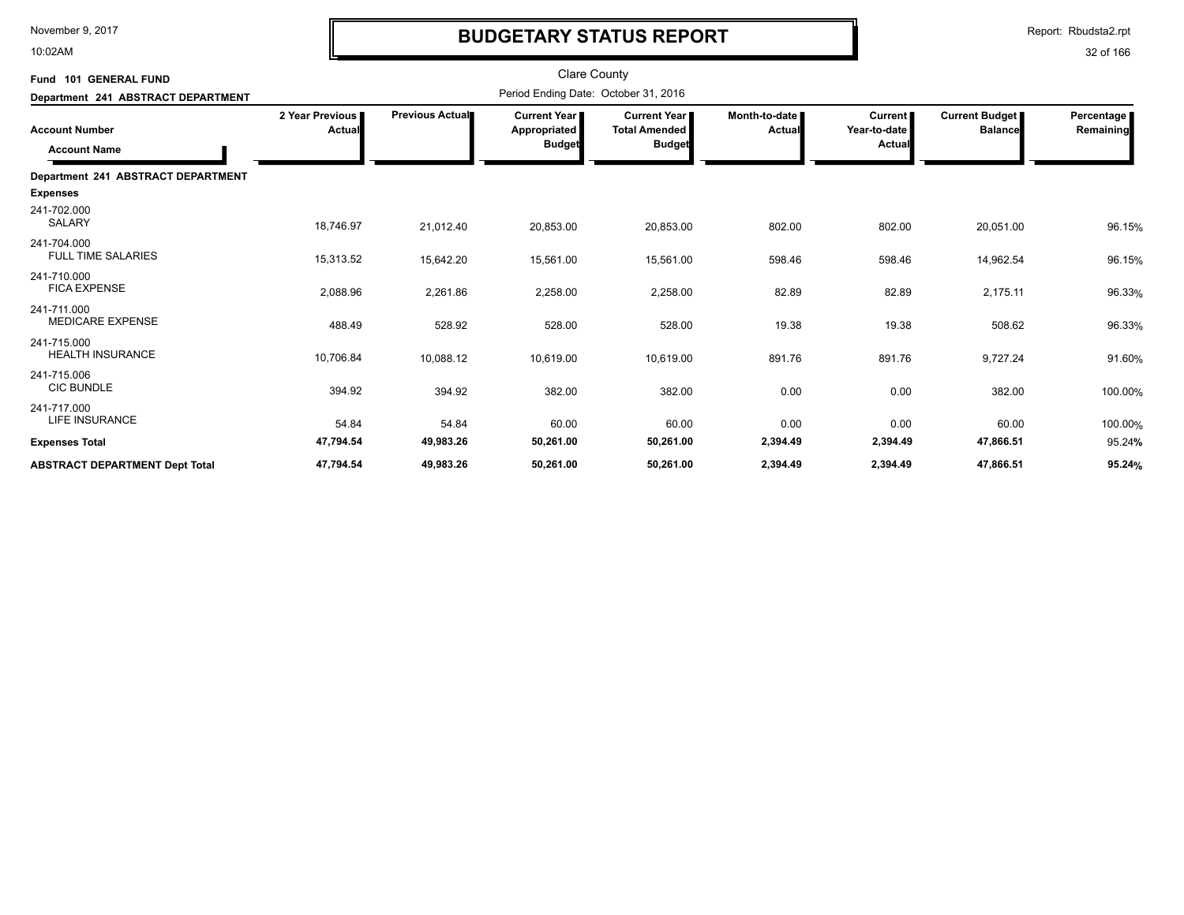10:02AM

# **BUDGETARY STATUS REPORT**

Report: Rbudsta2.rpt

| Fund 101 GENERAL FUND                        |                             |                 | <b>Clare County</b>                                  |                                                              |                         |                                                 |                                         |                         |
|----------------------------------------------|-----------------------------|-----------------|------------------------------------------------------|--------------------------------------------------------------|-------------------------|-------------------------------------------------|-----------------------------------------|-------------------------|
| Department 241 ABSTRACT DEPARTMENT           |                             |                 | Period Ending Date: October 31, 2016                 |                                                              |                         |                                                 |                                         |                         |
| <b>Account Number</b><br><b>Account Name</b> | 2 Year Previous  <br>Actual | Previous Actual | <b>Current Year</b><br>Appropriated<br><b>Budget</b> | <b>Current Year</b><br><b>Total Amended</b><br><b>Budget</b> | Month-to-date<br>Actual | <b>Current</b><br>Year-to-date<br><b>Actual</b> | <b>Current Budget</b><br><b>Balance</b> | Percentage<br>Remaining |
| Department 241 ABSTRACT DEPARTMENT           |                             |                 |                                                      |                                                              |                         |                                                 |                                         |                         |
| <b>Expenses</b>                              |                             |                 |                                                      |                                                              |                         |                                                 |                                         |                         |
| 241-702.000<br><b>SALARY</b>                 | 18,746.97                   | 21,012.40       | 20,853.00                                            | 20,853.00                                                    | 802.00                  | 802.00                                          | 20,051.00                               | 96.15%                  |
| 241-704.000<br><b>FULL TIME SALARIES</b>     | 15,313.52                   | 15,642.20       | 15,561.00                                            | 15,561.00                                                    | 598.46                  | 598.46                                          | 14,962.54                               | 96.15%                  |
| 241-710.000<br><b>FICA EXPENSE</b>           | 2,088.96                    | 2,261.86        | 2,258.00                                             | 2,258.00                                                     | 82.89                   | 82.89                                           | 2,175.11                                | 96.33%                  |
| 241-711.000<br><b>MEDICARE EXPENSE</b>       | 488.49                      | 528.92          | 528.00                                               | 528.00                                                       | 19.38                   | 19.38                                           | 508.62                                  | 96.33%                  |
| 241-715.000<br><b>HEALTH INSURANCE</b>       | 10,706.84                   | 10,088.12       | 10,619.00                                            | 10,619.00                                                    | 891.76                  | 891.76                                          | 9,727.24                                | 91.60%                  |
| 241-715.006<br><b>CIC BUNDLE</b>             | 394.92                      | 394.92          | 382.00                                               | 382.00                                                       | 0.00                    | 0.00                                            | 382.00                                  | 100.00%                 |
| 241-717.000<br><b>LIFE INSURANCE</b>         | 54.84                       | 54.84           | 60.00                                                | 60.00                                                        | 0.00                    | 0.00                                            | 60.00                                   | 100.00%                 |
| <b>Expenses Total</b>                        | 47,794.54                   | 49,983.26       | 50,261.00                                            | 50,261.00                                                    | 2,394.49                | 2,394.49                                        | 47,866.51                               | 95.24%                  |
| <b>ABSTRACT DEPARTMENT Dept Total</b>        | 47,794.54                   | 49,983.26       | 50,261.00                                            | 50,261.00                                                    | 2,394.49                | 2,394.49                                        | 47,866.51                               | 95.24%                  |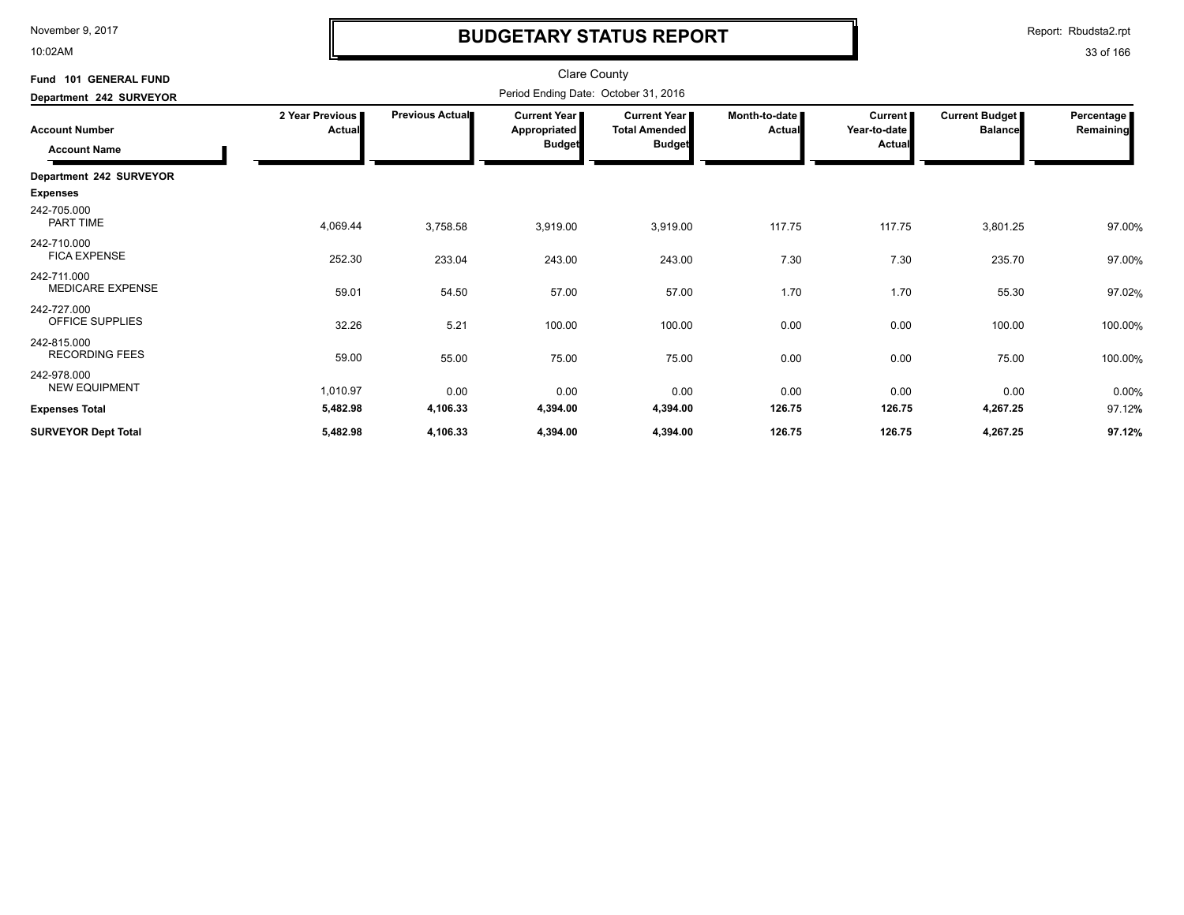10:02AM

# **BUDGETARY STATUS REPORT**

| Fund 101 GENERAL FUND<br>Department 242 SURVEYOR |                           | <b>Clare County</b><br>Period Ending Date: October 31, 2016 |                                                        |                                                              |                         |                                                 |                                  |                         |  |
|--------------------------------------------------|---------------------------|-------------------------------------------------------------|--------------------------------------------------------|--------------------------------------------------------------|-------------------------|-------------------------------------------------|----------------------------------|-------------------------|--|
| <b>Account Number</b><br><b>Account Name</b>     | 2 Year Previous<br>Actual | <b>Previous Actual</b>                                      | <b>Current Year I</b><br>Appropriated<br><b>Budget</b> | <b>Current Year</b><br><b>Total Amended</b><br><b>Budget</b> | Month-to-date<br>Actual | <b>Current</b><br>Year-to-date<br><b>Actual</b> | Current Budget<br><b>Balance</b> | Percentage<br>Remaining |  |
| Department 242 SURVEYOR<br><b>Expenses</b>       |                           |                                                             |                                                        |                                                              |                         |                                                 |                                  |                         |  |
| 242-705.000<br>PART TIME                         | 4,069.44                  | 3,758.58                                                    | 3,919.00                                               | 3,919.00                                                     | 117.75                  | 117.75                                          | 3,801.25                         | 97.00%                  |  |
| 242-710.000<br><b>FICA EXPENSE</b>               | 252.30                    | 233.04                                                      | 243.00                                                 | 243.00                                                       | 7.30                    | 7.30                                            | 235.70                           | 97.00%                  |  |
| 242-711.000<br><b>MEDICARE EXPENSE</b>           | 59.01                     | 54.50                                                       | 57.00                                                  | 57.00                                                        | 1.70                    | 1.70                                            | 55.30                            | 97.02%                  |  |
| 242-727.000<br>OFFICE SUPPLIES                   | 32.26                     | 5.21                                                        | 100.00                                                 | 100.00                                                       | 0.00                    | 0.00                                            | 100.00                           | 100.00%                 |  |
| 242-815.000<br><b>RECORDING FEES</b>             | 59.00                     | 55.00                                                       | 75.00                                                  | 75.00                                                        | 0.00                    | 0.00                                            | 75.00                            | 100.00%                 |  |
| 242-978.000<br><b>NEW EQUIPMENT</b>              | 1,010.97                  | 0.00                                                        | 0.00                                                   | 0.00                                                         | 0.00                    | 0.00                                            | 0.00                             | 0.00%                   |  |
| <b>Expenses Total</b>                            | 5,482.98                  | 4,106.33                                                    | 4,394.00                                               | 4,394.00                                                     | 126.75                  | 126.75                                          | 4,267.25                         | 97.12%                  |  |
| <b>SURVEYOR Dept Total</b>                       | 5,482.98                  | 4,106.33                                                    | 4,394.00                                               | 4,394.00                                                     | 126.75                  | 126.75                                          | 4,267.25                         | 97.12%                  |  |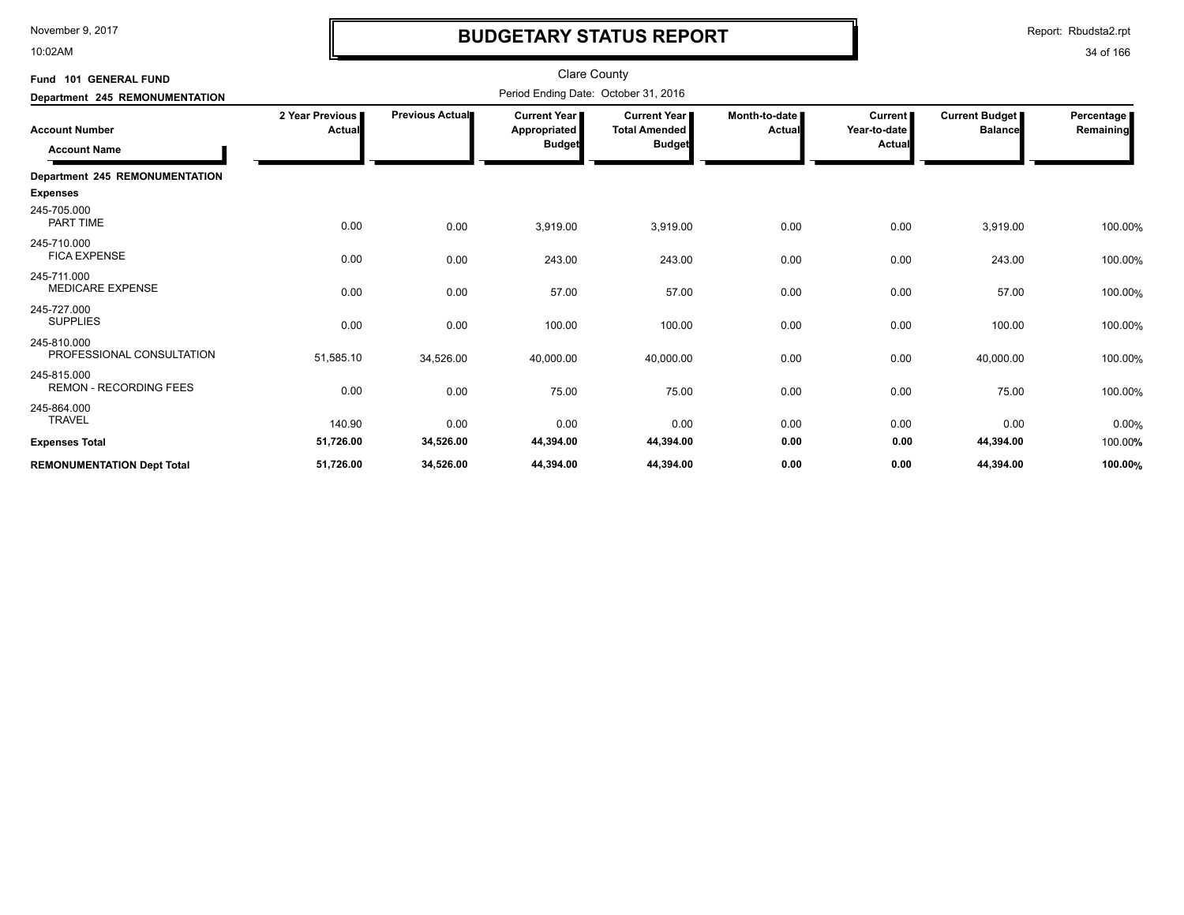10:02AM

# **BUDGETARY STATUS REPORT**

Report: Rbudsta2.rpt

| Fund 101 GENERAL FUND                        |                          |                 | <b>Clare County</b>                           |                                                              |                         |                                          |                                         |                         |
|----------------------------------------------|--------------------------|-----------------|-----------------------------------------------|--------------------------------------------------------------|-------------------------|------------------------------------------|-----------------------------------------|-------------------------|
| Department 245 REMONUMENTATION               |                          |                 | Period Ending Date: October 31, 2016          |                                                              |                         |                                          |                                         |                         |
| <b>Account Number</b><br><b>Account Name</b> | 2 Year Previous<br>Actua | Previous Actual | Current Year<br>Appropriated<br><b>Budget</b> | <b>Current Year</b><br><b>Total Amended</b><br><b>Budget</b> | Month-to-date<br>Actual | <b>Current</b><br>Year-to-date<br>Actual | <b>Current Budget</b><br><b>Balance</b> | Percentage<br>Remaining |
| <b>Department 245 REMONUMENTATION</b>        |                          |                 |                                               |                                                              |                         |                                          |                                         |                         |
| <b>Expenses</b>                              |                          |                 |                                               |                                                              |                         |                                          |                                         |                         |
| 245-705.000<br>PART TIME                     | 0.00                     | 0.00            | 3,919.00                                      | 3,919.00                                                     | 0.00                    | 0.00                                     | 3,919.00                                | 100.00%                 |
| 245-710.000<br><b>FICA EXPENSE</b>           | 0.00                     | 0.00            | 243.00                                        | 243.00                                                       | 0.00                    | 0.00                                     | 243.00                                  | 100.00%                 |
| 245-711.000<br><b>MEDICARE EXPENSE</b>       | 0.00                     | 0.00            | 57.00                                         | 57.00                                                        | 0.00                    | 0.00                                     | 57.00                                   | 100.00%                 |
| 245-727.000<br><b>SUPPLIES</b>               | 0.00                     | 0.00            | 100.00                                        | 100.00                                                       | 0.00                    | 0.00                                     | 100.00                                  | 100.00%                 |
| 245-810.000<br>PROFESSIONAL CONSULTATION     | 51,585.10                | 34,526.00       | 40,000.00                                     | 40,000.00                                                    | 0.00                    | 0.00                                     | 40,000.00                               | 100.00%                 |
| 245-815.000<br><b>REMON - RECORDING FEES</b> | 0.00                     | 0.00            | 75.00                                         | 75.00                                                        | 0.00                    | 0.00                                     | 75.00                                   | 100.00%                 |
| 245-864.000<br><b>TRAVEL</b>                 | 140.90                   | 0.00            | 0.00                                          | 0.00                                                         | 0.00                    | 0.00                                     | 0.00                                    | 0.00%                   |
| <b>Expenses Total</b>                        | 51,726.00                | 34,526.00       | 44,394.00                                     | 44,394.00                                                    | 0.00                    | 0.00                                     | 44,394.00                               | 100.00%                 |
| <b>REMONUMENTATION Dept Total</b>            | 51,726.00                | 34,526.00       | 44,394.00                                     | 44,394.00                                                    | 0.00                    | 0.00                                     | 44,394.00                               | 100.00%                 |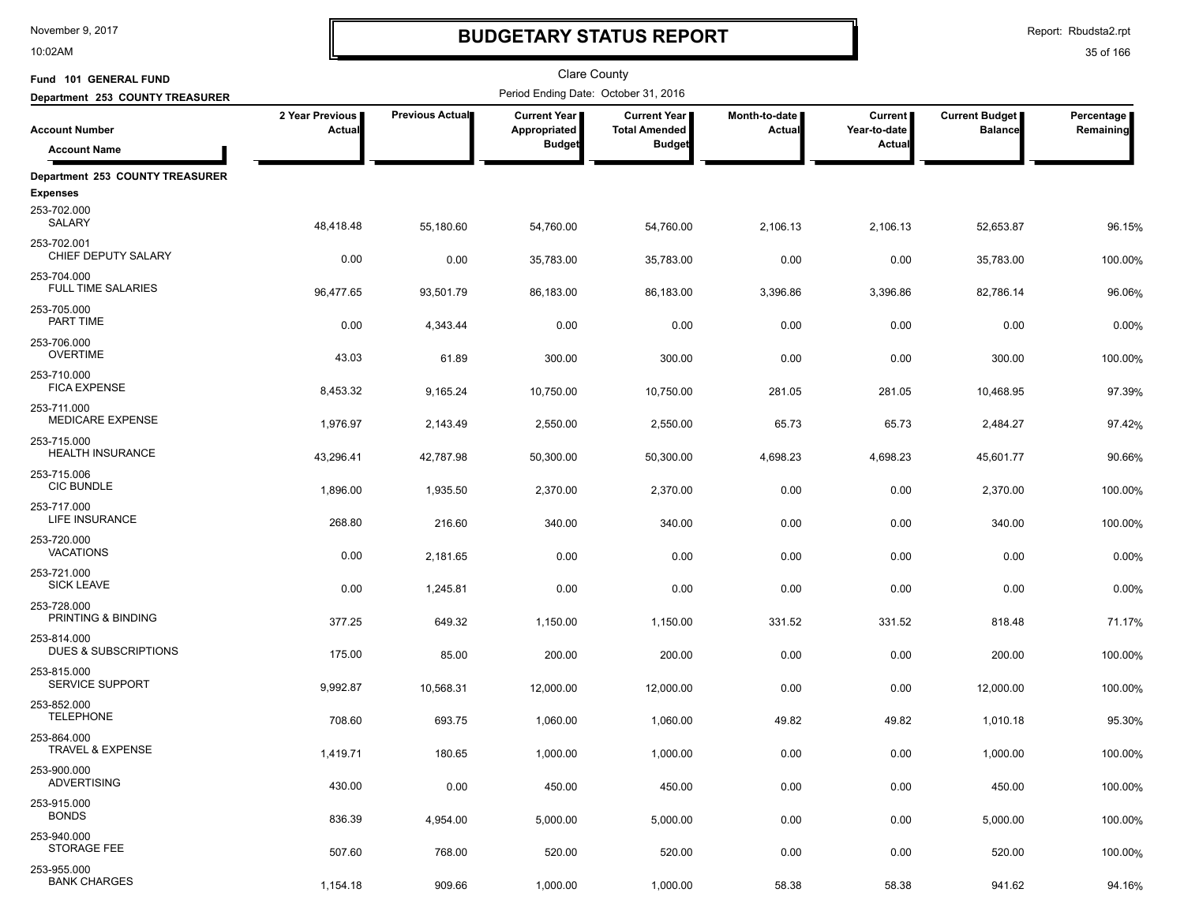10:02AM

# **BUDGETARY STATUS REPORT**

Report: Rbudsta2.rpt

| Fund 101 GENERAL FUND                          |                           |                        | <b>Clare County</b>                   |                                             |                         |                                |                                         |                         |
|------------------------------------------------|---------------------------|------------------------|---------------------------------------|---------------------------------------------|-------------------------|--------------------------------|-----------------------------------------|-------------------------|
| Department 253 COUNTY TREASURER                |                           |                        | Period Ending Date: October 31, 2016  |                                             |                         |                                |                                         |                         |
| <b>Account Number</b>                          | 2 Year Previous<br>Actual | <b>Previous Actual</b> | <b>Current Year I</b><br>Appropriated | <b>Current Year</b><br><b>Total Amended</b> | Month-to-date<br>Actual | <b>Current</b><br>Year-to-date | <b>Current Budget</b><br><b>Balance</b> | Percentage<br>Remaining |
| <b>Account Name</b>                            |                           |                        | <b>Budget</b>                         | <b>Budget</b>                               |                         | Actual                         |                                         |                         |
| Department 253 COUNTY TREASURER                |                           |                        |                                       |                                             |                         |                                |                                         |                         |
| <b>Expenses</b>                                |                           |                        |                                       |                                             |                         |                                |                                         |                         |
| 253-702.000<br>SALARY                          | 48,418.48                 | 55,180.60              | 54,760.00                             | 54,760.00                                   | 2,106.13                | 2,106.13                       | 52,653.87                               | 96.15%                  |
| 253-702.001<br>CHIEF DEPUTY SALARY             | 0.00                      | 0.00                   | 35,783.00                             | 35,783.00                                   | 0.00                    | 0.00                           | 35,783.00                               | 100.00%                 |
| 253-704.000<br><b>FULL TIME SALARIES</b>       | 96,477.65                 | 93,501.79              | 86,183.00                             | 86,183.00                                   | 3,396.86                | 3,396.86                       | 82,786.14                               | 96.06%                  |
| 253-705.000<br>PART TIME                       | 0.00                      | 4,343.44               | 0.00                                  | 0.00                                        | 0.00                    | 0.00                           | 0.00                                    | 0.00%                   |
| 253-706.000<br><b>OVERTIME</b>                 | 43.03                     | 61.89                  | 300.00                                | 300.00                                      | 0.00                    | 0.00                           | 300.00                                  | 100.00%                 |
| 253-710.000<br><b>FICA EXPENSE</b>             | 8,453.32                  | 9,165.24               | 10,750.00                             | 10,750.00                                   | 281.05                  | 281.05                         | 10,468.95                               | 97.39%                  |
| 253-711.000<br>MEDICARE EXPENSE                | 1,976.97                  | 2,143.49               | 2,550.00                              | 2,550.00                                    | 65.73                   | 65.73                          | 2,484.27                                | 97.42%                  |
| 253-715.000<br><b>HEALTH INSURANCE</b>         | 43,296.41                 | 42,787.98              | 50,300.00                             | 50,300.00                                   | 4,698.23                | 4,698.23                       | 45,601.77                               | 90.66%                  |
| 253-715.006<br><b>CIC BUNDLE</b>               | 1,896.00                  | 1,935.50               | 2,370.00                              | 2,370.00                                    | 0.00                    | 0.00                           | 2,370.00                                | 100.00%                 |
| 253-717.000<br>LIFE INSURANCE                  | 268.80                    | 216.60                 | 340.00                                | 340.00                                      | 0.00                    | 0.00                           | 340.00                                  | 100.00%                 |
| 253-720.000<br><b>VACATIONS</b>                | 0.00                      | 2,181.65               | 0.00                                  | 0.00                                        | 0.00                    | 0.00                           | 0.00                                    | 0.00%                   |
| 253-721.000<br><b>SICK LEAVE</b>               | 0.00                      | 1,245.81               | 0.00                                  | 0.00                                        | 0.00                    | 0.00                           | 0.00                                    | 0.00%                   |
| 253-728.000<br>PRINTING & BINDING              | 377.25                    | 649.32                 | 1,150.00                              | 1,150.00                                    | 331.52                  | 331.52                         | 818.48                                  | 71.17%                  |
| 253-814.000<br><b>DUES &amp; SUBSCRIPTIONS</b> | 175.00                    | 85.00                  | 200.00                                | 200.00                                      | 0.00                    | 0.00                           | 200.00                                  | 100.00%                 |
| 253-815.000<br><b>SERVICE SUPPORT</b>          | 9,992.87                  | 10,568.31              | 12,000.00                             | 12,000.00                                   | 0.00                    | 0.00                           | 12,000.00                               | 100.00%                 |
| 253-852.000<br><b>TELEPHONE</b>                | 708.60                    | 693.75                 | 1,060.00                              | 1,060.00                                    | 49.82                   | 49.82                          | 1,010.18                                | 95.30%                  |
| 253-864.000<br>TRAVEL & EXPENSE                | 1,419.71                  | 180.65                 | 1,000.00                              | 1,000.00                                    | 0.00                    | 0.00                           | 1,000.00                                | 100.00%                 |
| 253-900.000<br><b>ADVERTISING</b>              | 430.00                    | 0.00                   | 450.00                                | 450.00                                      | 0.00                    | 0.00                           | 450.00                                  | 100.00%                 |
| 253-915.000<br><b>BONDS</b>                    | 836.39                    | 4,954.00               | 5,000.00                              | 5,000.00                                    | 0.00                    | 0.00                           | 5,000.00                                | 100.00%                 |
| 253-940.000<br>STORAGE FEE                     | 507.60                    | 768.00                 | 520.00                                | 520.00                                      | 0.00                    | 0.00                           | 520.00                                  | 100.00%                 |
| 253-955.000<br><b>BANK CHARGES</b>             | 1,154.18                  | 909.66                 | 1,000.00                              | 1,000.00                                    | 58.38                   | 58.38                          | 941.62                                  | 94.16%                  |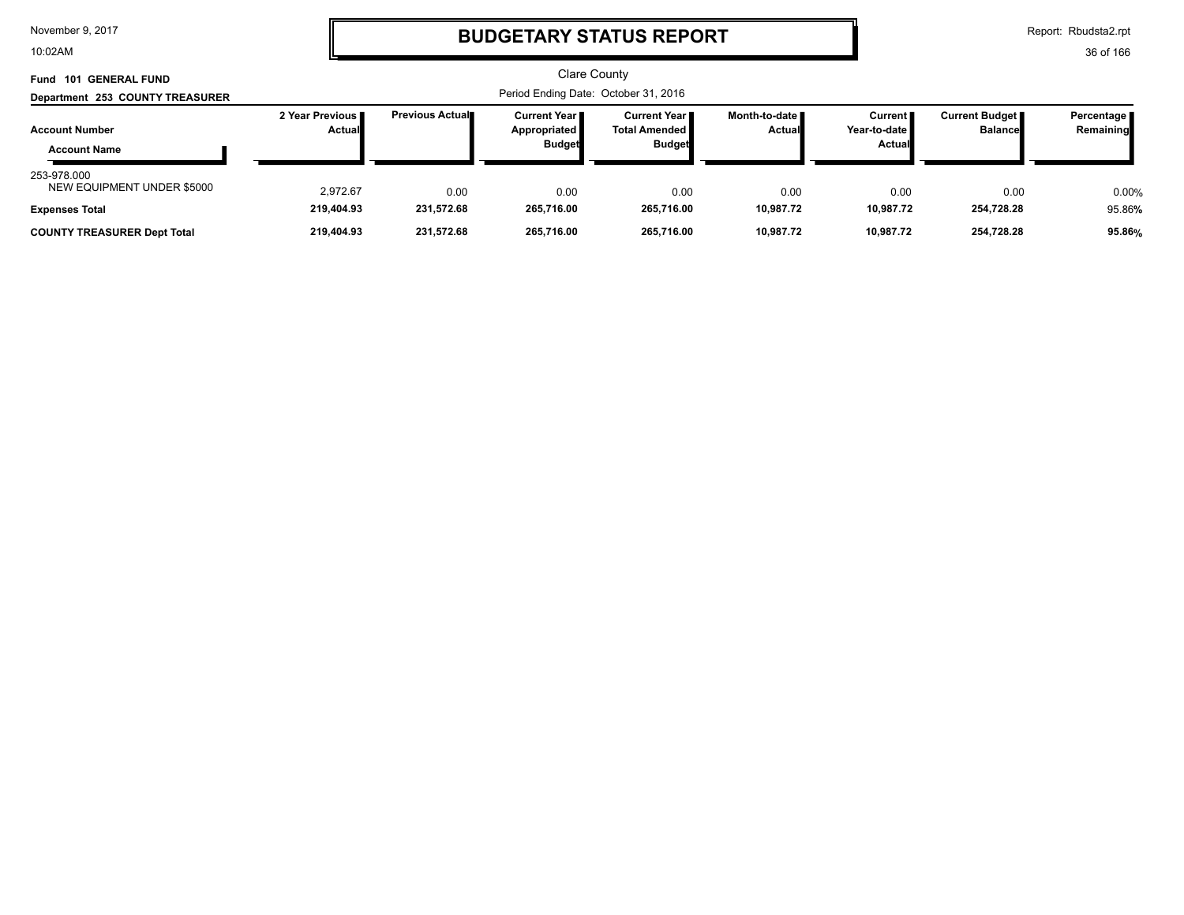10:02AM

# **BUDGETARY STATUS REPORT**

Report: Rbudsta2.rpt

| Fund 101 GENERAL FUND                                              |                           |                    |                                                        | Clare County                                             |                                  |                                                      |                                           |                           |
|--------------------------------------------------------------------|---------------------------|--------------------|--------------------------------------------------------|----------------------------------------------------------|----------------------------------|------------------------------------------------------|-------------------------------------------|---------------------------|
| Department 253 COUNTY TREASURER                                    |                           |                    |                                                        |                                                          |                                  |                                                      |                                           |                           |
| <b>Account Number</b><br><b>Account Name</b>                       | 2 Year Previous<br>Actual | Previous Actual    | <b>Current Year I</b><br>Appropriated<br><b>Budget</b> | Current Year II<br><b>Total Amended</b><br><b>Budget</b> | Month-to-date ∎<br><b>Actual</b> | Current <b>II</b><br>Year-to-date l<br><b>Actual</b> | <b>Current Budget</b> ■<br><b>Balance</b> | Percentage  <br>Remaining |
| 253-978.000<br>NEW EQUIPMENT UNDER \$5000<br><b>Expenses Total</b> | 2.972.67<br>219,404.93    | 0.00<br>231,572.68 | 0.00<br>265,716.00                                     | 0.00<br>265,716.00                                       | 0.00<br>10,987.72                | 0.00<br>10.987.72                                    | 0.00<br>254,728.28                        | 0.00%<br>95.86%           |
| <b>COUNTY TREASURER Dept Total</b>                                 | 219,404.93                | 231,572.68         | 265.716.00                                             | 265.716.00                                               | 10,987.72                        | 10,987.72                                            | 254,728.28                                | 95.86%                    |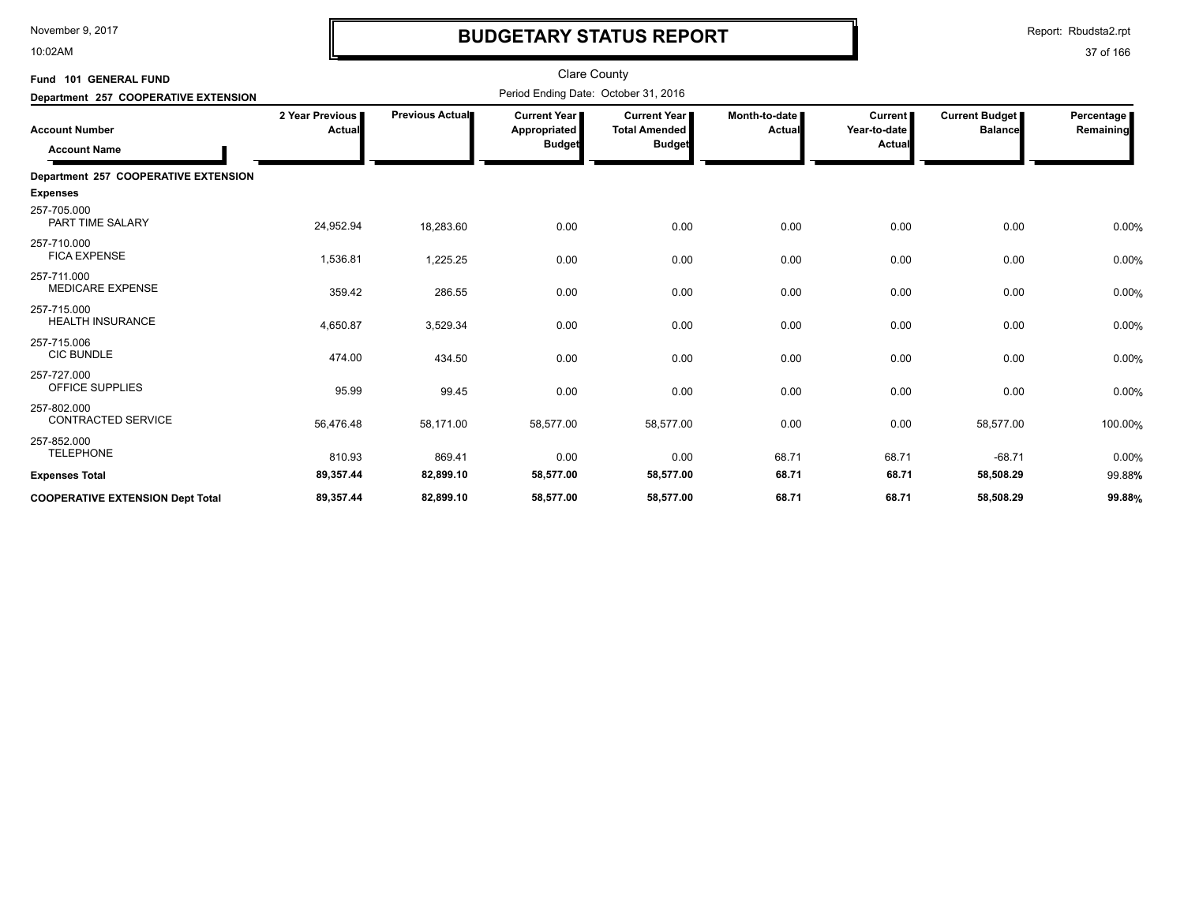10:02AM

# **BUDGETARY STATUS REPORT**

Report: Rbudsta2.rpt

| Fund 101 GENERAL FUND                        |                                  |                        | <b>Clare County</b>                                    |                                                       |                           |                                     |                                         |                           |
|----------------------------------------------|----------------------------------|------------------------|--------------------------------------------------------|-------------------------------------------------------|---------------------------|-------------------------------------|-----------------------------------------|---------------------------|
| Department 257 COOPERATIVE EXTENSION         |                                  |                        | Period Ending Date: October 31, 2016                   |                                                       |                           |                                     |                                         |                           |
| <b>Account Number</b><br><b>Account Name</b> | 2 Year Previous<br><b>Actual</b> | <b>Previous Actual</b> | <b>Current Year I</b><br>Appropriated<br><b>Budget</b> | Current Year<br><b>Total Amended</b><br><b>Budget</b> | Month-to-date I<br>Actual | Current  <br>Year-to-date<br>Actual | <b>Current Budget</b><br><b>Balance</b> | Percentage  <br>Remaining |
| Department 257 COOPERATIVE EXTENSION         |                                  |                        |                                                        |                                                       |                           |                                     |                                         |                           |
| <b>Expenses</b>                              |                                  |                        |                                                        |                                                       |                           |                                     |                                         |                           |
| 257-705.000<br><b>PART TIME SALARY</b>       | 24,952.94                        | 18,283.60              | 0.00                                                   | 0.00                                                  | 0.00                      | 0.00                                | 0.00                                    | 0.00%                     |
| 257-710.000<br><b>FICA EXPENSE</b>           | 1,536.81                         | 1,225.25               | 0.00                                                   | 0.00                                                  | 0.00                      | 0.00                                | 0.00                                    | 0.00%                     |
| 257-711.000<br><b>MEDICARE EXPENSE</b>       | 359.42                           | 286.55                 | 0.00                                                   | 0.00                                                  | 0.00                      | 0.00                                | 0.00                                    | 0.00%                     |
| 257-715.000<br><b>HEALTH INSURANCE</b>       | 4,650.87                         | 3,529.34               | 0.00                                                   | 0.00                                                  | 0.00                      | 0.00                                | 0.00                                    | 0.00%                     |
| 257-715.006<br><b>CIC BUNDLE</b>             | 474.00                           | 434.50                 | 0.00                                                   | 0.00                                                  | 0.00                      | 0.00                                | 0.00                                    | 0.00%                     |
| 257-727.000<br>OFFICE SUPPLIES               | 95.99                            | 99.45                  | 0.00                                                   | 0.00                                                  | 0.00                      | 0.00                                | 0.00                                    | 0.00%                     |
| 257-802.000<br><b>CONTRACTED SERVICE</b>     | 56,476.48                        | 58,171.00              | 58,577.00                                              | 58,577.00                                             | 0.00                      | 0.00                                | 58,577.00                               | 100.00%                   |
| 257-852.000<br><b>TELEPHONE</b>              | 810.93                           | 869.41                 | 0.00                                                   | 0.00                                                  | 68.71                     | 68.71                               | $-68.71$                                | 0.00%                     |
| <b>Expenses Total</b>                        | 89,357.44                        | 82,899.10              | 58,577.00                                              | 58,577.00                                             | 68.71                     | 68.71                               | 58,508.29                               | 99.88%                    |
| <b>COOPERATIVE EXTENSION Dept Total</b>      | 89,357.44                        | 82,899.10              | 58,577.00                                              | 58,577.00                                             | 68.71                     | 68.71                               | 58,508.29                               | 99.88%                    |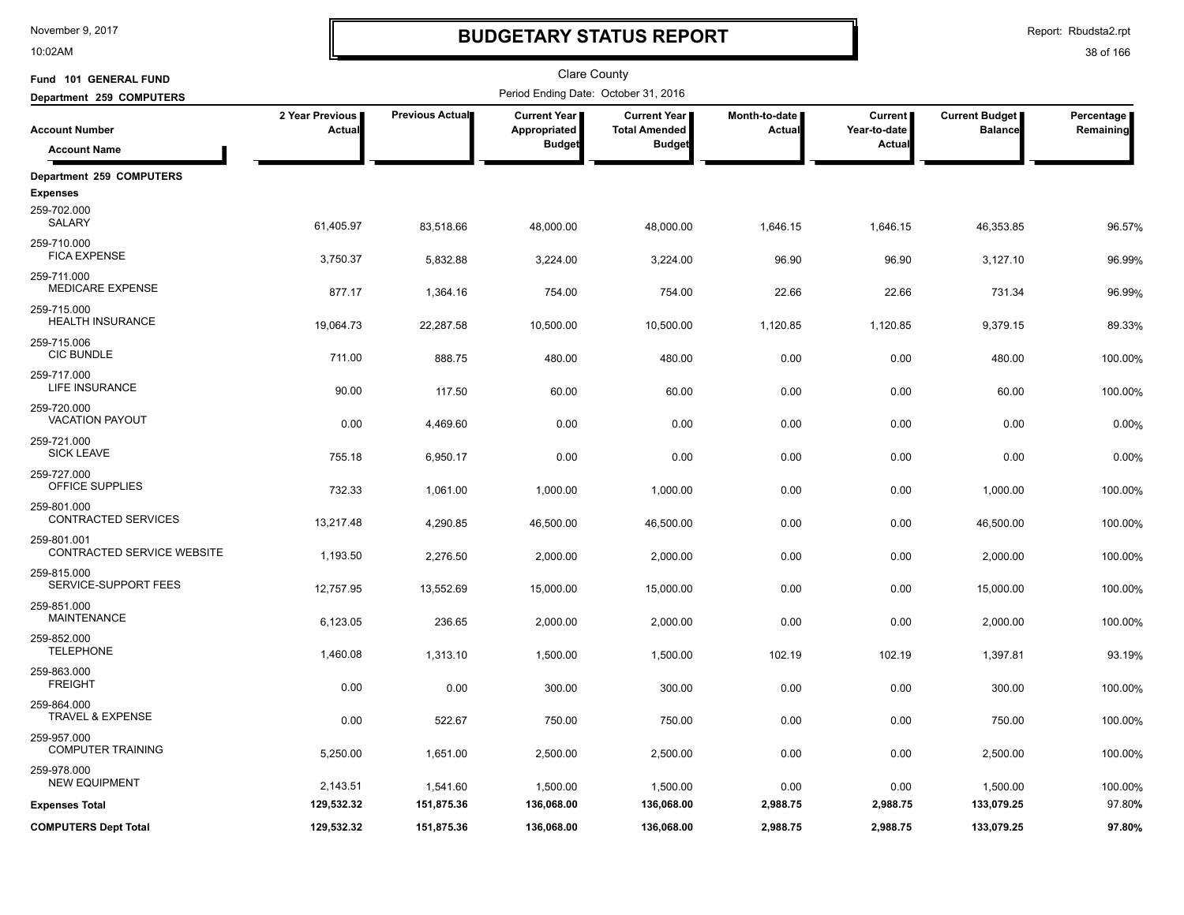10:02AM

# **BUDGETARY STATUS REPORT**

Report: Rbudsta2.rpt

| Fund 101 GENERAL FUND                     |                           |                 | <b>Clare County</b>                                    |                                                              |                         |                                          |                                         |                         |
|-------------------------------------------|---------------------------|-----------------|--------------------------------------------------------|--------------------------------------------------------------|-------------------------|------------------------------------------|-----------------------------------------|-------------------------|
| Department 259 COMPUTERS                  |                           |                 | Period Ending Date: October 31, 2016                   |                                                              |                         |                                          |                                         |                         |
| <b>Account Number</b>                     | 2 Year Previous<br>Actual | Previous Actual | <b>Current Year</b>  <br>Appropriated<br><b>Budget</b> | <b>Current Year</b><br><b>Total Amended</b><br><b>Budget</b> | Month-to-date<br>Actual | <b>Current</b><br>Year-to-date<br>Actual | <b>Current Budget</b><br><b>Balance</b> | Percentage<br>Remaining |
| <b>Account Name</b>                       |                           |                 |                                                        |                                                              |                         |                                          |                                         |                         |
| Department 259 COMPUTERS                  |                           |                 |                                                        |                                                              |                         |                                          |                                         |                         |
| <b>Expenses</b>                           |                           |                 |                                                        |                                                              |                         |                                          |                                         |                         |
| 259-702.000<br><b>SALARY</b>              | 61,405.97                 | 83,518.66       | 48,000.00                                              | 48,000.00                                                    | 1,646.15                | 1,646.15                                 | 46,353.85                               | 96.57%                  |
| 259-710.000<br><b>FICA EXPENSE</b>        | 3,750.37                  | 5,832.88        | 3,224.00                                               | 3,224.00                                                     | 96.90                   | 96.90                                    | 3,127.10                                | 96.99%                  |
| 259-711.000<br><b>MEDICARE EXPENSE</b>    | 877.17                    | 1,364.16        | 754.00                                                 | 754.00                                                       | 22.66                   | 22.66                                    | 731.34                                  | 96.99%                  |
| 259-715.000<br><b>HEALTH INSURANCE</b>    | 19,064.73                 | 22,287.58       | 10,500.00                                              | 10,500.00                                                    | 1,120.85                | 1,120.85                                 | 9,379.15                                | 89.33%                  |
| 259-715.006<br><b>CIC BUNDLE</b>          | 711.00                    | 888.75          | 480.00                                                 | 480.00                                                       | 0.00                    | 0.00                                     | 480.00                                  | 100.00%                 |
| 259-717.000<br>LIFE INSURANCE             | 90.00                     | 117.50          | 60.00                                                  | 60.00                                                        | 0.00                    | 0.00                                     | 60.00                                   | 100.00%                 |
| 259-720.000<br><b>VACATION PAYOUT</b>     | 0.00                      | 4,469.60        | 0.00                                                   | 0.00                                                         | 0.00                    | 0.00                                     | 0.00                                    | 0.00%                   |
| 259-721.000<br><b>SICK LEAVE</b>          | 755.18                    | 6,950.17        | 0.00                                                   | 0.00                                                         | 0.00                    | 0.00                                     | 0.00                                    | 0.00%                   |
| 259-727.000<br>OFFICE SUPPLIES            | 732.33                    | 1,061.00        | 1,000.00                                               | 1,000.00                                                     | 0.00                    | 0.00                                     | 1,000.00                                | 100.00%                 |
| 259-801.000<br><b>CONTRACTED SERVICES</b> | 13,217.48                 | 4,290.85        | 46,500.00                                              | 46,500.00                                                    | 0.00                    | 0.00                                     | 46,500.00                               | 100.00%                 |
| 259-801.001<br>CONTRACTED SERVICE WEBSITE | 1,193.50                  | 2,276.50        | 2,000.00                                               | 2,000.00                                                     | 0.00                    | 0.00                                     | 2,000.00                                | 100.00%                 |
| 259-815.000<br>SERVICE-SUPPORT FEES       | 12,757.95                 | 13,552.69       | 15,000.00                                              | 15,000.00                                                    | 0.00                    | 0.00                                     | 15,000.00                               | 100.00%                 |
| 259-851.000<br><b>MAINTENANCE</b>         | 6,123.05                  | 236.65          | 2,000.00                                               | 2,000.00                                                     | 0.00                    | 0.00                                     | 2,000.00                                | 100.00%                 |
| 259-852.000<br><b>TELEPHONE</b>           | 1,460.08                  | 1,313.10        | 1,500.00                                               | 1,500.00                                                     | 102.19                  | 102.19                                   | 1,397.81                                | 93.19%                  |
| 259-863.000<br><b>FREIGHT</b>             | 0.00                      | 0.00            | 300.00                                                 | 300.00                                                       | 0.00                    | 0.00                                     | 300.00                                  | 100.00%                 |
| 259-864.000<br>TRAVEL & EXPENSE           | 0.00                      | 522.67          | 750.00                                                 | 750.00                                                       | 0.00                    | 0.00                                     | 750.00                                  | 100.00%                 |
| 259-957.000<br><b>COMPUTER TRAINING</b>   | 5,250.00                  | 1,651.00        | 2,500.00                                               | 2,500.00                                                     | 0.00                    | 0.00                                     | 2,500.00                                | 100.00%                 |
| 259-978.000<br><b>NEW EQUIPMENT</b>       | 2,143.51                  | 1,541.60        | 1,500.00                                               | 1,500.00                                                     | 0.00                    | 0.00                                     | 1,500.00                                | 100.00%                 |
| <b>Expenses Total</b>                     | 129,532.32                | 151,875.36      | 136,068.00                                             | 136,068.00                                                   | 2,988.75                | 2,988.75                                 | 133,079.25                              | 97.80%                  |
| <b>COMPUTERS Dept Total</b>               | 129,532.32                | 151,875.36      | 136,068.00                                             | 136,068.00                                                   | 2,988.75                | 2,988.75                                 | 133,079.25                              | 97.80%                  |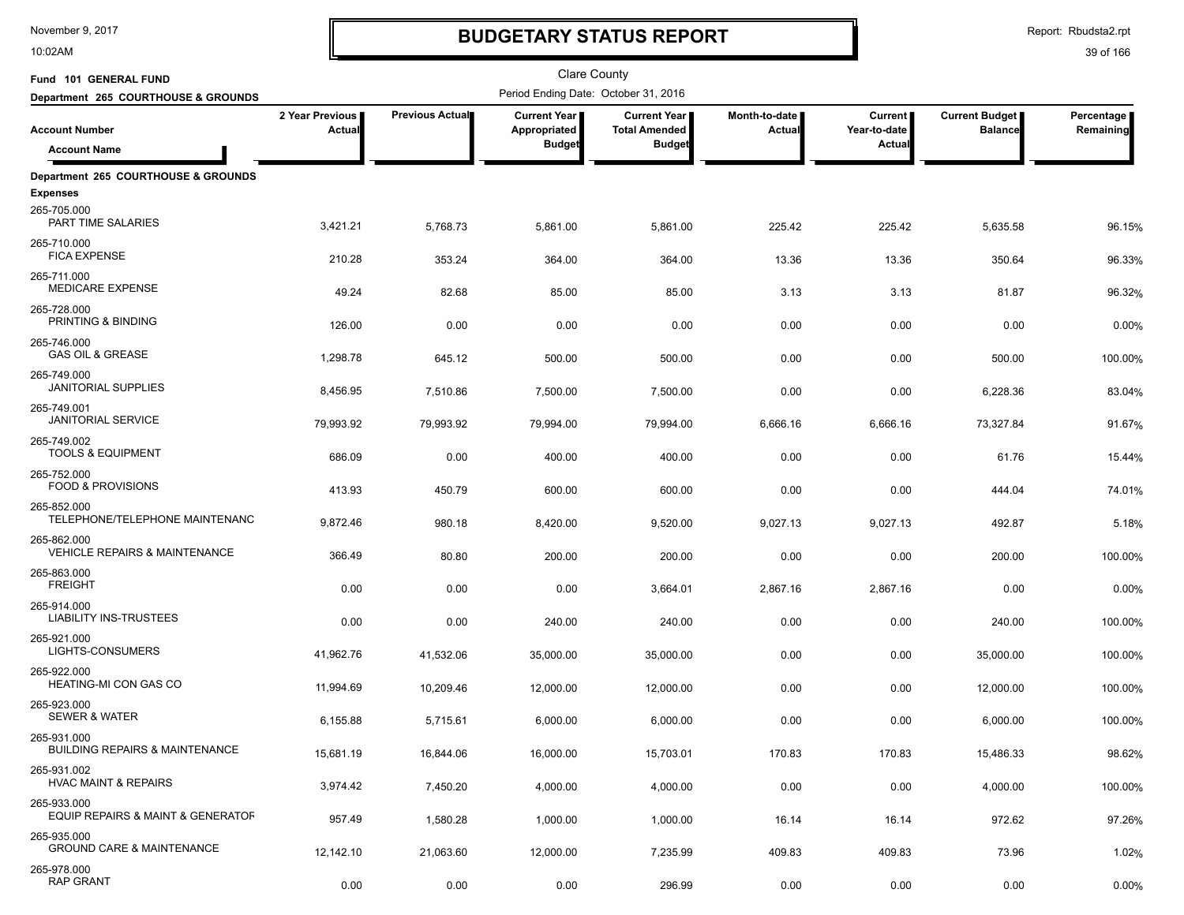10:02AM

# **BUDGETARY STATUS REPORT**

| Fund 101 GENERAL FUND                                    |                                  |                        | <b>Clare County</b>                   |                                               |                                |                           |                                         |                         |
|----------------------------------------------------------|----------------------------------|------------------------|---------------------------------------|-----------------------------------------------|--------------------------------|---------------------------|-----------------------------------------|-------------------------|
| Department 265 COURTHOUSE & GROUNDS                      |                                  |                        | Period Ending Date: October 31, 2016  |                                               |                                |                           |                                         | Percentage<br>Remaining |
| <b>Account Number</b>                                    | 2 Year Previous<br><b>Actual</b> | <b>Previous Actual</b> | <b>Current Year I</b><br>Appropriated | <b>Current Year I</b><br><b>Total Amended</b> | Month-to-date<br><b>Actual</b> | Current  <br>Year-to-date | <b>Current Budget</b><br><b>Balance</b> |                         |
| <b>Account Name</b>                                      |                                  |                        | <b>Budget</b>                         | <b>Budget</b>                                 |                                | Actual                    |                                         |                         |
| Department 265 COURTHOUSE & GROUNDS                      |                                  |                        |                                       |                                               |                                |                           |                                         |                         |
| <b>Expenses</b>                                          |                                  |                        |                                       |                                               |                                |                           |                                         |                         |
| 265-705.000<br>PART TIME SALARIES                        | 3,421.21                         | 5,768.73               | 5,861.00                              | 5,861.00                                      | 225.42                         | 225.42                    | 5,635.58                                | 96.15%                  |
| 265-710.000<br><b>FICA EXPENSE</b>                       | 210.28                           | 353.24                 | 364.00                                | 364.00                                        | 13.36                          | 13.36                     | 350.64                                  | 96.33%                  |
| 265-711.000<br><b>MEDICARE EXPENSE</b>                   | 49.24                            | 82.68                  | 85.00                                 | 85.00                                         | 3.13                           | 3.13                      | 81.87                                   | 96.32%                  |
| 265-728.000<br>PRINTING & BINDING                        | 126.00                           | 0.00                   | 0.00                                  | 0.00                                          | 0.00                           | 0.00                      | 0.00                                    | 0.00%                   |
| 265-746.000<br><b>GAS OIL &amp; GREASE</b>               | 1,298.78                         | 645.12                 | 500.00                                | 500.00                                        | 0.00                           | 0.00                      | 500.00                                  | 100.00%                 |
| 265-749.000<br><b>JANITORIAL SUPPLIES</b>                | 8,456.95                         | 7,510.86               | 7,500.00                              | 7,500.00                                      | 0.00                           | 0.00                      | 6,228.36                                | 83.04%                  |
| 265-749.001<br><b>JANITORIAL SERVICE</b>                 | 79,993.92                        | 79,993.92              | 79,994.00                             | 79,994.00                                     | 6,666.16                       | 6,666.16                  | 73,327.84                               | 91.67%                  |
| 265-749.002<br><b>TOOLS &amp; EQUIPMENT</b>              | 686.09                           | 0.00                   | 400.00                                | 400.00                                        | 0.00                           | 0.00                      | 61.76                                   | 15.44%                  |
| 265-752.000<br>FOOD & PROVISIONS                         | 413.93                           | 450.79                 | 600.00                                | 600.00                                        | 0.00                           | 0.00                      | 444.04                                  | 74.01%                  |
| 265-852.000<br>TELEPHONE/TELEPHONE MAINTENANC            | 9,872.46                         | 980.18                 | 8,420.00                              | 9,520.00                                      | 9,027.13                       | 9,027.13                  | 492.87                                  | 5.18%                   |
| 265-862.000<br>VEHICLE REPAIRS & MAINTENANCE             | 366.49                           | 80.80                  | 200.00                                | 200.00                                        | 0.00                           | 0.00                      | 200.00                                  | 100.00%                 |
| 265-863.000<br><b>FREIGHT</b>                            | 0.00                             | 0.00                   | 0.00                                  | 3,664.01                                      | 2,867.16                       | 2,867.16                  | 0.00                                    | 0.00%                   |
| 265-914.000<br><b>LIABILITY INS-TRUSTEES</b>             | 0.00                             | 0.00                   | 240.00                                | 240.00                                        | 0.00                           | 0.00                      | 240.00                                  | 100.00%                 |
| 265-921.000<br>LIGHTS-CONSUMERS                          | 41,962.76                        | 41,532.06              | 35,000.00                             | 35,000.00                                     | 0.00                           | 0.00                      | 35,000.00                               | 100.00%                 |
| 265-922.000<br>HEATING-MI CON GAS CO                     | 11,994.69                        | 10,209.46              | 12,000.00                             | 12,000.00                                     | 0.00                           | 0.00                      | 12,000.00                               | 100.00%                 |
| 265-923.000<br><b>SEWER &amp; WATER</b>                  | 6,155.88                         | 5,715.61               | 6,000.00                              | 6,000.00                                      | 0.00                           | 0.00                      | 6,000.00                                | 100.00%                 |
| 265-931.000<br><b>BUILDING REPAIRS &amp; MAINTENANCE</b> | 15,681.19                        | 16,844.06              | 16,000.00                             | 15,703.01                                     | 170.83                         | 170.83                    | 15,486.33                               | 98.62%                  |
| 265-931.002<br><b>HVAC MAINT &amp; REPAIRS</b>           | 3,974.42                         | 7,450.20               | 4,000.00                              | 4,000.00                                      | 0.00                           | 0.00                      | 4,000.00                                | 100.00%                 |
| 265-933.000<br>EQUIP REPAIRS & MAINT & GENERATOF         | 957.49                           | 1,580.28               | 1,000.00                              | 1,000.00                                      | 16.14                          | 16.14                     | 972.62                                  | 97.26%                  |
| 265-935.000<br><b>GROUND CARE &amp; MAINTENANCE</b>      | 12,142.10                        | 21,063.60              | 12,000.00                             | 7,235.99                                      | 409.83                         | 409.83                    | 73.96                                   | 1.02%                   |
| 265-978.000<br><b>RAP GRANT</b>                          | 0.00                             | 0.00                   | 0.00                                  | 296.99                                        | 0.00                           | 0.00                      | 0.00                                    | 0.00%                   |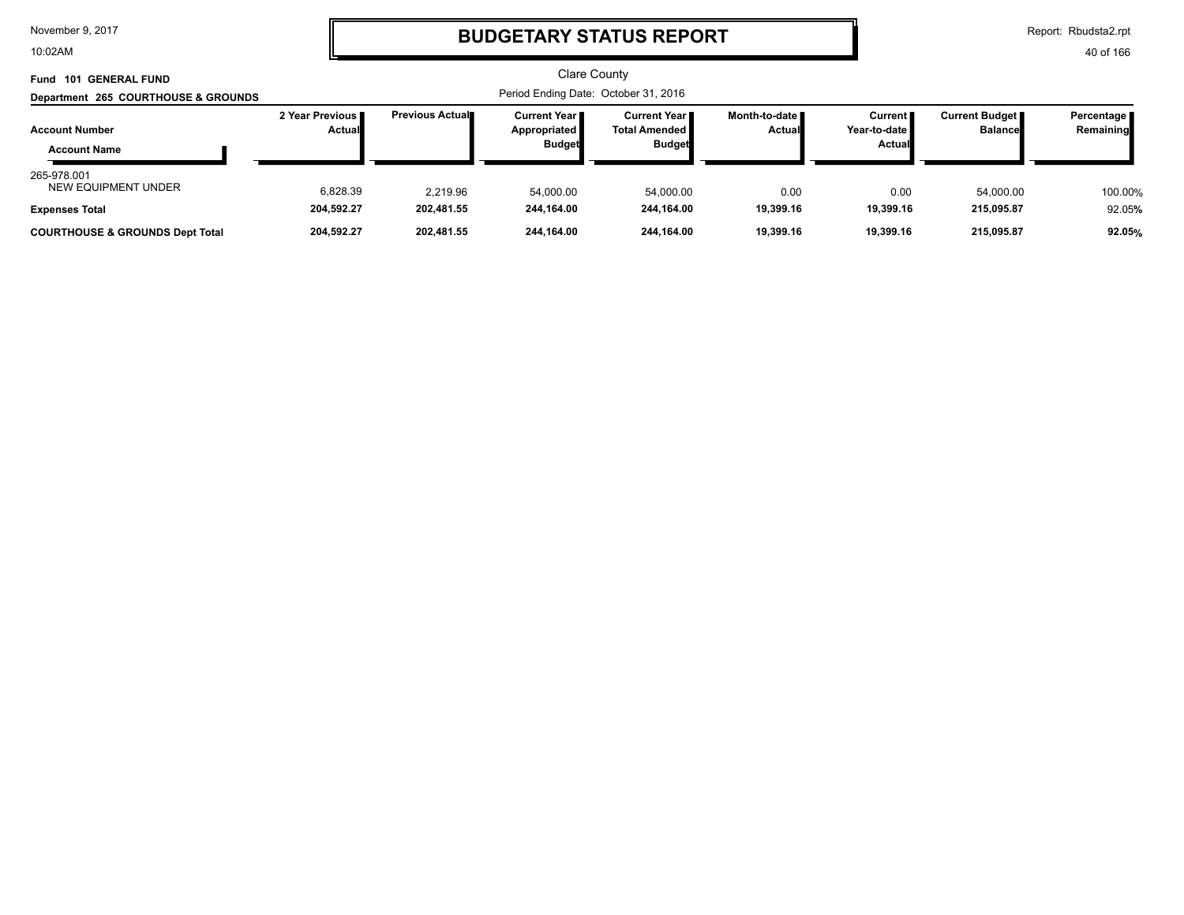10:02AM

## **BUDGETARY STATUS REPORT**

Report: Rbudsta2.rpt

|               |                                                |                                                               | <b>Clare County</b>                                          |                                                                  |                                                 |                                           |                          |
|---------------|------------------------------------------------|---------------------------------------------------------------|--------------------------------------------------------------|------------------------------------------------------------------|-------------------------------------------------|-------------------------------------------|--------------------------|
|               |                                                |                                                               |                                                              |                                                                  |                                                 |                                           |                          |
| <b>Actual</b> | <b>Previous Actual</b>                         | <b>Current Year</b> ∎<br><b>Appropriated</b><br><b>Budget</b> | <b>Current Year</b><br><b>Total Amended</b><br><b>Budget</b> | Month-to-date II<br><b>Actual</b>                                | <b>Current</b><br>Year-to-date<br><b>Actual</b> | <b>Current Budget</b> ∎<br><b>Balance</b> | Percentage<br>Remaining  |
| 6,828.39      | 2.219.96                                       | 54,000.00                                                     | 54,000.00                                                    | 0.00                                                             | 0.00                                            | 54,000.00                                 | 100.00%                  |
|               |                                                |                                                               |                                                              |                                                                  |                                                 |                                           | 92.05%<br>92.05%         |
|               | 2 Year Previous II<br>204,592.27<br>204,592.27 | 202,481.55<br>202.481.55                                      | 244,164.00<br>244.164.00                                     | Period Ending Date: October 31, 2016<br>244.164.00<br>244.164.00 | 19,399.16<br>19.399.16                          | 19,399.16<br>19,399.16                    | 215,095.87<br>215.095.87 |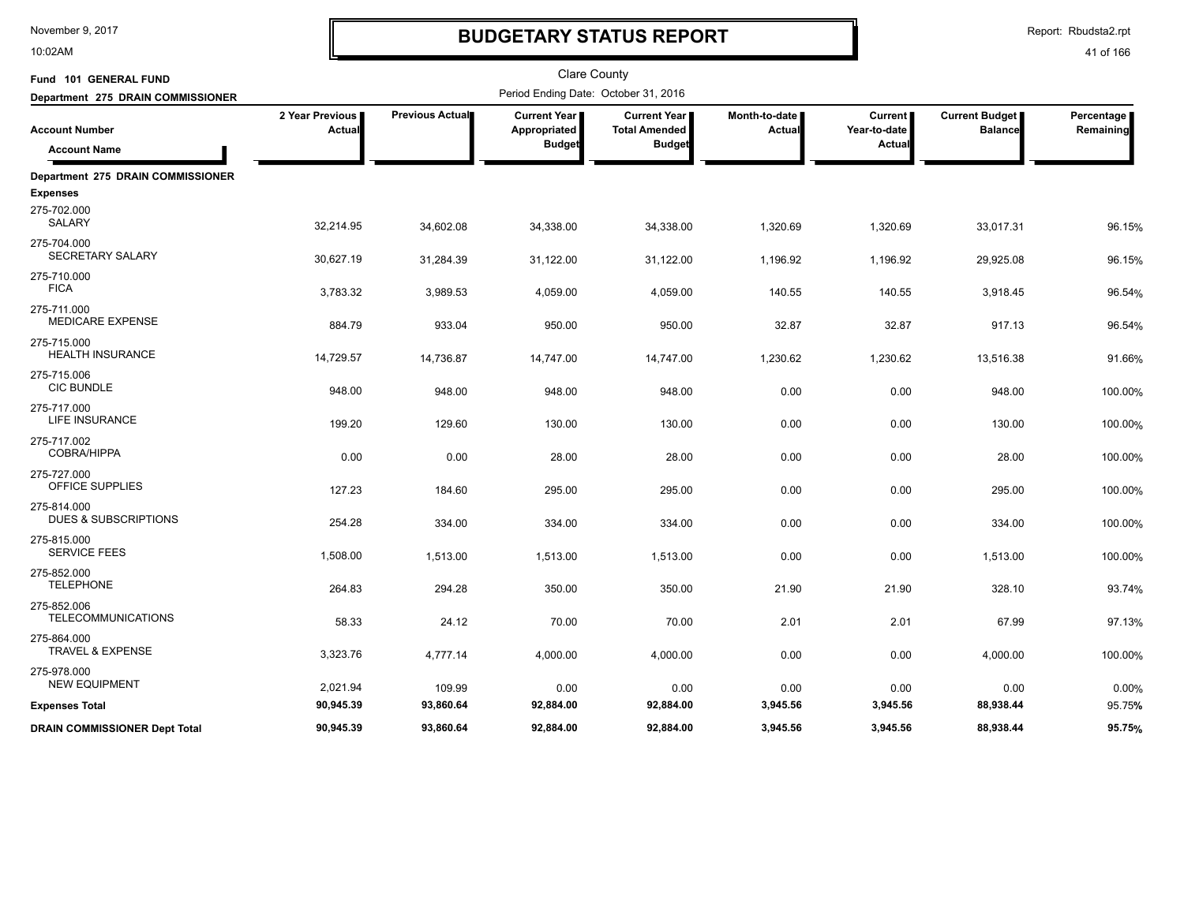10:02AM

# **BUDGETARY STATUS REPORT**

Report: Rbudsta2.rpt

| Fund 101 GENERAL FUND                          |                           |                 | Clare County                                         |                                                              |                         |                                   |                                         |                         |
|------------------------------------------------|---------------------------|-----------------|------------------------------------------------------|--------------------------------------------------------------|-------------------------|-----------------------------------|-----------------------------------------|-------------------------|
| Department 275 DRAIN COMMISSIONER              |                           |                 | Period Ending Date: October 31, 2016                 |                                                              |                         |                                   |                                         |                         |
| <b>Account Number</b><br><b>Account Name</b>   | 2 Year Previous<br>Actual | Previous Actual | <b>Current Year</b><br>Appropriated<br><b>Budget</b> | <b>Current Year</b><br><b>Total Amended</b><br><b>Budget</b> | Month-to-date<br>Actual | Current<br>Year-to-date<br>Actual | <b>Current Budget</b><br><b>Balance</b> | Percentage<br>Remaining |
| Department 275 DRAIN COMMISSIONER              |                           |                 |                                                      |                                                              |                         |                                   |                                         |                         |
| <b>Expenses</b>                                |                           |                 |                                                      |                                                              |                         |                                   |                                         |                         |
| 275-702.000<br><b>SALARY</b>                   | 32,214.95                 | 34,602.08       | 34,338.00                                            | 34,338.00                                                    | 1,320.69                | 1,320.69                          | 33,017.31                               | 96.15%                  |
| 275-704.000<br>SECRETARY SALARY                | 30,627.19                 | 31,284.39       | 31,122.00                                            | 31,122.00                                                    | 1,196.92                | 1,196.92                          | 29,925.08                               | 96.15%                  |
| 275-710.000<br><b>FICA</b>                     | 3,783.32                  | 3,989.53        | 4,059.00                                             | 4,059.00                                                     | 140.55                  | 140.55                            | 3,918.45                                | 96.54%                  |
| 275-711.000<br><b>MEDICARE EXPENSE</b>         | 884.79                    | 933.04          | 950.00                                               | 950.00                                                       | 32.87                   | 32.87                             | 917.13                                  | 96.54%                  |
| 275-715.000<br><b>HEALTH INSURANCE</b>         | 14,729.57                 | 14,736.87       | 14,747.00                                            | 14,747.00                                                    | 1,230.62                | 1,230.62                          | 13,516.38                               | 91.66%                  |
| 275-715.006<br><b>CIC BUNDLE</b>               | 948.00                    | 948.00          | 948.00                                               | 948.00                                                       | 0.00                    | 0.00                              | 948.00                                  | 100.00%                 |
| 275-717.000<br><b>LIFE INSURANCE</b>           | 199.20                    | 129.60          | 130.00                                               | 130.00                                                       | 0.00                    | 0.00                              | 130.00                                  | 100.00%                 |
| 275-717.002<br><b>COBRA/HIPPA</b>              | 0.00                      | 0.00            | 28.00                                                | 28.00                                                        | 0.00                    | 0.00                              | 28.00                                   | 100.00%                 |
| 275-727.000<br>OFFICE SUPPLIES                 | 127.23                    | 184.60          | 295.00                                               | 295.00                                                       | 0.00                    | 0.00                              | 295.00                                  | 100.00%                 |
| 275-814.000<br><b>DUES &amp; SUBSCRIPTIONS</b> | 254.28                    | 334.00          | 334.00                                               | 334.00                                                       | 0.00                    | 0.00                              | 334.00                                  | 100.00%                 |
| 275-815.000<br><b>SERVICE FEES</b>             | 1,508.00                  | 1,513.00        | 1,513.00                                             | 1,513.00                                                     | 0.00                    | 0.00                              | 1,513.00                                | 100.00%                 |
| 275-852.000<br><b>TELEPHONE</b>                | 264.83                    | 294.28          | 350.00                                               | 350.00                                                       | 21.90                   | 21.90                             | 328.10                                  | 93.74%                  |
| 275-852.006<br><b>TELECOMMUNICATIONS</b>       | 58.33                     | 24.12           | 70.00                                                | 70.00                                                        | 2.01                    | 2.01                              | 67.99                                   | 97.13%                  |
| 275-864.000<br><b>TRAVEL &amp; EXPENSE</b>     | 3,323.76                  | 4,777.14        | 4,000.00                                             | 4,000.00                                                     | 0.00                    | 0.00                              | 4,000.00                                | 100.00%                 |
| 275-978.000<br><b>NEW EQUIPMENT</b>            | 2,021.94                  | 109.99          | 0.00                                                 | 0.00                                                         | 0.00                    | 0.00                              | 0.00                                    | 0.00%                   |
| <b>Expenses Total</b>                          | 90,945.39                 | 93,860.64       | 92,884.00                                            | 92,884.00                                                    | 3,945.56                | 3,945.56                          | 88,938.44                               | 95.75%                  |
| <b>DRAIN COMMISSIONER Dept Total</b>           | 90,945.39                 | 93,860.64       | 92,884.00                                            | 92,884.00                                                    | 3,945.56                | 3,945.56                          | 88,938.44                               | 95.75%                  |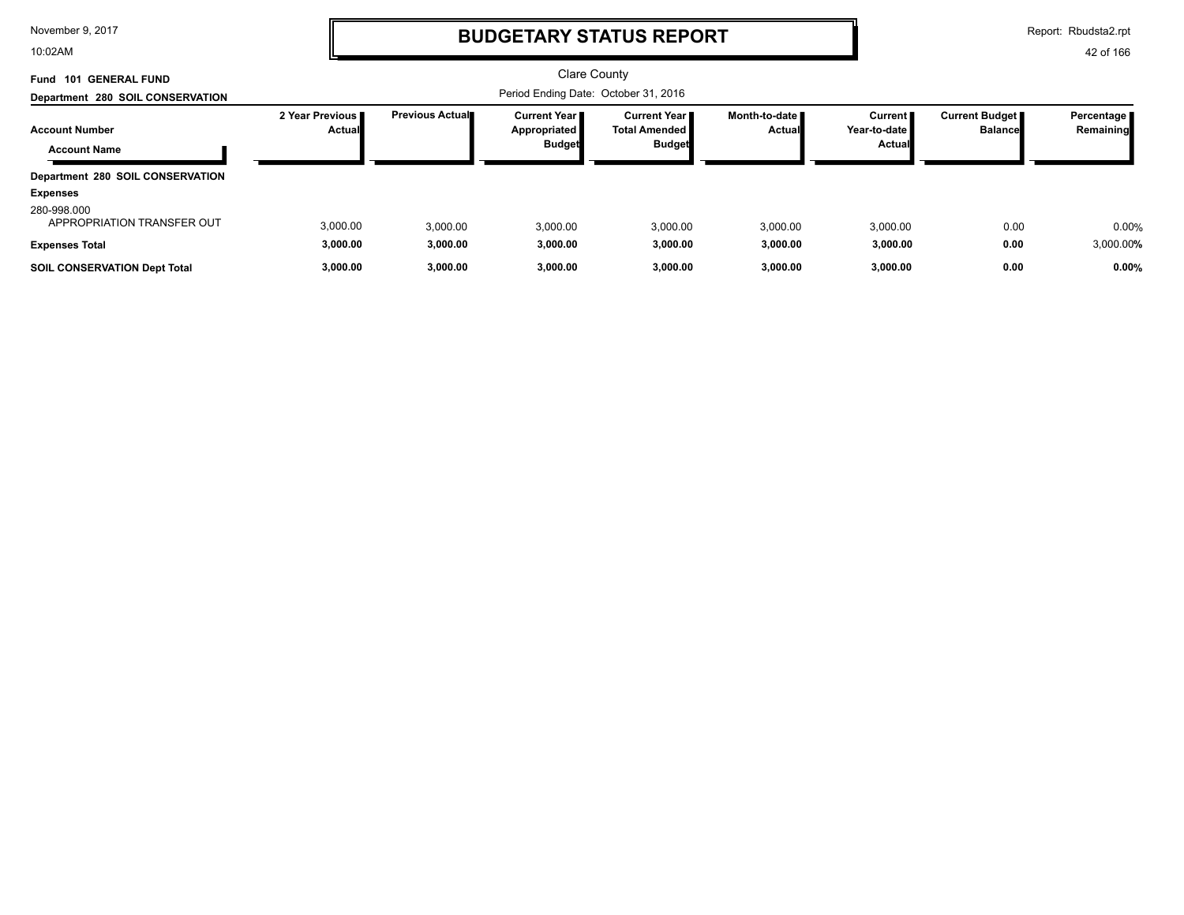10:02AM

## **BUDGETARY STATUS REPORT**

Report: Rbudsta2.rpt

| <b>101 GENERAL FUND</b><br>Fund              |                           |                         | <b>Clare County</b>                                    |                                                                |                                         |                                     |                                  |                           |
|----------------------------------------------|---------------------------|-------------------------|--------------------------------------------------------|----------------------------------------------------------------|-----------------------------------------|-------------------------------------|----------------------------------|---------------------------|
| Department 280 SOIL CONSERVATION             |                           |                         |                                                        |                                                                |                                         |                                     |                                  |                           |
| <b>Account Number</b><br><b>Account Name</b> | 2 Year Previous<br>Actual | <b>Previous Actual■</b> | <b>Current Year I</b><br>Appropriated<br><b>Budget</b> | <b>Current Year</b> ■<br><b>Total Amended</b><br><b>Budget</b> | Month-to-date <b>I</b><br><b>Actual</b> | Current  <br>Year-to-date<br>Actual | Current Budget<br><b>Balance</b> | Percentage  <br>Remaining |
| Department 280 SOIL CONSERVATION             |                           |                         |                                                        |                                                                |                                         |                                     |                                  |                           |
| <b>Expenses</b>                              |                           |                         |                                                        |                                                                |                                         |                                     |                                  |                           |
| 280-998.000<br>APPROPRIATION TRANSFER OUT    | 3,000.00                  | 3.000.00                | 3,000.00                                               | 3,000.00                                                       | 3.000.00                                | 3,000.00                            | 0.00                             | 0.00%                     |
| <b>Expenses Total</b>                        | 3,000.00                  | 3,000.00                | 3,000.00                                               | 3,000.00                                                       | 3,000.00                                | 3,000.00                            | 0.00                             | 3,000.00%                 |
| <b>SOIL CONSERVATION Dept Total</b>          | 3,000.00                  | 3,000.00                | 3,000.00                                               | 3,000.00                                                       | 3,000.00                                | 3,000.00                            | 0.00                             | 0.00%                     |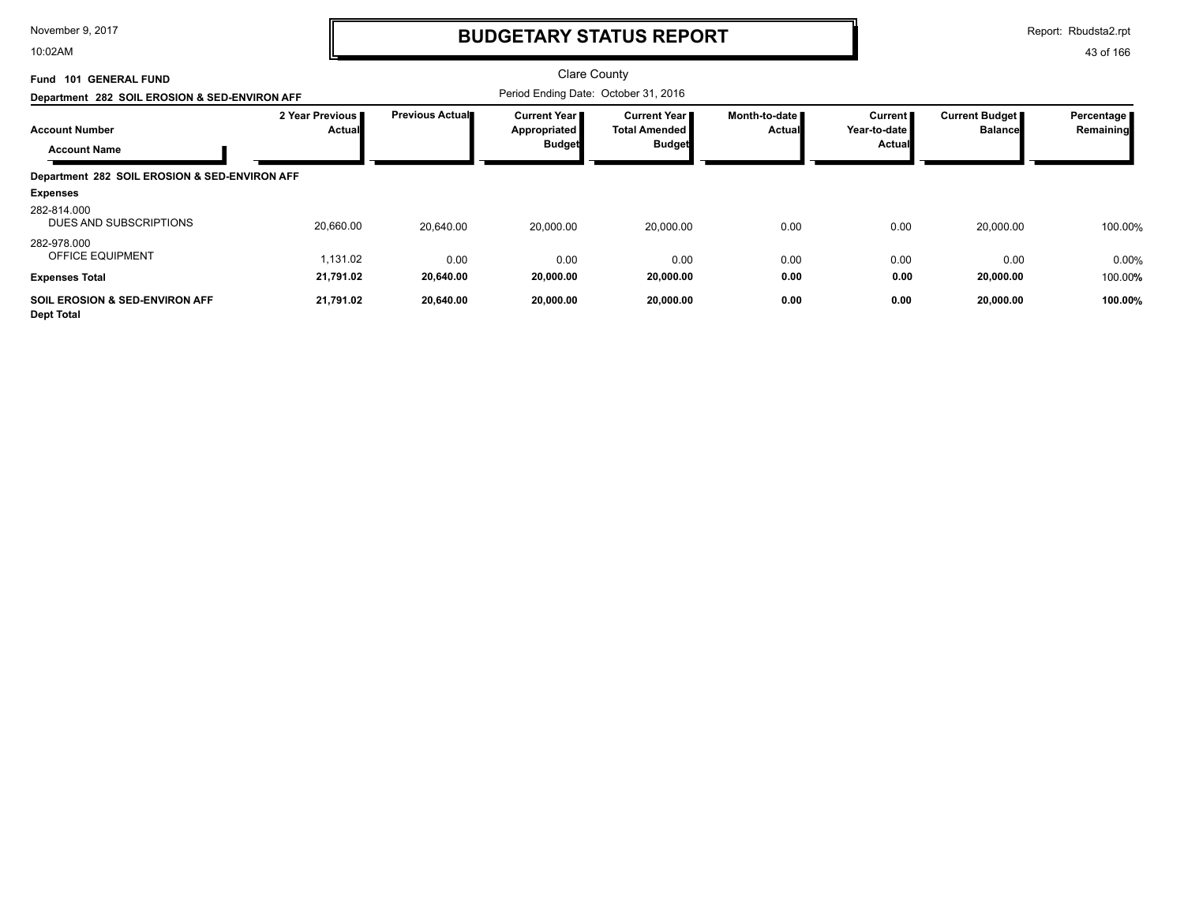10:02AM

# **BUDGETARY STATUS REPORT**

Report: Rbudsta2.rpt

| <b>GENERAL FUND</b><br>101<br>Fund                             |                           |                        | Clare County                                           |                                                          |                                |                                     |                                         |                         |
|----------------------------------------------------------------|---------------------------|------------------------|--------------------------------------------------------|----------------------------------------------------------|--------------------------------|-------------------------------------|-----------------------------------------|-------------------------|
| Department 282 SOIL EROSION & SED-ENVIRON AFF                  |                           |                        | Period Ending Date: October 31, 2016                   |                                                          |                                |                                     |                                         |                         |
| <b>Account Number</b><br><b>Account Name</b>                   | 2 Year Previous<br>Actual | <b>Previous Actual</b> | <b>Current Year I</b><br>Appropriated<br><b>Budget</b> | Current Year II<br><b>Total Amended</b><br><b>Budget</b> | Month-to-date<br><b>Actual</b> | Current  <br>Year-to-date<br>Actual | <b>Current Budget</b><br><b>Balance</b> | Percentage<br>Remaining |
| Department 282 SOIL EROSION & SED-ENVIRON AFF                  |                           |                        |                                                        |                                                          |                                |                                     |                                         |                         |
| <b>Expenses</b>                                                |                           |                        |                                                        |                                                          |                                |                                     |                                         |                         |
| 282-814.000<br>DUES AND SUBSCRIPTIONS                          | 20,660.00                 | 20.640.00              | 20,000.00                                              | 20,000.00                                                | 0.00                           | 0.00                                | 20,000.00                               | 100.00%                 |
| 282-978.000<br><b>OFFICE EQUIPMENT</b>                         | 1,131.02                  | 0.00                   | 0.00                                                   | 0.00                                                     | 0.00                           | 0.00                                | 0.00                                    | 0.00%                   |
| <b>Expenses Total</b>                                          | 21,791.02                 | 20,640.00              | 20,000.00                                              | 20,000.00                                                | 0.00                           | 0.00                                | 20,000.00                               | 100.00%                 |
| <b>SOIL EROSION &amp; SED-ENVIRON AFF</b><br><b>Dept Total</b> | 21,791.02                 | 20,640.00              | 20,000.00                                              | 20,000.00                                                | 0.00                           | 0.00                                | 20,000.00                               | 100.00%                 |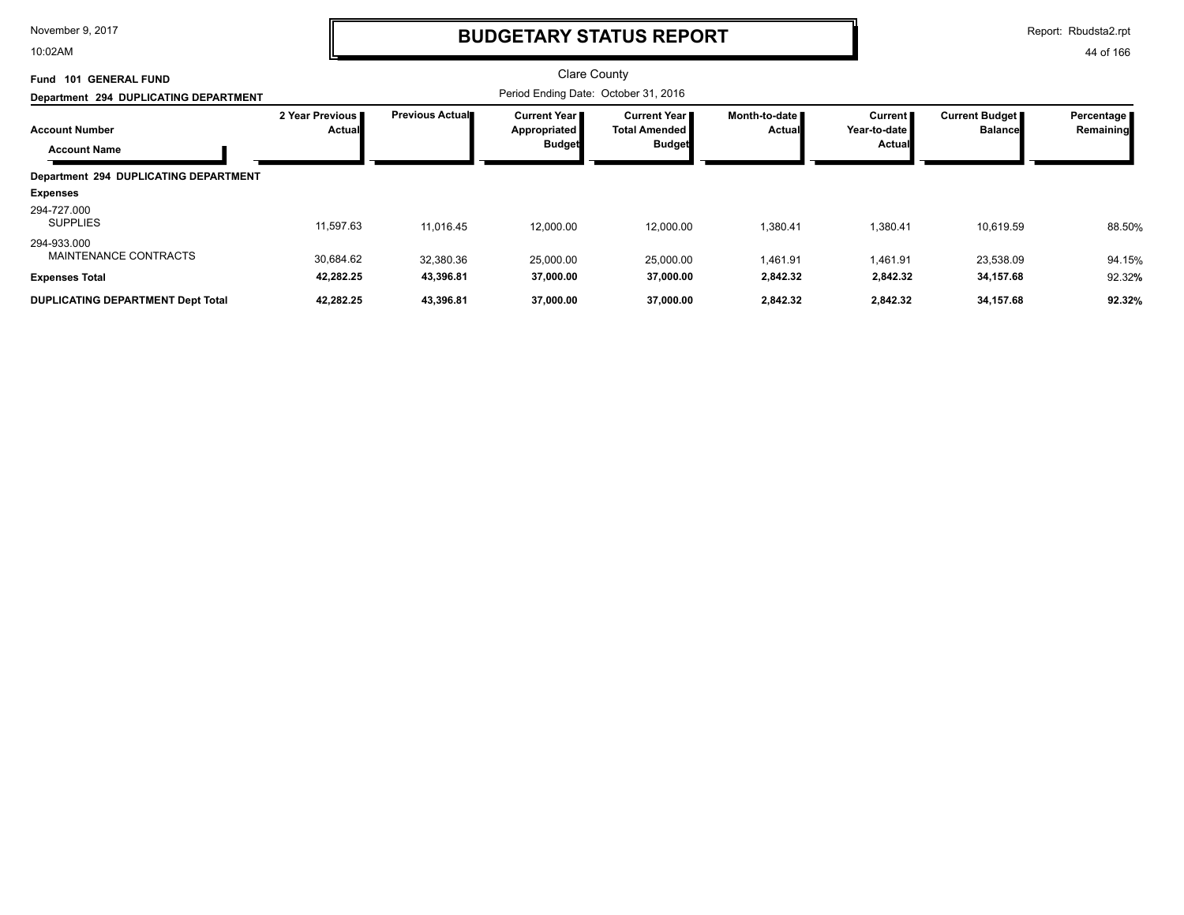10:02AM

## **BUDGETARY STATUS REPORT**

Report: Rbudsta2.rpt

| 101 GENERAL FUND<br>Fund                     |                           |                        | Clare County                                           |                                                  |                                |                                              |                                  |                           |
|----------------------------------------------|---------------------------|------------------------|--------------------------------------------------------|--------------------------------------------------|--------------------------------|----------------------------------------------|----------------------------------|---------------------------|
| Department 294 DUPLICATING DEPARTMENT        |                           |                        | Period Ending Date: October 31, 2016                   |                                                  |                                |                                              |                                  |                           |
| <b>Account Number</b><br><b>Account Name</b> | 2 Year Previous<br>Actual | <b>Previous Actual</b> | <b>Current Year I</b><br>Appropriated<br><b>Budget</b> | Current Year I<br>Total Amended<br><b>Budget</b> | Month-to-date<br><b>Actual</b> | Current  <br>Year-to-date I<br><b>Actual</b> | Current Budget<br><b>Balance</b> | Percentage  <br>Remaining |
| Department 294 DUPLICATING DEPARTMENT        |                           |                        |                                                        |                                                  |                                |                                              |                                  |                           |
| <b>Expenses</b>                              |                           |                        |                                                        |                                                  |                                |                                              |                                  |                           |
| 294-727.000<br><b>SUPPLIES</b>               | 11,597.63                 | 11.016.45              | 12.000.00                                              | 12,000.00                                        | 1,380.41                       | 1.380.41                                     | 10,619.59                        | 88.50%                    |
| 294-933.000<br>MAINTENANCE CONTRACTS         | 30.684.62                 | 32,380.36              | 25,000.00                                              | 25,000.00                                        | 1,461.91                       | 1,461.91                                     | 23,538.09                        | 94.15%                    |
| <b>Expenses Total</b>                        | 42,282.25                 | 43,396.81              | 37,000.00                                              | 37,000.00                                        | 2,842.32                       | 2,842.32                                     | 34,157.68                        | 92.32%                    |
| <b>DUPLICATING DEPARTMENT Dept Total</b>     | 42,282.25                 | 43,396.81              | 37,000.00                                              | 37,000.00                                        | 2,842.32                       | 2,842.32                                     | 34,157.68                        | 92.32%                    |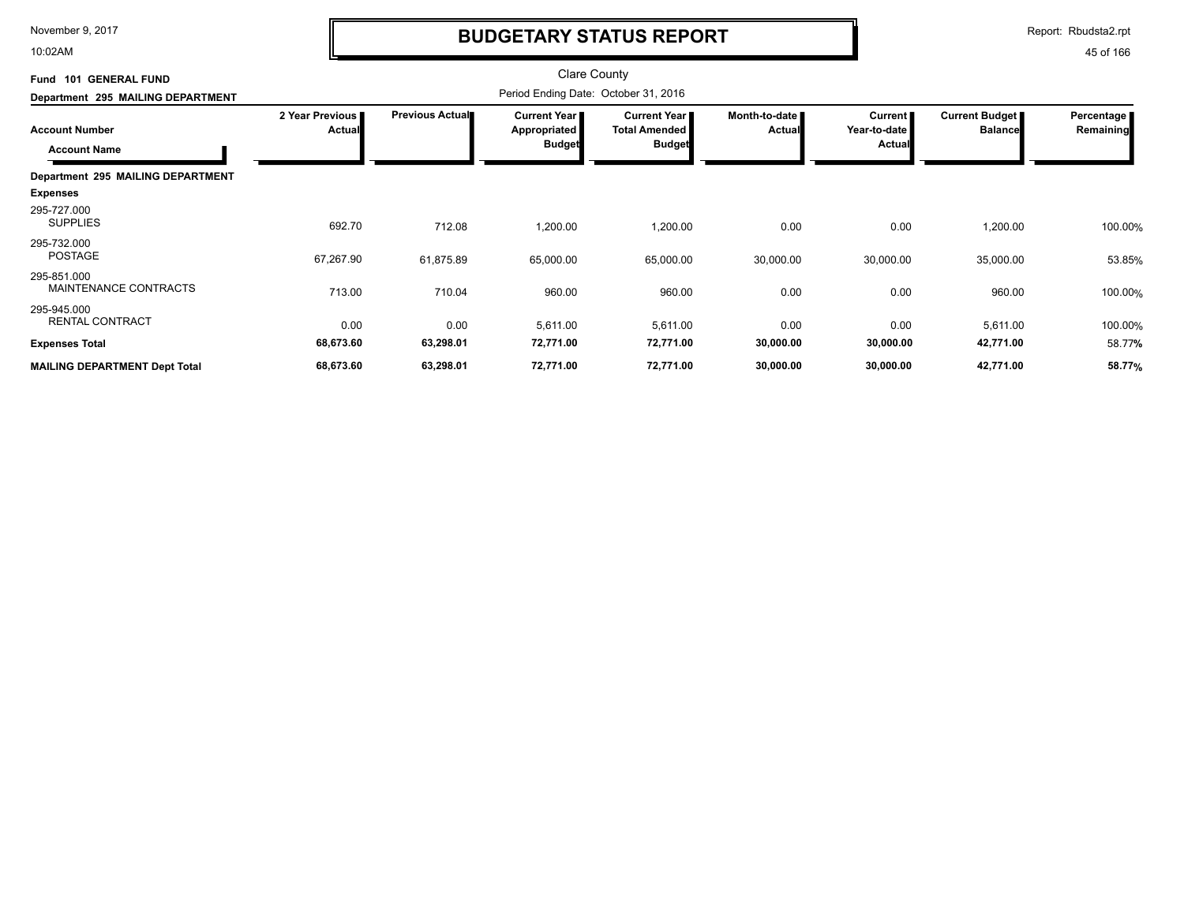10:02AM

# **BUDGETARY STATUS REPORT**

Report: Rbudsta2.rpt

| Fund 101 GENERAL FUND<br>Department 295 MAILING DEPARTMENT    | <b>Clare County</b><br>Period Ending Date: October 31, 2016 |                        |                                                               |                                                              |                                |                                                 |                                         |                         |
|---------------------------------------------------------------|-------------------------------------------------------------|------------------------|---------------------------------------------------------------|--------------------------------------------------------------|--------------------------------|-------------------------------------------------|-----------------------------------------|-------------------------|
| <b>Account Number</b><br><b>Account Name</b>                  | 2 Year Previous<br><b>Actual</b>                            | <b>Previous Actual</b> | <b>Current Year</b> ∎<br><b>Appropriated</b><br><b>Budget</b> | <b>Current Year</b><br><b>Total Amended</b><br><b>Budget</b> | Month-to-date<br><b>Actual</b> | <b>Current</b><br>Year-to-date<br><b>Actual</b> | <b>Current Budget</b><br><b>Balance</b> | Percentage<br>Remaining |
| Department 295 MAILING DEPARTMENT<br><b>Expenses</b>          |                                                             |                        |                                                               |                                                              |                                |                                                 |                                         |                         |
| 295-727.000<br><b>SUPPLIES</b>                                | 692.70                                                      | 712.08                 | 1,200.00                                                      | 1,200.00                                                     | 0.00                           | 0.00                                            | 1,200.00                                | 100.00%                 |
| 295-732.000<br>POSTAGE                                        | 67,267.90                                                   | 61,875.89              | 65,000.00                                                     | 65,000.00                                                    | 30,000.00                      | 30,000.00                                       | 35,000.00                               | 53.85%                  |
| 295-851.000<br>MAINTENANCE CONTRACTS                          | 713.00                                                      | 710.04                 | 960.00                                                        | 960.00                                                       | 0.00                           | 0.00                                            | 960.00                                  | 100.00%                 |
| 295-945.000<br><b>RENTAL CONTRACT</b>                         | 0.00                                                        | 0.00                   | 5,611.00                                                      | 5,611.00                                                     | 0.00                           | 0.00                                            | 5,611.00                                | 100.00%                 |
| <b>Expenses Total</b><br><b>MAILING DEPARTMENT Dept Total</b> | 68,673.60<br>68,673.60                                      | 63,298.01<br>63,298.01 | 72,771.00<br>72,771.00                                        | 72,771.00<br>72,771.00                                       | 30,000.00<br>30,000.00         | 30,000.00<br>30,000.00                          | 42,771.00<br>42,771.00                  | 58.77%<br>58.77%        |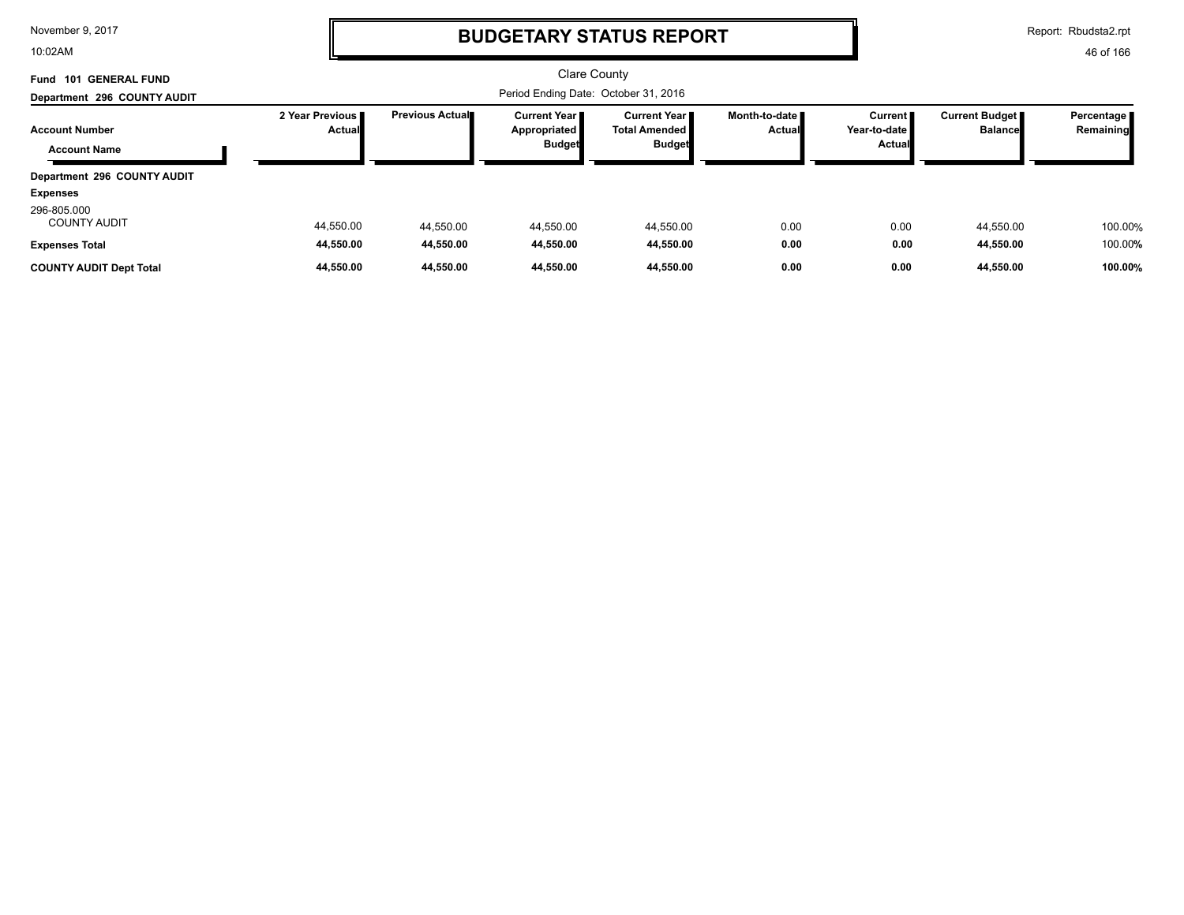10:02AM

# **BUDGETARY STATUS REPORT**

Report: Rbudsta2.rpt

| <b>GENERAL FUND</b><br>101<br>Fund           |                                    |                                      | Clare County                                           |                                                     |                                  |                                            |                                  |                         |
|----------------------------------------------|------------------------------------|--------------------------------------|--------------------------------------------------------|-----------------------------------------------------|----------------------------------|--------------------------------------------|----------------------------------|-------------------------|
| Department 296 COUNTY AUDIT                  |                                    | Period Ending Date: October 31, 2016 |                                                        |                                                     |                                  |                                            |                                  |                         |
| <b>Account Number</b><br><b>Account Name</b> | 2 Year Previous I<br><b>Actual</b> | <b>Previous Actual</b>               | <b>Current Year I</b><br>Appropriated<br><b>Budget</b> | Current Year II<br>Total Amended  <br><b>Budget</b> | Month-to-date ■<br><b>Actual</b> | Current <b>I</b><br>Year-to-date<br>Actual | Current Budget<br><b>Balance</b> | Percentage<br>Remaining |
| Department 296 COUNTY AUDIT                  |                                    |                                      |                                                        |                                                     |                                  |                                            |                                  |                         |
| <b>Expenses</b>                              |                                    |                                      |                                                        |                                                     |                                  |                                            |                                  |                         |
| 296-805.000<br><b>COUNTY AUDIT</b>           | 44,550.00                          | 44,550.00                            | 44,550.00                                              | 44,550.00                                           | 0.00                             | 0.00                                       | 44,550.00                        | 100.00%                 |
| <b>Expenses Total</b>                        | 44,550.00                          | 44.550.00                            | 44.550.00                                              | 44,550.00                                           | 0.00                             | 0.00                                       | 44,550.00                        | 100.00%                 |
| <b>COUNTY AUDIT Dept Total</b>               | 44.550.00                          | 44.550.00                            | 44.550.00                                              | 44,550.00                                           | 0.00                             | 0.00                                       | 44.550.00                        | 100.00%                 |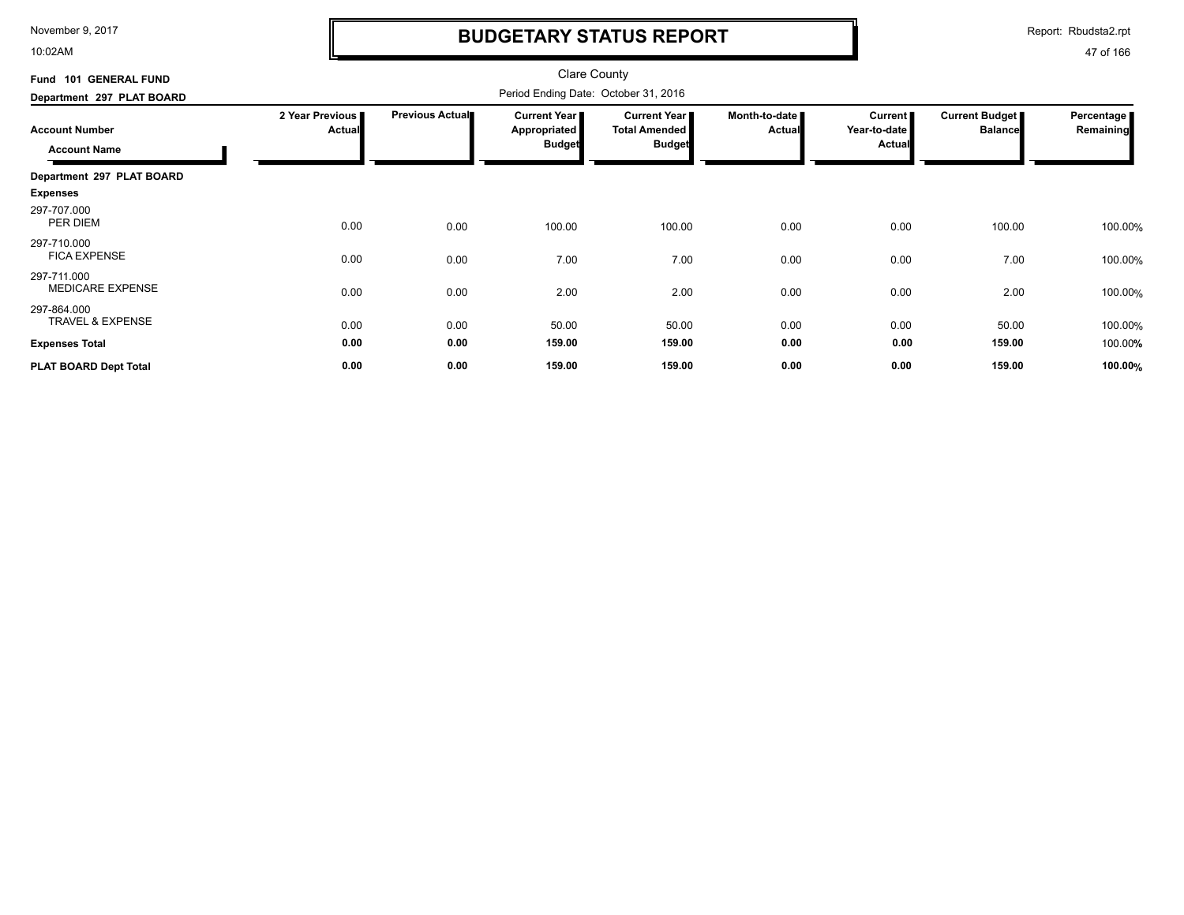10:02AM

# **BUDGETARY STATUS REPORT**

Report: Rbudsta2.rpt

| Fund 101 GENERAL FUND                                                     |                                  | <b>Clare County</b><br>Period Ending Date: October 31, 2016 |                                               |                                                              |                                |                                            |                                  |                         |  |
|---------------------------------------------------------------------------|----------------------------------|-------------------------------------------------------------|-----------------------------------------------|--------------------------------------------------------------|--------------------------------|--------------------------------------------|----------------------------------|-------------------------|--|
| Department 297 PLAT BOARD<br><b>Account Number</b><br><b>Account Name</b> | 2 Year Previous<br><b>Actual</b> | <b>Previous Actual</b>                                      | Current Year<br>Appropriated<br><b>Budget</b> | <b>Current Year</b><br><b>Total Amended</b><br><b>Budget</b> | Month-to-date<br><b>Actual</b> | Current  <br>Year-to-date<br><b>Actual</b> | Current Budget<br><b>Balance</b> | Percentage<br>Remaining |  |
| Department 297 PLAT BOARD                                                 |                                  |                                                             |                                               |                                                              |                                |                                            |                                  |                         |  |
| <b>Expenses</b>                                                           |                                  |                                                             |                                               |                                                              |                                |                                            |                                  |                         |  |
| 297-707.000<br>PER DIEM                                                   | 0.00                             | 0.00                                                        | 100.00                                        | 100.00                                                       | 0.00                           | 0.00                                       | 100.00                           | 100.00%                 |  |
| 297-710.000<br><b>FICA EXPENSE</b>                                        | 0.00                             | 0.00                                                        | 7.00                                          | 7.00                                                         | 0.00                           | 0.00                                       | 7.00                             | 100.00%                 |  |
| 297-711.000<br><b>MEDICARE EXPENSE</b>                                    | 0.00                             | 0.00                                                        | 2.00                                          | 2.00                                                         | 0.00                           | 0.00                                       | 2.00                             | 100.00%                 |  |
| 297-864.000<br><b>TRAVEL &amp; EXPENSE</b>                                | 0.00                             | 0.00                                                        | 50.00                                         | 50.00                                                        | 0.00                           | 0.00                                       | 50.00                            | 100.00%                 |  |
| <b>Expenses Total</b>                                                     | 0.00                             | 0.00                                                        | 159.00                                        | 159.00                                                       | 0.00                           | 0.00                                       | 159.00                           | 100.00%                 |  |
| PLAT BOARD Dept Total                                                     | 0.00                             | 0.00                                                        | 159.00                                        | 159.00                                                       | 0.00                           | 0.00                                       | 159.00                           | 100.00%                 |  |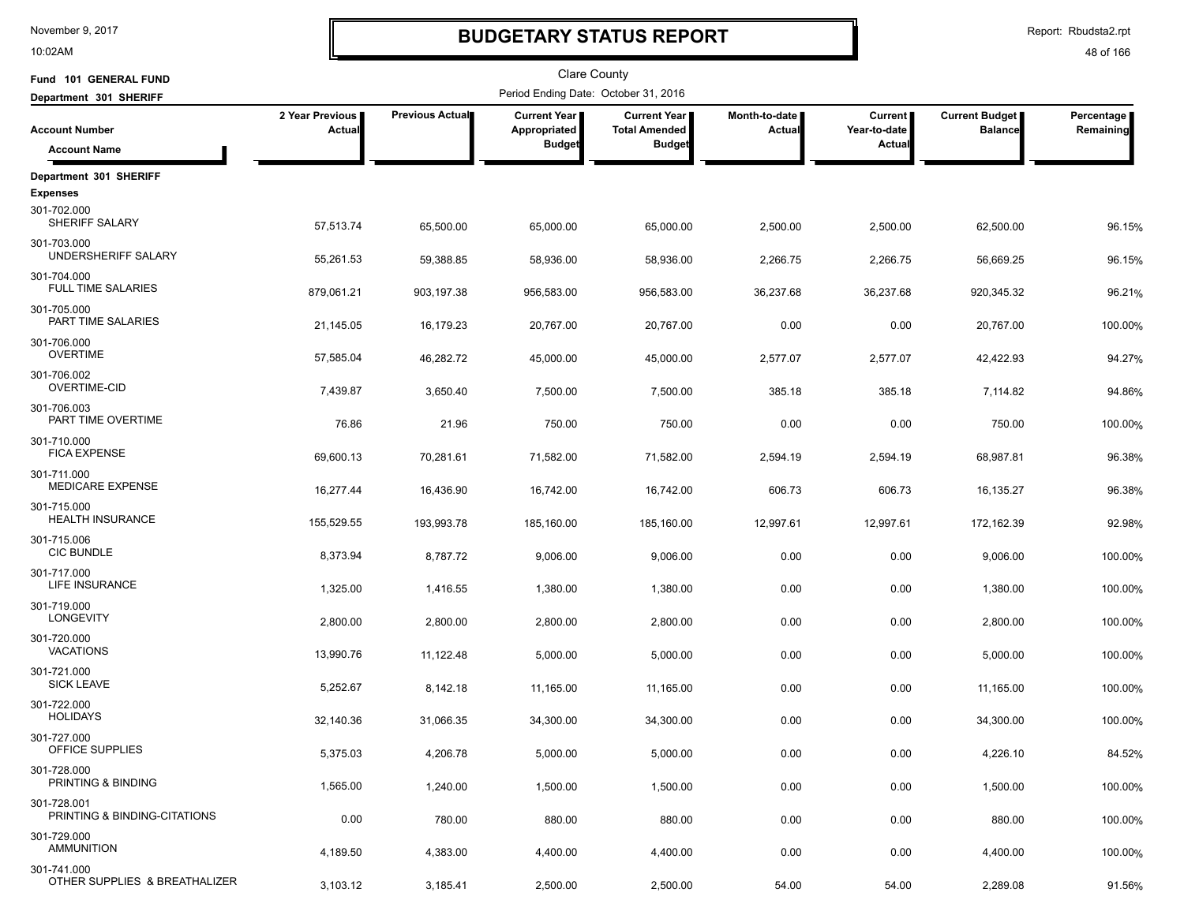10:02AM

## **BUDGETARY STATUS REPORT**

Report: Rbudsta2.rpt

| Fund 101 GENERAL FUND                        |                           |                        | <b>Clare County</b>                                    |                                                                |                         |                                          |                                         |                         |
|----------------------------------------------|---------------------------|------------------------|--------------------------------------------------------|----------------------------------------------------------------|-------------------------|------------------------------------------|-----------------------------------------|-------------------------|
| Department 301 SHERIFF                       |                           |                        | Period Ending Date: October 31, 2016                   |                                                                |                         |                                          |                                         |                         |
| <b>Account Number</b>                        | 2 Year Previous<br>Actual | <b>Previous Actual</b> | <b>Current Year</b>  <br>Appropriated<br><b>Budget</b> | <b>Current Year I</b><br><b>Total Amended</b><br><b>Budget</b> | Month-to-date<br>Actual | <b>Current</b><br>Year-to-date<br>Actual | <b>Current Budget</b><br><b>Balance</b> | Percentage<br>Remaining |
| <b>Account Name</b>                          |                           |                        |                                                        |                                                                |                         |                                          |                                         |                         |
| Department 301 SHERIFF                       |                           |                        |                                                        |                                                                |                         |                                          |                                         |                         |
| <b>Expenses</b>                              |                           |                        |                                                        |                                                                |                         |                                          |                                         |                         |
| 301-702.000<br>SHERIFF SALARY                | 57,513.74                 | 65.500.00              | 65,000.00                                              | 65,000.00                                                      | 2,500.00                | 2,500.00                                 | 62,500.00                               | 96.15%                  |
| 301-703.000<br>UNDERSHERIFF SALARY           | 55,261.53                 | 59,388.85              | 58,936.00                                              | 58,936.00                                                      | 2,266.75                | 2,266.75                                 | 56,669.25                               | 96.15%                  |
| 301-704.000<br><b>FULL TIME SALARIES</b>     | 879,061.21                | 903,197.38             | 956,583.00                                             | 956,583.00                                                     | 36,237.68               | 36,237.68                                | 920,345.32                              | 96.21%                  |
| 301-705.000<br>PART TIME SALARIES            | 21,145.05                 | 16,179.23              | 20,767.00                                              | 20,767.00                                                      | 0.00                    | 0.00                                     | 20,767.00                               | 100.00%                 |
| 301-706.000<br><b>OVERTIME</b>               | 57,585.04                 | 46,282.72              | 45,000.00                                              | 45,000.00                                                      | 2,577.07                | 2,577.07                                 | 42,422.93                               | 94.27%                  |
| 301-706.002<br>OVERTIME-CID                  | 7,439.87                  | 3,650.40               | 7,500.00                                               | 7,500.00                                                       | 385.18                  | 385.18                                   | 7,114.82                                | 94.86%                  |
| 301-706.003<br>PART TIME OVERTIME            | 76.86                     | 21.96                  | 750.00                                                 | 750.00                                                         | 0.00                    | 0.00                                     | 750.00                                  | 100.00%                 |
| 301-710.000<br><b>FICA EXPENSE</b>           | 69,600.13                 | 70,281.61              | 71,582.00                                              | 71,582.00                                                      | 2,594.19                | 2,594.19                                 | 68,987.81                               | 96.38%                  |
| 301-711.000<br><b>MEDICARE EXPENSE</b>       | 16,277.44                 | 16,436.90              | 16,742.00                                              | 16,742.00                                                      | 606.73                  | 606.73                                   | 16,135.27                               | 96.38%                  |
| 301-715.000<br><b>HEALTH INSURANCE</b>       | 155,529.55                | 193,993.78             | 185,160.00                                             | 185,160.00                                                     | 12,997.61               | 12,997.61                                | 172,162.39                              | 92.98%                  |
| 301-715.006<br><b>CIC BUNDLE</b>             | 8,373.94                  | 8,787.72               | 9,006.00                                               | 9,006.00                                                       | 0.00                    | 0.00                                     | 9,006.00                                | 100.00%                 |
| 301-717.000<br>LIFE INSURANCE                | 1,325.00                  | 1,416.55               | 1,380.00                                               | 1,380.00                                                       | 0.00                    | 0.00                                     | 1,380.00                                | 100.00%                 |
| 301-719.000<br><b>LONGEVITY</b>              | 2,800.00                  | 2,800.00               | 2,800.00                                               | 2,800.00                                                       | 0.00                    | 0.00                                     | 2,800.00                                | 100.00%                 |
| 301-720.000<br><b>VACATIONS</b>              | 13,990.76                 | 11,122.48              | 5,000.00                                               | 5,000.00                                                       | 0.00                    | 0.00                                     | 5,000.00                                | 100.00%                 |
| 301-721.000<br><b>SICK LEAVE</b>             | 5,252.67                  | 8,142.18               | 11,165.00                                              | 11,165.00                                                      | 0.00                    | 0.00                                     | 11,165.00                               | 100.00%                 |
| 301-722.000<br><b>HOLIDAYS</b>               | 32,140.36                 | 31,066.35              | 34,300.00                                              | 34,300.00                                                      | 0.00                    | 0.00                                     | 34,300.00                               | 100.00%                 |
| 301-727.000<br>OFFICE SUPPLIES               | 5,375.03                  | 4,206.78               | 5,000.00                                               | 5,000.00                                                       | 0.00                    | 0.00                                     | 4,226.10                                | 84.52%                  |
| 301-728.000<br>PRINTING & BINDING            | 1,565.00                  | 1,240.00               | 1,500.00                                               | 1,500.00                                                       | 0.00                    | 0.00                                     | 1,500.00                                | 100.00%                 |
| 301-728.001<br>PRINTING & BINDING-CITATIONS  | 0.00                      | 780.00                 | 880.00                                                 | 880.00                                                         | 0.00                    | 0.00                                     | 880.00                                  | 100.00%                 |
| 301-729.000<br><b>AMMUNITION</b>             | 4,189.50                  | 4,383.00               | 4,400.00                                               | 4,400.00                                                       | 0.00                    | 0.00                                     | 4,400.00                                | 100.00%                 |
| 301-741.000<br>OTHER SUPPLIES & BREATHALIZER | 3,103.12                  | 3,185.41               | 2,500.00                                               | 2,500.00                                                       | 54.00                   | 54.00                                    | 2,289.08                                | 91.56%                  |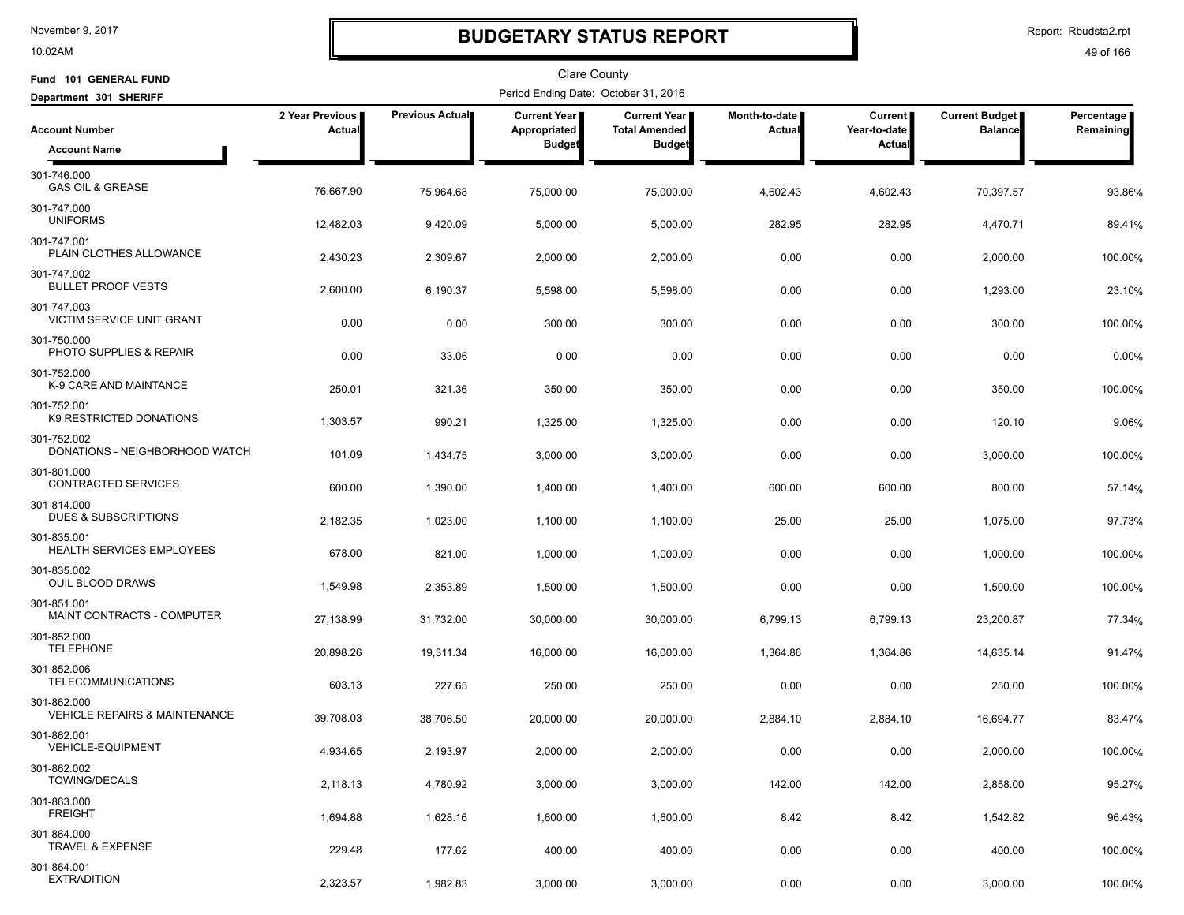10:02AM

## **BUDGETARY STATUS REPORT**

Report: Rbudsta2.rpt

| Fund 101 GENERAL FUND                                   |                           |                 | <b>Clare County</b>                  |                                             |                         |                           |                                         |                         |
|---------------------------------------------------------|---------------------------|-----------------|--------------------------------------|---------------------------------------------|-------------------------|---------------------------|-----------------------------------------|-------------------------|
| Department 301 SHERIFF                                  |                           |                 | Period Ending Date: October 31, 2016 |                                             |                         |                           |                                         |                         |
| <b>Account Number</b>                                   | 2 Year Previous<br>Actual | Previous Actual | Current Year<br>Appropriated         | <b>Current Year</b><br><b>Total Amended</b> | Month-to-date<br>Actual | Current  <br>Year-to-date | <b>Current Budget</b><br><b>Balance</b> | Percentage<br>Remaining |
| <b>Account Name</b>                                     |                           |                 | <b>Budget</b>                        | <b>Budget</b>                               |                         | Actual                    |                                         |                         |
| 301-746.000<br><b>GAS OIL &amp; GREASE</b>              | 76,667.90                 | 75,964.68       | 75,000.00                            | 75,000.00                                   | 4,602.43                | 4,602.43                  | 70,397.57                               | 93.86%                  |
| 301-747.000<br><b>UNIFORMS</b>                          | 12,482.03                 | 9,420.09        | 5,000.00                             | 5,000.00                                    | 282.95                  | 282.95                    | 4,470.71                                | 89.41%                  |
| 301-747.001<br>PLAIN CLOTHES ALLOWANCE                  | 2,430.23                  | 2,309.67        | 2,000.00                             | 2,000.00                                    | 0.00                    | 0.00                      | 2,000.00                                | 100.00%                 |
| 301-747.002<br><b>BULLET PROOF VESTS</b>                | 2,600.00                  | 6,190.37        | 5,598.00                             | 5,598.00                                    | 0.00                    | 0.00                      | 1,293.00                                | 23.10%                  |
| 301-747.003<br>VICTIM SERVICE UNIT GRANT                | 0.00                      | 0.00            | 300.00                               | 300.00                                      | 0.00                    | 0.00                      | 300.00                                  | 100.00%                 |
| 301-750.000<br>PHOTO SUPPLIES & REPAIR                  | 0.00                      | 33.06           | 0.00                                 | 0.00                                        | 0.00                    | 0.00                      | 0.00                                    | 0.00%                   |
| 301-752.000<br>K-9 CARE AND MAINTANCE                   | 250.01                    | 321.36          | 350.00                               | 350.00                                      | 0.00                    | 0.00                      | 350.00                                  | 100.00%                 |
| 301-752.001<br>K9 RESTRICTED DONATIONS                  | 1,303.57                  | 990.21          | 1,325.00                             | 1,325.00                                    | 0.00                    | 0.00                      | 120.10                                  | 9.06%                   |
| 301-752.002<br>DONATIONS - NEIGHBORHOOD WATCH           | 101.09                    | 1,434.75        | 3,000.00                             | 3,000.00                                    | 0.00                    | 0.00                      | 3,000.00                                | 100.00%                 |
| 301-801.000<br><b>CONTRACTED SERVICES</b>               | 600.00                    | 1,390.00        | 1,400.00                             | 1,400.00                                    | 600.00                  | 600.00                    | 800.00                                  | 57.14%                  |
| 301-814.000<br>DUES & SUBSCRIPTIONS                     | 2,182.35                  | 1,023.00        | 1,100.00                             | 1,100.00                                    | 25.00                   | 25.00                     | 1,075.00                                | 97.73%                  |
| 301-835.001<br>HEALTH SERVICES EMPLOYEES                | 678.00                    | 821.00          | 1,000.00                             | 1,000.00                                    | 0.00                    | 0.00                      | 1,000.00                                | 100.00%                 |
| 301-835.002<br>OUIL BLOOD DRAWS                         | 1,549.98                  | 2,353.89        | 1,500.00                             | 1,500.00                                    | 0.00                    | 0.00                      | 1,500.00                                | 100.00%                 |
| 301-851.001<br>MAINT CONTRACTS - COMPUTER               | 27,138.99                 | 31,732.00       | 30,000.00                            | 30,000.00                                   | 6,799.13                | 6,799.13                  | 23,200.87                               | 77.34%                  |
| 301-852.000<br><b>TELEPHONE</b>                         | 20,898.26                 | 19,311.34       | 16,000.00                            | 16,000.00                                   | 1,364.86                | 1,364.86                  | 14,635.14                               | 91.47%                  |
| 301-852.006<br><b>TELECOMMUNICATIONS</b>                | 603.13                    | 227.65          | 250.00                               | 250.00                                      | 0.00                    | 0.00                      | 250.00                                  | 100.00%                 |
| 301-862.000<br><b>VEHICLE REPAIRS &amp; MAINTENANCE</b> | 39,708.03                 | 38,706.50       | 20,000.00                            | 20,000.00                                   | 2,884.10                | 2,884.10                  | 16,694.77                               | 83.47%                  |
| 301-862.001<br><b>VEHICLE-EQUIPMENT</b>                 | 4,934.65                  | 2,193.97        | 2,000.00                             | 2,000.00                                    | 0.00                    | 0.00                      | 2,000.00                                | 100.00%                 |
| 301-862.002<br><b>TOWING/DECALS</b>                     | 2,118.13                  | 4,780.92        | 3,000.00                             | 3,000.00                                    | 142.00                  | 142.00                    | 2,858.00                                | 95.27%                  |
| 301-863.000<br><b>FREIGHT</b>                           | 1,694.88                  | 1,628.16        | 1,600.00                             | 1,600.00                                    | 8.42                    | 8.42                      | 1,542.82                                | 96.43%                  |
| 301-864.000<br><b>TRAVEL &amp; EXPENSE</b>              | 229.48                    | 177.62          | 400.00                               | 400.00                                      | 0.00                    | 0.00                      | 400.00                                  | 100.00%                 |
| 301-864.001<br><b>EXTRADITION</b>                       | 2,323.57                  | 1,982.83        | 3,000.00                             | 3,000.00                                    | 0.00                    | 0.00                      | 3,000.00                                | 100.00%                 |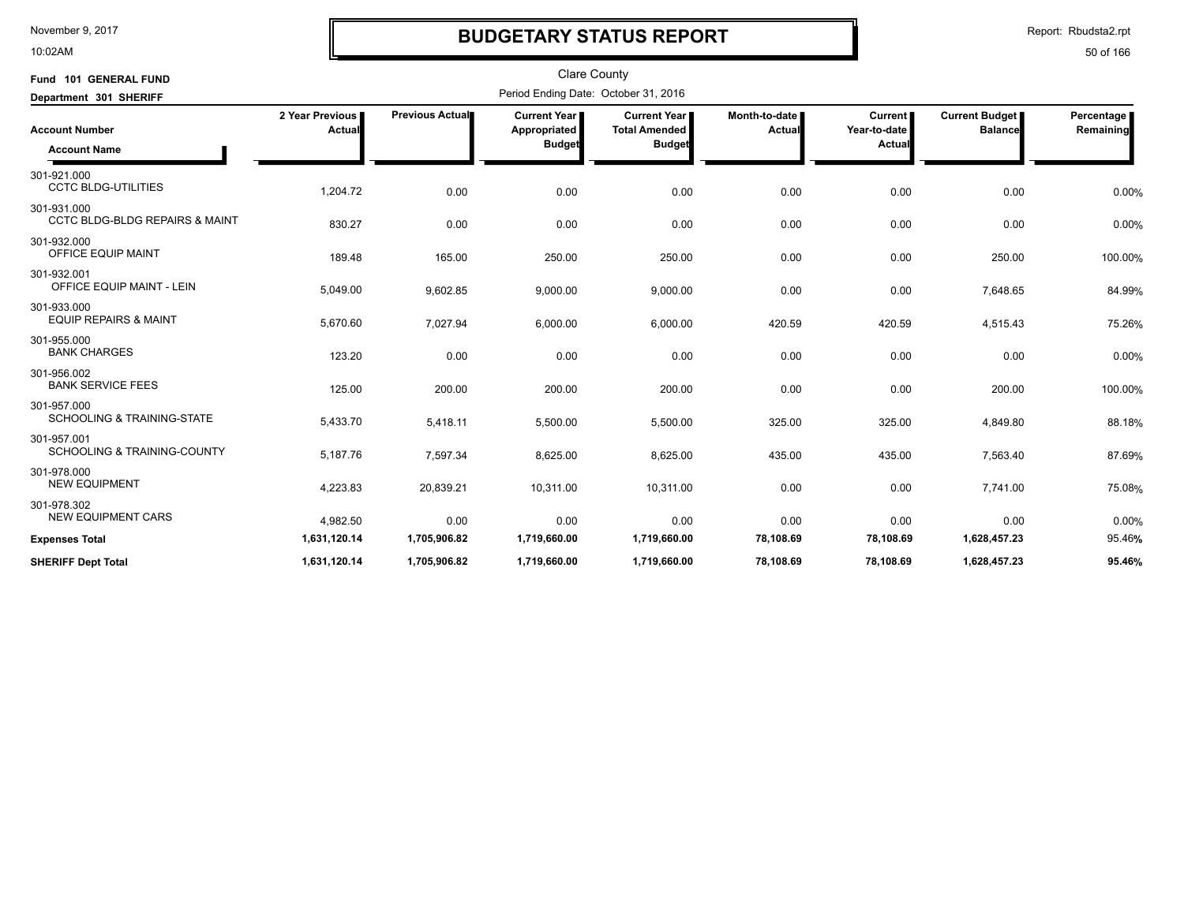10:02AM

# **BUDGETARY STATUS REPORT**

Report: Rbudsta2.rpt

| Fund 101 GENERAL FUND<br>Department 301 SHERIFF          | <b>Clare County</b><br>Period Ending Date: October 31, 2016 |                 |                                                      |                                                              |                         |                                          |                                         |                         |  |
|----------------------------------------------------------|-------------------------------------------------------------|-----------------|------------------------------------------------------|--------------------------------------------------------------|-------------------------|------------------------------------------|-----------------------------------------|-------------------------|--|
| <b>Account Number</b><br><b>Account Name</b>             | 2 Year Previous<br>Actual                                   | Previous Actual | <b>Current Year</b><br>Appropriated<br><b>Budget</b> | <b>Current Year</b><br><b>Total Amended</b><br><b>Budget</b> | Month-to-date<br>Actual | <b>Current</b><br>Year-to-date<br>Actual | <b>Current Budget</b><br><b>Balance</b> | Percentage<br>Remaining |  |
| 301-921.000<br><b>CCTC BLDG-UTILITIES</b>                | 1,204.72                                                    | 0.00            | 0.00                                                 | 0.00                                                         | 0.00                    | 0.00                                     | 0.00                                    | 0.00%                   |  |
| 301-931.000<br><b>CCTC BLDG-BLDG REPAIRS &amp; MAINT</b> | 830.27                                                      | 0.00            | 0.00                                                 | 0.00                                                         | 0.00                    | 0.00                                     | 0.00                                    | 0.00%                   |  |
| 301-932.000<br>OFFICE EQUIP MAINT                        | 189.48                                                      | 165.00          | 250.00                                               | 250.00                                                       | 0.00                    | 0.00                                     | 250.00                                  | 100.00%                 |  |
| 301-932.001<br>OFFICE EQUIP MAINT - LEIN                 | 5,049.00                                                    | 9,602.85        | 9,000.00                                             | 9,000.00                                                     | 0.00                    | 0.00                                     | 7,648.65                                | 84.99%                  |  |
| 301-933.000<br><b>EQUIP REPAIRS &amp; MAINT</b>          | 5,670.60                                                    | 7,027.94        | 6,000.00                                             | 6,000.00                                                     | 420.59                  | 420.59                                   | 4,515.43                                | 75.26%                  |  |
| 301-955.000<br><b>BANK CHARGES</b>                       | 123.20                                                      | 0.00            | 0.00                                                 | 0.00                                                         | 0.00                    | 0.00                                     | 0.00                                    | 0.00%                   |  |
| 301-956.002<br><b>BANK SERVICE FEES</b>                  | 125.00                                                      | 200.00          | 200.00                                               | 200.00                                                       | 0.00                    | 0.00                                     | 200.00                                  | 100.00%                 |  |
| 301-957.000<br><b>SCHOOLING &amp; TRAINING-STATE</b>     | 5,433.70                                                    | 5,418.11        | 5,500.00                                             | 5,500.00                                                     | 325.00                  | 325.00                                   | 4,849.80                                | 88.18%                  |  |
| 301-957.001<br><b>SCHOOLING &amp; TRAINING-COUNTY</b>    | 5,187.76                                                    | 7,597.34        | 8,625.00                                             | 8,625.00                                                     | 435.00                  | 435.00                                   | 7,563.40                                | 87.69%                  |  |
| 301-978.000<br><b>NEW EQUIPMENT</b>                      | 4,223.83                                                    | 20,839.21       | 10,311.00                                            | 10,311.00                                                    | 0.00                    | 0.00                                     | 7.741.00                                | 75.08%                  |  |
| 301-978.302<br><b>NEW EQUIPMENT CARS</b>                 | 4,982.50                                                    | 0.00            | 0.00                                                 | 0.00                                                         | 0.00                    | 0.00                                     | 0.00                                    | 0.00%                   |  |
| <b>Expenses Total</b>                                    | 1,631,120.14                                                | 1,705,906.82    | 1,719,660.00                                         | 1,719,660.00                                                 | 78,108.69               | 78,108.69                                | 1,628,457.23                            | 95.46%                  |  |
| <b>SHERIFF Dept Total</b>                                | 1,631,120.14                                                | 1,705,906.82    | 1,719,660.00                                         | 1,719,660.00                                                 | 78,108.69               | 78,108.69                                | 1,628,457.23                            | 95.46%                  |  |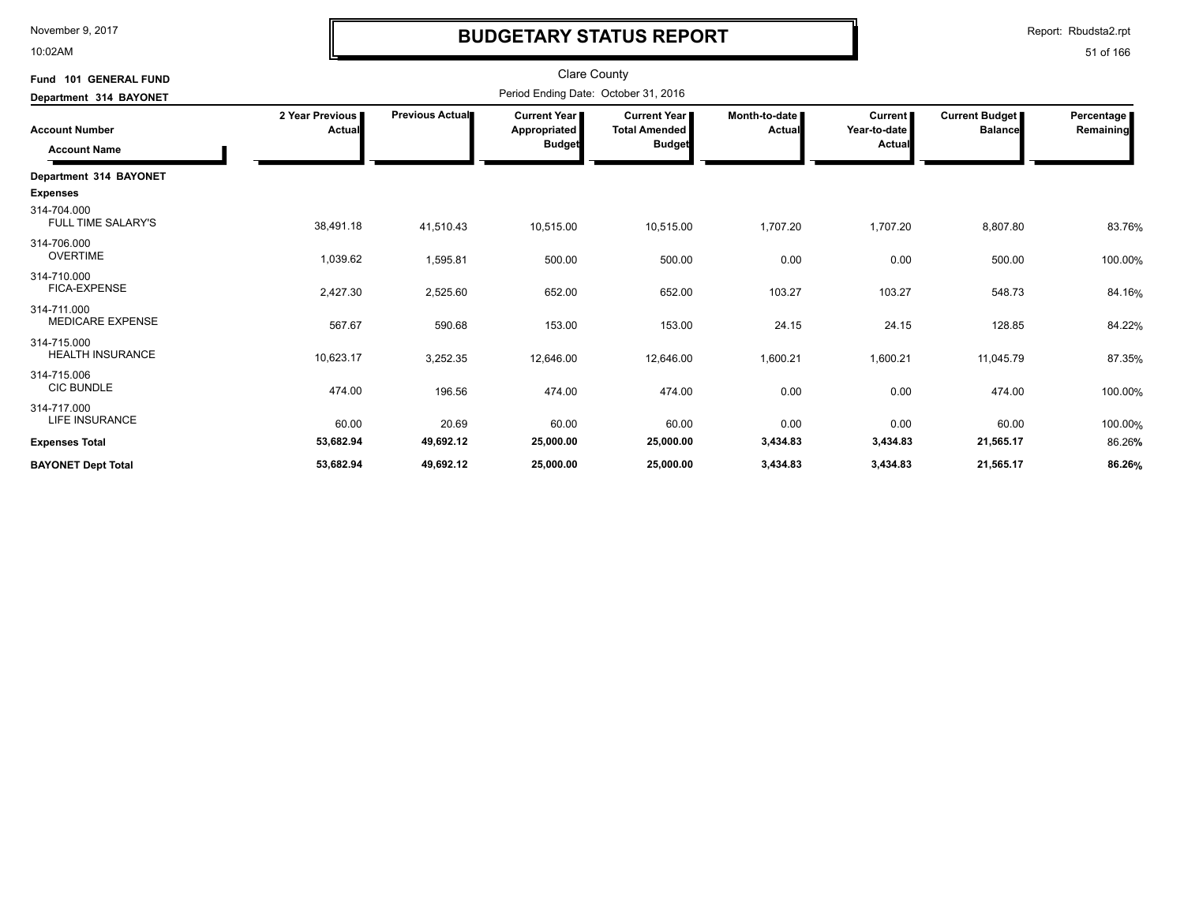10:02AM

# **BUDGETARY STATUS REPORT**

Report: Rbudsta2.rpt

| Fund 101 GENERAL FUND                        |                           |                        | Clare County                                           |                                                              |                           |                                          |                                  |                         |
|----------------------------------------------|---------------------------|------------------------|--------------------------------------------------------|--------------------------------------------------------------|---------------------------|------------------------------------------|----------------------------------|-------------------------|
| Department 314 BAYONET                       |                           |                        | Period Ending Date: October 31, 2016                   |                                                              |                           |                                          |                                  |                         |
| <b>Account Number</b><br><b>Account Name</b> | 2 Year Previous<br>Actual | <b>Previous Actual</b> | <b>Current Year I</b><br>Appropriated<br><b>Budget</b> | <b>Current Year</b><br><b>Total Amended</b><br><b>Budget</b> | Month-to-date I<br>Actual | <b>Current</b><br>Year-to-date<br>Actual | Current Budget<br><b>Balance</b> | Percentage<br>Remaining |
| Department 314 BAYONET                       |                           |                        |                                                        |                                                              |                           |                                          |                                  |                         |
| <b>Expenses</b>                              |                           |                        |                                                        |                                                              |                           |                                          |                                  |                         |
| 314-704.000<br><b>FULL TIME SALARY'S</b>     | 38,491.18                 | 41,510.43              | 10,515.00                                              | 10,515.00                                                    | 1,707.20                  | 1,707.20                                 | 8,807.80                         | 83.76%                  |
| 314-706.000<br><b>OVERTIME</b>               | 1,039.62                  | 1,595.81               | 500.00                                                 | 500.00                                                       | 0.00                      | 0.00                                     | 500.00                           | 100.00%                 |
| 314-710.000<br><b>FICA-EXPENSE</b>           | 2,427.30                  | 2,525.60               | 652.00                                                 | 652.00                                                       | 103.27                    | 103.27                                   | 548.73                           | 84.16%                  |
| 314-711.000<br><b>MEDICARE EXPENSE</b>       | 567.67                    | 590.68                 | 153.00                                                 | 153.00                                                       | 24.15                     | 24.15                                    | 128.85                           | 84.22%                  |
| 314-715.000<br><b>HEALTH INSURANCE</b>       | 10,623.17                 | 3,252.35               | 12,646.00                                              | 12,646.00                                                    | 1,600.21                  | 1,600.21                                 | 11,045.79                        | 87.35%                  |
| 314-715.006<br><b>CIC BUNDLE</b>             | 474.00                    | 196.56                 | 474.00                                                 | 474.00                                                       | 0.00                      | 0.00                                     | 474.00                           | 100.00%                 |
| 314-717.000<br><b>LIFE INSURANCE</b>         | 60.00                     | 20.69                  | 60.00                                                  | 60.00                                                        | 0.00                      | 0.00                                     | 60.00                            | 100.00%                 |
| <b>Expenses Total</b>                        | 53,682.94                 | 49,692.12              | 25,000.00                                              | 25,000.00                                                    | 3,434.83                  | 3,434.83                                 | 21,565.17                        | 86.26%                  |
| <b>BAYONET Dept Total</b>                    | 53,682.94                 | 49,692.12              | 25,000.00                                              | 25,000.00                                                    | 3,434.83                  | 3,434.83                                 | 21,565.17                        | 86.26%                  |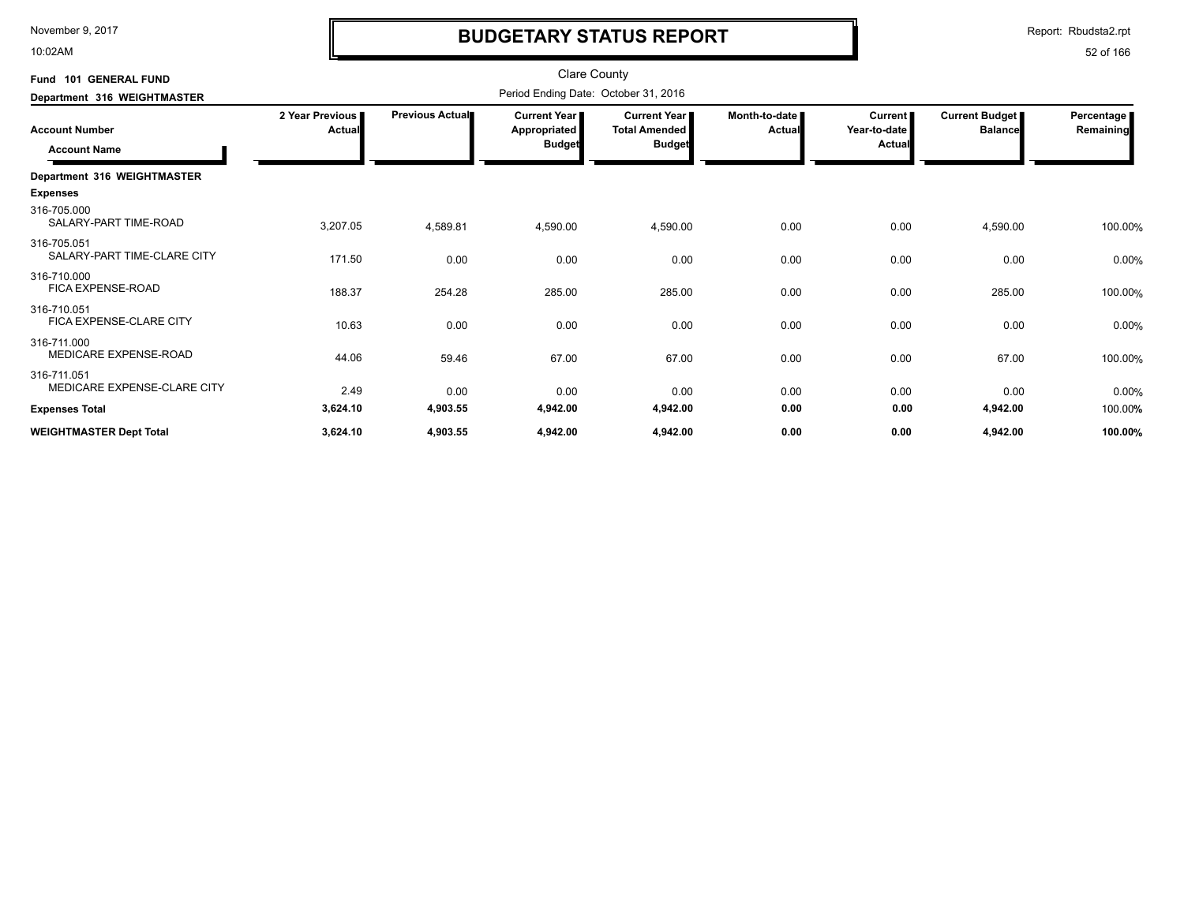10:02AM

# **BUDGETARY STATUS REPORT**

Report: Rbudsta2.rpt

| Fund 101 GENERAL FUND                        |                           |                 | <b>Clare County</b>                                    |                                                              |                           |                                     |                                  |                           |
|----------------------------------------------|---------------------------|-----------------|--------------------------------------------------------|--------------------------------------------------------------|---------------------------|-------------------------------------|----------------------------------|---------------------------|
| Department 316 WEIGHTMASTER                  |                           |                 | Period Ending Date: October 31, 2016                   |                                                              |                           |                                     |                                  |                           |
| <b>Account Number</b><br><b>Account Name</b> | 2 Year Previous<br>Actual | Previous Actual | <b>Current Year I</b><br>Appropriated<br><b>Budget</b> | <b>Current Year</b><br><b>Total Amended</b><br><b>Budget</b> | Month-to-date  <br>Actual | Current  <br>Year-to-date<br>Actual | Current Budget<br><b>Balance</b> | Percentage  <br>Remaining |
| Department 316 WEIGHTMASTER                  |                           |                 |                                                        |                                                              |                           |                                     |                                  |                           |
| <b>Expenses</b>                              |                           |                 |                                                        |                                                              |                           |                                     |                                  |                           |
| 316-705.000<br>SALARY-PART TIME-ROAD         | 3,207.05                  | 4,589.81        | 4,590.00                                               | 4,590.00                                                     | 0.00                      | 0.00                                | 4,590.00                         | 100.00%                   |
| 316-705.051<br>SALARY-PART TIME-CLARE CITY   | 171.50                    | 0.00            | 0.00                                                   | 0.00                                                         | 0.00                      | 0.00                                | 0.00                             | 0.00%                     |
| 316-710.000<br><b>FICA EXPENSE-ROAD</b>      | 188.37                    | 254.28          | 285.00                                                 | 285.00                                                       | 0.00                      | 0.00                                | 285.00                           | 100.00%                   |
| 316-710.051<br>FICA EXPENSE-CLARE CITY       | 10.63                     | 0.00            | 0.00                                                   | 0.00                                                         | 0.00                      | 0.00                                | 0.00                             | 0.00%                     |
| 316-711.000<br>MEDICARE EXPENSE-ROAD         | 44.06                     | 59.46           | 67.00                                                  | 67.00                                                        | 0.00                      | 0.00                                | 67.00                            | 100.00%                   |
| 316-711.051<br>MEDICARE EXPENSE-CLARE CITY   | 2.49                      | 0.00            | 0.00                                                   | 0.00                                                         | 0.00                      | 0.00                                | 0.00                             | 0.00%                     |
| <b>Expenses Total</b>                        | 3,624.10                  | 4,903.55        | 4,942.00                                               | 4,942.00                                                     | 0.00                      | 0.00                                | 4,942.00                         | 100.00%                   |
| <b>WEIGHTMASTER Dept Total</b>               | 3,624.10                  | 4,903.55        | 4,942.00                                               | 4,942.00                                                     | 0.00                      | 0.00                                | 4,942.00                         | 100.00%                   |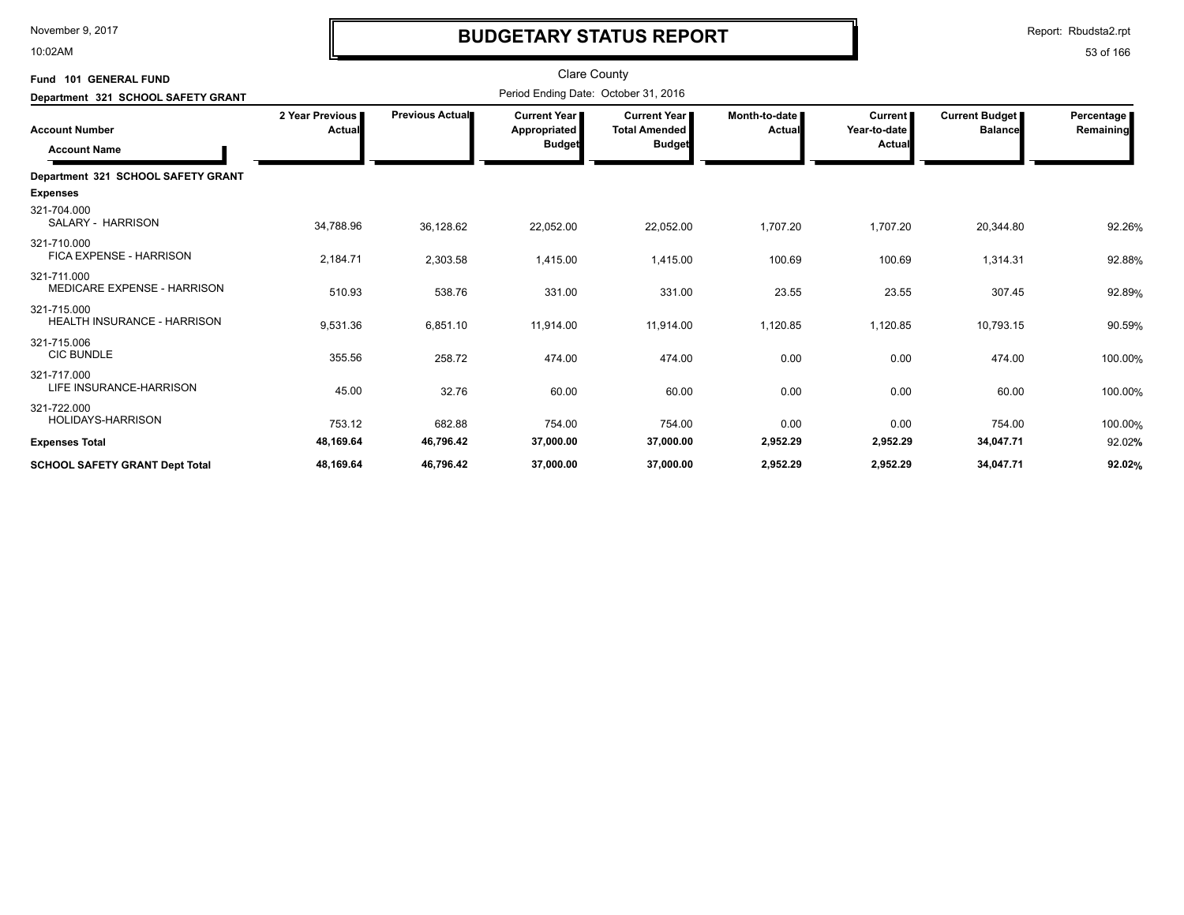10:02AM

# **BUDGETARY STATUS REPORT**

Report: Rbudsta2.rpt

| Fund 101 GENERAL FUND                             |                           |                        | <b>Clare County</b>                                  |                                                              |                         |                                          |                                         |                         |
|---------------------------------------------------|---------------------------|------------------------|------------------------------------------------------|--------------------------------------------------------------|-------------------------|------------------------------------------|-----------------------------------------|-------------------------|
| Department 321 SCHOOL SAFETY GRANT                |                           |                        | Period Ending Date: October 31, 2016                 |                                                              |                         |                                          |                                         |                         |
| <b>Account Number</b><br><b>Account Name</b>      | 2 Year Previous<br>Actual | <b>Previous Actual</b> | <b>Current Year</b><br>Appropriated<br><b>Budget</b> | <b>Current Year</b><br><b>Total Amended</b><br><b>Budget</b> | Month-to-date<br>Actual | <b>Current</b><br>Year-to-date<br>Actual | <b>Current Budget</b><br><b>Balance</b> | Percentage<br>Remaining |
| Department 321 SCHOOL SAFETY GRANT                |                           |                        |                                                      |                                                              |                         |                                          |                                         |                         |
| <b>Expenses</b>                                   |                           |                        |                                                      |                                                              |                         |                                          |                                         |                         |
| 321-704.000<br>SALARY - HARRISON                  | 34,788.96                 | 36,128.62              | 22,052.00                                            | 22,052.00                                                    | 1,707.20                | 1,707.20                                 | 20,344.80                               | 92.26%                  |
| 321-710.000<br>FICA EXPENSE - HARRISON            | 2,184.71                  | 2,303.58               | 1,415.00                                             | 1,415.00                                                     | 100.69                  | 100.69                                   | 1,314.31                                | 92.88%                  |
| 321-711.000<br><b>MEDICARE EXPENSE - HARRISON</b> | 510.93                    | 538.76                 | 331.00                                               | 331.00                                                       | 23.55                   | 23.55                                    | 307.45                                  | 92.89%                  |
| 321-715.000<br><b>HEALTH INSURANCE - HARRISON</b> | 9,531.36                  | 6,851.10               | 11,914.00                                            | 11,914.00                                                    | 1,120.85                | 1,120.85                                 | 10,793.15                               | 90.59%                  |
| 321-715.006<br><b>CIC BUNDLE</b>                  | 355.56                    | 258.72                 | 474.00                                               | 474.00                                                       | 0.00                    | 0.00                                     | 474.00                                  | 100.00%                 |
| 321-717.000<br>LIFE INSURANCE-HARRISON            | 45.00                     | 32.76                  | 60.00                                                | 60.00                                                        | 0.00                    | 0.00                                     | 60.00                                   | 100.00%                 |
| 321-722.000<br>HOLIDAYS-HARRISON                  | 753.12                    | 682.88                 | 754.00                                               | 754.00                                                       | 0.00                    | 0.00                                     | 754.00                                  | 100.00%                 |
| <b>Expenses Total</b>                             | 48,169.64                 | 46,796.42              | 37,000.00                                            | 37,000.00                                                    | 2,952.29                | 2,952.29                                 | 34,047.71                               | 92.02%                  |
| <b>SCHOOL SAFETY GRANT Dept Total</b>             | 48,169.64                 | 46,796.42              | 37,000.00                                            | 37,000.00                                                    | 2,952.29                | 2,952.29                                 | 34,047.71                               | 92.02%                  |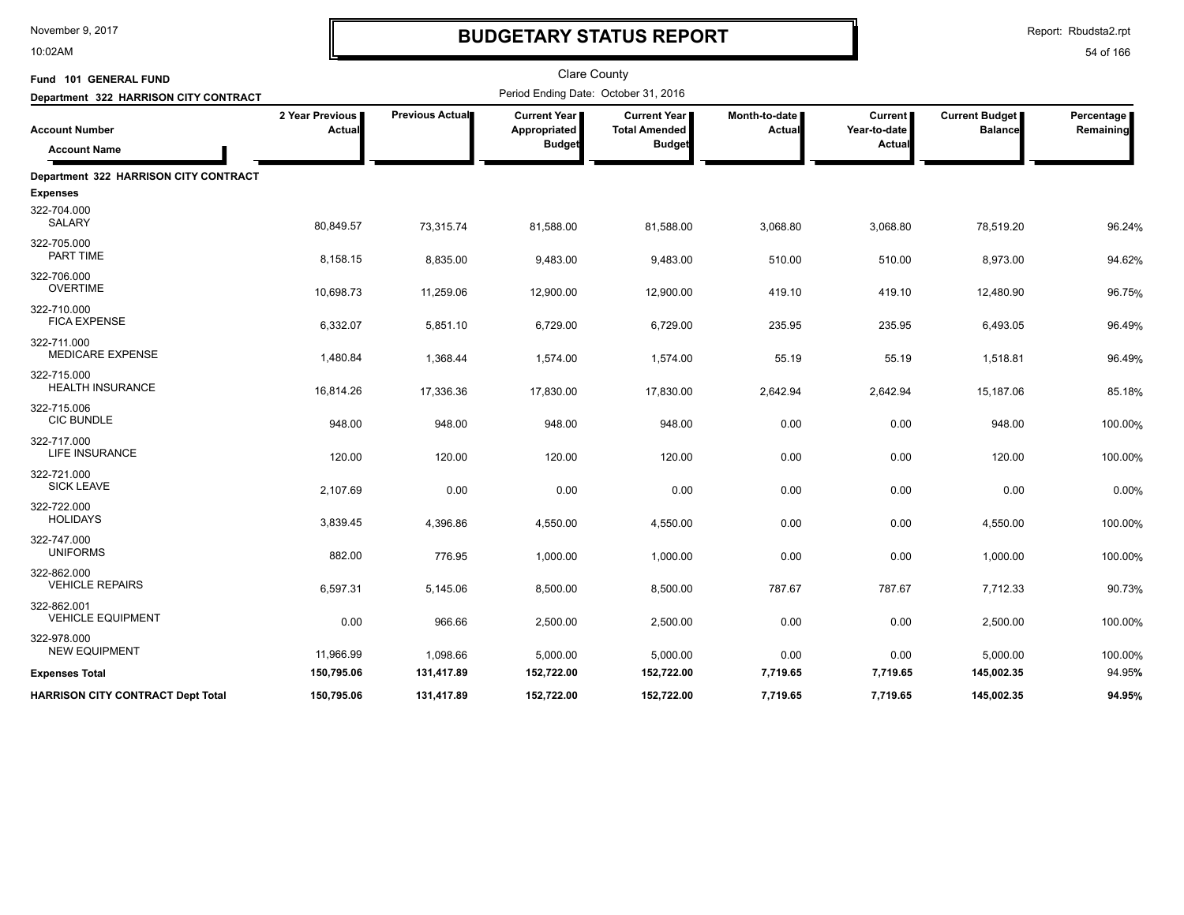10:02AM

# **BUDGETARY STATUS REPORT**

Report: Rbudsta2.rpt

| Fund 101 GENERAL FUND                    |                           |                        | <b>Clare County</b>                   |                                               |                         |                           |                                         |                         |
|------------------------------------------|---------------------------|------------------------|---------------------------------------|-----------------------------------------------|-------------------------|---------------------------|-----------------------------------------|-------------------------|
| Department 322 HARRISON CITY CONTRACT    |                           |                        | Period Ending Date: October 31, 2016  |                                               |                         |                           |                                         |                         |
| <b>Account Number</b>                    | 2 Year Previous<br>Actual | <b>Previous Actual</b> | <b>Current Year I</b><br>Appropriated | <b>Current Year I</b><br><b>Total Amended</b> | Month-to-date<br>Actual | Current  <br>Year-to-date | <b>Current Budget</b><br><b>Balance</b> | Percentage<br>Remaining |
| <b>Account Name</b>                      |                           |                        | <b>Budget</b>                         | <b>Budget</b>                                 |                         | <b>Actual</b>             |                                         |                         |
| Department 322 HARRISON CITY CONTRACT    |                           |                        |                                       |                                               |                         |                           |                                         |                         |
| <b>Expenses</b>                          |                           |                        |                                       |                                               |                         |                           |                                         |                         |
| 322-704.000<br><b>SALARY</b>             | 80,849.57                 | 73,315.74              | 81,588.00                             | 81,588.00                                     | 3,068.80                | 3,068.80                  | 78,519.20                               | 96.24%                  |
| 322-705.000<br>PART TIME                 | 8,158.15                  | 8,835.00               | 9,483.00                              | 9,483.00                                      | 510.00                  | 510.00                    | 8,973.00                                | 94.62%                  |
| 322-706.000<br><b>OVERTIME</b>           | 10,698.73                 | 11,259.06              | 12,900.00                             | 12,900.00                                     | 419.10                  | 419.10                    | 12,480.90                               | 96.75%                  |
| 322-710.000<br><b>FICA EXPENSE</b>       | 6,332.07                  | 5,851.10               | 6,729.00                              | 6,729.00                                      | 235.95                  | 235.95                    | 6,493.05                                | 96.49%                  |
| 322-711.000<br><b>MEDICARE EXPENSE</b>   | 1,480.84                  | 1,368.44               | 1,574.00                              | 1,574.00                                      | 55.19                   | 55.19                     | 1,518.81                                | 96.49%                  |
| 322-715.000<br><b>HEALTH INSURANCE</b>   | 16,814.26                 | 17,336.36              | 17,830.00                             | 17,830.00                                     | 2,642.94                | 2,642.94                  | 15,187.06                               | 85.18%                  |
| 322-715.006<br><b>CIC BUNDLE</b>         | 948.00                    | 948.00                 | 948.00                                | 948.00                                        | 0.00                    | 0.00                      | 948.00                                  | 100.00%                 |
| 322-717.000<br><b>LIFE INSURANCE</b>     | 120.00                    | 120.00                 | 120.00                                | 120.00                                        | 0.00                    | 0.00                      | 120.00                                  | 100.00%                 |
| 322-721.000<br><b>SICK LEAVE</b>         | 2,107.69                  | 0.00                   | 0.00                                  | 0.00                                          | 0.00                    | 0.00                      | 0.00                                    | 0.00%                   |
| 322-722.000<br><b>HOLIDAYS</b>           | 3,839.45                  | 4,396.86               | 4,550.00                              | 4,550.00                                      | 0.00                    | 0.00                      | 4,550.00                                | 100.00%                 |
| 322-747.000<br><b>UNIFORMS</b>           | 882.00                    | 776.95                 | 1,000.00                              | 1,000.00                                      | 0.00                    | 0.00                      | 1,000.00                                | 100.00%                 |
| 322-862.000<br><b>VEHICLE REPAIRS</b>    | 6,597.31                  | 5,145.06               | 8,500.00                              | 8,500.00                                      | 787.67                  | 787.67                    | 7,712.33                                | 90.73%                  |
| 322-862.001<br><b>VEHICLE EQUIPMENT</b>  | 0.00                      | 966.66                 | 2,500.00                              | 2,500.00                                      | 0.00                    | 0.00                      | 2,500.00                                | 100.00%                 |
| 322-978.000<br><b>NEW EQUIPMENT</b>      | 11,966.99                 | 1,098.66               | 5,000.00                              | 5,000.00                                      | 0.00                    | 0.00                      | 5,000.00                                | 100.00%                 |
| <b>Expenses Total</b>                    | 150,795.06                | 131,417.89             | 152,722.00                            | 152,722.00                                    | 7,719.65                | 7,719.65                  | 145,002.35                              | 94.95%                  |
| <b>HARRISON CITY CONTRACT Dept Total</b> | 150,795.06                | 131,417.89             | 152,722.00                            | 152,722.00                                    | 7,719.65                | 7,719.65                  | 145,002.35                              | 94.95%                  |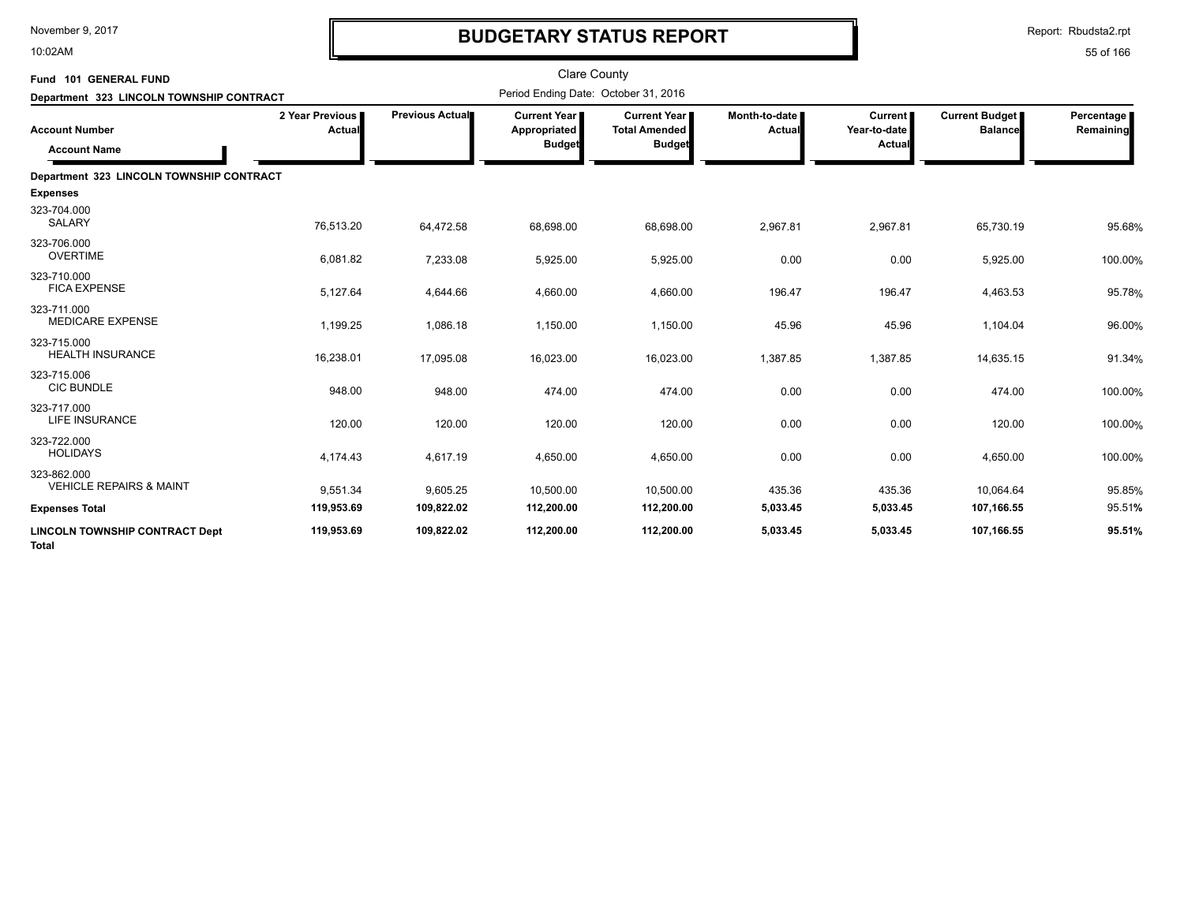10:02AM

# **BUDGETARY STATUS REPORT**

| Fund 101 GENERAL FUND<br>Department 323 LINCOLN TOWNSHIP CONTRACT |                                  |                 | <b>Clare County</b><br>Period Ending Date: October 31, 2016 |                                                              |                         |                                    |                                         |                         |
|-------------------------------------------------------------------|----------------------------------|-----------------|-------------------------------------------------------------|--------------------------------------------------------------|-------------------------|------------------------------------|-----------------------------------------|-------------------------|
| <b>Account Number</b><br><b>Account Name</b>                      | 2 Year Previous<br><b>Actual</b> | Previous Actual | <b>Current Year</b> ∎<br>Appropriated<br><b>Budget</b>      | <b>Current Year</b><br><b>Total Amended</b><br><b>Budget</b> | Month-to-date<br>Actual | Current  <br>Year-to-date<br>Actua | <b>Current Budget</b><br><b>Balance</b> | Percentage<br>Remaining |
| Department 323 LINCOLN TOWNSHIP CONTRACT                          |                                  |                 |                                                             |                                                              |                         |                                    |                                         |                         |
| <b>Expenses</b>                                                   |                                  |                 |                                                             |                                                              |                         |                                    |                                         |                         |
| 323-704.000<br><b>SALARY</b>                                      | 76,513.20                        | 64,472.58       | 68,698.00                                                   | 68,698.00                                                    | 2,967.81                | 2,967.81                           | 65,730.19                               | 95.68%                  |
| 323-706.000<br><b>OVERTIME</b>                                    | 6,081.82                         | 7,233.08        | 5,925.00                                                    | 5,925.00                                                     | 0.00                    | 0.00                               | 5,925.00                                | 100.00%                 |
| 323-710.000<br><b>FICA EXPENSE</b>                                | 5,127.64                         | 4,644.66        | 4,660.00                                                    | 4,660.00                                                     | 196.47                  | 196.47                             | 4,463.53                                | 95.78%                  |
| 323-711.000<br><b>MEDICARE EXPENSE</b>                            | 1,199.25                         | 1,086.18        | 1,150.00                                                    | 1,150.00                                                     | 45.96                   | 45.96                              | 1,104.04                                | 96.00%                  |
| 323-715.000<br><b>HEALTH INSURANCE</b>                            | 16,238.01                        | 17,095.08       | 16,023.00                                                   | 16,023.00                                                    | 1,387.85                | 1,387.85                           | 14,635.15                               | 91.34%                  |
| 323-715.006<br><b>CIC BUNDLE</b>                                  | 948.00                           | 948.00          | 474.00                                                      | 474.00                                                       | 0.00                    | 0.00                               | 474.00                                  | 100.00%                 |
| 323-717.000<br>LIFE INSURANCE                                     | 120.00                           | 120.00          | 120.00                                                      | 120.00                                                       | 0.00                    | 0.00                               | 120.00                                  | 100.00%                 |
| 323-722.000<br><b>HOLIDAYS</b>                                    | 4,174.43                         | 4,617.19        | 4,650.00                                                    | 4,650.00                                                     | 0.00                    | 0.00                               | 4,650.00                                | 100.00%                 |
| 323-862.000<br><b>VEHICLE REPAIRS &amp; MAINT</b>                 | 9,551.34                         | 9,605.25        | 10,500.00                                                   | 10,500.00                                                    | 435.36                  | 435.36                             | 10,064.64                               | 95.85%                  |
| <b>Expenses Total</b>                                             | 119,953.69                       | 109,822.02      | 112,200.00                                                  | 112,200.00                                                   | 5,033.45                | 5,033.45                           | 107,166.55                              | 95.51%                  |
| <b>LINCOLN TOWNSHIP CONTRACT Dept</b><br>Total                    | 119,953.69                       | 109,822.02      | 112,200.00                                                  | 112,200.00                                                   | 5,033.45                | 5,033.45                           | 107,166.55                              | 95.51%                  |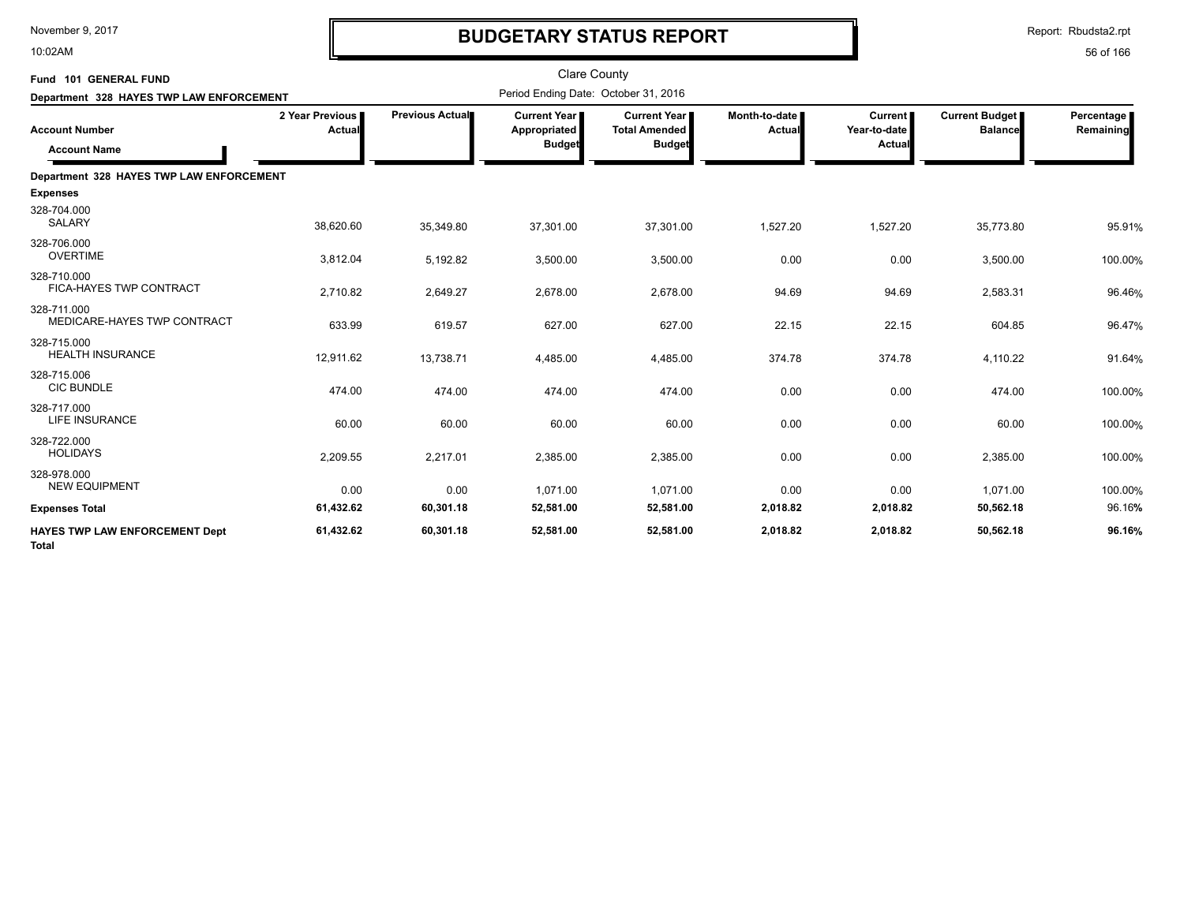10:02AM

# **BUDGETARY STATUS REPORT**

| Fund 101 GENERAL FUND<br>Department 328 HAYES TWP LAW ENFORCEMENT |                                  |                 | <b>Clare County</b><br>Period Ending Date: October 31, 2016 |                                                              |                         |                                          |                                         |                         |
|-------------------------------------------------------------------|----------------------------------|-----------------|-------------------------------------------------------------|--------------------------------------------------------------|-------------------------|------------------------------------------|-----------------------------------------|-------------------------|
| <b>Account Number</b><br><b>Account Name</b>                      | 2 Year Previous<br><b>Actual</b> | Previous Actual | Current Year<br>Appropriated<br><b>Budget</b>               | <b>Current Year</b><br><b>Total Amended</b><br><b>Budget</b> | Month-to-date<br>Actual | <b>Current</b><br>Year-to-date<br>Actual | <b>Current Budget</b><br><b>Balance</b> | Percentage<br>Remaining |
| Department 328 HAYES TWP LAW ENFORCEMENT                          |                                  |                 |                                                             |                                                              |                         |                                          |                                         |                         |
| <b>Expenses</b>                                                   |                                  |                 |                                                             |                                                              |                         |                                          |                                         |                         |
| 328-704.000<br><b>SALARY</b>                                      | 38,620.60                        | 35,349.80       | 37,301.00                                                   | 37,301.00                                                    | 1,527.20                | 1,527.20                                 | 35,773.80                               | 95.91%                  |
| 328-706.000<br><b>OVERTIME</b>                                    | 3,812.04                         | 5,192.82        | 3,500.00                                                    | 3,500.00                                                     | 0.00                    | 0.00                                     | 3,500.00                                | 100.00%                 |
| 328-710.000<br>FICA-HAYES TWP CONTRACT                            | 2,710.82                         | 2,649.27        | 2,678.00                                                    | 2,678.00                                                     | 94.69                   | 94.69                                    | 2,583.31                                | 96.46%                  |
| 328-711.000<br>MEDICARE-HAYES TWP CONTRACT                        | 633.99                           | 619.57          | 627.00                                                      | 627.00                                                       | 22.15                   | 22.15                                    | 604.85                                  | 96.47%                  |
| 328-715.000<br><b>HEALTH INSURANCE</b>                            | 12,911.62                        | 13,738.71       | 4,485.00                                                    | 4,485.00                                                     | 374.78                  | 374.78                                   | 4,110.22                                | 91.64%                  |
| 328-715.006<br><b>CIC BUNDLE</b>                                  | 474.00                           | 474.00          | 474.00                                                      | 474.00                                                       | 0.00                    | 0.00                                     | 474.00                                  | 100.00%                 |
| 328-717.000<br><b>LIFE INSURANCE</b>                              | 60.00                            | 60.00           | 60.00                                                       | 60.00                                                        | 0.00                    | 0.00                                     | 60.00                                   | 100.00%                 |
| 328-722.000<br><b>HOLIDAYS</b>                                    | 2,209.55                         | 2,217.01        | 2,385.00                                                    | 2,385.00                                                     | 0.00                    | 0.00                                     | 2,385.00                                | 100.00%                 |
| 328-978.000<br><b>NEW EQUIPMENT</b>                               | 0.00                             | 0.00            | 1.071.00                                                    | 1.071.00                                                     | 0.00                    | 0.00                                     | 1.071.00                                | 100.00%                 |
| <b>Expenses Total</b>                                             | 61,432.62                        | 60,301.18       | 52,581.00                                                   | 52,581.00                                                    | 2,018.82                | 2,018.82                                 | 50,562.18                               | 96.16%                  |
| <b>HAYES TWP LAW ENFORCEMENT Dept</b><br>Total                    | 61,432.62                        | 60,301.18       | 52,581.00                                                   | 52,581.00                                                    | 2,018.82                | 2,018.82                                 | 50,562.18                               | 96.16%                  |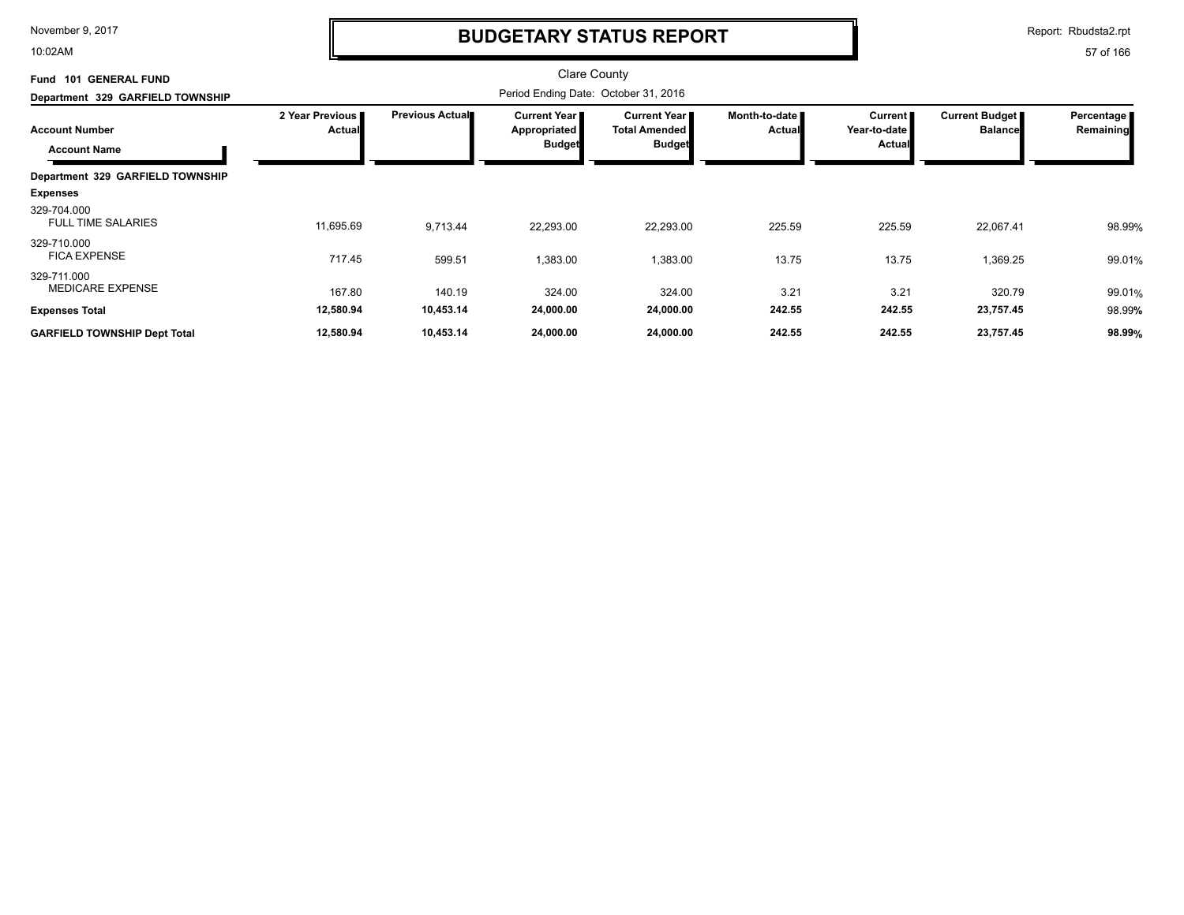10:02AM

## **BUDGETARY STATUS REPORT**

Report: Rbudsta2.rpt

| <b>GENERAL FUND</b><br><b>Fund 101</b>       |                                  |                        | <b>Clare County</b>                                    |                                                                |                                |                                                   |                                  |                         |
|----------------------------------------------|----------------------------------|------------------------|--------------------------------------------------------|----------------------------------------------------------------|--------------------------------|---------------------------------------------------|----------------------------------|-------------------------|
| Department 329 GARFIELD TOWNSHIP             |                                  |                        |                                                        |                                                                |                                |                                                   |                                  |                         |
| <b>Account Number</b><br><b>Account Name</b> | 2 Year Previous<br><b>Actual</b> | <b>Previous Actual</b> | <b>Current Year</b> ■<br>Appropriated<br><b>Budget</b> | <b>Current Year I</b><br><b>Total Amended</b><br><b>Budget</b> | Month-to-date<br><b>Actual</b> | <b>Current</b><br>Year-to-date I<br><b>Actual</b> | Current Budget<br><b>Balance</b> | Percentage<br>Remaining |
| Department 329 GARFIELD TOWNSHIP             |                                  |                        |                                                        |                                                                |                                |                                                   |                                  |                         |
| <b>Expenses</b>                              |                                  |                        |                                                        |                                                                |                                |                                                   |                                  |                         |
| 329-704.000<br><b>FULL TIME SALARIES</b>     | 11,695.69                        | 9,713.44               | 22,293.00                                              | 22,293.00                                                      | 225.59                         | 225.59                                            | 22,067.41                        | 98.99%                  |
| 329-710.000<br><b>FICA EXPENSE</b>           | 717.45                           | 599.51                 | 1,383.00                                               | 1,383.00                                                       | 13.75                          | 13.75                                             | 1,369.25                         | 99.01%                  |
| 329-711.000<br><b>MEDICARE EXPENSE</b>       | 167.80                           | 140.19                 | 324.00                                                 | 324.00                                                         | 3.21                           | 3.21                                              | 320.79                           | 99.01%                  |
| <b>Expenses Total</b>                        | 12,580.94                        | 10,453.14              | 24,000.00                                              | 24,000.00                                                      | 242.55                         | 242.55                                            | 23,757.45                        | 98.99%                  |
| <b>GARFIELD TOWNSHIP Dept Total</b>          | 12,580.94                        | 10,453.14              | 24,000.00                                              | 24,000.00                                                      | 242.55                         | 242.55                                            | 23,757.45                        | 98.99%                  |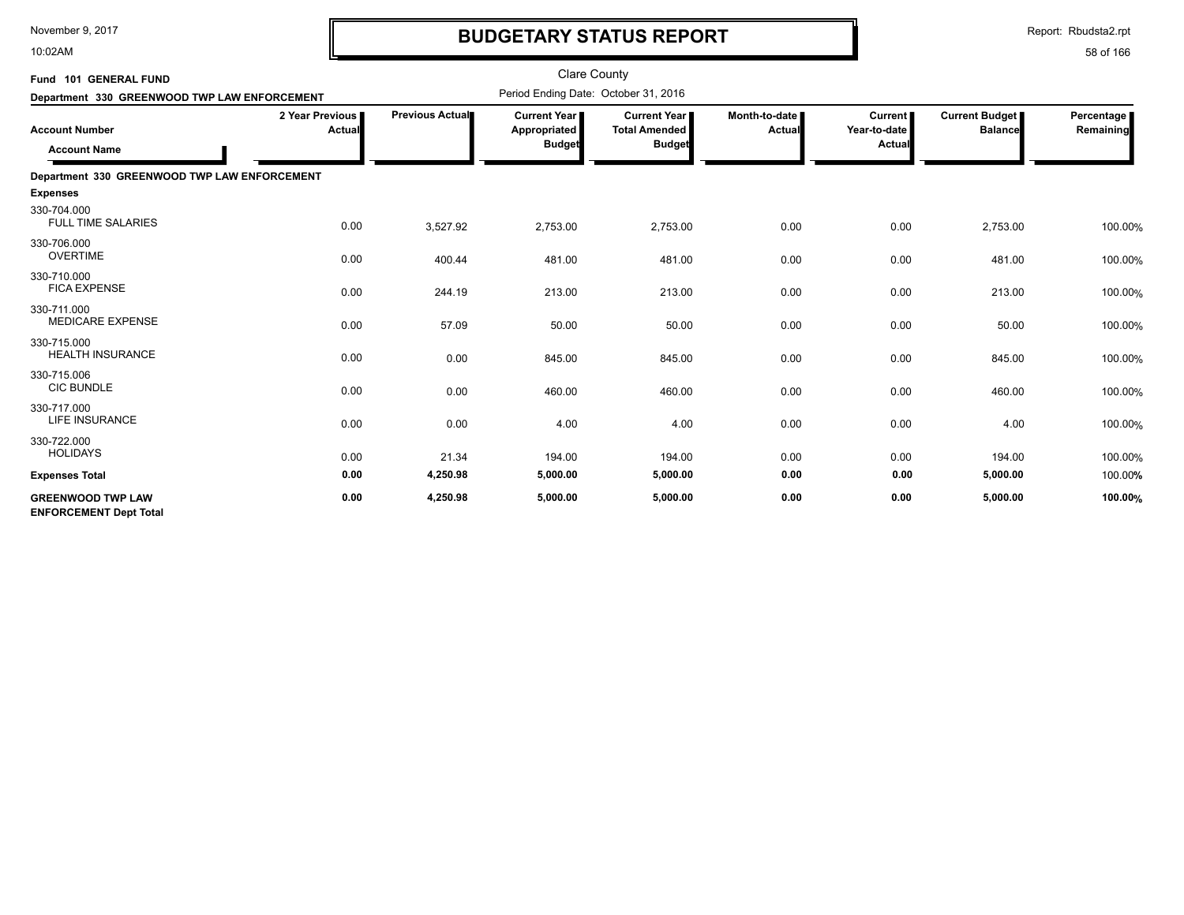10:02AM

# **BUDGETARY STATUS REPORT**

Report: Rbudsta2.rpt

| Fund 101 GENERAL FUND<br>Department 330 GREENWOOD TWP LAW ENFORCEMENT |                           |                 | <b>Clare County</b><br>Period Ending Date: October 31, 2016 |                                                                |                                |                                                 |                                         |                         |
|-----------------------------------------------------------------------|---------------------------|-----------------|-------------------------------------------------------------|----------------------------------------------------------------|--------------------------------|-------------------------------------------------|-----------------------------------------|-------------------------|
| <b>Account Number</b><br><b>Account Name</b>                          | 2 Year Previous<br>Actual | Previous Actual | <b>Current Year I</b><br>Appropriated<br><b>Budget</b>      | <b>Current Year I</b><br><b>Total Amended</b><br><b>Budget</b> | Month-to-date<br><b>Actual</b> | <b>Current</b><br>Year-to-date<br><b>Actual</b> | <b>Current Budget</b><br><b>Balance</b> | Percentage<br>Remaining |
| Department 330 GREENWOOD TWP LAW ENFORCEMENT                          |                           |                 |                                                             |                                                                |                                |                                                 |                                         |                         |
| <b>Expenses</b>                                                       |                           |                 |                                                             |                                                                |                                |                                                 |                                         |                         |
| 330-704.000<br><b>FULL TIME SALARIES</b>                              | 0.00                      | 3,527.92        | 2,753.00                                                    | 2,753.00                                                       | 0.00                           | 0.00                                            | 2,753.00                                | 100.00%                 |
| 330-706.000<br><b>OVERTIME</b>                                        | 0.00                      | 400.44          | 481.00                                                      | 481.00                                                         | 0.00                           | 0.00                                            | 481.00                                  | 100.00%                 |
| 330-710.000<br><b>FICA EXPENSE</b>                                    | 0.00                      | 244.19          | 213.00                                                      | 213.00                                                         | 0.00                           | 0.00                                            | 213.00                                  | 100.00%                 |
| 330-711.000<br><b>MEDICARE EXPENSE</b>                                | 0.00                      | 57.09           | 50.00                                                       | 50.00                                                          | 0.00                           | 0.00                                            | 50.00                                   | 100.00%                 |
| 330-715.000<br><b>HEALTH INSURANCE</b>                                | 0.00                      | 0.00            | 845.00                                                      | 845.00                                                         | 0.00                           | 0.00                                            | 845.00                                  | 100.00%                 |
| 330-715.006<br><b>CIC BUNDLE</b>                                      | 0.00                      | 0.00            | 460.00                                                      | 460.00                                                         | 0.00                           | 0.00                                            | 460.00                                  | 100.00%                 |
| 330-717.000<br><b>LIFE INSURANCE</b>                                  | 0.00                      | 0.00            | 4.00                                                        | 4.00                                                           | 0.00                           | 0.00                                            | 4.00                                    | 100.00%                 |
| 330-722.000<br><b>HOLIDAYS</b>                                        | 0.00                      | 21.34           | 194.00                                                      | 194.00                                                         | 0.00                           | 0.00                                            | 194.00                                  | 100.00%                 |
| <b>Expenses Total</b>                                                 | 0.00                      | 4,250.98        | 5,000.00                                                    | 5,000.00                                                       | 0.00                           | 0.00                                            | 5,000.00                                | 100.00%                 |
| <b>GREENWOOD TWP LAW</b><br><b>ENFORCEMENT Dept Total</b>             | 0.00                      | 4,250.98        | 5,000.00                                                    | 5,000.00                                                       | 0.00                           | 0.00                                            | 5,000.00                                | 100.00%                 |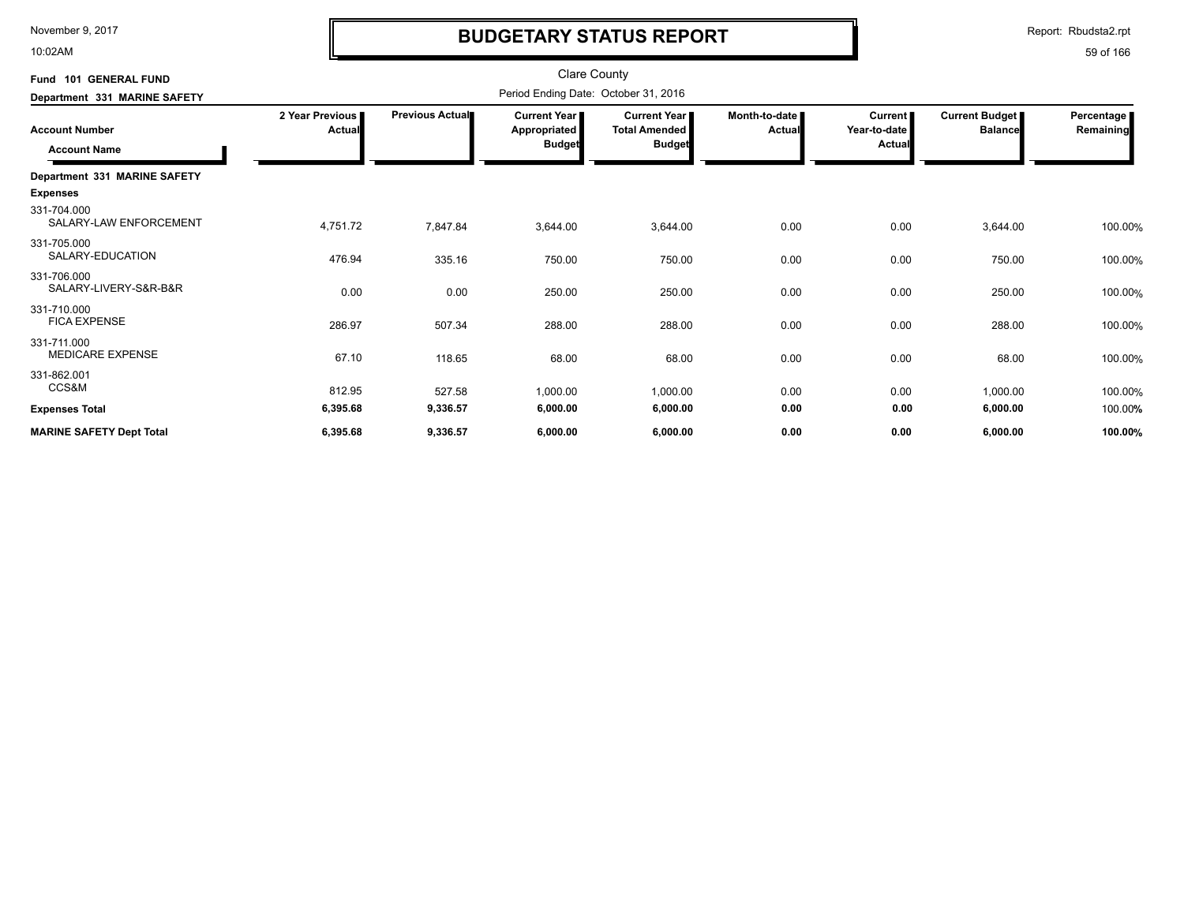10:02AM

# **BUDGETARY STATUS REPORT**

Report: Rbudsta2.rpt

| Fund 101 GENERAL FUND<br>Department 331 MARINE SAFETY    |                           | <b>Clare County</b><br>Period Ending Date: October 31, 2016 |                                               |                                                              |                                  |                                            |          |                         |  |
|----------------------------------------------------------|---------------------------|-------------------------------------------------------------|-----------------------------------------------|--------------------------------------------------------------|----------------------------------|--------------------------------------------|----------|-------------------------|--|
| <b>Account Number</b><br><b>Account Name</b>             | 2 Year Previous<br>Actual | Previous Actual                                             | <b>Current Year</b><br>Appropriated<br>Budget | <b>Current Year</b><br><b>Total Amended</b><br><b>Budget</b> | Month-to-date I<br><b>Actual</b> | Current  <br>Year-to-date<br><b>Actual</b> |          | Percentage<br>Remaining |  |
| Department 331 MARINE SAFETY                             |                           |                                                             |                                               |                                                              |                                  |                                            |          |                         |  |
| <b>Expenses</b><br>331-704.000<br>SALARY-LAW ENFORCEMENT | 4,751.72                  | 7,847.84                                                    | 3,644.00                                      | 3,644.00                                                     | 0.00                             | 0.00                                       | 3,644.00 | 100.00%                 |  |
| 331-705.000<br>SALARY-EDUCATION                          | 476.94                    | 335.16                                                      | 750.00                                        | 750.00                                                       | 0.00                             | 0.00                                       | 750.00   | 100.00%                 |  |
| 331-706.000<br>SALARY-LIVERY-S&R-B&R                     | 0.00                      | 0.00                                                        | 250.00                                        | 250.00                                                       | 0.00                             | 0.00                                       | 250.00   | 100.00%                 |  |
| 331-710.000<br><b>FICA EXPENSE</b>                       | 286.97                    | 507.34                                                      | 288.00                                        | 288.00                                                       | 0.00                             | 0.00                                       | 288.00   | 100.00%                 |  |
| 331-711.000<br>MEDICARE EXPENSE                          | 67.10                     | 118.65                                                      | 68.00                                         | 68.00                                                        | 0.00                             | 0.00                                       | 68.00    | 100.00%                 |  |
| 331-862.001<br>CCS&M                                     | 812.95                    | 527.58                                                      | 1,000.00                                      | 1,000.00                                                     | 0.00                             | 0.00                                       | 1,000.00 | 100.00%                 |  |
| <b>Expenses Total</b>                                    | 6,395.68                  | 9,336.57                                                    | 6,000.00                                      | 6,000.00                                                     | 0.00                             | 0.00                                       | 6,000.00 | 100.00%                 |  |
| <b>MARINE SAFETY Dept Total</b>                          | 6,395.68                  | 9,336.57                                                    | 6,000.00                                      | 6,000.00                                                     | 0.00                             | 0.00                                       | 6,000.00 | 100.00%                 |  |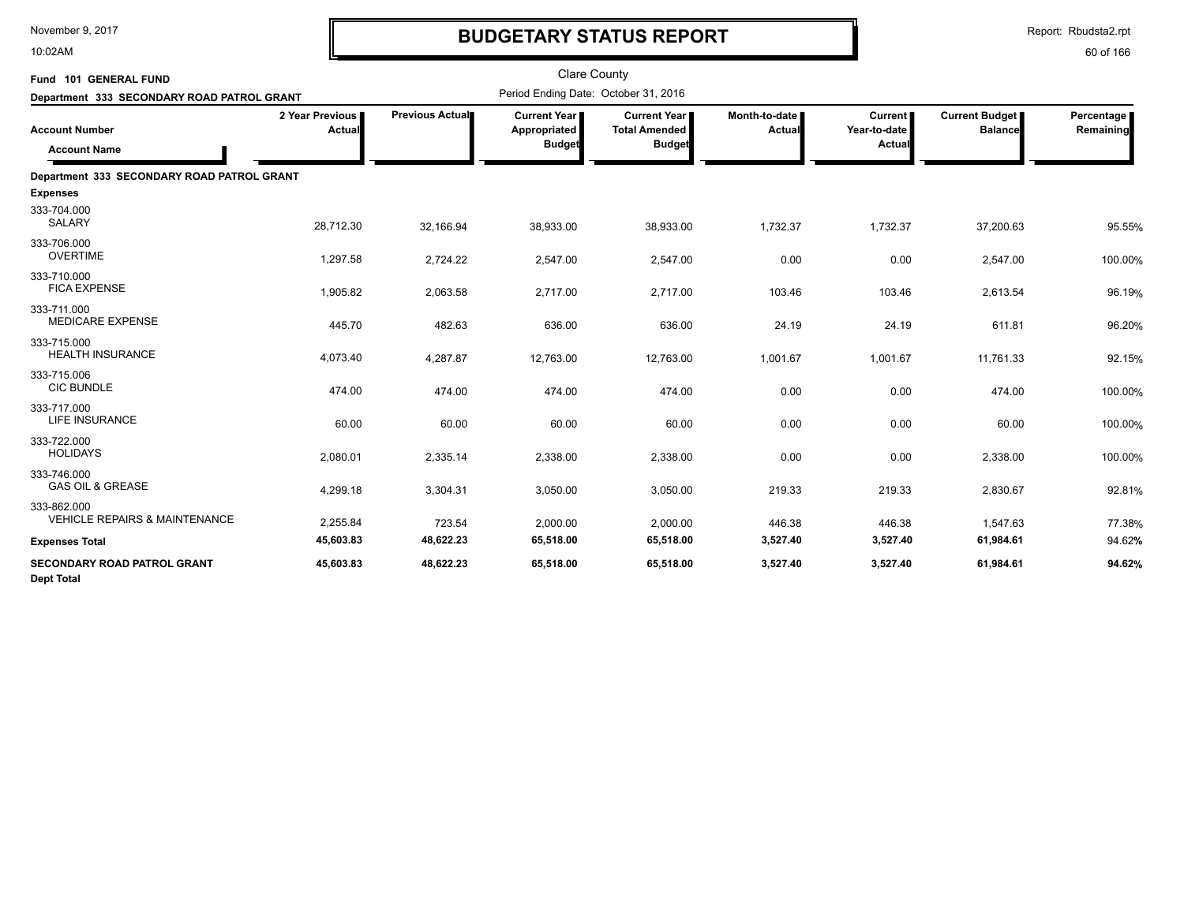10:02AM

# **BUDGETARY STATUS REPORT**

Report: Rbudsta2.rpt

| Fund 101 GENERAL FUND<br>Department 333 SECONDARY ROAD PATROL GRANT |                           |                 | <b>Clare County</b><br>Period Ending Date: October 31, 2016 |                                                                |                           |                                          |                                         |                         |
|---------------------------------------------------------------------|---------------------------|-----------------|-------------------------------------------------------------|----------------------------------------------------------------|---------------------------|------------------------------------------|-----------------------------------------|-------------------------|
| <b>Account Number</b><br><b>Account Name</b>                        | 2 Year Previous<br>Actual | Previous Actual | <b>Current Year</b><br>Appropriated<br><b>Budget</b>        | <b>Current Year I</b><br><b>Total Amended</b><br><b>Budget</b> | Month-to-date  <br>Actual | <b>Current</b><br>Year-to-date<br>Actual | <b>Current Budget</b><br><b>Balance</b> | Percentage<br>Remaining |
| Department 333 SECONDARY ROAD PATROL GRANT                          |                           |                 |                                                             |                                                                |                           |                                          |                                         |                         |
| <b>Expenses</b>                                                     |                           |                 |                                                             |                                                                |                           |                                          |                                         |                         |
| 333-704.000<br><b>SALARY</b>                                        | 28,712.30                 | 32,166.94       | 38,933.00                                                   | 38,933.00                                                      | 1,732.37                  | 1,732.37                                 | 37,200.63                               | 95.55%                  |
| 333-706.000<br><b>OVERTIME</b>                                      | 1,297.58                  | 2,724.22        | 2,547.00                                                    | 2,547.00                                                       | 0.00                      | 0.00                                     | 2,547.00                                | 100.00%                 |
| 333-710.000<br><b>FICA EXPENSE</b>                                  | 1,905.82                  | 2,063.58        | 2,717.00                                                    | 2,717.00                                                       | 103.46                    | 103.46                                   | 2,613.54                                | 96.19%                  |
| 333-711.000<br><b>MEDICARE EXPENSE</b>                              | 445.70                    | 482.63          | 636.00                                                      | 636.00                                                         | 24.19                     | 24.19                                    | 611.81                                  | 96.20%                  |
| 333-715.000<br><b>HEALTH INSURANCE</b>                              | 4,073.40                  | 4,287.87        | 12,763.00                                                   | 12,763.00                                                      | 1,001.67                  | 1,001.67                                 | 11,761.33                               | 92.15%                  |
| 333-715.006<br><b>CIC BUNDLE</b>                                    | 474.00                    | 474.00          | 474.00                                                      | 474.00                                                         | 0.00                      | 0.00                                     | 474.00                                  | 100.00%                 |
| 333-717.000<br><b>LIFE INSURANCE</b>                                | 60.00                     | 60.00           | 60.00                                                       | 60.00                                                          | 0.00                      | 0.00                                     | 60.00                                   | 100.00%                 |
| 333-722.000<br><b>HOLIDAYS</b>                                      | 2,080.01                  | 2,335.14        | 2,338.00                                                    | 2,338.00                                                       | 0.00                      | 0.00                                     | 2,338.00                                | 100.00%                 |
| 333-746.000<br><b>GAS OIL &amp; GREASE</b>                          | 4,299.18                  | 3,304.31        | 3,050.00                                                    | 3,050.00                                                       | 219.33                    | 219.33                                   | 2,830.67                                | 92.81%                  |
| 333-862.000<br><b>VEHICLE REPAIRS &amp; MAINTENANCE</b>             | 2,255.84                  | 723.54          | 2,000.00                                                    | 2,000.00                                                       | 446.38                    | 446.38                                   | 1,547.63                                | 77.38%                  |
| <b>Expenses Total</b>                                               | 45,603.83                 | 48,622.23       | 65,518.00                                                   | 65,518.00                                                      | 3,527.40                  | 3,527.40                                 | 61,984.61                               | 94.62%                  |
| <b>SECONDARY ROAD PATROL GRANT</b><br><b>Dept Total</b>             | 45,603.83                 | 48,622.23       | 65,518.00                                                   | 65,518.00                                                      | 3,527.40                  | 3,527.40                                 | 61,984.61                               | 94.62%                  |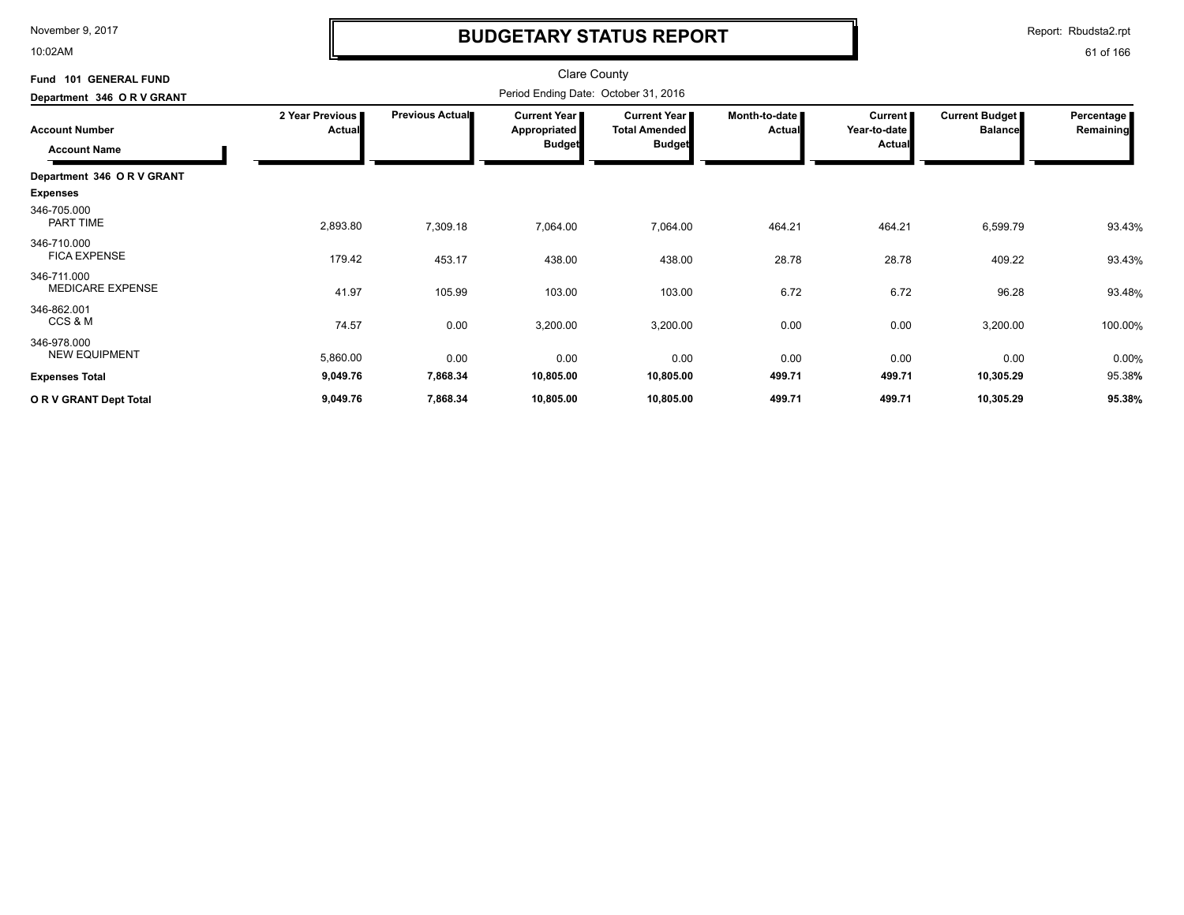10:02AM

# **BUDGETARY STATUS REPORT**

Report: Rbudsta2.rpt

| Fund 101 GENERAL FUND                        |                                  |                 | <b>Clare County</b>                                  |                                                                |                                |                                                 |                                  |                                |
|----------------------------------------------|----------------------------------|-----------------|------------------------------------------------------|----------------------------------------------------------------|--------------------------------|-------------------------------------------------|----------------------------------|--------------------------------|
| Department 346 OR V GRANT                    |                                  |                 | Period Ending Date: October 31, 2016                 |                                                                |                                |                                                 |                                  |                                |
| <b>Account Number</b><br><b>Account Name</b> | 2 Year Previous<br><b>Actual</b> | Previous Actual | <b>Current Year</b><br>Appropriated<br><b>Budget</b> | <b>Current Year I</b><br><b>Total Amended</b><br><b>Budget</b> | Month-to-date<br><b>Actual</b> | <b>Current</b><br>Year-to-date<br><b>Actual</b> | Current Budget<br><b>Balance</b> | <b>Percentage</b><br>Remaining |
| Department 346 OR V GRANT                    |                                  |                 |                                                      |                                                                |                                |                                                 |                                  |                                |
| <b>Expenses</b>                              |                                  |                 |                                                      |                                                                |                                |                                                 |                                  |                                |
| 346-705.000<br><b>PART TIME</b>              | 2,893.80                         | 7,309.18        | 7,064.00                                             | 7,064.00                                                       | 464.21                         | 464.21                                          | 6,599.79                         | 93.43%                         |
| 346-710.000<br><b>FICA EXPENSE</b>           | 179.42                           | 453.17          | 438.00                                               | 438.00                                                         | 28.78                          | 28.78                                           | 409.22                           | 93.43%                         |
| 346-711.000<br><b>MEDICARE EXPENSE</b>       | 41.97                            | 105.99          | 103.00                                               | 103.00                                                         | 6.72                           | 6.72                                            | 96.28                            | 93.48%                         |
| 346-862.001<br>CCS & M                       | 74.57                            | 0.00            | 3,200.00                                             | 3,200.00                                                       | 0.00                           | 0.00                                            | 3,200.00                         | 100.00%                        |
| 346-978.000<br><b>NEW EQUIPMENT</b>          | 5,860.00                         | 0.00            | 0.00                                                 | 0.00                                                           | 0.00                           | 0.00                                            | 0.00                             | 0.00%                          |
| <b>Expenses Total</b>                        | 9,049.76                         | 7,868.34        | 10,805.00                                            | 10,805.00                                                      | 499.71                         | 499.71                                          | 10,305.29                        | 95.38%                         |
| OR V GRANT Dept Total                        | 9,049.76                         | 7,868.34        | 10,805.00                                            | 10,805.00                                                      | 499.71                         | 499.71                                          | 10,305.29                        | 95.38%                         |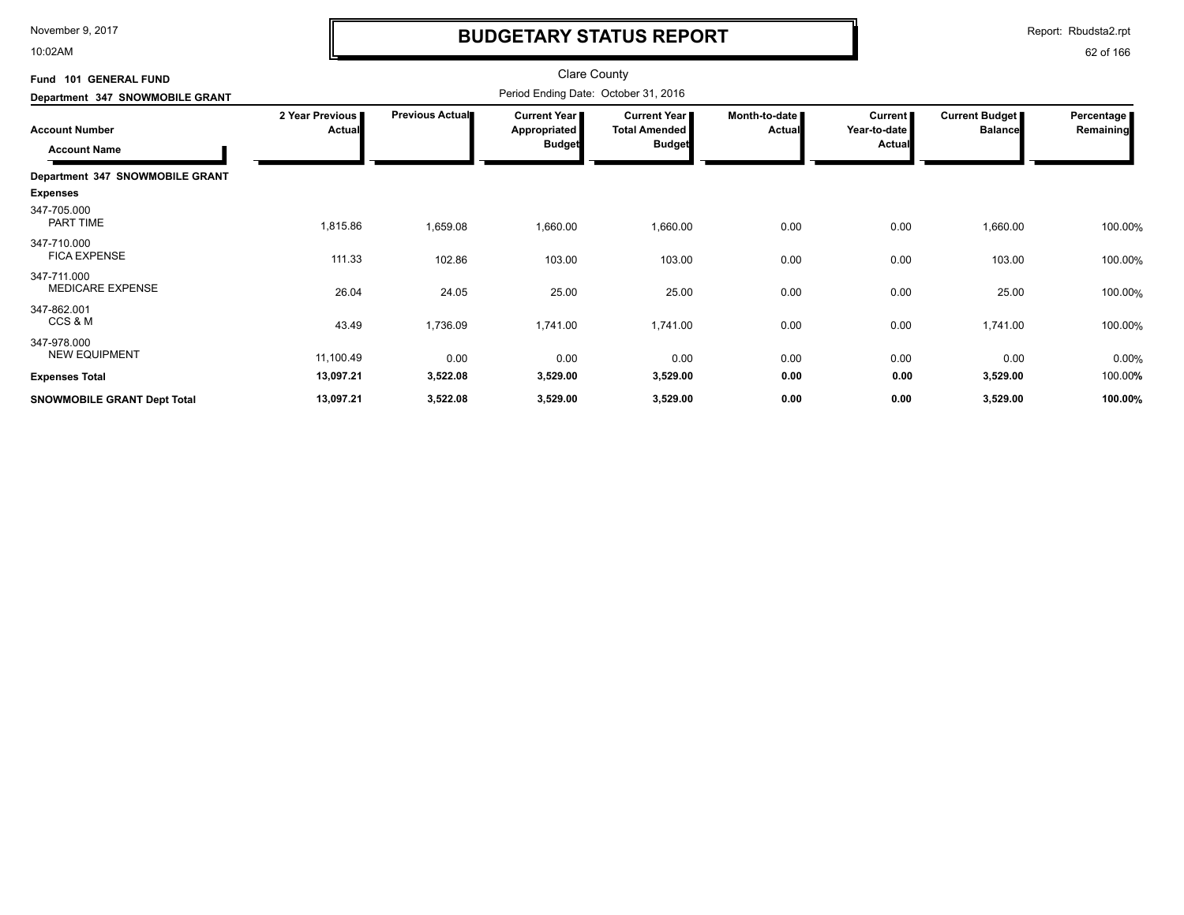10:02AM

# **BUDGETARY STATUS REPORT**

Report: Rbudsta2.rpt

| Fund 101 GENERAL FUND<br>Department 347 SNOWMOBILE GRANT | <b>Clare County</b><br>Period Ending Date: October 31, 2016 |                 |                                               |                                                              |                                |                                            |                                         |                         |
|----------------------------------------------------------|-------------------------------------------------------------|-----------------|-----------------------------------------------|--------------------------------------------------------------|--------------------------------|--------------------------------------------|-----------------------------------------|-------------------------|
| <b>Account Number</b><br><b>Account Name</b>             | 2 Year Previous<br><b>Actual</b>                            | Previous Actual | Current Year<br>Appropriated<br><b>Budget</b> | <b>Current Year</b><br><b>Total Amended</b><br><b>Budget</b> | Month-to-date<br><b>Actual</b> | Current  <br>Year-to-date<br><b>Actual</b> | <b>Current Budget</b><br><b>Balance</b> | Percentage<br>Remaining |
| Department 347 SNOWMOBILE GRANT                          |                                                             |                 |                                               |                                                              |                                |                                            |                                         |                         |
| <b>Expenses</b>                                          |                                                             |                 |                                               |                                                              |                                |                                            |                                         |                         |
| 347-705.000<br>PART TIME                                 | 1,815.86                                                    | 1,659.08        | 1,660.00                                      | 1,660.00                                                     | 0.00                           | 0.00                                       | 1,660.00                                | 100.00%                 |
| 347-710.000<br><b>FICA EXPENSE</b>                       | 111.33                                                      | 102.86          | 103.00                                        | 103.00                                                       | 0.00                           | 0.00                                       | 103.00                                  | 100.00%                 |
| 347-711.000<br><b>MEDICARE EXPENSE</b>                   | 26.04                                                       | 24.05           | 25.00                                         | 25.00                                                        | 0.00                           | 0.00                                       | 25.00                                   | 100.00%                 |
| 347-862.001<br>CCS & M                                   | 43.49                                                       | 1,736.09        | 1,741.00                                      | 1,741.00                                                     | 0.00                           | 0.00                                       | 1,741.00                                | 100.00%                 |
| 347-978.000<br><b>NEW EQUIPMENT</b>                      | 11,100.49                                                   | 0.00            | 0.00                                          | 0.00                                                         | 0.00                           | 0.00                                       | 0.00                                    | 0.00%                   |
| <b>Expenses Total</b>                                    | 13,097.21                                                   | 3,522.08        | 3,529.00                                      | 3,529.00                                                     | 0.00                           | 0.00                                       | 3,529.00                                | 100.00%                 |
| SNOWMOBILE GRANT Dept Total                              | 13,097.21                                                   | 3,522.08        | 3,529.00                                      | 3,529.00                                                     | 0.00                           | 0.00                                       | 3,529.00                                | 100.00%                 |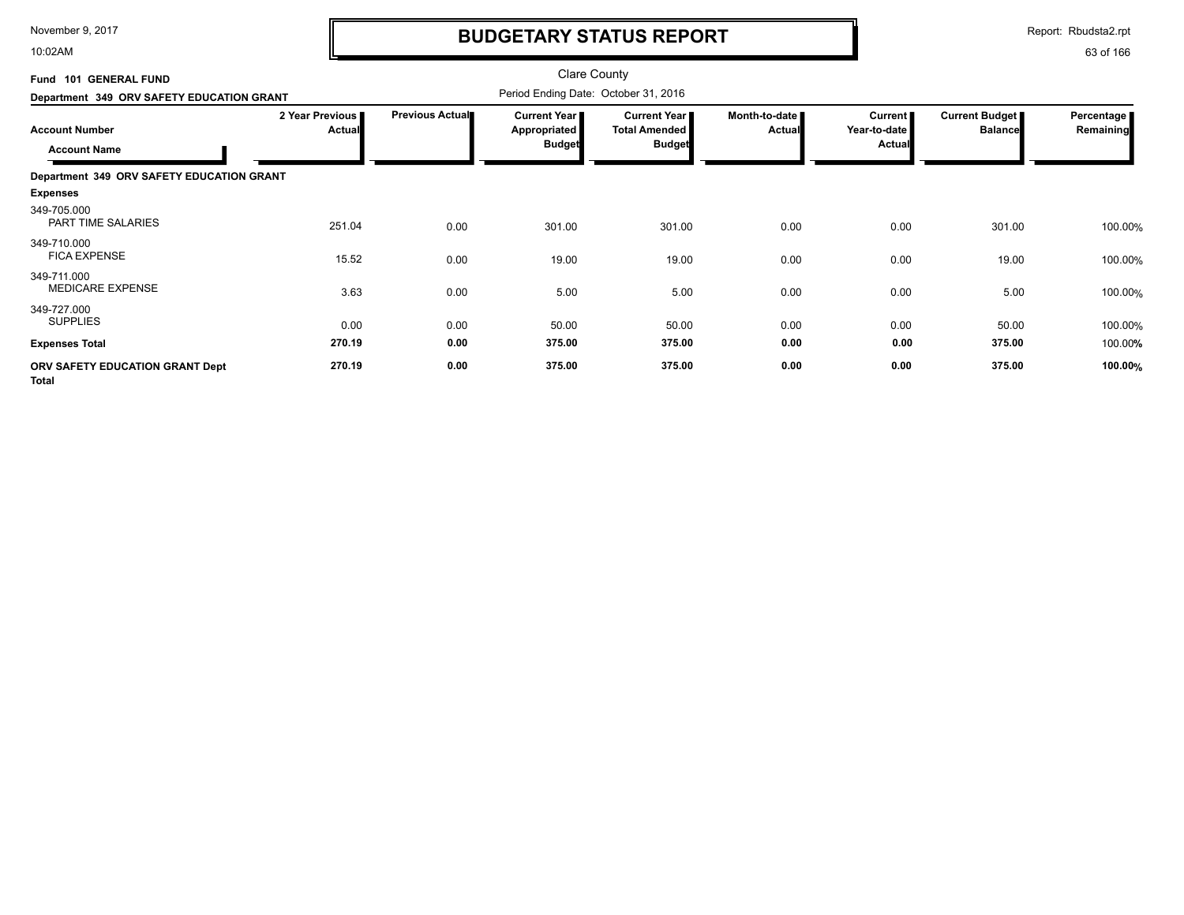10:02AM

# **BUDGETARY STATUS REPORT**

Report: Rbudsta2.rpt

| Fund 101 GENERAL FUND<br>Department 349 ORV SAFETY EDUCATION GRANT |                                  |                 | <b>Clare County</b><br>Period Ending Date: October 31, 2016 |                                                              |                                |                                     |                                         |                         |
|--------------------------------------------------------------------|----------------------------------|-----------------|-------------------------------------------------------------|--------------------------------------------------------------|--------------------------------|-------------------------------------|-----------------------------------------|-------------------------|
| <b>Account Number</b><br><b>Account Name</b>                       | 2 Year Previous<br><b>Actual</b> | Previous Actual | Current Year  <br><b>Appropriated</b><br><b>Budget</b>      | <b>Current Year</b><br><b>Total Amended</b><br><b>Budget</b> | Month-to-date<br><b>Actual</b> | Current  <br>Year-to-date<br>Actual | <b>Current Budget</b><br><b>Balance</b> | Percentage<br>Remaining |
| Department 349 ORV SAFETY EDUCATION GRANT                          |                                  |                 |                                                             |                                                              |                                |                                     |                                         |                         |
| <b>Expenses</b>                                                    |                                  |                 |                                                             |                                                              |                                |                                     |                                         |                         |
| 349-705.000<br><b>PART TIME SALARIES</b>                           | 251.04                           | 0.00            | 301.00                                                      | 301.00                                                       | 0.00                           | 0.00                                | 301.00                                  | 100.00%                 |
| 349-710.000<br><b>FICA EXPENSE</b>                                 | 15.52                            | 0.00            | 19.00                                                       | 19.00                                                        | 0.00                           | 0.00                                | 19.00                                   | 100.00%                 |
| 349-711.000<br><b>MEDICARE EXPENSE</b>                             | 3.63                             | 0.00            | 5.00                                                        | 5.00                                                         | 0.00                           | 0.00                                | 5.00                                    | 100.00%                 |
| 349-727.000<br><b>SUPPLIES</b>                                     | 0.00                             | 0.00            | 50.00                                                       | 50.00                                                        | 0.00                           | 0.00                                | 50.00                                   | 100.00%                 |
| <b>Expenses Total</b>                                              | 270.19                           | 0.00            | 375.00                                                      | 375.00                                                       | 0.00                           | 0.00                                | 375.00                                  | 100.00%                 |
| ORV SAFETY EDUCATION GRANT Dept<br><b>Total</b>                    | 270.19                           | 0.00            | 375.00                                                      | 375.00                                                       | 0.00                           | 0.00                                | 375.00                                  | 100.00%                 |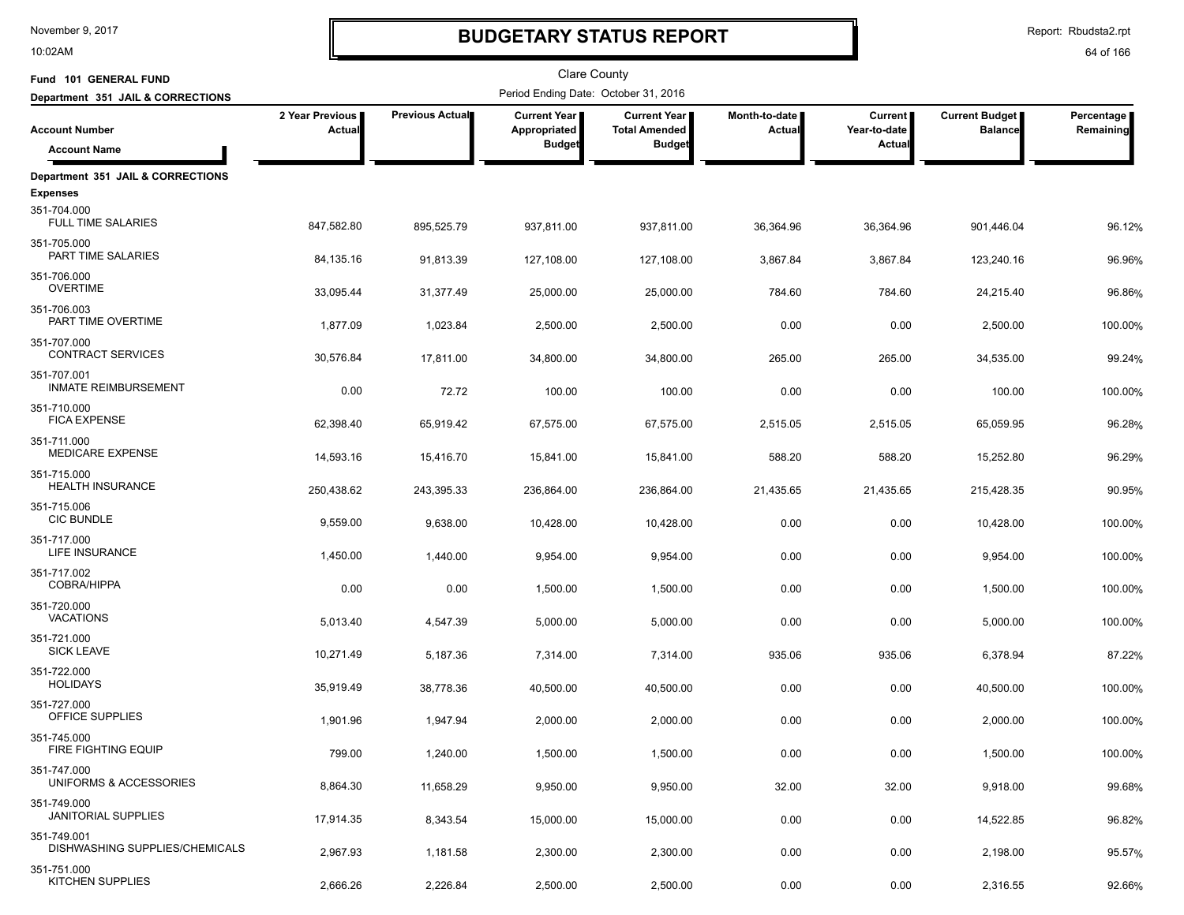10:02AM

# **BUDGETARY STATUS REPORT**

Report: Rbudsta2.rpt

| Fund 101 GENERAL FUND                                       |                           |                 | <b>Clare County</b>                   |                                             |                                |                           |                                         |                         |
|-------------------------------------------------------------|---------------------------|-----------------|---------------------------------------|---------------------------------------------|--------------------------------|---------------------------|-----------------------------------------|-------------------------|
| Department 351 JAIL & CORRECTIONS                           |                           |                 | Period Ending Date: October 31, 2016  |                                             |                                |                           |                                         |                         |
| <b>Account Number</b>                                       | 2 Year Previous<br>Actual | Previous Actual | <b>Current Year I</b><br>Appropriated | <b>Current Year</b><br><b>Total Amended</b> | Month-to-date<br><b>Actual</b> | Current  <br>Year-to-date | <b>Current Budget</b><br><b>Balance</b> | Percentage<br>Remaining |
| <b>Account Name</b>                                         |                           |                 | <b>Budget</b>                         | <b>Budget</b>                               |                                | Actual                    |                                         |                         |
| Department 351 JAIL & CORRECTIONS                           |                           |                 |                                       |                                             |                                |                           |                                         |                         |
| <b>Expenses</b><br>351-704.000<br><b>FULL TIME SALARIES</b> | 847,582.80                | 895,525.79      | 937,811.00                            | 937,811.00                                  | 36,364.96                      | 36,364.96                 | 901,446.04                              | 96.12%                  |
| 351-705.000<br>PART TIME SALARIES                           | 84,135.16                 | 91,813.39       | 127,108.00                            | 127,108.00                                  | 3,867.84                       | 3,867.84                  | 123,240.16                              | 96.96%                  |
| 351-706.000<br><b>OVERTIME</b>                              | 33,095.44                 | 31,377.49       | 25,000.00                             | 25,000.00                                   | 784.60                         | 784.60                    | 24,215.40                               | 96.86%                  |
| 351-706.003<br>PART TIME OVERTIME                           | 1,877.09                  | 1,023.84        | 2,500.00                              | 2,500.00                                    | 0.00                           | 0.00                      | 2,500.00                                | 100.00%                 |
| 351-707.000<br><b>CONTRACT SERVICES</b>                     | 30,576.84                 | 17,811.00       | 34,800.00                             | 34,800.00                                   | 265.00                         | 265.00                    | 34,535.00                               | 99.24%                  |
| 351-707.001<br><b>INMATE REIMBURSEMENT</b>                  | 0.00                      | 72.72           | 100.00                                | 100.00                                      | 0.00                           | 0.00                      | 100.00                                  | 100.00%                 |
| 351-710.000<br><b>FICA EXPENSE</b>                          | 62,398.40                 | 65,919.42       | 67,575.00                             | 67,575.00                                   | 2,515.05                       | 2,515.05                  | 65,059.95                               | 96.28%                  |
| 351-711.000<br>MEDICARE EXPENSE                             | 14,593.16                 | 15,416.70       | 15,841.00                             | 15,841.00                                   | 588.20                         | 588.20                    | 15,252.80                               | 96.29%                  |
| 351-715.000<br><b>HEALTH INSURANCE</b>                      | 250,438.62                | 243,395.33      | 236,864.00                            | 236,864.00                                  | 21,435.65                      | 21,435.65                 | 215,428.35                              | 90.95%                  |
| 351-715.006<br><b>CIC BUNDLE</b>                            | 9,559.00                  | 9,638.00        | 10,428.00                             | 10,428.00                                   | 0.00                           | 0.00                      | 10,428.00                               | 100.00%                 |
| 351-717.000<br>LIFE INSURANCE                               | 1,450.00                  | 1,440.00        | 9,954.00                              | 9,954.00                                    | 0.00                           | 0.00                      | 9,954.00                                | 100.00%                 |
| 351-717.002<br><b>COBRA/HIPPA</b>                           | 0.00                      | 0.00            | 1,500.00                              | 1,500.00                                    | 0.00                           | 0.00                      | 1,500.00                                | 100.00%                 |
| 351-720.000<br><b>VACATIONS</b>                             | 5,013.40                  | 4,547.39        | 5,000.00                              | 5,000.00                                    | 0.00                           | 0.00                      | 5,000.00                                | 100.00%                 |
| 351-721.000<br><b>SICK LEAVE</b>                            | 10,271.49                 | 5,187.36        | 7,314.00                              | 7,314.00                                    | 935.06                         | 935.06                    | 6,378.94                                | 87.22%                  |
| 351-722.000<br><b>HOLIDAYS</b>                              | 35,919.49                 | 38,778.36       | 40,500.00                             | 40,500.00                                   | 0.00                           | 0.00                      | 40,500.00                               | 100.00%                 |
| 351-727.000<br>OFFICE SUPPLIES                              | 1,901.96                  | 1,947.94        | 2,000.00                              | 2,000.00                                    | 0.00                           | 0.00                      | 2,000.00                                | 100.00%                 |
| 351-745.000<br>FIRE FIGHTING EQUIP                          | 799.00                    | 1,240.00        | 1,500.00                              | 1,500.00                                    | 0.00                           | 0.00                      | 1,500.00                                | 100.00%                 |
| 351-747.000<br>UNIFORMS & ACCESSORIES                       | 8,864.30                  | 11,658.29       | 9,950.00                              | 9,950.00                                    | 32.00                          | 32.00                     | 9,918.00                                | 99.68%                  |
| 351-749.000<br><b>JANITORIAL SUPPLIES</b>                   | 17,914.35                 | 8,343.54        | 15,000.00                             | 15,000.00                                   | 0.00                           | 0.00                      | 14,522.85                               | 96.82%                  |
| 351-749.001<br>DISHWASHING SUPPLIES/CHEMICALS               | 2,967.93                  | 1,181.58        | 2,300.00                              | 2,300.00                                    | 0.00                           | 0.00                      | 2,198.00                                | 95.57%                  |
| 351-751.000<br>KITCHEN SUPPLIES                             | 2,666.26                  | 2,226.84        | 2,500.00                              | 2,500.00                                    | 0.00                           | 0.00                      | 2,316.55                                | 92.66%                  |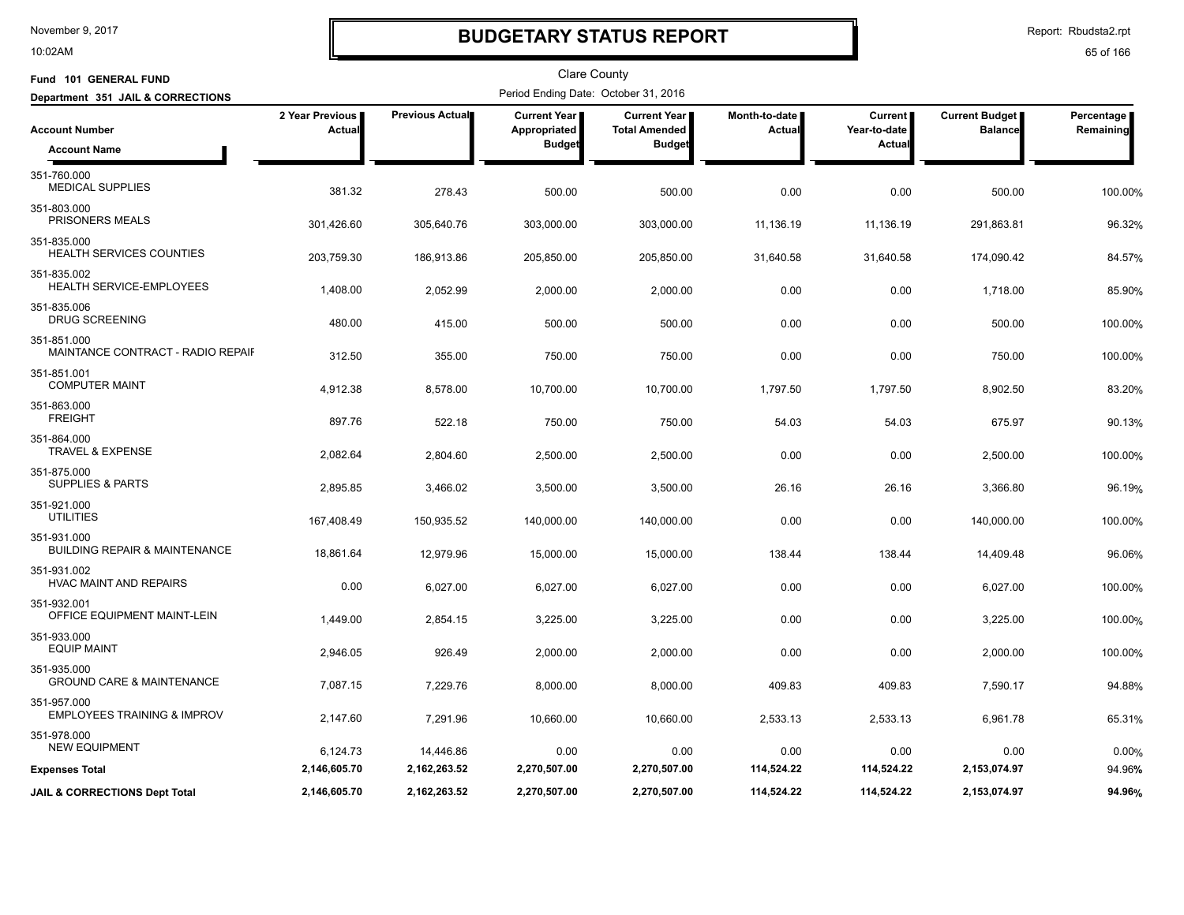10:02AM

# **BUDGETARY STATUS REPORT**

Report: Rbudsta2.rpt

| Fund 101 GENERAL FUND                                   |                                  |                 | <b>Clare County</b>                  |                                      |                         |                           |                                         |                         |
|---------------------------------------------------------|----------------------------------|-----------------|--------------------------------------|--------------------------------------|-------------------------|---------------------------|-----------------------------------------|-------------------------|
| Department 351 JAIL & CORRECTIONS                       |                                  |                 | Period Ending Date: October 31, 2016 |                                      |                         |                           |                                         |                         |
| <b>Account Number</b>                                   | 2 Year Previous<br><b>Actual</b> | Previous Actual | Current Year<br>Appropriated         | Current Year<br><b>Total Amended</b> | Month-to-date<br>Actual | Current  <br>Year-to-date | <b>Current Budget</b><br><b>Balance</b> | Percentage<br>Remaining |
| <b>Account Name</b>                                     |                                  |                 | <b>Budget</b>                        | <b>Budget</b>                        |                         | Actual                    |                                         |                         |
| 351-760.000<br><b>MEDICAL SUPPLIES</b>                  | 381.32                           | 278.43          | 500.00                               | 500.00                               | 0.00                    | 0.00                      | 500.00                                  | 100.00%                 |
| 351-803.000<br>PRISONERS MEALS                          | 301,426.60                       | 305,640.76      | 303,000.00                           | 303,000.00                           | 11,136.19               | 11,136.19                 | 291,863.81                              | 96.32%                  |
| 351-835.000<br><b>HEALTH SERVICES COUNTIES</b>          | 203,759.30                       | 186,913.86      | 205,850.00                           | 205,850.00                           | 31,640.58               | 31,640.58                 | 174,090.42                              | 84.57%                  |
| 351-835.002<br>HEALTH SERVICE-EMPLOYEES                 | 1,408.00                         | 2,052.99        | 2,000.00                             | 2,000.00                             | 0.00                    | 0.00                      | 1,718.00                                | 85.90%                  |
| 351-835.006<br><b>DRUG SCREENING</b>                    | 480.00                           | 415.00          | 500.00                               | 500.00                               | 0.00                    | 0.00                      | 500.00                                  | 100.00%                 |
| 351-851.000<br>MAINTANCE CONTRACT - RADIO REPAIF        | 312.50                           | 355.00          | 750.00                               | 750.00                               | 0.00                    | 0.00                      | 750.00                                  | 100.00%                 |
| 351-851.001<br><b>COMPUTER MAINT</b>                    | 4,912.38                         | 8,578.00        | 10,700.00                            | 10,700.00                            | 1,797.50                | 1,797.50                  | 8,902.50                                | 83.20%                  |
| 351-863.000<br><b>FREIGHT</b>                           | 897.76                           | 522.18          | 750.00                               | 750.00                               | 54.03                   | 54.03                     | 675.97                                  | 90.13%                  |
| 351-864.000<br><b>TRAVEL &amp; EXPENSE</b>              | 2,082.64                         | 2,804.60        | 2,500.00                             | 2,500.00                             | 0.00                    | 0.00                      | 2,500.00                                | 100.00%                 |
| 351-875.000<br><b>SUPPLIES &amp; PARTS</b>              | 2,895.85                         | 3,466.02        | 3,500.00                             | 3,500.00                             | 26.16                   | 26.16                     | 3,366.80                                | 96.19%                  |
| 351-921.000<br><b>UTILITIES</b>                         | 167,408.49                       | 150,935.52      | 140,000.00                           | 140,000.00                           | 0.00                    | 0.00                      | 140,000.00                              | 100.00%                 |
| 351-931.000<br><b>BUILDING REPAIR &amp; MAINTENANCE</b> | 18,861.64                        | 12,979.96       | 15,000.00                            | 15,000.00                            | 138.44                  | 138.44                    | 14,409.48                               | 96.06%                  |
| 351-931.002<br>HVAC MAINT AND REPAIRS                   | 0.00                             | 6,027.00        | 6,027.00                             | 6,027.00                             | 0.00                    | 0.00                      | 6,027.00                                | 100.00%                 |
| 351-932.001<br>OFFICE EQUIPMENT MAINT-LEIN              | 1,449.00                         | 2,854.15        | 3,225.00                             | 3,225.00                             | 0.00                    | 0.00                      | 3,225.00                                | 100.00%                 |
| 351-933.000<br><b>EQUIP MAINT</b>                       | 2,946.05                         | 926.49          | 2,000.00                             | 2,000.00                             | 0.00                    | 0.00                      | 2,000.00                                | 100.00%                 |
| 351-935.000<br><b>GROUND CARE &amp; MAINTENANCE</b>     | 7,087.15                         | 7,229.76        | 8,000.00                             | 8,000.00                             | 409.83                  | 409.83                    | 7,590.17                                | 94.88%                  |
| 351-957.000<br><b>EMPLOYEES TRAINING &amp; IMPROV</b>   | 2,147.60                         | 7,291.96        | 10,660.00                            | 10,660.00                            | 2,533.13                | 2,533.13                  | 6,961.78                                | 65.31%                  |
| 351-978.000<br><b>NEW EQUIPMENT</b>                     | 6,124.73                         | 14,446.86       | 0.00                                 | 0.00                                 | 0.00                    | 0.00                      | 0.00                                    | 0.00%                   |
| <b>Expenses Total</b>                                   | 2,146,605.70                     | 2, 162, 263.52  | 2,270,507.00                         | 2,270,507.00                         | 114,524.22              | 114,524.22                | 2,153,074.97                            | 94.96%                  |
| <b>JAIL &amp; CORRECTIONS Dept Total</b>                | 2,146,605.70                     | 2,162,263.52    | 2,270,507.00                         | 2,270,507.00                         | 114,524.22              | 114,524.22                | 2,153,074.97                            | 94.96%                  |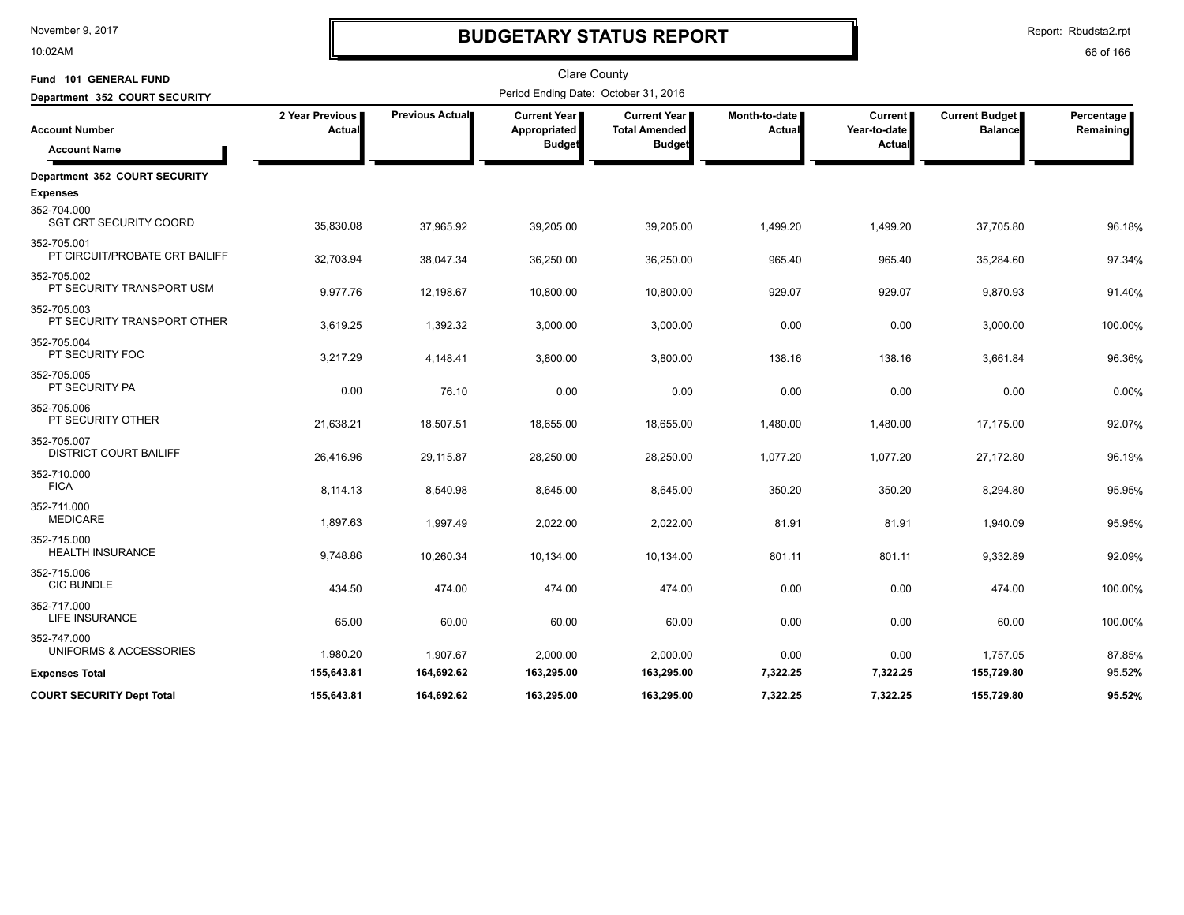10:02AM

# **BUDGETARY STATUS REPORT**

Report: Rbudsta2.rpt

| Fund 101 GENERAL FUND                            |                           |                 | <b>Clare County</b>                  |                                             |                         |                                |                                         |                         |
|--------------------------------------------------|---------------------------|-----------------|--------------------------------------|---------------------------------------------|-------------------------|--------------------------------|-----------------------------------------|-------------------------|
| Department 352 COURT SECURITY                    |                           |                 | Period Ending Date: October 31, 2016 |                                             |                         |                                |                                         |                         |
| <b>Account Number</b>                            | 2 Year Previous<br>Actual | Previous Actual | <b>Current Year</b><br>Appropriated  | <b>Current Year</b><br><b>Total Amended</b> | Month-to-date<br>Actual | <b>Current</b><br>Year-to-date | <b>Current Budget</b><br><b>Balance</b> | Percentage<br>Remaining |
| <b>Account Name</b>                              |                           |                 | <b>Budget</b>                        | <b>Budget</b>                               |                         | Actual                         |                                         |                         |
| Department 352 COURT SECURITY<br><b>Expenses</b> |                           |                 |                                      |                                             |                         |                                |                                         |                         |
| 352-704.000<br><b>SGT CRT SECURITY COORD</b>     | 35,830.08                 | 37,965.92       | 39,205.00                            | 39,205.00                                   | 1,499.20                | 1,499.20                       | 37,705.80                               | 96.18%                  |
| 352-705.001<br>PT CIRCUIT/PROBATE CRT BAILIFF    | 32,703.94                 | 38,047.34       | 36,250.00                            | 36,250.00                                   | 965.40                  | 965.40                         | 35,284.60                               | 97.34%                  |
| 352-705.002<br>PT SECURITY TRANSPORT USM         | 9,977.76                  | 12,198.67       | 10,800.00                            | 10,800.00                                   | 929.07                  | 929.07                         | 9,870.93                                | 91.40%                  |
| 352-705.003<br>PT SECURITY TRANSPORT OTHER       | 3,619.25                  | 1,392.32        | 3,000.00                             | 3,000.00                                    | 0.00                    | 0.00                           | 3,000.00                                | 100.00%                 |
| 352-705.004<br>PT SECURITY FOC                   | 3,217.29                  | 4,148.41        | 3,800.00                             | 3,800.00                                    | 138.16                  | 138.16                         | 3,661.84                                | 96.36%                  |
| 352-705.005<br>PT SECURITY PA                    | 0.00                      | 76.10           | 0.00                                 | 0.00                                        | 0.00                    | 0.00                           | 0.00                                    | 0.00%                   |
| 352-705.006<br>PT SECURITY OTHER                 | 21,638.21                 | 18,507.51       | 18,655.00                            | 18,655.00                                   | 1,480.00                | 1,480.00                       | 17,175.00                               | 92.07%                  |
| 352-705.007<br><b>DISTRICT COURT BAILIFF</b>     | 26,416.96                 | 29,115.87       | 28,250.00                            | 28,250.00                                   | 1,077.20                | 1,077.20                       | 27,172.80                               | 96.19%                  |
| 352-710.000<br><b>FICA</b>                       | 8,114.13                  | 8,540.98        | 8,645.00                             | 8,645.00                                    | 350.20                  | 350.20                         | 8,294.80                                | 95.95%                  |
| 352-711.000<br><b>MEDICARE</b>                   | 1,897.63                  | 1,997.49        | 2,022.00                             | 2,022.00                                    | 81.91                   | 81.91                          | 1,940.09                                | 95.95%                  |
| 352-715.000<br><b>HEALTH INSURANCE</b>           | 9,748.86                  | 10,260.34       | 10,134.00                            | 10,134.00                                   | 801.11                  | 801.11                         | 9,332.89                                | 92.09%                  |
| 352-715.006<br><b>CIC BUNDLE</b>                 | 434.50                    | 474.00          | 474.00                               | 474.00                                      | 0.00                    | 0.00                           | 474.00                                  | 100.00%                 |
| 352-717.000<br><b>LIFE INSURANCE</b>             | 65.00                     | 60.00           | 60.00                                | 60.00                                       | 0.00                    | 0.00                           | 60.00                                   | 100.00%                 |
| 352-747.000<br>UNIFORMS & ACCESSORIES            | 1,980.20                  | 1,907.67        | 2,000.00                             | 2,000.00                                    | 0.00                    | 0.00                           | 1,757.05                                | 87.85%                  |
| <b>Expenses Total</b>                            | 155,643.81                | 164,692.62      | 163,295.00                           | 163,295.00                                  | 7,322.25                | 7,322.25                       | 155,729.80                              | 95.52%                  |
| <b>COURT SECURITY Dept Total</b>                 | 155,643.81                | 164,692.62      | 163,295.00                           | 163,295.00                                  | 7,322.25                | 7,322.25                       | 155,729.80                              | 95.52%                  |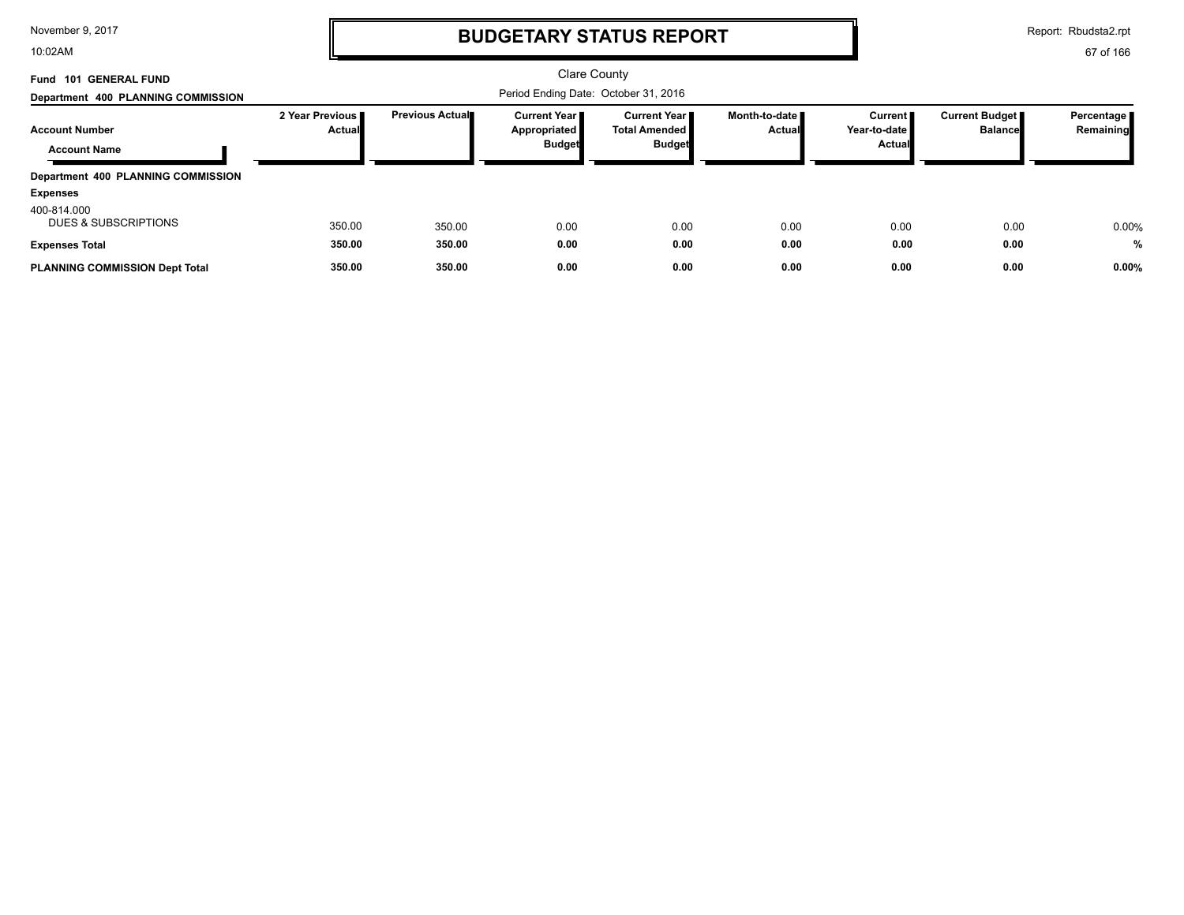10:02AM

# **BUDGETARY STATUS REPORT**

Report: Rbudsta2.rpt

| Fund 101 GENERAL FUND<br>Department 400 PLANNING COMMISSION          |                                    |                        |                                                        | <b>Clare County</b><br>Period Ending Date: October 31, 2016    |                                         |                                     |                                  |                           |
|----------------------------------------------------------------------|------------------------------------|------------------------|--------------------------------------------------------|----------------------------------------------------------------|-----------------------------------------|-------------------------------------|----------------------------------|---------------------------|
| <b>Account Number</b><br><b>Account Name</b>                         | 2 Year Previous I<br><b>Actual</b> | <b>Previous Actual</b> | <b>Current Year I</b><br>Appropriated<br><b>Budget</b> | <b>Current Year</b> ■<br><b>Total Amended</b><br><b>Budget</b> | Month-to-date <b>■</b><br><b>Actual</b> | Current  <br>Year-to-date<br>Actual | Current Budget<br><b>Balance</b> | Percentage  <br>Remaining |
| Department 400 PLANNING COMMISSION<br><b>Expenses</b><br>400-814.000 |                                    |                        |                                                        |                                                                |                                         |                                     |                                  |                           |
| <b>DUES &amp; SUBSCRIPTIONS</b><br><b>Expenses Total</b>             | 350.00<br>350.00                   | 350.00<br>350.00       | 0.00<br>0.00                                           | 0.00<br>0.00                                                   | 0.00<br>0.00                            | 0.00<br>0.00                        | 0.00<br>0.00                     | 0.00%<br>$\frac{0}{0}$    |
| <b>PLANNING COMMISSION Dept Total</b>                                | 350.00                             | 350.00                 | 0.00                                                   | 0.00                                                           | 0.00                                    | 0.00                                | 0.00                             | 0.00%                     |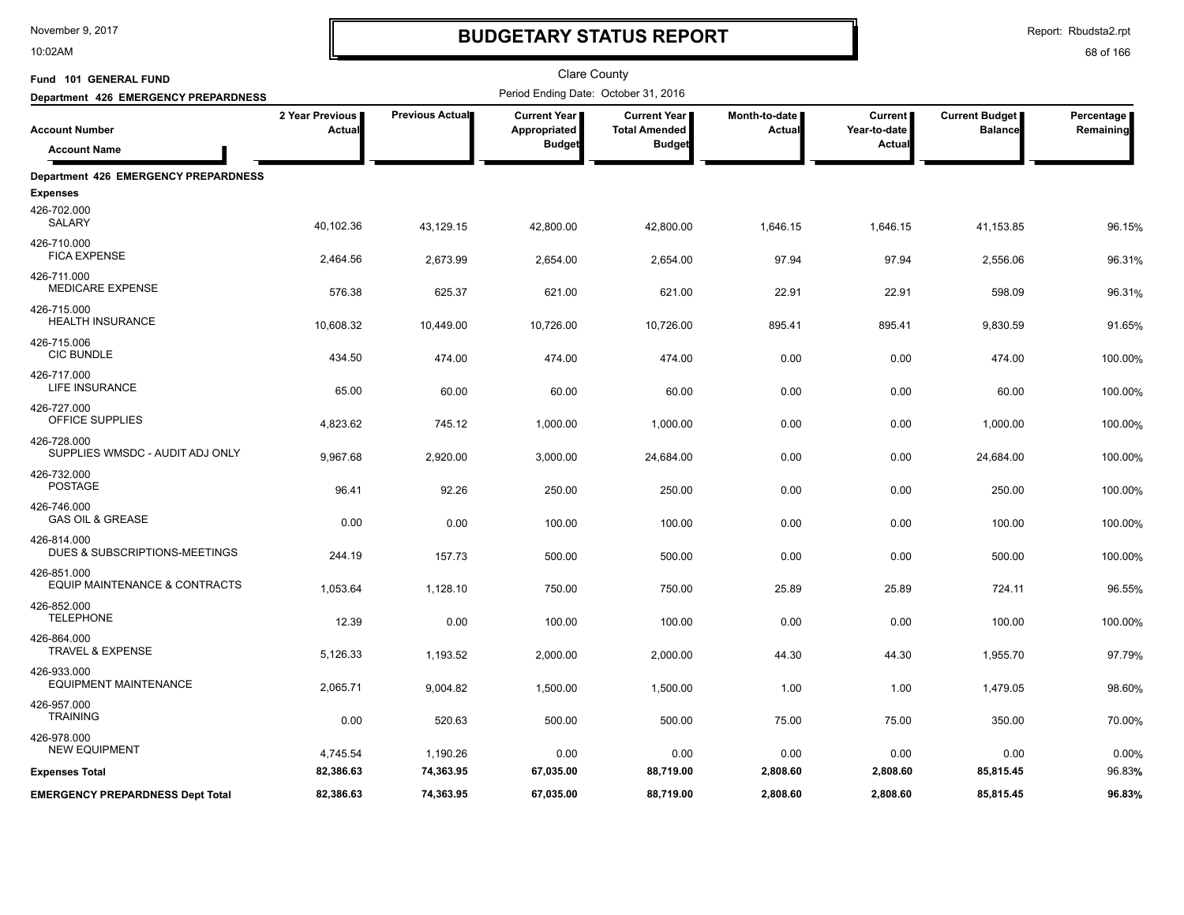10:02AM

# **BUDGETARY STATUS REPORT**

Report: Rbudsta2.rpt

| Fund 101 GENERAL FUND                          |                           |                 | <b>Clare County</b>                                  |                                                              |                                |                                          |                                         |                         |
|------------------------------------------------|---------------------------|-----------------|------------------------------------------------------|--------------------------------------------------------------|--------------------------------|------------------------------------------|-----------------------------------------|-------------------------|
| Department 426 EMERGENCY PREPARDNESS           |                           |                 | Period Ending Date: October 31, 2016                 |                                                              |                                |                                          |                                         |                         |
| <b>Account Number</b><br><b>Account Name</b>   | 2 Year Previous<br>Actual | Previous Actual | <b>Current Year</b><br>Appropriated<br><b>Budget</b> | <b>Current Year</b><br><b>Total Amended</b><br><b>Budget</b> | Month-to-date<br><b>Actual</b> | <b>Current</b><br>Year-to-date<br>Actual | <b>Current Budget</b><br><b>Balance</b> | Percentage<br>Remaining |
| <b>Department 426 EMERGENCY PREPARDNESS</b>    |                           |                 |                                                      |                                                              |                                |                                          |                                         |                         |
| <b>Expenses</b>                                |                           |                 |                                                      |                                                              |                                |                                          |                                         |                         |
| 426-702.000<br>SALARY                          | 40,102.36                 | 43,129.15       | 42,800.00                                            | 42,800.00                                                    | 1,646.15                       | 1,646.15                                 | 41,153.85                               | 96.15%                  |
| 426-710.000<br><b>FICA EXPENSE</b>             | 2,464.56                  | 2,673.99        | 2,654.00                                             | 2,654.00                                                     | 97.94                          | 97.94                                    | 2,556.06                                | 96.31%                  |
| 426-711.000<br><b>MEDICARE EXPENSE</b>         | 576.38                    | 625.37          | 621.00                                               | 621.00                                                       | 22.91                          | 22.91                                    | 598.09                                  | 96.31%                  |
| 426-715.000<br><b>HEALTH INSURANCE</b>         | 10,608.32                 | 10,449.00       | 10,726.00                                            | 10,726.00                                                    | 895.41                         | 895.41                                   | 9,830.59                                | 91.65%                  |
| 426-715.006<br><b>CIC BUNDLE</b>               | 434.50                    | 474.00          | 474.00                                               | 474.00                                                       | 0.00                           | 0.00                                     | 474.00                                  | 100.00%                 |
| 426-717.000<br><b>LIFE INSURANCE</b>           | 65.00                     | 60.00           | 60.00                                                | 60.00                                                        | 0.00                           | 0.00                                     | 60.00                                   | 100.00%                 |
| 426-727.000<br>OFFICE SUPPLIES                 | 4,823.62                  | 745.12          | 1,000.00                                             | 1,000.00                                                     | 0.00                           | 0.00                                     | 1,000.00                                | 100.00%                 |
| 426-728.000<br>SUPPLIES WMSDC - AUDIT ADJ ONLY | 9,967.68                  | 2,920.00        | 3,000.00                                             | 24,684.00                                                    | 0.00                           | 0.00                                     | 24,684.00                               | 100.00%                 |
| 426-732.000<br><b>POSTAGE</b>                  | 96.41                     | 92.26           | 250.00                                               | 250.00                                                       | 0.00                           | 0.00                                     | 250.00                                  | 100.00%                 |
| 426-746.000<br><b>GAS OIL &amp; GREASE</b>     | 0.00                      | 0.00            | 100.00                                               | 100.00                                                       | 0.00                           | 0.00                                     | 100.00                                  | 100.00%                 |
| 426-814.000<br>DUES & SUBSCRIPTIONS-MEETINGS   | 244.19                    | 157.73          | 500.00                                               | 500.00                                                       | 0.00                           | 0.00                                     | 500.00                                  | 100.00%                 |
| 426-851.000<br>EQUIP MAINTENANCE & CONTRACTS   | 1,053.64                  | 1,128.10        | 750.00                                               | 750.00                                                       | 25.89                          | 25.89                                    | 724.11                                  | 96.55%                  |
| 426-852.000<br><b>TELEPHONE</b>                | 12.39                     | 0.00            | 100.00                                               | 100.00                                                       | 0.00                           | 0.00                                     | 100.00                                  | 100.00%                 |
| 426-864.000<br>TRAVEL & EXPENSE                | 5,126.33                  | 1,193.52        | 2,000.00                                             | 2,000.00                                                     | 44.30                          | 44.30                                    | 1,955.70                                | 97.79%                  |
| 426-933.000<br><b>EQUIPMENT MAINTENANCE</b>    | 2,065.71                  | 9,004.82        | 1,500.00                                             | 1,500.00                                                     | 1.00                           | 1.00                                     | 1,479.05                                | 98.60%                  |
| 426-957.000<br><b>TRAINING</b>                 | 0.00                      | 520.63          | 500.00                                               | 500.00                                                       | 75.00                          | 75.00                                    | 350.00                                  | 70.00%                  |
| 426-978.000<br><b>NEW EQUIPMENT</b>            | 4,745.54                  | 1,190.26        | 0.00                                                 | 0.00                                                         | 0.00                           | 0.00                                     | 0.00                                    | 0.00%                   |
| <b>Expenses Total</b>                          | 82,386.63                 | 74,363.95       | 67,035.00                                            | 88,719.00                                                    | 2,808.60                       | 2,808.60                                 | 85,815.45                               | 96.83%                  |
| <b>EMERGENCY PREPARDNESS Dept Total</b>        | 82,386.63                 | 74,363.95       | 67,035.00                                            | 88,719.00                                                    | 2,808.60                       | 2,808.60                                 | 85,815.45                               | 96.83%                  |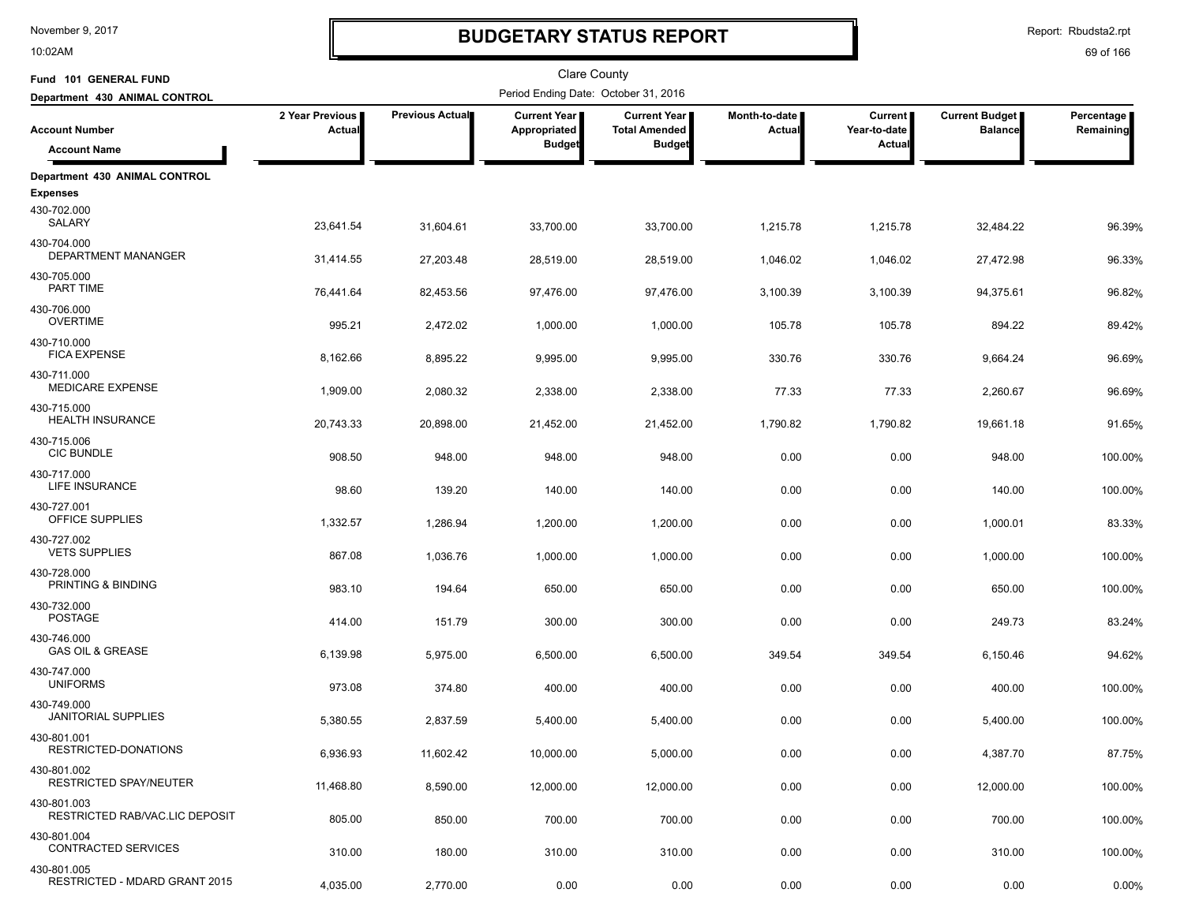10:02AM

# **BUDGETARY STATUS REPORT**

Report: Rbudsta2.rpt

| Fund 101 GENERAL FUND                        |                           |                        | Clare County                         |                                      |                         |                                |                                  |                         |
|----------------------------------------------|---------------------------|------------------------|--------------------------------------|--------------------------------------|-------------------------|--------------------------------|----------------------------------|-------------------------|
| Department 430 ANIMAL CONTROL                |                           |                        | Period Ending Date: October 31, 2016 |                                      |                         |                                | Current Budget<br><b>Balance</b> | Percentage<br>Remaining |
| <b>Account Number</b>                        | 2 Year Previous<br>Actual | <b>Previous Actual</b> | Current Year<br>Appropriated         | Current Year<br><b>Total Amended</b> | Month-to-date<br>Actual | <b>Current</b><br>Year-to-date |                                  |                         |
| <b>Account Name</b>                          |                           |                        | <b>Budget</b>                        | <b>Budget</b>                        |                         | Actual                         |                                  |                         |
| Department 430 ANIMAL CONTROL                |                           |                        |                                      |                                      |                         |                                |                                  |                         |
| <b>Expenses</b>                              |                           |                        |                                      |                                      |                         |                                |                                  |                         |
| 430-702.000<br>SALARY                        | 23,641.54                 | 31,604.61              | 33,700.00                            | 33,700.00                            | 1,215.78                | 1,215.78                       | 32,484.22                        | 96.39%                  |
| 430-704.000<br>DEPARTMENT MANANGER           | 31,414.55                 | 27,203.48              | 28,519.00                            | 28,519.00                            | 1,046.02                | 1,046.02                       | 27,472.98                        | 96.33%                  |
| 430-705.000<br>PART TIME                     | 76,441.64                 | 82,453.56              | 97,476.00                            | 97,476.00                            | 3,100.39                | 3,100.39                       | 94,375.61                        | 96.82%                  |
| 430-706.000<br><b>OVERTIME</b>               | 995.21                    | 2,472.02               | 1,000.00                             | 1,000.00                             | 105.78                  | 105.78                         | 894.22                           | 89.42%                  |
| 430-710.000<br><b>FICA EXPENSE</b>           | 8,162.66                  | 8,895.22               | 9,995.00                             | 9,995.00                             | 330.76                  | 330.76                         | 9,664.24                         | 96.69%                  |
| 430-711.000                                  |                           |                        |                                      |                                      |                         |                                |                                  |                         |
| <b>MEDICARE EXPENSE</b>                      | 1,909.00                  | 2,080.32               | 2,338.00                             | 2,338.00                             | 77.33                   | 77.33                          | 2,260.67                         | 96.69%                  |
| 430-715.000<br><b>HEALTH INSURANCE</b>       | 20,743.33                 | 20,898.00              | 21,452.00                            | 21,452.00                            | 1,790.82                | 1,790.82                       | 19,661.18                        | 91.65%                  |
| 430-715.006<br><b>CIC BUNDLE</b>             | 908.50                    | 948.00                 | 948.00                               | 948.00                               | 0.00                    | 0.00                           | 948.00                           | 100.00%                 |
| 430-717.000<br>LIFE INSURANCE                | 98.60                     | 139.20                 | 140.00                               | 140.00                               | 0.00                    | 0.00                           | 140.00                           | 100.00%                 |
| 430-727.001<br>OFFICE SUPPLIES               | 1,332.57                  | 1,286.94               | 1,200.00                             | 1,200.00                             | 0.00                    | 0.00                           | 1,000.01                         | 83.33%                  |
| 430-727.002                                  |                           |                        |                                      |                                      |                         |                                |                                  |                         |
| <b>VETS SUPPLIES</b>                         | 867.08                    | 1,036.76               | 1,000.00                             | 1,000.00                             | 0.00                    | 0.00                           | 1,000.00                         | 100.00%                 |
| 430-728.000<br>PRINTING & BINDING            | 983.10                    | 194.64                 | 650.00                               | 650.00                               | 0.00                    | 0.00                           | 650.00                           | 100.00%                 |
| 430-732.000<br><b>POSTAGE</b>                | 414.00                    | 151.79                 | 300.00                               | 300.00                               | 0.00                    | 0.00                           | 249.73                           | 83.24%                  |
| 430-746.000<br><b>GAS OIL &amp; GREASE</b>   | 6,139.98                  | 5,975.00               | 6,500.00                             | 6,500.00                             | 349.54                  | 349.54                         | 6,150.46                         | 94.62%                  |
| 430-747.000<br><b>UNIFORMS</b>               | 973.08                    | 374.80                 | 400.00                               | 400.00                               | 0.00                    | 0.00                           | 400.00                           | 100.00%                 |
| 430-749.000<br>JANITORIAL SUPPLIES           | 5,380.55                  | 2,837.59               | 5,400.00                             | 5,400.00                             | 0.00                    | 0.00                           | 5,400.00                         | 100.00%                 |
| 430-801.001<br>RESTRICTED-DONATIONS          | 6,936.93                  | 11,602.42              | 10,000.00                            | 5,000.00                             | 0.00                    | 0.00                           | 4,387.70                         | 87.75%                  |
| 430-801.002<br><b>RESTRICTED SPAY/NEUTER</b> |                           |                        |                                      |                                      |                         |                                |                                  |                         |
| 430-801.003                                  | 11,468.80                 | 8,590.00               | 12,000.00                            | 12,000.00                            | 0.00                    | 0.00                           | 12,000.00                        | 100.00%                 |
| RESTRICTED RAB/VAC.LIC DEPOSIT               | 805.00                    | 850.00                 | 700.00                               | 700.00                               | 0.00                    | 0.00                           | 700.00                           | 100.00%                 |
| 430-801.004<br>CONTRACTED SERVICES           | 310.00                    | 180.00                 | 310.00                               | 310.00                               | 0.00                    | 0.00                           | 310.00                           | 100.00%                 |
| 430-801.005<br>RESTRICTED - MDARD GRANT 2015 | 4,035.00                  | 2,770.00               | 0.00                                 | 0.00                                 | 0.00                    | 0.00                           | 0.00                             | 0.00%                   |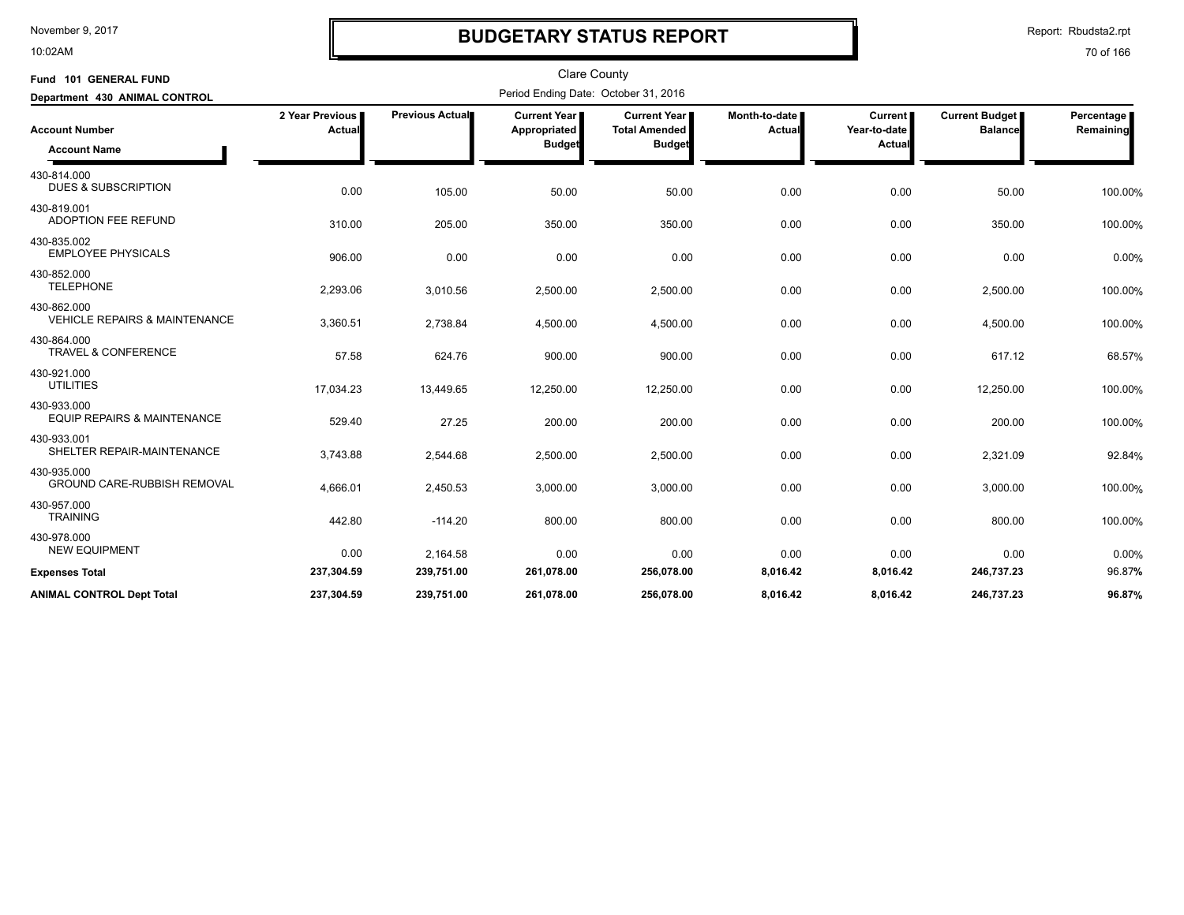10:02AM

## **BUDGETARY STATUS REPORT**

Report: Rbudsta2.rpt

| Fund 101 GENERAL FUND                                   |                           |                 | <b>Clare County</b>                           |                                                                |                           |                                   |                                         |                         |
|---------------------------------------------------------|---------------------------|-----------------|-----------------------------------------------|----------------------------------------------------------------|---------------------------|-----------------------------------|-----------------------------------------|-------------------------|
| Department 430 ANIMAL CONTROL                           |                           |                 | Period Ending Date: October 31, 2016          |                                                                |                           |                                   |                                         |                         |
| <b>Account Number</b><br><b>Account Name</b>            | 2 Year Previous<br>Actual | Previous Actual | Current Year<br>Appropriated<br><b>Budget</b> | <b>Current Year</b> I<br><b>Total Amended</b><br><b>Budget</b> | Month-to-date  <br>Actual | Current<br>Year-to-date<br>Actual | <b>Current Budget</b><br><b>Balance</b> | Percentage<br>Remaining |
| 430-814.000<br><b>DUES &amp; SUBSCRIPTION</b>           | 0.00                      | 105.00          | 50.00                                         | 50.00                                                          | 0.00                      | 0.00                              | 50.00                                   | 100.00%                 |
| 430-819.001<br><b>ADOPTION FEE REFUND</b>               | 310.00                    | 205.00          | 350.00                                        | 350.00                                                         | 0.00                      | 0.00                              | 350.00                                  | 100.00%                 |
| 430-835.002<br><b>EMPLOYEE PHYSICALS</b>                | 906.00                    | 0.00            | 0.00                                          | 0.00                                                           | 0.00                      | 0.00                              | 0.00                                    | 0.00%                   |
| 430-852.000<br><b>TELEPHONE</b>                         | 2,293.06                  | 3,010.56        | 2,500.00                                      | 2,500.00                                                       | 0.00                      | 0.00                              | 2,500.00                                | 100.00%                 |
| 430-862.000<br><b>VEHICLE REPAIRS &amp; MAINTENANCE</b> | 3,360.51                  | 2,738.84        | 4,500.00                                      | 4,500.00                                                       | 0.00                      | 0.00                              | 4,500.00                                | 100.00%                 |
| 430-864.000<br><b>TRAVEL &amp; CONFERENCE</b>           | 57.58                     | 624.76          | 900.00                                        | 900.00                                                         | 0.00                      | 0.00                              | 617.12                                  | 68.57%                  |
| 430-921.000<br><b>UTILITIES</b>                         | 17,034.23                 | 13,449.65       | 12,250.00                                     | 12,250.00                                                      | 0.00                      | 0.00                              | 12,250.00                               | 100.00%                 |
| 430-933.000<br><b>EQUIP REPAIRS &amp; MAINTENANCE</b>   | 529.40                    | 27.25           | 200.00                                        | 200.00                                                         | 0.00                      | 0.00                              | 200.00                                  | 100.00%                 |
| 430-933.001<br>SHELTER REPAIR-MAINTENANCE               | 3,743.88                  | 2,544.68        | 2,500.00                                      | 2,500.00                                                       | 0.00                      | 0.00                              | 2,321.09                                | 92.84%                  |
| 430-935.000<br><b>GROUND CARE-RUBBISH REMOVAL</b>       | 4,666.01                  | 2,450.53        | 3,000.00                                      | 3,000.00                                                       | 0.00                      | 0.00                              | 3,000.00                                | 100.00%                 |
| 430-957.000<br><b>TRAINING</b>                          | 442.80                    | $-114.20$       | 800.00                                        | 800.00                                                         | 0.00                      | 0.00                              | 800.00                                  | 100.00%                 |
| 430-978.000<br><b>NEW EQUIPMENT</b>                     | 0.00                      | 2,164.58        | 0.00                                          | 0.00                                                           | 0.00                      | 0.00                              | 0.00                                    | 0.00%                   |
| <b>Expenses Total</b>                                   | 237,304.59                | 239,751.00      | 261,078.00                                    | 256,078.00                                                     | 8,016.42                  | 8,016.42                          | 246,737.23                              | 96.87%                  |
| <b>ANIMAL CONTROL Dept Total</b>                        | 237,304.59                | 239,751.00      | 261,078.00                                    | 256,078.00                                                     | 8,016.42                  | 8,016.42                          | 246,737.23                              | 96.87%                  |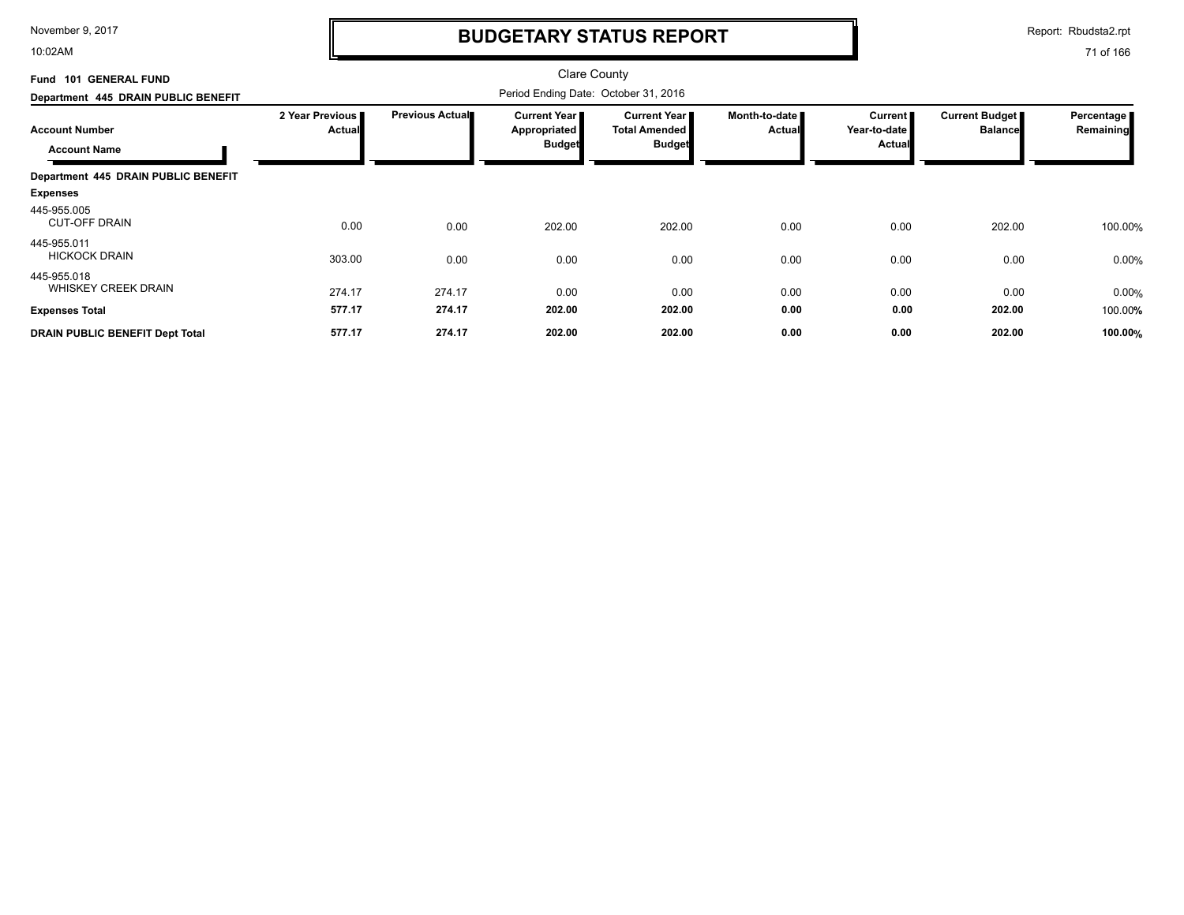10:02AM

# **BUDGETARY STATUS REPORT**

Report: Rbudsta2.rpt

| Fund 101 GENERAL FUND                        |                           |                 | <b>Clare County</b>                                         |                                                                |                                |                                                   |                                  |                         |
|----------------------------------------------|---------------------------|-----------------|-------------------------------------------------------------|----------------------------------------------------------------|--------------------------------|---------------------------------------------------|----------------------------------|-------------------------|
| Department 445 DRAIN PUBLIC BENEFIT          |                           |                 | Period Ending Date: October 31, 2016                        |                                                                |                                |                                                   |                                  |                         |
| <b>Account Number</b><br><b>Account Name</b> | 2 Year Previous<br>Actual | Previous Actual | <b>Current Year</b><br><b>Appropriated</b><br><b>Budget</b> | <b>Current Year</b> I<br><b>Total Amended</b><br><b>Budget</b> | Month-to-date<br><b>Actual</b> | <b>Current</b><br>Year-to-date I<br><b>Actual</b> | Current Budget<br><b>Balance</b> | Percentage<br>Remaining |
| Department 445 DRAIN PUBLIC BENEFIT          |                           |                 |                                                             |                                                                |                                |                                                   |                                  |                         |
| <b>Expenses</b>                              |                           |                 |                                                             |                                                                |                                |                                                   |                                  |                         |
| 445-955.005<br><b>CUT-OFF DRAIN</b>          | 0.00                      | 0.00            | 202.00                                                      | 202.00                                                         | 0.00                           | 0.00                                              | 202.00                           | 100.00%                 |
| 445-955.011<br><b>HICKOCK DRAIN</b>          | 303.00                    | 0.00            | 0.00                                                        | 0.00                                                           | 0.00                           | 0.00                                              | 0.00                             | 0.00%                   |
| 445-955.018<br><b>WHISKEY CREEK DRAIN</b>    | 274.17                    | 274.17          | 0.00                                                        | 0.00                                                           | 0.00                           | 0.00                                              | 0.00                             | 0.00%                   |
| <b>Expenses Total</b>                        | 577.17                    | 274.17          | 202.00                                                      | 202.00                                                         | 0.00                           | 0.00                                              | 202.00                           | 100.00%                 |
| DRAIN PUBLIC BENEFIT Dept Total              | 577.17                    | 274.17          | 202.00                                                      | 202.00                                                         | 0.00                           | 0.00                                              | 202.00                           | 100.00%                 |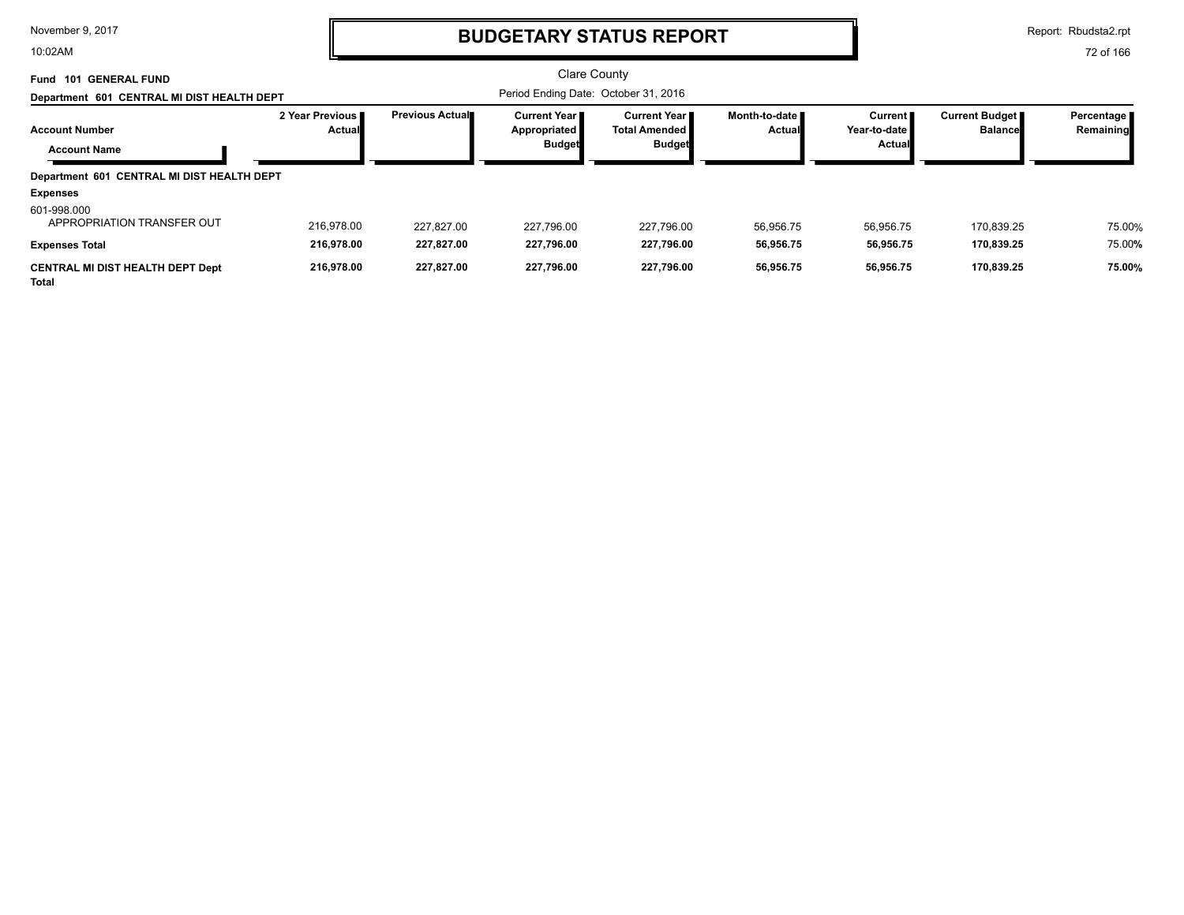10:02AM

# **BUDGETARY STATUS REPORT**

Report: Rbudsta2.rpt

| <b>101 GENERAL FUND</b><br>Fund                               |                                    |                 | <b>Clare County</b>                                    |                                                                |                                |                                          |                                         |                           |
|---------------------------------------------------------------|------------------------------------|-----------------|--------------------------------------------------------|----------------------------------------------------------------|--------------------------------|------------------------------------------|-----------------------------------------|---------------------------|
| Department 601 CENTRAL MI DIST HEALTH DEPT                    |                                    |                 | Period Ending Date: October 31, 2016                   |                                                                |                                |                                          |                                         |                           |
| <b>Account Number</b>                                         | 2 Year Previous I<br><b>Actual</b> | Previous Actual | <b>Current Year I</b><br>Appropriated<br><b>Budget</b> | <b>Current Year</b> ■<br><b>Total Amended</b><br><b>Budget</b> | Month-to-date<br><b>Actual</b> | <b>Current</b><br>Year-to-date<br>Actual | <b>Current Budget</b><br><b>Balance</b> | Percentage  <br>Remaining |
| <b>Account Name</b>                                           |                                    |                 |                                                        |                                                                |                                |                                          |                                         |                           |
| Department 601 CENTRAL MI DIST HEALTH DEPT<br><b>Expenses</b> |                                    |                 |                                                        |                                                                |                                |                                          |                                         |                           |
| 601-998.000<br>APPROPRIATION TRANSFER OUT                     | 216.978.00                         | 227.827.00      | 227.796.00                                             | 227,796.00                                                     | 56.956.75                      | 56,956.75                                | 170.839.25                              | 75.00%                    |
| <b>Expenses Total</b>                                         | 216,978.00                         | 227,827.00      | 227,796.00                                             | 227,796.00                                                     | 56,956.75                      | 56,956.75                                | 170,839.25                              | 75.00%                    |
| <b>CENTRAL MI DIST HEALTH DEPT Dept</b><br><b>Total</b>       | 216,978.00                         | 227,827.00      | 227,796.00                                             | 227,796.00                                                     | 56,956.75                      | 56,956.75                                | 170,839.25                              | 75.00%                    |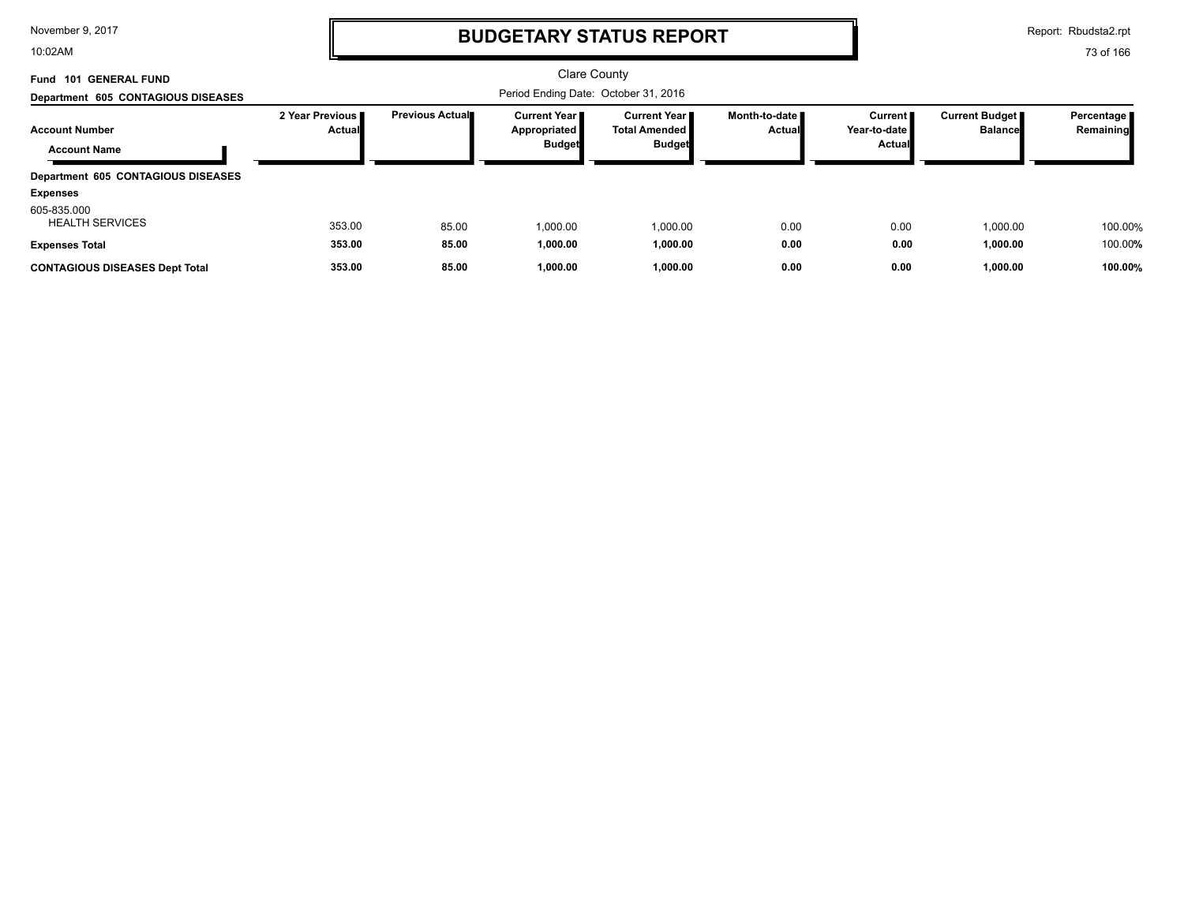10:02AM

# **BUDGETARY STATUS REPORT**

Report: Rbudsta2.rpt

| Fund 101 GENERAL FUND<br>Department 605 CONTAGIOUS DISEASES    |                           |                         | Period Ending Date: October 31, 2016                          | <b>Clare County</b>                                             |                                |                                                    |                                         |                           |
|----------------------------------------------------------------|---------------------------|-------------------------|---------------------------------------------------------------|-----------------------------------------------------------------|--------------------------------|----------------------------------------------------|-----------------------------------------|---------------------------|
| <b>Account Number</b><br><b>Account Name</b>                   | 2 Year Previous<br>Actual | <b>Previous Actual■</b> | <b>Current Year I</b><br><b>Appropriated</b><br><b>Budget</b> | <b>Current Year II</b><br><b>Total Amended</b><br><b>Budget</b> | Month-to-date<br><b>Actual</b> | Current <b>II</b><br>Year-to-date<br><b>Actual</b> | <b>Current Budget</b><br><b>Balance</b> | Percentage  <br>Remaining |
| Department 605 CONTAGIOUS DISEASES<br><b>Expenses</b>          |                           |                         |                                                               |                                                                 |                                |                                                    |                                         |                           |
| 605-835.000<br><b>HEALTH SERVICES</b><br><b>Expenses Total</b> | 353.00<br>353.00          | 85.00<br>85.00          | 1.000.00<br>1,000.00                                          | 1,000.00<br>1,000.00                                            | 0.00<br>0.00                   | 0.00<br>0.00                                       | 1,000.00<br>1,000.00                    | 100.00%<br>100.00%        |
| <b>CONTAGIOUS DISEASES Dept Total</b>                          | 353.00                    | 85.00                   | 1,000.00                                                      | 1,000.00                                                        | 0.00                           | 0.00                                               | 1,000.00                                | 100.00%                   |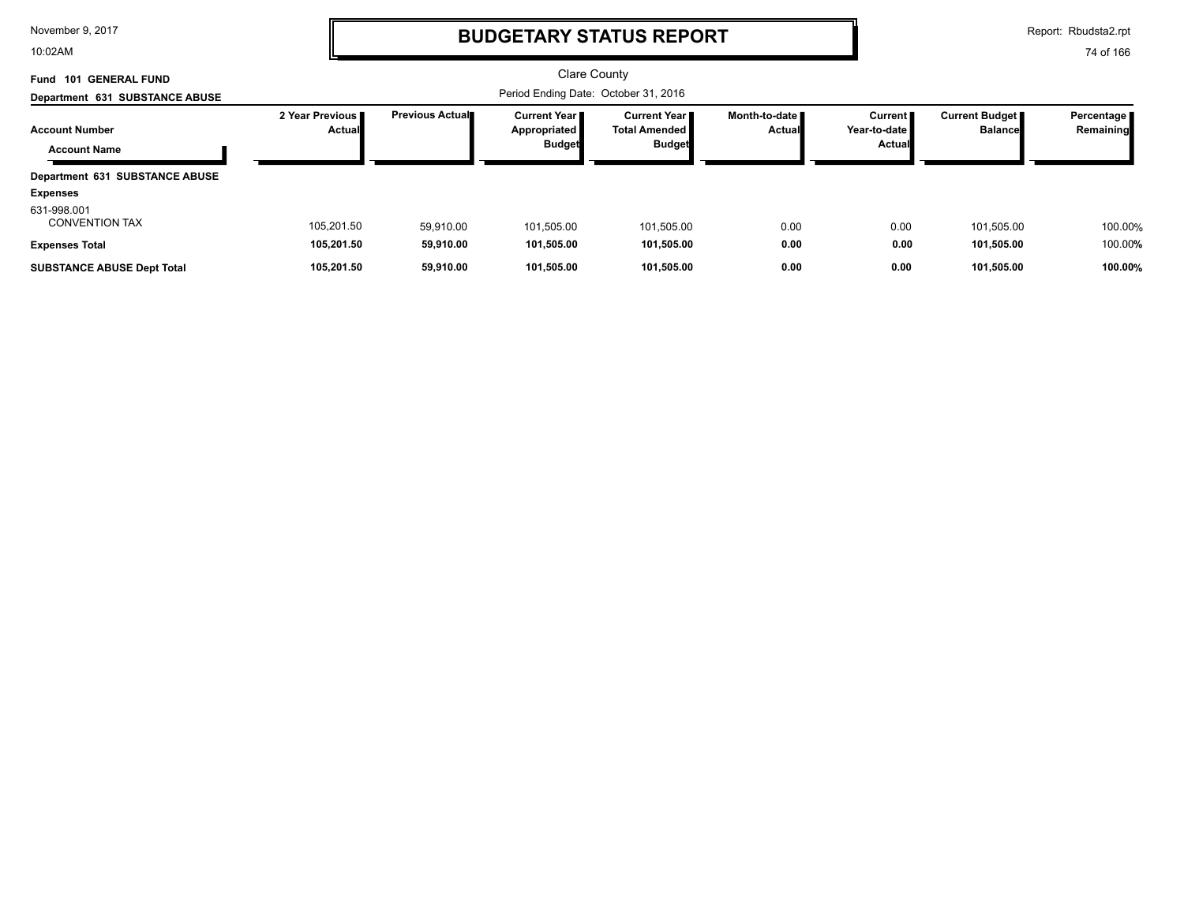10:02AM

## **BUDGETARY STATUS REPORT**

Report: Rbudsta2.rpt

| <b>101 GENERAL FUND</b><br>Fund      |                             |                 | <b>Clare County</b>                   |                                               |                                         |                           |                                         |                           |
|--------------------------------------|-----------------------------|-----------------|---------------------------------------|-----------------------------------------------|-----------------------------------------|---------------------------|-----------------------------------------|---------------------------|
| Department 631 SUBSTANCE ABUSE       |                             |                 |                                       |                                               |                                         |                           |                                         |                           |
| <b>Account Number</b>                | 2 Year Previous I<br>Actual | Previous Actual | <b>Current Year I</b><br>Appropriated | <b>Current Year</b> ■<br><b>Total Amended</b> | Month-to-date <b>■</b><br><b>Actual</b> | Current  <br>Year-to-date | <b>Current Budget</b><br><b>Balance</b> | Percentage  <br>Remaining |
| <b>Account Name</b>                  |                             |                 | <b>Budget</b>                         | <b>Budget</b>                                 |                                         | Actual                    |                                         |                           |
| Department 631 SUBSTANCE ABUSE       |                             |                 |                                       |                                               |                                         |                           |                                         |                           |
| <b>Expenses</b>                      |                             |                 |                                       |                                               |                                         |                           |                                         |                           |
| 631-998.001<br><b>CONVENTION TAX</b> | 105.201.50                  | 59.910.00       | 101,505.00                            | 101,505.00                                    | 0.00                                    | 0.00                      | 101.505.00                              | 100.00%                   |
| <b>Expenses Total</b>                | 105.201.50                  | 59.910.00       | 101.505.00                            | 101.505.00                                    | 0.00                                    | 0.00                      | 101.505.00                              | 100.00%                   |
| <b>SUBSTANCE ABUSE Dept Total</b>    | 105.201.50                  | 59.910.00       | 101.505.00                            | 101.505.00                                    | 0.00                                    | 0.00                      | 101.505.00                              | 100.00%                   |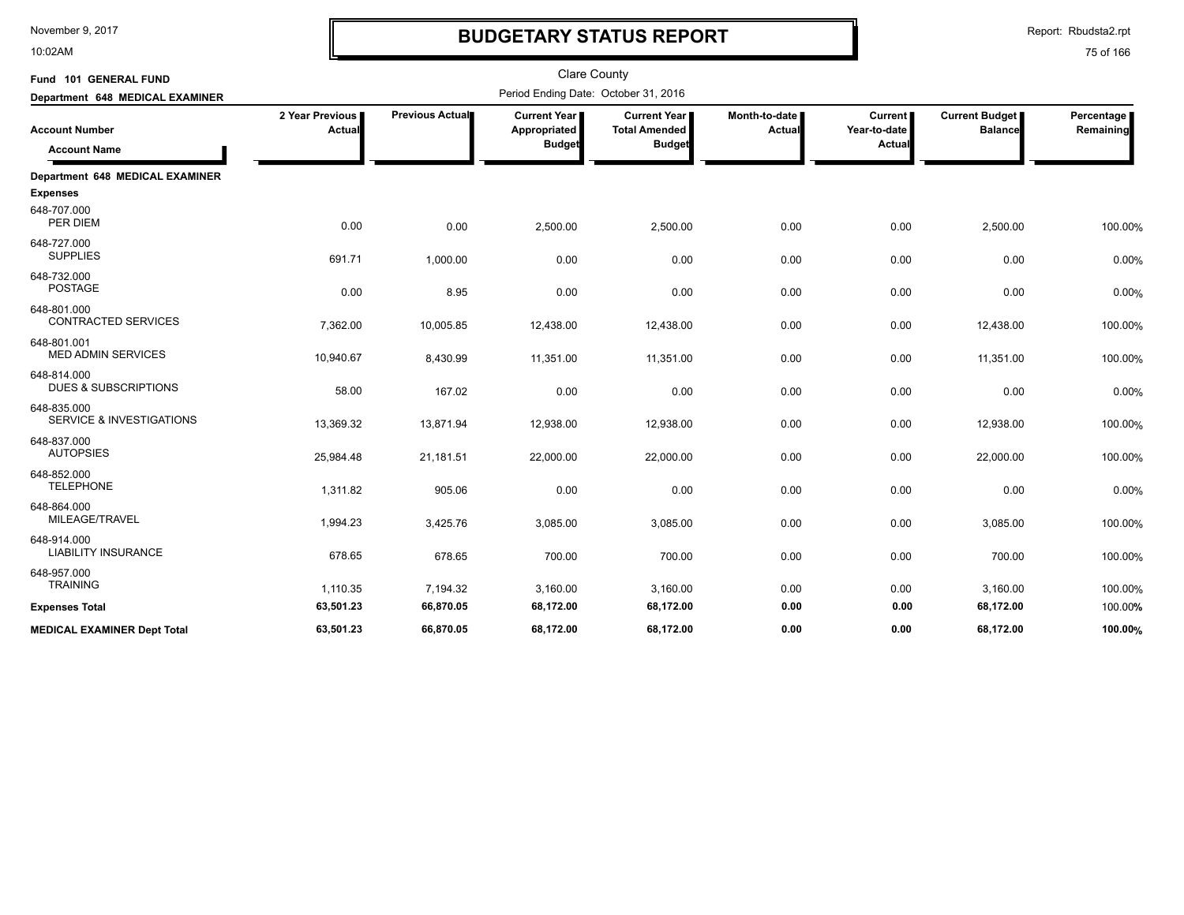10:02AM

# **BUDGETARY STATUS REPORT**

Report: Rbudsta2.rpt

| Fund 101 GENERAL FUND                              |                           |                 | <b>Clare County</b>                             |                                                                |                           |                                          |                                         |                         |
|----------------------------------------------------|---------------------------|-----------------|-------------------------------------------------|----------------------------------------------------------------|---------------------------|------------------------------------------|-----------------------------------------|-------------------------|
| Department 648 MEDICAL EXAMINER                    |                           |                 | Period Ending Date: October 31, 2016            |                                                                |                           |                                          |                                         |                         |
| <b>Account Number</b><br><b>Account Name</b>       | 2 Year Previous<br>Actual | Previous Actual | Current Year  <br>Appropriated<br><b>Budget</b> | <b>Current Year I</b><br><b>Total Amended</b><br><b>Budget</b> | Month-to-date I<br>Actual | <b>Current</b><br>Year-to-date<br>Actual | <b>Current Budget</b><br><b>Balance</b> | Percentage<br>Remaining |
| Department 648 MEDICAL EXAMINER                    |                           |                 |                                                 |                                                                |                           |                                          |                                         |                         |
| <b>Expenses</b>                                    |                           |                 |                                                 |                                                                |                           |                                          |                                         |                         |
| 648-707.000<br>PER DIEM                            | 0.00                      | 0.00            | 2,500.00                                        | 2,500.00                                                       | 0.00                      | 0.00                                     | 2,500.00                                | 100.00%                 |
| 648-727.000<br><b>SUPPLIES</b>                     | 691.71                    | 1,000.00        | 0.00                                            | 0.00                                                           | 0.00                      | 0.00                                     | 0.00                                    | 0.00%                   |
| 648-732.000<br><b>POSTAGE</b>                      | 0.00                      | 8.95            | 0.00                                            | 0.00                                                           | 0.00                      | 0.00                                     | 0.00                                    | 0.00%                   |
| 648-801.000<br><b>CONTRACTED SERVICES</b>          | 7,362.00                  | 10,005.85       | 12,438.00                                       | 12,438.00                                                      | 0.00                      | 0.00                                     | 12,438.00                               | 100.00%                 |
| 648-801.001<br><b>MED ADMIN SERVICES</b>           | 10,940.67                 | 8,430.99        | 11,351.00                                       | 11,351.00                                                      | 0.00                      | 0.00                                     | 11,351.00                               | 100.00%                 |
| 648-814.000<br><b>DUES &amp; SUBSCRIPTIONS</b>     | 58.00                     | 167.02          | 0.00                                            | 0.00                                                           | 0.00                      | 0.00                                     | 0.00                                    | 0.00%                   |
| 648-835.000<br><b>SERVICE &amp; INVESTIGATIONS</b> | 13,369.32                 | 13,871.94       | 12,938.00                                       | 12,938.00                                                      | 0.00                      | 0.00                                     | 12,938.00                               | 100.00%                 |
| 648-837.000<br><b>AUTOPSIES</b>                    | 25,984.48                 | 21,181.51       | 22,000.00                                       | 22,000.00                                                      | 0.00                      | 0.00                                     | 22,000.00                               | 100.00%                 |
| 648-852.000<br><b>TELEPHONE</b>                    | 1,311.82                  | 905.06          | 0.00                                            | 0.00                                                           | 0.00                      | 0.00                                     | 0.00                                    | 0.00%                   |
| 648-864.000<br>MILEAGE/TRAVEL                      | 1,994.23                  | 3,425.76        | 3,085.00                                        | 3,085.00                                                       | 0.00                      | 0.00                                     | 3,085.00                                | 100.00%                 |
| 648-914.000<br><b>LIABILITY INSURANCE</b>          | 678.65                    | 678.65          | 700.00                                          | 700.00                                                         | 0.00                      | 0.00                                     | 700.00                                  | 100.00%                 |
| 648-957.000<br><b>TRAINING</b>                     | 1,110.35                  | 7,194.32        | 3,160.00                                        | 3,160.00                                                       | 0.00                      | 0.00                                     | 3,160.00                                | 100.00%                 |
| <b>Expenses Total</b>                              | 63,501.23                 | 66,870.05       | 68,172.00                                       | 68,172.00                                                      | 0.00                      | 0.00                                     | 68,172.00                               | 100.00%                 |
| <b>MEDICAL EXAMINER Dept Total</b>                 | 63.501.23                 | 66.870.05       | 68.172.00                                       | 68,172.00                                                      | 0.00                      | 0.00                                     | 68.172.00                               | 100.00%                 |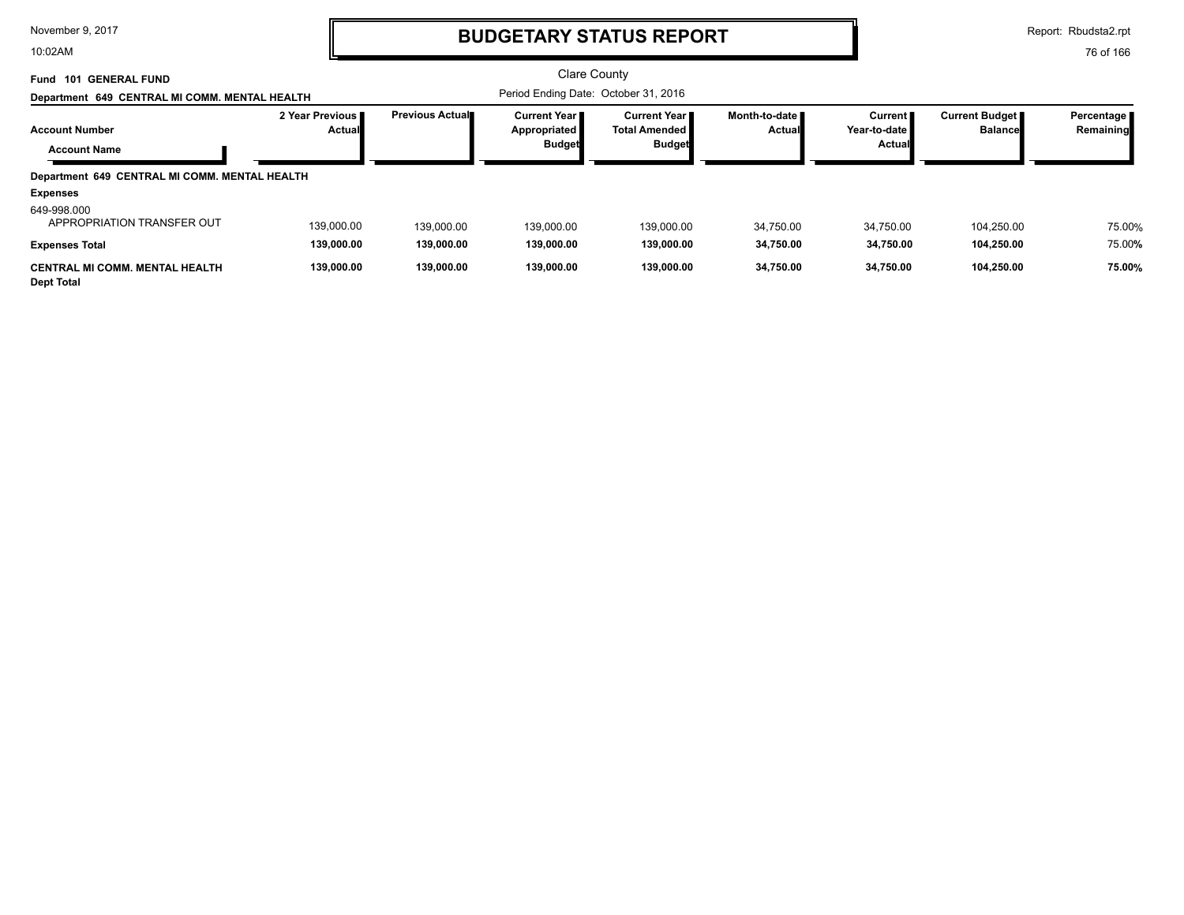10:02AM

## **BUDGETARY STATUS REPORT**

Report: Rbudsta2.rpt

| <b>GENERAL FUND</b><br>101<br>Fund<br>Department 649 CENTRAL MI COMM. MENTAL HEALTH |                                  |                        | <b>Clare County</b><br>Period Ending Date: October 31, 2016 |                                                                  |                                  |                                            |                                         |                            |
|-------------------------------------------------------------------------------------|----------------------------------|------------------------|-------------------------------------------------------------|------------------------------------------------------------------|----------------------------------|--------------------------------------------|-----------------------------------------|----------------------------|
| <b>Account Number</b><br><b>Account Name</b>                                        | 2 Year Previous<br><b>Actual</b> | <b>Previous Actual</b> | <b>Current Year I</b><br>Appropriated<br><b>Budget</b>      | <b>Current Year</b> ■<br><b>Total Amended I</b><br><b>Budget</b> | Month-to-date ■<br><b>Actual</b> | <b>Current</b><br>Year-to-date I<br>Actual | <b>Current Budget</b><br><b>Balance</b> | Percentage   <br>Remaining |
| Department 649 CENTRAL MI COMM. MENTAL HEALTH                                       |                                  |                        |                                                             |                                                                  |                                  |                                            |                                         |                            |
| <b>Expenses</b>                                                                     |                                  |                        |                                                             |                                                                  |                                  |                                            |                                         |                            |
| 649-998.000<br>APPROPRIATION TRANSFER OUT                                           | 139.000.00                       | 139,000.00             | 139.000.00                                                  | 139.000.00                                                       | 34.750.00                        | 34,750.00                                  | 104.250.00                              | 75.00%                     |
| <b>Expenses Total</b>                                                               | 139,000.00                       | 139,000.00             | 139.000.00                                                  | 139,000.00                                                       | 34.750.00                        | 34,750.00                                  | 104,250.00                              | 75.00%                     |
| <b>CENTRAL MI COMM. MENTAL HEALTH</b><br><b>Dept Total</b>                          | 139,000.00                       | 139.000.00             | 139.000.00                                                  | 139.000.00                                                       | 34.750.00                        | 34,750.00                                  | 104,250.00                              | 75.00%                     |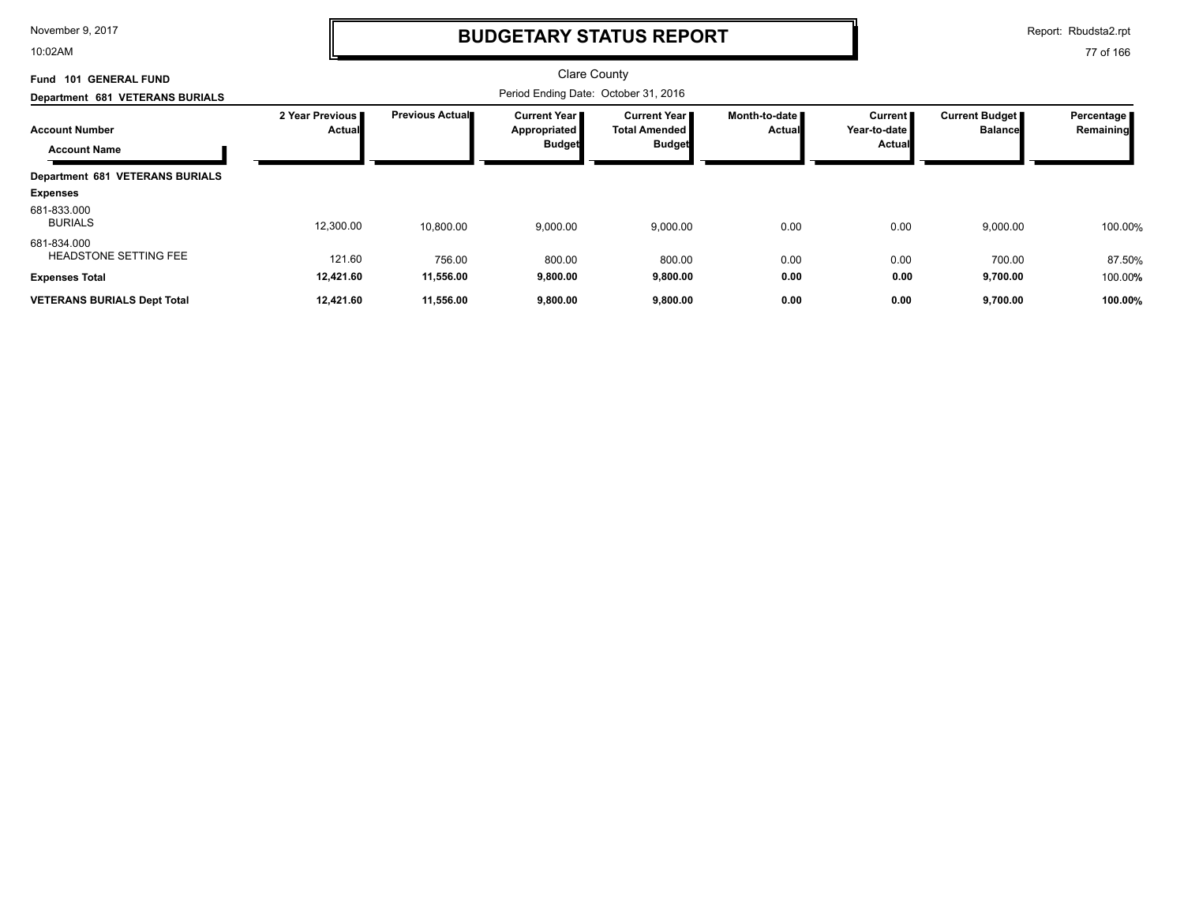10:02AM

# **BUDGETARY STATUS REPORT**

Report: Rbudsta2.rpt

| <b>GENERAL FUND</b><br>Fund<br>101           |                           |                         | <b>Clare County</b>                                  |                                                       |                         |                                                 |                                         |                         |
|----------------------------------------------|---------------------------|-------------------------|------------------------------------------------------|-------------------------------------------------------|-------------------------|-------------------------------------------------|-----------------------------------------|-------------------------|
| Department 681 VETERANS BURIALS              |                           |                         | Period Ending Date: October 31, 2016                 |                                                       |                         |                                                 |                                         |                         |
| <b>Account Number</b><br><b>Account Name</b> | 2 Year Previous<br>Actual | <b>Previous Actual■</b> | <b>Current Year</b><br>Appropriated<br><b>Budget</b> | Current Year<br><b>Total Amended</b><br><b>Budget</b> | Month-to-date<br>Actual | <b>Current</b><br>Year-to-date<br><b>Actual</b> | <b>Current Budget</b><br><b>Balance</b> | Percentage<br>Remaining |
| <b>Department 681 VETERANS BURIALS</b>       |                           |                         |                                                      |                                                       |                         |                                                 |                                         |                         |
| <b>Expenses</b>                              |                           |                         |                                                      |                                                       |                         |                                                 |                                         |                         |
| 681-833.000<br><b>BURIALS</b>                | 12,300.00                 | 10,800.00               | 9,000.00                                             | 9,000.00                                              | 0.00                    | 0.00                                            | 9,000.00                                | 100.00%                 |
| 681-834.000<br><b>HEADSTONE SETTING FEE</b>  | 121.60                    | 756.00                  | 800.00                                               | 800.00                                                | 0.00                    | 0.00                                            | 700.00                                  | 87.50%                  |
| <b>Expenses Total</b>                        | 12,421.60                 | 11,556.00               | 9,800.00                                             | 9,800.00                                              | 0.00                    | 0.00                                            | 9,700.00                                | 100.00%                 |
| <b>VETERANS BURIALS Dept Total</b>           | 12.421.60                 | 11.556.00               | 9,800.00                                             | 9,800.00                                              | 0.00                    | 0.00                                            | 9,700.00                                | 100.00%                 |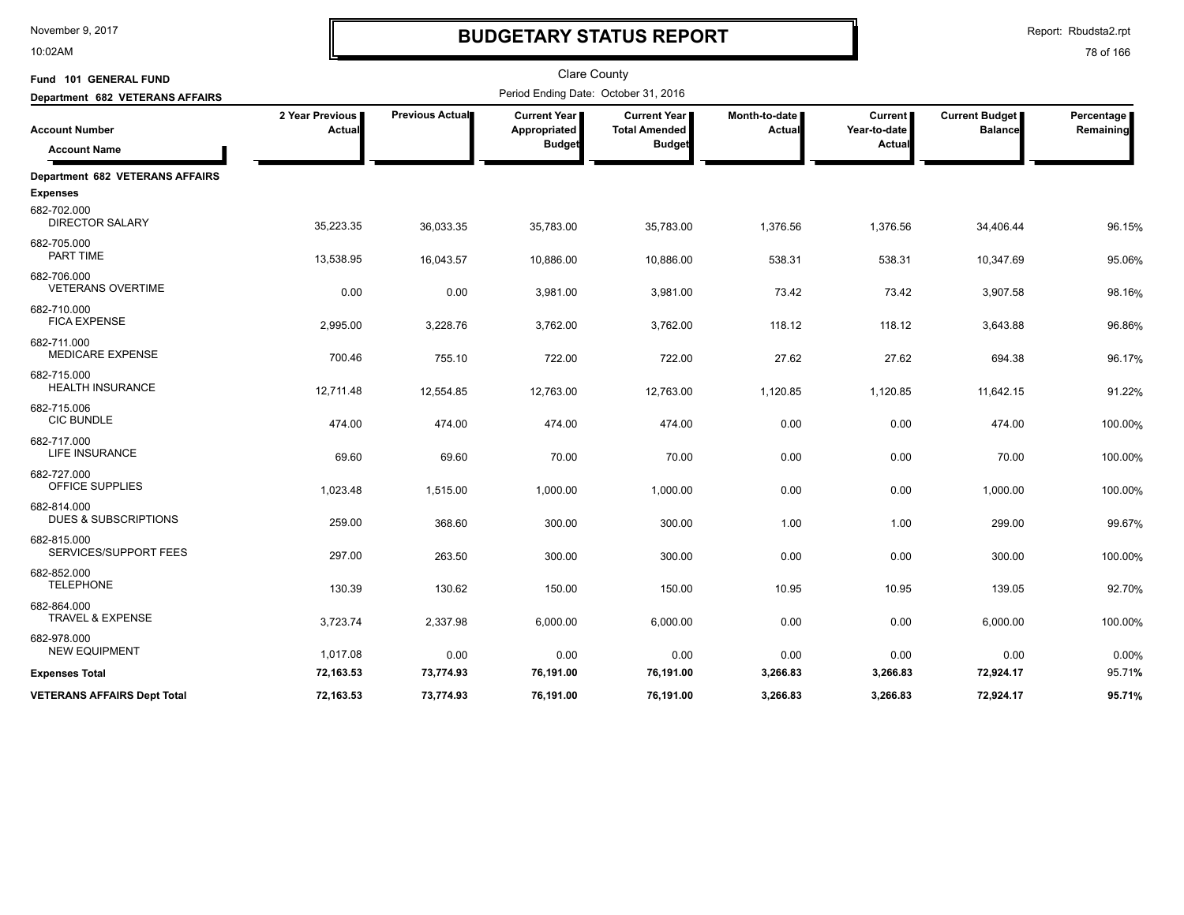10:02AM

# **BUDGETARY STATUS REPORT**

Report: Rbudsta2.rpt

| Fund 101 GENERAL FUND                                    |                           |                        | <b>Clare County</b>                                  |                                                                |                         |                                     |                                         |                         |
|----------------------------------------------------------|---------------------------|------------------------|------------------------------------------------------|----------------------------------------------------------------|-------------------------|-------------------------------------|-----------------------------------------|-------------------------|
| Department 682 VETERANS AFFAIRS                          |                           |                        | Period Ending Date: October 31, 2016                 |                                                                |                         |                                     |                                         |                         |
| <b>Account Number</b><br><b>Account Name</b>             | 2 Year Previous<br>Actual | <b>Previous Actual</b> | <b>Current Year</b><br>Appropriated<br><b>Budget</b> | <b>Current Year</b> I<br><b>Total Amended</b><br><b>Budget</b> | Month-to-date<br>Actual | Current  <br>Year-to-date<br>Actual | <b>Current Budget</b><br><b>Balance</b> | Percentage<br>Remaining |
|                                                          |                           |                        |                                                      |                                                                |                         |                                     |                                         |                         |
| <b>Department 682 VETERANS AFFAIRS</b>                   |                           |                        |                                                      |                                                                |                         |                                     |                                         |                         |
| <b>Expenses</b><br>682-702.000<br><b>DIRECTOR SALARY</b> | 35,223.35                 | 36,033.35              | 35,783.00                                            | 35,783.00                                                      | 1,376.56                | 1,376.56                            | 34,406.44                               | 96.15%                  |
| 682-705.000<br>PART TIME                                 | 13,538.95                 | 16,043.57              | 10,886.00                                            | 10,886.00                                                      | 538.31                  | 538.31                              | 10,347.69                               | 95.06%                  |
| 682-706.000<br><b>VETERANS OVERTIME</b>                  | 0.00                      | 0.00                   | 3,981.00                                             | 3,981.00                                                       | 73.42                   | 73.42                               | 3,907.58                                | 98.16%                  |
| 682-710.000<br><b>FICA EXPENSE</b>                       | 2,995.00                  | 3,228.76               | 3,762.00                                             | 3,762.00                                                       | 118.12                  | 118.12                              | 3,643.88                                | 96.86%                  |
| 682-711.000<br><b>MEDICARE EXPENSE</b>                   | 700.46                    | 755.10                 | 722.00                                               | 722.00                                                         | 27.62                   | 27.62                               | 694.38                                  | 96.17%                  |
| 682-715.000<br><b>HEALTH INSURANCE</b>                   | 12,711.48                 | 12,554.85              | 12,763.00                                            | 12,763.00                                                      | 1,120.85                | 1,120.85                            | 11,642.15                               | 91.22%                  |
| 682-715.006<br><b>CIC BUNDLE</b>                         | 474.00                    | 474.00                 | 474.00                                               | 474.00                                                         | 0.00                    | 0.00                                | 474.00                                  | 100.00%                 |
| 682-717.000<br>LIFE INSURANCE                            | 69.60                     | 69.60                  | 70.00                                                | 70.00                                                          | 0.00                    | 0.00                                | 70.00                                   | 100.00%                 |
| 682-727.000<br>OFFICE SUPPLIES                           | 1,023.48                  | 1,515.00               | 1,000.00                                             | 1,000.00                                                       | 0.00                    | 0.00                                | 1,000.00                                | 100.00%                 |
| 682-814.000<br><b>DUES &amp; SUBSCRIPTIONS</b>           | 259.00                    | 368.60                 | 300.00                                               | 300.00                                                         | 1.00                    | 1.00                                | 299.00                                  | 99.67%                  |
| 682-815.000<br>SERVICES/SUPPORT FEES                     | 297.00                    | 263.50                 | 300.00                                               | 300.00                                                         | 0.00                    | 0.00                                | 300.00                                  | 100.00%                 |
| 682-852.000<br><b>TELEPHONE</b>                          | 130.39                    | 130.62                 | 150.00                                               | 150.00                                                         | 10.95                   | 10.95                               | 139.05                                  | 92.70%                  |
| 682-864.000<br><b>TRAVEL &amp; EXPENSE</b>               | 3,723.74                  | 2,337.98               | 6,000.00                                             | 6,000.00                                                       | 0.00                    | 0.00                                | 6,000.00                                | 100.00%                 |
| 682-978.000<br><b>NEW EQUIPMENT</b>                      | 1,017.08                  | 0.00                   | 0.00                                                 | 0.00                                                           | 0.00                    | 0.00                                | 0.00                                    | 0.00%                   |
| <b>Expenses Total</b>                                    | 72,163.53                 | 73,774.93              | 76,191.00                                            | 76,191.00                                                      | 3,266.83                | 3,266.83                            | 72,924.17                               | 95.71%                  |
| <b>VETERANS AFFAIRS Dept Total</b>                       | 72,163.53                 | 73,774.93              | 76,191.00                                            | 76,191.00                                                      | 3,266.83                | 3,266.83                            | 72,924.17                               | 95.71%                  |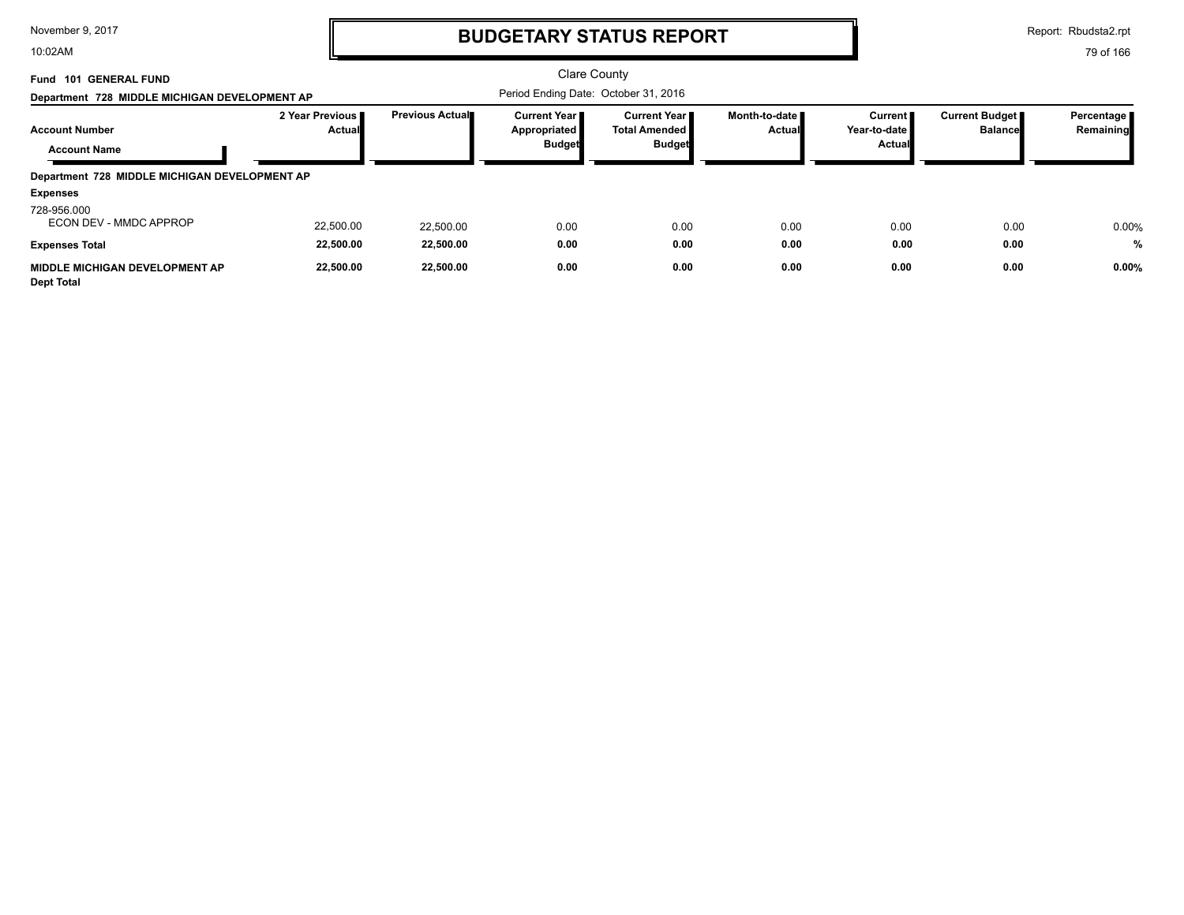10:02AM

# **BUDGETARY STATUS REPORT**

Report: Rbudsta2.rpt

| Fund 101 GENERAL FUND<br>Department 728 MIDDLE MICHIGAN DEVELOPMENT AP |                                  |                 | <b>Clare County</b><br>Period Ending Date: October 31, 2016 |                                                                |                         |                                     |                                  |                           |
|------------------------------------------------------------------------|----------------------------------|-----------------|-------------------------------------------------------------|----------------------------------------------------------------|-------------------------|-------------------------------------|----------------------------------|---------------------------|
| <b>Account Number</b><br><b>Account Name</b>                           | 2 Year Previous<br><b>Actual</b> | Previous Actual | <b>Current Year I</b><br>Appropriated<br><b>Budget</b>      | <b>Current Year</b> ■<br><b>Total Amended</b><br><b>Budget</b> | Month-to-date<br>Actual | Current I<br>Year-to-date<br>Actual | Current Budget<br><b>Balance</b> | Percentage  <br>Remaining |
| Department 728 MIDDLE MICHIGAN DEVELOPMENT AP                          |                                  |                 |                                                             |                                                                |                         |                                     |                                  |                           |
| <b>Expenses</b>                                                        |                                  |                 |                                                             |                                                                |                         |                                     |                                  |                           |
| 728-956.000<br>ECON DEV - MMDC APPROP                                  | 22,500.00                        | 22.500.00       | 0.00                                                        | 0.00                                                           | 0.00                    | 0.00                                | 0.00                             | 0.00%                     |
| <b>Expenses Total</b>                                                  | 22,500.00                        | 22,500.00       | 0.00                                                        | 0.00                                                           | 0.00                    | 0.00                                | 0.00                             | %                         |
| MIDDLE MICHIGAN DEVELOPMENT AP<br><b>Dept Total</b>                    | 22,500.00                        | 22,500.00       | 0.00                                                        | 0.00                                                           | 0.00                    | 0.00                                | 0.00                             | 0.00%                     |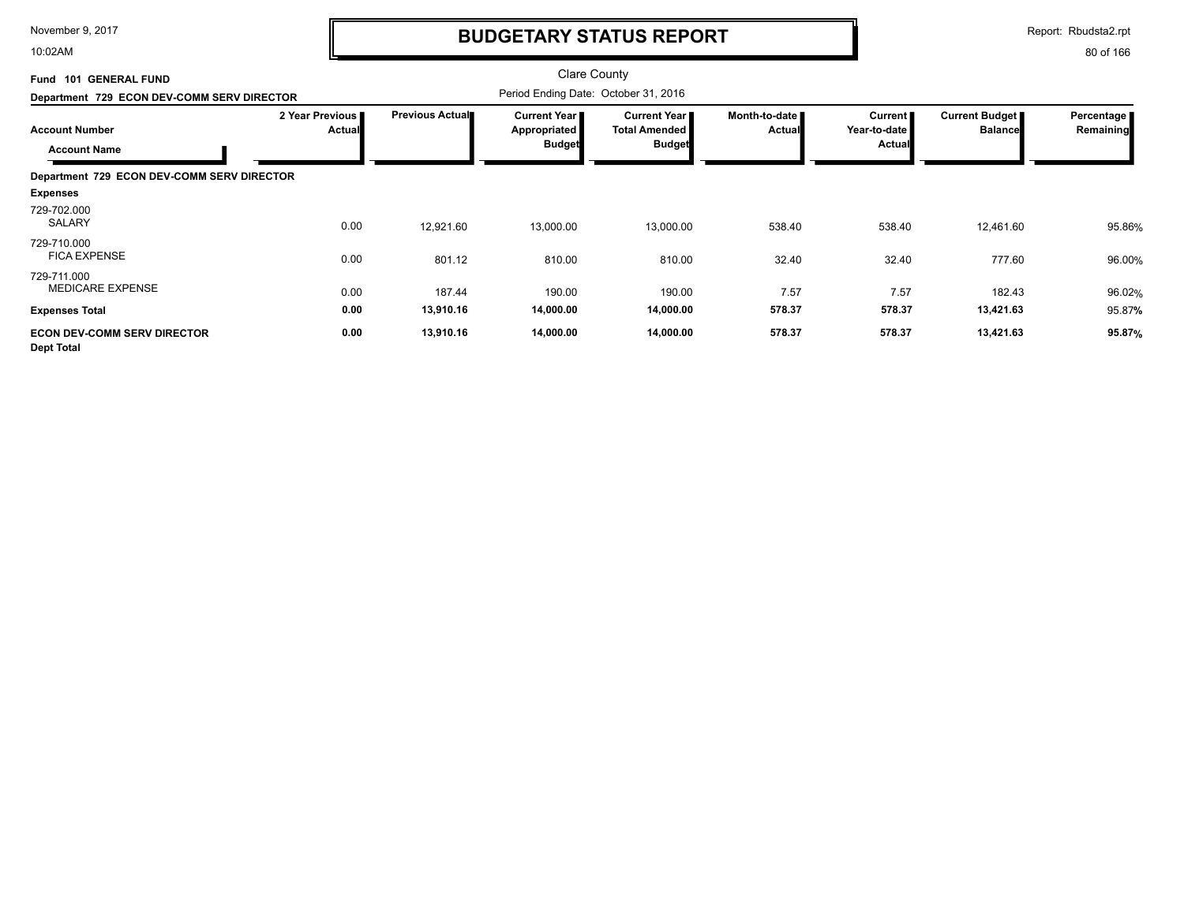10:02AM

## **BUDGETARY STATUS REPORT**

Report: Rbudsta2.rpt

| Fund 101 GENERAL FUND<br>Department 729 ECON DEV-COMM SERV DIRECTOR |                           |                 | Clare County<br>Period Ending Date: October 31, 2016 |                                                       |                                |                                     |                                         |                         |
|---------------------------------------------------------------------|---------------------------|-----------------|------------------------------------------------------|-------------------------------------------------------|--------------------------------|-------------------------------------|-----------------------------------------|-------------------------|
| <b>Account Number</b><br><b>Account Name</b>                        | 2 Year Previous<br>Actual | Previous Actual | <b>Current Year</b><br>Appropriated<br><b>Budget</b> | Current Year<br><b>Total Amended</b><br><b>Budget</b> | Month-to-date<br><b>Actual</b> | Current  <br>Year-to-date<br>Actual | <b>Current Budget</b><br><b>Balance</b> | Percentage<br>Remaining |
| Department 729 ECON DEV-COMM SERV DIRECTOR                          |                           |                 |                                                      |                                                       |                                |                                     |                                         |                         |
| <b>Expenses</b>                                                     |                           |                 |                                                      |                                                       |                                |                                     |                                         |                         |
| 729-702.000<br><b>SALARY</b>                                        | 0.00                      | 12,921.60       | 13,000.00                                            | 13,000.00                                             | 538.40                         | 538.40                              | 12,461.60                               | 95.86%                  |
| 729-710.000<br><b>FICA EXPENSE</b>                                  | 0.00                      | 801.12          | 810.00                                               | 810.00                                                | 32.40                          | 32.40                               | 777.60                                  | 96.00%                  |
| 729-711.000<br>MEDICARE EXPENSE                                     | 0.00                      | 187.44          | 190.00                                               | 190.00                                                | 7.57                           | 7.57                                | 182.43                                  | 96.02%                  |
| <b>Expenses Total</b>                                               | 0.00                      | 13,910.16       | 14,000.00                                            | 14,000.00                                             | 578.37                         | 578.37                              | 13,421.63                               | 95.87%                  |
| <b>ECON DEV-COMM SERV DIRECTOR</b><br><b>Dept Total</b>             | 0.00                      | 13,910.16       | 14,000.00                                            | 14,000.00                                             | 578.37                         | 578.37                              | 13,421.63                               | 95.87%                  |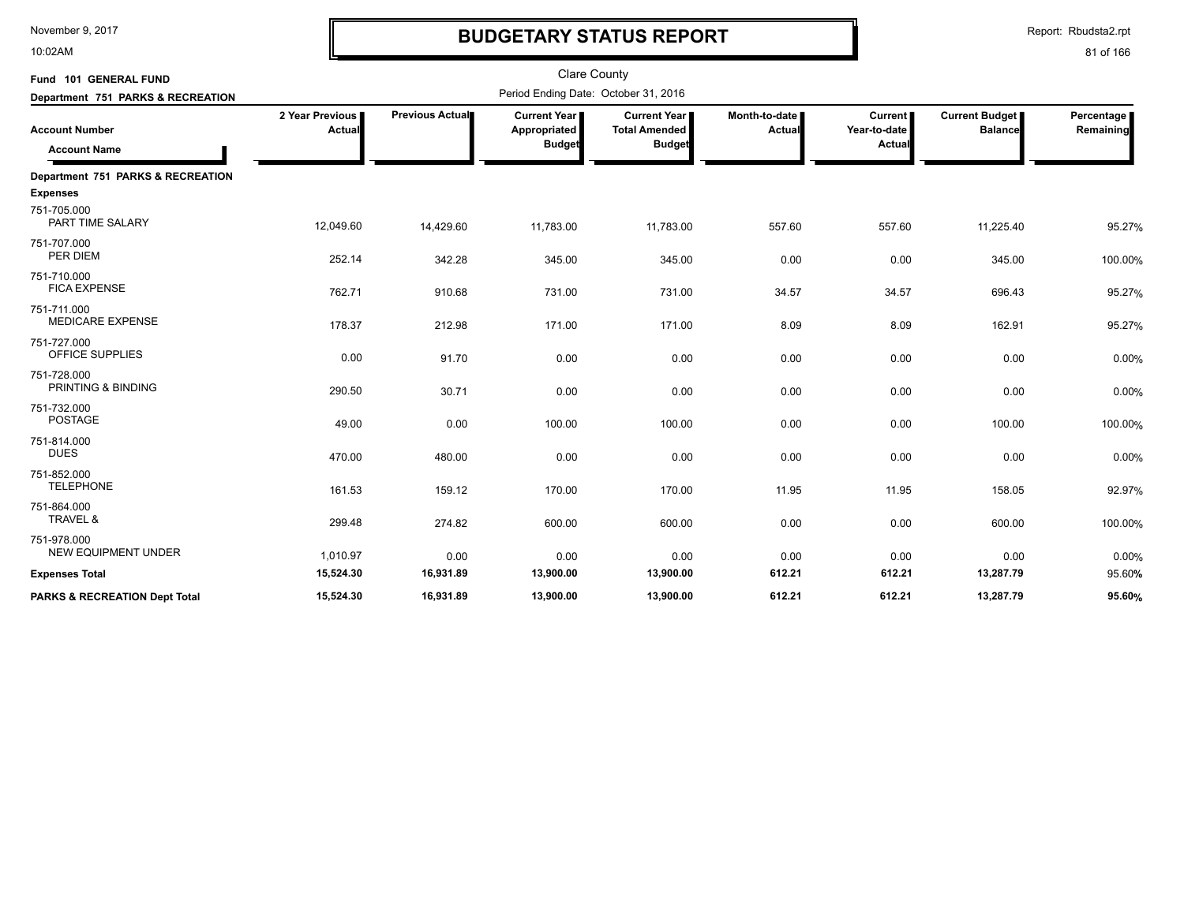10:02AM

# **BUDGETARY STATUS REPORT**

| Fund 101 GENERAL FUND                        |                           |                 |                                                      | <b>Clare County</b>                                   |                 |                                                                                                                         |           |                         |  |  |  |  |  |
|----------------------------------------------|---------------------------|-----------------|------------------------------------------------------|-------------------------------------------------------|-----------------|-------------------------------------------------------------------------------------------------------------------------|-----------|-------------------------|--|--|--|--|--|
| Department 751 PARKS & RECREATION            |                           |                 | Period Ending Date: October 31, 2016                 |                                                       |                 | <b>Current Budget</b><br>Current<br>Year-to-date<br>Actual<br><b>Balance</b><br>Actual<br>557.60<br>557.60<br>11,225.40 |           |                         |  |  |  |  |  |
| <b>Account Number</b><br><b>Account Name</b> | 2 Year Previous<br>Actual | Previous Actual | <b>Current Year</b><br>Appropriated<br><b>Budget</b> | Current Year<br><b>Total Amended</b><br><b>Budget</b> | Month-to-date I |                                                                                                                         |           | Percentage<br>Remaining |  |  |  |  |  |
| Department 751 PARKS & RECREATION            |                           |                 |                                                      |                                                       |                 |                                                                                                                         |           |                         |  |  |  |  |  |
| <b>Expenses</b>                              |                           |                 |                                                      |                                                       |                 |                                                                                                                         |           |                         |  |  |  |  |  |
| 751-705.000<br>PART TIME SALARY              | 12,049.60                 | 14,429.60       | 11,783.00                                            | 11,783.00                                             |                 |                                                                                                                         |           | 95.27%                  |  |  |  |  |  |
| 751-707.000<br>PER DIEM                      | 252.14                    | 342.28          | 345.00                                               | 345.00                                                | 0.00            | 0.00                                                                                                                    | 345.00    | 100.00%                 |  |  |  |  |  |
| 751-710.000<br><b>FICA EXPENSE</b>           | 762.71                    | 910.68          | 731.00                                               | 731.00                                                | 34.57           | 34.57                                                                                                                   | 696.43    | 95.27%                  |  |  |  |  |  |
| 751-711.000<br><b>MEDICARE EXPENSE</b>       | 178.37                    | 212.98          | 171.00                                               | 171.00                                                | 8.09            | 8.09                                                                                                                    | 162.91    | 95.27%                  |  |  |  |  |  |
| 751-727.000<br>OFFICE SUPPLIES               | 0.00                      | 91.70           | 0.00                                                 | 0.00                                                  | 0.00            | 0.00                                                                                                                    | 0.00      | 0.00%                   |  |  |  |  |  |
| 751-728.000<br>PRINTING & BINDING            | 290.50                    | 30.71           | 0.00                                                 | 0.00                                                  | 0.00            | 0.00                                                                                                                    | 0.00      | 0.00%                   |  |  |  |  |  |
| 751-732.000<br><b>POSTAGE</b>                | 49.00                     | 0.00            | 100.00                                               | 100.00                                                | 0.00            | 0.00                                                                                                                    | 100.00    | 100.00%                 |  |  |  |  |  |
| 751-814.000<br><b>DUES</b>                   | 470.00                    | 480.00          | 0.00                                                 | 0.00                                                  | 0.00            | 0.00                                                                                                                    | 0.00      | 0.00%                   |  |  |  |  |  |
| 751-852.000<br><b>TELEPHONE</b>              | 161.53                    | 159.12          | 170.00                                               | 170.00                                                | 11.95           | 11.95                                                                                                                   | 158.05    | 92.97%                  |  |  |  |  |  |
| 751-864.000<br>TRAVEL &                      | 299.48                    | 274.82          | 600.00                                               | 600.00                                                | 0.00            | 0.00                                                                                                                    | 600.00    | 100.00%                 |  |  |  |  |  |
| 751-978.000<br><b>NEW EQUIPMENT UNDER</b>    | 1,010.97                  | 0.00            | 0.00                                                 | 0.00                                                  | 0.00            | 0.00                                                                                                                    | 0.00      | 0.00%                   |  |  |  |  |  |
| <b>Expenses Total</b>                        | 15,524.30                 | 16,931.89       | 13,900.00                                            | 13,900.00                                             | 612.21          | 612.21                                                                                                                  | 13,287.79 | 95.60%                  |  |  |  |  |  |
| <b>PARKS &amp; RECREATION Dept Total</b>     | 15,524.30                 | 16,931.89       | 13,900.00                                            | 13,900.00                                             | 612.21          | 612.21                                                                                                                  | 13,287.79 | 95.60%                  |  |  |  |  |  |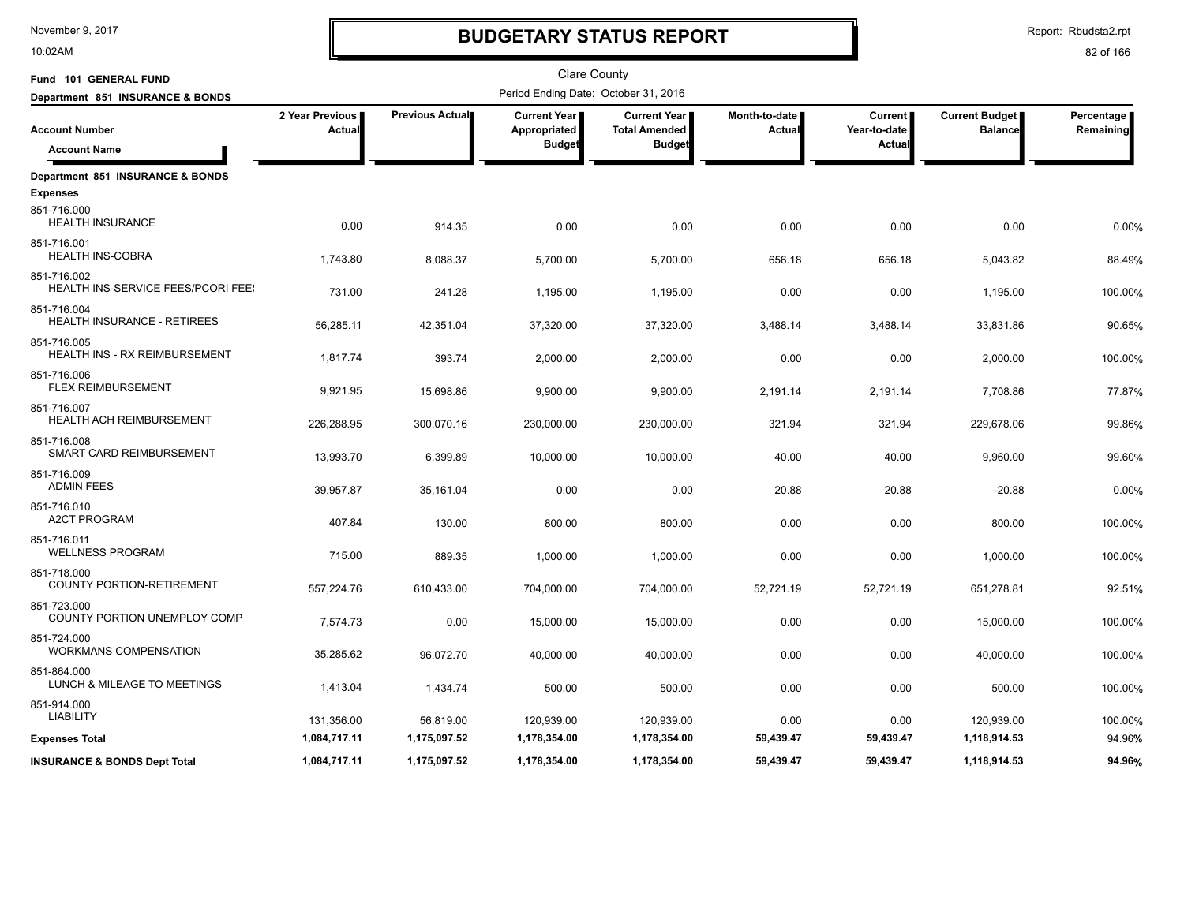10:02AM

# **BUDGETARY STATUS REPORT**

Report: Rbudsta2.rpt

| Fund 101 GENERAL FUND                             |                           |                 | <b>Clare County</b>                  |                                               |                                |                           |                                         |                         |
|---------------------------------------------------|---------------------------|-----------------|--------------------------------------|-----------------------------------------------|--------------------------------|---------------------------|-----------------------------------------|-------------------------|
| Department 851 INSURANCE & BONDS                  |                           |                 | Period Ending Date: October 31, 2016 |                                               |                                |                           |                                         |                         |
| <b>Account Number</b>                             | 2 Year Previous<br>Actual | Previous Actual | <b>Current Year</b><br>Appropriated  | <b>Current Year</b>  <br><b>Total Amended</b> | Month-to-date<br><b>Actual</b> | Current  <br>Year-to-date | <b>Current Budget</b><br><b>Balance</b> | Percentage<br>Remaining |
| <b>Account Name</b>                               |                           |                 | <b>Budget</b>                        | <b>Budget</b>                                 |                                | Actua                     |                                         |                         |
| Department 851 INSURANCE & BONDS                  |                           |                 |                                      |                                               |                                |                           |                                         |                         |
| <b>Expenses</b>                                   |                           |                 |                                      |                                               |                                |                           |                                         |                         |
| 851-716.000<br><b>HEALTH INSURANCE</b>            | 0.00                      | 914.35          | 0.00                                 | 0.00                                          | 0.00                           | 0.00                      | 0.00                                    | 0.00%                   |
| 851-716.001<br><b>HEALTH INS-COBRA</b>            | 1,743.80                  | 8.088.37        | 5,700.00                             | 5,700.00                                      | 656.18                         | 656.18                    | 5,043.82                                | 88.49%                  |
| 851-716.002<br>HEALTH INS-SERVICE FEES/PCORI FEE! | 731.00                    | 241.28          | 1,195.00                             | 1,195.00                                      | 0.00                           | 0.00                      | 1,195.00                                | 100.00%                 |
| 851-716.004<br>HEALTH INSURANCE - RETIREES        | 56,285.11                 | 42.351.04       | 37,320.00                            | 37,320.00                                     | 3,488.14                       | 3,488.14                  | 33,831.86                               | 90.65%                  |
| 851-716.005<br>HEALTH INS - RX REIMBURSEMENT      | 1,817.74                  | 393.74          | 2,000.00                             | 2,000.00                                      | 0.00                           | 0.00                      | 2,000.00                                | 100.00%                 |
| 851-716.006<br><b>FLEX REIMBURSEMENT</b>          | 9,921.95                  | 15,698.86       | 9,900.00                             | 9,900.00                                      | 2,191.14                       | 2,191.14                  | 7,708.86                                | 77.87%                  |
| 851-716.007<br>HEALTH ACH REIMBURSEMENT           | 226,288.95                | 300,070.16      | 230,000.00                           | 230,000.00                                    | 321.94                         | 321.94                    | 229,678.06                              | 99.86%                  |
| 851-716.008<br>SMART CARD REIMBURSEMENT           | 13,993.70                 | 6,399.89        | 10,000.00                            | 10,000.00                                     | 40.00                          | 40.00                     | 9,960.00                                | 99.60%                  |
| 851-716.009<br><b>ADMIN FEES</b>                  | 39,957.87                 | 35,161.04       | 0.00                                 | 0.00                                          | 20.88                          | 20.88                     | $-20.88$                                | 0.00%                   |
| 851-716.010<br><b>A2CT PROGRAM</b>                | 407.84                    | 130.00          | 800.00                               | 800.00                                        | 0.00                           | 0.00                      | 800.00                                  | 100.00%                 |
| 851-716.011<br><b>WELLNESS PROGRAM</b>            | 715.00                    | 889.35          | 1,000.00                             | 1,000.00                                      | 0.00                           | 0.00                      | 1,000.00                                | 100.00%                 |
| 851-718.000<br>COUNTY PORTION-RETIREMENT          | 557,224.76                | 610,433.00      | 704,000.00                           | 704,000.00                                    | 52,721.19                      | 52,721.19                 | 651,278.81                              | 92.51%                  |
| 851-723.000<br>COUNTY PORTION UNEMPLOY COMP       | 7,574.73                  | 0.00            | 15,000.00                            | 15,000.00                                     | 0.00                           | 0.00                      | 15,000.00                               | 100.00%                 |
| 851-724.000<br><b>WORKMANS COMPENSATION</b>       | 35,285.62                 | 96,072.70       | 40,000.00                            | 40,000.00                                     | 0.00                           | 0.00                      | 40,000.00                               | 100.00%                 |
| 851-864.000<br>LUNCH & MILEAGE TO MEETINGS        | 1,413.04                  | 1,434.74        | 500.00                               | 500.00                                        | 0.00                           | 0.00                      | 500.00                                  | 100.00%                 |
| 851-914.000<br><b>LIABILITY</b>                   | 131,356.00                | 56,819.00       | 120,939.00                           | 120,939.00                                    | 0.00                           | 0.00                      | 120,939.00                              | 100.00%                 |
| <b>Expenses Total</b>                             | 1,084,717.11              | 1,175,097.52    | 1,178,354.00                         | 1,178,354.00                                  | 59,439.47                      | 59,439.47                 | 1,118,914.53                            | 94.96%                  |
| <b>INSURANCE &amp; BONDS Dept Total</b>           | 1,084,717.11              | 1.175.097.52    | 1,178,354.00                         | 1,178,354.00                                  | 59.439.47                      | 59.439.47                 | 1,118,914.53                            | 94.96%                  |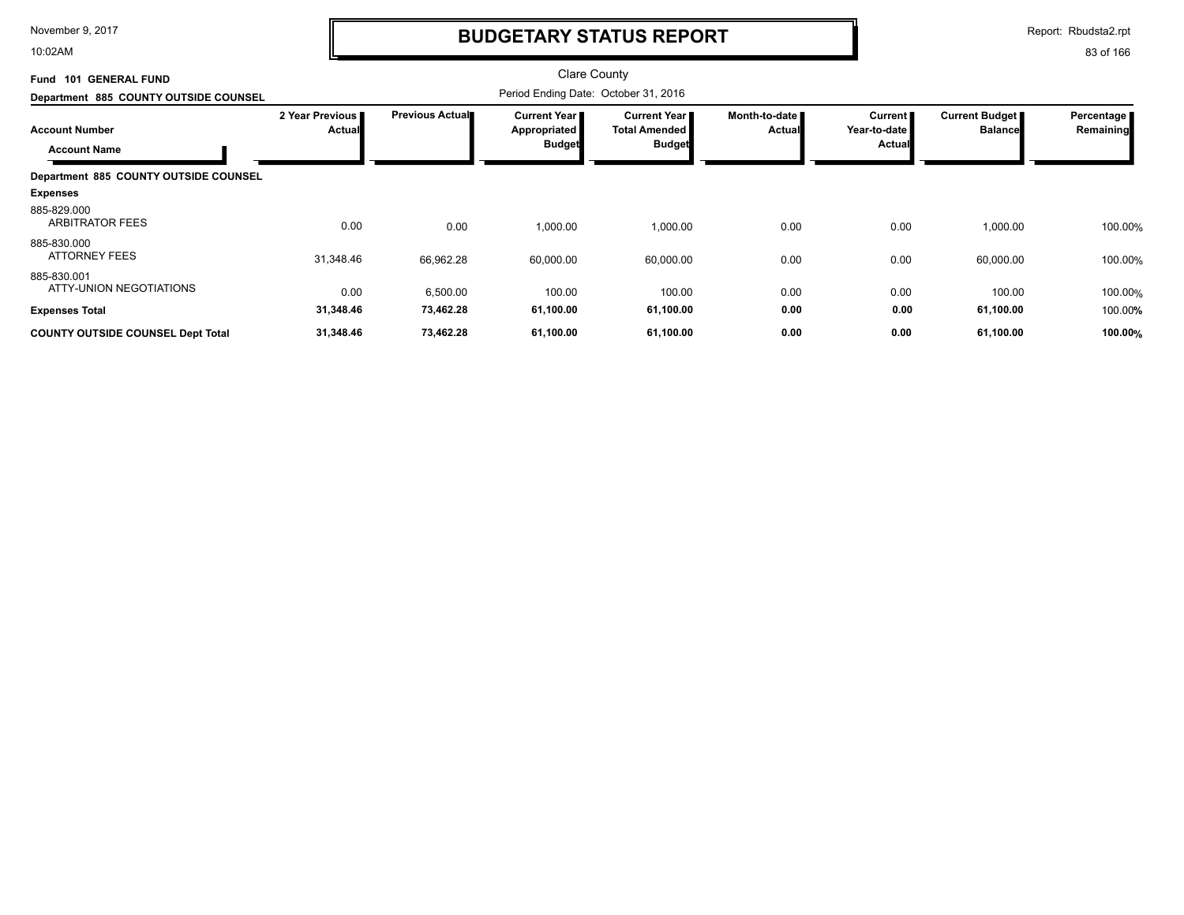10:02AM

## **BUDGETARY STATUS REPORT**

Report: Rbudsta2.rpt

| <b>GENERAL FUND</b><br>Fund 101              |                           |                        | <b>Clare County</b>                                    |                                                       |                                |                                          |                                         |                         |
|----------------------------------------------|---------------------------|------------------------|--------------------------------------------------------|-------------------------------------------------------|--------------------------------|------------------------------------------|-----------------------------------------|-------------------------|
| Department 885 COUNTY OUTSIDE COUNSEL        |                           |                        |                                                        |                                                       |                                |                                          |                                         |                         |
| <b>Account Number</b><br><b>Account Name</b> | 2 Year Previous<br>Actual | <b>Previous Actual</b> | <b>Current Year I</b><br>Appropriated<br><b>Budget</b> | Current Year<br><b>Total Amended</b><br><b>Budget</b> | Month-to-date<br><b>Actual</b> | <b>Current</b><br>Year-to-date<br>Actual | <b>Current Budget</b><br><b>Balance</b> | Percentage<br>Remaining |
| Department 885 COUNTY OUTSIDE COUNSEL        |                           |                        |                                                        |                                                       |                                |                                          |                                         |                         |
| <b>Expenses</b>                              |                           |                        |                                                        |                                                       |                                |                                          |                                         |                         |
| 885-829.000<br><b>ARBITRATOR FEES</b>        | 0.00                      | 0.00                   | 1,000.00                                               | 1,000.00                                              | 0.00                           | 0.00                                     | 1,000.00                                | 100.00%                 |
| 885-830.000<br><b>ATTORNEY FEES</b>          | 31,348.46                 | 66,962.28              | 60,000.00                                              | 60,000.00                                             | 0.00                           | 0.00                                     | 60,000.00                               | 100.00%                 |
| 885-830.001<br>ATTY-UNION NEGOTIATIONS       | 0.00                      | 6,500.00               | 100.00                                                 | 100.00                                                | 0.00                           | 0.00                                     | 100.00                                  | 100.00%                 |
| <b>Expenses Total</b>                        | 31,348.46                 | 73,462.28              | 61,100.00                                              | 61,100.00                                             | 0.00                           | 0.00                                     | 61,100.00                               | 100.00%                 |
| <b>COUNTY OUTSIDE COUNSEL Dept Total</b>     | 31,348.46                 | 73,462.28              | 61,100.00                                              | 61,100.00                                             | 0.00                           | 0.00                                     | 61,100.00                               | 100.00%                 |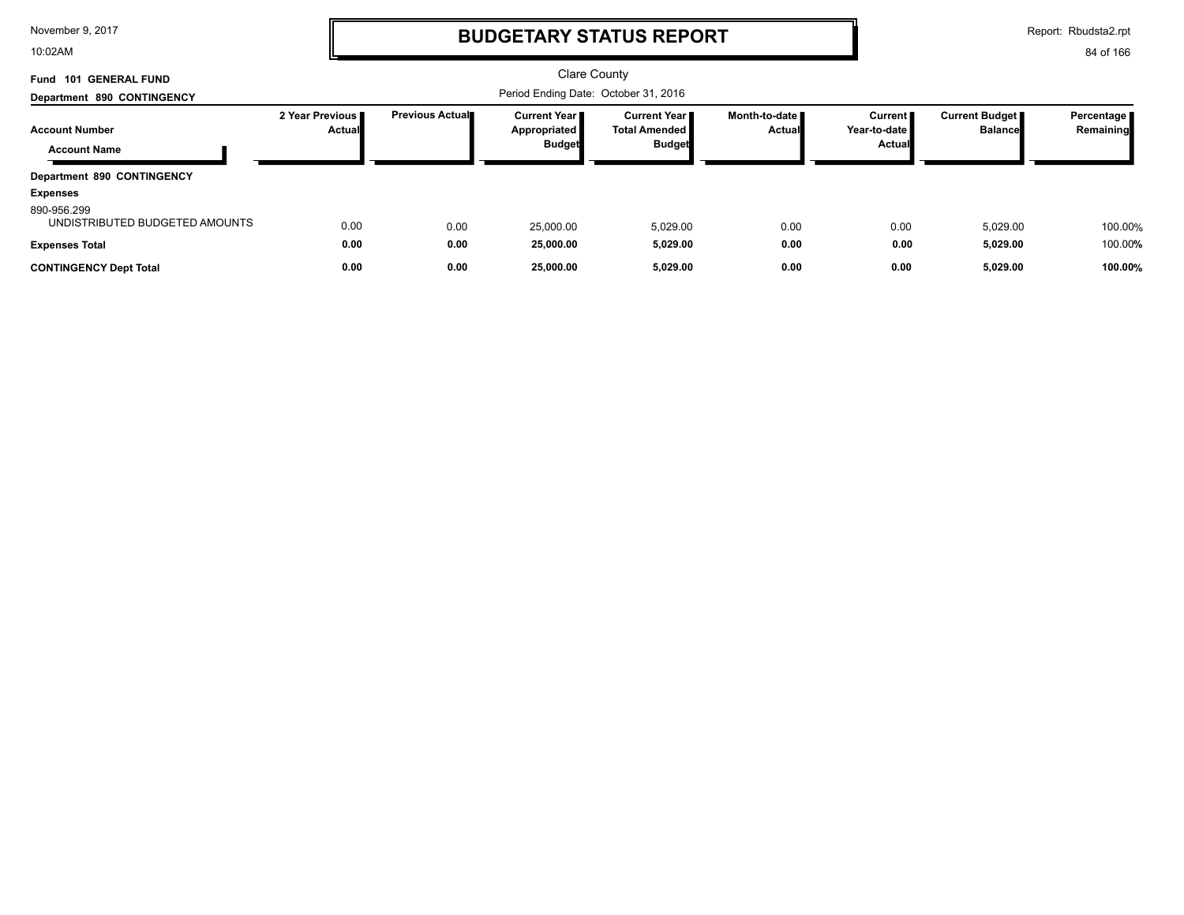10:02AM

## **BUDGETARY STATUS REPORT**

Report: Rbudsta2.rpt

| Fund 101 GENERAL FUND                         |                                    |                        | Clare County                                           |                                                                |                                  |                                          |                                  |                         |
|-----------------------------------------------|------------------------------------|------------------------|--------------------------------------------------------|----------------------------------------------------------------|----------------------------------|------------------------------------------|----------------------------------|-------------------------|
| Department 890 CONTINGENCY                    |                                    |                        |                                                        |                                                                |                                  |                                          |                                  |                         |
| <b>Account Number</b>                         | 2 Year Previous I<br><b>Actual</b> | <b>Previous Actual</b> | <b>Current Year I</b><br>Appropriated<br><b>Budget</b> | <b>Current Year</b><br><b>Total Amended I</b><br><b>Budget</b> | Month-to-date I<br><b>Actual</b> | <b>Current</b><br>Year-to-date<br>Actual | Current Budget<br><b>Balance</b> | Percentage<br>Remaining |
| <b>Account Name</b>                           |                                    |                        |                                                        |                                                                |                                  |                                          |                                  |                         |
| Department 890 CONTINGENCY                    |                                    |                        |                                                        |                                                                |                                  |                                          |                                  |                         |
| <b>Expenses</b>                               |                                    |                        |                                                        |                                                                |                                  |                                          |                                  |                         |
| 890-956.299<br>UNDISTRIBUTED BUDGETED AMOUNTS | 0.00                               | 0.00                   | 25.000.00                                              | 5,029.00                                                       | 0.00                             | 0.00                                     | 5,029.00                         | 100.00%                 |
| <b>Expenses Total</b>                         | 0.00                               | 0.00                   | 25,000.00                                              | 5,029.00                                                       | 0.00                             | 0.00                                     | 5,029.00                         | 100.00%                 |
| <b>CONTINGENCY Dept Total</b>                 | 0.00                               | 0.00                   | 25,000.00                                              | 5,029.00                                                       | 0.00                             | 0.00                                     | 5,029.00                         | 100.00%                 |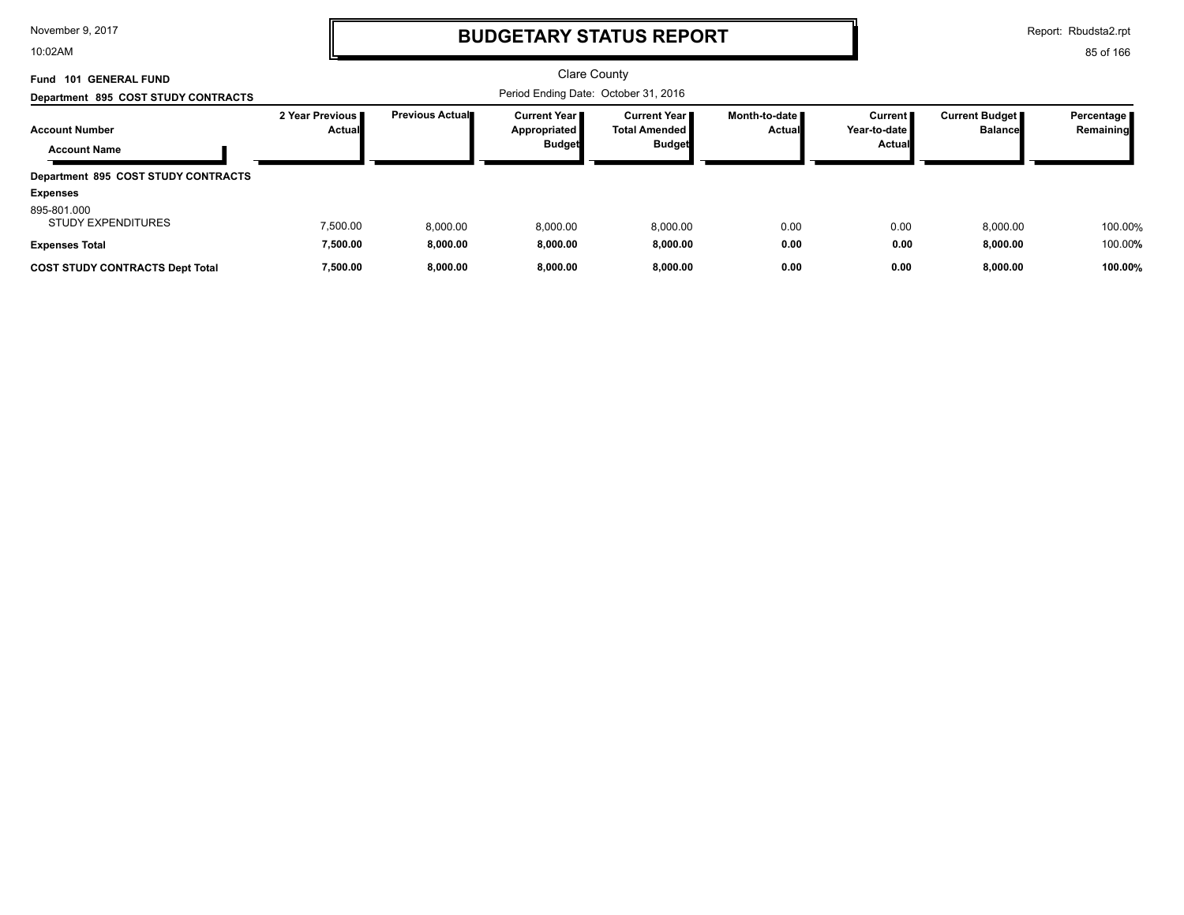10:02AM

# **BUDGETARY STATUS REPORT**

Report: Rbudsta2.rpt

| <b>GENERAL FUND</b><br>101<br>Fund<br>Department 895 COST STUDY CONTRACTS |                                    |                        | <b>Clare County</b><br>Period Ending Date: October 31, 2016 |                                                          |                                  |                                            |                                         |                           |
|---------------------------------------------------------------------------|------------------------------------|------------------------|-------------------------------------------------------------|----------------------------------------------------------|----------------------------------|--------------------------------------------|-----------------------------------------|---------------------------|
| <b>Account Number</b><br><b>Account Name</b>                              | 2 Year Previous I<br><b>Actual</b> | <b>Previous Actual</b> | <b>Current Year I</b><br>Appropriated<br><b>Budget</b>      | <b>Current Year II</b><br>Total Amended<br><b>Budget</b> | Month-to-date ■<br><b>Actual</b> | Current  <br>Year-to-date<br><b>Actual</b> | <b>Current Budget</b><br><b>Balance</b> | Percentage  <br>Remaining |
| Department 895 COST STUDY CONTRACTS<br><b>Expenses</b>                    |                                    |                        |                                                             |                                                          |                                  |                                            |                                         |                           |
| 895-801.000<br><b>STUDY EXPENDITURES</b><br><b>Expenses Total</b>         | 7,500.00<br>7,500.00               | 8.000.00<br>8,000.00   | 8.000.00<br>8,000.00                                        | 8,000.00<br>8,000.00                                     | 0.00<br>0.00                     | 0.00<br>0.00                               | 8,000.00<br>8,000.00                    | 100.00%<br>100.00%        |
| <b>COST STUDY CONTRACTS Dept Total</b>                                    | 7,500.00                           | 8,000.00               | 8,000.00                                                    | 8,000.00                                                 | 0.00                             | 0.00                                       | 8,000.00                                | 100.00%                   |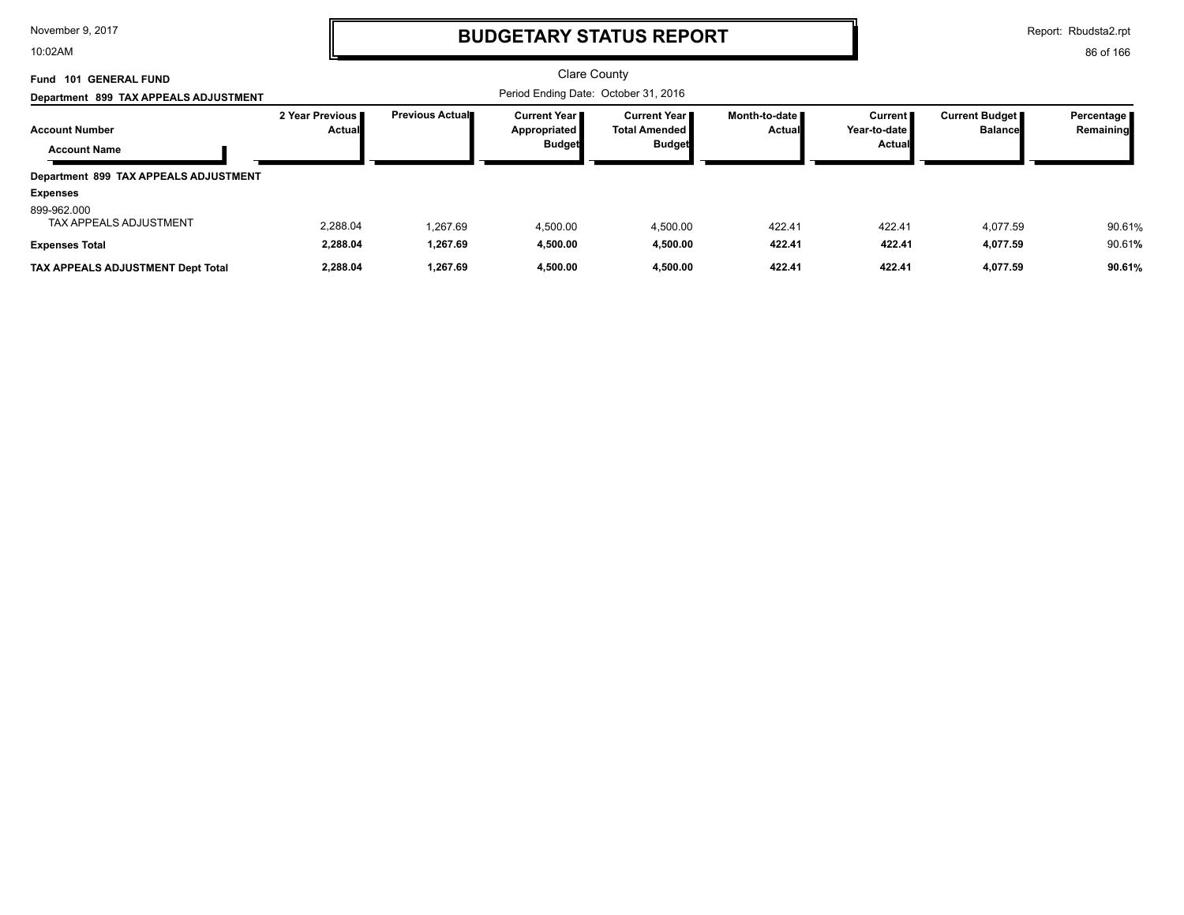10:02AM

# **BUDGETARY STATUS REPORT**

Report: Rbudsta2.rpt

| 101 GENERAL FUND<br>Fund<br>Department 899 TAX APPEALS ADJUSTMENT |                                  | Clare County<br>Period Ending Date: October 31, 2016 |                                                        |                                                         |                                  |                                                 |                                         |                            |
|-------------------------------------------------------------------|----------------------------------|------------------------------------------------------|--------------------------------------------------------|---------------------------------------------------------|----------------------------------|-------------------------------------------------|-----------------------------------------|----------------------------|
| <b>Account Number</b><br><b>Account Name</b>                      | 2 Year Previous<br><b>Actual</b> | <b>Previous Actual</b>                               | <b>Current Year I</b><br>Appropriated<br><b>Budget</b> | <b>Current Year</b> ■<br>Total Amended<br><b>Budget</b> | Month-to-date ■<br><b>Actual</b> | <b>Current</b><br>Year-to-date<br><b>Actual</b> | <b>Current Budget</b><br><b>Balance</b> | Percentage   <br>Remaining |
| Department 899 TAX APPEALS ADJUSTMENT<br>Expenses                 |                                  |                                                      |                                                        |                                                         |                                  |                                                 |                                         |                            |
| 899-962.000<br>TAX APPEALS ADJUSTMENT                             | 2,288.04                         | 1.267.69                                             | 4.500.00                                               | 4.500.00                                                | 422.41                           | 422.41                                          | 4.077.59                                | 90.61%                     |
| <b>Expenses Total</b><br>TAX APPEALS ADJUSTMENT Dept Total        | 2,288.04<br>2,288.04             | 1.267.69<br>1,267.69                                 | 4.500.00<br>4.500.00                                   | 4,500.00<br>4,500.00                                    | 422.41<br>422.41                 | 422.41<br>422.41                                | 4,077.59<br>4,077.59                    | 90.61%<br>90.61%           |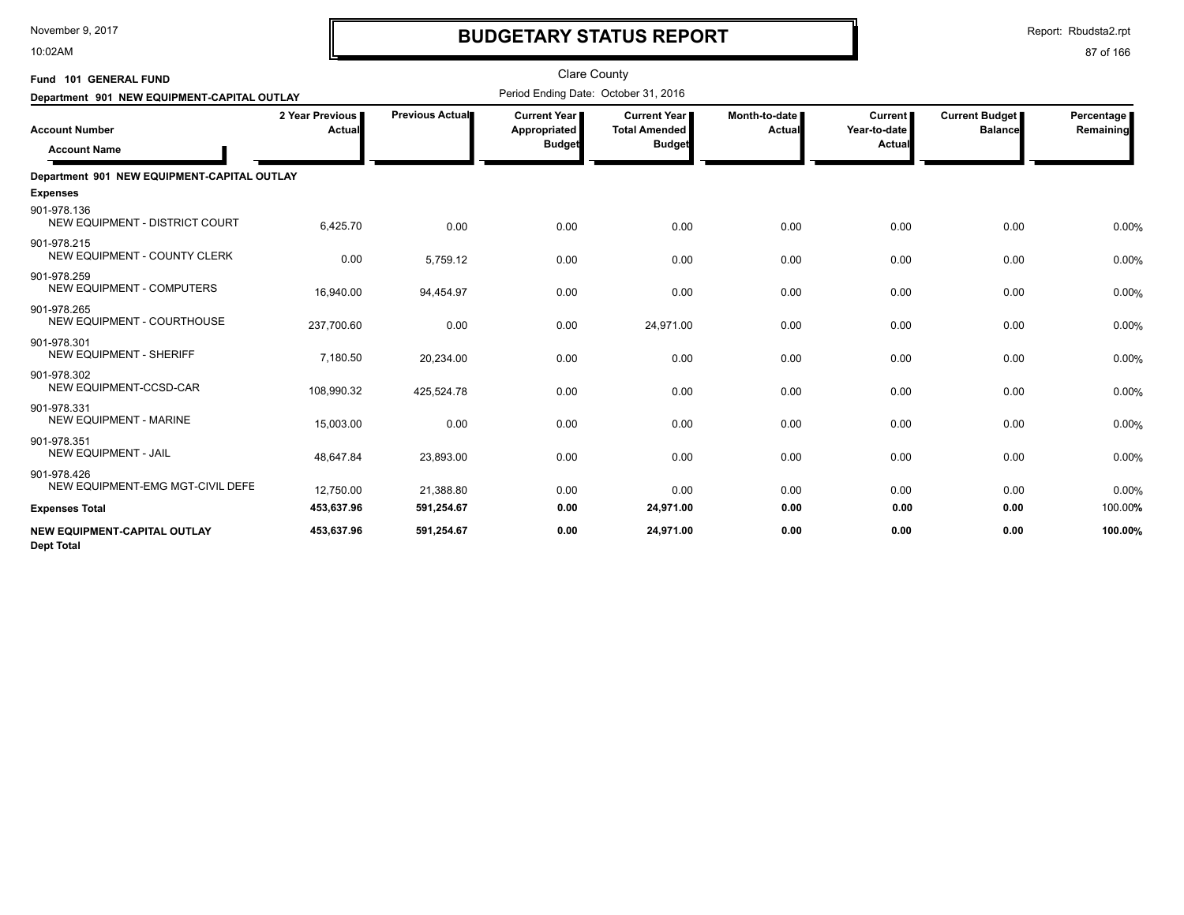10:02AM

# **BUDGETARY STATUS REPORT**

Report: Rbudsta2.rpt

| Fund 101 GENERAL FUND                             |                           |                        | <b>Clare County</b>                                  |                                                       |                         |                                     |                                         |                         |
|---------------------------------------------------|---------------------------|------------------------|------------------------------------------------------|-------------------------------------------------------|-------------------------|-------------------------------------|-----------------------------------------|-------------------------|
| Department 901 NEW EQUIPMENT-CAPITAL OUTLAY       |                           |                        | Period Ending Date: October 31, 2016                 |                                                       |                         |                                     |                                         |                         |
| <b>Account Number</b><br><b>Account Name</b>      | 2 Year Previous<br>Actual | <b>Previous Actual</b> | <b>Current Year</b><br>Appropriated<br><b>Budget</b> | Current Year<br><b>Total Amended</b><br><b>Budget</b> | Month-to-date<br>Actual | Current  <br>Year-to-date<br>Actual | <b>Current Budget</b><br><b>Balance</b> | Percentage<br>Remaining |
| Department 901 NEW EQUIPMENT-CAPITAL OUTLAY       |                           |                        |                                                      |                                                       |                         |                                     |                                         |                         |
| <b>Expenses</b>                                   |                           |                        |                                                      |                                                       |                         |                                     |                                         |                         |
| 901-978.136<br>NEW EQUIPMENT - DISTRICT COURT     | 6,425.70                  | 0.00                   | 0.00                                                 | 0.00                                                  | 0.00                    | 0.00                                | 0.00                                    | 0.00%                   |
| 901-978.215<br>NEW EQUIPMENT - COUNTY CLERK       | 0.00                      | 5,759.12               | 0.00                                                 | 0.00                                                  | 0.00                    | 0.00                                | 0.00                                    | 0.00%                   |
| 901-978.259<br><b>NEW EQUIPMENT - COMPUTERS</b>   | 16,940.00                 | 94,454.97              | 0.00                                                 | 0.00                                                  | 0.00                    | 0.00                                | 0.00                                    | 0.00%                   |
| 901-978.265<br>NEW EQUIPMENT - COURTHOUSE         | 237,700.60                | 0.00                   | 0.00                                                 | 24,971.00                                             | 0.00                    | 0.00                                | 0.00                                    | 0.00%                   |
| 901-978.301<br><b>NEW EQUIPMENT - SHERIFF</b>     | 7,180.50                  | 20,234.00              | 0.00                                                 | 0.00                                                  | 0.00                    | 0.00                                | 0.00                                    | 0.00%                   |
| 901-978.302<br>NEW EQUIPMENT-CCSD-CAR             | 108,990.32                | 425,524.78             | 0.00                                                 | 0.00                                                  | 0.00                    | 0.00                                | 0.00                                    | 0.00%                   |
| 901-978.331<br><b>NEW EQUIPMENT - MARINE</b>      | 15,003.00                 | 0.00                   | 0.00                                                 | 0.00                                                  | 0.00                    | 0.00                                | 0.00                                    | 0.00%                   |
| 901-978.351<br><b>NEW EQUIPMENT - JAIL</b>        | 48,647.84                 | 23,893.00              | 0.00                                                 | 0.00                                                  | 0.00                    | 0.00                                | 0.00                                    | 0.00%                   |
| 901-978.426<br>NEW EQUIPMENT-EMG MGT-CIVIL DEFE   | 12,750.00                 | 21,388.80              | 0.00                                                 | 0.00                                                  | 0.00                    | 0.00                                | 0.00                                    | 0.00%                   |
| <b>Expenses Total</b>                             | 453,637.96                | 591,254.67             | 0.00                                                 | 24,971.00                                             | 0.00                    | 0.00                                | 0.00                                    | 100.00%                 |
| NEW EQUIPMENT-CAPITAL OUTLAY<br><b>Dept Total</b> | 453,637.96                | 591,254.67             | 0.00                                                 | 24,971.00                                             | 0.00                    | 0.00                                | 0.00                                    | 100.00%                 |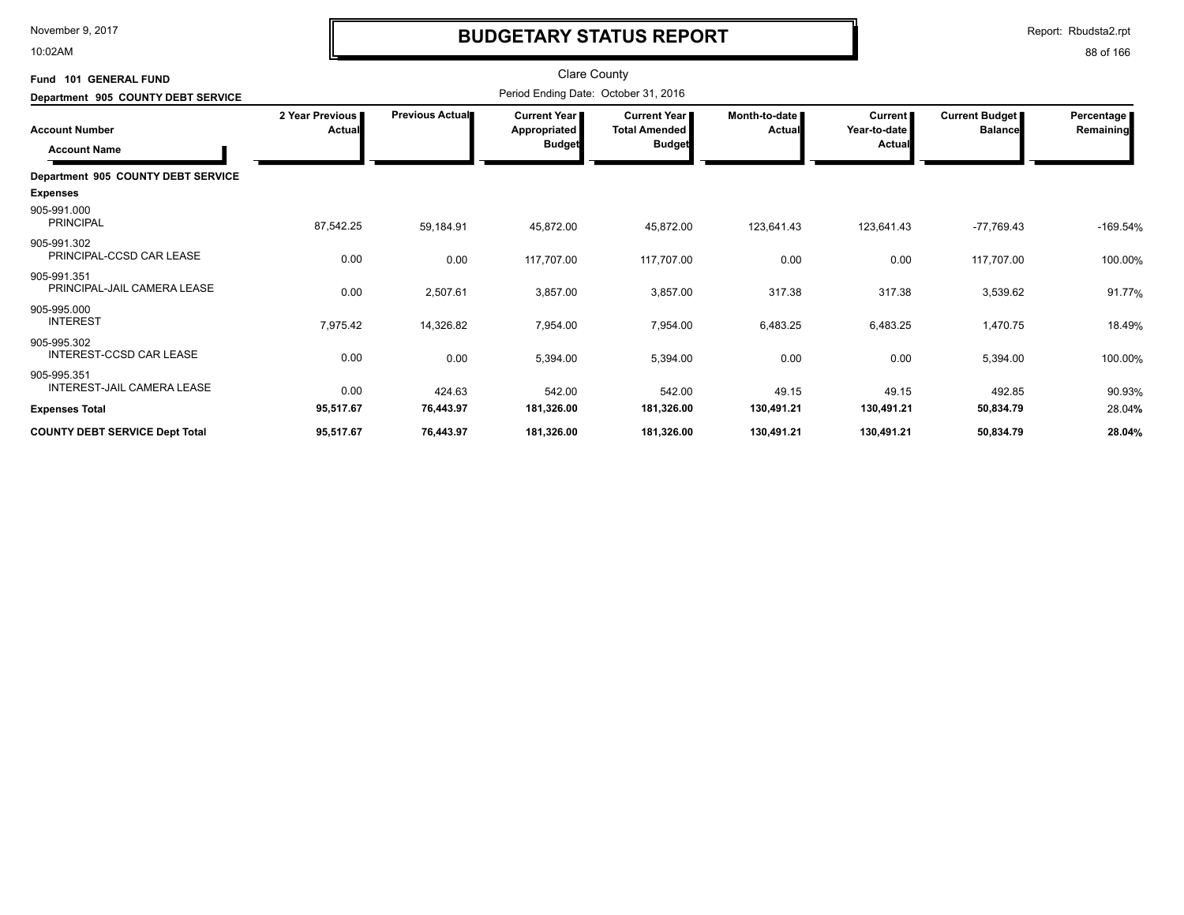10:02AM

# **BUDGETARY STATUS REPORT**

Report: Rbudsta2.rpt

| Fund 101 GENERAL FUND                            |                           |                        | Clare County                                    |                                                              |                           |                                          |                                         |                         |
|--------------------------------------------------|---------------------------|------------------------|-------------------------------------------------|--------------------------------------------------------------|---------------------------|------------------------------------------|-----------------------------------------|-------------------------|
| Department 905 COUNTY DEBT SERVICE               |                           |                        | Period Ending Date: October 31, 2016            |                                                              |                           |                                          |                                         |                         |
| <b>Account Number</b><br><b>Account Name</b>     | 2 Year Previous<br>Actual | <b>Previous Actual</b> | <b>Current Year I</b><br>Appropriated<br>Budget | <b>Current Year</b><br><b>Total Amended</b><br><b>Budget</b> | Month-to-date I<br>Actual | <b>Current</b><br>Year-to-date<br>Actual | <b>Current Budget</b><br><b>Balance</b> | Percentage<br>Remaining |
| Department 905 COUNTY DEBT SERVICE               |                           |                        |                                                 |                                                              |                           |                                          |                                         |                         |
| <b>Expenses</b>                                  |                           |                        |                                                 |                                                              |                           |                                          |                                         |                         |
| 905-991.000<br><b>PRINCIPAL</b>                  | 87,542.25                 | 59,184.91              | 45,872.00                                       | 45,872.00                                                    | 123,641.43                | 123,641.43                               | $-77,769.43$                            | $-169.54%$              |
| 905-991.302<br>PRINCIPAL-CCSD CAR LEASE          | 0.00                      | 0.00                   | 117,707.00                                      | 117,707.00                                                   | 0.00                      | 0.00                                     | 117,707.00                              | 100.00%                 |
| 905-991.351<br>PRINCIPAL-JAIL CAMERA LEASE       | 0.00                      | 2,507.61               | 3,857.00                                        | 3,857.00                                                     | 317.38                    | 317.38                                   | 3,539.62                                | 91.77%                  |
| 905-995.000<br><b>INTEREST</b>                   | 7,975.42                  | 14,326.82              | 7,954.00                                        | 7,954.00                                                     | 6,483.25                  | 6,483.25                                 | 1,470.75                                | 18.49%                  |
| 905-995.302<br>INTEREST-CCSD CAR LEASE           | 0.00                      | 0.00                   | 5,394.00                                        | 5,394.00                                                     | 0.00                      | 0.00                                     | 5,394.00                                | 100.00%                 |
| 905-995.351<br><b>INTEREST-JAIL CAMERA LEASE</b> | 0.00                      | 424.63                 | 542.00                                          | 542.00                                                       | 49.15                     | 49.15                                    | 492.85                                  | 90.93%                  |
| <b>Expenses Total</b>                            | 95,517.67                 | 76,443.97              | 181,326.00                                      | 181,326.00                                                   | 130,491.21                | 130,491.21                               | 50,834.79                               | 28.04%                  |
| <b>COUNTY DEBT SERVICE Dept Total</b>            | 95,517.67                 | 76,443.97              | 181,326.00                                      | 181,326.00                                                   | 130,491.21                | 130,491.21                               | 50,834.79                               | 28.04%                  |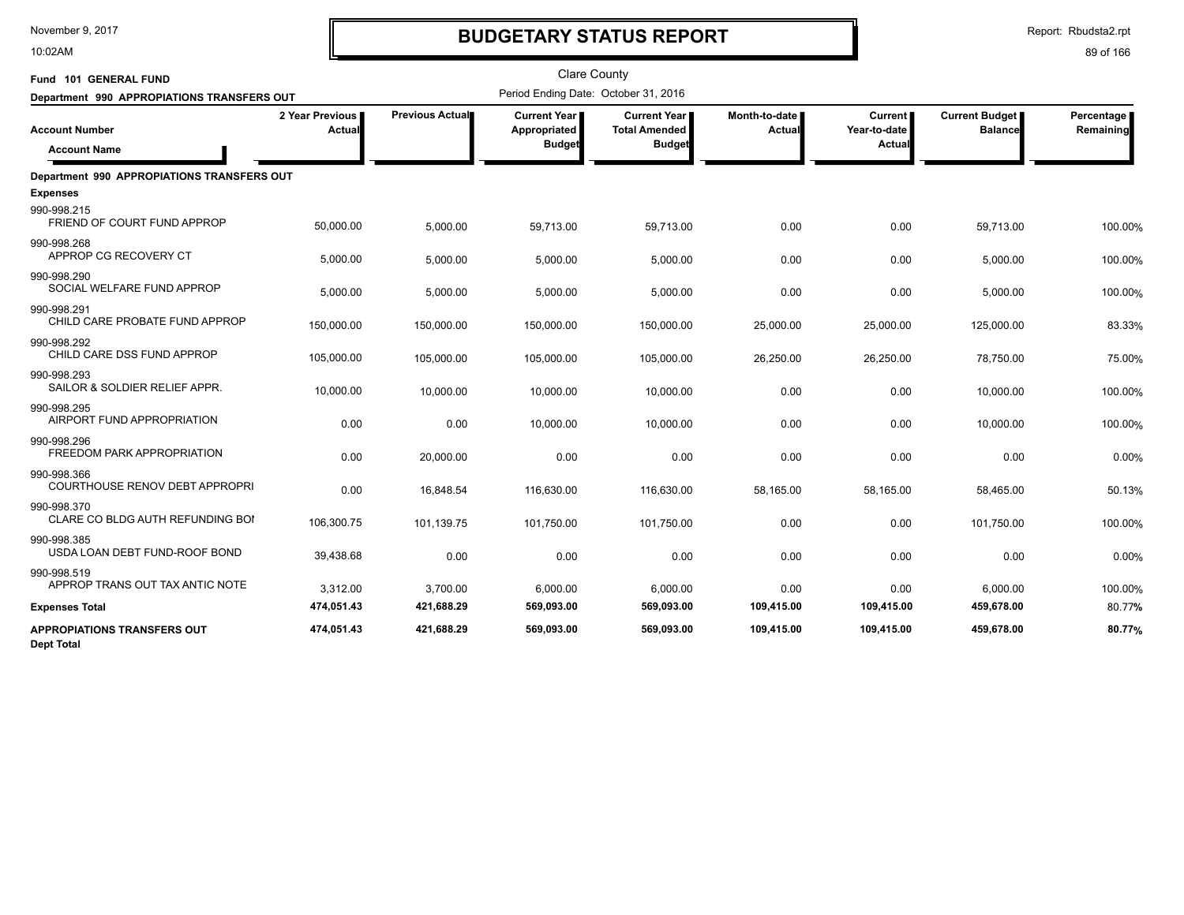10:02AM

# **BUDGETARY STATUS REPORT**

| Fund 101 GENERAL FUND                                   |                           |                 | <b>Clare County</b>                                    |                                                                |                         |                                                 |                                  |                         |
|---------------------------------------------------------|---------------------------|-----------------|--------------------------------------------------------|----------------------------------------------------------------|-------------------------|-------------------------------------------------|----------------------------------|-------------------------|
| Department 990 APPROPIATIONS TRANSFERS OUT              |                           |                 | Period Ending Date: October 31, 2016                   |                                                                |                         |                                                 |                                  |                         |
| <b>Account Number</b><br><b>Account Name</b>            | 2 Year Previous<br>Actual | Previous Actual | <b>Current Year I</b><br>Appropriated<br><b>Budget</b> | <b>Current Year I</b><br><b>Total Amended</b><br><b>Budget</b> | Month-to-date<br>Actual | <b>Current</b><br>Year-to-date<br><b>Actual</b> | Current Budget<br><b>Balance</b> | Percentage<br>Remaining |
| <b>Department 990 APPROPIATIONS TRANSFERS OUT</b>       |                           |                 |                                                        |                                                                |                         |                                                 |                                  |                         |
| <b>Expenses</b>                                         |                           |                 |                                                        |                                                                |                         |                                                 |                                  |                         |
| 990-998.215<br>FRIEND OF COURT FUND APPROP              | 50,000.00                 | 5,000.00        | 59,713.00                                              | 59,713.00                                                      | 0.00                    | 0.00                                            | 59,713.00                        | 100.00%                 |
| 990-998.268<br>APPROP CG RECOVERY CT                    | 5,000.00                  | 5,000.00        | 5,000.00                                               | 5,000.00                                                       | 0.00                    | 0.00                                            | 5,000.00                         | 100.00%                 |
| 990-998.290<br>SOCIAL WELFARE FUND APPROP               | 5,000.00                  | 5,000.00        | 5,000.00                                               | 5,000.00                                                       | 0.00                    | 0.00                                            | 5,000.00                         | 100.00%                 |
| 990-998.291<br>CHILD CARE PROBATE FUND APPROP           | 150,000.00                | 150,000.00      | 150,000.00                                             | 150,000.00                                                     | 25,000.00               | 25,000.00                                       | 125,000.00                       | 83.33%                  |
| 990-998.292<br>CHILD CARE DSS FUND APPROP               | 105,000.00                | 105,000.00      | 105,000.00                                             | 105,000.00                                                     | 26,250.00               | 26,250.00                                       | 78,750.00                        | 75.00%                  |
| 990-998.293<br>SAILOR & SOLDIER RELIEF APPR.            | 10,000.00                 | 10,000.00       | 10,000.00                                              | 10,000.00                                                      | 0.00                    | 0.00                                            | 10,000.00                        | 100.00%                 |
| 990-998.295<br>AIRPORT FUND APPROPRIATION               | 0.00                      | 0.00            | 10,000.00                                              | 10,000.00                                                      | 0.00                    | 0.00                                            | 10,000.00                        | 100.00%                 |
| 990-998.296<br>FREEDOM PARK APPROPRIATION               | 0.00                      | 20,000.00       | 0.00                                                   | 0.00                                                           | 0.00                    | 0.00                                            | 0.00                             | 0.00%                   |
| 990-998.366<br>COURTHOUSE RENOV DEBT APPROPRI           | 0.00                      | 16,848.54       | 116,630.00                                             | 116,630.00                                                     | 58,165.00               | 58,165.00                                       | 58,465.00                        | 50.13%                  |
| 990-998.370<br>CLARE CO BLDG AUTH REFUNDING BOI         | 106,300.75                | 101,139.75      | 101,750.00                                             | 101,750.00                                                     | 0.00                    | 0.00                                            | 101,750.00                       | 100.00%                 |
| 990-998.385<br>USDA LOAN DEBT FUND-ROOF BOND            | 39,438.68                 | 0.00            | 0.00                                                   | 0.00                                                           | 0.00                    | 0.00                                            | 0.00                             | 0.00%                   |
| 990-998.519<br>APPROP TRANS OUT TAX ANTIC NOTE          | 3,312.00                  | 3,700.00        | 6,000.00                                               | 6,000.00                                                       | 0.00                    | 0.00                                            | 6,000.00                         | 100.00%                 |
| <b>Expenses Total</b>                                   | 474,051.43                | 421,688.29      | 569,093.00                                             | 569,093.00                                                     | 109,415.00              | 109,415.00                                      | 459,678.00                       | 80.77%                  |
| <b>APPROPIATIONS TRANSFERS OUT</b><br><b>Dept Total</b> | 474,051.43                | 421,688.29      | 569,093.00                                             | 569,093.00                                                     | 109,415.00              | 109,415.00                                      | 459,678.00                       | 80.77%                  |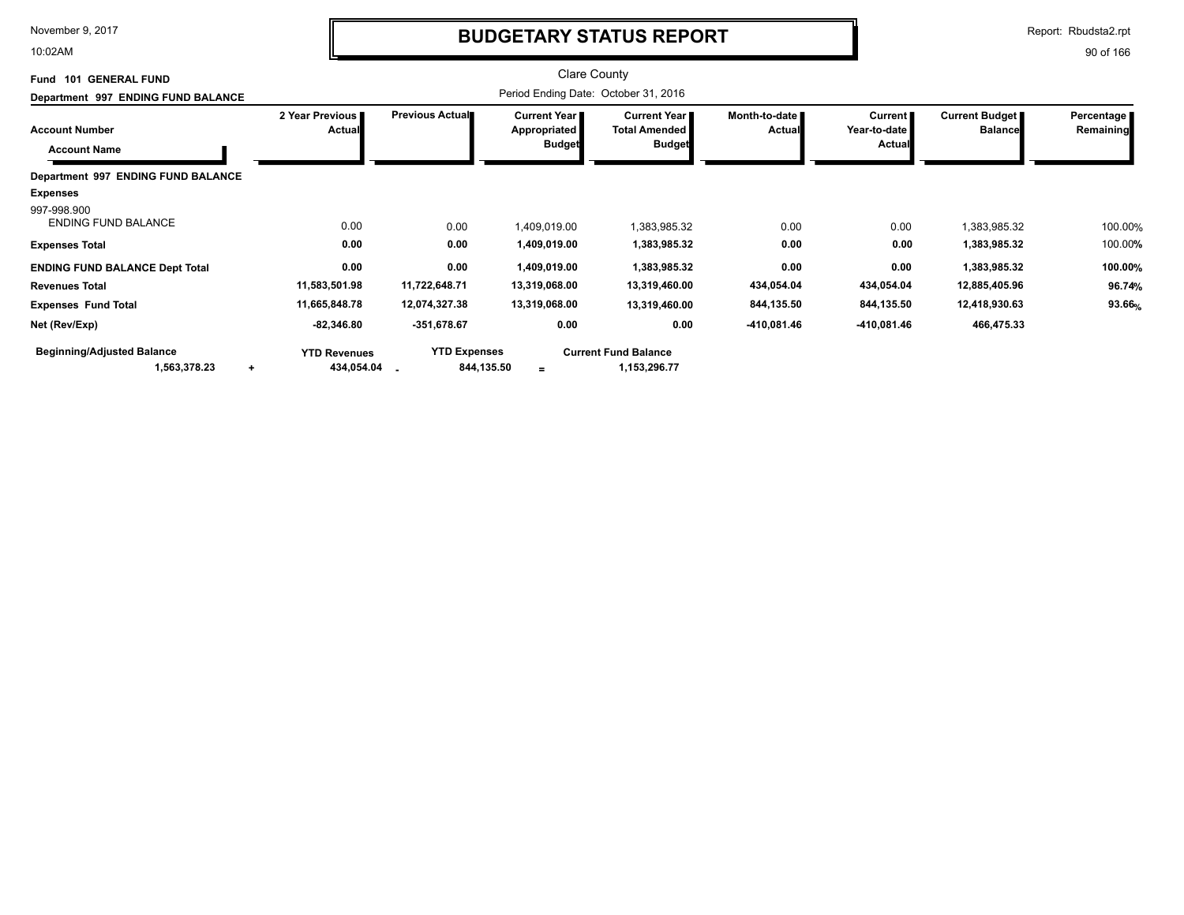10:02AM

# **BUDGETARY STATUS REPORT**

Report: Rbudsta2.rpt

| Fund 101 GENERAL FUND                                              |                                   |                                   | <b>Clare County</b>                                    |                                                       |                                |                                     |                                         |                         |
|--------------------------------------------------------------------|-----------------------------------|-----------------------------------|--------------------------------------------------------|-------------------------------------------------------|--------------------------------|-------------------------------------|-----------------------------------------|-------------------------|
| Department 997 ENDING FUND BALANCE                                 |                                   |                                   | Period Ending Date: October 31, 2016                   |                                                       |                                |                                     |                                         |                         |
| <b>Account Number</b><br><b>Account Name</b>                       | 2 Year Previous<br><b>Actual</b>  | <b>Previous Actual</b>            | <b>Current Year I</b><br>Appropriated<br><b>Budget</b> | Current Year<br><b>Total Amended</b><br><b>Budget</b> | Month-to-date<br><b>Actual</b> | Current  <br>Year-to-date<br>Actual | <b>Current Budget</b><br><b>Balance</b> | Percentage<br>Remaining |
| Department 997 ENDING FUND BALANCE                                 |                                   |                                   |                                                        |                                                       |                                |                                     |                                         |                         |
| <b>Expenses</b>                                                    |                                   |                                   |                                                        |                                                       |                                |                                     |                                         |                         |
| 997-998.900<br><b>ENDING FUND BALANCE</b><br><b>Expenses Total</b> | 0.00<br>0.00                      | 0.00<br>0.00                      | 1,409,019.00<br>1,409,019.00                           | 1,383,985.32<br>1,383,985.32                          | 0.00<br>0.00                   | 0.00<br>0.00                        | 1,383,985.32<br>1,383,985.32            | 100.00%<br>100.00%      |
| <b>ENDING FUND BALANCE Dept Total</b>                              | 0.00                              | 0.00                              | 1,409,019.00                                           | 1,383,985.32                                          | 0.00                           | 0.00                                | 1,383,985.32                            | 100.00%                 |
| <b>Revenues Total</b>                                              | 11,583,501.98                     | 11,722,648.71                     | 13,319,068.00                                          | 13,319,460.00                                         | 434,054.04                     | 434,054.04                          | 12,885,405.96                           | 96.74%                  |
| <b>Expenses Fund Total</b>                                         | 11,665,848.78                     | 12,074,327.38                     | 13,319,068.00                                          | 13,319,460.00                                         | 844,135.50                     | 844,135.50                          | 12,418,930.63                           | 93.66%                  |
| Net (Rev/Exp)                                                      | $-82,346.80$                      | $-351,678.67$                     | 0.00                                                   | 0.00                                                  | -410,081.46                    | -410,081.46                         | 466,475.33                              |                         |
| <b>Beginning/Adjusted Balance</b><br>1,563,378.23<br>$\ddot{}$     | <b>YTD Revenues</b><br>434,054.04 | <b>YTD Expenses</b><br>844,135.50 | $=$                                                    | <b>Current Fund Balance</b><br>1,153,296.77           |                                |                                     |                                         |                         |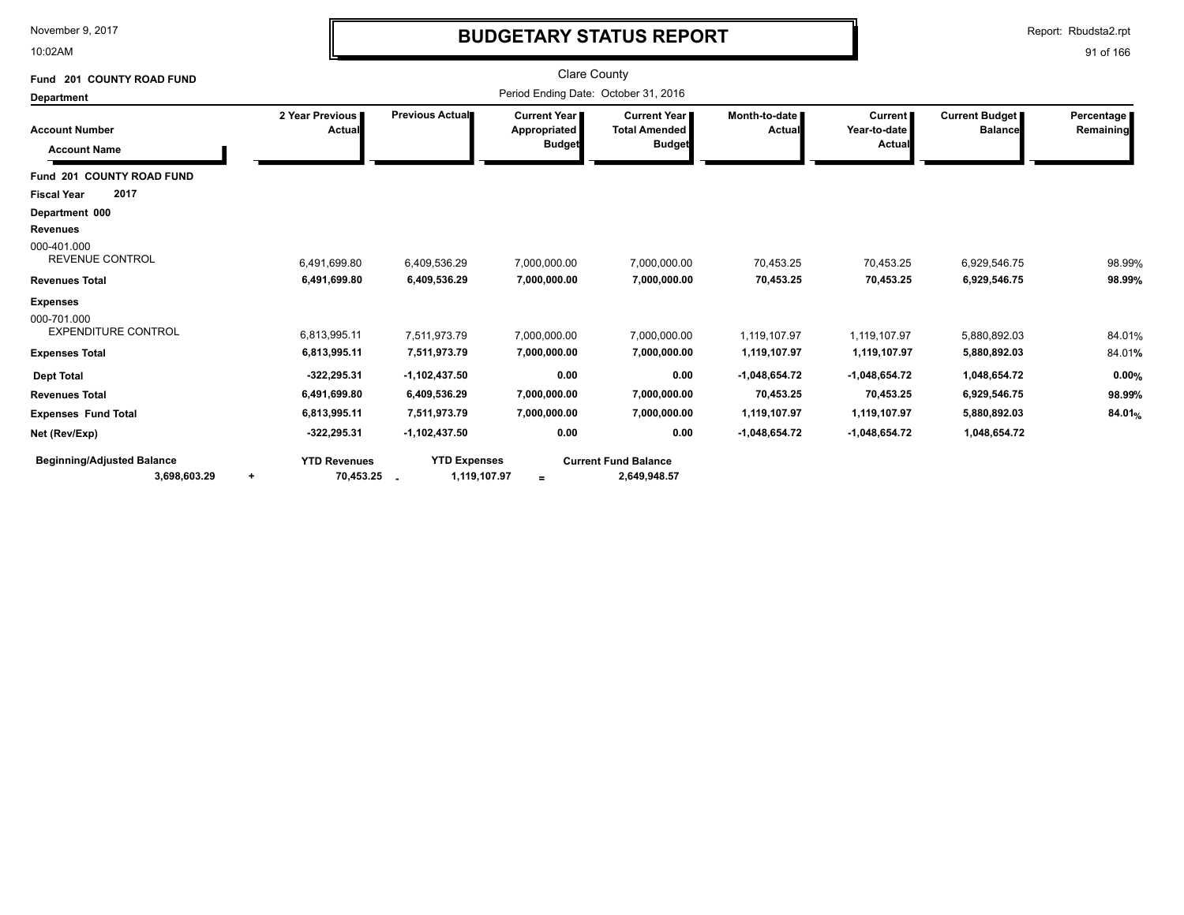10:02AM

# **BUDGETARY STATUS REPORT**

Report: Rbudsta2.rpt

| Fund 201 COUNTY ROAD FUND                                    |                                               |                                               | <b>Clare County</b>                           |                                                              |                              |                                          |                                  |                         |
|--------------------------------------------------------------|-----------------------------------------------|-----------------------------------------------|-----------------------------------------------|--------------------------------------------------------------|------------------------------|------------------------------------------|----------------------------------|-------------------------|
| <b>Department</b>                                            |                                               |                                               | Period Ending Date: October 31, 2016          |                                                              |                              |                                          |                                  |                         |
| <b>Account Number</b><br><b>Account Name</b>                 | 2 Year Previous<br>Actual                     | Previous Actual                               | Current Year<br>Appropriated<br><b>Budget</b> | <b>Current Year</b><br><b>Total Amended</b><br><b>Budget</b> | Month-to-date I<br>Actual    | <b>Current</b><br>Year-to-date<br>Actual | Current Budget<br><b>Balance</b> | Percentage<br>Remaining |
| Fund 201 COUNTY ROAD FUND                                    |                                               |                                               |                                               |                                                              |                              |                                          |                                  |                         |
| 2017<br><b>Fiscal Year</b>                                   |                                               |                                               |                                               |                                                              |                              |                                          |                                  |                         |
| Department 000<br><b>Revenues</b>                            |                                               |                                               |                                               |                                                              |                              |                                          |                                  |                         |
| 000-401.000<br><b>REVENUE CONTROL</b>                        | 6,491,699.80                                  | 6,409,536.29                                  | 7,000,000.00                                  | 7,000,000.00                                                 | 70,453.25                    | 70,453.25                                | 6,929,546.75                     | 98.99%                  |
| <b>Revenues Total</b>                                        | 6,491,699.80                                  | 6,409,536.29                                  | 7,000,000.00                                  | 7,000,000.00                                                 | 70,453.25                    | 70,453.25                                | 6,929,546.75                     | 98.99%                  |
| <b>Expenses</b><br>000-701.000<br><b>EXPENDITURE CONTROL</b> | 6,813,995.11                                  | 7,511,973.79                                  | 7,000,000.00                                  | 7,000,000.00                                                 | 1,119,107.97                 | 1,119,107.97                             | 5,880,892.03                     | 84.01%                  |
| <b>Expenses Total</b>                                        | 6,813,995.11                                  | 7,511,973.79                                  | 7,000,000.00                                  | 7,000,000.00                                                 | 1,119,107.97                 | 1,119,107.97                             | 5,880,892.03                     | 84.01%                  |
| <b>Dept Total</b><br><b>Revenues Total</b>                   | $-322,295.31$<br>6,491,699.80                 | $-1,102,437.50$<br>6,409,536.29               | 0.00<br>7,000,000.00                          | 0.00<br>7,000,000.00                                         | $-1,048,654.72$<br>70,453.25 | $-1,048,654.72$<br>70,453.25             | 1,048,654.72<br>6,929,546.75     | 0.00%<br>98.99%         |
| <b>Expenses Fund Total</b>                                   | 6,813,995.11                                  | 7,511,973.79                                  | 7,000,000.00                                  | 7,000,000.00                                                 | 1,119,107.97                 | 1,119,107.97                             | 5,880,892.03                     | 84.01%                  |
| Net (Rev/Exp)                                                | $-322,295.31$                                 | -1,102,437.50                                 | 0.00                                          | 0.00                                                         | $-1,048,654.72$              | $-1,048,654.72$                          | 1,048,654.72                     |                         |
| <b>Beginning/Adjusted Balance</b><br>3,698,603.29            | <b>YTD Revenues</b><br>70,453.25<br>$\ddot{}$ | <b>YTD Expenses</b><br>1,119,107.97<br>$\sim$ | $=$                                           | <b>Current Fund Balance</b><br>2,649,948.57                  |                              |                                          |                                  |                         |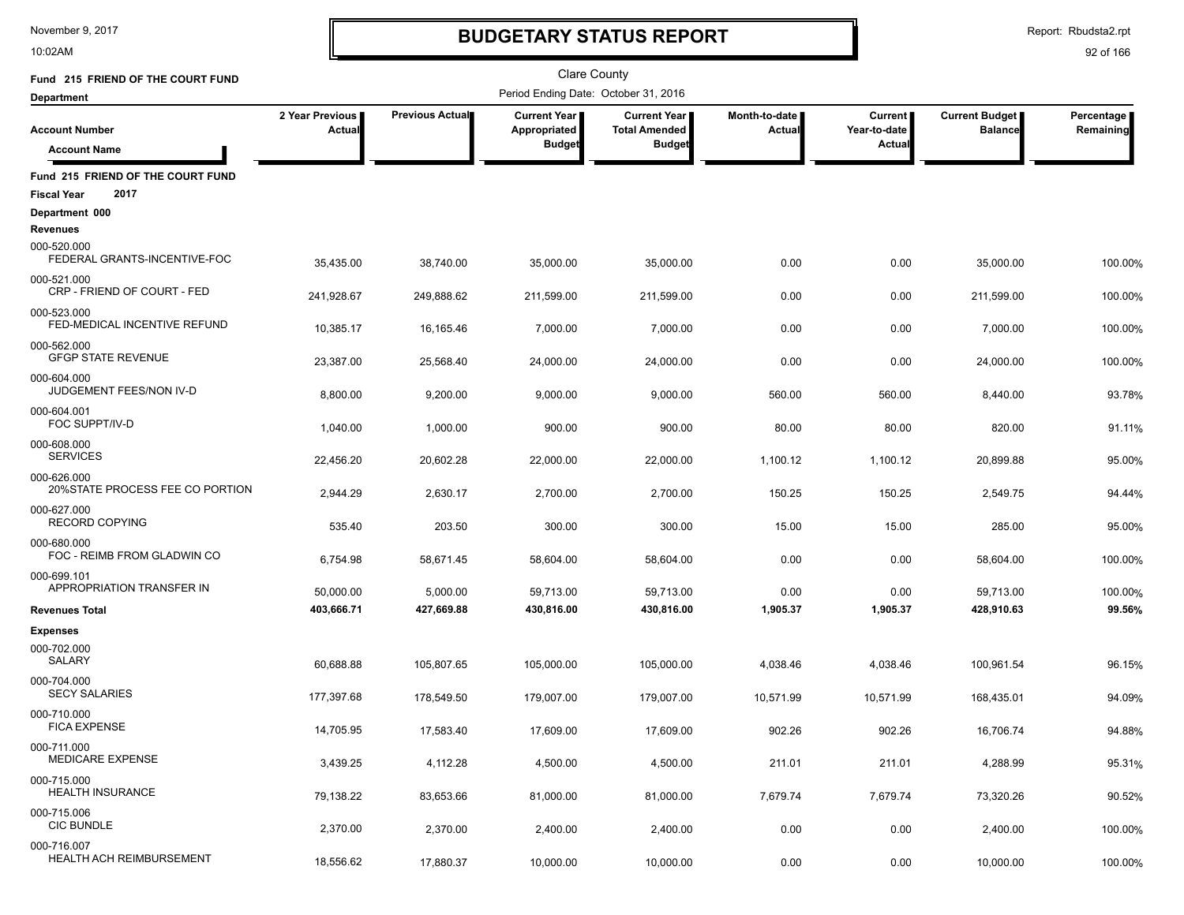10:02AM

# **BUDGETARY STATUS REPORT**

Report: Rbudsta2.rpt

| Fund 215 FRIEND OF THE COURT FUND                               |                           |                 | <b>Clare County</b>                  |                                             |                                |                                |                                         |                         |
|-----------------------------------------------------------------|---------------------------|-----------------|--------------------------------------|---------------------------------------------|--------------------------------|--------------------------------|-----------------------------------------|-------------------------|
| <b>Department</b>                                               |                           |                 | Period Ending Date: October 31, 2016 |                                             |                                |                                |                                         |                         |
| <b>Account Number</b>                                           | 2 Year Previous<br>Actual | Previous Actual | Current Year<br>Appropriated         | <b>Current Year</b><br><b>Total Amended</b> | Month-to-date<br><b>Actual</b> | <b>Current</b><br>Year-to-date | <b>Current Budget</b><br><b>Balance</b> | Percentage<br>Remaining |
| <b>Account Name</b>                                             |                           |                 | <b>Budget</b>                        | <b>Budget</b>                               |                                | <b>Actual</b>                  |                                         |                         |
| Fund 215 FRIEND OF THE COURT FUND<br>2017<br><b>Fiscal Year</b> |                           |                 |                                      |                                             |                                |                                |                                         |                         |
| Department 000                                                  |                           |                 |                                      |                                             |                                |                                |                                         |                         |
| Revenues<br>000-520.000<br>FEDERAL GRANTS-INCENTIVE-FOC         | 35,435.00                 | 38,740.00       | 35,000.00                            | 35,000.00                                   | 0.00                           | 0.00                           | 35,000.00                               | 100.00%                 |
| 000-521.000<br>CRP - FRIEND OF COURT - FED                      | 241,928.67                | 249,888.62      | 211,599.00                           | 211,599.00                                  | 0.00                           | 0.00                           | 211,599.00                              | 100.00%                 |
| 000-523.000<br>FED-MEDICAL INCENTIVE REFUND                     | 10,385.17                 | 16,165.46       | 7,000.00                             | 7,000.00                                    | 0.00                           | 0.00                           | 7,000.00                                | 100.00%                 |
| 000-562.000<br><b>GFGP STATE REVENUE</b>                        | 23,387.00                 | 25,568.40       | 24,000.00                            | 24,000.00                                   | 0.00                           | 0.00                           | 24,000.00                               | 100.00%                 |
| 000-604.000<br>JUDGEMENT FEES/NON IV-D                          | 8,800.00                  | 9,200.00        | 9,000.00                             | 9,000.00                                    | 560.00                         | 560.00                         | 8,440.00                                | 93.78%                  |
| 000-604.001<br>FOC SUPPT/IV-D                                   | 1,040.00                  | 1,000.00        | 900.00                               | 900.00                                      | 80.00                          | 80.00                          | 820.00                                  | 91.11%                  |
| 000-608.000<br><b>SERVICES</b>                                  | 22,456.20                 | 20,602.28       | 22,000.00                            | 22,000.00                                   | 1,100.12                       | 1,100.12                       | 20,899.88                               | 95.00%                  |
| 000-626.000<br>20%STATE PROCESS FEE CO PORTION                  | 2,944.29                  | 2,630.17        | 2,700.00                             | 2,700.00                                    | 150.25                         | 150.25                         | 2,549.75                                | 94.44%                  |
| 000-627.000<br>RECORD COPYING                                   | 535.40                    | 203.50          | 300.00                               | 300.00                                      | 15.00                          | 15.00                          | 285.00                                  | 95.00%                  |
| 000-680.000<br>FOC - REIMB FROM GLADWIN CO                      | 6,754.98                  | 58,671.45       | 58,604.00                            | 58,604.00                                   | 0.00                           | 0.00                           | 58,604.00                               | 100.00%                 |
| 000-699.101<br>APPROPRIATION TRANSFER IN                        | 50,000.00                 | 5,000.00        | 59,713.00                            | 59,713.00                                   | 0.00                           | 0.00                           | 59,713.00                               | 100.00%                 |
| <b>Revenues Total</b>                                           | 403,666.71                | 427,669.88      | 430,816.00                           | 430,816.00                                  | 1,905.37                       | 1,905.37                       | 428,910.63                              | 99.56%                  |
| <b>Expenses</b>                                                 |                           |                 |                                      |                                             |                                |                                |                                         |                         |
| 000-702.000<br>SALARY                                           | 60.688.88                 | 105,807.65      | 105,000.00                           | 105,000.00                                  | 4,038.46                       | 4,038.46                       | 100,961.54                              | 96.15%                  |
| 000-704.000<br><b>SECY SALARIES</b>                             | 177,397.68                | 178,549.50      | 179,007.00                           | 179,007.00                                  | 10,571.99                      | 10,571.99                      | 168,435.01                              | 94.09%                  |
| 000-710.000<br><b>FICA EXPENSE</b>                              | 14,705.95                 | 17.583.40       | 17,609.00                            | 17,609.00                                   | 902.26                         | 902.26                         | 16,706.74                               | 94.88%                  |
| 000-711.000<br>MEDICARE EXPENSE                                 | 3,439.25                  | 4,112.28        | 4,500.00                             | 4,500.00                                    | 211.01                         | 211.01                         | 4,288.99                                | 95.31%                  |
| 000-715.000<br><b>HEALTH INSURANCE</b>                          | 79,138.22                 | 83,653.66       | 81,000.00                            | 81,000.00                                   | 7,679.74                       | 7,679.74                       | 73,320.26                               | 90.52%                  |
| 000-715.006<br><b>CIC BUNDLE</b>                                | 2,370.00                  | 2,370.00        | 2,400.00                             | 2,400.00                                    | 0.00                           | 0.00                           | 2,400.00                                | 100.00%                 |
| 000-716.007<br><b>HEALTH ACH REIMBURSEMENT</b>                  | 18,556.62                 | 17,880.37       | 10,000.00                            | 10,000.00                                   | 0.00                           | 0.00                           | 10,000.00                               | 100.00%                 |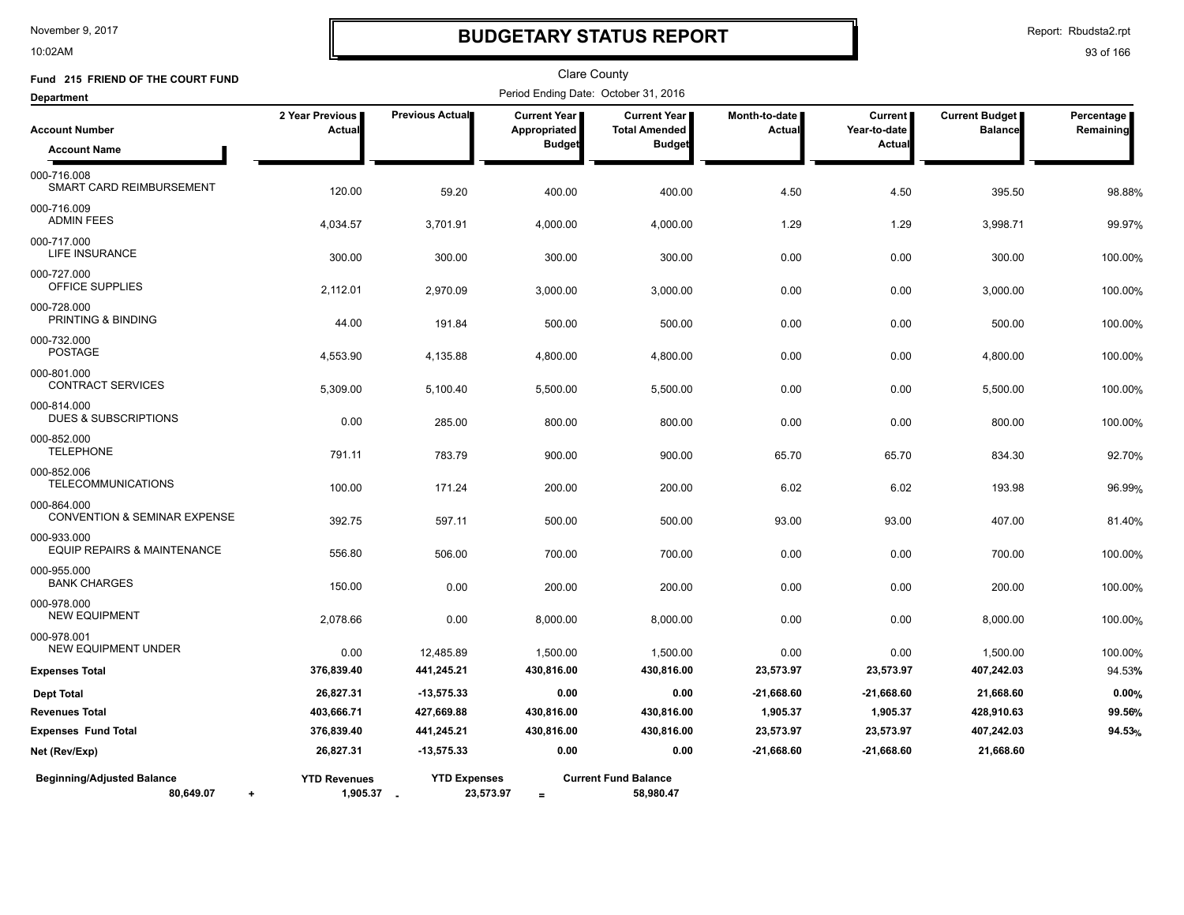10:02AM

# **BUDGETARY STATUS REPORT**

Report: Rbudsta2.rpt

| Fund 215 FRIEND OF THE COURT FUND                           |                                 |                                  | Clare County                        |                                             |                           |                                |                                         |                         |
|-------------------------------------------------------------|---------------------------------|----------------------------------|-------------------------------------|---------------------------------------------|---------------------------|--------------------------------|-----------------------------------------|-------------------------|
| <b>Department</b>                                           |                                 |                                  |                                     | Period Ending Date: October 31, 2016        |                           |                                |                                         |                         |
| <b>Account Number</b>                                       | 2 Year Previous<br>Actual       | Previous Actual                  | <b>Current Year</b><br>Appropriated | <b>Current Year</b><br><b>Total Amended</b> | Month-to-date  <br>Actual | <b>Current</b><br>Year-to-date | <b>Current Budget</b><br><b>Balance</b> | Percentage<br>Remaining |
| <b>Account Name</b>                                         |                                 |                                  | <b>Budget</b>                       | <b>Budget</b>                               |                           | Actual                         |                                         |                         |
| 000-716.008<br>SMART CARD REIMBURSEMENT                     | 120.00                          | 59.20                            | 400.00                              | 400.00                                      | 4.50                      | 4.50                           | 395.50                                  | 98.88%                  |
| 000-716.009<br><b>ADMIN FEES</b>                            | 4,034.57                        | 3,701.91                         | 4,000.00                            | 4,000.00                                    | 1.29                      | 1.29                           | 3,998.71                                | 99.97%                  |
| 000-717.000<br>LIFE INSURANCE                               | 300.00                          | 300.00                           | 300.00                              | 300.00                                      | 0.00                      | 0.00                           | 300.00                                  | 100.00%                 |
| 000-727.000<br>OFFICE SUPPLIES                              | 2,112.01                        | 2,970.09                         | 3,000.00                            | 3,000.00                                    | 0.00                      | 0.00                           | 3,000.00                                | 100.00%                 |
| 000-728.000<br>PRINTING & BINDING                           | 44.00                           | 191.84                           | 500.00                              | 500.00                                      | 0.00                      | 0.00                           | 500.00                                  | 100.00%                 |
| 000-732.000<br><b>POSTAGE</b>                               | 4,553.90                        | 4,135.88                         | 4,800.00                            | 4,800.00                                    | 0.00                      | 0.00                           | 4,800.00                                | 100.00%                 |
| 000-801.000<br><b>CONTRACT SERVICES</b>                     | 5,309.00                        | 5,100.40                         | 5,500.00                            | 5,500.00                                    | 0.00                      | 0.00                           | 5,500.00                                | 100.00%                 |
| 000-814.000<br><b>DUES &amp; SUBSCRIPTIONS</b>              | 0.00                            | 285.00                           | 800.00                              | 800.00                                      | 0.00                      | 0.00                           | 800.00                                  | 100.00%                 |
| 000-852.000<br><b>TELEPHONE</b>                             | 791.11                          | 783.79                           | 900.00                              | 900.00                                      | 65.70                     | 65.70                          | 834.30                                  | 92.70%                  |
| 000-852.006<br><b>TELECOMMUNICATIONS</b>                    | 100.00                          | 171.24                           | 200.00                              | 200.00                                      | 6.02                      | 6.02                           | 193.98                                  | 96.99%                  |
| 000-864.000<br><b>CONVENTION &amp; SEMINAR EXPENSE</b>      | 392.75                          | 597.11                           | 500.00                              | 500.00                                      | 93.00                     | 93.00                          | 407.00                                  | 81.40%                  |
| 000-933.000<br><b>EQUIP REPAIRS &amp; MAINTENANCE</b>       | 556.80                          | 506.00                           | 700.00                              | 700.00                                      | 0.00                      | 0.00                           | 700.00                                  | 100.00%                 |
| 000-955.000<br><b>BANK CHARGES</b>                          | 150.00                          | 0.00                             | 200.00                              | 200.00                                      | 0.00                      | 0.00                           | 200.00                                  | 100.00%                 |
| 000-978.000<br><b>NEW EQUIPMENT</b>                         | 2,078.66                        | 0.00                             | 8,000.00                            | 8,000.00                                    | 0.00                      | 0.00                           | 8,000.00                                | 100.00%                 |
| 000-978.001<br><b>NEW EQUIPMENT UNDER</b>                   | 0.00                            | 12,485.89                        | 1,500.00                            | 1,500.00                                    | 0.00                      | 0.00                           | 1,500.00                                | 100.00%                 |
| <b>Expenses Total</b>                                       | 376,839.40                      | 441,245.21                       | 430,816.00                          | 430,816.00                                  | 23,573.97                 | 23,573.97                      | 407,242.03                              | 94.53%                  |
| <b>Dept Total</b>                                           | 26,827.31                       | $-13,575.33$                     | 0.00                                | 0.00                                        | $-21,668.60$              | $-21,668.60$                   | 21,668.60                               | 0.00%                   |
| <b>Revenues Total</b>                                       | 403,666.71                      | 427,669.88                       | 430,816.00                          | 430,816.00                                  | 1,905.37                  | 1,905.37                       | 428,910.63                              | 99.56%                  |
| <b>Expenses Fund Total</b>                                  | 376,839.40                      | 441,245.21                       | 430,816.00                          | 430,816.00                                  | 23,573.97                 | 23,573.97                      | 407,242.03                              | 94.53%                  |
| Net (Rev/Exp)                                               | 26,827.31                       | $-13,575.33$                     | 0.00                                | 0.00                                        | $-21,668.60$              | $-21,668.60$                   | 21,668.60                               |                         |
| <b>Beginning/Adjusted Balance</b><br>80,649.07<br>$\ddot{}$ | <b>YTD Revenues</b><br>1,905.37 | <b>YTD Expenses</b><br>23,573.97 | $=$                                 | <b>Current Fund Balance</b><br>58,980.47    |                           |                                |                                         |                         |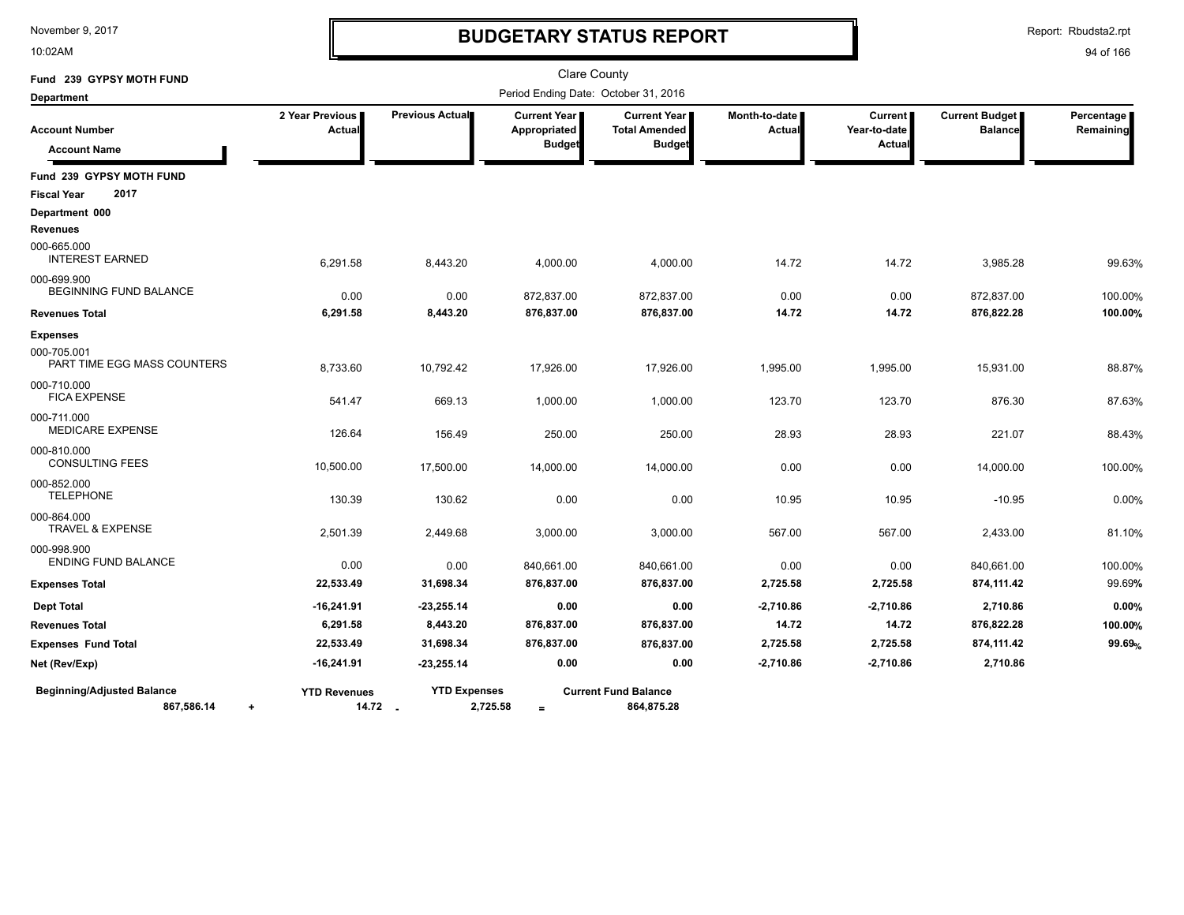10:02AM

# **BUDGETARY STATUS REPORT**

Report: Rbudsta2.rpt

| Fund 239 GYPSY MOTH FUND                        |                                  |                                |                                                      | <b>Clare County</b>                                            |                         |                                          |                                         |                         |
|-------------------------------------------------|----------------------------------|--------------------------------|------------------------------------------------------|----------------------------------------------------------------|-------------------------|------------------------------------------|-----------------------------------------|-------------------------|
| <b>Department</b>                               |                                  |                                | Period Ending Date: October 31, 2016                 |                                                                |                         |                                          |                                         |                         |
| <b>Account Number</b><br><b>Account Name</b>    | 2 Year Previous<br>Actual        | Previous Actual                | <b>Current Year</b><br>Appropriated<br><b>Budget</b> | <b>Current Year I</b><br><b>Total Amended</b><br><b>Budget</b> | Month-to-date<br>Actual | <b>Current</b><br>Year-to-date<br>Actual | <b>Current Budget</b><br><b>Balance</b> | Percentage<br>Remaining |
| Fund 239 GYPSY MOTH FUND                        |                                  |                                |                                                      |                                                                |                         |                                          |                                         |                         |
| 2017<br><b>Fiscal Year</b>                      |                                  |                                |                                                      |                                                                |                         |                                          |                                         |                         |
| Department 000<br><b>Revenues</b>               |                                  |                                |                                                      |                                                                |                         |                                          |                                         |                         |
| 000-665.000<br><b>INTEREST EARNED</b>           | 6,291.58                         | 8,443.20                       | 4,000.00                                             | 4,000.00                                                       | 14.72                   | 14.72                                    | 3,985.28                                | 99.63%                  |
| 000-699.900<br><b>BEGINNING FUND BALANCE</b>    | 0.00                             | 0.00                           | 872,837.00                                           | 872,837.00                                                     | 0.00                    | 0.00                                     | 872,837.00                              | 100.00%                 |
| <b>Revenues Total</b>                           | 6,291.58                         | 8,443.20                       | 876,837.00                                           | 876,837.00                                                     | 14.72                   | 14.72                                    | 876,822.28                              | 100.00%                 |
| <b>Expenses</b>                                 |                                  |                                |                                                      |                                                                |                         |                                          |                                         |                         |
| 000-705.001<br>PART TIME EGG MASS COUNTERS      | 8,733.60                         | 10,792.42                      | 17,926.00                                            | 17,926.00                                                      | 1,995.00                | 1,995.00                                 | 15,931.00                               | 88.87%                  |
| 000-710.000<br><b>FICA EXPENSE</b>              | 541.47                           | 669.13                         | 1,000.00                                             | 1,000.00                                                       | 123.70                  | 123.70                                   | 876.30                                  | 87.63%                  |
| 000-711.000<br><b>MEDICARE EXPENSE</b>          | 126.64                           | 156.49                         | 250.00                                               | 250.00                                                         | 28.93                   | 28.93                                    | 221.07                                  | 88.43%                  |
| 000-810.000<br><b>CONSULTING FEES</b>           | 10,500.00                        | 17,500.00                      | 14,000.00                                            | 14,000.00                                                      | 0.00                    | 0.00                                     | 14,000.00                               | 100.00%                 |
| 000-852.000<br><b>TELEPHONE</b>                 | 130.39                           | 130.62                         | 0.00                                                 | 0.00                                                           | 10.95                   | 10.95                                    | $-10.95$                                | 0.00%                   |
| 000-864.000<br><b>TRAVEL &amp; EXPENSE</b>      | 2,501.39                         | 2,449.68                       | 3,000.00                                             | 3,000.00                                                       | 567.00                  | 567.00                                   | 2,433.00                                | 81.10%                  |
| 000-998.900<br><b>ENDING FUND BALANCE</b>       | 0.00                             | 0.00                           | 840,661.00                                           | 840.661.00                                                     | 0.00                    | 0.00                                     | 840,661.00                              | 100.00%                 |
| <b>Expenses Total</b>                           | 22,533.49                        | 31,698.34                      | 876,837.00                                           | 876,837.00                                                     | 2,725.58                | 2,725.58                                 | 874,111.42                              | 99.69%                  |
| <b>Dept Total</b>                               | $-16,241.91$                     | $-23,255.14$                   | 0.00                                                 | 0.00                                                           | $-2,710.86$             | $-2,710.86$                              | 2,710.86                                | 0.00%                   |
| <b>Revenues Total</b>                           | 6,291.58                         | 8,443.20                       | 876,837.00                                           | 876,837.00                                                     | 14.72                   | 14.72                                    | 876,822.28                              | 100.00%                 |
| <b>Expenses Fund Total</b>                      | 22,533.49                        | 31,698.34                      | 876,837.00                                           | 876,837.00                                                     | 2,725.58                | 2,725.58                                 | 874,111.42                              | 99.69%                  |
| Net (Rev/Exp)                                   | $-16,241.91$                     | $-23,255.14$                   | 0.00                                                 | 0.00                                                           | $-2,710.86$             | $-2,710.86$                              | 2,710.86                                |                         |
| <b>Beginning/Adjusted Balance</b><br>867,586.14 | <b>YTD Revenues</b><br>$\ddot{}$ | <b>YTD Expenses</b><br>14.72 . | 2,725.58<br>$=$                                      | <b>Current Fund Balance</b><br>864,875.28                      |                         |                                          |                                         |                         |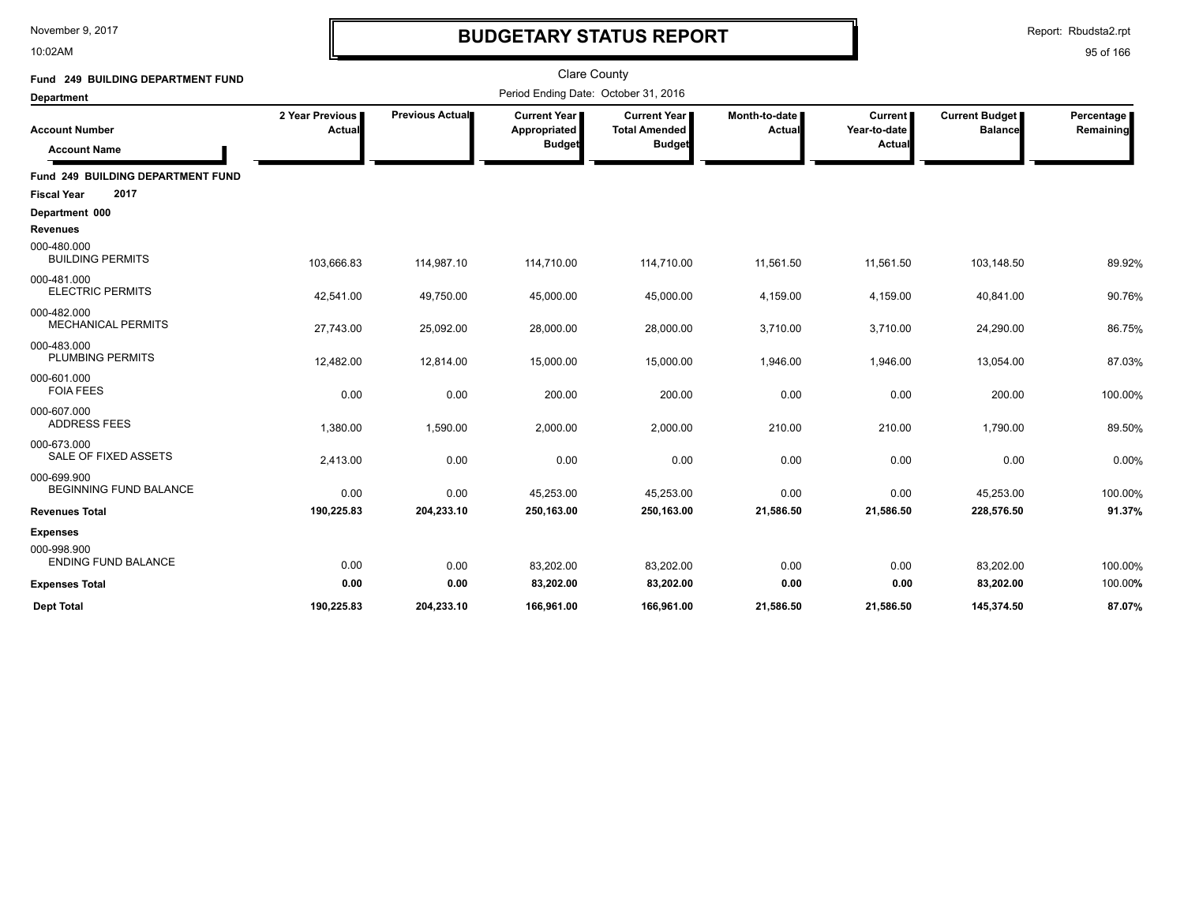10:02AM

# **BUDGETARY STATUS REPORT**

Report: Rbudsta2.rpt

| Fund 249 BUILDING DEPARTMENT FUND            |                           |                        | <b>Clare County</b>                                    |                                                              |                                |                                   |                                         |                         |
|----------------------------------------------|---------------------------|------------------------|--------------------------------------------------------|--------------------------------------------------------------|--------------------------------|-----------------------------------|-----------------------------------------|-------------------------|
| <b>Department</b>                            |                           |                        | Period Ending Date: October 31, 2016                   |                                                              |                                |                                   |                                         |                         |
| <b>Account Number</b><br><b>Account Name</b> | 2 Year Previous<br>Actual | <b>Previous Actual</b> | <b>Current Year I</b><br>Appropriated<br><b>Budget</b> | <b>Current Year</b><br><b>Total Amended</b><br><b>Budget</b> | Month-to-date<br><b>Actual</b> | Current<br>Year-to-date<br>Actual | <b>Current Budget</b><br><b>Balance</b> | Percentage<br>Remaining |
| Fund 249 BUILDING DEPARTMENT FUND            |                           |                        |                                                        |                                                              |                                |                                   |                                         |                         |
| 2017<br><b>Fiscal Year</b>                   |                           |                        |                                                        |                                                              |                                |                                   |                                         |                         |
| Department 000                               |                           |                        |                                                        |                                                              |                                |                                   |                                         |                         |
| <b>Revenues</b>                              |                           |                        |                                                        |                                                              |                                |                                   |                                         |                         |
| 000-480.000<br><b>BUILDING PERMITS</b>       | 103,666.83                | 114,987.10             | 114,710.00                                             | 114,710.00                                                   | 11,561.50                      | 11,561.50                         | 103,148.50                              | 89.92%                  |
| 000-481.000<br><b>ELECTRIC PERMITS</b>       | 42,541.00                 | 49,750.00              | 45,000.00                                              | 45,000.00                                                    | 4,159.00                       | 4,159.00                          | 40,841.00                               | 90.76%                  |
| 000-482.000<br><b>MECHANICAL PERMITS</b>     | 27,743.00                 | 25,092.00              | 28,000.00                                              | 28,000.00                                                    | 3,710.00                       | 3,710.00                          | 24,290.00                               | 86.75%                  |
| 000-483.000<br><b>PLUMBING PERMITS</b>       | 12,482.00                 | 12,814.00              | 15,000.00                                              | 15,000.00                                                    | 1,946.00                       | 1,946.00                          | 13,054.00                               | 87.03%                  |
| 000-601.000<br><b>FOIA FEES</b>              | 0.00                      | 0.00                   | 200.00                                                 | 200.00                                                       | 0.00                           | 0.00                              | 200.00                                  | 100.00%                 |
| 000-607.000<br><b>ADDRESS FEES</b>           | 1,380.00                  | 1,590.00               | 2,000.00                                               | 2,000.00                                                     | 210.00                         | 210.00                            | 1,790.00                                | 89.50%                  |
| 000-673.000<br>SALE OF FIXED ASSETS          | 2,413.00                  | 0.00                   | 0.00                                                   | 0.00                                                         | 0.00                           | 0.00                              | 0.00                                    | 0.00%                   |
| 000-699.900<br>BEGINNING FUND BALANCE        | 0.00                      | 0.00                   | 45,253.00                                              | 45,253.00                                                    | 0.00                           | 0.00                              | 45,253.00                               | 100.00%                 |
| <b>Revenues Total</b>                        | 190,225.83                | 204,233.10             | 250,163.00                                             | 250,163.00                                                   | 21,586.50                      | 21,586.50                         | 228,576.50                              | 91.37%                  |
| <b>Expenses</b>                              |                           |                        |                                                        |                                                              |                                |                                   |                                         |                         |
| 000-998.900<br><b>ENDING FUND BALANCE</b>    | 0.00                      | 0.00                   | 83,202.00                                              | 83,202.00                                                    | 0.00                           | 0.00                              | 83,202.00                               | 100.00%                 |
| <b>Expenses Total</b>                        | 0.00                      | 0.00                   | 83,202.00                                              | 83,202.00                                                    | 0.00                           | 0.00                              | 83,202.00                               | 100.00%                 |
| <b>Dept Total</b>                            | 190.225.83                | 204.233.10             | 166.961.00                                             | 166.961.00                                                   | 21.586.50                      | 21,586.50                         | 145.374.50                              | 87.07%                  |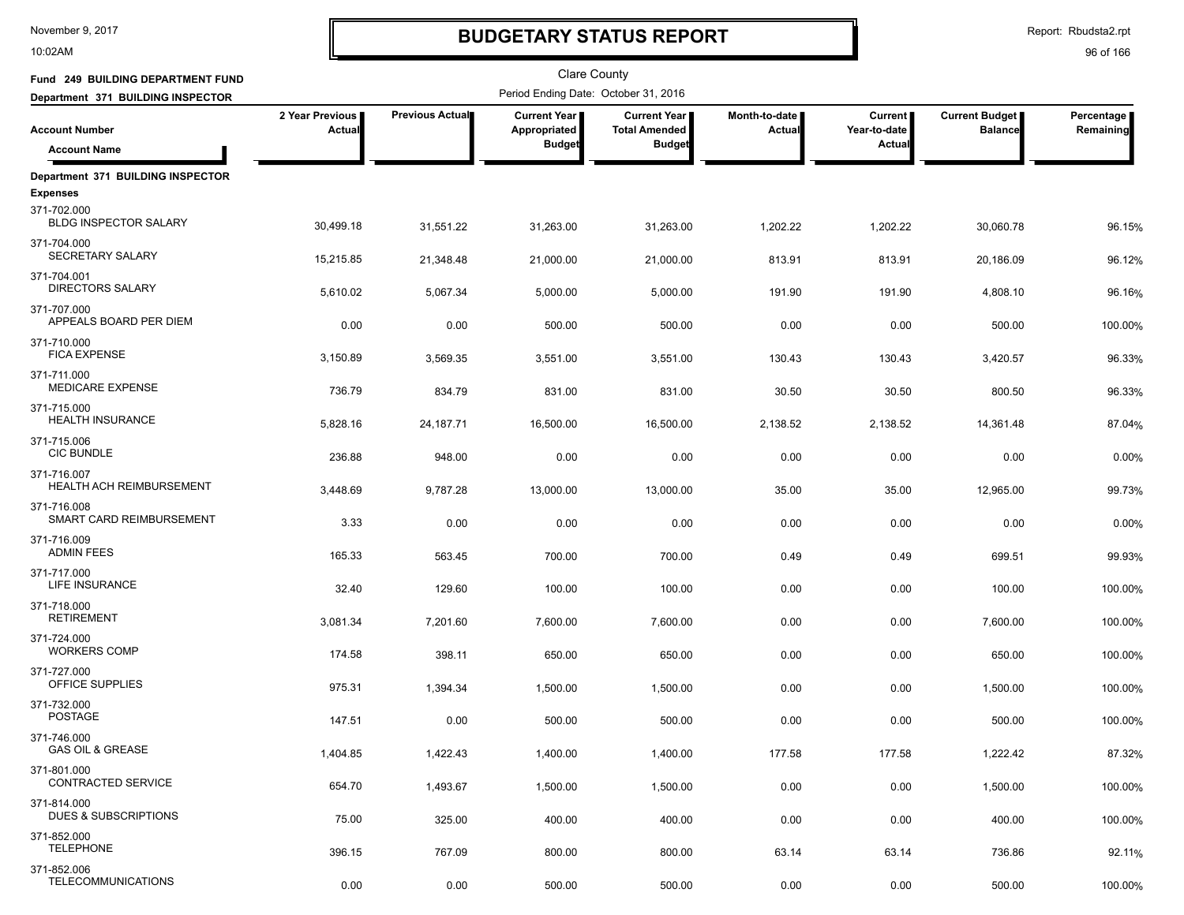10:02AM

# **BUDGETARY STATUS REPORT**

| Fund 249 BUILDING DEPARTMENT FUND                              |                           |                    | <b>Clare County</b>                                  |                                                              |                                |                                     |                                         |                         |
|----------------------------------------------------------------|---------------------------|--------------------|------------------------------------------------------|--------------------------------------------------------------|--------------------------------|-------------------------------------|-----------------------------------------|-------------------------|
| Department 371 BUILDING INSPECTOR                              |                           |                    | Period Ending Date: October 31, 2016                 |                                                              |                                |                                     |                                         |                         |
| <b>Account Number</b><br><b>Account Name</b>                   | 2 Year Previous<br>Actual | Previous Actual    | <b>Current Year</b><br>Appropriated<br><b>Budget</b> | <b>Current Year</b><br><b>Total Amended</b><br><b>Budget</b> | Month-to-date<br><b>Actual</b> | Current  <br>Year-to-date<br>Actual | <b>Current Budget</b><br><b>Balance</b> | Percentage<br>Remaining |
|                                                                |                           |                    |                                                      |                                                              |                                |                                     |                                         |                         |
| Department 371 BUILDING INSPECTOR                              |                           |                    |                                                      |                                                              |                                |                                     |                                         |                         |
| <b>Expenses</b><br>371-702.000<br><b>BLDG INSPECTOR SALARY</b> | 30,499.18                 | 31,551.22          | 31,263.00                                            | 31,263.00                                                    | 1,202.22                       | 1,202.22                            | 30,060.78                               | 96.15%                  |
| 371-704.000<br>SECRETARY SALARY                                | 15,215.85                 | 21,348.48          | 21,000.00                                            | 21,000.00                                                    | 813.91                         | 813.91                              | 20,186.09                               | 96.12%                  |
| 371-704.001<br><b>DIRECTORS SALARY</b>                         | 5,610.02                  | 5,067.34           | 5,000.00                                             | 5,000.00                                                     | 191.90                         | 191.90                              | 4,808.10                                | 96.16%                  |
| 371-707.000<br>APPEALS BOARD PER DIEM                          | 0.00                      | 0.00               | 500.00                                               | 500.00                                                       | 0.00                           | 0.00                                | 500.00                                  | 100.00%                 |
| 371-710.000<br><b>FICA EXPENSE</b>                             | 3,150.89                  | 3,569.35           | 3,551.00                                             | 3,551.00                                                     | 130.43                         | 130.43                              | 3,420.57                                | 96.33%                  |
| 371-711.000<br><b>MEDICARE EXPENSE</b>                         | 736.79                    | 834.79             | 831.00                                               | 831.00                                                       | 30.50                          | 30.50                               | 800.50                                  | 96.33%                  |
| 371-715.000<br><b>HEALTH INSURANCE</b>                         | 5,828.16                  | 24,187.71          | 16,500.00                                            | 16,500.00                                                    | 2,138.52                       | 2,138.52                            | 14,361.48                               | 87.04%                  |
| 371-715.006<br><b>CIC BUNDLE</b><br>371-716.007                | 236.88                    | 948.00             | 0.00                                                 | 0.00                                                         | 0.00                           | 0.00                                | 0.00                                    | 0.00%                   |
| <b>HEALTH ACH REIMBURSEMENT</b><br>371-716.008                 | 3,448.69                  | 9,787.28           | 13,000.00                                            | 13,000.00                                                    | 35.00                          | 35.00                               | 12,965.00                               | 99.73%                  |
| SMART CARD REIMBURSEMENT<br>371-716.009                        | 3.33                      | 0.00               | 0.00                                                 | 0.00                                                         | 0.00                           | 0.00                                | 0.00                                    | 0.00%                   |
| <b>ADMIN FEES</b><br>371-717.000                               | 165.33                    | 563.45             | 700.00                                               | 700.00                                                       | 0.49                           | 0.49                                | 699.51                                  | 99.93%                  |
| LIFE INSURANCE<br>371-718.000                                  | 32.40                     | 129.60             | 100.00                                               | 100.00                                                       | 0.00                           | 0.00                                | 100.00                                  | 100.00%                 |
| <b>RETIREMENT</b><br>371-724.000                               | 3,081.34                  | 7,201.60           | 7,600.00                                             | 7,600.00                                                     | 0.00                           | 0.00                                | 7,600.00                                | 100.00%                 |
| <b>WORKERS COMP</b><br>371-727.000                             | 174.58                    | 398.11             | 650.00                                               | 650.00                                                       | 0.00                           | 0.00                                | 650.00                                  | 100.00%                 |
| OFFICE SUPPLIES<br>371-732.000                                 | 975.31                    | 1,394.34           | 1,500.00                                             | 1,500.00                                                     | 0.00                           | 0.00                                | 1,500.00                                | 100.00%                 |
| <b>POSTAGE</b><br>371-746.000<br><b>GAS OIL &amp; GREASE</b>   | 147.51                    | 0.00               | 500.00                                               | 500.00                                                       | 0.00                           | 0.00                                | 500.00                                  | 100.00%                 |
| 371-801.000<br>CONTRACTED SERVICE                              | 1,404.85                  | 1,422.43           | 1,400.00                                             | 1,400.00                                                     | 177.58                         | 177.58                              | 1,222.42                                | 87.32%                  |
| 371-814.000<br>DUES & SUBSCRIPTIONS                            | 654.70<br>75.00           | 1,493.67<br>325.00 | 1,500.00<br>400.00                                   | 1,500.00<br>400.00                                           | 0.00<br>0.00                   | 0.00<br>0.00                        | 1,500.00<br>400.00                      | 100.00%<br>100.00%      |
| 371-852.000<br><b>TELEPHONE</b>                                | 396.15                    | 767.09             | 800.00                                               | 800.00                                                       | 63.14                          | 63.14                               | 736.86                                  | 92.11%                  |
| 371-852.006<br><b>TELECOMMUNICATIONS</b>                       | 0.00                      | 0.00               | 500.00                                               | 500.00                                                       | 0.00                           | 0.00                                | 500.00                                  | 100.00%                 |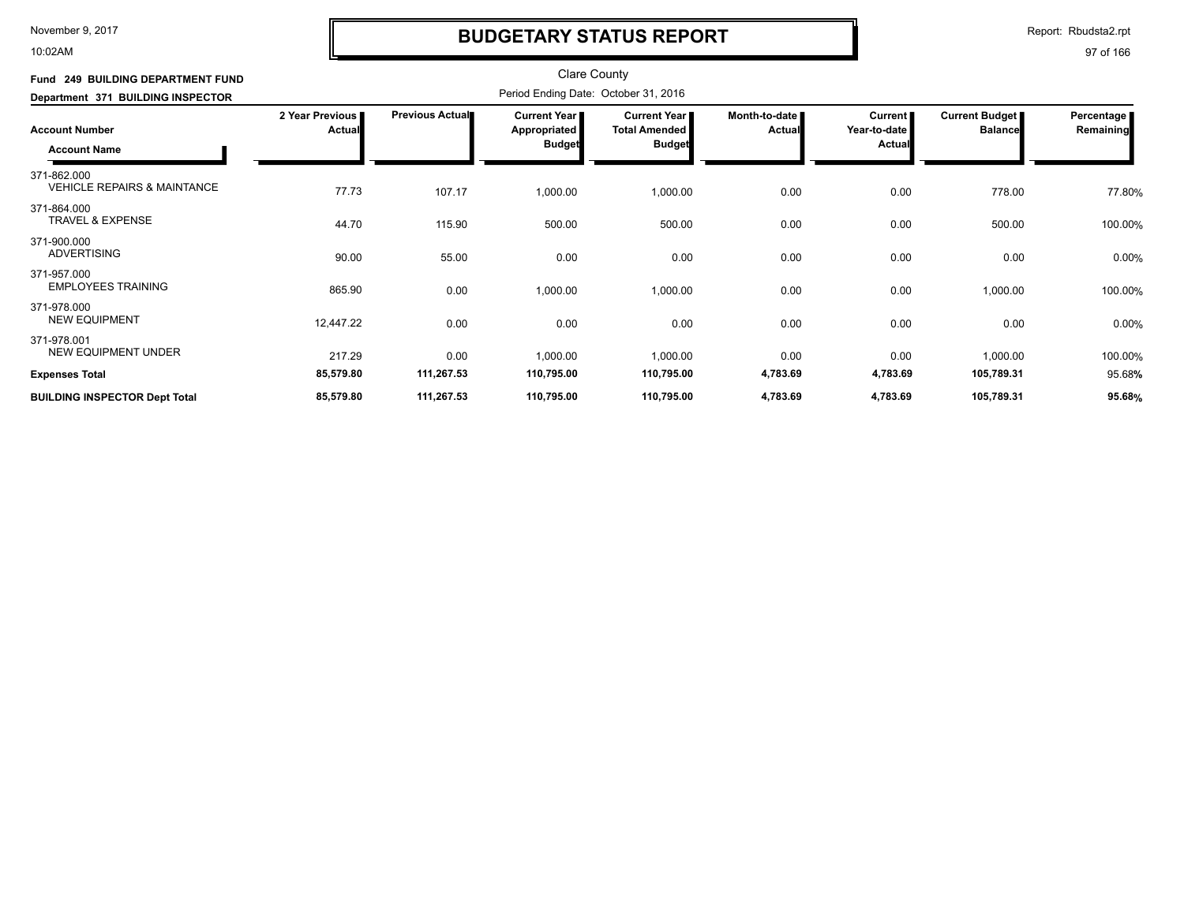10:02AM

# **BUDGETARY STATUS REPORT**

Report: Rbudsta2.rpt

| Fund 249 BUILDING DEPARTMENT FUND<br>Department 371 BUILDING INSPECTOR | <b>Clare County</b><br>Period Ending Date: October 31, 2016 |                        |                                               |                                                                |                                |                                            |                                  |                           |  |
|------------------------------------------------------------------------|-------------------------------------------------------------|------------------------|-----------------------------------------------|----------------------------------------------------------------|--------------------------------|--------------------------------------------|----------------------------------|---------------------------|--|
| <b>Account Number</b><br><b>Account Name</b>                           | 2 Year Previous<br><b>Actual</b>                            | <b>Previous Actual</b> | Current Year<br>Appropriated<br><b>Budget</b> | <b>Current Year I</b><br><b>Total Amended</b><br><b>Budget</b> | Month-to-date<br><b>Actual</b> | Current  <br>Year-to-date<br><b>Actual</b> | Current Budget<br><b>Balance</b> | Percentage  <br>Remaining |  |
| 371-862.000<br><b>VEHICLE REPAIRS &amp; MAINTANCE</b>                  | 77.73                                                       | 107.17                 | 1,000.00                                      | 1,000.00                                                       | 0.00                           | 0.00                                       | 778.00                           | 77.80%                    |  |
| 371-864.000<br><b>TRAVEL &amp; EXPENSE</b>                             | 44.70                                                       | 115.90                 | 500.00                                        | 500.00                                                         | 0.00                           | 0.00                                       | 500.00                           | 100.00%                   |  |
| 371-900.000<br><b>ADVERTISING</b>                                      | 90.00                                                       | 55.00                  | 0.00                                          | 0.00                                                           | 0.00                           | 0.00                                       | 0.00                             | 0.00%                     |  |
| 371-957.000<br><b>EMPLOYEES TRAINING</b>                               | 865.90                                                      | 0.00                   | 1,000.00                                      | 1,000.00                                                       | 0.00                           | 0.00                                       | 1,000.00                         | 100.00%                   |  |
| 371-978.000<br><b>NEW EQUIPMENT</b>                                    | 12,447.22                                                   | 0.00                   | 0.00                                          | 0.00                                                           | 0.00                           | 0.00                                       | 0.00                             | 0.00%                     |  |
| 371-978.001<br><b>NEW EQUIPMENT UNDER</b><br><b>Expenses Total</b>     | 217.29<br>85,579.80                                         | 0.00<br>111,267.53     | 1,000.00<br>110,795.00                        | 1,000.00<br>110,795.00                                         | 0.00<br>4,783.69               | 0.00<br>4,783.69                           | 1,000.00<br>105,789.31           | 100.00%<br>95.68%         |  |
| <b>BUILDING INSPECTOR Dept Total</b>                                   | 85,579.80                                                   | 111,267.53             | 110,795.00                                    | 110,795.00                                                     | 4,783.69                       | 4,783.69                                   | 105,789.31                       | 95.68%                    |  |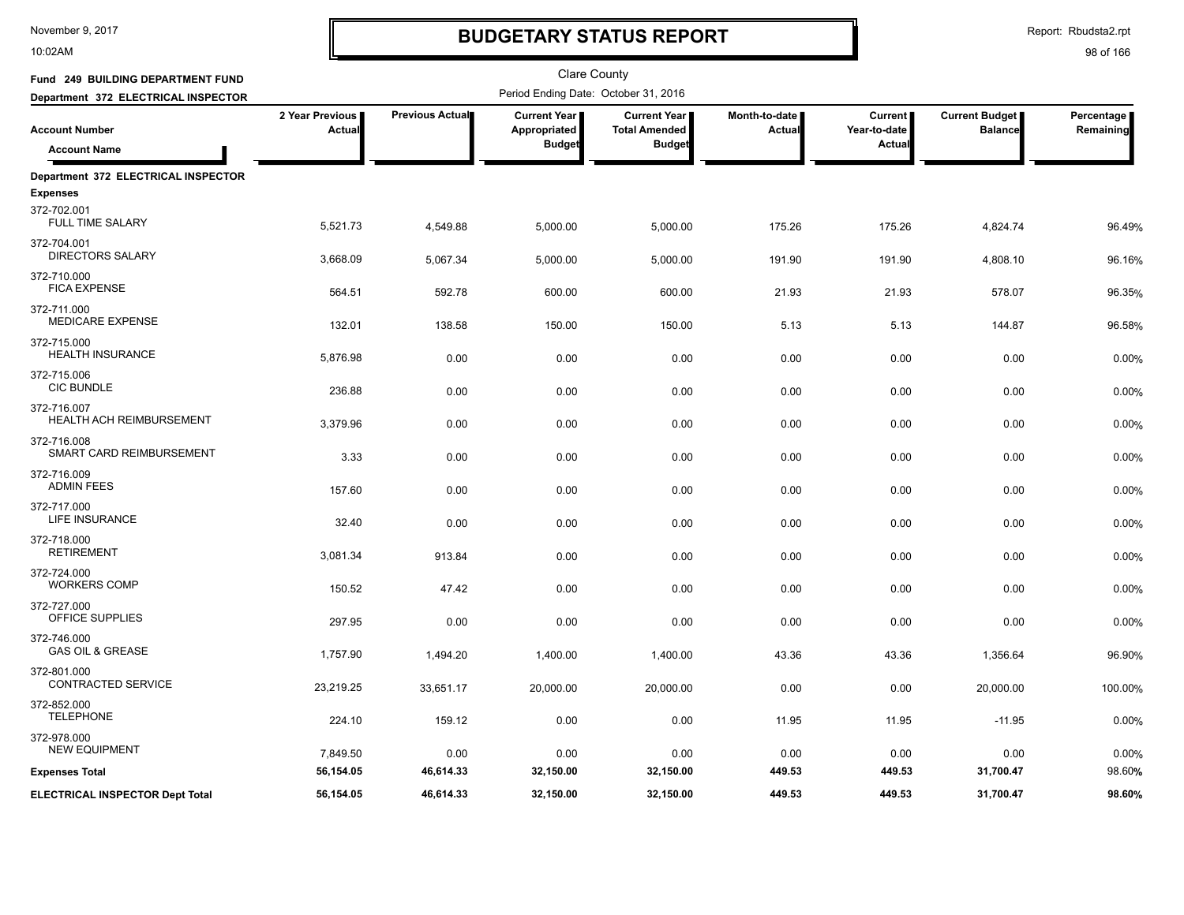10:02AM

# **BUDGETARY STATUS REPORT**

Report: Rbudsta2.rpt

| Fund 249 BUILDING DEPARTMENT FUND                      |                           |                 | <b>Clare County</b><br>Period Ending Date: October 31, 2016 |                                      |                                |                                |                                         |                         |  |  |  |
|--------------------------------------------------------|---------------------------|-----------------|-------------------------------------------------------------|--------------------------------------|--------------------------------|--------------------------------|-----------------------------------------|-------------------------|--|--|--|
| Department 372 ELECTRICAL INSPECTOR                    |                           |                 |                                                             |                                      |                                |                                |                                         |                         |  |  |  |
| <b>Account Number</b>                                  | 2 Year Previous<br>Actual | Previous Actual | <b>Current Year</b><br>Appropriated                         | Current Year<br><b>Total Amended</b> | Month-to-date<br><b>Actual</b> | <b>Current</b><br>Year-to-date | <b>Current Budget</b><br><b>Balance</b> | Percentage<br>Remaining |  |  |  |
| <b>Account Name</b>                                    |                           |                 | <b>Budget</b>                                               | <b>Budget</b>                        |                                | Actual                         |                                         |                         |  |  |  |
| Department 372 ELECTRICAL INSPECTOR<br><b>Expenses</b> |                           |                 |                                                             |                                      |                                |                                |                                         |                         |  |  |  |
| 372-702.001<br>FULL TIME SALARY                        | 5,521.73                  | 4,549.88        | 5,000.00                                                    | 5,000.00                             | 175.26                         | 175.26                         | 4,824.74                                | 96.49%                  |  |  |  |
| 372-704.001<br><b>DIRECTORS SALARY</b>                 | 3,668.09                  | 5,067.34        | 5,000.00                                                    | 5,000.00                             | 191.90                         | 191.90                         | 4,808.10                                | 96.16%                  |  |  |  |
| 372-710.000<br><b>FICA EXPENSE</b>                     | 564.51                    | 592.78          | 600.00                                                      | 600.00                               | 21.93                          | 21.93                          | 578.07                                  | 96.35%                  |  |  |  |
| 372-711.000<br><b>MEDICARE EXPENSE</b>                 | 132.01                    | 138.58          | 150.00                                                      | 150.00                               | 5.13                           | 5.13                           | 144.87                                  | 96.58%                  |  |  |  |
| 372-715.000<br><b>HEALTH INSURANCE</b>                 | 5,876.98                  | 0.00            | 0.00                                                        | 0.00                                 | 0.00                           | 0.00                           | 0.00                                    | 0.00%                   |  |  |  |
| 372-715.006<br><b>CIC BUNDLE</b>                       | 236.88                    | 0.00            | 0.00                                                        | 0.00                                 | 0.00                           | 0.00                           | 0.00                                    | 0.00%                   |  |  |  |
| 372-716.007<br><b>HEALTH ACH REIMBURSEMENT</b>         | 3,379.96                  | 0.00            | 0.00                                                        | 0.00                                 | 0.00                           | 0.00                           | 0.00                                    | 0.00%                   |  |  |  |
| 372-716.008<br>SMART CARD REIMBURSEMENT                | 3.33                      | 0.00            | 0.00                                                        | 0.00                                 | 0.00                           | 0.00                           | 0.00                                    | 0.00%                   |  |  |  |
| 372-716.009<br><b>ADMIN FEES</b>                       | 157.60                    | 0.00            | 0.00                                                        | 0.00                                 | 0.00                           | 0.00                           | 0.00                                    | 0.00%                   |  |  |  |
| 372-717.000<br><b>LIFE INSURANCE</b>                   | 32.40                     | 0.00            | 0.00                                                        | 0.00                                 | 0.00                           | 0.00                           | 0.00                                    | 0.00%                   |  |  |  |
| 372-718.000<br><b>RETIREMENT</b>                       | 3,081.34                  | 913.84          | 0.00                                                        | 0.00                                 | 0.00                           | 0.00                           | 0.00                                    | 0.00%                   |  |  |  |
| 372-724.000<br><b>WORKERS COMP</b>                     | 150.52                    | 47.42           | 0.00                                                        | 0.00                                 | 0.00                           | 0.00                           | 0.00                                    | 0.00%                   |  |  |  |
| 372-727.000<br>OFFICE SUPPLIES                         | 297.95                    | 0.00            | 0.00                                                        | 0.00                                 | 0.00                           | 0.00                           | 0.00                                    | 0.00%                   |  |  |  |
| 372-746.000<br><b>GAS OIL &amp; GREASE</b>             | 1,757.90                  | 1,494.20        | 1,400.00                                                    | 1,400.00                             | 43.36                          | 43.36                          | 1,356.64                                | 96.90%                  |  |  |  |
| 372-801.000<br>CONTRACTED SERVICE                      | 23,219.25                 | 33,651.17       | 20,000.00                                                   | 20,000.00                            | 0.00                           | 0.00                           | 20,000.00                               | 100.00%                 |  |  |  |
| 372-852.000<br><b>TELEPHONE</b>                        | 224.10                    | 159.12          | 0.00                                                        | 0.00                                 | 11.95                          | 11.95                          | $-11.95$                                | 0.00%                   |  |  |  |
| 372-978.000<br><b>NEW EQUIPMENT</b>                    | 7,849.50                  | 0.00            | 0.00                                                        | 0.00                                 | 0.00                           | 0.00                           | 0.00                                    | 0.00%                   |  |  |  |
| <b>Expenses Total</b>                                  | 56,154.05                 | 46,614.33       | 32,150.00                                                   | 32,150.00                            | 449.53                         | 449.53                         | 31,700.47                               | 98.60%                  |  |  |  |
| <b>ELECTRICAL INSPECTOR Dept Total</b>                 | 56,154.05                 | 46,614.33       | 32,150.00                                                   | 32,150.00                            | 449.53                         | 449.53                         | 31,700.47                               | 98.60%                  |  |  |  |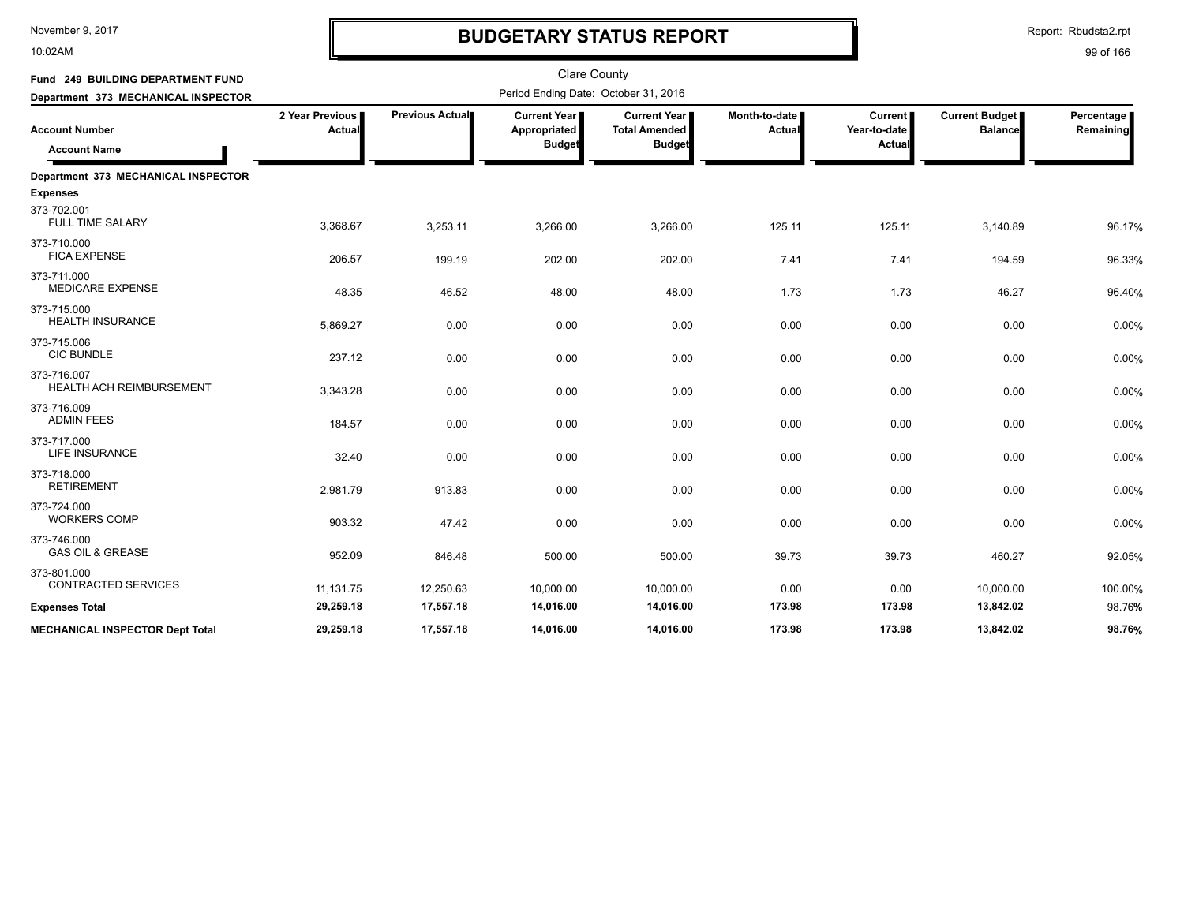10:02AM

# **BUDGETARY STATUS REPORT**

Report: Rbudsta2.rpt

| Fund 249 BUILDING DEPARTMENT FUND            |                           |                 | <b>Clare County</b>                             |                                                                |                           |                                         |                                         |                         |
|----------------------------------------------|---------------------------|-----------------|-------------------------------------------------|----------------------------------------------------------------|---------------------------|-----------------------------------------|-----------------------------------------|-------------------------|
| Department 373 MECHANICAL INSPECTOR          |                           |                 | Period Ending Date: October 31, 2016            |                                                                |                           |                                         |                                         |                         |
| <b>Account Number</b><br><b>Account Name</b> | 2 Year Previous<br>Actual | Previous Actual | Current Year  <br>Appropriated<br><b>Budget</b> | <b>Current Year I</b><br><b>Total Amended</b><br><b>Budget</b> | Month-to-date I<br>Actual | <b>Current</b><br>Year-to-date<br>Actua | <b>Current Budget</b><br><b>Balance</b> | Percentage<br>Remaining |
| Department 373 MECHANICAL INSPECTOR          |                           |                 |                                                 |                                                                |                           |                                         |                                         |                         |
| <b>Expenses</b>                              |                           |                 |                                                 |                                                                |                           |                                         |                                         |                         |
| 373-702.001<br><b>FULL TIME SALARY</b>       | 3,368.67                  | 3,253.11        | 3,266.00                                        | 3,266.00                                                       | 125.11                    | 125.11                                  | 3,140.89                                | 96.17%                  |
| 373-710.000<br><b>FICA EXPENSE</b>           | 206.57                    | 199.19          | 202.00                                          | 202.00                                                         | 7.41                      | 7.41                                    | 194.59                                  | 96.33%                  |
| 373-711.000<br><b>MEDICARE EXPENSE</b>       | 48.35                     | 46.52           | 48.00                                           | 48.00                                                          | 1.73                      | 1.73                                    | 46.27                                   | 96.40%                  |
| 373-715.000<br><b>HEALTH INSURANCE</b>       | 5,869.27                  | 0.00            | 0.00                                            | 0.00                                                           | 0.00                      | 0.00                                    | 0.00                                    | 0.00%                   |
| 373-715.006<br><b>CIC BUNDLE</b>             | 237.12                    | 0.00            | 0.00                                            | 0.00                                                           | 0.00                      | 0.00                                    | 0.00                                    | 0.00%                   |
| 373-716.007<br>HEALTH ACH REIMBURSEMENT      | 3,343.28                  | 0.00            | 0.00                                            | 0.00                                                           | 0.00                      | 0.00                                    | 0.00                                    | 0.00%                   |
| 373-716.009<br><b>ADMIN FEES</b>             | 184.57                    | 0.00            | 0.00                                            | 0.00                                                           | 0.00                      | 0.00                                    | 0.00                                    | 0.00%                   |
| 373-717.000<br>LIFE INSURANCE                | 32.40                     | 0.00            | 0.00                                            | 0.00                                                           | 0.00                      | 0.00                                    | 0.00                                    | 0.00%                   |
| 373-718.000<br><b>RETIREMENT</b>             | 2,981.79                  | 913.83          | 0.00                                            | 0.00                                                           | 0.00                      | 0.00                                    | 0.00                                    | 0.00%                   |
| 373-724.000<br><b>WORKERS COMP</b>           | 903.32                    | 47.42           | 0.00                                            | 0.00                                                           | 0.00                      | 0.00                                    | 0.00                                    | 0.00%                   |
| 373-746.000<br><b>GAS OIL &amp; GREASE</b>   | 952.09                    | 846.48          | 500.00                                          | 500.00                                                         | 39.73                     | 39.73                                   | 460.27                                  | 92.05%                  |
| 373-801.000<br>CONTRACTED SERVICES           | 11,131.75                 | 12,250.63       | 10,000.00                                       | 10,000.00                                                      | 0.00                      | 0.00                                    | 10,000.00                               | 100.00%                 |
| <b>Expenses Total</b>                        | 29,259.18                 | 17,557.18       | 14,016.00                                       | 14,016.00                                                      | 173.98                    | 173.98                                  | 13,842.02                               | 98.76%                  |
| <b>MECHANICAL INSPECTOR Dept Total</b>       | 29.259.18                 | 17,557.18       | 14,016.00                                       | 14,016.00                                                      | 173.98                    | 173.98                                  | 13.842.02                               | 98.76%                  |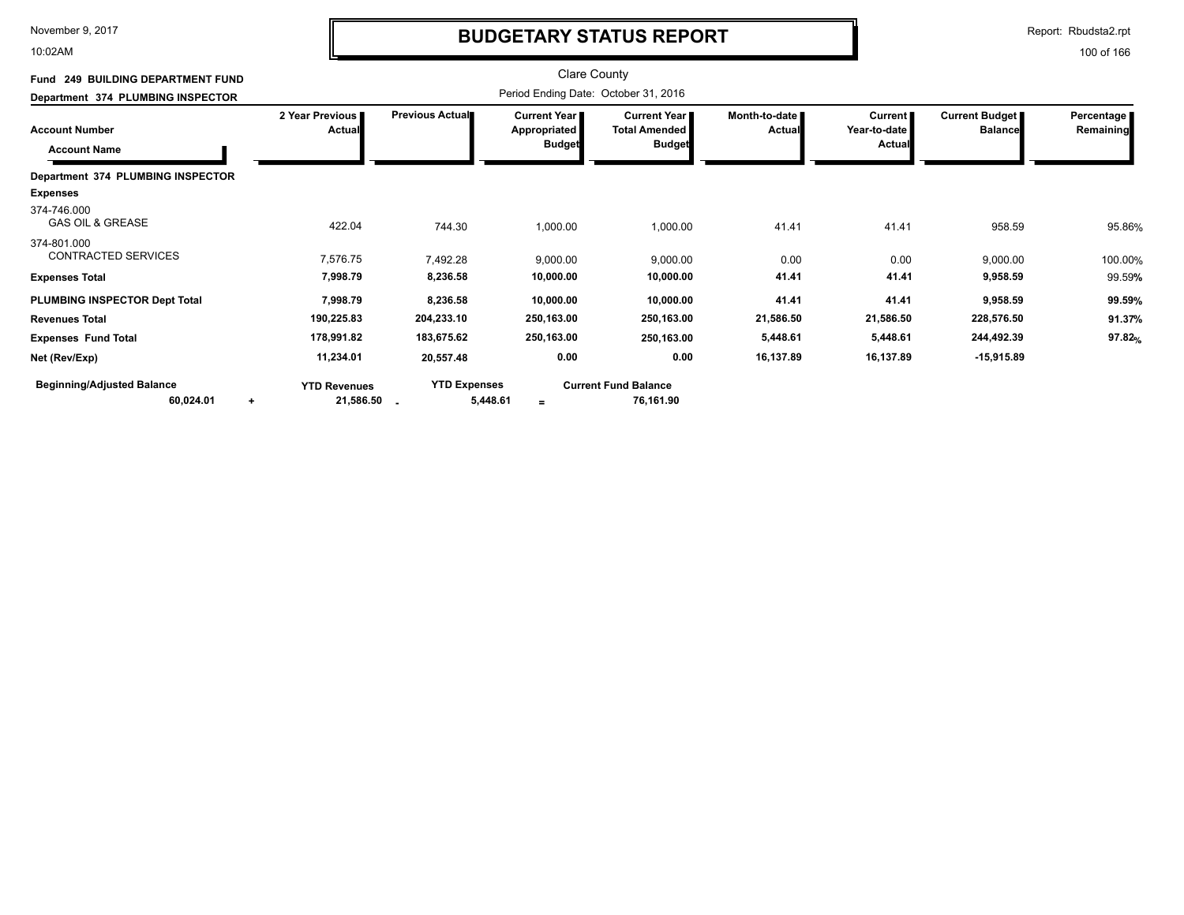10:02AM

# **BUDGETARY STATUS REPORT**

Report: Rbudsta2.rpt

| Fund 249 BUILDING DEPARTMENT FUND<br>Department 374 PLUMBING INSPECTOR |                                               | Period Ending Date: October 31, 2016 |                                                      |                                                                |                                |                                   |                                         |                         |
|------------------------------------------------------------------------|-----------------------------------------------|--------------------------------------|------------------------------------------------------|----------------------------------------------------------------|--------------------------------|-----------------------------------|-----------------------------------------|-------------------------|
| <b>Account Number</b><br><b>Account Name</b>                           | 2 Year Previous<br><b>Actual</b>              | <b>Previous Actual</b>               | Current Year<br><b>Appropriated</b><br><b>Budget</b> | <b>Current Year I</b><br><b>Total Amended</b><br><b>Budget</b> | Month-to-date<br><b>Actual</b> | Current<br>Year-to-date<br>Actual | <b>Current Budget</b><br><b>Balance</b> | Percentage<br>Remaining |
| Department 374 PLUMBING INSPECTOR                                      |                                               |                                      |                                                      |                                                                |                                |                                   |                                         |                         |
| <b>Expenses</b>                                                        |                                               |                                      |                                                      |                                                                |                                |                                   |                                         |                         |
| 374-746.000<br><b>GAS OIL &amp; GREASE</b>                             | 422.04                                        | 744.30                               | 1,000.00                                             | 1,000.00                                                       | 41.41                          | 41.41                             | 958.59                                  | 95.86%                  |
| 374-801.000<br><b>CONTRACTED SERVICES</b>                              | 7,576.75                                      | 7,492.28                             | 9,000.00                                             | 9,000.00                                                       | 0.00                           | 0.00                              | 9,000.00                                | 100.00%                 |
| <b>Expenses Total</b>                                                  | 7,998.79                                      | 8,236.58                             | 10,000.00                                            | 10,000.00                                                      | 41.41                          | 41.41                             | 9,958.59                                | 99.59%                  |
| PLUMBING INSPECTOR Dept Total                                          | 7,998.79                                      | 8,236.58                             | 10,000.00                                            | 10,000.00                                                      | 41.41                          | 41.41                             | 9,958.59                                | 99.59%                  |
| <b>Revenues Total</b>                                                  | 190,225.83                                    | 204,233.10                           | 250,163.00                                           | 250,163.00                                                     | 21,586.50                      | 21,586.50                         | 228,576.50                              | 91.37%                  |
| <b>Expenses Fund Total</b>                                             | 178,991.82                                    | 183,675.62                           | 250,163.00                                           | 250,163.00                                                     | 5,448.61                       | 5,448.61                          | 244,492.39                              | 97.82%                  |
| Net (Rev/Exp)                                                          | 11,234.01                                     | 20,557.48                            | 0.00                                                 | 0.00                                                           | 16,137.89                      | 16,137.89                         | $-15,915.89$                            |                         |
| <b>Beginning/Adjusted Balance</b><br>60,024.01                         | <b>YTD Revenues</b><br>21,586.50<br>$\ddot{}$ | <b>YTD Expenses</b><br>5,448.61      | $=$                                                  | <b>Current Fund Balance</b><br>76,161.90                       |                                |                                   |                                         |                         |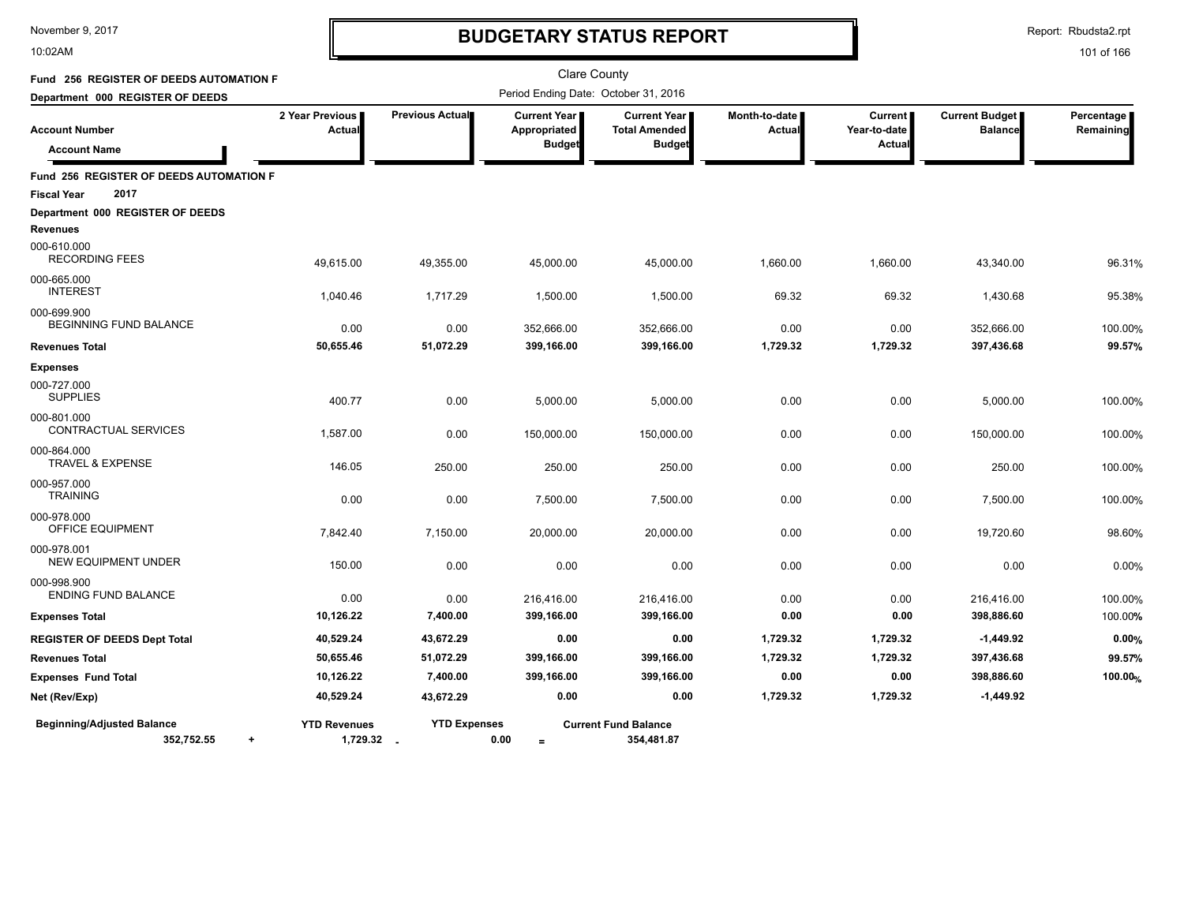10:02AM

# **BUDGETARY STATUS REPORT**

Report: Rbudsta2.rpt

| Fund 256 REGISTER OF DEEDS AUTOMATION F                      |                                   |                     | <b>Clare County</b>                                    |                                                              |                         |                                  |                                         |                         |
|--------------------------------------------------------------|-----------------------------------|---------------------|--------------------------------------------------------|--------------------------------------------------------------|-------------------------|----------------------------------|-----------------------------------------|-------------------------|
| Department 000 REGISTER OF DEEDS                             |                                   |                     | Period Ending Date: October 31, 2016                   |                                                              |                         |                                  |                                         |                         |
| <b>Account Number</b><br><b>Account Name</b>                 | 2 Year Previous<br>Actual         | Previous Actual     | <b>Current Year I</b><br>Appropriated<br><b>Budget</b> | <b>Current Year</b><br><b>Total Amended</b><br><b>Budget</b> | Month-to-date<br>Actual | Current<br>Year-to-date<br>Actua | <b>Current Budget</b><br><b>Balance</b> | Percentage<br>Remaining |
| Fund 256 REGISTER OF DEEDS AUTOMATION F                      |                                   |                     |                                                        |                                                              |                         |                                  |                                         |                         |
| 2017<br><b>Fiscal Year</b>                                   |                                   |                     |                                                        |                                                              |                         |                                  |                                         |                         |
| Department 000 REGISTER OF DEEDS                             |                                   |                     |                                                        |                                                              |                         |                                  |                                         |                         |
| <b>Revenues</b>                                              |                                   |                     |                                                        |                                                              |                         |                                  |                                         |                         |
| 000-610.000<br><b>RECORDING FEES</b>                         | 49,615.00                         | 49,355.00           | 45,000.00                                              | 45,000.00                                                    | 1,660.00                | 1,660.00                         | 43,340.00                               | 96.31%                  |
| 000-665.000<br><b>INTEREST</b>                               | 1,040.46                          | 1,717.29            | 1,500.00                                               | 1,500.00                                                     | 69.32                   | 69.32                            | 1,430.68                                | 95.38%                  |
| 000-699.900                                                  |                                   |                     |                                                        |                                                              |                         |                                  |                                         |                         |
| <b>BEGINNING FUND BALANCE</b>                                | 0.00                              | 0.00                | 352,666.00                                             | 352,666.00                                                   | 0.00                    | 0.00                             | 352,666.00                              | 100.00%                 |
| <b>Revenues Total</b>                                        | 50,655.46                         | 51,072.29           | 399,166.00                                             | 399,166.00                                                   | 1,729.32                | 1,729.32                         | 397,436.68                              | 99.57%                  |
| <b>Expenses</b>                                              |                                   |                     |                                                        |                                                              |                         |                                  |                                         |                         |
| 000-727.000<br><b>SUPPLIES</b>                               | 400.77                            | 0.00                | 5,000.00                                               | 5,000.00                                                     | 0.00                    | 0.00                             | 5,000.00                                | 100.00%                 |
| 000-801.000<br>CONTRACTUAL SERVICES                          | 1,587.00                          | 0.00                | 150,000.00                                             | 150,000.00                                                   | 0.00                    | 0.00                             | 150.000.00                              | 100.00%                 |
| 000-864.000<br><b>TRAVEL &amp; EXPENSE</b>                   | 146.05                            | 250.00              | 250.00                                                 | 250.00                                                       | 0.00                    | 0.00                             | 250.00                                  | 100.00%                 |
| 000-957.000<br><b>TRAINING</b>                               | 0.00                              | 0.00                | 7,500.00                                               | 7,500.00                                                     | 0.00                    | 0.00                             | 7,500.00                                | 100.00%                 |
| 000-978.000<br>OFFICE EQUIPMENT                              | 7,842.40                          | 7,150.00            | 20,000.00                                              | 20,000.00                                                    | 0.00                    | 0.00                             | 19,720.60                               | 98.60%                  |
| 000-978.001<br><b>NEW EQUIPMENT UNDER</b>                    | 150.00                            | 0.00                | 0.00                                                   | 0.00                                                         | 0.00                    | 0.00                             | 0.00                                    | 0.00%                   |
| 000-998.900<br><b>ENDING FUND BALANCE</b>                    | 0.00                              | 0.00                | 216,416.00                                             | 216,416.00                                                   | 0.00                    | 0.00                             | 216,416.00                              | 100.00%                 |
| <b>Expenses Total</b>                                        | 10,126.22                         | 7,400.00            | 399,166.00                                             | 399,166.00                                                   | 0.00                    | 0.00                             | 398,886.60                              | 100.00%                 |
| <b>REGISTER OF DEEDS Dept Total</b>                          | 40,529.24                         | 43,672.29           | 0.00                                                   | 0.00                                                         | 1,729.32                | 1,729.32                         | $-1,449.92$                             | 0.00%                   |
| <b>Revenues Total</b>                                        | 50,655.46                         | 51,072.29           | 399,166.00                                             | 399,166.00                                                   | 1,729.32                | 1,729.32                         | 397,436.68                              | 99.57%                  |
| <b>Expenses Fund Total</b>                                   | 10,126.22                         | 7,400.00            | 399,166.00                                             | 399,166.00                                                   | 0.00                    | 0.00                             | 398,886.60                              | 100.00%                 |
| Net (Rev/Exp)                                                | 40,529.24                         | 43,672.29           | 0.00                                                   | 0.00                                                         | 1,729.32                | 1,729.32                         | $-1,449.92$                             |                         |
| <b>Beginning/Adjusted Balance</b><br>352,752.55<br>$\ddot{}$ | <b>YTD Revenues</b><br>1,729.32 . | <b>YTD Expenses</b> | 0.00<br>$=$                                            | <b>Current Fund Balance</b><br>354,481.87                    |                         |                                  |                                         |                         |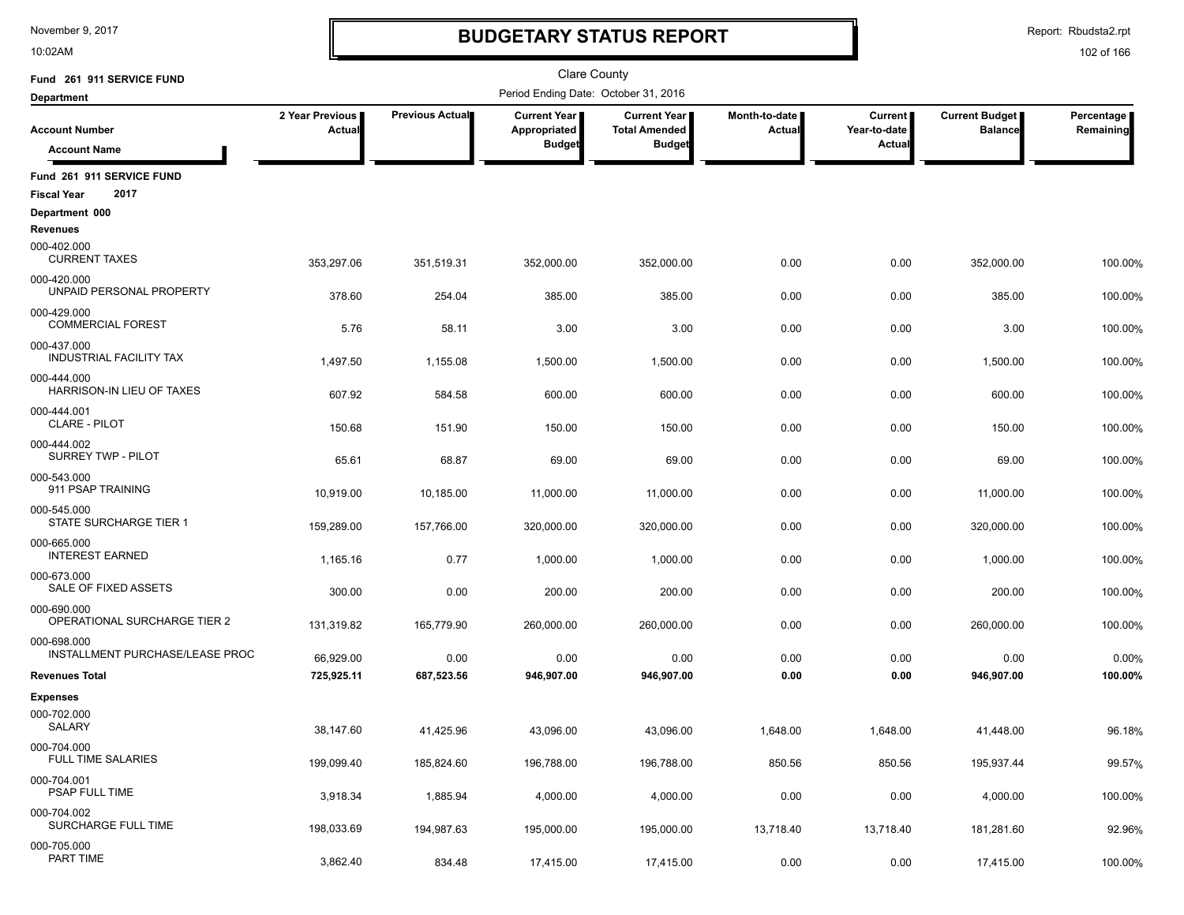10:02AM

# **BUDGETARY STATUS REPORT**

Report: Rbudsta2.rpt

| Fund 261 911 SERVICE FUND                                 |                           |                      | Clare County                         |                                             |                                |                                |                                         |                         |
|-----------------------------------------------------------|---------------------------|----------------------|--------------------------------------|---------------------------------------------|--------------------------------|--------------------------------|-----------------------------------------|-------------------------|
| <b>Department</b>                                         |                           |                      | Period Ending Date: October 31, 2016 |                                             |                                |                                |                                         |                         |
| <b>Account Number</b>                                     | 2 Year Previous<br>Actual | Previous Actual      | Current Year<br>Appropriated         | <b>Current Year</b><br><b>Total Amended</b> | Month-to-date<br><b>Actual</b> | <b>Current</b><br>Year-to-date | <b>Current Budget</b><br><b>Balance</b> | Percentage<br>Remaining |
| <b>Account Name</b>                                       |                           |                      | <b>Budget</b>                        | <b>Budget</b>                               |                                | Actual                         |                                         |                         |
| Fund 261 911 SERVICE FUND<br>2017<br><b>Fiscal Year</b>   |                           |                      |                                      |                                             |                                |                                |                                         |                         |
| Department 000<br><b>Revenues</b>                         |                           |                      |                                      |                                             |                                |                                |                                         |                         |
| 000-402.000<br><b>CURRENT TAXES</b>                       | 353,297.06                | 351,519.31           | 352,000.00                           | 352,000.00                                  | 0.00                           | 0.00                           | 352,000.00                              | 100.00%                 |
| 000-420.000<br>UNPAID PERSONAL PROPERTY                   | 378.60                    | 254.04               | 385.00                               | 385.00                                      | 0.00                           | 0.00                           | 385.00                                  | 100.00%                 |
| 000-429.000<br><b>COMMERCIAL FOREST</b>                   | 5.76                      | 58.11                | 3.00                                 | 3.00                                        | 0.00                           | 0.00                           | 3.00                                    | 100.00%                 |
| 000-437.000<br><b>INDUSTRIAL FACILITY TAX</b>             | 1,497.50                  | 1,155.08             | 1,500.00                             | 1,500.00                                    | 0.00                           | 0.00                           | 1,500.00                                | 100.00%                 |
| 000-444.000<br>HARRISON-IN LIEU OF TAXES                  | 607.92                    | 584.58               | 600.00                               | 600.00                                      | 0.00                           | 0.00                           | 600.00                                  | 100.00%                 |
| 000-444.001<br><b>CLARE - PILOT</b>                       | 150.68                    | 151.90               | 150.00                               | 150.00                                      | 0.00                           | 0.00                           | 150.00                                  | 100.00%                 |
| 000-444.002<br><b>SURREY TWP - PILOT</b>                  | 65.61                     | 68.87                | 69.00                                | 69.00                                       | 0.00                           | 0.00                           | 69.00                                   | 100.00%                 |
| 000-543.000<br>911 PSAP TRAINING                          | 10,919.00                 | 10,185.00            | 11,000.00                            | 11,000.00                                   | 0.00                           | 0.00                           | 11,000.00                               | 100.00%                 |
| 000-545.000<br>STATE SURCHARGE TIER 1                     | 159,289.00                | 157,766.00           | 320,000.00                           | 320,000.00                                  | 0.00                           | 0.00                           | 320,000.00                              | 100.00%                 |
| 000-665.000<br><b>INTEREST EARNED</b>                     | 1,165.16                  | 0.77                 | 1,000.00                             | 1,000.00                                    | 0.00                           | 0.00                           | 1,000.00                                | 100.00%                 |
| 000-673.000<br>SALE OF FIXED ASSETS                       | 300.00                    | 0.00                 | 200.00                               | 200.00                                      | 0.00                           | 0.00                           | 200.00                                  | 100.00%                 |
| 000-690.000<br>OPERATIONAL SURCHARGE TIER 2               | 131,319.82                | 165,779.90           | 260,000.00                           | 260,000.00                                  | 0.00                           | 0.00                           | 260,000.00                              | 100.00%                 |
| 000-698.000<br>INSTALLMENT PURCHASE/LEASE PROC            | 66,929.00                 | 0.00                 | 0.00                                 | 0.00                                        | 0.00                           | 0.00                           | 0.00                                    | 0.00%                   |
| <b>Revenues Total</b>                                     | 725,925.11                | 687,523.56           | 946,907.00                           | 946,907.00                                  | 0.00                           | 0.00                           | 946,907.00                              | 100.00%                 |
| <b>Expenses</b><br>000-702.000                            |                           |                      |                                      |                                             |                                |                                |                                         |                         |
| <b>SALARY</b><br>000-704.000<br><b>FULL TIME SALARIES</b> | 38,147.60                 | 41,425.96            | 43,096.00                            | 43,096.00                                   | 1,648.00                       | 1,648.00                       | 41,448.00                               | 96.18%                  |
| 000-704.001<br><b>PSAP FULL TIME</b>                      | 199,099.40                | 185,824.60           | 196,788.00                           | 196,788.00                                  | 850.56                         | 850.56                         | 195,937.44                              | 99.57%                  |
| 000-704.002<br>SURCHARGE FULL TIME                        | 3,918.34                  | 1,885.94             | 4,000.00                             | 4,000.00                                    | 0.00                           | 0.00                           | 4,000.00                                | 100.00%                 |
| 000-705.000<br>PART TIME                                  | 198,033.69<br>3,862.40    | 194,987.63<br>834.48 | 195,000.00<br>17,415.00              | 195,000.00<br>17,415.00                     | 13,718.40<br>0.00              | 13,718.40<br>0.00              | 181,281.60<br>17,415.00                 | 92.96%<br>100.00%       |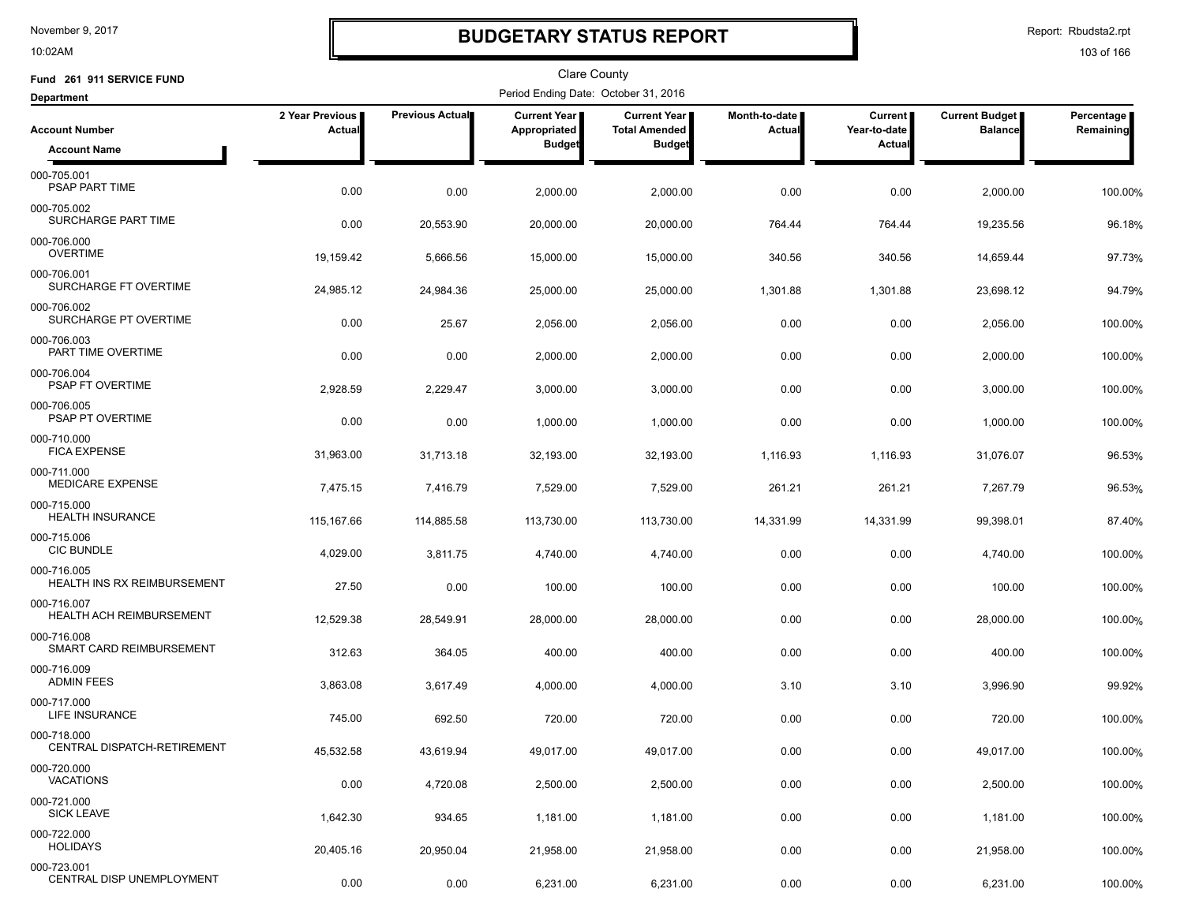10:02AM

### **BUDGETARY STATUS REPORT**

Report: Rbudsta2.rpt

| Fund 261 911 SERVICE FUND                              |                           |                        | Clare County                         |                                      |                                |                         |                                  |                         |
|--------------------------------------------------------|---------------------------|------------------------|--------------------------------------|--------------------------------------|--------------------------------|-------------------------|----------------------------------|-------------------------|
| <b>Department</b>                                      |                           |                        | Period Ending Date: October 31, 2016 |                                      |                                |                         |                                  |                         |
| <b>Account Number</b>                                  | 2 Year Previous<br>Actual | <b>Previous Actual</b> | <b>Current Year</b><br>Appropriated  | Current Year<br><b>Total Amended</b> | Month-to-date<br><b>Actual</b> | Current<br>Year-to-date | Current Budget<br><b>Balance</b> | Percentage<br>Remaining |
| <b>Account Name</b>                                    |                           |                        | <b>Budget</b>                        | <b>Budget</b>                        |                                | <b>Actual</b>           |                                  |                         |
| 000-705.001<br>PSAP PART TIME                          | 0.00                      | 0.00                   | 2,000.00                             | 2,000.00                             | 0.00                           | 0.00                    | 2,000.00                         | 100.00%                 |
| 000-705.002<br>SURCHARGE PART TIME                     | 0.00                      | 20,553.90              | 20,000.00                            | 20,000.00                            | 764.44                         | 764.44                  | 19,235.56                        | 96.18%                  |
| 000-706.000<br><b>OVERTIME</b>                         | 19,159.42                 | 5,666.56               | 15,000.00                            | 15,000.00                            | 340.56                         | 340.56                  | 14,659.44                        | 97.73%                  |
| 000-706.001<br>SURCHARGE FT OVERTIME                   | 24,985.12                 | 24,984.36              | 25,000.00                            | 25,000.00                            | 1,301.88                       | 1,301.88                | 23,698.12                        | 94.79%                  |
| 000-706.002<br>SURCHARGE PT OVERTIME                   | 0.00                      | 25.67                  | 2,056.00                             | 2,056.00                             | 0.00                           | 0.00                    | 2,056.00                         | 100.00%                 |
| 000-706.003<br>PART TIME OVERTIME                      | 0.00                      | 0.00                   | 2,000.00                             | 2,000.00                             | 0.00                           | 0.00                    | 2,000.00                         | 100.00%                 |
| 000-706.004<br>PSAP FT OVERTIME                        | 2,928.59                  | 2,229.47               | 3,000.00                             | 3,000.00                             | 0.00                           | 0.00                    | 3,000.00                         | 100.00%                 |
| 000-706.005<br>PSAP PT OVERTIME                        | 0.00                      | 0.00                   | 1,000.00                             | 1,000.00                             | 0.00                           | 0.00                    | 1,000.00                         | 100.00%                 |
| 000-710.000<br><b>FICA EXPENSE</b>                     | 31,963.00                 | 31,713.18              | 32,193.00                            | 32,193.00                            | 1,116.93                       | 1,116.93                | 31,076.07                        | 96.53%                  |
| 000-711.000<br><b>MEDICARE EXPENSE</b>                 | 7,475.15                  | 7,416.79               | 7,529.00                             | 7,529.00                             | 261.21                         | 261.21                  | 7,267.79                         | 96.53%                  |
| 000-715.000<br><b>HEALTH INSURANCE</b>                 | 115,167.66                | 114,885.58             | 113,730.00                           | 113,730.00                           | 14,331.99                      | 14,331.99               | 99,398.01                        | 87.40%                  |
| 000-715.006<br><b>CIC BUNDLE</b>                       | 4,029.00                  | 3,811.75               | 4,740.00                             | 4,740.00                             | 0.00                           | 0.00                    | 4,740.00                         | 100.00%                 |
| 000-716.005<br><b>HEALTH INS RX REIMBURSEMENT</b>      | 27.50                     | 0.00                   | 100.00                               | 100.00                               | 0.00                           | 0.00                    | 100.00                           | 100.00%                 |
| 000-716.007<br><b>HEALTH ACH REIMBURSEMENT</b>         | 12,529.38                 | 28,549.91              | 28,000.00                            | 28,000.00                            | 0.00                           | 0.00                    | 28,000.00                        | 100.00%                 |
| 000-716.008<br>SMART CARD REIMBURSEMENT<br>000-716.009 | 312.63                    | 364.05                 | 400.00                               | 400.00                               | 0.00                           | 0.00                    | 400.00                           | 100.00%                 |
| <b>ADMIN FEES</b><br>000-717.000                       | 3,863.08                  | 3,617.49               | 4,000.00                             | 4,000.00                             | 3.10                           | 3.10                    | 3,996.90                         | 99.92%                  |
| LIFE INSURANCE                                         | 745.00                    | 692.50                 | 720.00                               | 720.00                               | 0.00                           | 0.00                    | 720.00                           | 100.00%                 |
| 000-718.000<br>CENTRAL DISPATCH-RETIREMENT             | 45,532.58                 | 43,619.94              | 49,017.00                            | 49,017.00                            | 0.00                           | 0.00                    | 49,017.00                        | 100.00%                 |
| 000-720.000<br><b>VACATIONS</b>                        | 0.00                      | 4,720.08               | 2,500.00                             | 2,500.00                             | 0.00                           | 0.00                    | 2,500.00                         | 100.00%                 |
| 000-721.000<br><b>SICK LEAVE</b>                       | 1,642.30                  | 934.65                 | 1,181.00                             | 1,181.00                             | 0.00                           | 0.00                    | 1,181.00                         | 100.00%                 |
| 000-722.000<br><b>HOLIDAYS</b>                         | 20,405.16                 | 20,950.04              | 21,958.00                            | 21,958.00                            | 0.00                           | 0.00                    | 21,958.00                        | 100.00%                 |
| 000-723.001<br>CENTRAL DISP UNEMPLOYMENT               | 0.00                      | 0.00                   | 6,231.00                             | 6,231.00                             | 0.00                           | 0.00                    | 6,231.00                         | 100.00%                 |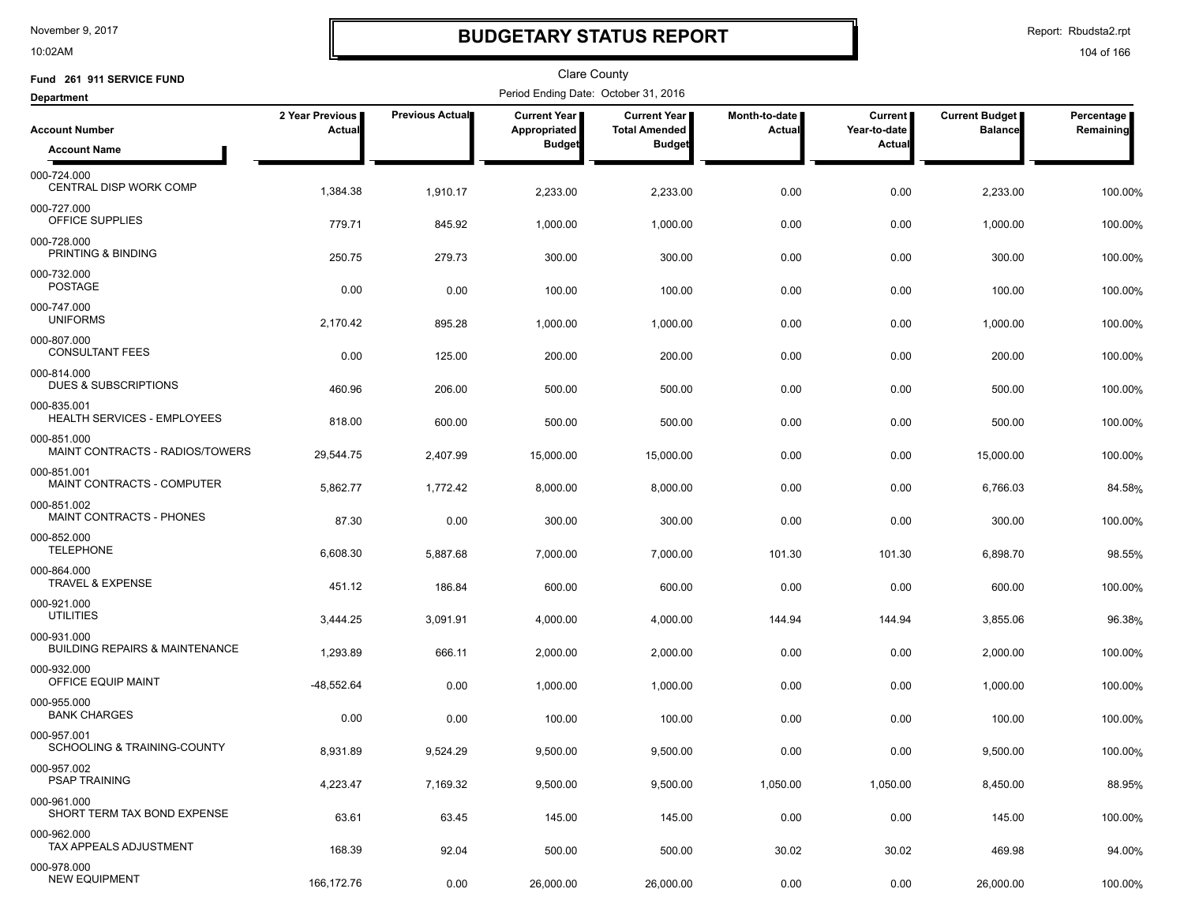10:02AM

# **BUDGETARY STATUS REPORT**

Report: Rbudsta2.rpt

| Fund 261 911 SERVICE FUND                                |                           |                        | <b>Clare County</b>                  |                                      |                         |                                |                                         |                         |
|----------------------------------------------------------|---------------------------|------------------------|--------------------------------------|--------------------------------------|-------------------------|--------------------------------|-----------------------------------------|-------------------------|
| <b>Department</b>                                        |                           |                        | Period Ending Date: October 31, 2016 |                                      |                         |                                |                                         |                         |
| <b>Account Number</b>                                    | 2 Year Previous<br>Actual | <b>Previous Actual</b> | <b>Current Year</b><br>Appropriated  | Current Year<br><b>Total Amended</b> | Month-to-date<br>Actual | <b>Current</b><br>Year-to-date | <b>Current Budget</b><br><b>Balance</b> | Percentage<br>Remaining |
| <b>Account Name</b>                                      |                           |                        | <b>Budget</b>                        | <b>Budget</b>                        |                         | Actual                         |                                         |                         |
| 000-724.000<br>CENTRAL DISP WORK COMP                    | 1,384.38                  | 1,910.17               | 2,233.00                             | 2,233.00                             | 0.00                    | 0.00                           | 2,233.00                                | 100.00%                 |
| 000-727.000<br>OFFICE SUPPLIES                           | 779.71                    | 845.92                 | 1,000.00                             | 1,000.00                             | 0.00                    | 0.00                           | 1,000.00                                | 100.00%                 |
| 000-728.000<br>PRINTING & BINDING                        | 250.75                    | 279.73                 | 300.00                               | 300.00                               | 0.00                    | 0.00                           | 300.00                                  | 100.00%                 |
| 000-732.000<br><b>POSTAGE</b>                            | 0.00                      | 0.00                   | 100.00                               | 100.00                               | 0.00                    | 0.00                           | 100.00                                  | 100.00%                 |
| 000-747.000<br><b>UNIFORMS</b>                           | 2,170.42                  | 895.28                 | 1,000.00                             | 1,000.00                             | 0.00                    | 0.00                           | 1,000.00                                | 100.00%                 |
| 000-807.000<br><b>CONSULTANT FEES</b>                    | 0.00                      | 125.00                 | 200.00                               | 200.00                               | 0.00                    | 0.00                           | 200.00                                  | 100.00%                 |
| 000-814.000<br><b>DUES &amp; SUBSCRIPTIONS</b>           | 460.96                    | 206.00                 | 500.00                               | 500.00                               | 0.00                    | 0.00                           | 500.00                                  | 100.00%                 |
| 000-835.001<br>HEALTH SERVICES - EMPLOYEES               | 818.00                    | 600.00                 | 500.00                               | 500.00                               | 0.00                    | 0.00                           | 500.00                                  | 100.00%                 |
| 000-851.000<br>MAINT CONTRACTS - RADIOS/TOWERS           | 29,544.75                 | 2,407.99               | 15,000.00                            | 15,000.00                            | 0.00                    | 0.00                           | 15,000.00                               | 100.00%                 |
| 000-851.001<br>MAINT CONTRACTS - COMPUTER                | 5,862.77                  | 1,772.42               | 8,000.00                             | 8,000.00                             | 0.00                    | 0.00                           | 6,766.03                                | 84.58%                  |
| 000-851.002<br><b>MAINT CONTRACTS - PHONES</b>           | 87.30                     | 0.00                   | 300.00                               | 300.00                               | 0.00                    | 0.00                           | 300.00                                  | 100.00%                 |
| 000-852.000<br><b>TELEPHONE</b>                          | 6,608.30                  | 5,887.68               | 7,000.00                             | 7,000.00                             | 101.30                  | 101.30                         | 6,898.70                                | 98.55%                  |
| 000-864.000<br><b>TRAVEL &amp; EXPENSE</b>               | 451.12                    | 186.84                 | 600.00                               | 600.00                               | 0.00                    | 0.00                           | 600.00                                  | 100.00%                 |
| 000-921.000<br><b>UTILITIES</b>                          | 3,444.25                  | 3,091.91               | 4,000.00                             | 4,000.00                             | 144.94                  | 144.94                         | 3,855.06                                | 96.38%                  |
| 000-931.000<br><b>BUILDING REPAIRS &amp; MAINTENANCE</b> | 1,293.89                  | 666.11                 | 2,000.00                             | 2,000.00                             | 0.00                    | 0.00                           | 2,000.00                                | 100.00%                 |
| 000-932.000<br>OFFICE EQUIP MAINT                        | $-48,552.64$              | 0.00                   | 1,000.00                             | 1,000.00                             | 0.00                    | 0.00                           | 1,000.00                                | 100.00%                 |
| 000-955.000<br><b>BANK CHARGES</b>                       | 0.00                      | 0.00                   | 100.00                               | 100.00                               | 0.00                    | 0.00                           | 100.00                                  | 100.00%                 |
| 000-957.001<br>SCHOOLING & TRAINING-COUNTY               | 8,931.89                  | 9,524.29               | 9,500.00                             | 9,500.00                             | 0.00                    | 0.00                           | 9,500.00                                | 100.00%                 |
| 000-957.002<br><b>PSAP TRAINING</b>                      | 4,223.47                  | 7,169.32               | 9,500.00                             | 9,500.00                             | 1,050.00                | 1,050.00                       | 8,450.00                                | 88.95%                  |
| 000-961.000<br>SHORT TERM TAX BOND EXPENSE               | 63.61                     | 63.45                  | 145.00                               | 145.00                               | 0.00                    | 0.00                           | 145.00                                  | 100.00%                 |
| 000-962.000<br>TAX APPEALS ADJUSTMENT                    | 168.39                    | 92.04                  | 500.00                               | 500.00                               | 30.02                   | 30.02                          | 469.98                                  | 94.00%                  |
| 000-978.000<br><b>NEW EQUIPMENT</b>                      | 166,172.76                | 0.00                   | 26,000.00                            | 26,000.00                            | 0.00                    | 0.00                           | 26,000.00                               | 100.00%                 |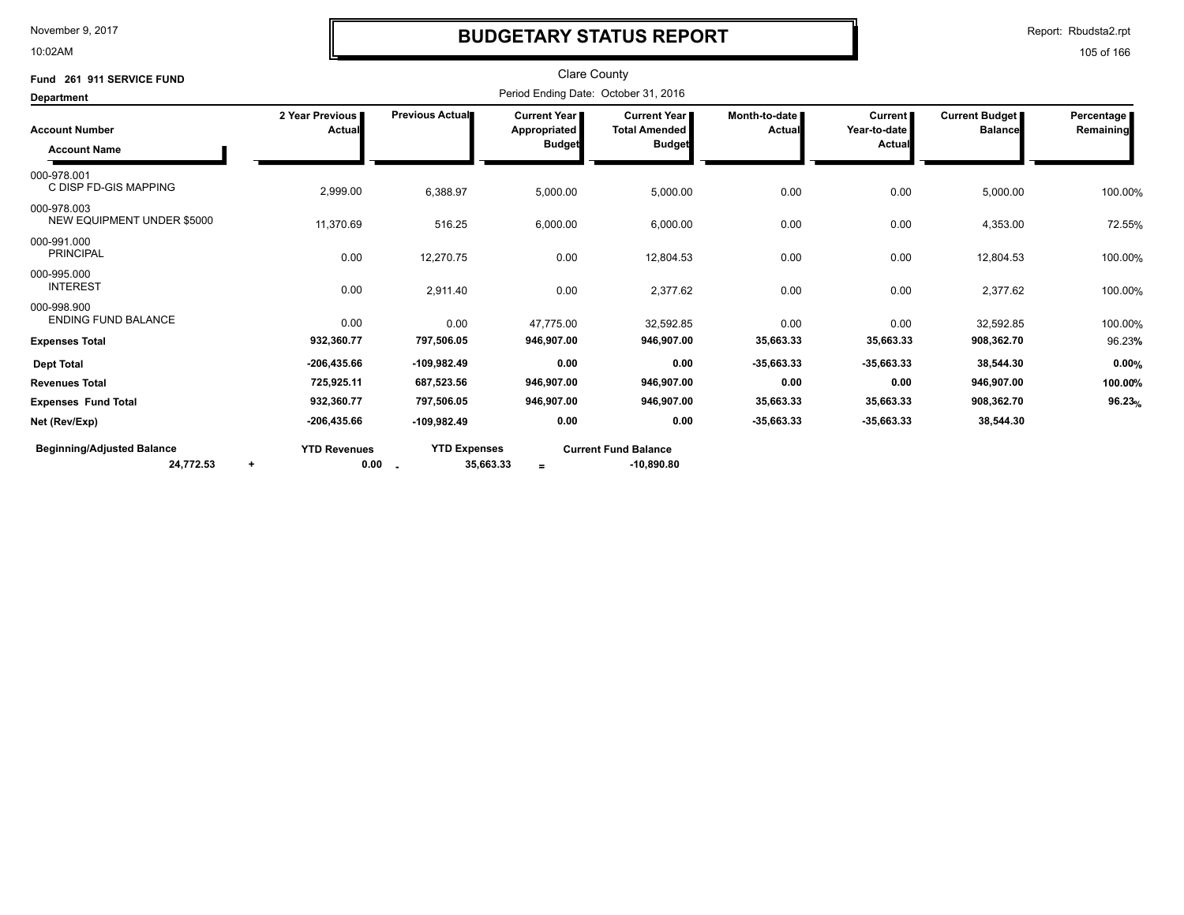10:02AM

## **BUDGETARY STATUS REPORT**

Report: Rbudsta2.rpt

| Fund 261 911 SERVICE FUND                      |                                          |                                  | <b>Clare County</b>                           |                                                                |                         |                                          |                                         |                         |
|------------------------------------------------|------------------------------------------|----------------------------------|-----------------------------------------------|----------------------------------------------------------------|-------------------------|------------------------------------------|-----------------------------------------|-------------------------|
| <b>Department</b>                              |                                          |                                  | Period Ending Date: October 31, 2016          |                                                                |                         |                                          |                                         |                         |
| <b>Account Number</b><br><b>Account Name</b>   | 2 Year Previous<br>Actual                | <b>Previous Actual</b>           | Current Year<br>Appropriated<br><b>Budget</b> | <b>Current Year I</b><br><b>Total Amended</b><br><b>Budget</b> | Month-to-date<br>Actual | <b>Current</b><br>Year-to-date<br>Actual | <b>Current Budget</b><br><b>Balance</b> | Percentage<br>Remaining |
| 000-978.001<br>C DISP FD-GIS MAPPING           | 2,999.00                                 | 6,388.97                         | 5,000.00                                      | 5,000.00                                                       | 0.00                    | 0.00                                     | 5,000.00                                | 100.00%                 |
| 000-978.003<br>NEW EQUIPMENT UNDER \$5000      | 11,370.69                                | 516.25                           | 6,000.00                                      | 6,000.00                                                       | 0.00                    | 0.00                                     | 4,353.00                                | 72.55%                  |
| 000-991.000<br><b>PRINCIPAL</b>                | 0.00                                     | 12,270.75                        | 0.00                                          | 12,804.53                                                      | 0.00                    | 0.00                                     | 12,804.53                               | 100.00%                 |
| 000-995.000<br><b>INTEREST</b>                 | 0.00                                     | 2,911.40                         | 0.00                                          | 2,377.62                                                       | 0.00                    | 0.00                                     | 2,377.62                                | 100.00%                 |
| 000-998.900<br><b>ENDING FUND BALANCE</b>      | 0.00                                     | 0.00                             | 47,775.00                                     | 32,592.85                                                      | 0.00                    | 0.00                                     | 32,592.85                               | 100.00%                 |
| <b>Expenses Total</b>                          | 932,360.77                               | 797,506.05                       | 946,907.00                                    | 946,907.00                                                     | 35,663.33               | 35,663.33                                | 908,362.70                              | 96.23%                  |
| <b>Dept Total</b>                              | $-206, 435.66$                           | $-109,982.49$                    | 0.00                                          | 0.00                                                           | $-35,663.33$            | $-35,663.33$                             | 38,544.30                               | 0.00%                   |
| <b>Revenues Total</b>                          | 725,925.11                               | 687,523.56                       | 946,907.00                                    | 946,907.00                                                     | 0.00                    | 0.00                                     | 946,907.00                              | 100.00%                 |
| <b>Expenses Fund Total</b>                     | 932,360.77                               | 797,506.05                       | 946,907.00                                    | 946,907.00                                                     | 35,663.33               | 35,663.33                                | 908,362.70                              | 96.23%                  |
| Net (Rev/Exp)                                  | $-206, 435.66$                           | $-109,982.49$                    | 0.00                                          | 0.00                                                           | $-35,663.33$            | $-35,663.33$                             | 38,544.30                               |                         |
| <b>Beginning/Adjusted Balance</b><br>24,772.53 | <b>YTD Revenues</b><br>0.00<br>$\ddot{}$ | <b>YTD Expenses</b><br>35,663.33 | $\equiv$                                      | <b>Current Fund Balance</b><br>$-10,890.80$                    |                         |                                          |                                         |                         |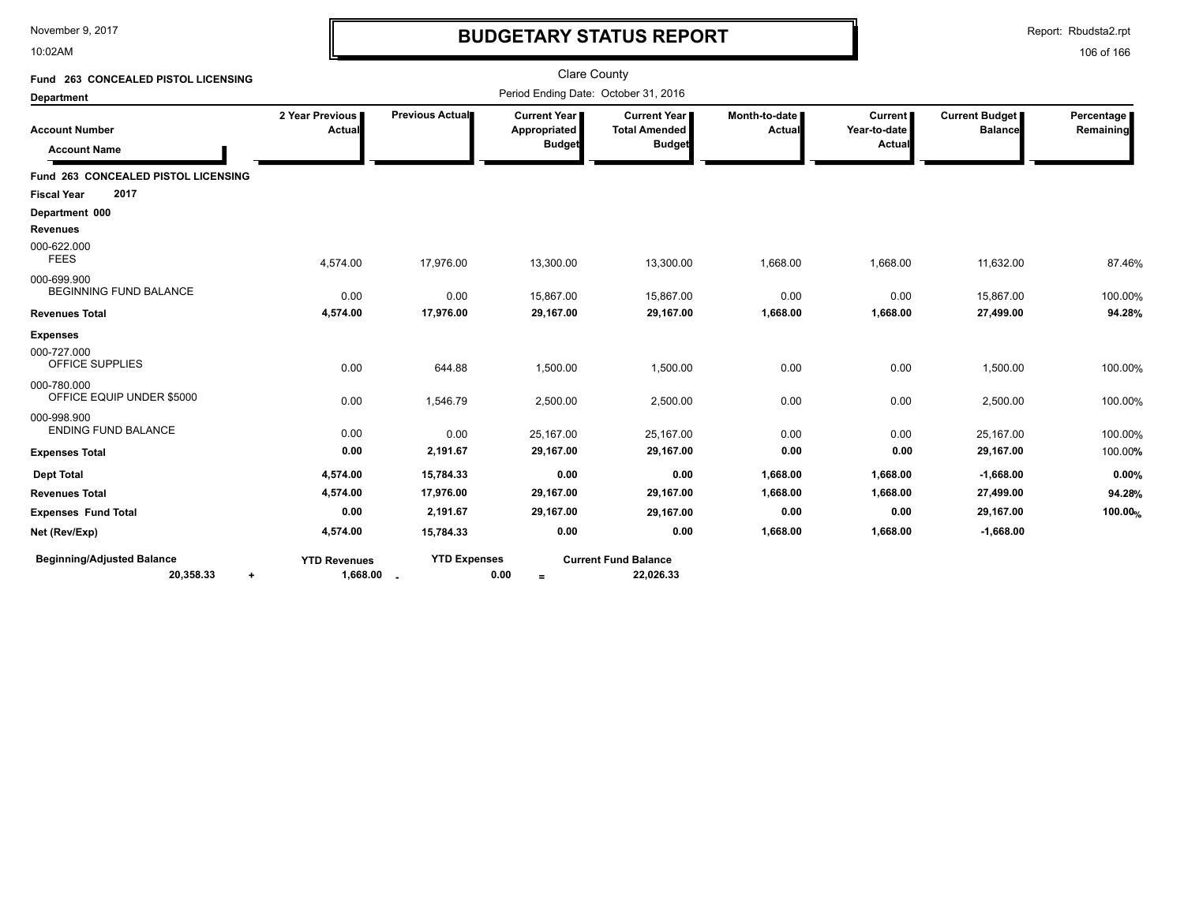10:02AM

# **BUDGETARY STATUS REPORT**

Report: Rbudsta2.rpt

| Fund 263 CONCEALED PISTOL LICENSING                         |                                   |                     | <b>Clare County</b>                           |                                                       |                                  |                                          |                                         |                         |
|-------------------------------------------------------------|-----------------------------------|---------------------|-----------------------------------------------|-------------------------------------------------------|----------------------------------|------------------------------------------|-----------------------------------------|-------------------------|
| <b>Department</b>                                           |                                   |                     | Period Ending Date: October 31, 2016          |                                                       |                                  |                                          |                                         |                         |
| <b>Account Number</b><br><b>Account Name</b>                | 2 Year Previous  <br>Actual       | Previous Actual     | Current Year<br>Appropriated<br><b>Budget</b> | Current Year<br><b>Total Amended</b><br><b>Budget</b> | Month-to-date  <br><b>Actual</b> | <b>Current</b><br>Year-to-date<br>Actual | <b>Current Budget</b><br><b>Balance</b> | Percentage<br>Remaining |
|                                                             |                                   |                     |                                               |                                                       |                                  |                                          |                                         |                         |
| Fund 263 CONCEALED PISTOL LICENSING                         |                                   |                     |                                               |                                                       |                                  |                                          |                                         |                         |
| 2017<br><b>Fiscal Year</b>                                  |                                   |                     |                                               |                                                       |                                  |                                          |                                         |                         |
| Department 000                                              |                                   |                     |                                               |                                                       |                                  |                                          |                                         |                         |
| <b>Revenues</b>                                             |                                   |                     |                                               |                                                       |                                  |                                          |                                         |                         |
| 000-622.000<br><b>FEES</b>                                  | 4,574.00                          | 17,976.00           | 13,300.00                                     | 13,300.00                                             | 1,668.00                         | 1,668.00                                 | 11,632.00                               | 87.46%                  |
| 000-699.900<br><b>BEGINNING FUND BALANCE</b>                | 0.00                              | 0.00                | 15,867.00                                     | 15,867.00                                             | 0.00                             | 0.00                                     | 15,867.00                               | 100.00%                 |
| <b>Revenues Total</b>                                       | 4,574.00                          | 17,976.00           | 29,167.00                                     | 29,167.00                                             | 1,668.00                         | 1,668.00                                 | 27,499.00                               | 94.28%                  |
| <b>Expenses</b>                                             |                                   |                     |                                               |                                                       |                                  |                                          |                                         |                         |
| 000-727.000<br>OFFICE SUPPLIES                              | 0.00                              | 644.88              | 1,500.00                                      | 1,500.00                                              | 0.00                             | 0.00                                     | 1,500.00                                | 100.00%                 |
| 000-780.000<br>OFFICE EQUIP UNDER \$5000                    | 0.00                              | 1,546.79            | 2,500.00                                      | 2,500.00                                              | 0.00                             | 0.00                                     | 2,500.00                                | 100.00%                 |
| 000-998.900<br><b>ENDING FUND BALANCE</b>                   | 0.00                              | 0.00                | 25,167.00                                     | 25,167.00                                             | 0.00                             | 0.00                                     | 25,167.00                               | 100.00%                 |
| <b>Expenses Total</b>                                       | 0.00                              | 2,191.67            | 29,167.00                                     | 29,167.00                                             | 0.00                             | 0.00                                     | 29,167.00                               | 100.00%                 |
| <b>Dept Total</b>                                           | 4,574.00                          | 15,784.33           | 0.00                                          | 0.00                                                  | 1,668.00                         | 1,668.00                                 | $-1,668.00$                             | 0.00%                   |
| <b>Revenues Total</b>                                       | 4,574.00                          | 17,976.00           | 29,167.00                                     | 29,167.00                                             | 1,668.00                         | 1,668.00                                 | 27,499.00                               | 94.28%                  |
| <b>Expenses Fund Total</b>                                  | 0.00                              | 2,191.67            | 29,167.00                                     | 29,167.00                                             | 0.00                             | 0.00                                     | 29,167.00                               | 100.00%                 |
| Net (Rev/Exp)                                               | 4,574.00                          | 15,784.33           | 0.00                                          | 0.00                                                  | 1,668.00                         | 1,668.00                                 | $-1,668.00$                             |                         |
| <b>Beginning/Adjusted Balance</b><br>20,358.33<br>$\ddot{}$ | <b>YTD Revenues</b><br>1,668.00 . | <b>YTD Expenses</b> | 0.00<br>$=$                                   | <b>Current Fund Balance</b><br>22,026.33              |                                  |                                          |                                         |                         |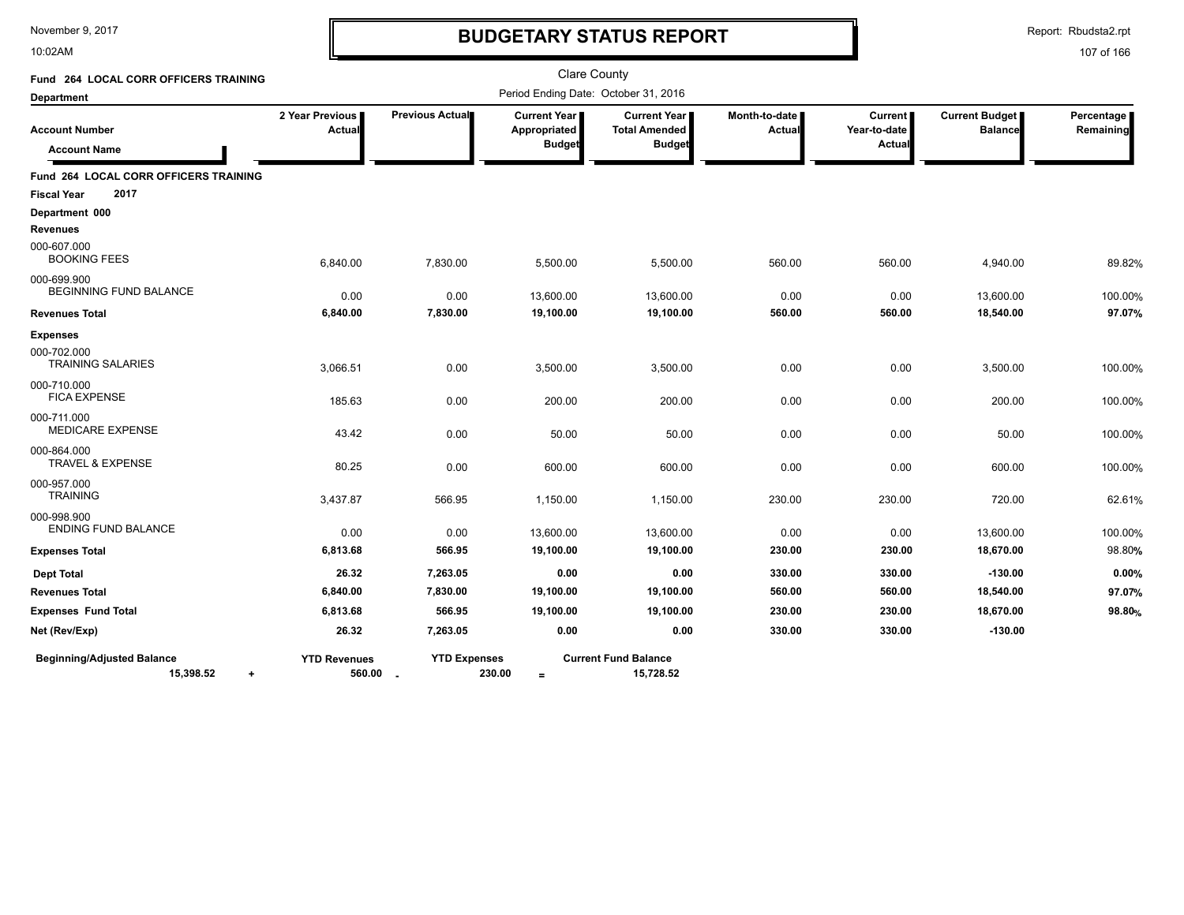10:02AM

# **BUDGETARY STATUS REPORT**

Report: Rbudsta2.rpt

| <b>Fund 264 LOCAL CORR OFFICERS TRAINING</b>                |                                 |                     | Clare County                                         |                                                                |                                |                                          |                                         |                         |
|-------------------------------------------------------------|---------------------------------|---------------------|------------------------------------------------------|----------------------------------------------------------------|--------------------------------|------------------------------------------|-----------------------------------------|-------------------------|
| <b>Department</b>                                           |                                 |                     | Period Ending Date: October 31, 2016                 |                                                                |                                |                                          |                                         |                         |
| <b>Account Number</b><br><b>Account Name</b>                | 2 Year Previous<br>Actual       | Previous Actual     | <b>Current Year</b><br>Appropriated<br><b>Budget</b> | <b>Current Year I</b><br><b>Total Amended</b><br><b>Budget</b> | Month-to-date<br><b>Actual</b> | <b>Current</b><br>Year-to-date<br>Actual | <b>Current Budget</b><br><b>Balance</b> | Percentage<br>Remaining |
| <b>Fund 264 LOCAL CORR OFFICERS TRAINING</b>                |                                 |                     |                                                      |                                                                |                                |                                          |                                         |                         |
| 2017<br><b>Fiscal Year</b>                                  |                                 |                     |                                                      |                                                                |                                |                                          |                                         |                         |
| Department 000<br><b>Revenues</b>                           |                                 |                     |                                                      |                                                                |                                |                                          |                                         |                         |
| 000-607.000<br><b>BOOKING FEES</b>                          | 6,840.00                        | 7,830.00            | 5,500.00                                             | 5,500.00                                                       | 560.00                         | 560.00                                   | 4,940.00                                | 89.82%                  |
| 000-699.900<br><b>BEGINNING FUND BALANCE</b>                | 0.00                            | 0.00                | 13,600.00                                            | 13,600.00                                                      | 0.00                           | 0.00                                     | 13,600.00                               | 100.00%                 |
| <b>Revenues Total</b>                                       | 6,840.00                        | 7,830.00            | 19,100.00                                            | 19,100.00                                                      | 560.00                         | 560.00                                   | 18,540.00                               | 97.07%                  |
| <b>Expenses</b>                                             |                                 |                     |                                                      |                                                                |                                |                                          |                                         |                         |
| 000-702.000<br><b>TRAINING SALARIES</b>                     | 3,066.51                        | 0.00                | 3,500.00                                             | 3,500.00                                                       | 0.00                           | 0.00                                     | 3,500.00                                | 100.00%                 |
| 000-710.000<br><b>FICA EXPENSE</b>                          | 185.63                          | 0.00                | 200.00                                               | 200.00                                                         | 0.00                           | 0.00                                     | 200.00                                  | 100.00%                 |
| 000-711.000<br><b>MEDICARE EXPENSE</b>                      | 43.42                           | 0.00                | 50.00                                                | 50.00                                                          | 0.00                           | 0.00                                     | 50.00                                   | 100.00%                 |
| 000-864.000<br><b>TRAVEL &amp; EXPENSE</b>                  | 80.25                           | 0.00                | 600.00                                               | 600.00                                                         | 0.00                           | 0.00                                     | 600.00                                  | 100.00%                 |
| 000-957.000<br><b>TRAINING</b>                              | 3,437.87                        | 566.95              | 1,150.00                                             | 1,150.00                                                       | 230.00                         | 230.00                                   | 720.00                                  | 62.61%                  |
| 000-998.900<br><b>ENDING FUND BALANCE</b>                   | 0.00                            | 0.00                | 13,600.00                                            | 13,600.00                                                      | 0.00                           | 0.00                                     | 13,600.00                               | 100.00%                 |
| <b>Expenses Total</b>                                       | 6,813.68                        | 566.95              | 19,100.00                                            | 19,100.00                                                      | 230.00                         | 230.00                                   | 18,670.00                               | 98.80%                  |
| <b>Dept Total</b>                                           | 26.32                           | 7,263.05            | 0.00                                                 | 0.00                                                           | 330.00                         | 330.00                                   | $-130.00$                               | 0.00%                   |
| <b>Revenues Total</b>                                       | 6,840.00                        | 7,830.00            | 19,100.00                                            | 19,100.00                                                      | 560.00                         | 560.00                                   | 18,540.00                               | 97.07%                  |
| <b>Expenses Fund Total</b>                                  | 6,813.68                        | 566.95              | 19,100.00                                            | 19,100.00                                                      | 230.00                         | 230.00                                   | 18,670.00                               | 98.80 <sub>%</sub>      |
| Net (Rev/Exp)                                               | 26.32                           | 7,263.05            | 0.00                                                 | 0.00                                                           | 330.00                         | 330.00                                   | $-130.00$                               |                         |
| <b>Beginning/Adjusted Balance</b><br>15,398.52<br>$\ddot{}$ | <b>YTD Revenues</b><br>560.00 - | <b>YTD Expenses</b> | 230.00<br>$=$                                        | <b>Current Fund Balance</b><br>15,728.52                       |                                |                                          |                                         |                         |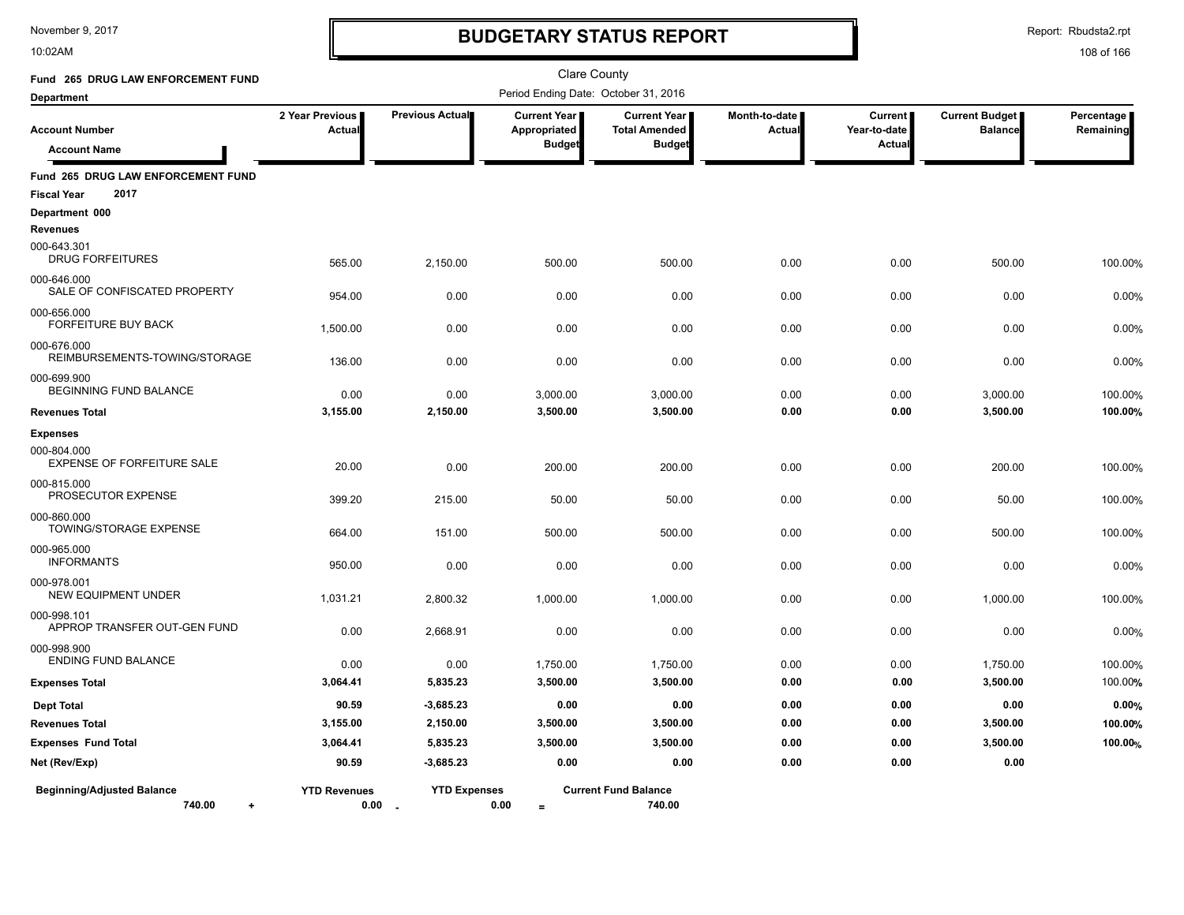10:02AM

# **BUDGETARY STATUS REPORT**

Report: Rbudsta2.rpt

| Fund 265 DRUG LAW ENFORCEMENT FUND                               |                           |                                             | <b>Clare County</b>                                    |                                                              |                         |                                          |                                         |                         |  |  |
|------------------------------------------------------------------|---------------------------|---------------------------------------------|--------------------------------------------------------|--------------------------------------------------------------|-------------------------|------------------------------------------|-----------------------------------------|-------------------------|--|--|
| <b>Department</b>                                                |                           |                                             | Period Ending Date: October 31, 2016                   |                                                              |                         |                                          |                                         |                         |  |  |
| <b>Account Number</b><br><b>Account Name</b>                     | 2 Year Previous<br>Actual | Previous Actual                             | <b>Current Year I</b><br>Appropriated<br><b>Budget</b> | <b>Current Year</b><br><b>Total Amended</b><br><b>Budget</b> | Month-to-date<br>Actual | <b>Current</b><br>Year-to-date<br>Actual | <b>Current Budget</b><br><b>Balance</b> | Percentage<br>Remaining |  |  |
| Fund 265 DRUG LAW ENFORCEMENT FUND<br>2017<br><b>Fiscal Year</b> |                           |                                             |                                                        |                                                              |                         |                                          |                                         |                         |  |  |
| Department 000                                                   |                           |                                             |                                                        |                                                              |                         |                                          |                                         |                         |  |  |
| <b>Revenues</b>                                                  |                           |                                             |                                                        |                                                              |                         |                                          |                                         |                         |  |  |
| 000-643.301<br><b>DRUG FORFEITURES</b>                           | 565.00                    | 2,150.00                                    | 500.00                                                 | 500.00                                                       | 0.00                    | 0.00                                     | 500.00                                  | 100.00%                 |  |  |
| 000-646.000<br>SALE OF CONFISCATED PROPERTY                      | 954.00                    | 0.00                                        | 0.00                                                   | 0.00                                                         | 0.00                    | 0.00                                     | 0.00                                    | 0.00%                   |  |  |
| 000-656.000<br><b>FORFEITURE BUY BACK</b>                        | 1,500.00                  | 0.00                                        | 0.00                                                   | 0.00                                                         | 0.00                    | 0.00                                     | 0.00                                    | 0.00%                   |  |  |
| 000-676.000<br>REIMBURSEMENTS-TOWING/STORAGE                     | 136.00                    | 0.00                                        | 0.00                                                   | 0.00                                                         | 0.00                    | 0.00                                     | 0.00                                    | 0.00%                   |  |  |
| 000-699.900<br>BEGINNING FUND BALANCE                            | 0.00                      | 0.00                                        | 3,000.00                                               | 3,000.00                                                     | 0.00                    | 0.00                                     | 3,000.00                                | 100.00%                 |  |  |
| <b>Revenues Total</b>                                            | 3,155.00                  | 2,150.00                                    | 3,500.00                                               | 3,500.00                                                     | 0.00                    | 0.00                                     | 3,500.00                                | 100.00%                 |  |  |
| <b>Expenses</b>                                                  |                           |                                             |                                                        |                                                              |                         |                                          |                                         |                         |  |  |
| 000-804.000<br><b>EXPENSE OF FORFEITURE SALE</b>                 | 20.00                     | 0.00                                        | 200.00                                                 | 200.00                                                       | 0.00                    | 0.00                                     | 200.00                                  | 100.00%                 |  |  |
| 000-815.000<br>PROSECUTOR EXPENSE                                | 399.20                    | 215.00                                      | 50.00                                                  | 50.00                                                        | 0.00                    | 0.00                                     | 50.00                                   | 100.00%                 |  |  |
| 000-860.000<br>TOWING/STORAGE EXPENSE                            | 664.00                    | 151.00                                      | 500.00                                                 | 500.00                                                       | 0.00                    | 0.00                                     | 500.00                                  | 100.00%                 |  |  |
| 000-965.000<br><b>INFORMANTS</b>                                 | 950.00                    | 0.00                                        | 0.00                                                   | 0.00                                                         | 0.00                    | 0.00                                     | 0.00                                    | 0.00%                   |  |  |
| 000-978.001<br>NEW EQUIPMENT UNDER                               | 1,031.21                  | 2,800.32                                    | 1,000.00                                               | 1,000.00                                                     | 0.00                    | 0.00                                     | 1,000.00                                | 100.00%                 |  |  |
| 000-998.101<br>APPROP TRANSFER OUT-GEN FUND                      | 0.00                      | 2,668.91                                    | 0.00                                                   | 0.00                                                         | 0.00                    | 0.00                                     | 0.00                                    | 0.00%                   |  |  |
| 000-998.900<br><b>ENDING FUND BALANCE</b>                        | 0.00                      | 0.00                                        | 1,750.00                                               | 1,750.00                                                     | 0.00                    | 0.00                                     | 1,750.00                                | 100.00%                 |  |  |
| <b>Expenses Total</b>                                            | 3,064.41                  | 5,835.23                                    | 3,500.00                                               | 3,500.00                                                     | 0.00                    | 0.00                                     | 3,500.00                                | 100.00%                 |  |  |
| <b>Dept Total</b>                                                | 90.59                     | $-3,685.23$                                 | 0.00                                                   | 0.00                                                         | 0.00                    | 0.00                                     | 0.00                                    | 0.00%                   |  |  |
| <b>Revenues Total</b>                                            | 3,155.00                  | 2,150.00                                    | 3,500.00                                               | 3,500.00                                                     | 0.00                    | 0.00                                     | 3,500.00                                | 100.00%                 |  |  |
| <b>Expenses Fund Total</b>                                       | 3,064.41                  | 5,835.23                                    | 3,500.00                                               | 3,500.00                                                     | 0.00                    | 0.00                                     | 3,500.00                                | 100.00%                 |  |  |
| Net (Rev/Exp)                                                    | 90.59                     | $-3,685.23$                                 | 0.00                                                   | 0.00                                                         | 0.00                    | 0.00                                     | 0.00                                    |                         |  |  |
| <b>Beginning/Adjusted Balance</b><br>740.00<br>$\ddot{}$         | <b>YTD Revenues</b>       | <b>YTD Expenses</b><br>$0.00$ $\phantom{0}$ | 0.00<br>$\equiv$                                       | <b>Current Fund Balance</b><br>740.00                        |                         |                                          |                                         |                         |  |  |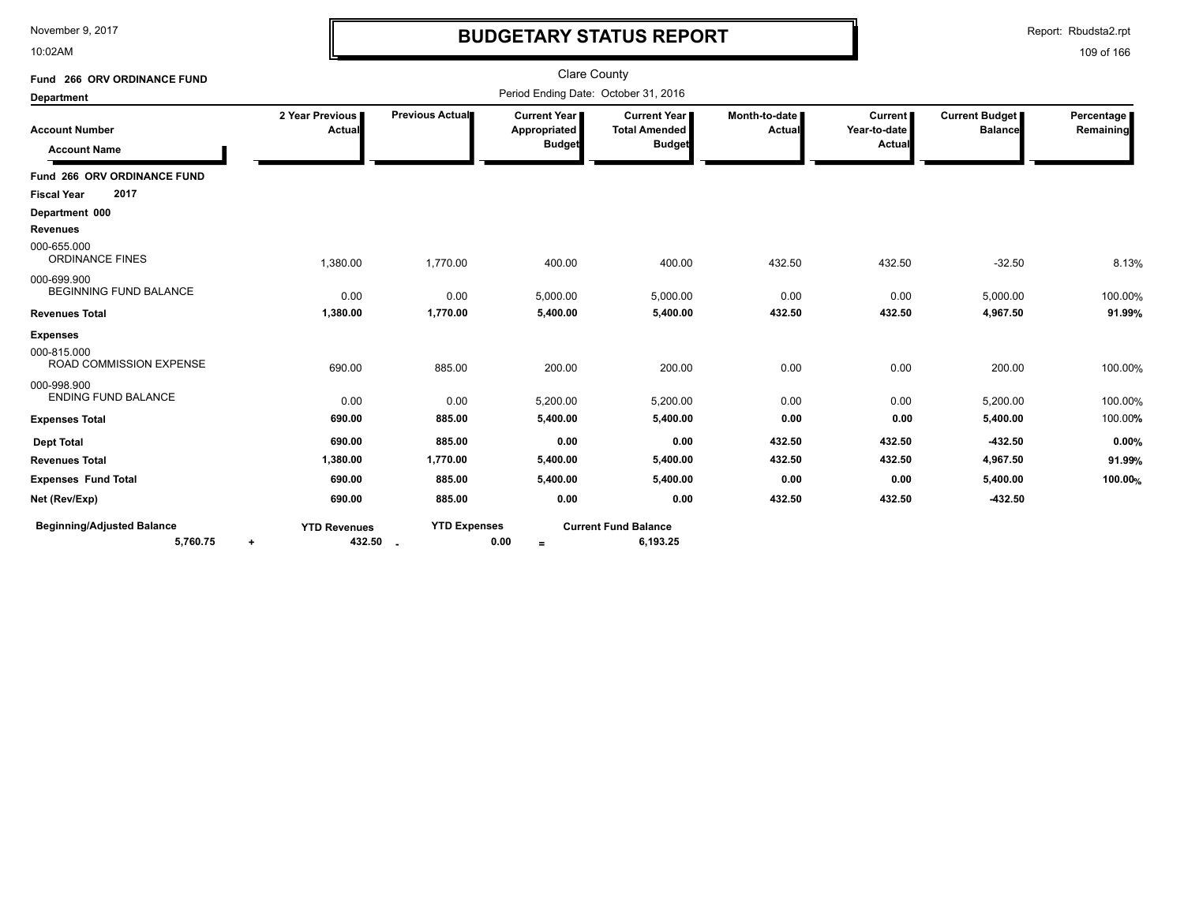10:02AM

# **BUDGETARY STATUS REPORT**

Report: Rbudsta2.rpt

| Fund 266 ORV ORDINANCE FUND                   |                                    |                     | <b>Clare County</b>                                    |                                                       |                                |                                     |                                  |                         |
|-----------------------------------------------|------------------------------------|---------------------|--------------------------------------------------------|-------------------------------------------------------|--------------------------------|-------------------------------------|----------------------------------|-------------------------|
| <b>Department</b>                             |                                    |                     | Period Ending Date: October 31, 2016                   |                                                       |                                |                                     |                                  |                         |
| <b>Account Number</b><br><b>Account Name</b>  | 2 Year Previous<br>Actual          | Previous Actual     | <b>Current Year I</b><br>Appropriated<br><b>Budget</b> | Current Year<br><b>Total Amended</b><br><b>Budget</b> | Month-to-date<br><b>Actual</b> | Current  <br>Year-to-date<br>Actual | Current Budget<br><b>Balance</b> | Percentage<br>Remaining |
| Fund 266 ORV ORDINANCE FUND                   |                                    |                     |                                                        |                                                       |                                |                                     |                                  |                         |
| 2017<br><b>Fiscal Year</b>                    |                                    |                     |                                                        |                                                       |                                |                                     |                                  |                         |
| Department 000                                |                                    |                     |                                                        |                                                       |                                |                                     |                                  |                         |
| <b>Revenues</b>                               |                                    |                     |                                                        |                                                       |                                |                                     |                                  |                         |
| 000-655.000<br><b>ORDINANCE FINES</b>         | 1,380.00                           | 1,770.00            | 400.00                                                 | 400.00                                                | 432.50                         | 432.50                              | $-32.50$                         | 8.13%                   |
| 000-699.900<br><b>BEGINNING FUND BALANCE</b>  | 0.00                               | 0.00                | 5,000.00                                               | 5,000.00                                              | 0.00                           | 0.00                                | 5,000.00                         | 100.00%                 |
| <b>Revenues Total</b>                         | 1,380.00                           | 1,770.00            | 5,400.00                                               | 5,400.00                                              | 432.50                         | 432.50                              | 4,967.50                         | 91.99%                  |
| <b>Expenses</b>                               |                                    |                     |                                                        |                                                       |                                |                                     |                                  |                         |
| 000-815.000<br>ROAD COMMISSION EXPENSE        | 690.00                             | 885.00              | 200.00                                                 | 200.00                                                | 0.00                           | 0.00                                | 200.00                           | 100.00%                 |
| 000-998.900<br><b>ENDING FUND BALANCE</b>     | 0.00                               | 0.00                | 5,200.00                                               | 5,200.00                                              | 0.00                           | 0.00                                | 5,200.00                         | 100.00%                 |
| <b>Expenses Total</b>                         | 690.00                             | 885.00              | 5,400.00                                               | 5,400.00                                              | 0.00                           | 0.00                                | 5,400.00                         | 100.00%                 |
| <b>Dept Total</b>                             | 690.00                             | 885.00              | 0.00                                                   | 0.00                                                  | 432.50                         | 432.50                              | $-432.50$                        | 0.00%                   |
| <b>Revenues Total</b>                         | 1,380.00                           | 1,770.00            | 5,400.00                                               | 5,400.00                                              | 432.50                         | 432.50                              | 4,967.50                         | 91.99%                  |
| <b>Expenses Fund Total</b>                    | 690.00                             | 885.00              | 5,400.00                                               | 5,400.00                                              | 0.00                           | 0.00                                | 5,400.00                         | 100.00%                 |
| Net (Rev/Exp)                                 | 690.00                             | 885.00              | 0.00                                                   | 0.00                                                  | 432.50                         | 432.50                              | $-432.50$                        |                         |
| <b>Beginning/Adjusted Balance</b><br>5,760.75 | <b>YTD Revenues</b><br>432.50<br>۰ | <b>YTD Expenses</b> | 0.00<br>$=$                                            | <b>Current Fund Balance</b><br>6,193.25               |                                |                                     |                                  |                         |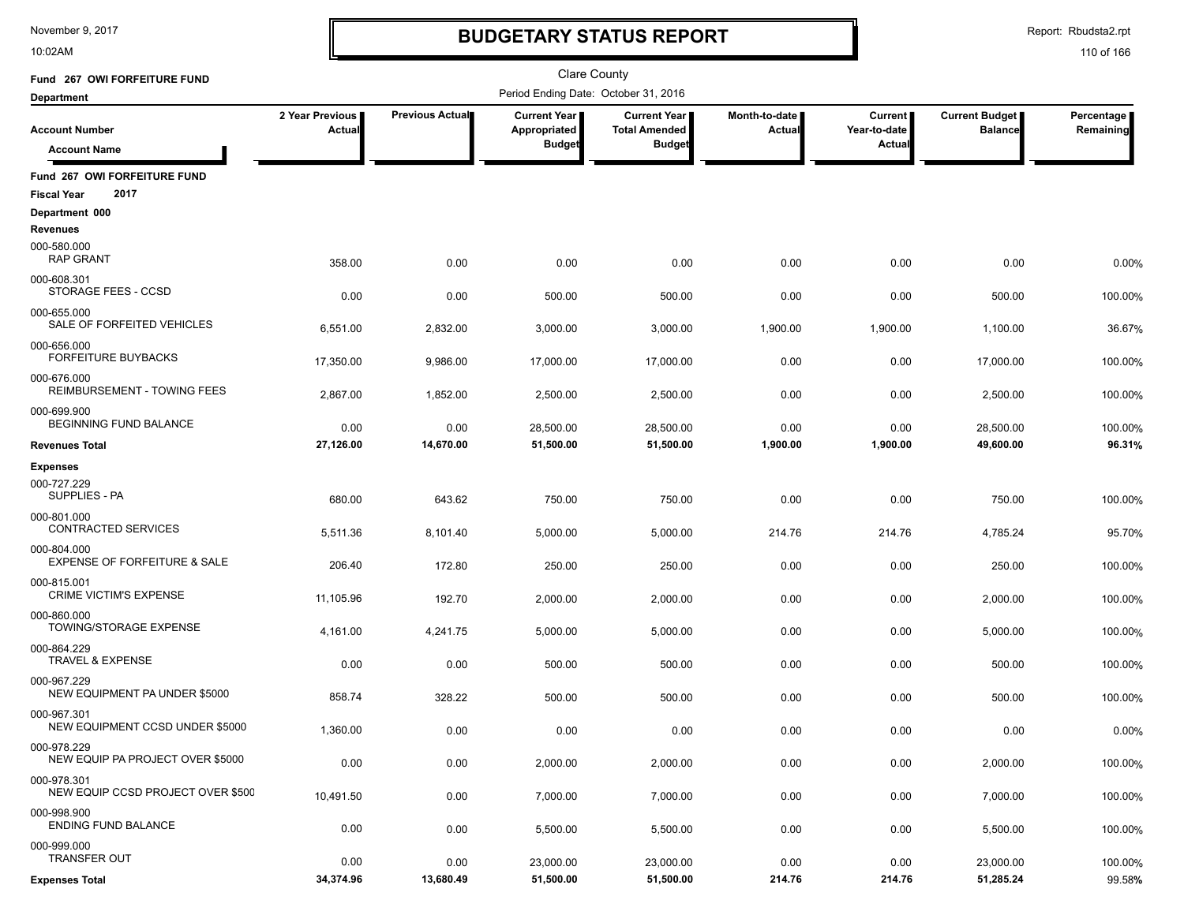10:02AM

# **BUDGETARY STATUS REPORT**

Report: Rbudsta2.rpt

| Fund 267 OWI FORFEITURE FUND                               |                           |                        | <b>Clare County</b>                                    |                                                              |                                |                                   |                                  |                         |
|------------------------------------------------------------|---------------------------|------------------------|--------------------------------------------------------|--------------------------------------------------------------|--------------------------------|-----------------------------------|----------------------------------|-------------------------|
| <b>Department</b>                                          |                           |                        | Period Ending Date: October 31, 2016                   |                                                              |                                |                                   |                                  |                         |
| <b>Account Number</b>                                      | 2 Year Previous<br>Actual | <b>Previous Actual</b> | <b>Current Year I</b><br>Appropriated<br><b>Budget</b> | <b>Current Year</b><br><b>Total Amended</b><br><b>Budget</b> | Month-to-date<br><b>Actual</b> | Current<br>Year-to-date<br>Actual | Current Budget<br><b>Balance</b> | Percentage<br>Remaining |
| <b>Account Name</b>                                        |                           |                        |                                                        |                                                              |                                |                                   |                                  |                         |
| Fund 267 OWI FORFEITURE FUND<br>2017<br><b>Fiscal Year</b> |                           |                        |                                                        |                                                              |                                |                                   |                                  |                         |
| Department 000                                             |                           |                        |                                                        |                                                              |                                |                                   |                                  |                         |
| Revenues                                                   |                           |                        |                                                        |                                                              |                                |                                   |                                  |                         |
| 000-580.000<br><b>RAP GRANT</b>                            | 358.00                    | 0.00                   | 0.00                                                   | 0.00                                                         | 0.00                           | 0.00                              | 0.00                             | 0.00%                   |
| 000-608.301<br>STORAGE FEES - CCSD                         | 0.00                      | 0.00                   | 500.00                                                 | 500.00                                                       | 0.00                           | 0.00                              | 500.00                           | 100.00%                 |
| 000-655.000<br>SALE OF FORFEITED VEHICLES                  | 6,551.00                  | 2,832.00               | 3,000.00                                               | 3,000.00                                                     | 1,900.00                       | 1,900.00                          | 1,100.00                         | 36.67%                  |
| 000-656.000<br><b>FORFEITURE BUYBACKS</b>                  | 17,350.00                 | 9,986.00               | 17,000.00                                              | 17,000.00                                                    | 0.00                           | 0.00                              | 17,000.00                        | 100.00%                 |
| 000-676.000<br>REIMBURSEMENT - TOWING FEES                 | 2,867.00                  | 1,852.00               | 2,500.00                                               | 2,500.00                                                     | 0.00                           | 0.00                              | 2,500.00                         | 100.00%                 |
| 000-699.900<br>BEGINNING FUND BALANCE                      | 0.00                      | 0.00                   | 28,500.00                                              | 28,500.00                                                    | 0.00                           | 0.00                              | 28,500.00                        | 100.00%                 |
| <b>Revenues Total</b>                                      | 27,126.00                 | 14,670.00              | 51,500.00                                              | 51,500.00                                                    | 1,900.00                       | 1,900.00                          | 49,600.00                        | 96.31%                  |
| <b>Expenses</b>                                            |                           |                        |                                                        |                                                              |                                |                                   |                                  |                         |
| 000-727.229<br>SUPPLIES - PA                               | 680.00                    | 643.62                 | 750.00                                                 | 750.00                                                       | 0.00                           | 0.00                              | 750.00                           | 100.00%                 |
| 000-801.000<br>CONTRACTED SERVICES                         | 5,511.36                  | 8,101.40               | 5,000.00                                               | 5,000.00                                                     | 214.76                         | 214.76                            | 4,785.24                         | 95.70%                  |
| 000-804.000<br><b>EXPENSE OF FORFEITURE &amp; SALE</b>     | 206.40                    | 172.80                 | 250.00                                                 | 250.00                                                       | 0.00                           | 0.00                              | 250.00                           | 100.00%                 |
| 000-815.001<br><b>CRIME VICTIM'S EXPENSE</b>               | 11,105.96                 | 192.70                 | 2,000.00                                               | 2,000.00                                                     | 0.00                           | 0.00                              | 2,000.00                         | 100.00%                 |
| 000-860.000<br>TOWING/STORAGE EXPENSE                      | 4,161.00                  | 4,241.75               | 5,000.00                                               | 5,000.00                                                     | 0.00                           | 0.00                              | 5,000.00                         | 100.00%                 |
| 000-864.229<br><b>TRAVEL &amp; EXPENSE</b>                 | 0.00                      | 0.00                   | 500.00                                                 | 500.00                                                       | 0.00                           | 0.00                              | 500.00                           | 100.00%                 |
| 000-967.229<br>NEW EQUIPMENT PA UNDER \$5000               | 858.74                    | 328.22                 | 500.00                                                 | 500.00                                                       | 0.00                           | 0.00                              | 500.00                           | 100.00%                 |
| 000-967.301<br>NEW EQUIPMENT CCSD UNDER \$5000             | 1,360.00                  | 0.00                   | 0.00                                                   | 0.00                                                         | 0.00                           | 0.00                              | 0.00                             | 0.00%                   |
| 000-978.229<br>NEW EQUIP PA PROJECT OVER \$5000            | 0.00                      | 0.00                   | 2,000.00                                               | 2,000.00                                                     | 0.00                           | 0.00                              | 2,000.00                         | 100.00%                 |
| 000-978.301<br>NEW EQUIP CCSD PROJECT OVER \$500           | 10,491.50                 | 0.00                   | 7,000.00                                               | 7,000.00                                                     | 0.00                           | 0.00                              | 7,000.00                         | 100.00%                 |
| 000-998.900<br><b>ENDING FUND BALANCE</b>                  | 0.00                      | 0.00                   | 5,500.00                                               | 5,500.00                                                     | 0.00                           | 0.00                              | 5,500.00                         | 100.00%                 |
| 000-999.000<br><b>TRANSFER OUT</b>                         | 0.00                      | 0.00                   | 23,000.00                                              | 23,000.00                                                    | 0.00                           | 0.00                              | 23,000.00                        | 100.00%                 |
| <b>Expenses Total</b>                                      | 34,374.96                 | 13,680.49              | 51,500.00                                              | 51,500.00                                                    | 214.76                         | 214.76                            | 51,285.24                        | 99.58%                  |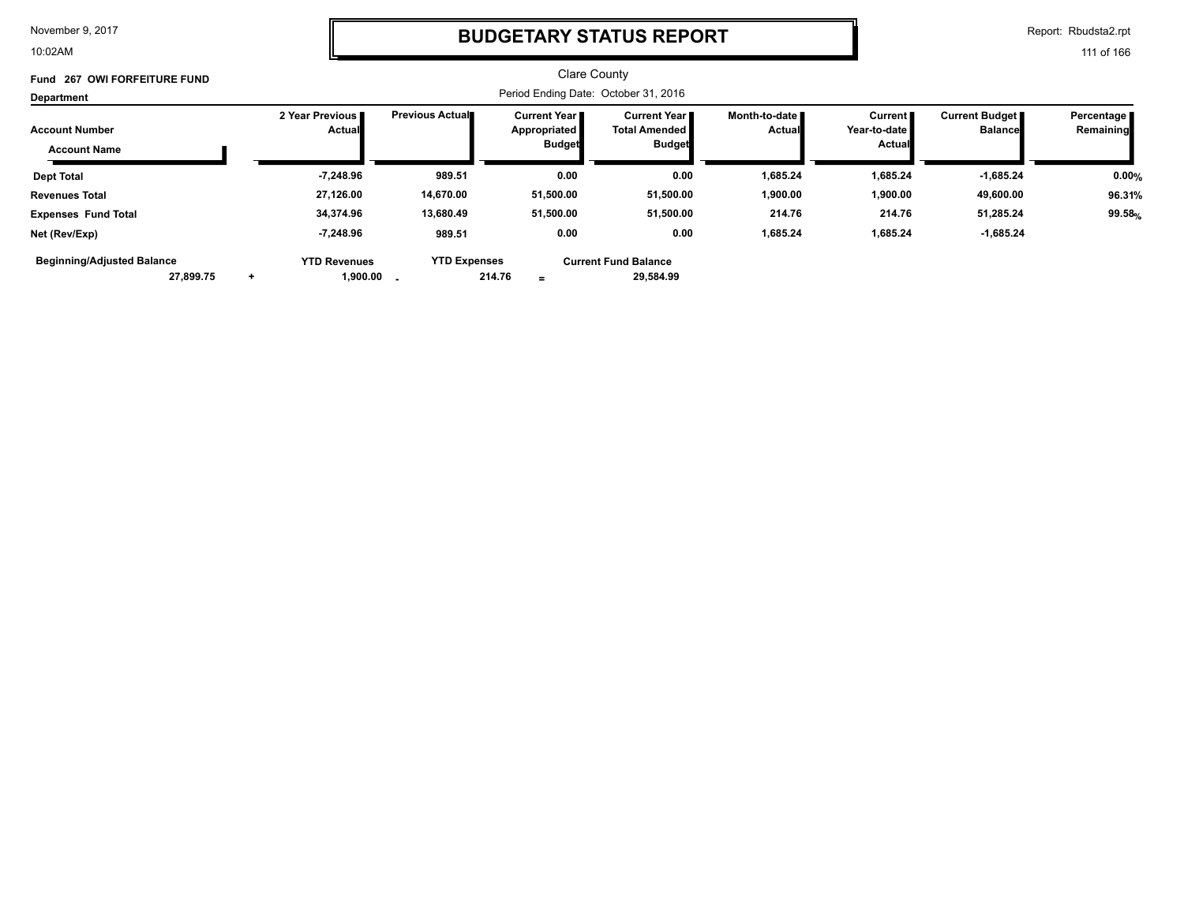10:02AM

### **BUDGETARY STATUS REPORT**

Report: Rbudsta2.rpt

| Fund 267 OWI FORFEITURE FUND<br>Department   |           |                                                 |                        |                                                               |                                                                |                                  |                                            |                                           |                           |
|----------------------------------------------|-----------|-------------------------------------------------|------------------------|---------------------------------------------------------------|----------------------------------------------------------------|----------------------------------|--------------------------------------------|-------------------------------------------|---------------------------|
| <b>Account Number</b><br><b>Account Name</b> |           | 2 Year Previous I<br><b>Actual</b>              | <b>Previous Actual</b> | <b>Current Year I</b><br><b>Appropriated</b><br><b>Budget</b> | <b>Current Year</b> ■<br><b>Total Amended</b><br><b>Budget</b> | Month-to-date ■<br><b>Actual</b> | Current  <br>Year-to-date<br><b>Actual</b> | <b>Current Budget</b> ■<br><b>Balance</b> | Percentage I<br>Remaining |
| <b>Dept Total</b>                            |           | $-7,248.96$                                     | 989.51                 | 0.00                                                          | 0.00                                                           | 1,685.24                         | 1,685.24                                   | -1,685.24                                 | 0.00%                     |
| <b>Revenues Total</b>                        |           | 27,126.00                                       | 14,670.00              | 51,500.00                                                     | 51,500.00                                                      | 1,900.00                         | 1,900.00                                   | 49,600.00                                 | 96.31%                    |
| <b>Expenses Fund Total</b>                   |           | 34,374.96                                       | 13,680.49              | 51,500.00                                                     | 51,500.00                                                      | 214.76                           | 214.76                                     | 51,285.24                                 | 99.58%                    |
| Net (Rev/Exp)                                |           | -7,248.96                                       | 989.51                 | 0.00                                                          | 0.00                                                           | 1,685.24                         | 1,685.24                                   | $-1,685.24$                               |                           |
| <b>Beginning/Adjusted Balance</b>            | 27,899.75 | <b>YTD Revenues</b><br>$1,900.00$ $\phantom{0}$ | <b>YTD Expenses</b>    | 214.76<br>$\equiv$                                            | <b>Current Fund Balance</b><br>29,584.99                       |                                  |                                            |                                           |                           |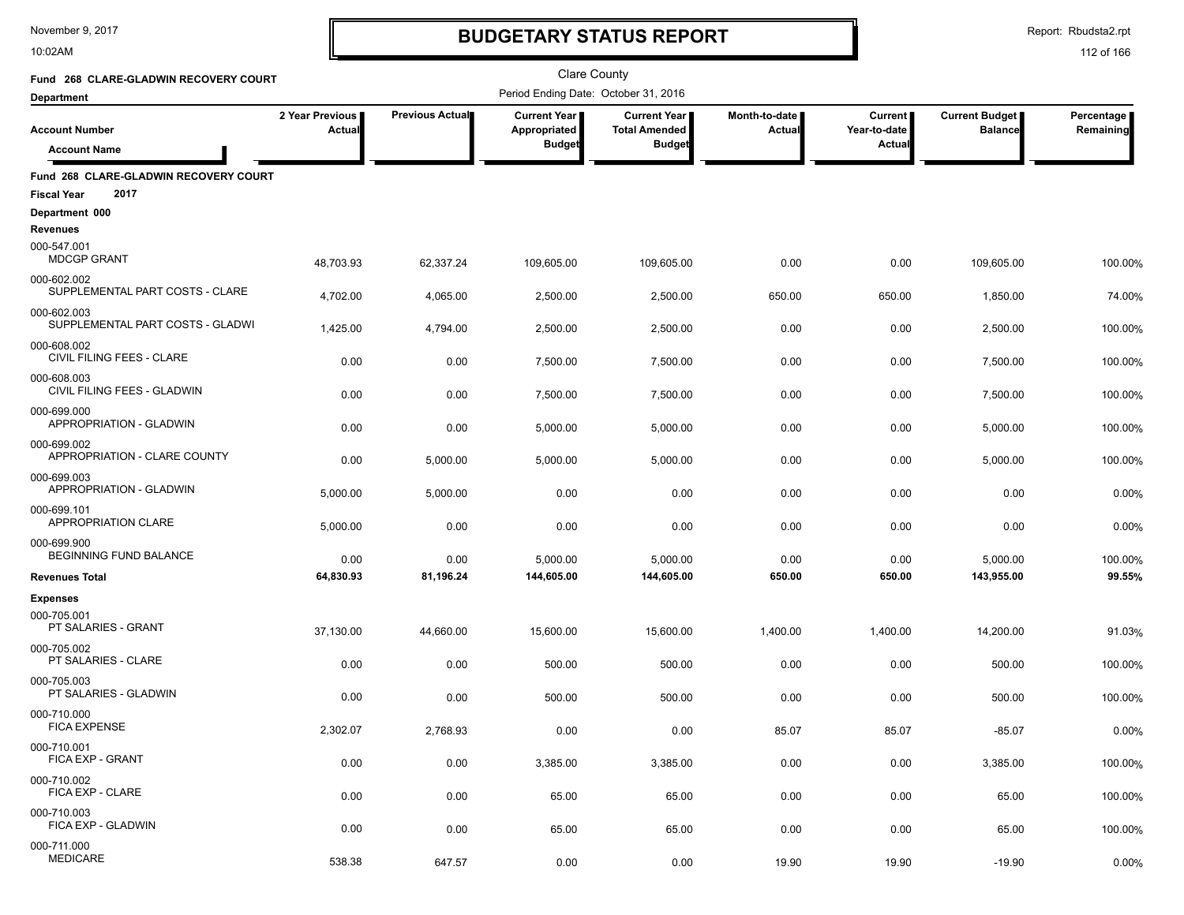10:02AM

# **BUDGETARY STATUS REPORT**

Report: Rbudsta2.rpt

| Fund 268 CLARE-GLADWIN RECOVERY COURT                               |                                  |                        | <b>Clare County</b>                                  |                                                                |                         |                                          |                                  |                         |
|---------------------------------------------------------------------|----------------------------------|------------------------|------------------------------------------------------|----------------------------------------------------------------|-------------------------|------------------------------------------|----------------------------------|-------------------------|
| <b>Department</b>                                                   |                                  |                        | Period Ending Date: October 31, 2016                 |                                                                |                         |                                          |                                  |                         |
| <b>Account Number</b>                                               | 2 Year Previous<br><b>Actual</b> | <b>Previous Actual</b> | <b>Current Year</b><br>Appropriated<br><b>Budget</b> | <b>Current Year I</b><br><b>Total Amended</b><br><b>Budget</b> | Month-to-date<br>Actual | <b>Current</b><br>Year-to-date<br>Actual | Current Budget<br><b>Balance</b> | Percentage<br>Remaining |
| <b>Account Name</b>                                                 |                                  |                        |                                                      |                                                                |                         |                                          |                                  |                         |
| Fund 268 CLARE-GLADWIN RECOVERY COURT<br>2017<br><b>Fiscal Year</b> |                                  |                        |                                                      |                                                                |                         |                                          |                                  |                         |
| Department 000                                                      |                                  |                        |                                                      |                                                                |                         |                                          |                                  |                         |
| <b>Revenues</b>                                                     |                                  |                        |                                                      |                                                                |                         |                                          |                                  |                         |
| 000-547.001<br><b>MDCGP GRANT</b>                                   | 48,703.93                        | 62,337.24              | 109,605.00                                           | 109,605.00                                                     | 0.00                    | 0.00                                     | 109,605.00                       | 100.00%                 |
| 000-602.002<br>SUPPLEMENTAL PART COSTS - CLARE                      | 4,702.00                         | 4,065.00               | 2,500.00                                             | 2,500.00                                                       | 650.00                  | 650.00                                   | 1,850.00                         | 74.00%                  |
| 000-602.003<br>SUPPLEMENTAL PART COSTS - GLADWI                     | 1,425.00                         | 4,794.00               | 2,500.00                                             | 2,500.00                                                       | 0.00                    | 0.00                                     | 2,500.00                         | 100.00%                 |
| 000-608.002<br>CIVIL FILING FEES - CLARE                            | 0.00                             | 0.00                   | 7,500.00                                             | 7,500.00                                                       | 0.00                    | 0.00                                     | 7,500.00                         | 100.00%                 |
| 000-608.003<br>CIVIL FILING FEES - GLADWIN                          | 0.00                             | 0.00                   | 7,500.00                                             | 7,500.00                                                       | 0.00                    | 0.00                                     | 7,500.00                         | 100.00%                 |
| 000-699.000<br>APPROPRIATION - GLADWIN                              | 0.00                             | 0.00                   | 5,000.00                                             | 5,000.00                                                       | 0.00                    | 0.00                                     | 5,000.00                         | 100.00%                 |
| 000-699.002<br>APPROPRIATION - CLARE COUNTY                         |                                  |                        |                                                      |                                                                |                         |                                          |                                  |                         |
| 000-699.003<br>APPROPRIATION - GLADWIN                              | 0.00                             | 5,000.00               | 5,000.00                                             | 5,000.00                                                       | 0.00                    | 0.00                                     | 5,000.00                         | 100.00%                 |
|                                                                     | 5,000.00                         | 5,000.00               | 0.00                                                 | 0.00                                                           | 0.00                    | 0.00                                     | 0.00                             | 0.00%                   |
| 000-699.101<br>APPROPRIATION CLARE                                  | 5,000.00                         | 0.00                   | 0.00                                                 | 0.00                                                           | 0.00                    | 0.00                                     | 0.00                             | 0.00%                   |
| 000-699.900<br>BEGINNING FUND BALANCE                               | 0.00                             | 0.00                   | 5,000.00                                             | 5,000.00                                                       | 0.00                    | 0.00                                     | 5,000.00                         | 100.00%                 |
| <b>Revenues Total</b>                                               | 64,830.93                        | 81,196.24              | 144,605.00                                           | 144,605.00                                                     | 650.00                  | 650.00                                   | 143,955.00                       | 99.55%                  |
| <b>Expenses</b>                                                     |                                  |                        |                                                      |                                                                |                         |                                          |                                  |                         |
| 000-705.001<br>PT SALARIES - GRANT                                  | 37,130.00                        | 44,660.00              | 15,600.00                                            | 15,600.00                                                      | 1,400.00                | 1,400.00                                 | 14,200.00                        | 91.03%                  |
| 000-705.002<br>PT SALARIES - CLARE                                  | 0.00                             | 0.00                   | 500.00                                               | 500.00                                                         | 0.00                    | 0.00                                     | 500.00                           | 100.00%                 |
| 000-705.003<br>PT SALARIES - GLADWIN                                | 0.00                             | 0.00                   | 500.00                                               | 500.00                                                         | 0.00                    | 0.00                                     | 500.00                           | 100.00%                 |
| 000-710.000<br><b>FICA EXPENSE</b>                                  | 2,302.07                         | 2,768.93               | 0.00                                                 | 0.00                                                           | 85.07                   | 85.07                                    | $-85.07$                         | 0.00%                   |
| 000-710.001<br>FICA EXP - GRANT                                     |                                  |                        |                                                      |                                                                |                         |                                          |                                  |                         |
| 000-710.002                                                         | 0.00                             | 0.00                   | 3,385.00                                             | 3,385.00                                                       | 0.00                    | 0.00                                     | 3,385.00                         | 100.00%                 |
| FICA EXP - CLARE                                                    | 0.00                             | 0.00                   | 65.00                                                | 65.00                                                          | 0.00                    | 0.00                                     | 65.00                            | 100.00%                 |
| 000-710.003<br>FICA EXP - GLADWIN                                   | 0.00                             | 0.00                   | 65.00                                                | 65.00                                                          | 0.00                    | 0.00                                     | 65.00                            | 100.00%                 |
| 000-711.000<br><b>MEDICARE</b>                                      | 538.38                           | 647.57                 | 0.00                                                 | 0.00                                                           | 19.90                   | 19.90                                    | $-19.90$                         | 0.00%                   |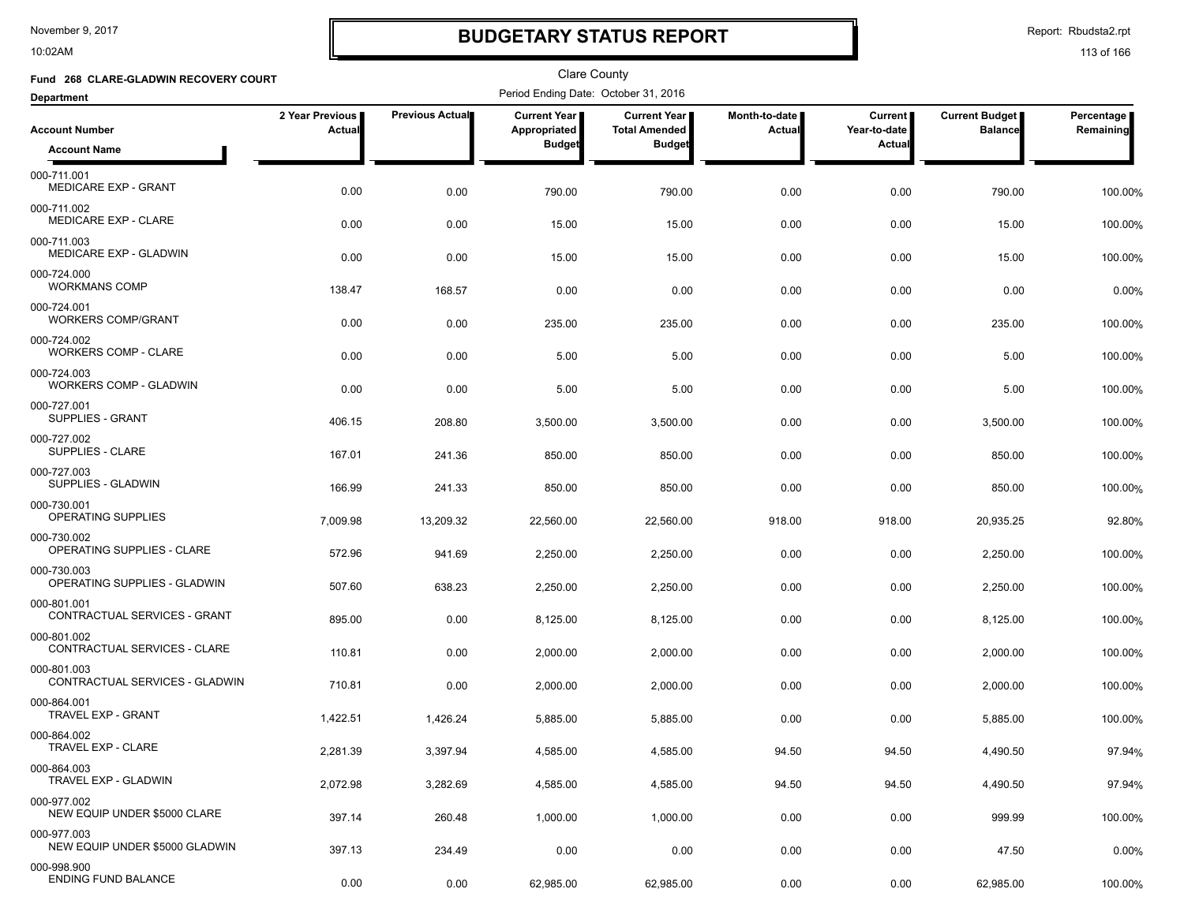10:02AM

# **BUDGETARY STATUS REPORT**

Report: Rbudsta2.rpt

| Fund 268 CLARE-GLADWIN RECOVERY COURT         |                           |                 | Clare County                         |                                             |                                |                           |                                         |                         |
|-----------------------------------------------|---------------------------|-----------------|--------------------------------------|---------------------------------------------|--------------------------------|---------------------------|-----------------------------------------|-------------------------|
| <b>Department</b>                             |                           |                 | Period Ending Date: October 31, 2016 |                                             |                                |                           |                                         |                         |
| <b>Account Number</b>                         | 2 Year Previous<br>Actual | Previous Actual | Current Year<br>Appropriated         | <b>Current Year</b><br><b>Total Amended</b> | Month-to-date<br><b>Actual</b> | Current  <br>Year-to-date | <b>Current Budget</b><br><b>Balance</b> | Percentage<br>Remaining |
| <b>Account Name</b>                           |                           |                 | <b>Budget</b>                        | <b>Budget</b>                               |                                | Actual                    |                                         |                         |
| 000-711.001<br><b>MEDICARE EXP - GRANT</b>    | 0.00                      | 0.00            | 790.00                               | 790.00                                      | 0.00                           | 0.00                      | 790.00                                  | 100.00%                 |
| 000-711.002<br>MEDICARE EXP - CLARE           | 0.00                      | 0.00            | 15.00                                | 15.00                                       | 0.00                           | 0.00                      | 15.00                                   | 100.00%                 |
| 000-711.003<br>MEDICARE EXP - GLADWIN         | 0.00                      | 0.00            | 15.00                                | 15.00                                       | 0.00                           | 0.00                      | 15.00                                   | 100.00%                 |
| 000-724.000<br><b>WORKMANS COMP</b>           | 138.47                    | 168.57          | 0.00                                 | 0.00                                        | 0.00                           | 0.00                      | 0.00                                    | 0.00%                   |
| 000-724.001<br><b>WORKERS COMP/GRANT</b>      | 0.00                      | 0.00            | 235.00                               | 235.00                                      | 0.00                           | 0.00                      | 235.00                                  | 100.00%                 |
| 000-724.002<br><b>WORKERS COMP - CLARE</b>    | 0.00                      | 0.00            | 5.00                                 | 5.00                                        | 0.00                           | 0.00                      | 5.00                                    | 100.00%                 |
| 000-724.003<br><b>WORKERS COMP - GLADWIN</b>  | 0.00                      | 0.00            | 5.00                                 | 5.00                                        | 0.00                           | 0.00                      | 5.00                                    | 100.00%                 |
| 000-727.001<br>SUPPLIES - GRANT               | 406.15                    | 208.80          | 3,500.00                             | 3,500.00                                    | 0.00                           | 0.00                      | 3,500.00                                | 100.00%                 |
| 000-727.002<br>SUPPLIES - CLARE               | 167.01                    | 241.36          | 850.00                               | 850.00                                      | 0.00                           | 0.00                      | 850.00                                  | 100.00%                 |
| 000-727.003<br>SUPPLIES - GLADWIN             | 166.99                    | 241.33          | 850.00                               | 850.00                                      | 0.00                           | 0.00                      | 850.00                                  | 100.00%                 |
| 000-730.001<br>OPERATING SUPPLIES             | 7,009.98                  | 13,209.32       | 22,560.00                            | 22,560.00                                   | 918.00                         | 918.00                    | 20,935.25                               | 92.80%                  |
| 000-730.002<br>OPERATING SUPPLIES - CLARE     | 572.96                    | 941.69          | 2,250.00                             | 2,250.00                                    | 0.00                           | 0.00                      | 2,250.00                                | 100.00%                 |
| 000-730.003<br>OPERATING SUPPLIES - GLADWIN   | 507.60                    | 638.23          | 2,250.00                             | 2,250.00                                    | 0.00                           | 0.00                      | 2,250.00                                | 100.00%                 |
| 000-801.001<br>CONTRACTUAL SERVICES - GRANT   | 895.00                    | 0.00            | 8,125.00                             | 8,125.00                                    | 0.00                           | 0.00                      | 8,125.00                                | 100.00%                 |
| 000-801.002<br>CONTRACTUAL SERVICES - CLARE   | 110.81                    | 0.00            | 2,000.00                             | 2,000.00                                    | 0.00                           | 0.00                      | 2,000.00                                | 100.00%                 |
| 000-801.003<br>CONTRACTUAL SERVICES - GLADWIN | 710.81                    | 0.00            | 2,000.00                             | 2,000.00                                    | 0.00                           | 0.00                      | 2,000.00                                | 100.00%                 |
| 000-864.001<br><b>TRAVEL EXP - GRANT</b>      | 1,422.51                  | 1,426.24        | 5,885.00                             | 5,885.00                                    | 0.00                           | 0.00                      | 5,885.00                                | 100.00%                 |
| 000-864.002<br>TRAVEL EXP - CLARE             | 2,281.39                  | 3,397.94        | 4,585.00                             | 4,585.00                                    | 94.50                          | 94.50                     | 4,490.50                                | 97.94%                  |
| 000-864.003<br>TRAVEL EXP - GLADWIN           | 2,072.98                  | 3,282.69        | 4,585.00                             | 4,585.00                                    | 94.50                          | 94.50                     | 4,490.50                                | 97.94%                  |
| 000-977.002<br>NEW EQUIP UNDER \$5000 CLARE   | 397.14                    | 260.48          | 1,000.00                             | 1,000.00                                    | 0.00                           | 0.00                      | 999.99                                  | 100.00%                 |
| 000-977.003<br>NEW EQUIP UNDER \$5000 GLADWIN | 397.13                    | 234.49          | 0.00                                 | 0.00                                        | 0.00                           | 0.00                      | 47.50                                   | 0.00%                   |
| 000-998.900<br><b>ENDING FUND BALANCE</b>     | 0.00                      | 0.00            | 62,985.00                            | 62,985.00                                   | 0.00                           | 0.00                      | 62,985.00                               | 100.00%                 |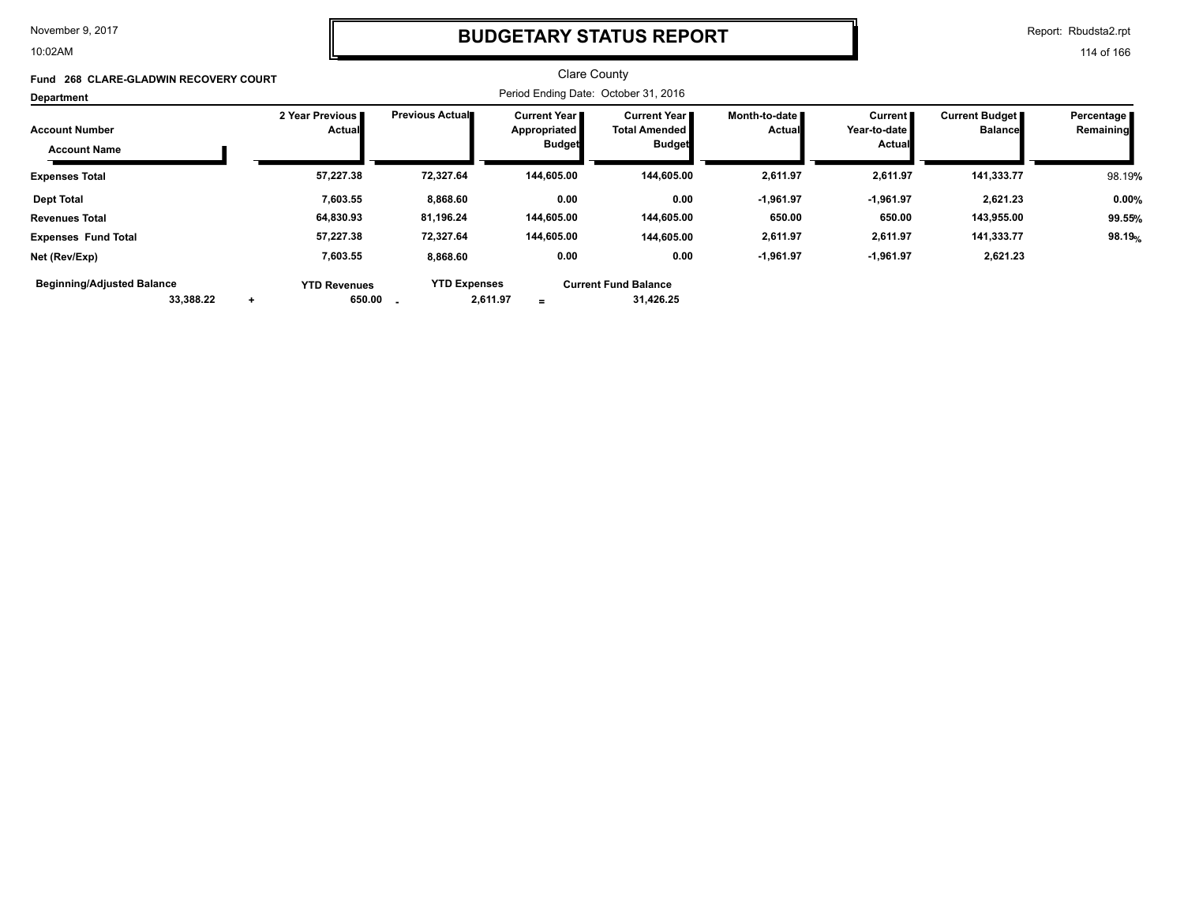10:02AM

### **BUDGETARY STATUS REPORT**

Report: Rbudsta2.rpt

114 of 166

#### Clare County Period Ending Date: October 31, 2016 **Account Number Department Fund 268 CLARE-GLADWIN RECOVERY COURT 2 Year Previous Actual Previous Actual Current Year Appropriated Budget Current Year Total Amended Budget Month-to-date Actual Current Year-to-date Actual Current Budget Balance Percentage Remaining Account Name Expenses Total 57,227.38 72,327.64 144,605.00 144,605.00 2,611.97 2,611.97 141,333.77** 98.19**% Dept Total 7,603.55 8,868.60 0.00 0.00 -1,961.97 -1,961.97 2,621.23 0.00% Revenues Total 64,830.93 81,196.24 144,605.00 144,605.00 650.00 650.00 143,955.00 99.55% Expenses Fund Total 57,227.38 72,327.64 144,605.00 144,605.00 2,611.97 2,611.97 141,333.77 98.19**%  **7,603.55 8,868.60 0.00 -1,961.97 -1,961.97 YTD Revenues YTD Expenses Current Fund Balance 31,426.25 Net (Rev/Exp) 0.00 2,621.23 Beginning/Adjusted Balance**

 **33,388.22 2,611.97 + 650.00 -**

**=**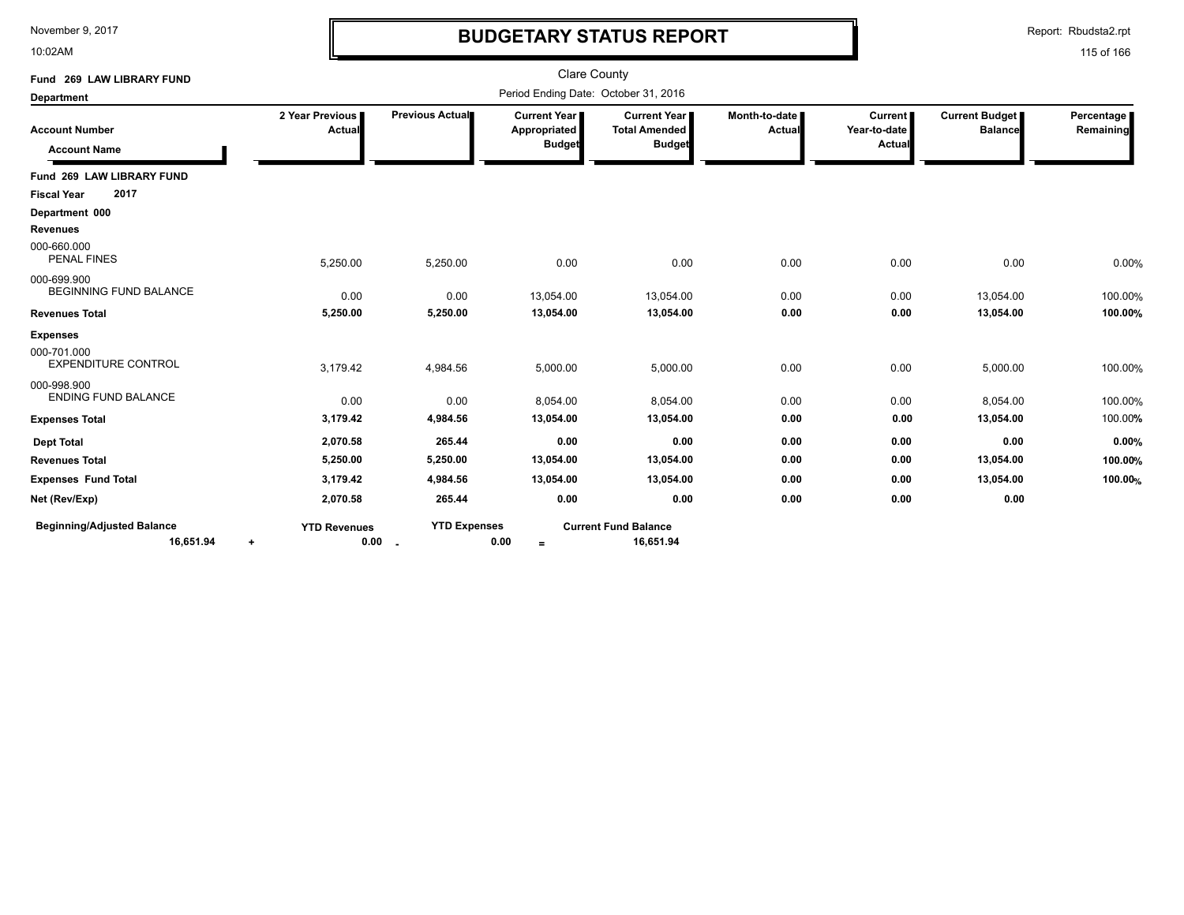10:02AM

# **BUDGETARY STATUS REPORT**

Report: Rbudsta2.rpt

| Fund 269 LAW LIBRARY FUND                            |                                  |                     | <b>Clare County</b>                                    |                                                       |                                |                                          |                                  |                         |
|------------------------------------------------------|----------------------------------|---------------------|--------------------------------------------------------|-------------------------------------------------------|--------------------------------|------------------------------------------|----------------------------------|-------------------------|
| <b>Department</b>                                    |                                  |                     | Period Ending Date: October 31, 2016                   |                                                       |                                |                                          |                                  |                         |
| <b>Account Number</b><br><b>Account Name</b>         | 2 Year Previous<br>Actual        | Previous Actual     | <b>Current Year I</b><br>Appropriated<br><b>Budget</b> | Current Year<br><b>Total Amended</b><br><b>Budget</b> | Month-to-date<br><b>Actual</b> | <b>Current</b><br>Year-to-date<br>Actual | Current Budget<br><b>Balance</b> | Percentage<br>Remaining |
| Fund 269 LAW LIBRARY FUND                            |                                  |                     |                                                        |                                                       |                                |                                          |                                  |                         |
| 2017<br><b>Fiscal Year</b>                           |                                  |                     |                                                        |                                                       |                                |                                          |                                  |                         |
| Department 000                                       |                                  |                     |                                                        |                                                       |                                |                                          |                                  |                         |
| <b>Revenues</b><br>000-660.000<br><b>PENAL FINES</b> | 5,250.00                         | 5,250.00            | 0.00                                                   | 0.00                                                  | 0.00                           | 0.00                                     | 0.00                             | 0.00%                   |
| 000-699.900<br><b>BEGINNING FUND BALANCE</b>         | 0.00                             | 0.00                | 13,054.00                                              | 13,054.00                                             | 0.00                           | 0.00                                     | 13,054.00                        | 100.00%                 |
| <b>Revenues Total</b>                                | 5,250.00                         | 5,250.00            | 13,054.00                                              | 13,054.00                                             | 0.00                           | 0.00                                     | 13,054.00                        | 100.00%                 |
| <b>Expenses</b>                                      |                                  |                     |                                                        |                                                       |                                |                                          |                                  |                         |
| 000-701.000<br><b>EXPENDITURE CONTROL</b>            | 3,179.42                         | 4,984.56            | 5,000.00                                               | 5,000.00                                              | 0.00                           | 0.00                                     | 5,000.00                         | 100.00%                 |
| 000-998.900<br><b>ENDING FUND BALANCE</b>            | 0.00                             | 0.00                | 8,054.00                                               | 8,054.00                                              | 0.00                           | 0.00                                     | 8,054.00                         | 100.00%                 |
| <b>Expenses Total</b>                                | 3,179.42                         | 4,984.56            | 13,054.00                                              | 13,054.00                                             | 0.00                           | 0.00                                     | 13,054.00                        | 100.00%                 |
| <b>Dept Total</b>                                    | 2,070.58                         | 265.44              | 0.00                                                   | 0.00                                                  | 0.00                           | 0.00                                     | 0.00                             | 0.00%                   |
| <b>Revenues Total</b>                                | 5,250.00                         | 5,250.00            | 13,054.00                                              | 13,054.00                                             | 0.00                           | 0.00                                     | 13,054.00                        | 100.00%                 |
| <b>Expenses Fund Total</b>                           | 3,179.42                         | 4,984.56            | 13,054.00                                              | 13,054.00                                             | 0.00                           | 0.00                                     | 13,054.00                        | 100.00%                 |
| Net (Rev/Exp)                                        | 2,070.58                         | 265.44              | 0.00                                                   | 0.00                                                  | 0.00                           | 0.00                                     | 0.00                             |                         |
| <b>Beginning/Adjusted Balance</b><br>16,651.94       | <b>YTD Revenues</b><br>0.00<br>٠ | <b>YTD Expenses</b> | 0.00<br>$\equiv$                                       | <b>Current Fund Balance</b><br>16,651.94              |                                |                                          |                                  |                         |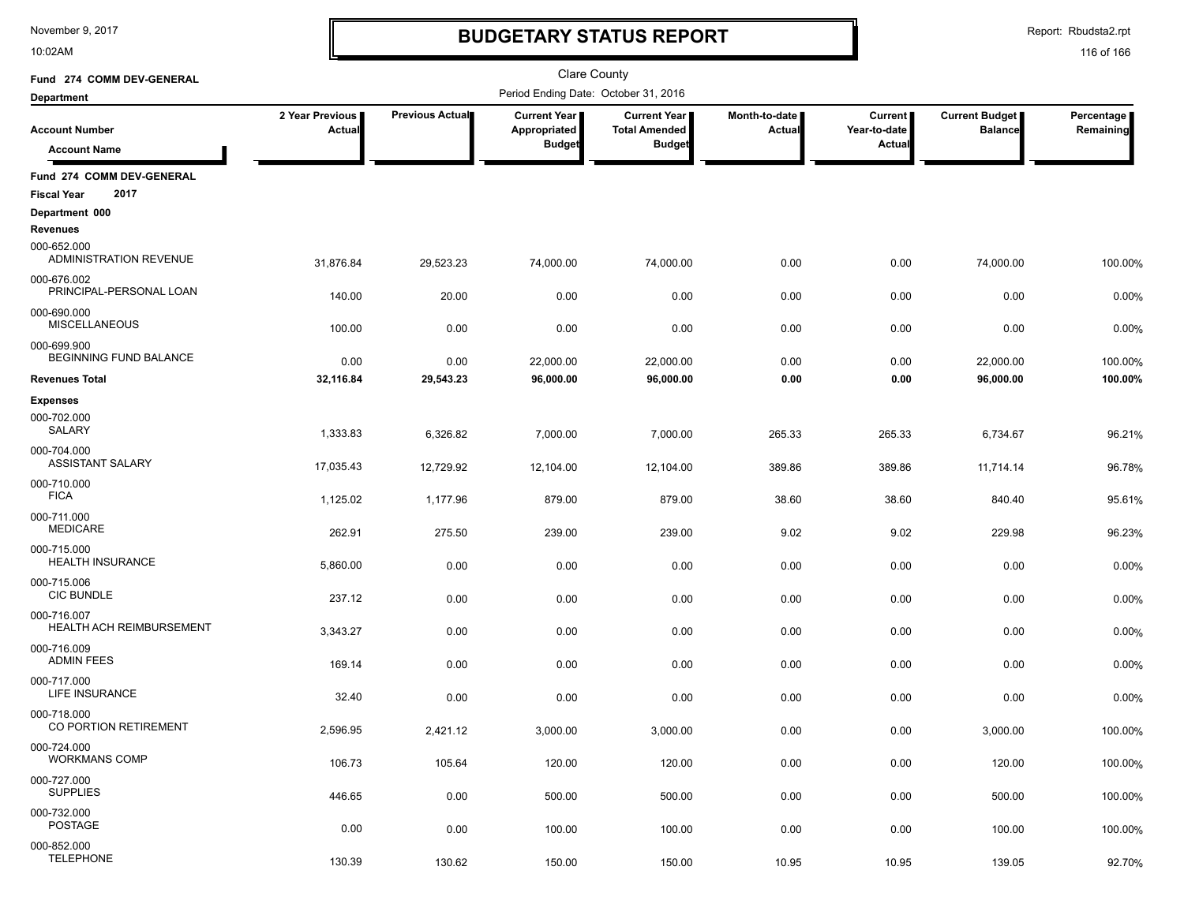10:02AM

# **BUDGETARY STATUS REPORT**

Report: Rbudsta2.rpt

| Fund 274 COMM DEV-GENERAL                                |                           |                       | Clare County                         |                                             |                                |                                |                                         |                         |
|----------------------------------------------------------|---------------------------|-----------------------|--------------------------------------|---------------------------------------------|--------------------------------|--------------------------------|-----------------------------------------|-------------------------|
| <b>Department</b>                                        |                           |                       | Period Ending Date: October 31, 2016 |                                             |                                |                                |                                         |                         |
| <b>Account Number</b>                                    | 2 Year Previous<br>Actual | Previous Actual       | Current Year<br>Appropriated         | <b>Current Year</b><br><b>Total Amended</b> | Month-to-date<br><b>Actual</b> | <b>Current</b><br>Year-to-date | <b>Current Budget</b><br><b>Balance</b> | Percentage<br>Remaining |
| <b>Account Name</b>                                      |                           |                       | <b>Budget</b>                        | <b>Budget</b>                               |                                | <b>Actual</b>                  |                                         |                         |
| Fund 274 COMM DEV-GENERAL<br>2017<br><b>Fiscal Year</b>  |                           |                       |                                      |                                             |                                |                                |                                         |                         |
| Department 000                                           |                           |                       |                                      |                                             |                                |                                |                                         |                         |
| <b>Revenues</b><br>000-652.000<br>ADMINISTRATION REVENUE | 31,876.84                 | 29,523.23             | 74,000.00                            | 74,000.00                                   | 0.00                           | 0.00                           | 74,000.00                               | 100.00%                 |
| 000-676.002<br>PRINCIPAL-PERSONAL LOAN                   | 140.00                    | 20.00                 | 0.00                                 | 0.00                                        | 0.00                           | 0.00                           | 0.00                                    | 0.00%                   |
| 000-690.000<br><b>MISCELLANEOUS</b>                      | 100.00                    | 0.00                  | 0.00                                 | 0.00                                        | 0.00                           | 0.00                           | 0.00                                    | 0.00%                   |
| 000-699.900<br>BEGINNING FUND BALANCE                    | 0.00                      | 0.00                  | 22,000.00                            | 22,000.00                                   | 0.00                           | 0.00                           | 22,000.00                               | 100.00%                 |
| <b>Revenues Total</b>                                    | 32,116.84                 | 29,543.23             | 96,000.00                            | 96,000.00                                   | 0.00                           | 0.00                           | 96,000.00                               | 100.00%                 |
| <b>Expenses</b><br>000-702.000<br><b>SALARY</b>          | 1,333.83                  |                       |                                      |                                             |                                |                                |                                         |                         |
| 000-704.000<br><b>ASSISTANT SALARY</b>                   | 17,035.43                 | 6,326.82<br>12,729.92 | 7,000.00<br>12,104.00                | 7,000.00<br>12,104.00                       | 265.33<br>389.86               | 265.33<br>389.86               | 6,734.67<br>11,714.14                   | 96.21%<br>96.78%        |
| 000-710.000<br><b>FICA</b>                               | 1,125.02                  | 1,177.96              | 879.00                               | 879.00                                      | 38.60                          | 38.60                          | 840.40                                  | 95.61%                  |
| 000-711.000<br><b>MEDICARE</b>                           | 262.91                    | 275.50                | 239.00                               | 239.00                                      | 9.02                           | 9.02                           | 229.98                                  | 96.23%                  |
| 000-715.000<br><b>HEALTH INSURANCE</b>                   | 5,860.00                  | 0.00                  | 0.00                                 | 0.00                                        | 0.00                           | 0.00                           | 0.00                                    | 0.00%                   |
| 000-715.006<br><b>CIC BUNDLE</b>                         | 237.12                    | 0.00                  | 0.00                                 | 0.00                                        | 0.00                           | 0.00                           | 0.00                                    | 0.00%                   |
| 000-716.007<br><b>HEALTH ACH REIMBURSEMENT</b>           | 3,343.27                  | 0.00                  | 0.00                                 | 0.00                                        | 0.00                           | 0.00                           | 0.00                                    | 0.00%                   |
| 000-716.009<br><b>ADMIN FEES</b>                         | 169.14                    | 0.00                  | 0.00                                 | 0.00                                        | 0.00                           | 0.00                           | 0.00                                    | 0.00%                   |
| 000-717.000<br>LIFE INSURANCE                            | 32.40                     | 0.00                  | 0.00                                 | 0.00                                        | 0.00                           | 0.00                           | 0.00                                    | 0.00%                   |
| 000-718.000<br>CO PORTION RETIREMENT                     | 2,596.95                  | 2,421.12              | 3,000.00                             | 3.000.00                                    | 0.00                           | 0.00                           | 3.000.00                                | 100.00%                 |
| 000-724.000<br><b>WORKMANS COMP</b>                      | 106.73                    | 105.64                | 120.00                               | 120.00                                      | 0.00                           | 0.00                           | 120.00                                  | 100.00%                 |
| 000-727.000<br><b>SUPPLIES</b>                           | 446.65                    | 0.00                  | 500.00                               | 500.00                                      | 0.00                           | 0.00                           | 500.00                                  | 100.00%                 |
| 000-732.000<br><b>POSTAGE</b>                            | 0.00                      | 0.00                  | 100.00                               | 100.00                                      | 0.00                           | 0.00                           | 100.00                                  | 100.00%                 |
| 000-852.000<br><b>TELEPHONE</b>                          | 130.39                    | 130.62                | 150.00                               | 150.00                                      | 10.95                          | 10.95                          | 139.05                                  | 92.70%                  |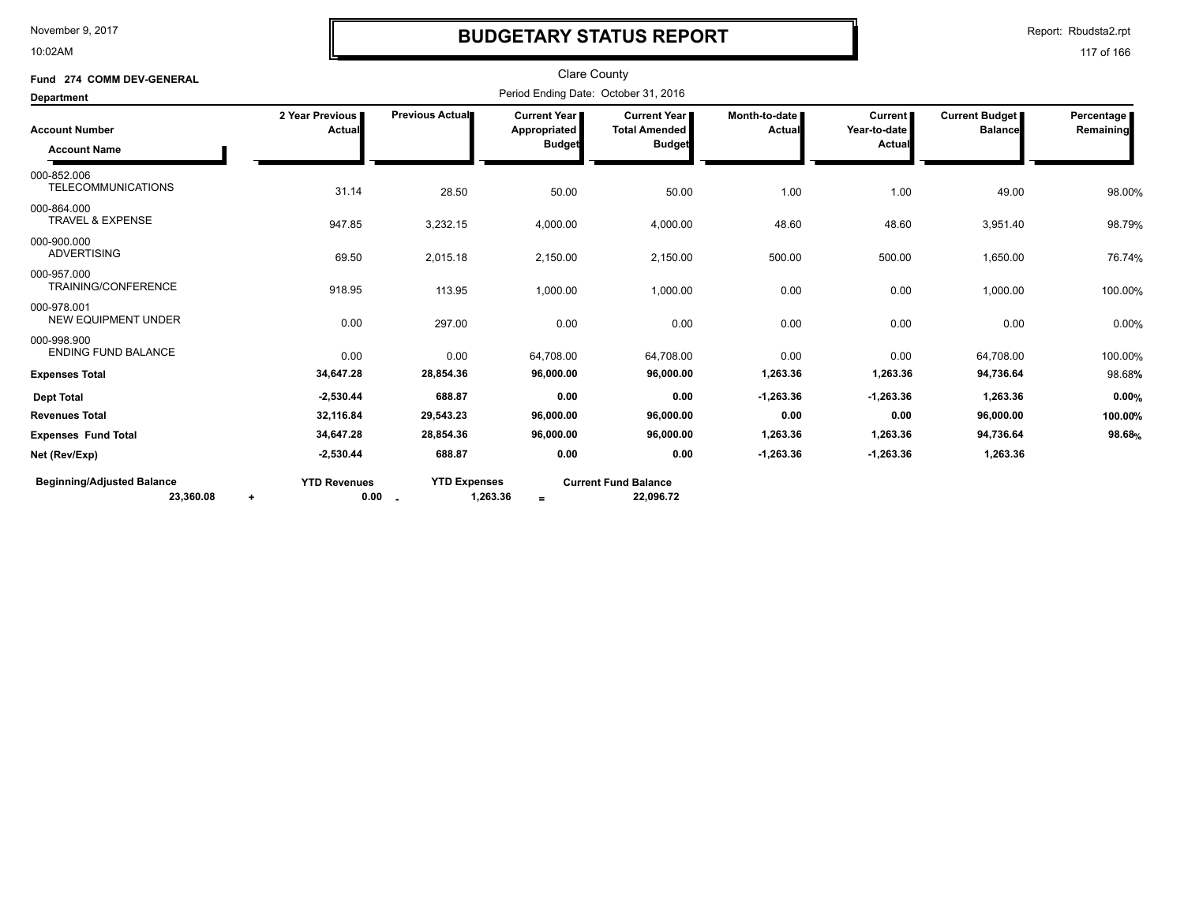10:02AM

# **BUDGETARY STATUS REPORT**

Report: Rbudsta2.rpt

| Fund 274 COMM DEV-GENERAL                      |                             |                                           | <b>Clare County</b>                                  |                                                              |                         |                                    |                                         |                         |
|------------------------------------------------|-----------------------------|-------------------------------------------|------------------------------------------------------|--------------------------------------------------------------|-------------------------|------------------------------------|-----------------------------------------|-------------------------|
| Department                                     |                             |                                           | Period Ending Date: October 31, 2016                 |                                                              |                         |                                    |                                         |                         |
| <b>Account Number</b><br><b>Account Name</b>   | 2 Year Previous<br>Actual   | <b>Previous Actual</b>                    | <b>Current Year</b><br>Appropriated<br><b>Budget</b> | <b>Current Year</b><br><b>Total Amended</b><br><b>Budget</b> | Month-to-date<br>Actual | Current  <br>Year-to-date<br>Actua | <b>Current Budget</b><br><b>Balance</b> | Percentage<br>Remaining |
| 000-852.006<br><b>TELECOMMUNICATIONS</b>       | 31.14                       | 28.50                                     | 50.00                                                | 50.00                                                        | 1.00                    | 1.00                               | 49.00                                   | 98.00%                  |
| 000-864.000<br><b>TRAVEL &amp; EXPENSE</b>     | 947.85                      | 3,232.15                                  | 4,000.00                                             | 4,000.00                                                     | 48.60                   | 48.60                              | 3,951.40                                | 98.79%                  |
| 000-900.000<br><b>ADVERTISING</b>              | 69.50                       | 2,015.18                                  | 2,150.00                                             | 2,150.00                                                     | 500.00                  | 500.00                             | 1,650.00                                | 76.74%                  |
| 000-957.000<br>TRAINING/CONFERENCE             | 918.95                      | 113.95                                    | 1,000.00                                             | 1,000.00                                                     | 0.00                    | 0.00                               | 1,000.00                                | 100.00%                 |
| 000-978.001<br><b>NEW EQUIPMENT UNDER</b>      | 0.00                        | 297.00                                    | 0.00                                                 | 0.00                                                         | 0.00                    | 0.00                               | 0.00                                    | 0.00%                   |
| 000-998.900<br><b>ENDING FUND BALANCE</b>      | 0.00                        | 0.00                                      | 64,708.00                                            | 64,708.00                                                    | 0.00                    | 0.00                               | 64,708.00                               | 100.00%                 |
| <b>Expenses Total</b>                          | 34,647.28                   | 28,854.36                                 | 96,000.00                                            | 96,000.00                                                    | 1,263.36                | 1,263.36                           | 94,736.64                               | 98.68%                  |
| <b>Dept Total</b>                              | $-2,530.44$                 | 688.87                                    | 0.00                                                 | 0.00                                                         | $-1,263.36$             | $-1,263.36$                        | 1,263.36                                | 0.00%                   |
| <b>Revenues Total</b>                          | 32,116.84                   | 29,543.23                                 | 96,000.00                                            | 96,000.00                                                    | 0.00                    | 0.00                               | 96,000.00                               | 100.00%                 |
| <b>Expenses Fund Total</b>                     | 34,647.28                   | 28,854.36                                 | 96,000.00                                            | 96,000.00                                                    | 1,263.36                | 1,263.36                           | 94,736.64                               | 98.68%                  |
| Net (Rev/Exp)                                  | $-2,530.44$                 | 688.87                                    | 0.00                                                 | 0.00                                                         | $-1,263.36$             | $-1,263.36$                        | 1,263.36                                |                         |
| <b>Beginning/Adjusted Balance</b><br>23,360.08 | <b>YTD Revenues</b><br>0.00 | <b>YTD Expenses</b><br>1,263.36<br>$\sim$ | $=$                                                  | <b>Current Fund Balance</b><br>22,096.72                     |                         |                                    |                                         |                         |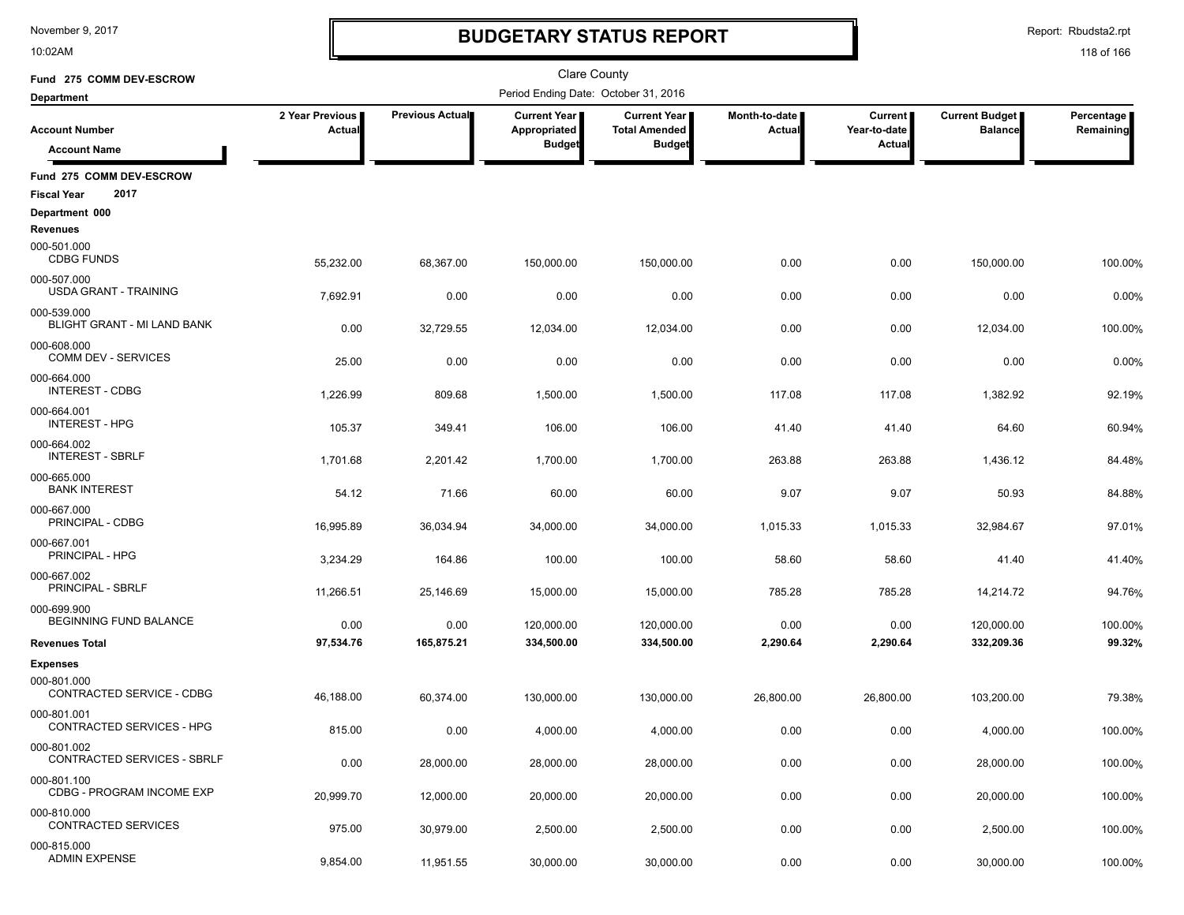10:02AM

# **BUDGETARY STATUS REPORT**

Report: Rbudsta2.rpt

| Fund 275 COMM DEV-ESCROW                               |                           |                 | <b>Clare County</b>                  |                                             |                                |                                |                                  |                         |
|--------------------------------------------------------|---------------------------|-----------------|--------------------------------------|---------------------------------------------|--------------------------------|--------------------------------|----------------------------------|-------------------------|
| <b>Department</b>                                      |                           |                 | Period Ending Date: October 31, 2016 |                                             |                                |                                |                                  |                         |
| <b>Account Number</b>                                  | 2 Year Previous<br>Actual | Previous Actual | Current Year<br>Appropriated         | <b>Current Year</b><br><b>Total Amended</b> | Month-to-date<br><b>Actual</b> | <b>Current</b><br>Year-to-date | Current Budget<br><b>Balance</b> | Percentage<br>Remaining |
| <b>Account Name</b>                                    |                           |                 | <b>Budget</b>                        | <b>Budget</b>                               |                                | <b>Actual</b>                  |                                  |                         |
| Fund 275 COMM DEV-ESCROW<br>2017<br><b>Fiscal Year</b> |                           |                 |                                      |                                             |                                |                                |                                  |                         |
| Department 000                                         |                           |                 |                                      |                                             |                                |                                |                                  |                         |
| Revenues                                               |                           |                 |                                      |                                             |                                |                                |                                  |                         |
| 000-501.000<br><b>CDBG FUNDS</b>                       | 55,232.00                 | 68,367.00       | 150,000.00                           | 150,000.00                                  | 0.00                           | 0.00                           | 150,000.00                       | 100.00%                 |
| 000-507.000<br><b>USDA GRANT - TRAINING</b>            | 7,692.91                  | 0.00            | 0.00                                 | 0.00                                        | 0.00                           | 0.00                           | 0.00                             | 0.00%                   |
| 000-539.000<br>BLIGHT GRANT - MI LAND BANK             | 0.00                      | 32,729.55       | 12,034.00                            | 12,034.00                                   | 0.00                           | 0.00                           | 12,034.00                        | 100.00%                 |
| 000-608.000<br>COMM DEV - SERVICES                     | 25.00                     | 0.00            | 0.00                                 | 0.00                                        | 0.00                           | 0.00                           | 0.00                             | 0.00%                   |
| 000-664.000<br><b>INTEREST - CDBG</b>                  | 1,226.99                  | 809.68          | 1,500.00                             | 1,500.00                                    | 117.08                         | 117.08                         | 1,382.92                         | 92.19%                  |
| 000-664.001<br><b>INTEREST - HPG</b>                   | 105.37                    | 349.41          | 106.00                               | 106.00                                      | 41.40                          | 41.40                          | 64.60                            | 60.94%                  |
| 000-664.002<br><b>INTEREST - SBRLF</b>                 | 1,701.68                  | 2,201.42        | 1,700.00                             | 1,700.00                                    | 263.88                         | 263.88                         | 1,436.12                         | 84.48%                  |
| 000-665.000<br><b>BANK INTEREST</b>                    | 54.12                     | 71.66           | 60.00                                | 60.00                                       | 9.07                           | 9.07                           | 50.93                            | 84.88%                  |
| 000-667.000<br>PRINCIPAL - CDBG                        | 16,995.89                 | 36,034.94       | 34,000.00                            | 34,000.00                                   | 1,015.33                       | 1,015.33                       | 32,984.67                        | 97.01%                  |
| 000-667.001<br>PRINCIPAL - HPG                         | 3,234.29                  | 164.86          | 100.00                               | 100.00                                      | 58.60                          | 58.60                          | 41.40                            | 41.40%                  |
| 000-667.002<br>PRINCIPAL - SBRLF                       | 11,266.51                 | 25,146.69       | 15,000.00                            | 15,000.00                                   | 785.28                         | 785.28                         | 14,214.72                        | 94.76%                  |
| 000-699.900<br>BEGINNING FUND BALANCE                  | 0.00                      | 0.00            | 120,000.00                           | 120,000.00                                  | 0.00                           | 0.00                           | 120,000.00                       | 100.00%                 |
| <b>Revenues Total</b>                                  | 97,534.76                 | 165,875.21      | 334,500.00                           | 334,500.00                                  | 2,290.64                       | 2,290.64                       | 332,209.36                       | 99.32%                  |
| <b>Expenses</b>                                        |                           |                 |                                      |                                             |                                |                                |                                  |                         |
| 000-801.000<br>CONTRACTED SERVICE - CDBG               | 46,188.00                 | 60,374.00       | 130,000.00                           | 130,000.00                                  | 26,800.00                      | 26,800.00                      | 103,200.00                       | 79.38%                  |
| 000-801.001<br>CONTRACTED SERVICES - HPG               | 815.00                    | 0.00            | 4,000.00                             | 4,000.00                                    | 0.00                           | 0.00                           | 4.000.00                         | 100.00%                 |
| 000-801.002<br>CONTRACTED SERVICES - SBRLF             | 0.00                      | 28,000.00       | 28,000.00                            | 28,000.00                                   | 0.00                           | 0.00                           | 28,000.00                        | 100.00%                 |
| 000-801.100<br>CDBG - PROGRAM INCOME EXP               | 20,999.70                 | 12,000.00       | 20,000.00                            | 20,000.00                                   | 0.00                           | 0.00                           | 20,000.00                        | 100.00%                 |
| 000-810.000<br><b>CONTRACTED SERVICES</b>              | 975.00                    | 30,979.00       | 2,500.00                             | 2,500.00                                    | 0.00                           | 0.00                           | 2,500.00                         | 100.00%                 |
| 000-815.000<br><b>ADMIN EXPENSE</b>                    | 9,854.00                  | 11,951.55       | 30,000.00                            | 30,000.00                                   | 0.00                           | 0.00                           | 30,000.00                        | 100.00%                 |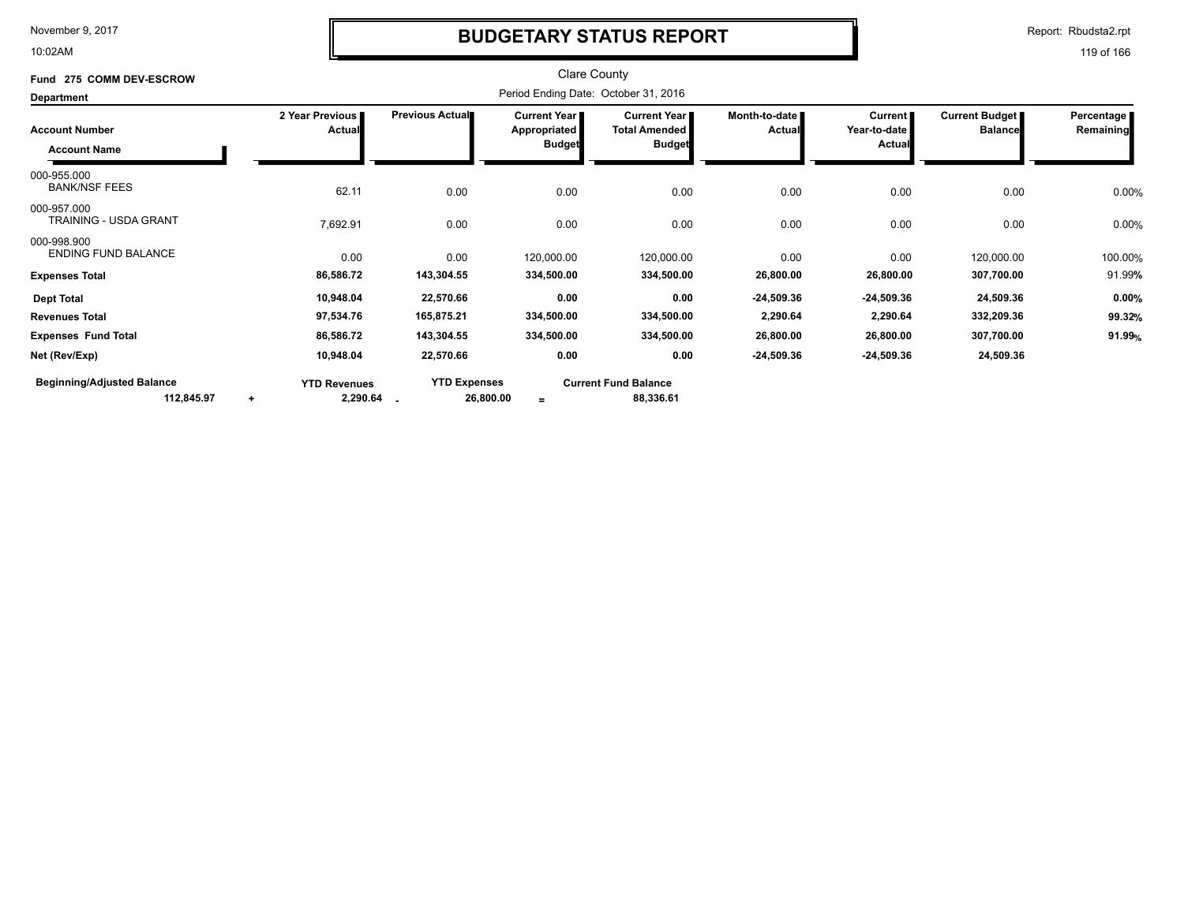10:02AM

### **BUDGETARY STATUS REPORT**

Report: Rbudsta2.rpt

| Fund 275 COMM DEV-ESCROW                        |                                              |                                      | <b>Clare County</b>                          |                                             |                         |                                |                                         |                         |  |  |
|-------------------------------------------------|----------------------------------------------|--------------------------------------|----------------------------------------------|---------------------------------------------|-------------------------|--------------------------------|-----------------------------------------|-------------------------|--|--|
| <b>Department</b>                               |                                              | Period Ending Date: October 31, 2016 |                                              |                                             |                         |                                |                                         |                         |  |  |
| <b>Account Number</b>                           | 2 Year Previous<br>Actual                    | Previous Actual                      | <b>Current Year I</b><br><b>Appropriated</b> | <b>Current Year</b><br><b>Total Amended</b> | Month-to-date<br>Actual | <b>Current</b><br>Year-to-date | <b>Current Budget</b><br><b>Balance</b> | Percentage<br>Remaining |  |  |
| <b>Account Name</b>                             |                                              |                                      | <b>Budget</b>                                | <b>Budget</b>                               |                         | <b>Actual</b>                  |                                         |                         |  |  |
| 000-955.000<br><b>BANK/NSF FEES</b>             | 62.11                                        | 0.00                                 | 0.00                                         | 0.00                                        | 0.00                    | 0.00                           | 0.00                                    | 0.00%                   |  |  |
| 000-957.000<br><b>TRAINING - USDA GRANT</b>     | 7,692.91                                     | 0.00                                 | 0.00                                         | 0.00                                        | 0.00                    | 0.00                           | 0.00                                    | 0.00%                   |  |  |
| 000-998.900<br><b>ENDING FUND BALANCE</b>       | 0.00                                         | 0.00                                 | 120,000.00                                   | 120,000.00                                  | 0.00                    | 0.00                           | 120,000.00                              | 100.00%                 |  |  |
| <b>Expenses Total</b>                           | 86,586.72                                    | 143,304.55                           | 334,500.00                                   | 334,500.00                                  | 26,800.00               | 26,800.00                      | 307,700.00                              | 91.99%                  |  |  |
| <b>Dept Total</b>                               | 10,948.04                                    | 22,570.66                            | 0.00                                         | 0.00                                        | $-24,509.36$            | $-24,509.36$                   | 24,509.36                               | 0.00%                   |  |  |
| <b>Revenues Total</b>                           | 97,534.76                                    | 165,875.21                           | 334,500.00                                   | 334,500.00                                  | 2,290.64                | 2,290.64                       | 332,209.36                              | 99.32%                  |  |  |
| <b>Expenses Fund Total</b>                      | 86,586.72                                    | 143,304.55                           | 334,500.00                                   | 334,500.00                                  | 26,800.00               | 26,800.00                      | 307,700.00                              | 91.99%                  |  |  |
| Net (Rev/Exp)                                   | 10,948.04                                    | 22,570.66                            | 0.00                                         | 0.00                                        | -24,509.36              | $-24,509.36$                   | 24,509.36                               |                         |  |  |
| <b>Beginning/Adjusted Balance</b><br>112,845.97 | <b>YTD Revenues</b><br>2,290.64<br>$\ddot{}$ | <b>YTD Expenses</b><br>26,800.00     | $=$                                          | <b>Current Fund Balance</b><br>88,336.61    |                         |                                |                                         |                         |  |  |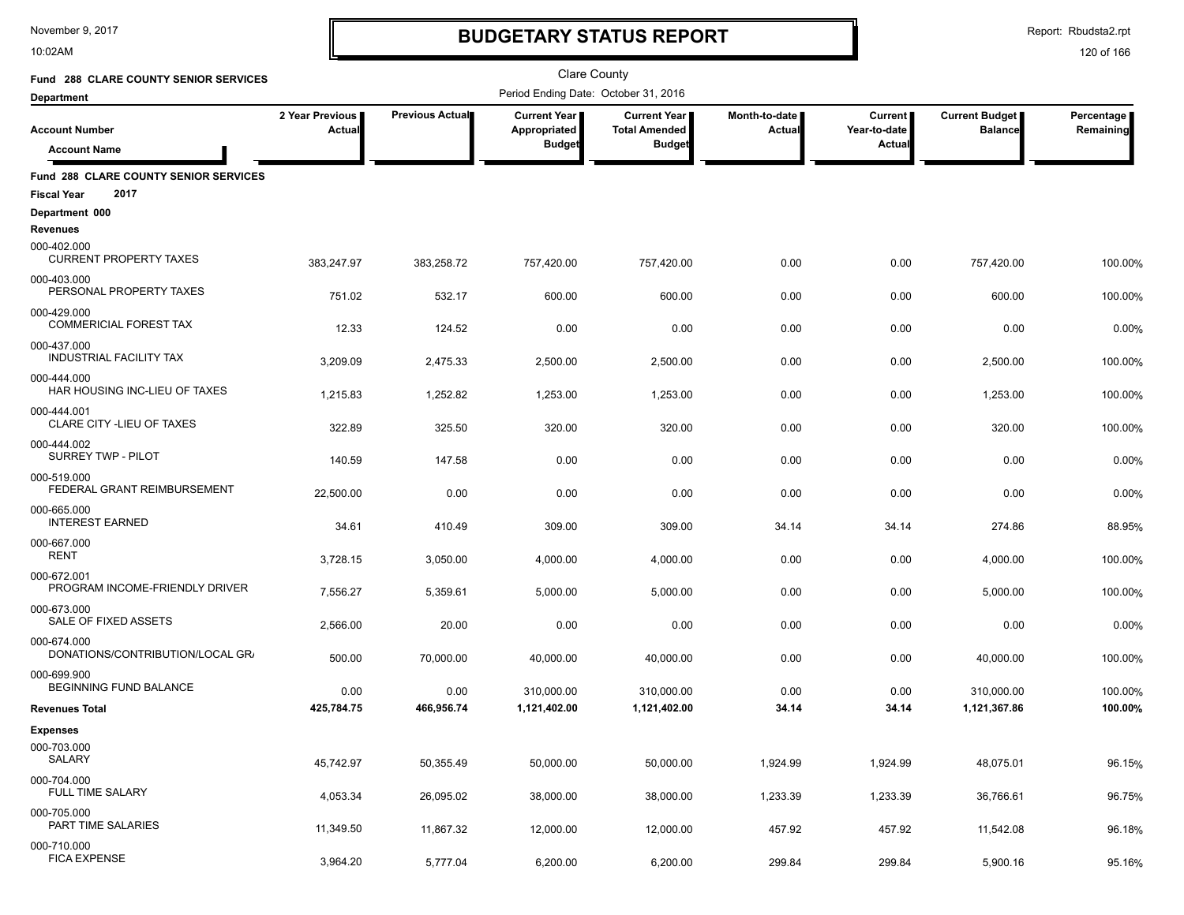10:02AM

# **BUDGETARY STATUS REPORT**

Report: Rbudsta2.rpt

| Fund 288 CLARE COUNTY SENIOR SERVICES                                      |                                  |                        | <b>Clare County</b>                           |                                                              |                         |                                          |                                  |                         |
|----------------------------------------------------------------------------|----------------------------------|------------------------|-----------------------------------------------|--------------------------------------------------------------|-------------------------|------------------------------------------|----------------------------------|-------------------------|
| <b>Department</b>                                                          |                                  |                        | Period Ending Date: October 31, 2016          |                                                              |                         |                                          |                                  |                         |
| <b>Account Number</b>                                                      | 2 Year Previous<br><b>Actual</b> | <b>Previous Actual</b> | Current Year<br>Appropriated<br><b>Budget</b> | <b>Current Year</b><br><b>Total Amended</b><br><b>Budget</b> | Month-to-date<br>Actual | <b>Current</b><br>Year-to-date<br>Actual | Current Budget<br><b>Balance</b> | Percentage<br>Remaining |
| <b>Account Name</b>                                                        |                                  |                        |                                               |                                                              |                         |                                          |                                  |                         |
| <b>Fund 288 CLARE COUNTY SENIOR SERVICES</b><br>2017<br><b>Fiscal Year</b> |                                  |                        |                                               |                                                              |                         |                                          |                                  |                         |
| Department 000                                                             |                                  |                        |                                               |                                                              |                         |                                          |                                  |                         |
| <b>Revenues</b><br>000-402.000<br><b>CURRENT PROPERTY TAXES</b>            | 383,247.97                       | 383,258.72             | 757,420.00                                    | 757.420.00                                                   | 0.00                    | 0.00                                     | 757,420.00                       | 100.00%                 |
| 000-403.000<br>PERSONAL PROPERTY TAXES                                     | 751.02                           | 532.17                 | 600.00                                        | 600.00                                                       | 0.00                    | 0.00                                     | 600.00                           | 100.00%                 |
| 000-429.000<br><b>COMMERICIAL FOREST TAX</b>                               | 12.33                            | 124.52                 | 0.00                                          | 0.00                                                         | 0.00                    | 0.00                                     | 0.00                             | 0.00%                   |
| 000-437.000<br><b>INDUSTRIAL FACILITY TAX</b>                              | 3,209.09                         | 2,475.33               | 2,500.00                                      | 2,500.00                                                     | 0.00                    | 0.00                                     | 2,500.00                         | 100.00%                 |
| 000-444.000<br>HAR HOUSING INC-LIEU OF TAXES                               | 1,215.83                         | 1,252.82               | 1,253.00                                      | 1,253.00                                                     | 0.00                    | 0.00                                     | 1,253.00                         | 100.00%                 |
| 000-444.001<br>CLARE CITY - LIEU OF TAXES                                  | 322.89                           | 325.50                 | 320.00                                        | 320.00                                                       | 0.00                    | 0.00                                     | 320.00                           | 100.00%                 |
| 000-444.002<br>SURREY TWP - PILOT                                          | 140.59                           | 147.58                 | 0.00                                          | 0.00                                                         | 0.00                    | 0.00                                     | 0.00                             | 0.00%                   |
| 000-519.000<br>FEDERAL GRANT REIMBURSEMENT                                 | 22.500.00                        | 0.00                   | 0.00                                          | 0.00                                                         | 0.00                    | 0.00                                     | 0.00                             | 0.00%                   |
| 000-665.000<br><b>INTEREST EARNED</b>                                      | 34.61                            | 410.49                 | 309.00                                        | 309.00                                                       | 34.14                   | 34.14                                    | 274.86                           | 88.95%                  |
| 000-667.000<br><b>RENT</b>                                                 | 3,728.15                         | 3,050.00               | 4,000.00                                      | 4,000.00                                                     | 0.00                    | 0.00                                     | 4,000.00                         | 100.00%                 |
| 000-672.001<br>PROGRAM INCOME-FRIENDLY DRIVER                              | 7,556.27                         | 5,359.61               | 5,000.00                                      | 5,000.00                                                     | 0.00                    | 0.00                                     | 5,000.00                         | 100.00%                 |
| 000-673.000<br>SALE OF FIXED ASSETS                                        | 2,566.00                         | 20.00                  | 0.00                                          | 0.00                                                         | 0.00                    | 0.00                                     | 0.00                             | 0.00%                   |
| 000-674.000<br>DONATIONS/CONTRIBUTION/LOCAL GR/                            | 500.00                           | 70,000.00              | 40,000.00                                     | 40,000.00                                                    | 0.00                    | 0.00                                     | 40,000.00                        | 100.00%                 |
| 000-699.900<br>BEGINNING FUND BALANCE                                      | 0.00                             | 0.00                   | 310,000.00                                    | 310,000.00                                                   | 0.00                    | 0.00                                     | 310,000.00                       | 100.00%                 |
| <b>Revenues Total</b>                                                      | 425,784.75                       | 466,956.74             | 1,121,402.00                                  | 1,121,402.00                                                 | 34.14                   | 34.14                                    | 1,121,367.86                     | 100.00%                 |
| <b>Expenses</b>                                                            |                                  |                        |                                               |                                                              |                         |                                          |                                  |                         |
| 000-703.000<br>SALARY                                                      | 45,742.97                        | 50,355.49              | 50,000.00                                     | 50,000.00                                                    | 1,924.99                | 1,924.99                                 | 48,075.01                        | 96.15%                  |
| 000-704.000<br><b>FULL TIME SALARY</b>                                     | 4,053.34                         | 26,095.02              | 38,000.00                                     | 38,000.00                                                    | 1,233.39                | 1,233.39                                 | 36,766.61                        | 96.75%                  |
| 000-705.000<br>PART TIME SALARIES                                          | 11,349.50                        | 11,867.32              | 12,000.00                                     | 12,000.00                                                    | 457.92                  | 457.92                                   | 11,542.08                        | 96.18%                  |
| 000-710.000<br><b>FICA EXPENSE</b>                                         | 3,964.20                         | 5,777.04               | 6,200.00                                      | 6,200.00                                                     | 299.84                  | 299.84                                   | 5,900.16                         | 95.16%                  |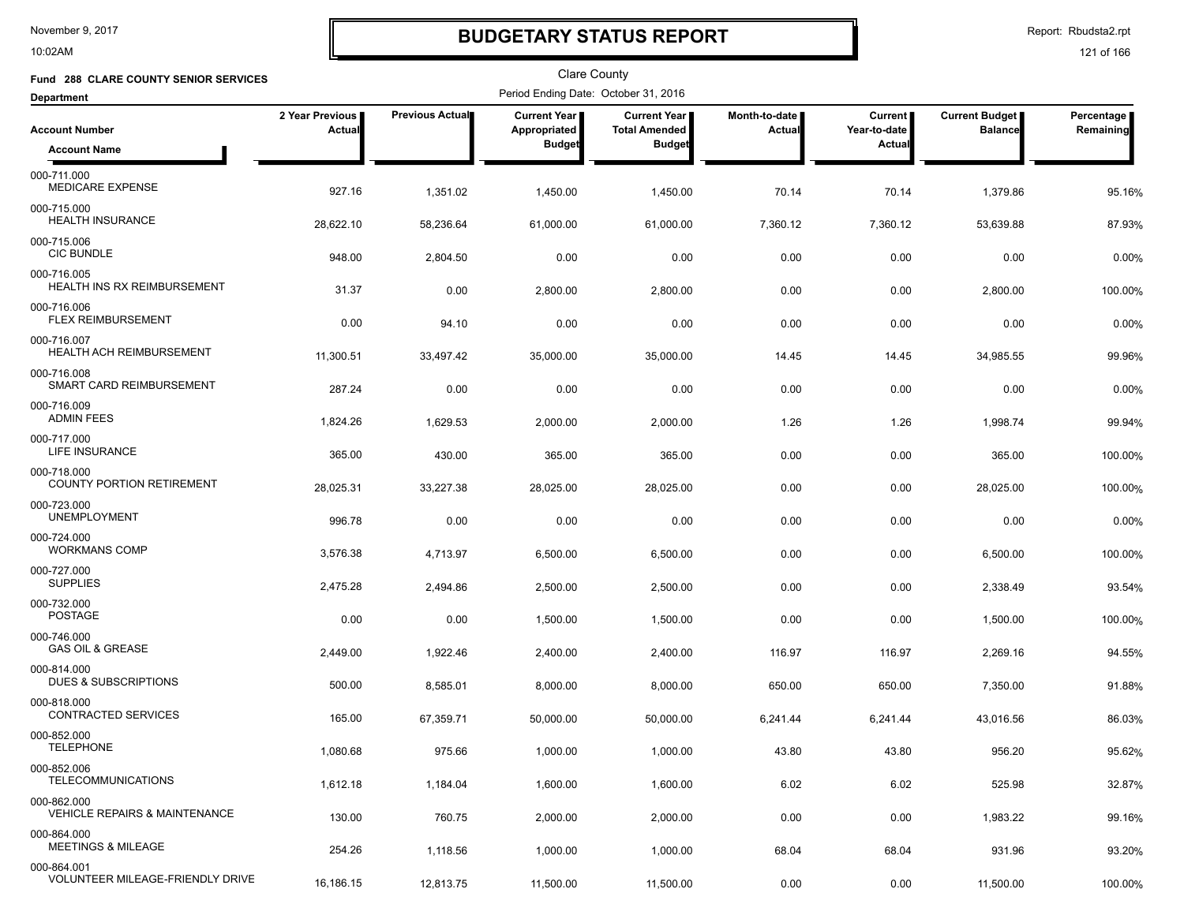10:02AM

# **BUDGETARY STATUS REPORT**

Report: Rbudsta2.rpt

| Fund 288 CLARE COUNTY SENIOR SERVICES                   |                           |                        | Clare County                         |                                             |                         |                                |                                         |                         |
|---------------------------------------------------------|---------------------------|------------------------|--------------------------------------|---------------------------------------------|-------------------------|--------------------------------|-----------------------------------------|-------------------------|
| <b>Department</b>                                       |                           |                        | Period Ending Date: October 31, 2016 |                                             |                         |                                |                                         |                         |
| <b>Account Number</b>                                   | 2 Year Previous<br>Actual | <b>Previous Actual</b> | <b>Current Year</b><br>Appropriated  | <b>Current Year</b><br><b>Total Amended</b> | Month-to-date<br>Actual | <b>Current</b><br>Year-to-date | <b>Current Budget</b><br><b>Balance</b> | Percentage<br>Remaining |
| <b>Account Name</b>                                     |                           |                        | <b>Budget</b>                        | <b>Budget</b>                               |                         | Actual                         |                                         |                         |
| 000-711.000<br>MEDICARE EXPENSE                         | 927.16                    | 1,351.02               | 1,450.00                             | 1,450.00                                    | 70.14                   | 70.14                          | 1,379.86                                | 95.16%                  |
| 000-715.000<br>HEALTH INSURANCE                         | 28,622.10                 | 58,236.64              | 61,000.00                            | 61,000.00                                   | 7,360.12                | 7,360.12                       | 53,639.88                               | 87.93%                  |
| 000-715.006<br><b>CIC BUNDLE</b>                        | 948.00                    | 2,804.50               | 0.00                                 | 0.00                                        | 0.00                    | 0.00                           | 0.00                                    | 0.00%                   |
| 000-716.005<br>HEALTH INS RX REIMBURSEMENT              | 31.37                     | 0.00                   | 2,800.00                             | 2,800.00                                    | 0.00                    | 0.00                           | 2,800.00                                | 100.00%                 |
| 000-716.006<br>FLEX REIMBURSEMENT                       | 0.00                      | 94.10                  | 0.00                                 | 0.00                                        | 0.00                    | 0.00                           | 0.00                                    | 0.00%                   |
| 000-716.007<br>HEALTH ACH REIMBURSEMENT                 | 11,300.51                 | 33,497.42              | 35,000.00                            | 35,000.00                                   | 14.45                   | 14.45                          | 34,985.55                               | 99.96%                  |
| 000-716.008<br>SMART CARD REIMBURSEMENT                 | 287.24                    | 0.00                   | 0.00                                 | 0.00                                        | 0.00                    | 0.00                           | 0.00                                    | 0.00%                   |
| 000-716.009<br><b>ADMIN FEES</b>                        | 1,824.26                  | 1,629.53               | 2,000.00                             | 2,000.00                                    | 1.26                    | 1.26                           | 1,998.74                                | 99.94%                  |
| 000-717.000<br><b>LIFE INSURANCE</b>                    | 365.00                    | 430.00                 | 365.00                               | 365.00                                      | 0.00                    | 0.00                           | 365.00                                  | 100.00%                 |
| 000-718.000<br><b>COUNTY PORTION RETIREMENT</b>         | 28,025.31                 | 33,227.38              | 28,025.00                            | 28,025.00                                   | 0.00                    | 0.00                           | 28,025.00                               | 100.00%                 |
| 000-723.000<br><b>UNEMPLOYMENT</b>                      | 996.78                    | 0.00                   | 0.00                                 | 0.00                                        | 0.00                    | 0.00                           | 0.00                                    | 0.00%                   |
| 000-724.000<br><b>WORKMANS COMP</b>                     | 3,576.38                  | 4,713.97               | 6,500.00                             | 6,500.00                                    | 0.00                    | 0.00                           | 6,500.00                                | 100.00%                 |
| 000-727.000<br><b>SUPPLIES</b>                          | 2,475.28                  | 2,494.86               | 2,500.00                             | 2,500.00                                    | 0.00                    | 0.00                           | 2,338.49                                | 93.54%                  |
| 000-732.000<br><b>POSTAGE</b>                           | 0.00                      | 0.00                   | 1,500.00                             | 1,500.00                                    | 0.00                    | 0.00                           | 1,500.00                                | 100.00%                 |
| 000-746.000<br><b>GAS OIL &amp; GREASE</b>              | 2,449.00                  | 1,922.46               | 2,400.00                             | 2,400.00                                    | 116.97                  | 116.97                         | 2,269.16                                | 94.55%                  |
| 000-814.000<br><b>DUES &amp; SUBSCRIPTIONS</b>          | 500.00                    | 8,585.01               | 8,000.00                             | 8,000.00                                    | 650.00                  | 650.00                         | 7,350.00                                | 91.88%                  |
| 000-818.000<br><b>CONTRACTED SERVICES</b>               | 165.00                    | 67,359.71              | 50,000.00                            | 50,000.00                                   | 6,241.44                | 6,241.44                       | 43,016.56                               | 86.03%                  |
| 000-852.000<br><b>TELEPHONE</b>                         | 1,080.68                  | 975.66                 | 1,000.00                             | 1,000.00                                    | 43.80                   | 43.80                          | 956.20                                  | 95.62%                  |
| 000-852.006<br><b>TELECOMMUNICATIONS</b>                | 1,612.18                  | 1,184.04               | 1,600.00                             | 1,600.00                                    | 6.02                    | 6.02                           | 525.98                                  | 32.87%                  |
| 000-862.000<br><b>VEHICLE REPAIRS &amp; MAINTENANCE</b> | 130.00                    | 760.75                 | 2,000.00                             | 2,000.00                                    | 0.00                    | 0.00                           | 1,983.22                                | 99.16%                  |
| 000-864.000<br><b>MEETINGS &amp; MILEAGE</b>            | 254.26                    | 1,118.56               | 1,000.00                             | 1,000.00                                    | 68.04                   | 68.04                          | 931.96                                  | 93.20%                  |
| 000-864.001<br><b>VOLUNTEER MILEAGE-FRIENDLY DRIVE</b>  | 16,186.15                 | 12,813.75              | 11,500.00                            | 11,500.00                                   | 0.00                    | 0.00                           | 11,500.00                               | 100.00%                 |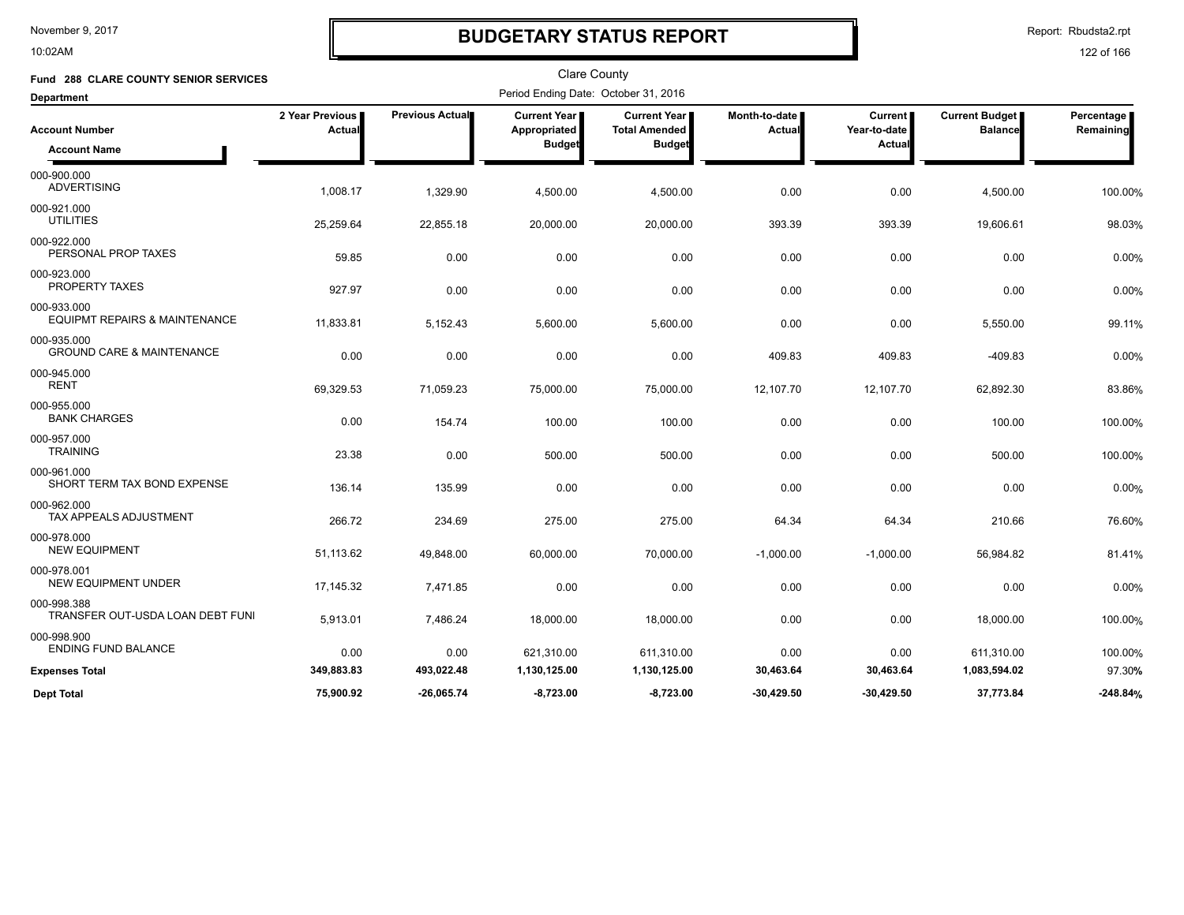10:02AM

### **BUDGETARY STATUS REPORT**

Report: Rbudsta2.rpt

| Fund 288 CLARE COUNTY SENIOR SERVICES                   |                                  |                 | <b>Clare County</b>                  |                                             |                         |                                          |                                         |                         |
|---------------------------------------------------------|----------------------------------|-----------------|--------------------------------------|---------------------------------------------|-------------------------|------------------------------------------|-----------------------------------------|-------------------------|
| <b>Department</b>                                       |                                  |                 | Period Ending Date: October 31, 2016 |                                             |                         |                                          |                                         |                         |
| <b>Account Number</b>                                   | 2 Year Previous<br><b>Actual</b> | Previous Actual | Current Year<br>Appropriated         | <b>Current Year</b><br><b>Total Amended</b> | Month-to-date<br>Actual | <b>Current</b><br>Year-to-date<br>Actual | <b>Current Budget</b><br><b>Balance</b> | Percentage<br>Remaining |
| <b>Account Name</b>                                     |                                  |                 | <b>Budget</b>                        | <b>Budget</b>                               |                         |                                          |                                         |                         |
| 000-900.000<br><b>ADVERTISING</b>                       | 1,008.17                         | 1,329.90        | 4,500.00                             | 4,500.00                                    | 0.00                    | 0.00                                     | 4,500.00                                | 100.00%                 |
| 000-921.000<br><b>UTILITIES</b>                         | 25,259.64                        | 22,855.18       | 20,000.00                            | 20,000.00                                   | 393.39                  | 393.39                                   | 19,606.61                               | 98.03%                  |
| 000-922.000<br>PERSONAL PROP TAXES                      | 59.85                            | 0.00            | 0.00                                 | 0.00                                        | 0.00                    | 0.00                                     | 0.00                                    | 0.00%                   |
| 000-923.000<br><b>PROPERTY TAXES</b>                    | 927.97                           | 0.00            | 0.00                                 | 0.00                                        | 0.00                    | 0.00                                     | 0.00                                    | 0.00%                   |
| 000-933.000<br><b>EQUIPMT REPAIRS &amp; MAINTENANCE</b> | 11,833.81                        | 5,152.43        | 5,600.00                             | 5,600.00                                    | 0.00                    | 0.00                                     | 5,550.00                                | 99.11%                  |
| 000-935.000<br><b>GROUND CARE &amp; MAINTENANCE</b>     | 0.00                             | 0.00            | 0.00                                 | 0.00                                        | 409.83                  | 409.83                                   | $-409.83$                               | 0.00%                   |
| 000-945.000<br><b>RENT</b>                              | 69,329.53                        | 71,059.23       | 75,000.00                            | 75,000.00                                   | 12,107.70               | 12,107.70                                | 62,892.30                               | 83.86%                  |
| 000-955.000<br><b>BANK CHARGES</b>                      | 0.00                             | 154.74          | 100.00                               | 100.00                                      | 0.00                    | 0.00                                     | 100.00                                  | 100.00%                 |
| 000-957.000<br><b>TRAINING</b>                          | 23.38                            | 0.00            | 500.00                               | 500.00                                      | 0.00                    | 0.00                                     | 500.00                                  | 100.00%                 |
| 000-961.000<br>SHORT TERM TAX BOND EXPENSE              | 136.14                           | 135.99          | 0.00                                 | 0.00                                        | 0.00                    | 0.00                                     | 0.00                                    | 0.00%                   |
| 000-962.000<br>TAX APPEALS ADJUSTMENT                   | 266.72                           | 234.69          | 275.00                               | 275.00                                      | 64.34                   | 64.34                                    | 210.66                                  | 76.60%                  |
| 000-978.000<br><b>NEW EQUIPMENT</b>                     | 51,113.62                        | 49,848.00       | 60,000.00                            | 70,000.00                                   | $-1,000.00$             | $-1,000.00$                              | 56,984.82                               | 81.41%                  |
| 000-978.001<br><b>NEW EQUIPMENT UNDER</b>               | 17,145.32                        | 7,471.85        | 0.00                                 | 0.00                                        | 0.00                    | 0.00                                     | 0.00                                    | 0.00%                   |
| 000-998.388<br>TRANSFER OUT-USDA LOAN DEBT FUNI         | 5,913.01                         | 7,486.24        | 18,000.00                            | 18,000.00                                   | 0.00                    | 0.00                                     | 18,000.00                               | 100.00%                 |
| 000-998.900<br><b>ENDING FUND BALANCE</b>               | 0.00                             | 0.00            | 621,310.00                           | 611,310.00                                  | 0.00                    | 0.00                                     | 611,310.00                              | 100.00%                 |
| <b>Expenses Total</b>                                   | 349,883.83                       | 493,022.48      | 1,130,125.00                         | 1,130,125.00                                | 30,463.64               | 30,463.64                                | 1,083,594.02                            | 97.30%                  |
| <b>Dept Total</b>                                       | 75,900.92                        | $-26,065.74$    | $-8,723.00$                          | $-8,723.00$                                 | $-30,429.50$            | $-30,429.50$                             | 37,773.84                               | $-248.84%$              |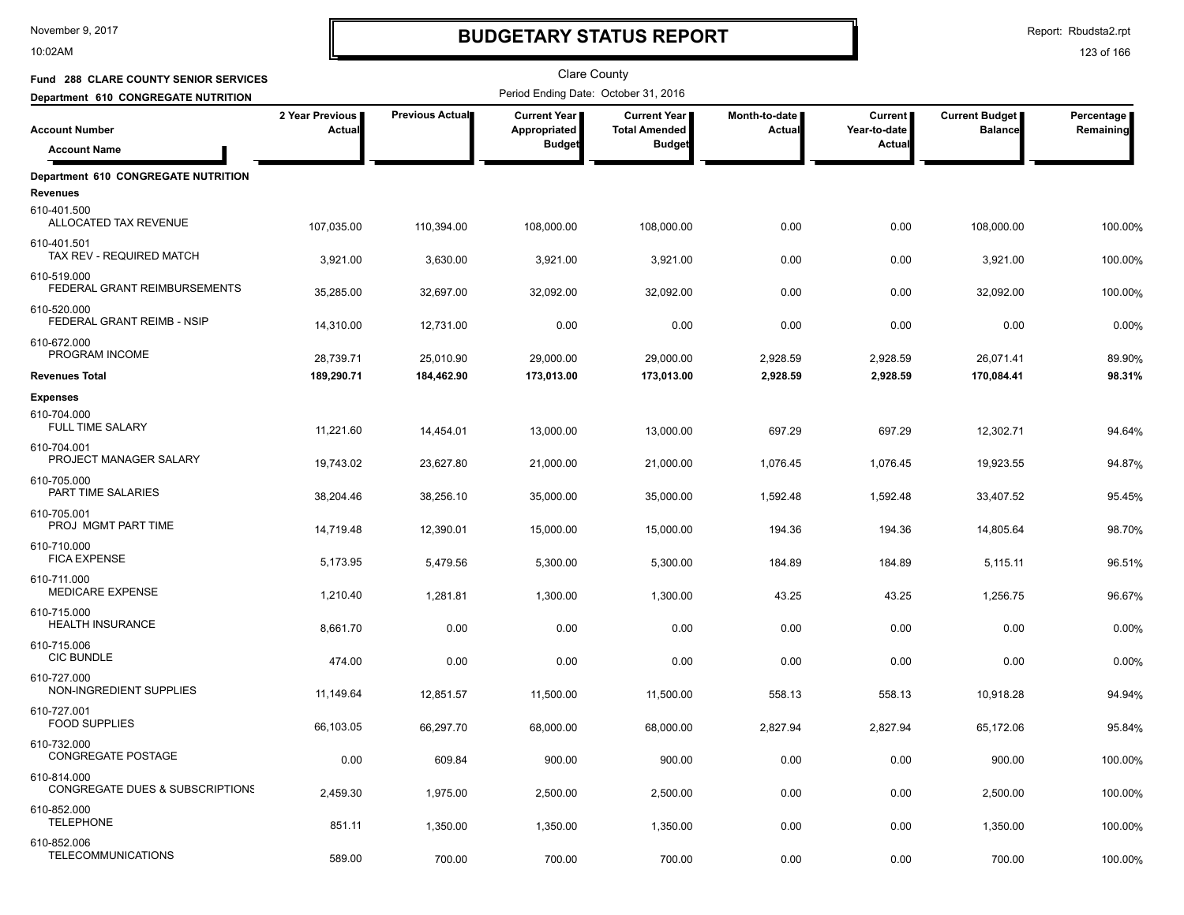10:02AM

# **BUDGETARY STATUS REPORT**

Report: Rbudsta2.rpt

| <b>Fund 288 CLARE COUNTY SENIOR SERVICES</b>                  |                           |                 | Clare County                                  |                                                              |                         |                                          |                                         |                         |
|---------------------------------------------------------------|---------------------------|-----------------|-----------------------------------------------|--------------------------------------------------------------|-------------------------|------------------------------------------|-----------------------------------------|-------------------------|
| Department 610 CONGREGATE NUTRITION                           |                           |                 | Period Ending Date: October 31, 2016          |                                                              |                         |                                          |                                         |                         |
| <b>Account Number</b><br><b>Account Name</b>                  | 2 Year Previous<br>Actual | Previous Actual | Current Year<br>Appropriated<br><b>Budget</b> | <b>Current Year</b><br><b>Total Amended</b><br><b>Budget</b> | Month-to-date<br>Actual | <b>Current</b><br>Year-to-date<br>Actual | <b>Current Budget</b><br><b>Balance</b> | Percentage<br>Remaining |
| <b>Department 610 CONGREGATE NUTRITION</b><br><b>Revenues</b> |                           |                 |                                               |                                                              |                         |                                          |                                         |                         |
| 610-401.500<br>ALLOCATED TAX REVENUE                          | 107,035.00                | 110,394.00      | 108,000.00                                    | 108,000.00                                                   | 0.00                    | 0.00                                     | 108,000.00                              | 100.00%                 |
| 610-401.501<br>TAX REV - REQUIRED MATCH                       | 3,921.00                  | 3,630.00        | 3,921.00                                      | 3,921.00                                                     | 0.00                    | 0.00                                     | 3,921.00                                | 100.00%                 |
| 610-519.000<br>FEDERAL GRANT REIMBURSEMENTS                   | 35,285.00                 | 32,697.00       | 32,092.00                                     | 32,092.00                                                    | 0.00                    | 0.00                                     | 32,092.00                               | 100.00%                 |
| 610-520.000<br>FEDERAL GRANT REIMB - NSIP                     | 14,310.00                 | 12,731.00       | 0.00                                          | 0.00                                                         | 0.00                    | 0.00                                     | 0.00                                    | 0.00%                   |
| 610-672.000<br>PROGRAM INCOME                                 | 28,739.71                 | 25,010.90       | 29,000.00                                     | 29,000.00                                                    | 2,928.59                | 2,928.59                                 | 26,071.41                               | 89.90%                  |
| <b>Revenues Total</b>                                         | 189,290.71                | 184,462.90      | 173,013.00                                    | 173,013.00                                                   | 2,928.59                | 2,928.59                                 | 170,084.41                              | 98.31%                  |
| <b>Expenses</b>                                               |                           |                 |                                               |                                                              |                         |                                          |                                         |                         |
| 610-704.000<br><b>FULL TIME SALARY</b>                        | 11,221.60                 | 14,454.01       | 13,000.00                                     | 13,000.00                                                    | 697.29                  | 697.29                                   | 12,302.71                               | 94.64%                  |
| 610-704.001<br>PROJECT MANAGER SALARY                         | 19,743.02                 | 23,627.80       | 21,000.00                                     | 21,000.00                                                    | 1,076.45                | 1,076.45                                 | 19,923.55                               | 94.87%                  |
| 610-705.000<br>PART TIME SALARIES                             | 38,204.46                 | 38,256.10       | 35,000.00                                     | 35,000.00                                                    | 1,592.48                | 1,592.48                                 | 33,407.52                               | 95.45%                  |
| 610-705.001<br>PROJ MGMT PART TIME                            | 14,719.48                 | 12,390.01       | 15,000.00                                     | 15,000.00                                                    | 194.36                  | 194.36                                   | 14,805.64                               | 98.70%                  |
| 610-710.000<br><b>FICA EXPENSE</b>                            | 5,173.95                  | 5,479.56        | 5,300.00                                      | 5,300.00                                                     | 184.89                  | 184.89                                   | 5,115.11                                | 96.51%                  |
| 610-711.000<br><b>MEDICARE EXPENSE</b>                        | 1,210.40                  | 1,281.81        | 1,300.00                                      | 1,300.00                                                     | 43.25                   | 43.25                                    | 1,256.75                                | 96.67%                  |
| 610-715.000<br><b>HEALTH INSURANCE</b>                        | 8,661.70                  | 0.00            | 0.00                                          | 0.00                                                         | 0.00                    | 0.00                                     | 0.00                                    | 0.00%                   |
| 610-715.006<br><b>CIC BUNDLE</b>                              | 474.00                    | 0.00            | 0.00                                          | 0.00                                                         | 0.00                    | 0.00                                     | 0.00                                    | 0.00%                   |
| 610-727.000<br>NON-INGREDIENT SUPPLIES                        | 11,149.64                 | 12,851.57       | 11,500.00                                     | 11,500.00                                                    | 558.13                  | 558.13                                   | 10,918.28                               | 94.94%                  |
| 610-727.001<br><b>FOOD SUPPLIES</b>                           | 66,103.05                 | 66,297.70       | 68,000.00                                     | 68,000.00                                                    | 2,827.94                | 2,827.94                                 | 65,172.06                               | 95.84%                  |
| 610-732.000<br>CONGREGATE POSTAGE                             | 0.00                      | 609.84          | 900.00                                        | 900.00                                                       | 0.00                    | 0.00                                     | 900.00                                  | 100.00%                 |
| 610-814.000<br>CONGREGATE DUES & SUBSCRIPTIONS                | 2,459.30                  | 1,975.00        | 2,500.00                                      | 2,500.00                                                     | 0.00                    | 0.00                                     | 2,500.00                                | 100.00%                 |
| 610-852.000<br><b>TELEPHONE</b>                               | 851.11                    | 1,350.00        | 1,350.00                                      | 1,350.00                                                     | 0.00                    | 0.00                                     | 1,350.00                                | 100.00%                 |
| 610-852.006<br><b>TELECOMMUNICATIONS</b>                      | 589.00                    | 700.00          | 700.00                                        | 700.00                                                       | 0.00                    | 0.00                                     | 700.00                                  | 100.00%                 |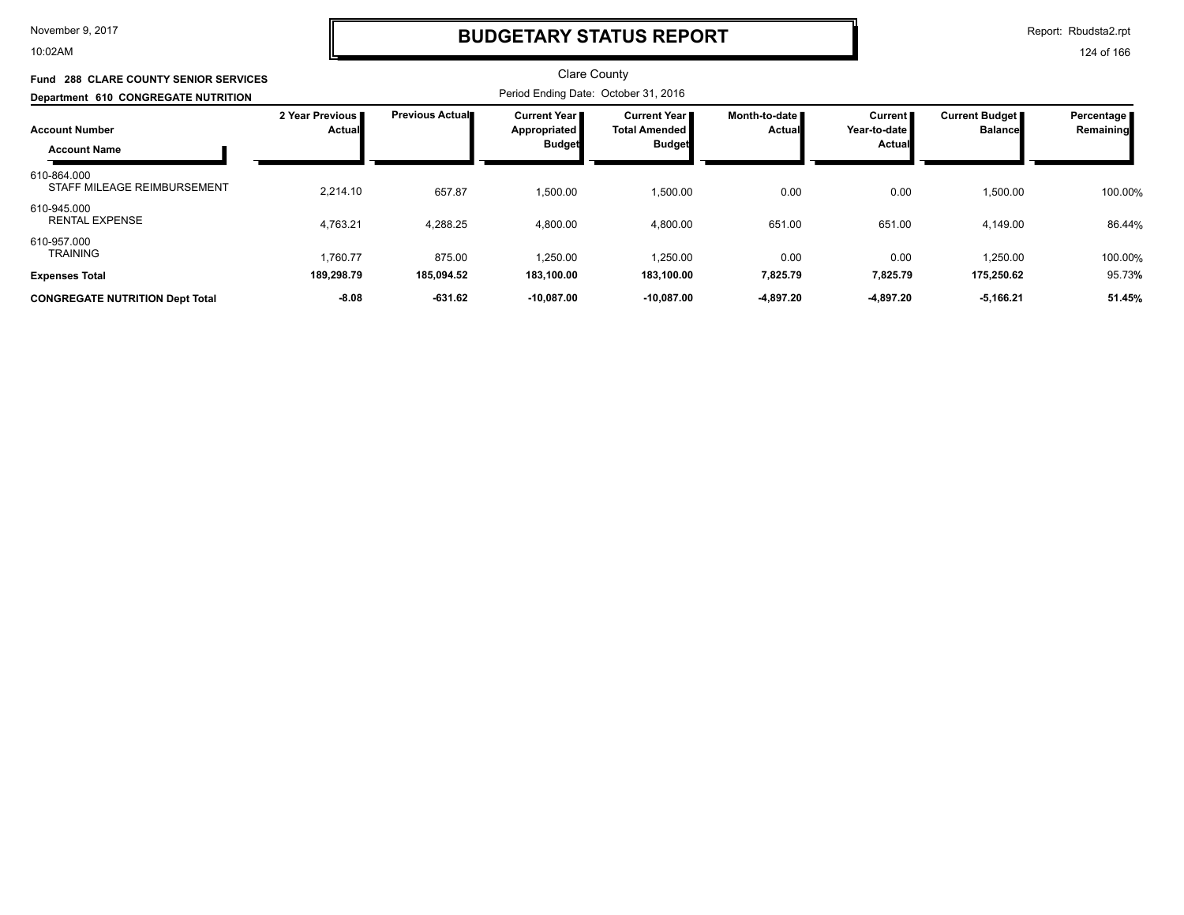10:02AM

### **BUDGETARY STATUS REPORT**

Report: Rbudsta2.rpt

124 of 166

#### Clare County Period Ending Date: October 31, 2016 **Account Number Department 610 CONGREGATE NUTRITION Fund 288 CLARE COUNTY SENIOR SERVICES 2 Year Previous Actual Previous Actual Current Year Appropriated Budget Current Year Total Amended Budget Month-to-date Actual Current Year-to-date Actual Current Budget Balance Percentage Remaining Account Name** STAFF MILEAGE REIMBURSEMENT <br>2,214.10 657.87 1,500.00 1,500.00 1,500.00 0.00 0.00 0.00 1,500.00 100.00% 610-864.000 1,500.00 0.00 0.00 1,500.00 100.00 4,763.21 4,288.25 4,800.00 4,800.00 651.00 651.00 4,149.00 4,149.00 86.44% RENTAL EXPENSE \$ 4,149.00 4,149.00 610-945.000 4,800.00 651.00 651.00 4,149.00 86.44 1,760.77 875.00 1,250.00 TRAINING % 610-957.000 1,250.00 0.00 0.00 1,250.00 100.00 **Expenses Total 189,298.79 185,094.52 183,100.00 183,100.00 7,825.79 7,825.79 175,250.62** 95.73**% CONGREGATE NUTRITION Dept Total -8.08 -631.62 -10,087.00 -10,087.00 -4,897.20 -4,897.20 -5,166.21 51.45%**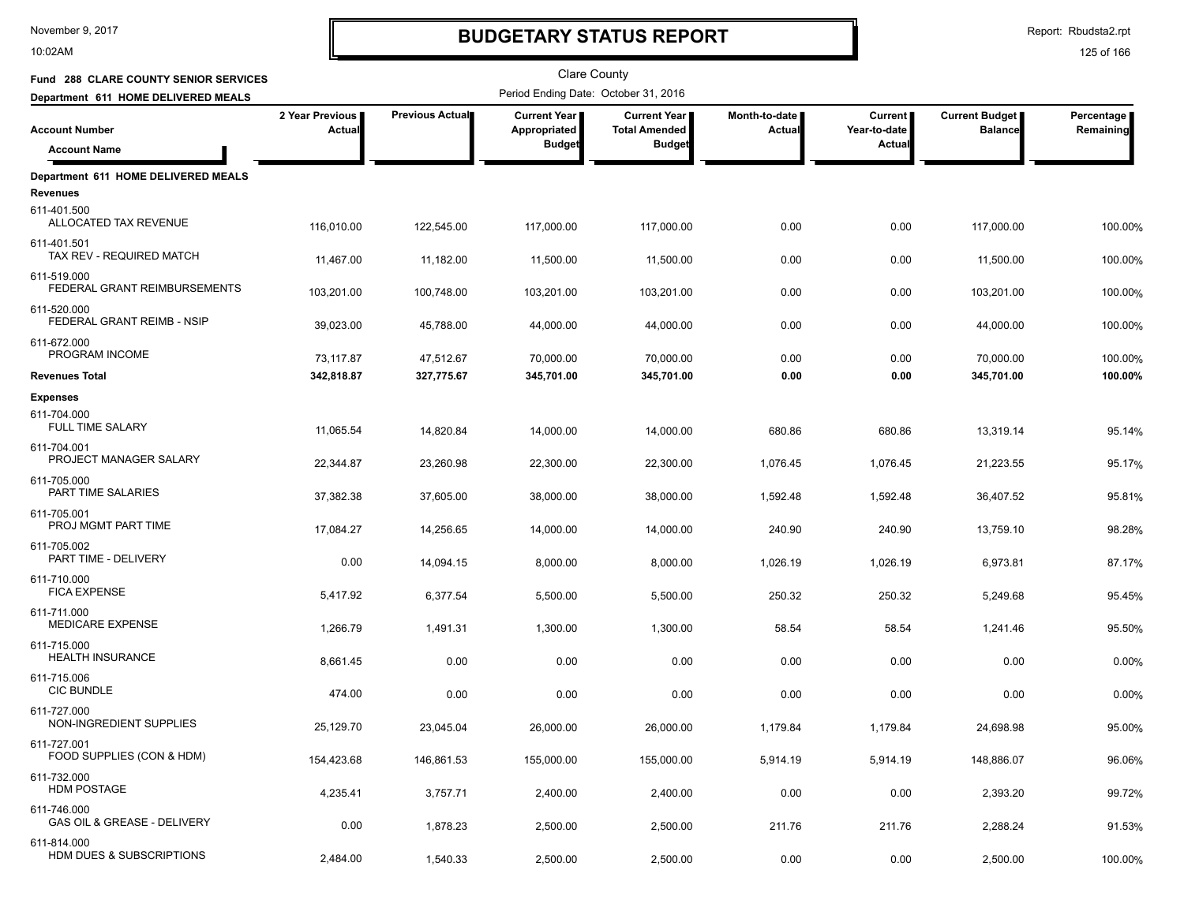10:02AM

# **BUDGETARY STATUS REPORT**

Report: Rbudsta2.rpt

| Fund 288 CLARE COUNTY SENIOR SERVICES                  |                           |                 | Clare County                                  |                                                              |                         |                                          |                                         |                           |
|--------------------------------------------------------|---------------------------|-----------------|-----------------------------------------------|--------------------------------------------------------------|-------------------------|------------------------------------------|-----------------------------------------|---------------------------|
| Department 611 HOME DELIVERED MEALS                    |                           |                 | Period Ending Date: October 31, 2016          |                                                              |                         |                                          |                                         |                           |
| <b>Account Number</b><br><b>Account Name</b>           | 2 Year Previous<br>Actual | Previous Actual | Current Year<br>Appropriated<br><b>Budget</b> | <b>Current Year</b><br><b>Total Amended</b><br><b>Budget</b> | Month-to-date<br>Actual | <b>Current</b><br>Year-to-date<br>Actual | <b>Current Budget</b><br><b>Balance</b> | Percentage  <br>Remaining |
|                                                        |                           |                 |                                               |                                                              |                         |                                          |                                         |                           |
| Department 611 HOME DELIVERED MEALS<br><b>Revenues</b> |                           |                 |                                               |                                                              |                         |                                          |                                         |                           |
| 611-401.500<br>ALLOCATED TAX REVENUE                   | 116,010.00                | 122,545.00      | 117,000.00                                    | 117,000.00                                                   | 0.00                    | 0.00                                     | 117,000.00                              | 100.00%                   |
| 611-401.501<br>TAX REV - REQUIRED MATCH                | 11,467.00                 | 11,182.00       | 11,500.00                                     | 11,500.00                                                    | 0.00                    | 0.00                                     | 11,500.00                               | 100.00%                   |
| 611-519.000<br>FEDERAL GRANT REIMBURSEMENTS            | 103,201.00                | 100,748.00      | 103,201.00                                    | 103,201.00                                                   | 0.00                    | 0.00                                     | 103,201.00                              | 100.00%                   |
| 611-520.000<br>FEDERAL GRANT REIMB - NSIP              | 39,023.00                 | 45,788.00       | 44,000.00                                     | 44,000.00                                                    | 0.00                    | 0.00                                     | 44,000.00                               | 100.00%                   |
| 611-672.000<br>PROGRAM INCOME                          | 73,117.87                 | 47,512.67       | 70,000.00                                     | 70,000.00                                                    | 0.00                    | 0.00                                     | 70,000.00                               | 100.00%                   |
| <b>Revenues Total</b>                                  | 342,818.87                | 327,775.67      | 345,701.00                                    | 345,701.00                                                   | 0.00                    | 0.00                                     | 345,701.00                              | 100.00%                   |
| <b>Expenses</b>                                        |                           |                 |                                               |                                                              |                         |                                          |                                         |                           |
| 611-704.000<br>FULL TIME SALARY                        | 11,065.54                 | 14,820.84       | 14,000.00                                     | 14,000.00                                                    | 680.86                  | 680.86                                   | 13,319.14                               | 95.14%                    |
| 611-704.001<br>PROJECT MANAGER SALARY                  | 22,344.87                 | 23,260.98       | 22,300.00                                     | 22,300.00                                                    | 1,076.45                | 1,076.45                                 | 21,223.55                               | 95.17%                    |
| 611-705.000<br>PART TIME SALARIES                      | 37,382.38                 | 37,605.00       | 38,000.00                                     | 38,000.00                                                    | 1,592.48                | 1,592.48                                 | 36,407.52                               | 95.81%                    |
| 611-705.001<br>PROJ MGMT PART TIME                     | 17,084.27                 | 14,256.65       | 14,000.00                                     | 14,000.00                                                    | 240.90                  | 240.90                                   | 13,759.10                               | 98.28%                    |
| 611-705.002<br>PART TIME - DELIVERY                    | 0.00                      | 14,094.15       | 8,000.00                                      | 8,000.00                                                     | 1,026.19                | 1,026.19                                 | 6,973.81                                | 87.17%                    |
| 611-710.000<br><b>FICA EXPENSE</b>                     | 5,417.92                  |                 |                                               |                                                              |                         |                                          |                                         |                           |
| 611-711.000<br>MEDICARE EXPENSE                        |                           | 6,377.54        | 5,500.00                                      | 5,500.00                                                     | 250.32                  | 250.32                                   | 5,249.68                                | 95.45%                    |
| 611-715.000<br><b>HEALTH INSURANCE</b>                 | 1,266.79                  | 1,491.31        | 1,300.00                                      | 1,300.00                                                     | 58.54                   | 58.54                                    | 1,241.46                                | 95.50%                    |
| 611-715.006<br><b>CIC BUNDLE</b>                       | 8,661.45                  | 0.00            | 0.00                                          | 0.00                                                         | 0.00                    | 0.00                                     | 0.00                                    | 0.00%                     |
| 611-727.000                                            | 474.00                    | 0.00            | 0.00                                          | 0.00                                                         | 0.00                    | 0.00                                     | 0.00                                    | 0.00%                     |
| NON-INGREDIENT SUPPLIES                                | 25,129.70                 | 23,045.04       | 26,000.00                                     | 26,000.00                                                    | 1,179.84                | 1,179.84                                 | 24,698.98                               | 95.00%                    |
| 611-727.001<br>FOOD SUPPLIES (CON & HDM)               | 154,423.68                | 146,861.53      | 155,000.00                                    | 155,000.00                                                   | 5,914.19                | 5,914.19                                 | 148,886.07                              | 96.06%                    |
| 611-732.000<br><b>HDM POSTAGE</b>                      | 4,235.41                  | 3,757.71        | 2,400.00                                      | 2,400.00                                                     | 0.00                    | 0.00                                     | 2,393.20                                | 99.72%                    |
| 611-746.000<br>GAS OIL & GREASE - DELIVERY             | 0.00                      | 1,878.23        | 2,500.00                                      | 2,500.00                                                     | 211.76                  | 211.76                                   | 2,288.24                                | 91.53%                    |
| 611-814.000<br>HDM DUES & SUBSCRIPTIONS                | 2,484.00                  | 1,540.33        | 2,500.00                                      | 2,500.00                                                     | 0.00                    | 0.00                                     | 2,500.00                                | 100.00%                   |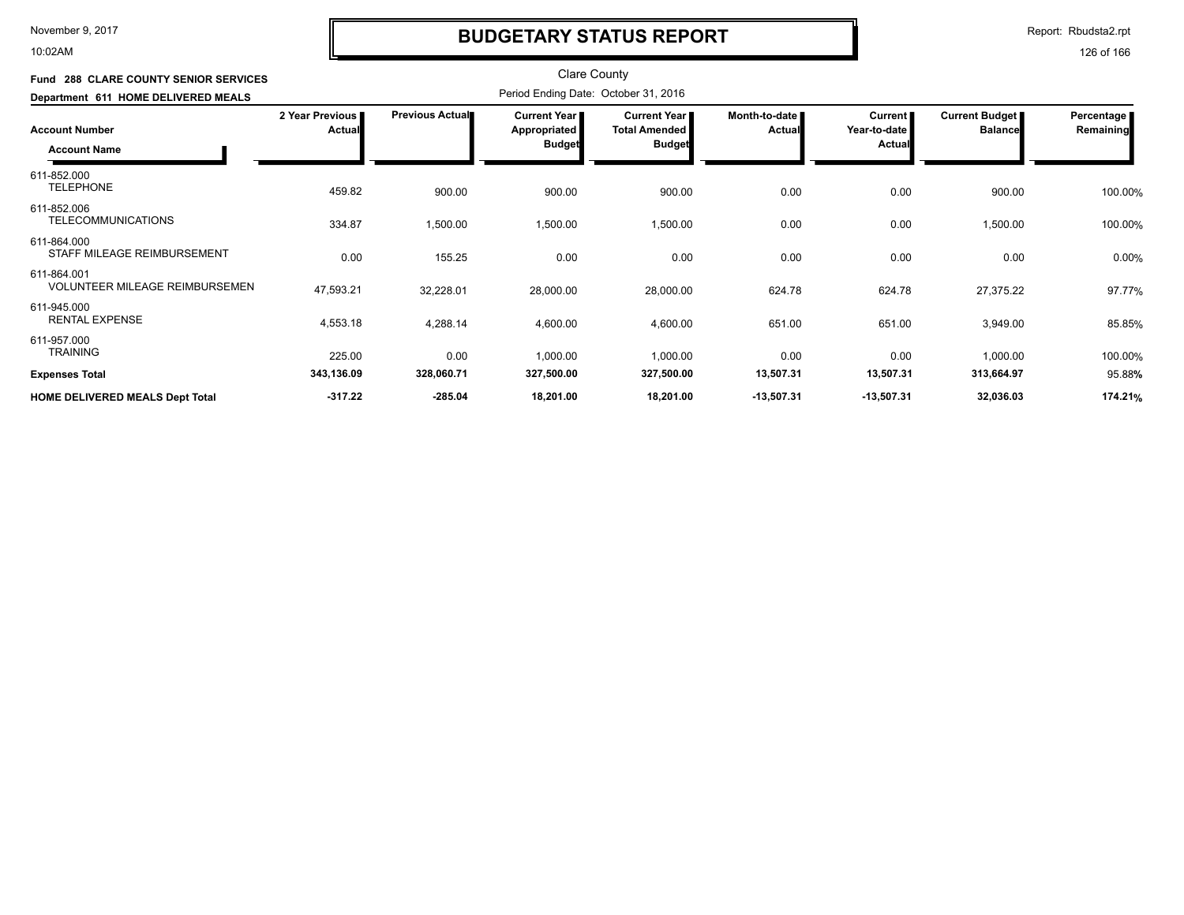10:02AM

# **BUDGETARY STATUS REPORT**

Report: Rbudsta2.rpt

| <b>Fund 288 CLARE COUNTY SENIOR SERVICES</b><br>Department 611 HOME DELIVERED MEALS |                           |                 |                                               |                                                                |                                |                                          |                                  |                         |
|-------------------------------------------------------------------------------------|---------------------------|-----------------|-----------------------------------------------|----------------------------------------------------------------|--------------------------------|------------------------------------------|----------------------------------|-------------------------|
| <b>Account Number</b><br><b>Account Name</b>                                        | 2 Year Previous<br>Actual | Previous Actual | Current Year<br>Appropriated<br><b>Budget</b> | <b>Current Year I</b><br><b>Total Amended</b><br><b>Budget</b> | Month-to-date<br><b>Actual</b> | <b>Current</b><br>Year-to-date<br>Actual | Current Budget<br><b>Balance</b> | Percentage<br>Remaining |
| 611-852.000<br><b>TELEPHONE</b>                                                     | 459.82                    | 900.00          | 900.00                                        | 900.00                                                         | 0.00                           | 0.00                                     | 900.00                           | 100.00%                 |
| 611-852.006<br><b>TELECOMMUNICATIONS</b>                                            | 334.87                    | 1,500.00        | 1,500.00                                      | 1,500.00                                                       | 0.00                           | 0.00                                     | 1,500.00                         | 100.00%                 |
| 611-864.000<br>STAFF MILEAGE REIMBURSEMENT                                          | 0.00                      | 155.25          | 0.00                                          | 0.00                                                           | 0.00                           | 0.00                                     | 0.00                             | 0.00%                   |
| 611-864.001<br><b>VOLUNTEER MILEAGE REIMBURSEMEN</b>                                | 47,593.21                 | 32,228.01       | 28,000.00                                     | 28,000.00                                                      | 624.78                         | 624.78                                   | 27,375.22                        | 97.77%                  |
| 611-945.000<br><b>RENTAL EXPENSE</b>                                                | 4,553.18                  | 4,288.14        | 4,600.00                                      | 4,600.00                                                       | 651.00                         | 651.00                                   | 3,949.00                         | 85.85%                  |
| 611-957.000<br><b>TRAINING</b>                                                      | 225.00                    | 0.00            | 1,000.00                                      | 1,000.00                                                       | 0.00                           | 0.00                                     | 1,000.00                         | 100.00%                 |
| <b>Expenses Total</b>                                                               | 343,136.09                | 328,060.71      | 327,500.00                                    | 327,500.00                                                     | 13,507.31                      | 13,507.31                                | 313,664.97                       | 95.88%                  |
| <b>HOME DELIVERED MEALS Dept Total</b>                                              | $-317.22$                 | $-285.04$       | 18,201.00                                     | 18,201.00                                                      | $-13,507.31$                   | $-13,507.31$                             | 32,036.03                        | 174.21%                 |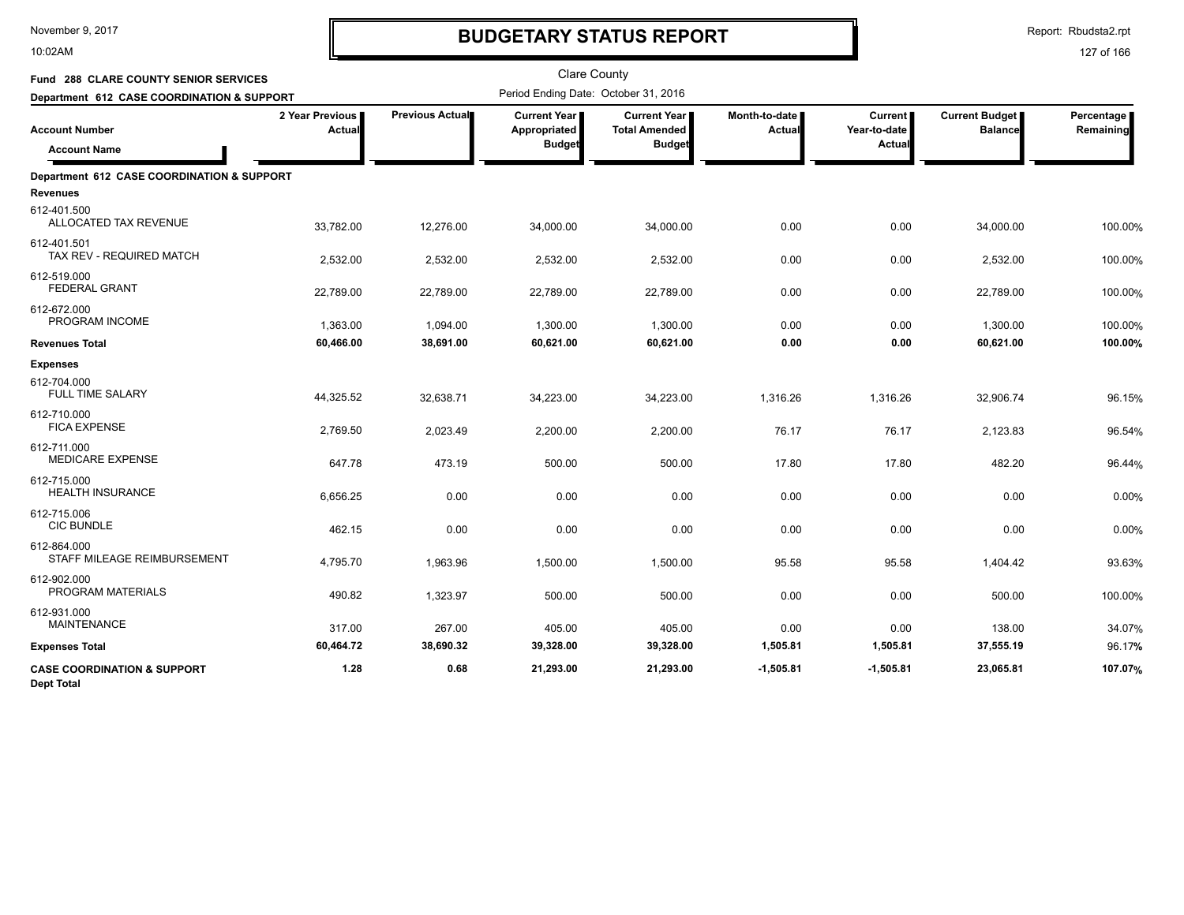10:02AM

# **BUDGETARY STATUS REPORT**

Report: Rbudsta2.rpt

| Fund 288 CLARE COUNTY SENIOR SERVICES                         |                                    |                 | <b>Clare County</b>                  |                                               |                                |                                |                                         |                         |
|---------------------------------------------------------------|------------------------------------|-----------------|--------------------------------------|-----------------------------------------------|--------------------------------|--------------------------------|-----------------------------------------|-------------------------|
| Department 612 CASE COORDINATION & SUPPORT                    |                                    |                 | Period Ending Date: October 31, 2016 |                                               |                                |                                |                                         |                         |
| <b>Account Number</b>                                         | 2 Year Previous  <br><b>Actual</b> | Previous Actual | <b>Current Year</b><br>Appropriated  | <b>Current Year I</b><br><b>Total Amended</b> | Month-to-date<br><b>Actual</b> | <b>Current</b><br>Year-to-date | <b>Current Budget</b><br><b>Balance</b> | Percentage<br>Remaining |
| <b>Account Name</b>                                           |                                    |                 | <b>Budget</b>                        | <b>Budget</b>                                 |                                | Actual                         |                                         |                         |
| Department 612 CASE COORDINATION & SUPPORT<br><b>Revenues</b> |                                    |                 |                                      |                                               |                                |                                |                                         |                         |
| 612-401.500<br>ALLOCATED TAX REVENUE                          | 33,782.00                          | 12,276.00       | 34,000.00                            | 34,000.00                                     | 0.00                           | 0.00                           | 34,000.00                               | 100.00%                 |
| 612-401.501<br>TAX REV - REQUIRED MATCH                       | 2,532.00                           | 2,532.00        | 2,532.00                             | 2,532.00                                      | 0.00                           | 0.00                           | 2,532.00                                | 100.00%                 |
| 612-519.000<br><b>FEDERAL GRANT</b>                           | 22,789.00                          | 22,789.00       | 22,789.00                            | 22,789.00                                     | 0.00                           | 0.00                           | 22,789.00                               | 100.00%                 |
| 612-672.000<br>PROGRAM INCOME                                 | 1,363.00                           | 1,094.00        | 1,300.00                             | 1,300.00                                      | 0.00                           | 0.00                           | 1,300.00                                | 100.00%                 |
| <b>Revenues Total</b>                                         | 60,466.00                          | 38,691.00       | 60,621.00                            | 60,621.00                                     | 0.00                           | 0.00                           | 60,621.00                               | 100.00%                 |
| <b>Expenses</b>                                               |                                    |                 |                                      |                                               |                                |                                |                                         |                         |
| 612-704.000<br><b>FULL TIME SALARY</b>                        | 44,325.52                          | 32,638.71       | 34,223.00                            | 34,223.00                                     | 1.316.26                       | 1,316.26                       | 32,906.74                               | 96.15%                  |
| 612-710.000<br><b>FICA EXPENSE</b>                            | 2,769.50                           | 2,023.49        | 2,200.00                             | 2,200.00                                      | 76.17                          | 76.17                          | 2,123.83                                | 96.54%                  |
| 612-711.000<br><b>MEDICARE EXPENSE</b>                        | 647.78                             | 473.19          | 500.00                               | 500.00                                        | 17.80                          | 17.80                          | 482.20                                  | 96.44%                  |
| 612-715.000<br><b>HEALTH INSURANCE</b>                        | 6,656.25                           | 0.00            | 0.00                                 | 0.00                                          | 0.00                           | 0.00                           | 0.00                                    | 0.00%                   |
| 612-715.006<br><b>CIC BUNDLE</b>                              | 462.15                             | 0.00            | 0.00                                 | 0.00                                          | 0.00                           | 0.00                           | 0.00                                    | 0.00%                   |
| 612-864.000<br>STAFF MILEAGE REIMBURSEMENT                    | 4,795.70                           | 1,963.96        | 1,500.00                             | 1,500.00                                      | 95.58                          | 95.58                          | 1,404.42                                | 93.63%                  |
| 612-902.000<br>PROGRAM MATERIALS                              | 490.82                             | 1,323.97        | 500.00                               | 500.00                                        | 0.00                           | 0.00                           | 500.00                                  | 100.00%                 |
| 612-931.000<br><b>MAINTENANCE</b>                             | 317.00                             | 267.00          | 405.00                               | 405.00                                        | 0.00                           | 0.00                           | 138.00                                  | 34.07%                  |
| <b>Expenses Total</b>                                         | 60,464.72                          | 38,690.32       | 39,328.00                            | 39,328.00                                     | 1,505.81                       | 1,505.81                       | 37,555.19                               | 96.17%                  |
| <b>CASE COORDINATION &amp; SUPPORT</b><br><b>Dept Total</b>   | 1.28                               | 0.68            | 21,293.00                            | 21,293.00                                     | $-1,505.81$                    | $-1,505.81$                    | 23,065.81                               | 107.07%                 |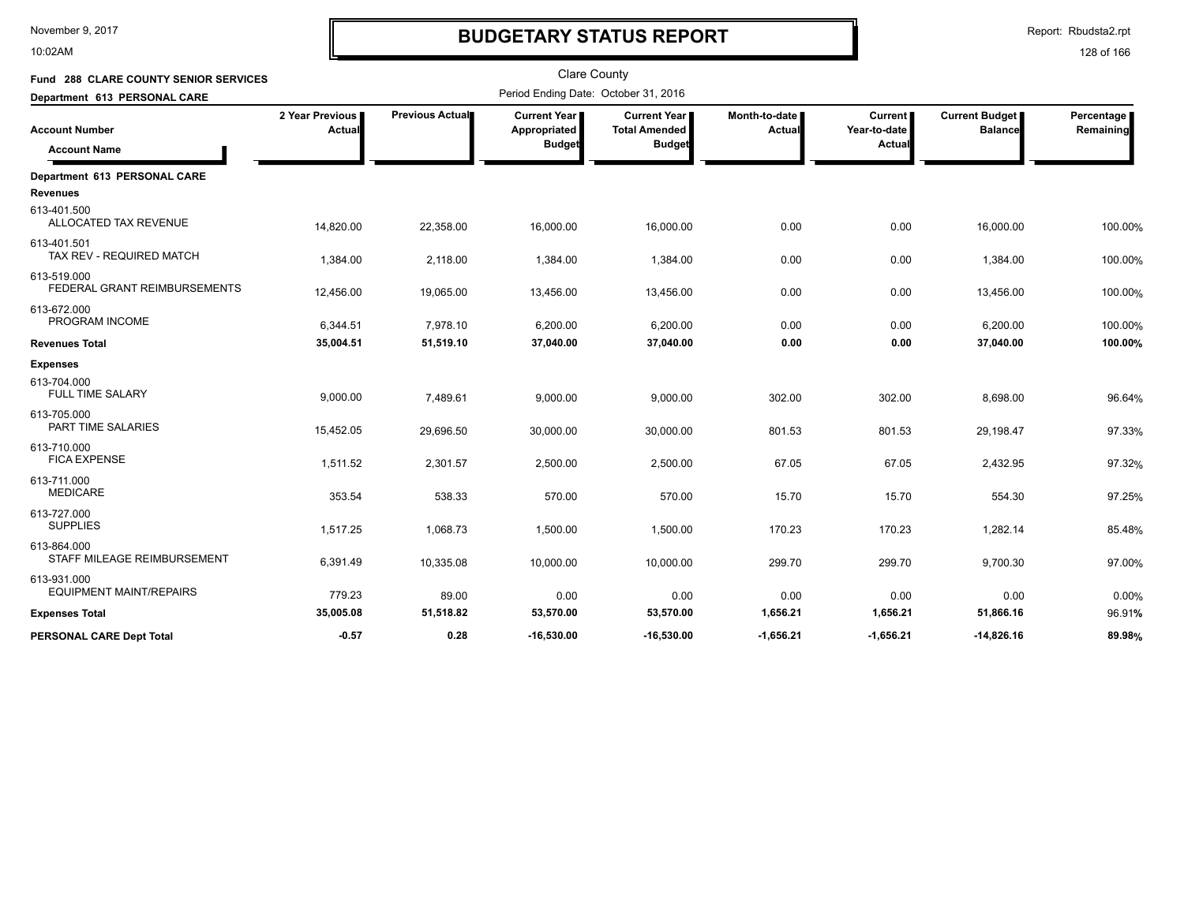10:02AM

# **BUDGETARY STATUS REPORT**

| Fund 288 CLARE COUNTY SENIOR SERVICES         |                           |                        | <b>Clare County</b>                                    |                                                              |                         |                                          |                                         |                         |  |
|-----------------------------------------------|---------------------------|------------------------|--------------------------------------------------------|--------------------------------------------------------------|-------------------------|------------------------------------------|-----------------------------------------|-------------------------|--|
| Department 613 PERSONAL CARE                  |                           |                        | Period Ending Date: October 31, 2016                   |                                                              |                         |                                          |                                         |                         |  |
| <b>Account Number</b><br><b>Account Name</b>  | 2 Year Previous<br>Actual | <b>Previous Actual</b> | <b>Current Year I</b><br>Appropriated<br><b>Budget</b> | <b>Current Year</b><br><b>Total Amended</b><br><b>Budget</b> | Month-to-date<br>Actual | <b>Current</b><br>Year-to-date<br>Actual | <b>Current Budget</b><br><b>Balance</b> | Percentage<br>Remaining |  |
| Department 613 PERSONAL CARE                  |                           |                        |                                                        |                                                              |                         |                                          |                                         |                         |  |
| <b>Revenues</b>                               |                           |                        |                                                        |                                                              |                         |                                          |                                         |                         |  |
| 613-401.500<br>ALLOCATED TAX REVENUE          | 14,820.00                 | 22,358.00              | 16,000.00                                              | 16,000.00                                                    | 0.00                    | 0.00                                     | 16,000.00                               | 100.00%                 |  |
| 613-401.501<br>TAX REV - REQUIRED MATCH       | 1,384.00                  | 2,118.00               | 1,384.00                                               | 1,384.00                                                     | 0.00                    | 0.00                                     | 1,384.00                                | 100.00%                 |  |
| 613-519.000<br>FEDERAL GRANT REIMBURSEMENTS   | 12,456.00                 | 19,065.00              | 13,456.00                                              | 13,456.00                                                    | 0.00                    | 0.00                                     | 13,456.00                               | 100.00%                 |  |
| 613-672.000<br>PROGRAM INCOME                 | 6,344.51                  | 7,978.10               | 6,200.00                                               | 6,200.00                                                     | 0.00                    | 0.00                                     | 6,200.00                                | 100.00%                 |  |
| <b>Revenues Total</b>                         | 35,004.51                 | 51,519.10              | 37,040.00                                              | 37,040.00                                                    | 0.00                    | 0.00                                     | 37,040.00                               | 100.00%                 |  |
| <b>Expenses</b>                               |                           |                        |                                                        |                                                              |                         |                                          |                                         |                         |  |
| 613-704.000<br><b>FULL TIME SALARY</b>        | 9,000.00                  | 7,489.61               | 9,000.00                                               | 9,000.00                                                     | 302.00                  | 302.00                                   | 8,698.00                                | 96.64%                  |  |
| 613-705.000<br>PART TIME SALARIES             | 15,452.05                 | 29,696.50              | 30,000.00                                              | 30,000.00                                                    | 801.53                  | 801.53                                   | 29,198.47                               | 97.33%                  |  |
| 613-710.000<br><b>FICA EXPENSE</b>            | 1,511.52                  | 2,301.57               | 2,500.00                                               | 2,500.00                                                     | 67.05                   | 67.05                                    | 2,432.95                                | 97.32%                  |  |
| 613-711.000<br><b>MEDICARE</b>                | 353.54                    | 538.33                 | 570.00                                                 | 570.00                                                       | 15.70                   | 15.70                                    | 554.30                                  | 97.25%                  |  |
| 613-727.000<br><b>SUPPLIES</b>                | 1,517.25                  | 1,068.73               | 1,500.00                                               | 1,500.00                                                     | 170.23                  | 170.23                                   | 1,282.14                                | 85.48%                  |  |
| 613-864.000<br>STAFF MILEAGE REIMBURSEMENT    | 6,391.49                  | 10,335.08              | 10,000.00                                              | 10,000.00                                                    | 299.70                  | 299.70                                   | 9,700.30                                | 97.00%                  |  |
| 613-931.000<br><b>EQUIPMENT MAINT/REPAIRS</b> | 779.23                    | 89.00                  | 0.00                                                   | 0.00                                                         | 0.00                    | 0.00                                     | 0.00                                    | 0.00%                   |  |
| <b>Expenses Total</b>                         | 35,005.08                 | 51,518.82              | 53,570.00                                              | 53,570.00                                                    | 1,656.21                | 1,656.21                                 | 51,866.16                               | 96.91%                  |  |
| PERSONAL CARE Dept Total                      | $-0.57$                   | 0.28                   | $-16.530.00$                                           | $-16.530.00$                                                 | $-1.656.21$             | $-1.656.21$                              | $-14.826.16$                            | 89.98%                  |  |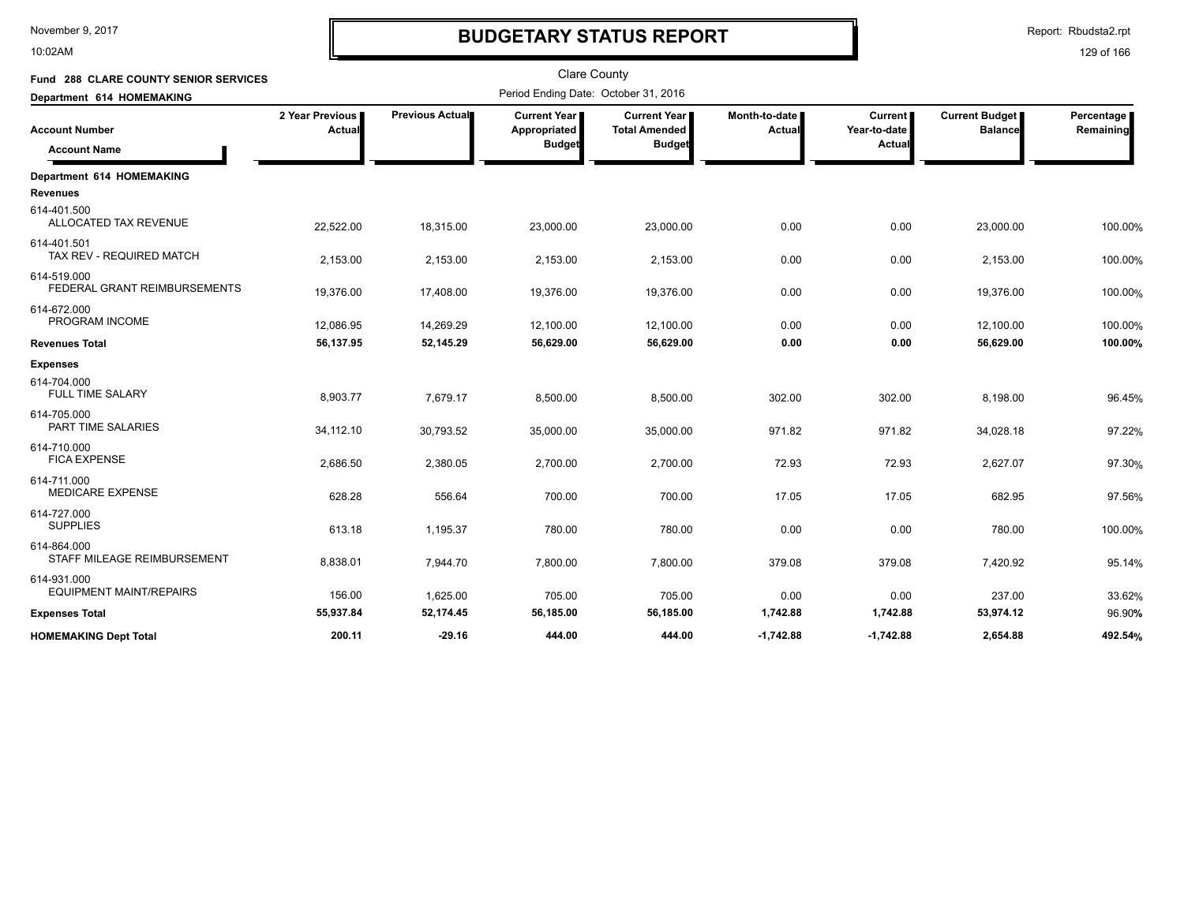10:02AM

# **BUDGETARY STATUS REPORT**

Report: Rbudsta2.rpt

| Fund 288 CLARE COUNTY SENIOR SERVICES         |                           |                 | <b>Clare County</b>                                  |                                                       |                                  |                                          |                                         |                         |
|-----------------------------------------------|---------------------------|-----------------|------------------------------------------------------|-------------------------------------------------------|----------------------------------|------------------------------------------|-----------------------------------------|-------------------------|
| Department 614 HOMEMAKING                     |                           |                 | Period Ending Date: October 31, 2016                 |                                                       |                                  |                                          |                                         |                         |
| <b>Account Number</b><br><b>Account Name</b>  | 2 Year Previous<br>Actual | Previous Actual | <b>Current Year</b><br>Appropriated<br><b>Budget</b> | Current Year<br><b>Total Amended</b><br><b>Budget</b> | Month-to-date  <br><b>Actual</b> | <b>Current</b><br>Year-to-date<br>Actual | <b>Current Budget</b><br><b>Balance</b> | Percentage<br>Remaining |
| Department 614 HOMEMAKING                     |                           |                 |                                                      |                                                       |                                  |                                          |                                         |                         |
| <b>Revenues</b>                               |                           |                 |                                                      |                                                       |                                  |                                          |                                         |                         |
| 614-401.500<br>ALLOCATED TAX REVENUE          | 22,522.00                 | 18,315.00       | 23,000.00                                            | 23,000.00                                             | 0.00                             | 0.00                                     | 23,000.00                               | 100.00%                 |
| 614-401.501<br>TAX REV - REQUIRED MATCH       | 2,153.00                  | 2,153.00        | 2,153.00                                             | 2,153.00                                              | 0.00                             | 0.00                                     | 2,153.00                                | 100.00%                 |
| 614-519.000<br>FEDERAL GRANT REIMBURSEMENTS   | 19,376.00                 | 17,408.00       | 19,376.00                                            | 19,376.00                                             | 0.00                             | 0.00                                     | 19,376.00                               | 100.00%                 |
| 614-672.000<br>PROGRAM INCOME                 | 12,086.95                 | 14,269.29       | 12,100.00                                            | 12,100.00                                             | 0.00                             | 0.00                                     | 12,100.00                               | 100.00%                 |
| <b>Revenues Total</b>                         | 56,137.95                 | 52,145.29       | 56,629.00                                            | 56,629.00                                             | 0.00                             | 0.00                                     | 56,629.00                               | 100.00%                 |
| <b>Expenses</b>                               |                           |                 |                                                      |                                                       |                                  |                                          |                                         |                         |
| 614-704.000<br><b>FULL TIME SALARY</b>        | 8,903.77                  | 7,679.17        | 8,500.00                                             | 8,500.00                                              | 302.00                           | 302.00                                   | 8,198.00                                | 96.45%                  |
| 614-705.000<br>PART TIME SALARIES             | 34,112.10                 | 30,793.52       | 35,000.00                                            | 35,000.00                                             | 971.82                           | 971.82                                   | 34,028.18                               | 97.22%                  |
| 614-710.000<br><b>FICA EXPENSE</b>            | 2,686.50                  | 2,380.05        | 2,700.00                                             | 2,700.00                                              | 72.93                            | 72.93                                    | 2,627.07                                | 97.30%                  |
| 614-711.000<br><b>MEDICARE EXPENSE</b>        | 628.28                    | 556.64          | 700.00                                               | 700.00                                                | 17.05                            | 17.05                                    | 682.95                                  | 97.56%                  |
| 614-727.000<br><b>SUPPLIES</b>                | 613.18                    | 1,195.37        | 780.00                                               | 780.00                                                | 0.00                             | 0.00                                     | 780.00                                  | 100.00%                 |
| 614-864.000<br>STAFF MILEAGE REIMBURSEMENT    | 8,838.01                  | 7,944.70        | 7,800.00                                             | 7,800.00                                              | 379.08                           | 379.08                                   | 7,420.92                                | 95.14%                  |
| 614-931.000<br><b>EQUIPMENT MAINT/REPAIRS</b> | 156.00                    | 1,625.00        | 705.00                                               | 705.00                                                | 0.00                             | 0.00                                     | 237.00                                  | 33.62%                  |
| <b>Expenses Total</b>                         | 55,937.84                 | 52,174.45       | 56,185.00                                            | 56,185.00                                             | 1,742.88                         | 1,742.88                                 | 53,974.12                               | 96.90%                  |
| <b>HOMEMAKING Dept Total</b>                  | 200.11                    | $-29.16$        | 444.00                                               | 444.00                                                | $-1.742.88$                      | $-1.742.88$                              | 2.654.88                                | 492.54%                 |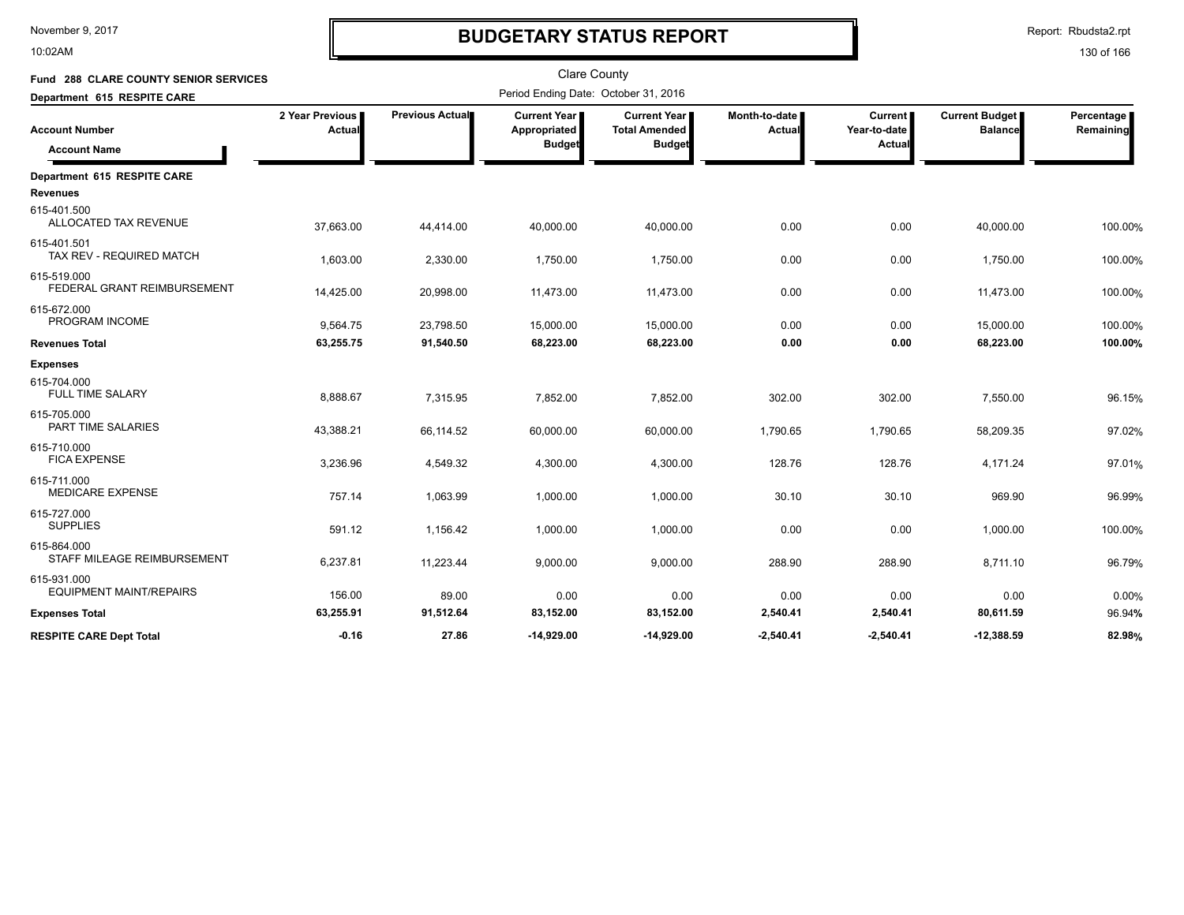10:02AM

# **BUDGETARY STATUS REPORT**

| Fund 288 CLARE COUNTY SENIOR SERVICES         |                           |                 | <b>Clare County</b>                                    |                                                              |                                |                                          |                                         |                         |
|-----------------------------------------------|---------------------------|-----------------|--------------------------------------------------------|--------------------------------------------------------------|--------------------------------|------------------------------------------|-----------------------------------------|-------------------------|
| Department 615 RESPITE CARE                   |                           |                 | Period Ending Date: October 31, 2016                   |                                                              |                                |                                          |                                         |                         |
| <b>Account Number</b><br><b>Account Name</b>  | 2 Year Previous<br>Actual | Previous Actual | <b>Current Year I</b><br>Appropriated<br><b>Budget</b> | <b>Current Year</b><br><b>Total Amended</b><br><b>Budget</b> | Month-to-date<br><b>Actual</b> | <b>Current</b><br>Year-to-date<br>Actual | <b>Current Budget</b><br><b>Balance</b> | Percentage<br>Remaining |
| Department 615 RESPITE CARE                   |                           |                 |                                                        |                                                              |                                |                                          |                                         |                         |
| <b>Revenues</b>                               |                           |                 |                                                        |                                                              |                                |                                          |                                         |                         |
| 615-401.500<br>ALLOCATED TAX REVENUE          | 37,663.00                 | 44,414.00       | 40,000.00                                              | 40,000.00                                                    | 0.00                           | 0.00                                     | 40,000.00                               | 100.00%                 |
| 615-401.501<br>TAX REV - REQUIRED MATCH       | 1,603.00                  | 2,330.00        | 1,750.00                                               | 1,750.00                                                     | 0.00                           | 0.00                                     | 1,750.00                                | 100.00%                 |
| 615-519.000<br>FEDERAL GRANT REIMBURSEMENT    | 14,425.00                 | 20,998.00       | 11,473.00                                              | 11,473.00                                                    | 0.00                           | 0.00                                     | 11,473.00                               | 100.00%                 |
| 615-672.000<br>PROGRAM INCOME                 | 9,564.75                  | 23,798.50       | 15,000.00                                              | 15,000.00                                                    | 0.00                           | 0.00                                     | 15,000.00                               | 100.00%                 |
| <b>Revenues Total</b>                         | 63,255.75                 | 91,540.50       | 68,223.00                                              | 68,223.00                                                    | 0.00                           | 0.00                                     | 68,223.00                               | 100.00%                 |
| <b>Expenses</b>                               |                           |                 |                                                        |                                                              |                                |                                          |                                         |                         |
| 615-704.000<br><b>FULL TIME SALARY</b>        | 8,888.67                  | 7,315.95        | 7,852.00                                               | 7,852.00                                                     | 302.00                         | 302.00                                   | 7,550.00                                | 96.15%                  |
| 615-705.000<br><b>PART TIME SALARIES</b>      | 43,388.21                 | 66,114.52       | 60,000.00                                              | 60,000.00                                                    | 1,790.65                       | 1,790.65                                 | 58,209.35                               | 97.02%                  |
| 615-710.000<br><b>FICA EXPENSE</b>            | 3,236.96                  | 4,549.32        | 4,300.00                                               | 4,300.00                                                     | 128.76                         | 128.76                                   | 4,171.24                                | 97.01%                  |
| 615-711.000<br><b>MEDICARE EXPENSE</b>        | 757.14                    | 1,063.99        | 1,000.00                                               | 1,000.00                                                     | 30.10                          | 30.10                                    | 969.90                                  | 96.99%                  |
| 615-727.000<br><b>SUPPLIES</b>                | 591.12                    | 1,156.42        | 1,000.00                                               | 1,000.00                                                     | 0.00                           | 0.00                                     | 1,000.00                                | 100.00%                 |
| 615-864.000<br>STAFF MILEAGE REIMBURSEMENT    | 6,237.81                  | 11,223.44       | 9,000.00                                               | 9,000.00                                                     | 288.90                         | 288.90                                   | 8,711.10                                | 96.79%                  |
| 615-931.000<br><b>EQUIPMENT MAINT/REPAIRS</b> | 156.00                    | 89.00           | 0.00                                                   | 0.00                                                         | 0.00                           | 0.00                                     | 0.00                                    | 0.00%                   |
| <b>Expenses Total</b>                         | 63,255.91                 | 91,512.64       | 83,152.00                                              | 83,152.00                                                    | 2,540.41                       | 2,540.41                                 | 80,611.59                               | 96.94%                  |
| <b>RESPITE CARE Dept Total</b>                | $-0.16$                   | 27.86           | -14.929.00                                             | $-14.929.00$                                                 | $-2.540.41$                    | $-2,540.41$                              | $-12,388.59$                            | 82.98%                  |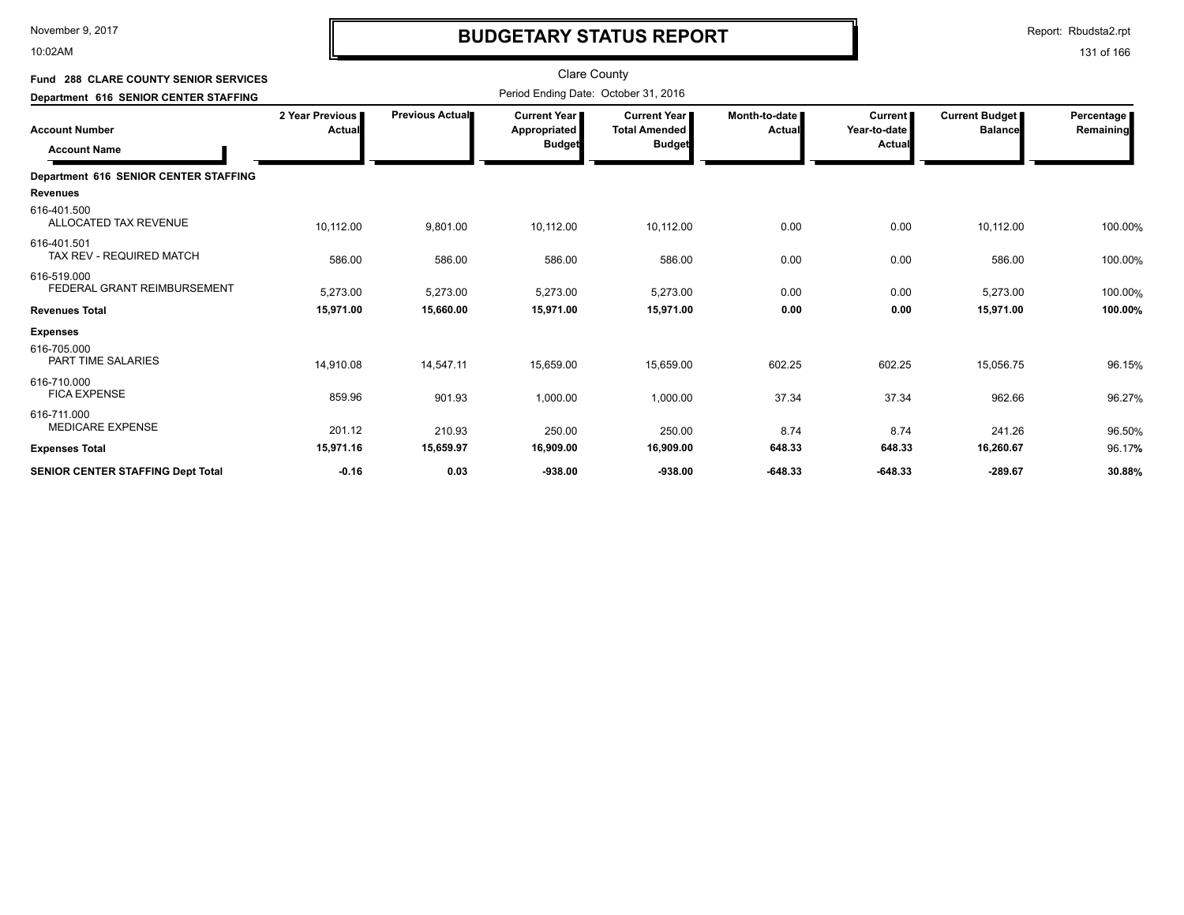10:02AM

# **BUDGETARY STATUS REPORT**

Report: Rbudsta2.rpt

| Fund 288 CLARE COUNTY SENIOR SERVICES      |                           |                        | <b>Clare County</b>                                    |                                                                |                         |                                          |                                         |                         |
|--------------------------------------------|---------------------------|------------------------|--------------------------------------------------------|----------------------------------------------------------------|-------------------------|------------------------------------------|-----------------------------------------|-------------------------|
| Department 616 SENIOR CENTER STAFFING      |                           |                        | Period Ending Date: October 31, 2016                   |                                                                |                         |                                          |                                         |                         |
| Account Number<br><b>Account Name</b>      | 2 Year Previous<br>Actual | <b>Previous Actual</b> | <b>Current Year I</b><br>Appropriated<br><b>Budget</b> | <b>Current Year I</b><br><b>Total Amended</b><br><b>Budget</b> | Month-to-date<br>Actual | <b>Current</b><br>Year-to-date<br>Actual | <b>Current Budget</b><br><b>Balance</b> | Percentage<br>Remaining |
| Department 616 SENIOR CENTER STAFFING      |                           |                        |                                                        |                                                                |                         |                                          |                                         |                         |
| Revenues                                   |                           |                        |                                                        |                                                                |                         |                                          |                                         |                         |
| 616-401.500<br>ALLOCATED TAX REVENUE       | 10,112.00                 | 9,801.00               | 10,112.00                                              | 10,112.00                                                      | 0.00                    | 0.00                                     | 10,112.00                               | 100.00%                 |
| 616-401.501<br>TAX REV - REQUIRED MATCH    | 586.00                    | 586.00                 | 586.00                                                 | 586.00                                                         | 0.00                    | 0.00                                     | 586.00                                  | 100.00%                 |
| 616-519.000<br>FEDERAL GRANT REIMBURSEMENT | 5,273.00                  | 5,273.00               | 5,273.00                                               | 5,273.00                                                       | 0.00                    | 0.00                                     | 5,273.00                                | 100.00%                 |
| Revenues Total                             | 15,971.00                 | 15,660.00              | 15,971.00                                              | 15,971.00                                                      | 0.00                    | 0.00                                     | 15,971.00                               | 100.00%                 |
| <b>Expenses</b>                            |                           |                        |                                                        |                                                                |                         |                                          |                                         |                         |
| 616-705.000<br>PART TIME SALARIES          | 14,910.08                 | 14,547.11              | 15,659.00                                              | 15,659.00                                                      | 602.25                  | 602.25                                   | 15,056.75                               | 96.15%                  |
| 616-710.000<br><b>FICA EXPENSE</b>         | 859.96                    | 901.93                 | 1,000.00                                               | 1,000.00                                                       | 37.34                   | 37.34                                    | 962.66                                  | 96.27%                  |
| 616-711.000<br><b>MEDICARE EXPENSE</b>     | 201.12                    | 210.93                 | 250.00                                                 | 250.00                                                         | 8.74                    | 8.74                                     | 241.26                                  | 96.50%                  |
| <b>Expenses Total</b>                      | 15,971.16                 | 15,659.97              | 16,909.00                                              | 16,909.00                                                      | 648.33                  | 648.33                                   | 16,260.67                               | 96.17%                  |
| <b>SENIOR CENTER STAFFING Dept Total</b>   | $-0.16$                   | 0.03                   | $-938.00$                                              | $-938.00$                                                      | $-648.33$               | $-648.33$                                | $-289.67$                               | 30.88%                  |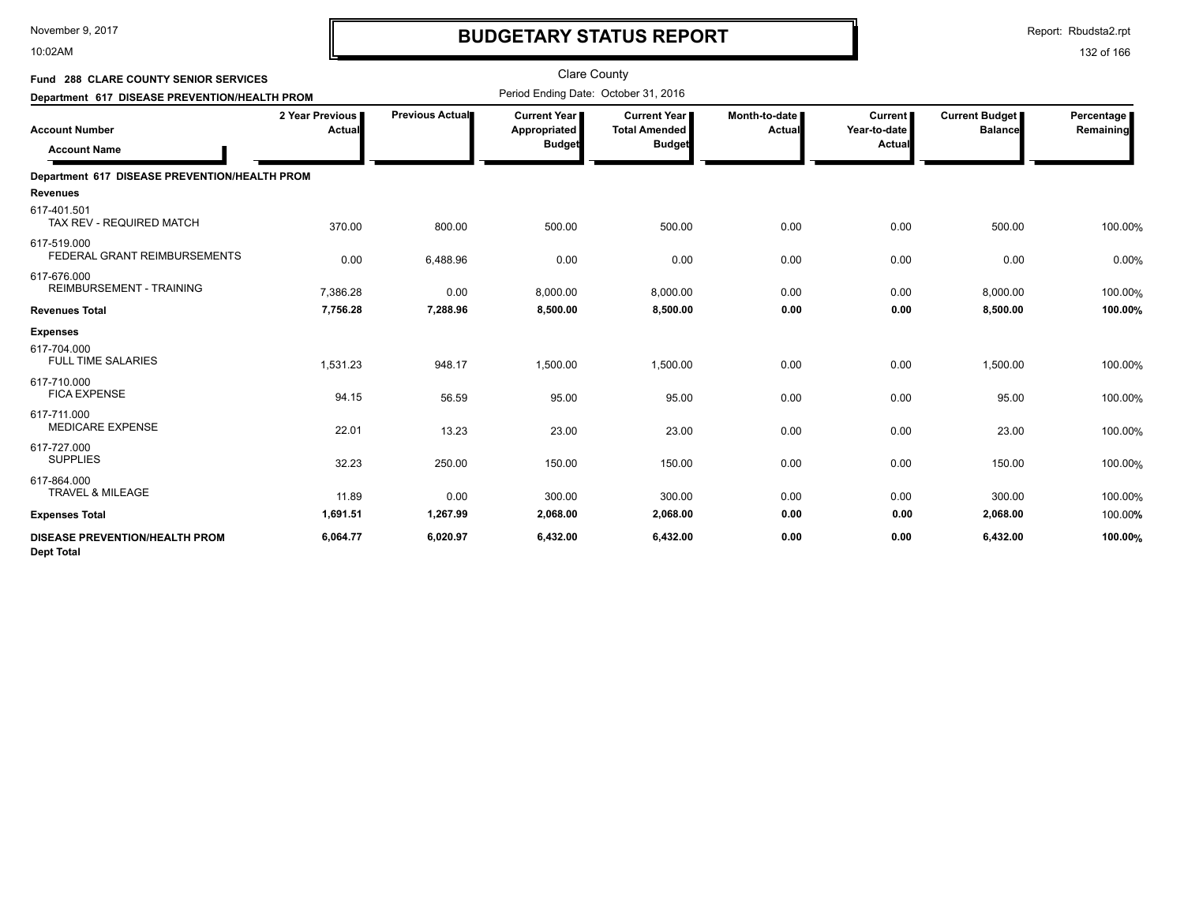10:02AM

# **BUDGETARY STATUS REPORT**

Report: Rbudsta2.rpt

| Fund 288 CLARE COUNTY SENIOR SERVICES<br>Department 617 DISEASE PREVENTION/HEALTH PROM |                           |                 | <b>Clare County</b><br>Period Ending Date: October 31, 2016 |                                                       |                         |                                          |                                  |                         |
|----------------------------------------------------------------------------------------|---------------------------|-----------------|-------------------------------------------------------------|-------------------------------------------------------|-------------------------|------------------------------------------|----------------------------------|-------------------------|
| <b>Account Number</b><br><b>Account Name</b>                                           | 2 Year Previous<br>Actual | Previous Actual | <b>Current Year</b> ∎<br>Appropriated<br><b>Budget</b>      | Current Year<br><b>Total Amended</b><br><b>Budget</b> | Month-to-date<br>Actual | <b>Current</b><br>Year-to-date<br>Actual | Current Budget<br><b>Balance</b> | Percentage<br>Remaining |
| Department 617 DISEASE PREVENTION/HEALTH PROM                                          |                           |                 |                                                             |                                                       |                         |                                          |                                  |                         |
| <b>Revenues</b>                                                                        |                           |                 |                                                             |                                                       |                         |                                          |                                  |                         |
| 617-401.501<br>TAX REV - REQUIRED MATCH                                                | 370.00                    | 800.00          | 500.00                                                      | 500.00                                                | 0.00                    | 0.00                                     | 500.00                           | 100.00%                 |
| 617-519.000<br>FEDERAL GRANT REIMBURSEMENTS                                            | 0.00                      | 6,488.96        | 0.00                                                        | 0.00                                                  | 0.00                    | 0.00                                     | 0.00                             | 0.00%                   |
| 617-676.000<br><b>REIMBURSEMENT - TRAINING</b>                                         | 7,386.28                  | 0.00            | 8,000.00                                                    | 8,000.00                                              | 0.00                    | 0.00                                     | 8,000.00                         | 100.00%                 |
| <b>Revenues Total</b>                                                                  | 7,756.28                  | 7.288.96        | 8,500.00                                                    | 8.500.00                                              | 0.00                    | 0.00                                     | 8.500.00                         | 100.00%                 |
| <b>Expenses</b>                                                                        |                           |                 |                                                             |                                                       |                         |                                          |                                  |                         |
| 617-704.000<br><b>FULL TIME SALARIES</b>                                               | 1,531.23                  | 948.17          | 1,500.00                                                    | 1,500.00                                              | 0.00                    | 0.00                                     | 1,500.00                         | 100.00%                 |
| 617-710.000<br><b>FICA EXPENSE</b>                                                     | 94.15                     | 56.59           | 95.00                                                       | 95.00                                                 | 0.00                    | 0.00                                     | 95.00                            | 100.00%                 |
| 617-711.000<br><b>MEDICARE EXPENSE</b>                                                 | 22.01                     | 13.23           | 23.00                                                       | 23.00                                                 | 0.00                    | 0.00                                     | 23.00                            | 100.00%                 |
| 617-727.000<br><b>SUPPLIES</b>                                                         | 32.23                     | 250.00          | 150.00                                                      | 150.00                                                | 0.00                    | 0.00                                     | 150.00                           | 100.00%                 |
| 617-864.000<br><b>TRAVEL &amp; MILEAGE</b>                                             | 11.89                     | 0.00            | 300.00                                                      | 300.00                                                | 0.00                    | 0.00                                     | 300.00                           | 100.00%                 |
| <b>Expenses Total</b>                                                                  | 1,691.51                  | 1,267.99        | 2,068.00                                                    | 2,068.00                                              | 0.00                    | 0.00                                     | 2,068.00                         | 100.00%                 |
| <b>DISEASE PREVENTION/HEALTH PROM</b><br><b>Dept Total</b>                             | 6,064.77                  | 6,020.97        | 6,432.00                                                    | 6,432.00                                              | 0.00                    | 0.00                                     | 6,432.00                         | 100.00%                 |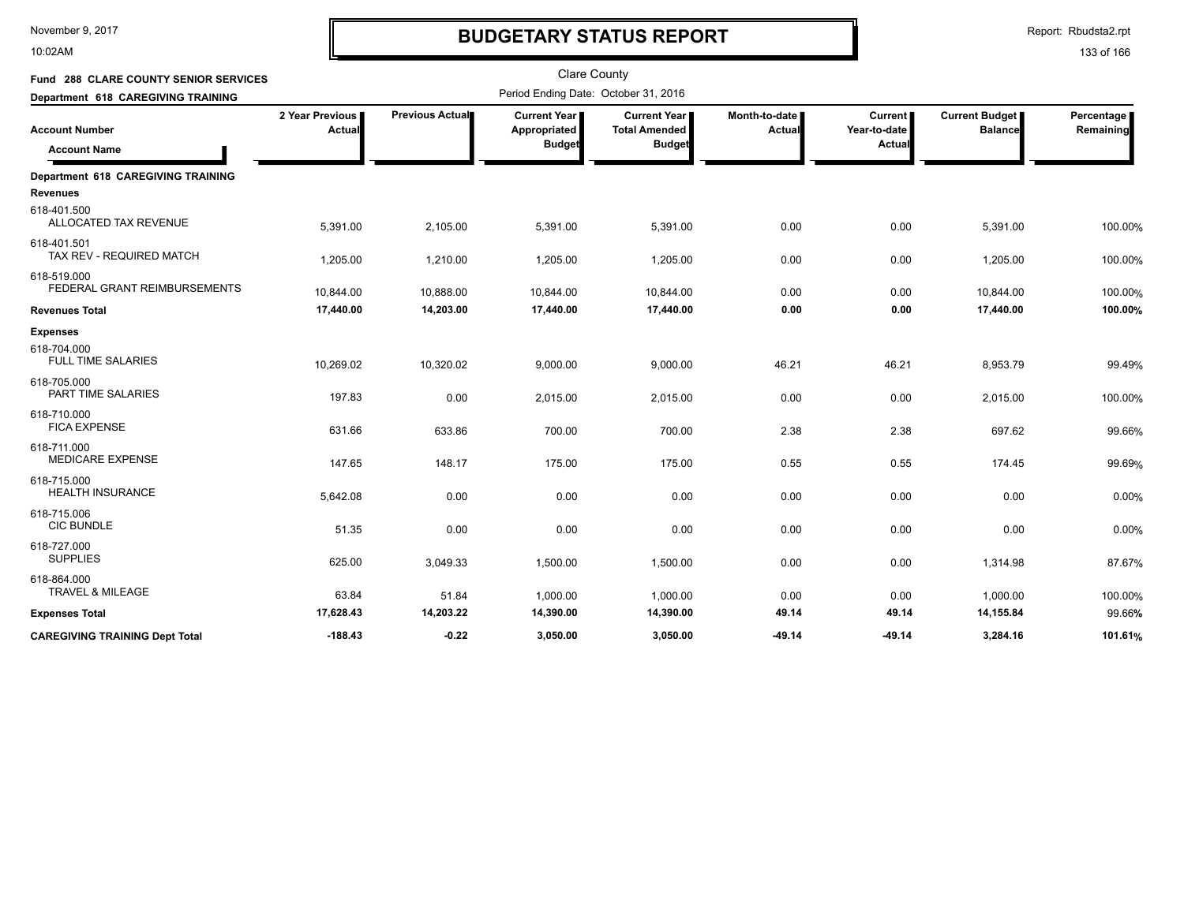10:02AM

# **BUDGETARY STATUS REPORT**

Report: Rbudsta2.rpt

| Fund 288 CLARE COUNTY SENIOR SERVICES        |                           |                 | <b>Clare County</b>                                    |                                                       |                                |                                          |                                         |                         |  |
|----------------------------------------------|---------------------------|-----------------|--------------------------------------------------------|-------------------------------------------------------|--------------------------------|------------------------------------------|-----------------------------------------|-------------------------|--|
| Department 618 CAREGIVING TRAINING           |                           |                 | Period Ending Date: October 31, 2016                   |                                                       |                                |                                          |                                         |                         |  |
| <b>Account Number</b><br><b>Account Name</b> | 2 Year Previous<br>Actual | Previous Actual | <b>Current Year I</b><br>Appropriated<br><b>Budget</b> | Current Year<br><b>Total Amended</b><br><b>Budget</b> | Month-to-date<br><b>Actual</b> | <b>Current</b><br>Year-to-date<br>Actual | <b>Current Budget</b><br><b>Balance</b> | Percentage<br>Remaining |  |
| <b>Department 618 CAREGIVING TRAINING</b>    |                           |                 |                                                        |                                                       |                                |                                          |                                         |                         |  |
| <b>Revenues</b>                              |                           |                 |                                                        |                                                       |                                |                                          |                                         |                         |  |
| 618-401.500<br>ALLOCATED TAX REVENUE         | 5,391.00                  | 2,105.00        | 5,391.00                                               | 5,391.00                                              | 0.00                           | 0.00                                     | 5,391.00                                | 100.00%                 |  |
| 618-401.501<br>TAX REV - REQUIRED MATCH      | 1,205.00                  | 1,210.00        | 1,205.00                                               | 1,205.00                                              | 0.00                           | 0.00                                     | 1,205.00                                | 100.00%                 |  |
| 618-519.000<br>FEDERAL GRANT REIMBURSEMENTS  | 10,844.00                 | 10,888.00       | 10,844.00                                              | 10,844.00                                             | 0.00                           | 0.00                                     | 10,844.00                               | 100.00%                 |  |
| <b>Revenues Total</b>                        | 17,440.00                 | 14,203.00       | 17,440.00                                              | 17,440.00                                             | 0.00                           | 0.00                                     | 17,440.00                               | 100.00%                 |  |
| <b>Expenses</b>                              |                           |                 |                                                        |                                                       |                                |                                          |                                         |                         |  |
| 618-704.000<br><b>FULL TIME SALARIES</b>     | 10,269.02                 | 10,320.02       | 9,000.00                                               | 9,000.00                                              | 46.21                          | 46.21                                    | 8,953.79                                | 99.49%                  |  |
| 618-705.000<br>PART TIME SALARIES            | 197.83                    | 0.00            | 2,015.00                                               | 2,015.00                                              | 0.00                           | 0.00                                     | 2,015.00                                | 100.00%                 |  |
| 618-710.000<br><b>FICA EXPENSE</b>           | 631.66                    | 633.86          | 700.00                                                 | 700.00                                                | 2.38                           | 2.38                                     | 697.62                                  | 99.66%                  |  |
| 618-711.000<br><b>MEDICARE EXPENSE</b>       | 147.65                    | 148.17          | 175.00                                                 | 175.00                                                | 0.55                           | 0.55                                     | 174.45                                  | 99.69%                  |  |
| 618-715.000<br><b>HEALTH INSURANCE</b>       | 5,642.08                  | 0.00            | 0.00                                                   | 0.00                                                  | 0.00                           | 0.00                                     | 0.00                                    | 0.00%                   |  |
| 618-715.006<br><b>CIC BUNDLE</b>             | 51.35                     | 0.00            | 0.00                                                   | 0.00                                                  | 0.00                           | 0.00                                     | 0.00                                    | 0.00%                   |  |
| 618-727.000<br><b>SUPPLIES</b>               | 625.00                    | 3,049.33        | 1,500.00                                               | 1,500.00                                              | 0.00                           | 0.00                                     | 1,314.98                                | 87.67%                  |  |
| 618-864.000<br><b>TRAVEL &amp; MILEAGE</b>   | 63.84                     | 51.84           | 1,000.00                                               | 1,000.00                                              | 0.00                           | 0.00                                     | 1,000.00                                | 100.00%                 |  |
| <b>Expenses Total</b>                        | 17,628.43                 | 14,203.22       | 14,390.00                                              | 14,390.00                                             | 49.14                          | 49.14                                    | 14,155.84                               | 99.66%                  |  |
| <b>CAREGIVING TRAINING Dept Total</b>        | $-188.43$                 | $-0.22$         | 3,050.00                                               | 3,050.00                                              | -49.14                         | -49.14                                   | 3,284.16                                | 101.61%                 |  |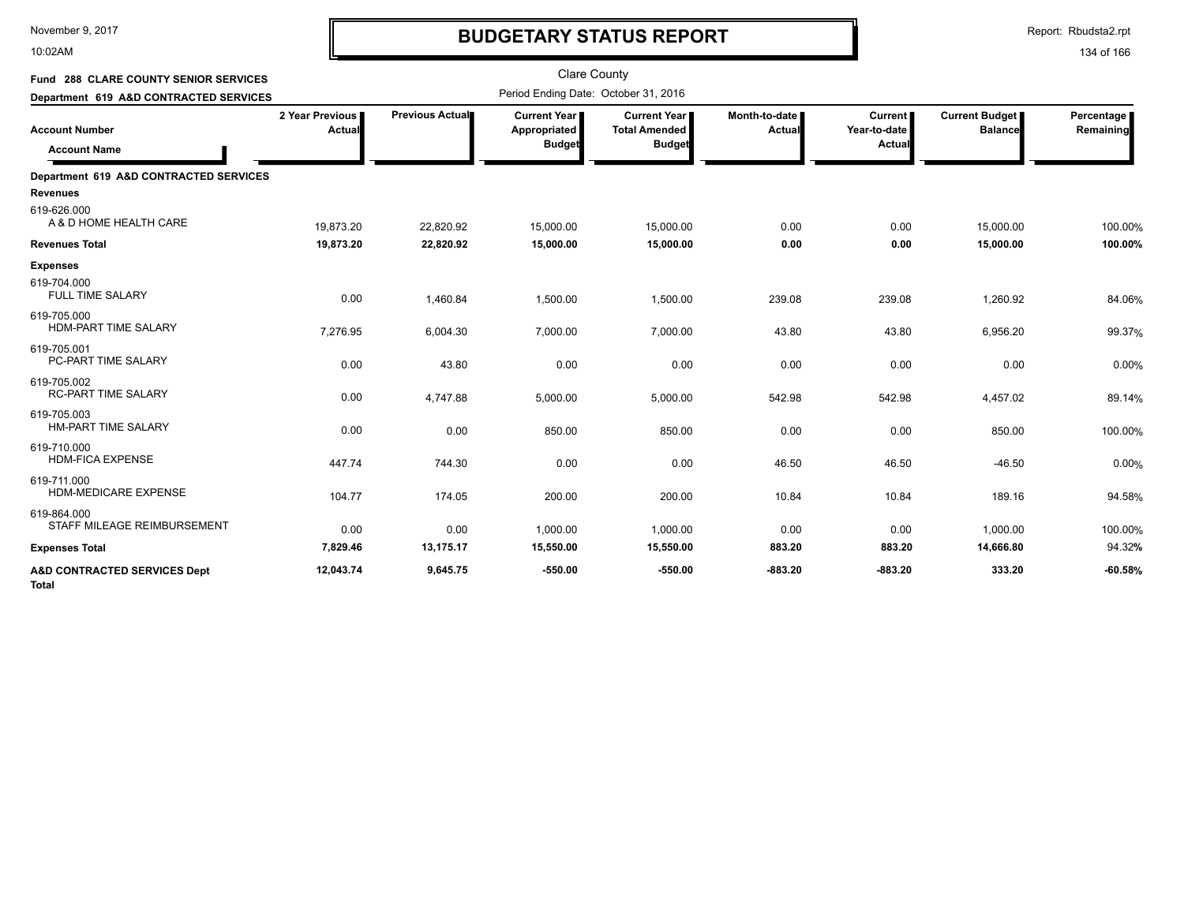10:02AM

# **BUDGETARY STATUS REPORT**

Report: Rbudsta2.rpt

| <b>Fund 288 CLARE COUNTY SENIOR SERVICES</b> |                             |                 | <b>Clare County</b>                             |                                                              |                           |                                          |                                         |                         |
|----------------------------------------------|-----------------------------|-----------------|-------------------------------------------------|--------------------------------------------------------------|---------------------------|------------------------------------------|-----------------------------------------|-------------------------|
| Department 619 A&D CONTRACTED SERVICES       |                             |                 | Period Ending Date: October 31, 2016            |                                                              |                           |                                          |                                         |                         |
| <b>Account Number</b><br><b>Account Name</b> | 2 Year Previous I<br>Actual | Previous Actual | Current Year I<br>Appropriated<br><b>Budget</b> | <b>Current Year</b><br><b>Total Amended</b><br><b>Budget</b> | Month-to-date I<br>Actual | <b>Current</b><br>Year-to-date<br>Actual | <b>Current Budget</b><br><b>Balance</b> | Percentage<br>Remaining |
| Department 619 A&D CONTRACTED SERVICES       |                             |                 |                                                 |                                                              |                           |                                          |                                         |                         |
| <b>Revenues</b>                              |                             |                 |                                                 |                                                              |                           |                                          |                                         |                         |
| 619-626.000<br>A & D HOME HEALTH CARE        | 19,873.20                   | 22,820.92       | 15,000.00                                       | 15,000.00                                                    | 0.00                      | 0.00                                     | 15,000.00                               | 100.00%                 |
| <b>Revenues Total</b>                        | 19,873.20                   | 22,820.92       | 15,000.00                                       | 15,000.00                                                    | 0.00                      | 0.00                                     | 15,000.00                               | 100.00%                 |
| <b>Expenses</b>                              |                             |                 |                                                 |                                                              |                           |                                          |                                         |                         |
| 619-704.000<br><b>FULL TIME SALARY</b>       | 0.00                        | 1,460.84        | 1,500.00                                        | 1,500.00                                                     | 239.08                    | 239.08                                   | 1,260.92                                | 84.06%                  |
| 619-705.000<br><b>HDM-PART TIME SALARY</b>   | 7,276.95                    | 6,004.30        | 7,000.00                                        | 7,000.00                                                     | 43.80                     | 43.80                                    | 6,956.20                                | 99.37%                  |
| 619-705.001<br>PC-PART TIME SALARY           | 0.00                        | 43.80           | 0.00                                            | 0.00                                                         | 0.00                      | 0.00                                     | 0.00                                    | 0.00%                   |
| 619-705.002<br><b>RC-PART TIME SALARY</b>    | 0.00                        | 4,747.88        | 5,000.00                                        | 5,000.00                                                     | 542.98                    | 542.98                                   | 4,457.02                                | 89.14%                  |
| 619-705.003<br><b>HM-PART TIME SALARY</b>    | 0.00                        | 0.00            | 850.00                                          | 850.00                                                       | 0.00                      | 0.00                                     | 850.00                                  | 100.00%                 |
| 619-710.000<br><b>HDM-FICA EXPENSE</b>       | 447.74                      | 744.30          | 0.00                                            | 0.00                                                         | 46.50                     | 46.50                                    | $-46.50$                                | 0.00%                   |
| 619-711.000<br><b>HDM-MEDICARE EXPENSE</b>   | 104.77                      | 174.05          | 200.00                                          | 200.00                                                       | 10.84                     | 10.84                                    | 189.16                                  | 94.58%                  |
| 619-864.000<br>STAFF MILEAGE REIMBURSEMENT   | 0.00                        | 0.00            | 1,000.00                                        | 1,000.00                                                     | 0.00                      | 0.00                                     | 1,000.00                                | 100.00%                 |
| <b>Expenses Total</b>                        | 7,829.46                    | 13,175.17       | 15,550.00                                       | 15,550.00                                                    | 883.20                    | 883.20                                   | 14,666.80                               | 94.32%                  |
| A&D CONTRACTED SERVICES Dept<br><b>Total</b> | 12,043.74                   | 9,645.75        | $-550.00$                                       | $-550.00$                                                    | $-883.20$                 | $-883.20$                                | 333.20                                  | $-60.58%$               |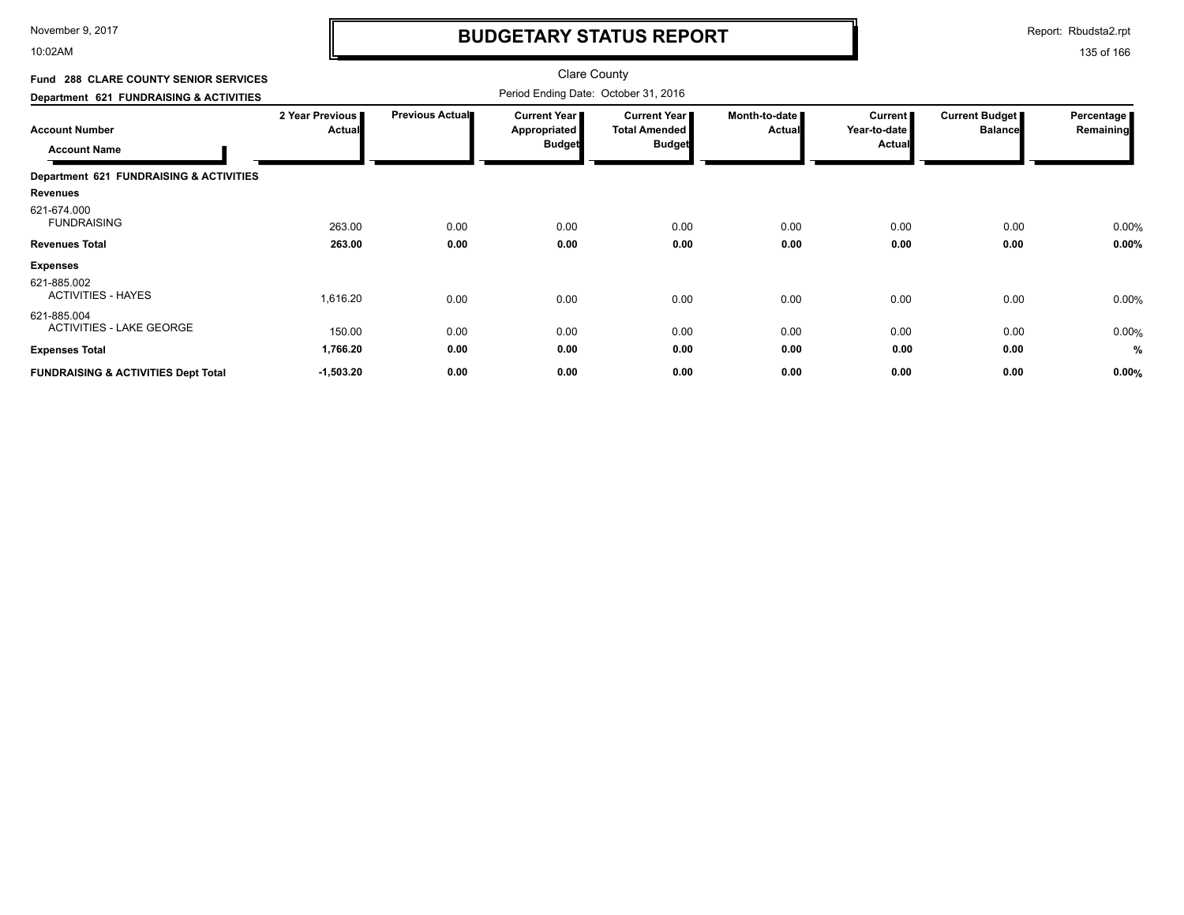10:02AM

### **BUDGETARY STATUS REPORT**

Report: Rbudsta2.rpt

#### 135 of 166

#### Clare County Period Ending Date: October 31, 2016 **Account Number Department 621 FUNDRAISING & ACTIVITIES Fund 288 CLARE COUNTY SENIOR SERVICES 2 Year Previous Actual Previous Actual Current Year Appropriated Budget Current Year Total Amended Budget Month-to-date Actual Current Year-to-date Actual Current Budget Balance Percentage Remaining Account Name Department 621 FUNDRAISING & ACTIVITIES Revenues** 263.00 0.00 0.00 0.00 FUNDRAISING % 621-674.000 0.00 0.00 0.00 0.00 **Revenues Total 263.00 0.00 0.00 0.00 0.00 0.00 0.00 0.00% Expenses** 1,616.20 0.00 0.00 ACTIVITIES - HAYES % 621-885.002 0.00 0.00 0.00 0.00 0.00 150.00 0.00 0.00 ACTIVITIES - LAKE GEORGE % 621-885.004<br>ACTIVITIES - LAKE GEORGE 0.00 0.00 0.00 0.00 0.00 **Expenses Total 1,766.20 0.00 0.00 0.00 0.00 0.00 0.00 % FUNDRAISING & ACTIVITIES Dept Total -1,503.20 0.00 0.00 0.00 0.00 0.00 0.00 0.00%**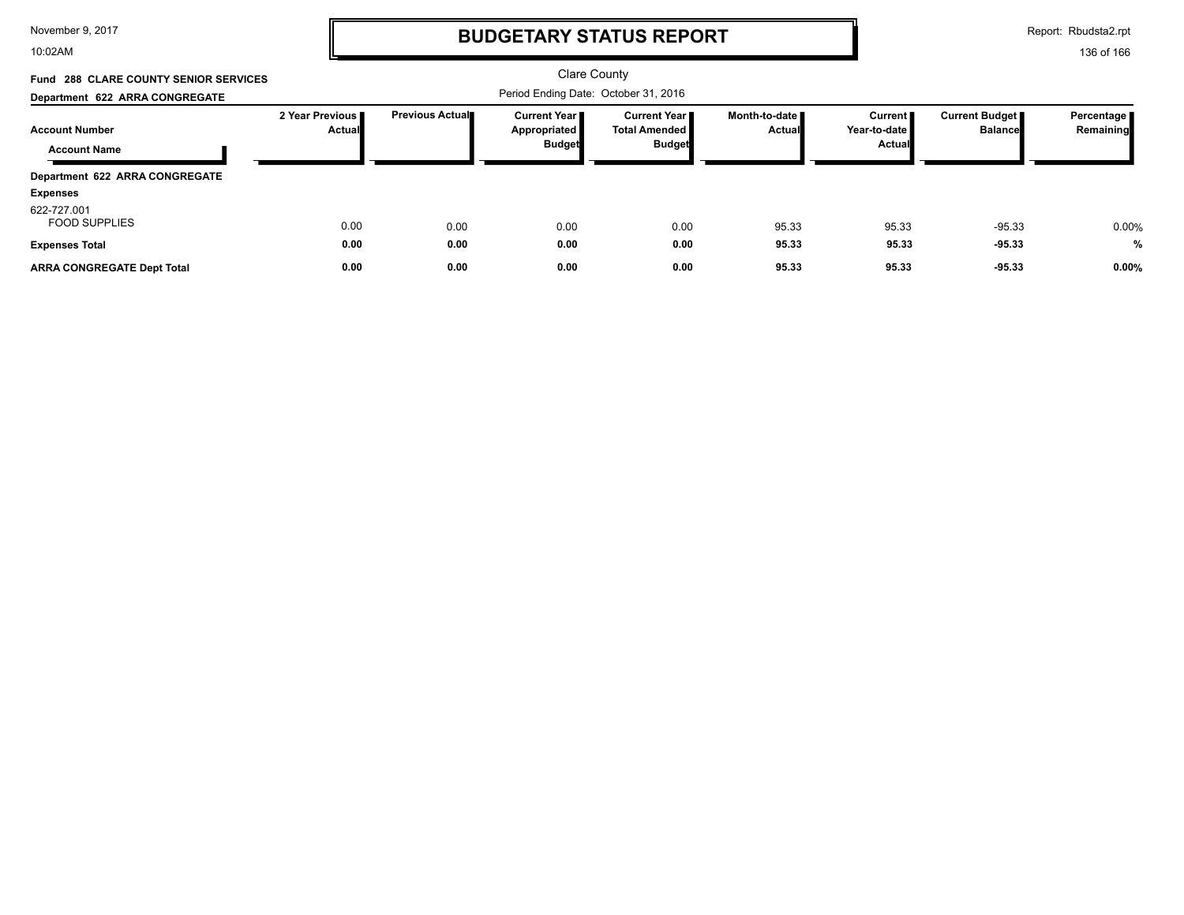10:02AM

# **BUDGETARY STATUS REPORT**

Report: Rbudsta2.rpt

| <b>Fund 288 CLARE COUNTY SENIOR SERVICES</b> |                                  | Clare County           |                                                        |                                                            |                                  |                                          |                                  |                         |
|----------------------------------------------|----------------------------------|------------------------|--------------------------------------------------------|------------------------------------------------------------|----------------------------------|------------------------------------------|----------------------------------|-------------------------|
| Department 622 ARRA CONGREGATE               |                                  |                        | Period Ending Date: October 31, 2016                   |                                                            |                                  |                                          |                                  |                         |
| <b>Account Number</b><br><b>Account Name</b> | 2 Year Previous<br><b>Actual</b> | <b>Previous Actual</b> | <b>Current Year I</b><br>Appropriated<br><b>Budget</b> | Current Year II<br><b>Total Amended I</b><br><b>Budget</b> | Month-to-date ∎<br><b>Actual</b> | <b>Current</b><br>Year-to-date<br>Actual | Current Budget<br><b>Balance</b> | Percentage<br>Remaining |
| Department 622 ARRA CONGREGATE               |                                  |                        |                                                        |                                                            |                                  |                                          |                                  |                         |
| <b>Expenses</b>                              |                                  |                        |                                                        |                                                            |                                  |                                          |                                  |                         |
| 622-727.001<br><b>FOOD SUPPLIES</b>          | 0.00                             | 0.00                   | 0.00                                                   | 0.00                                                       | 95.33                            | 95.33                                    | $-95.33$                         | 0.00%                   |
| <b>Expenses Total</b>                        | 0.00                             | 0.00                   | 0.00                                                   | 0.00                                                       | 95.33                            | 95.33                                    | $-95.33$                         | $\frac{0}{0}$           |
| <b>ARRA CONGREGATE Dept Total</b>            | 0.00                             | 0.00                   | 0.00                                                   | 0.00                                                       | 95.33                            | 95.33                                    | $-95.33$                         | 0.00%                   |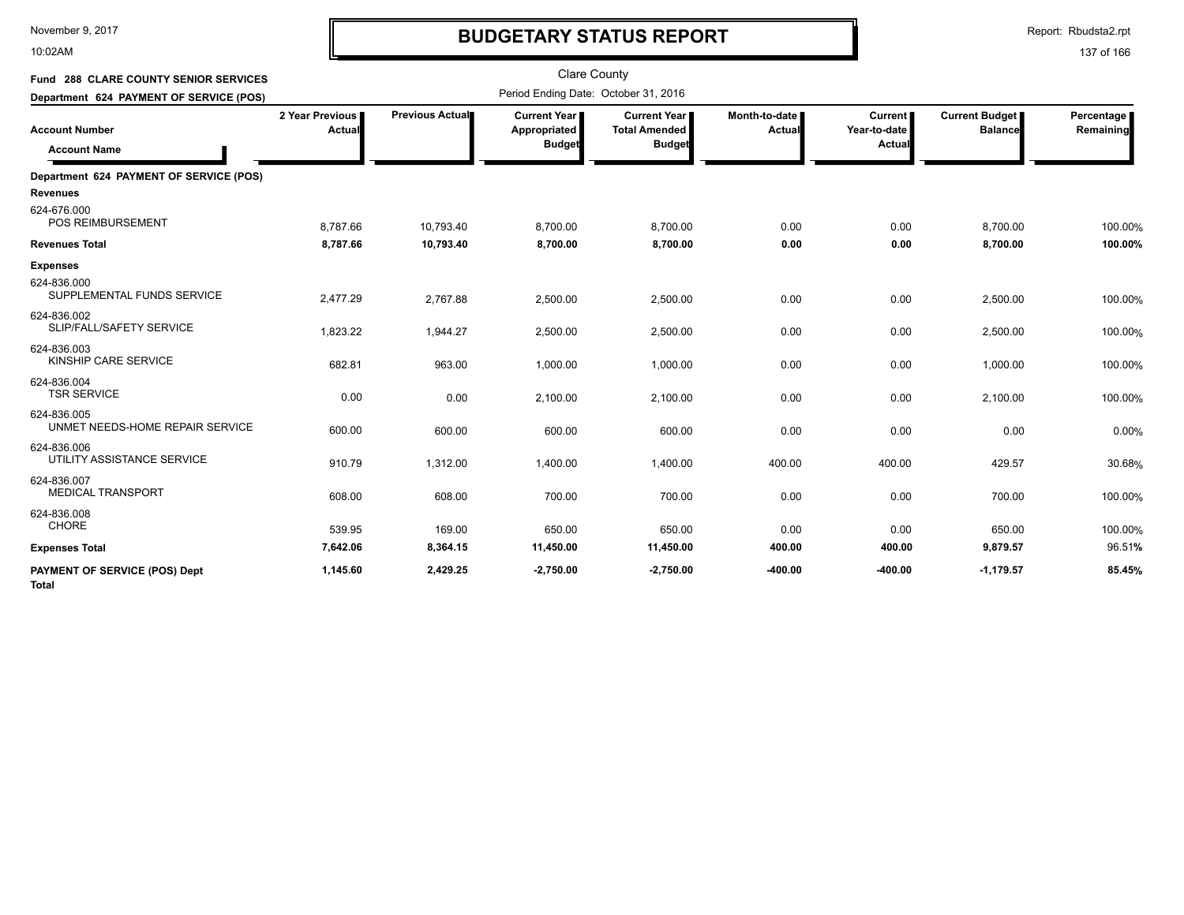10:02AM

# **BUDGETARY STATUS REPORT**

Report: Rbudsta2.rpt

| <b>Fund 288 CLARE COUNTY SENIOR SERVICES</b>               |                                  |                 | <b>Clare County</b>                              |                                                                |                           |                                          |                                         |                         |
|------------------------------------------------------------|----------------------------------|-----------------|--------------------------------------------------|----------------------------------------------------------------|---------------------------|------------------------------------------|-----------------------------------------|-------------------------|
| Department 624 PAYMENT OF SERVICE (POS)                    |                                  |                 | Period Ending Date: October 31, 2016             |                                                                |                           |                                          |                                         |                         |
| <b>Account Number</b><br><b>Account Name</b>               | 2 Year Previous<br><b>Actual</b> | Previous Actual | Current Year II<br>Appropriated<br><b>Budget</b> | <b>Current Year I</b><br><b>Total Amended</b><br><b>Budget</b> | Month-to-date I<br>Actual | <b>Current</b><br>Year-to-date<br>Actual | <b>Current Budget</b><br><b>Balance</b> | Percentage<br>Remaining |
| Department 624 PAYMENT OF SERVICE (POS)<br><b>Revenues</b> |                                  |                 |                                                  |                                                                |                           |                                          |                                         |                         |
| 624-676.000<br><b>POS REIMBURSEMENT</b>                    | 8,787.66                         | 10,793.40       | 8,700.00                                         | 8,700.00                                                       | 0.00                      | 0.00                                     | 8,700.00                                | 100.00%                 |
| <b>Revenues Total</b>                                      | 8,787.66                         | 10,793.40       | 8,700.00                                         | 8,700.00                                                       | 0.00                      | 0.00                                     | 8,700.00                                | 100.00%                 |
| <b>Expenses</b>                                            |                                  |                 |                                                  |                                                                |                           |                                          |                                         |                         |
| 624-836.000<br>SUPPLEMENTAL FUNDS SERVICE                  | 2,477.29                         | 2,767.88        | 2,500.00                                         | 2,500.00                                                       | 0.00                      | 0.00                                     | 2,500.00                                | 100.00%                 |
| 624-836.002<br>SLIP/FALL/SAFETY SERVICE                    | 1,823.22                         | 1,944.27        | 2,500.00                                         | 2,500.00                                                       | 0.00                      | 0.00                                     | 2,500.00                                | 100.00%                 |
| 624-836.003<br>KINSHIP CARE SERVICE                        | 682.81                           | 963.00          | 1,000.00                                         | 1,000.00                                                       | 0.00                      | 0.00                                     | 1,000.00                                | 100.00%                 |
| 624-836.004<br><b>TSR SERVICE</b>                          | 0.00                             | 0.00            | 2,100.00                                         | 2,100.00                                                       | 0.00                      | 0.00                                     | 2,100.00                                | 100.00%                 |
| 624-836.005<br>UNMET NEEDS-HOME REPAIR SERVICE             | 600.00                           | 600.00          | 600.00                                           | 600.00                                                         | 0.00                      | 0.00                                     | 0.00                                    | 0.00%                   |
| 624-836.006<br>UTILITY ASSISTANCE SERVICE                  | 910.79                           | 1,312.00        | 1,400.00                                         | 1,400.00                                                       | 400.00                    | 400.00                                   | 429.57                                  | 30.68%                  |
| 624-836.007<br><b>MEDICAL TRANSPORT</b>                    | 608.00                           | 608.00          | 700.00                                           | 700.00                                                         | 0.00                      | 0.00                                     | 700.00                                  | 100.00%                 |
| 624-836.008<br>CHORE                                       | 539.95                           | 169.00          | 650.00                                           | 650.00                                                         | 0.00                      | 0.00                                     | 650.00                                  | 100.00%                 |
| <b>Expenses Total</b>                                      | 7,642.06                         | 8,364.15        | 11,450.00                                        | 11,450.00                                                      | 400.00                    | 400.00                                   | 9,879.57                                | 96.51%                  |
| <b>PAYMENT OF SERVICE (POS) Dept</b><br><b>Total</b>       | 1,145.60                         | 2,429.25        | $-2,750.00$                                      | $-2,750.00$                                                    | -400.00                   | $-400.00$                                | $-1,179.57$                             | 85.45%                  |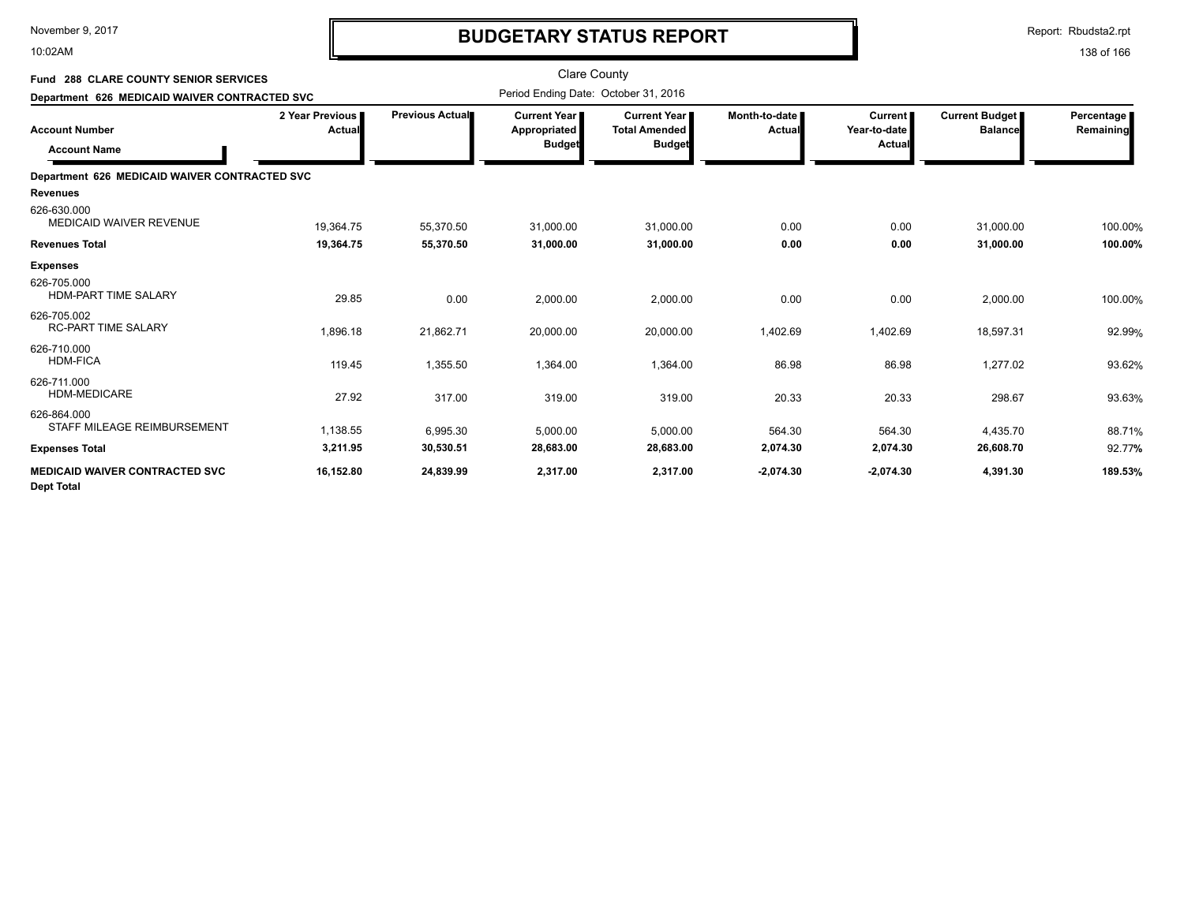10:02AM

# **BUDGETARY STATUS REPORT**

Report: Rbudsta2.rpt

| <b>Fund 288 CLARE COUNTY SENIOR SERVICES</b><br>Department 626 MEDICAID WAIVER CONTRACTED SVC |                             | <b>Clare County</b><br>Period Ending Date: October 31, 2016 |                                                      |                                                              |                           |                                          |                                         |                         |
|-----------------------------------------------------------------------------------------------|-----------------------------|-------------------------------------------------------------|------------------------------------------------------|--------------------------------------------------------------|---------------------------|------------------------------------------|-----------------------------------------|-------------------------|
| <b>Account Number</b><br><b>Account Name</b>                                                  | 2 Year Previous I<br>Actual | <b>Previous Actual</b>                                      | <b>Current Year</b><br>Appropriated<br><b>Budget</b> | <b>Current Year</b><br><b>Total Amended</b><br><b>Budget</b> | Month-to-date I<br>Actual | <b>Current</b><br>Year-to-date<br>Actual | <b>Current Budget</b><br><b>Balance</b> | Percentage<br>Remaining |
| Department 626 MEDICAID WAIVER CONTRACTED SVC                                                 |                             |                                                             |                                                      |                                                              |                           |                                          |                                         |                         |
| <b>Revenues</b>                                                                               |                             |                                                             |                                                      |                                                              |                           |                                          |                                         |                         |
| 626-630.000<br><b>MEDICAID WAIVER REVENUE</b>                                                 | 19,364.75                   | 55,370.50                                                   | 31,000.00                                            | 31,000.00                                                    | 0.00                      | 0.00                                     | 31,000.00                               | 100.00%                 |
| <b>Revenues Total</b>                                                                         | 19,364.75                   | 55,370.50                                                   | 31,000.00                                            | 31,000.00                                                    | 0.00                      | 0.00                                     | 31,000.00                               | 100.00%                 |
| <b>Expenses</b>                                                                               |                             |                                                             |                                                      |                                                              |                           |                                          |                                         |                         |
| 626-705.000<br><b>HDM-PART TIME SALARY</b>                                                    | 29.85                       | 0.00                                                        | 2,000.00                                             | 2,000.00                                                     | 0.00                      | 0.00                                     | 2,000.00                                | 100.00%                 |
| 626-705.002<br><b>RC-PART TIME SALARY</b>                                                     | 1,896.18                    | 21,862.71                                                   | 20,000.00                                            | 20,000.00                                                    | 1,402.69                  | 1,402.69                                 | 18,597.31                               | 92.99%                  |
| 626-710.000<br><b>HDM-FICA</b>                                                                | 119.45                      | 1,355.50                                                    | 1,364.00                                             | 1,364.00                                                     | 86.98                     | 86.98                                    | 1,277.02                                | 93.62%                  |
| 626-711.000<br><b>HDM-MEDICARE</b>                                                            | 27.92                       | 317.00                                                      | 319.00                                               | 319.00                                                       | 20.33                     | 20.33                                    | 298.67                                  | 93.63%                  |
| 626-864.000<br>STAFF MILEAGE REIMBURSEMENT                                                    | 1,138.55                    | 6,995.30                                                    | 5,000.00                                             | 5,000.00                                                     | 564.30                    | 564.30                                   | 4,435.70                                | 88.71%                  |
| <b>Expenses Total</b>                                                                         | 3,211.95                    | 30,530.51                                                   | 28,683.00                                            | 28,683.00                                                    | 2,074.30                  | 2,074.30                                 | 26,608.70                               | 92.77%                  |
| <b>MEDICAID WAIVER CONTRACTED SVC</b><br><b>Dept Total</b>                                    | 16,152.80                   | 24,839.99                                                   | 2,317.00                                             | 2,317.00                                                     | $-2,074.30$               | $-2,074.30$                              | 4,391.30                                | 189.53%                 |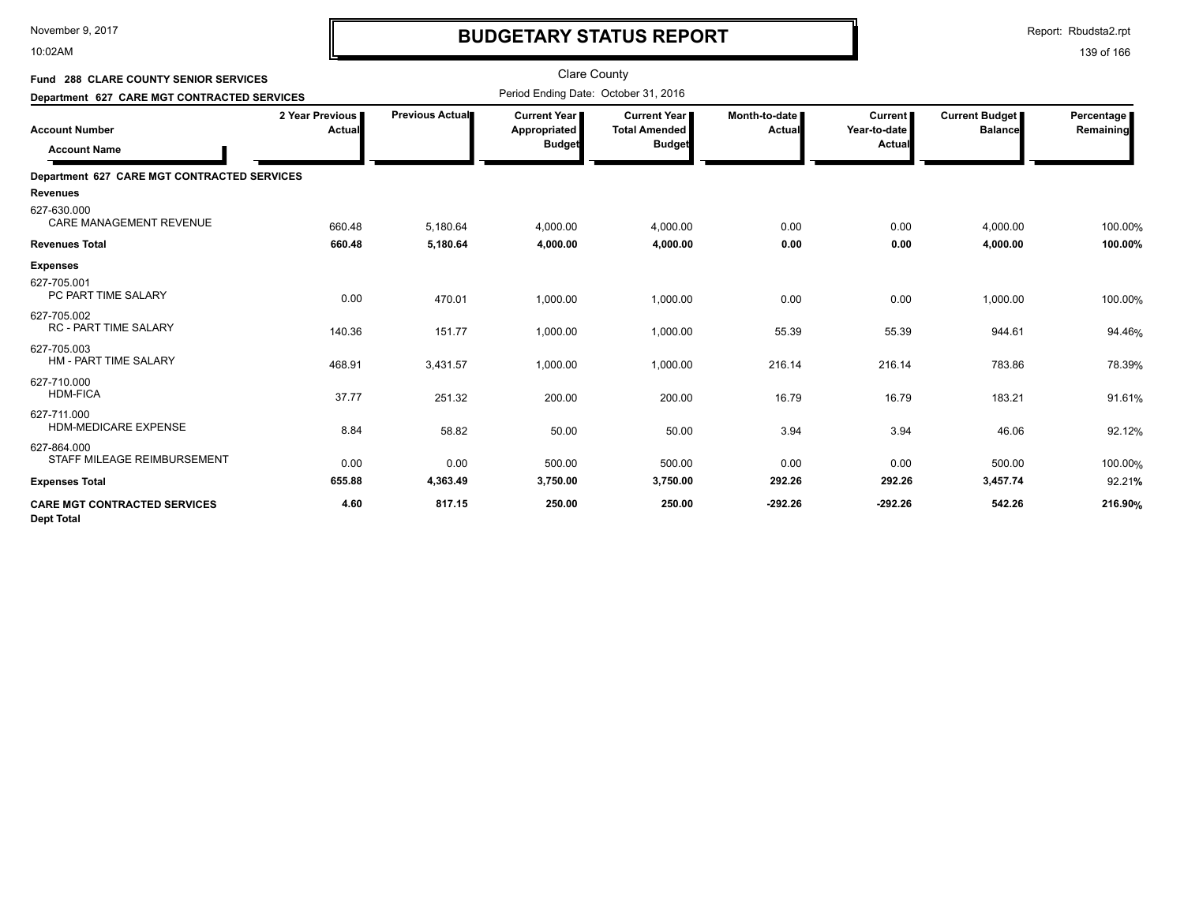10:02AM

# **BUDGETARY STATUS REPORT**

Report: Rbudsta2.rpt

| <b>Fund 288 CLARE COUNTY SENIOR SERVICES</b>             |                           |                 | <b>Clare County</b><br>Period Ending Date: October 31, 2016 |                                      |                         |                                |                                         |                         |
|----------------------------------------------------------|---------------------------|-----------------|-------------------------------------------------------------|--------------------------------------|-------------------------|--------------------------------|-----------------------------------------|-------------------------|
| Department 627 CARE MGT CONTRACTED SERVICES              |                           |                 |                                                             |                                      |                         |                                |                                         |                         |
| <b>Account Number</b>                                    | 2 Year Previous<br>Actual | Previous Actual | Current Year I<br>Appropriated                              | <b>Current Year</b><br>Total Amended | Month-to-date<br>Actual | <b>Current</b><br>Year-to-date | <b>Current Budget</b><br><b>Balance</b> | Percentage<br>Remaining |
| <b>Account Name</b>                                      |                           |                 | <b>Budget</b>                                               | <b>Budget</b>                        |                         | Actual                         |                                         |                         |
| Department 627 CARE MGT CONTRACTED SERVICES              |                           |                 |                                                             |                                      |                         |                                |                                         |                         |
| <b>Revenues</b>                                          |                           |                 |                                                             |                                      |                         |                                |                                         |                         |
| 627-630.000<br><b>CARE MANAGEMENT REVENUE</b>            | 660.48                    | 5,180.64        | 4,000.00                                                    | 4,000.00                             | 0.00                    | 0.00                           | 4,000.00                                | 100.00%                 |
| <b>Revenues Total</b>                                    | 660.48                    | 5,180.64        | 4,000.00                                                    | 4,000.00                             | 0.00                    | 0.00                           | 4,000.00                                | 100.00%                 |
| <b>Expenses</b>                                          |                           |                 |                                                             |                                      |                         |                                |                                         |                         |
| 627-705.001<br>PC PART TIME SALARY                       | 0.00                      | 470.01          | 1,000.00                                                    | 1,000.00                             | 0.00                    | 0.00                           | 1,000.00                                | 100.00%                 |
| 627-705.002<br><b>RC - PART TIME SALARY</b>              | 140.36                    | 151.77          | 1,000.00                                                    | 1,000.00                             | 55.39                   | 55.39                          | 944.61                                  | 94.46%                  |
| 627-705.003<br><b>HM - PART TIME SALARY</b>              | 468.91                    | 3,431.57        | 1,000.00                                                    | 1,000.00                             | 216.14                  | 216.14                         | 783.86                                  | 78.39%                  |
| 627-710.000<br><b>HDM-FICA</b>                           | 37.77                     | 251.32          | 200.00                                                      | 200.00                               | 16.79                   | 16.79                          | 183.21                                  | 91.61%                  |
| 627-711.000<br><b>HDM-MEDICARE EXPENSE</b>               | 8.84                      | 58.82           | 50.00                                                       | 50.00                                | 3.94                    | 3.94                           | 46.06                                   | 92.12%                  |
| 627-864.000<br>STAFF MILEAGE REIMBURSEMENT               | 0.00                      | 0.00            | 500.00                                                      | 500.00                               | 0.00                    | 0.00                           | 500.00                                  | 100.00%                 |
| <b>Expenses Total</b>                                    | 655.88                    | 4,363.49        | 3,750.00                                                    | 3,750.00                             | 292.26                  | 292.26                         | 3,457.74                                | 92.21%                  |
| <b>CARE MGT CONTRACTED SERVICES</b><br><b>Dept Total</b> | 4.60                      | 817.15          | 250.00                                                      | 250.00                               | $-292.26$               | $-292.26$                      | 542.26                                  | 216.90%                 |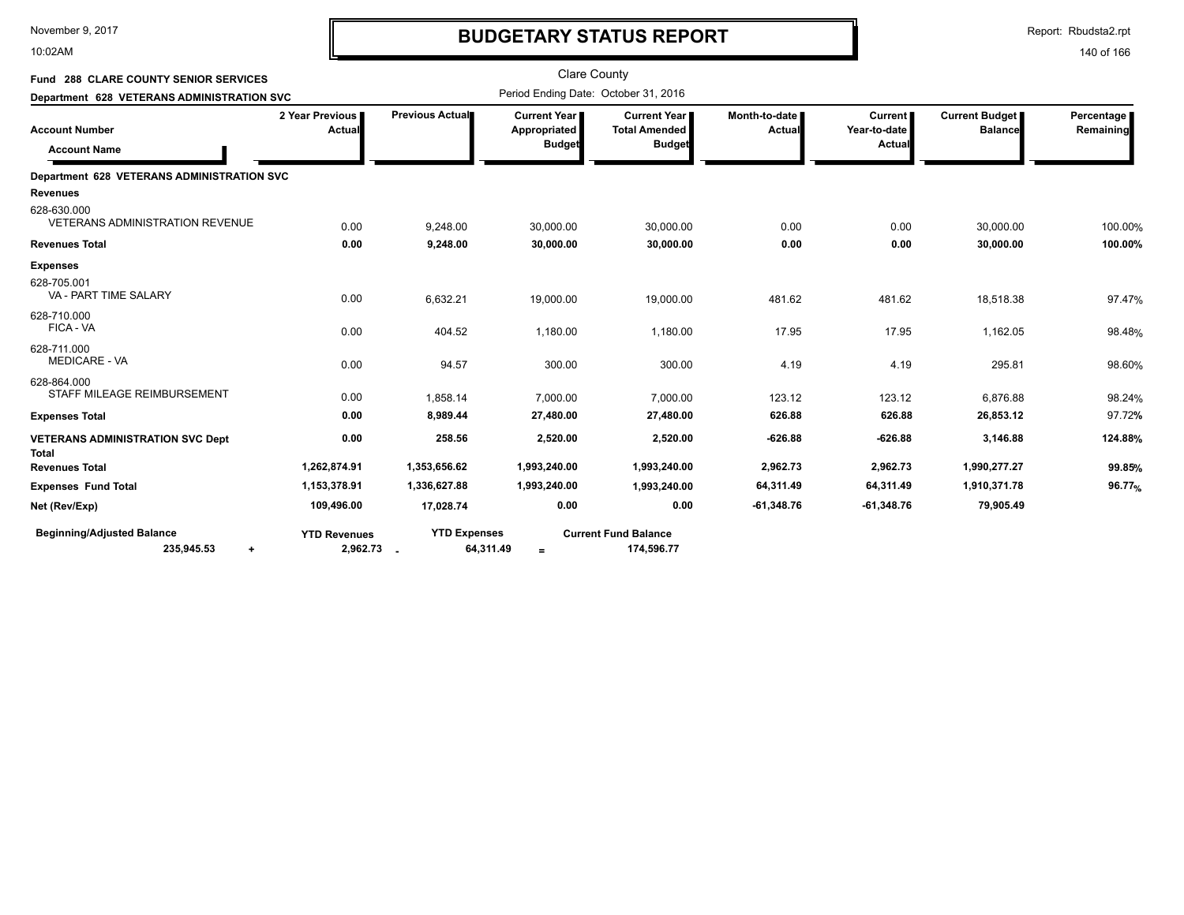10:02AM

# **BUDGETARY STATUS REPORT**

Report: Rbudsta2.rpt

| Fund 288 CLARE COUNTY SENIOR SERVICES                                          |                                 |                                  | <b>Clare County</b>                                    |                                                              |                                |                                          |                                         |                         |
|--------------------------------------------------------------------------------|---------------------------------|----------------------------------|--------------------------------------------------------|--------------------------------------------------------------|--------------------------------|------------------------------------------|-----------------------------------------|-------------------------|
| Department 628 VETERANS ADMINISTRATION SVC                                     |                                 |                                  | Period Ending Date: October 31, 2016                   |                                                              |                                |                                          |                                         |                         |
| <b>Account Number</b><br><b>Account Name</b>                                   | 2 Year Previous<br>Actual       | Previous Actual                  | <b>Current Year I</b><br>Appropriated<br><b>Budget</b> | <b>Current Year</b><br><b>Total Amended</b><br><b>Budget</b> | Month-to-date<br><b>Actual</b> | <b>Current</b><br>Year-to-date<br>Actual | <b>Current Budget</b><br><b>Balance</b> | Percentage<br>Remaining |
| <b>Department 628 VETERANS ADMINISTRATION SVC</b>                              |                                 |                                  |                                                        |                                                              |                                |                                          |                                         |                         |
| <b>Revenues</b>                                                                |                                 |                                  |                                                        |                                                              |                                |                                          |                                         |                         |
| 628-630.000<br><b>VETERANS ADMINISTRATION REVENUE</b><br><b>Revenues Total</b> | 0.00<br>0.00                    | 9.248.00<br>9,248.00             | 30,000.00<br>30,000.00                                 | 30,000.00<br>30,000.00                                       | 0.00<br>0.00                   | 0.00<br>0.00                             | 30.000.00<br>30,000.00                  | 100.00%<br>100.00%      |
| <b>Expenses</b>                                                                |                                 |                                  |                                                        |                                                              |                                |                                          |                                         |                         |
| 628-705.001<br>VA - PART TIME SALARY                                           | 0.00                            | 6,632.21                         | 19,000.00                                              | 19,000.00                                                    | 481.62                         | 481.62                                   | 18,518.38                               | 97.47%                  |
| 628-710.000<br>FICA - VA                                                       | 0.00                            | 404.52                           | 1,180.00                                               | 1,180.00                                                     | 17.95                          | 17.95                                    | 1,162.05                                | 98.48%                  |
| 628-711.000<br><b>MEDICARE - VA</b>                                            | 0.00                            | 94.57                            | 300.00                                                 | 300.00                                                       | 4.19                           | 4.19                                     | 295.81                                  | 98.60%                  |
| 628-864.000<br>STAFF MILEAGE REIMBURSEMENT                                     | 0.00                            | 1,858.14                         | 7,000.00                                               | 7,000.00                                                     | 123.12                         | 123.12                                   | 6,876.88                                | 98.24%                  |
| <b>Expenses Total</b>                                                          | 0.00                            | 8,989.44                         | 27,480.00                                              | 27,480.00                                                    | 626.88                         | 626.88                                   | 26,853.12                               | 97.72%                  |
| <b>VETERANS ADMINISTRATION SVC Dept</b><br><b>Total</b>                        | 0.00                            | 258.56                           | 2,520.00                                               | 2,520.00                                                     | $-626.88$                      | $-626.88$                                | 3,146.88                                | 124.88%                 |
| <b>Revenues Total</b>                                                          | 1,262,874.91                    | 1,353,656.62                     | 1,993,240.00                                           | 1,993,240.00                                                 | 2,962.73                       | 2,962.73                                 | 1,990,277.27                            | 99.85%                  |
| <b>Expenses Fund Total</b>                                                     | 1,153,378.91                    | 1,336,627.88                     | 1,993,240.00                                           | 1,993,240.00                                                 | 64,311.49                      | 64,311.49                                | 1,910,371.78                            | 96.77 <sub>%</sub>      |
| Net (Rev/Exp)                                                                  | 109,496.00                      | 17,028.74                        | 0.00                                                   | 0.00                                                         | $-61,348.76$                   | $-61,348.76$                             | 79,905.49                               |                         |
| <b>Beginning/Adjusted Balance</b><br>235,945.53<br>$\ddot{}$                   | <b>YTD Revenues</b><br>2,962.73 | <b>YTD Expenses</b><br>64,311.49 | $\equiv$                                               | <b>Current Fund Balance</b><br>174,596.77                    |                                |                                          |                                         |                         |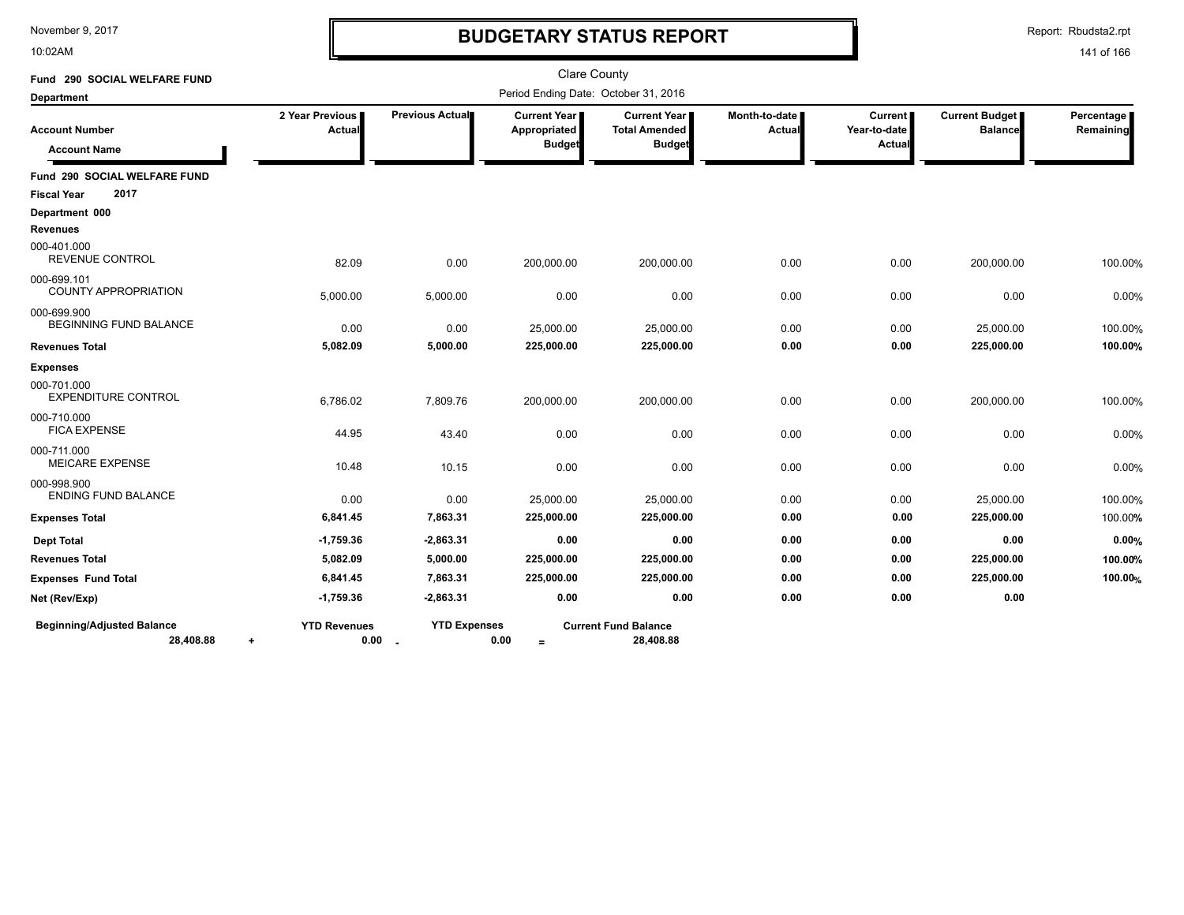10:02AM

# **BUDGETARY STATUS REPORT**

Report: Rbudsta2.rpt

| Fund 290 SOCIAL WELFARE FUND                   |                                          |                               |                                                        | <b>Clare County</b>                                          |                         |                                          |                                  |                         |
|------------------------------------------------|------------------------------------------|-------------------------------|--------------------------------------------------------|--------------------------------------------------------------|-------------------------|------------------------------------------|----------------------------------|-------------------------|
| <b>Department</b>                              |                                          |                               |                                                        | Period Ending Date: October 31, 2016                         |                         |                                          |                                  |                         |
| <b>Account Number</b><br><b>Account Name</b>   | 2 Year Previous<br>Actual                | Previous Actual               | <b>Current Year I</b><br>Appropriated<br><b>Budget</b> | <b>Current Year</b><br><b>Total Amended</b><br><b>Budget</b> | Month-to-date<br>Actual | <b>Current</b><br>Year-to-date<br>Actual | Current Budget<br><b>Balance</b> | Percentage<br>Remaining |
| <b>Fund 290 SOCIAL WELFARE FUND</b>            |                                          |                               |                                                        |                                                              |                         |                                          |                                  |                         |
| 2017<br><b>Fiscal Year</b>                     |                                          |                               |                                                        |                                                              |                         |                                          |                                  |                         |
| Department 000                                 |                                          |                               |                                                        |                                                              |                         |                                          |                                  |                         |
| <b>Revenues</b>                                |                                          |                               |                                                        |                                                              |                         |                                          |                                  |                         |
| 000-401.000<br><b>REVENUE CONTROL</b>          | 82.09                                    | 0.00                          | 200,000.00                                             | 200,000.00                                                   | 0.00                    | 0.00                                     | 200,000.00                       | 100.00%                 |
| 000-699.101<br><b>COUNTY APPROPRIATION</b>     | 5,000.00                                 | 5,000.00                      | 0.00                                                   | 0.00                                                         | 0.00                    | 0.00                                     | 0.00                             | 0.00%                   |
| 000-699.900<br><b>BEGINNING FUND BALANCE</b>   | 0.00                                     | 0.00                          | 25,000.00                                              | 25,000.00                                                    | 0.00                    | 0.00                                     | 25,000.00                        | 100.00%                 |
| <b>Revenues Total</b>                          | 5,082.09                                 | 5,000.00                      | 225,000.00                                             | 225,000.00                                                   | 0.00                    | 0.00                                     | 225,000.00                       | 100.00%                 |
| <b>Expenses</b>                                |                                          |                               |                                                        |                                                              |                         |                                          |                                  |                         |
| 000-701.000<br><b>EXPENDITURE CONTROL</b>      | 6,786.02                                 | 7,809.76                      | 200,000.00                                             | 200,000.00                                                   | 0.00                    | 0.00                                     | 200,000.00                       | 100.00%                 |
| 000-710.000<br><b>FICA EXPENSE</b>             | 44.95                                    | 43.40                         | 0.00                                                   | 0.00                                                         | 0.00                    | 0.00                                     | 0.00                             | 0.00%                   |
| 000-711.000<br><b>MEICARE EXPENSE</b>          | 10.48                                    | 10.15                         | 0.00                                                   | 0.00                                                         | 0.00                    | 0.00                                     | 0.00                             | 0.00%                   |
| 000-998.900<br><b>ENDING FUND BALANCE</b>      | 0.00                                     | 0.00                          | 25,000.00                                              | 25,000.00                                                    | 0.00                    | 0.00                                     | 25,000.00                        | 100.00%                 |
| <b>Expenses Total</b>                          | 6,841.45                                 | 7,863.31                      | 225,000.00                                             | 225,000.00                                                   | 0.00                    | 0.00                                     | 225,000.00                       | 100.00%                 |
| <b>Dept Total</b>                              | $-1,759.36$                              | $-2,863.31$                   | 0.00                                                   | 0.00                                                         | 0.00                    | 0.00                                     | 0.00                             | 0.00%                   |
| <b>Revenues Total</b>                          | 5,082.09                                 | 5,000.00                      | 225,000.00                                             | 225,000.00                                                   | 0.00                    | 0.00                                     | 225,000.00                       | 100.00%                 |
| <b>Expenses Fund Total</b>                     | 6,841.45                                 | 7,863.31                      | 225,000.00                                             | 225,000.00                                                   | 0.00                    | 0.00                                     | 225,000.00                       | 100.00%                 |
| Net (Rev/Exp)                                  | $-1,759.36$                              | $-2,863.31$                   | 0.00                                                   | 0.00                                                         | 0.00                    | 0.00                                     | 0.00                             |                         |
| <b>Beginning/Adjusted Balance</b><br>28,408.88 | <b>YTD Revenues</b><br>0.00<br>$\ddot{}$ | <b>YTD Expenses</b><br>$\sim$ | 0.00<br>$=$                                            | <b>Current Fund Balance</b><br>28,408.88                     |                         |                                          |                                  |                         |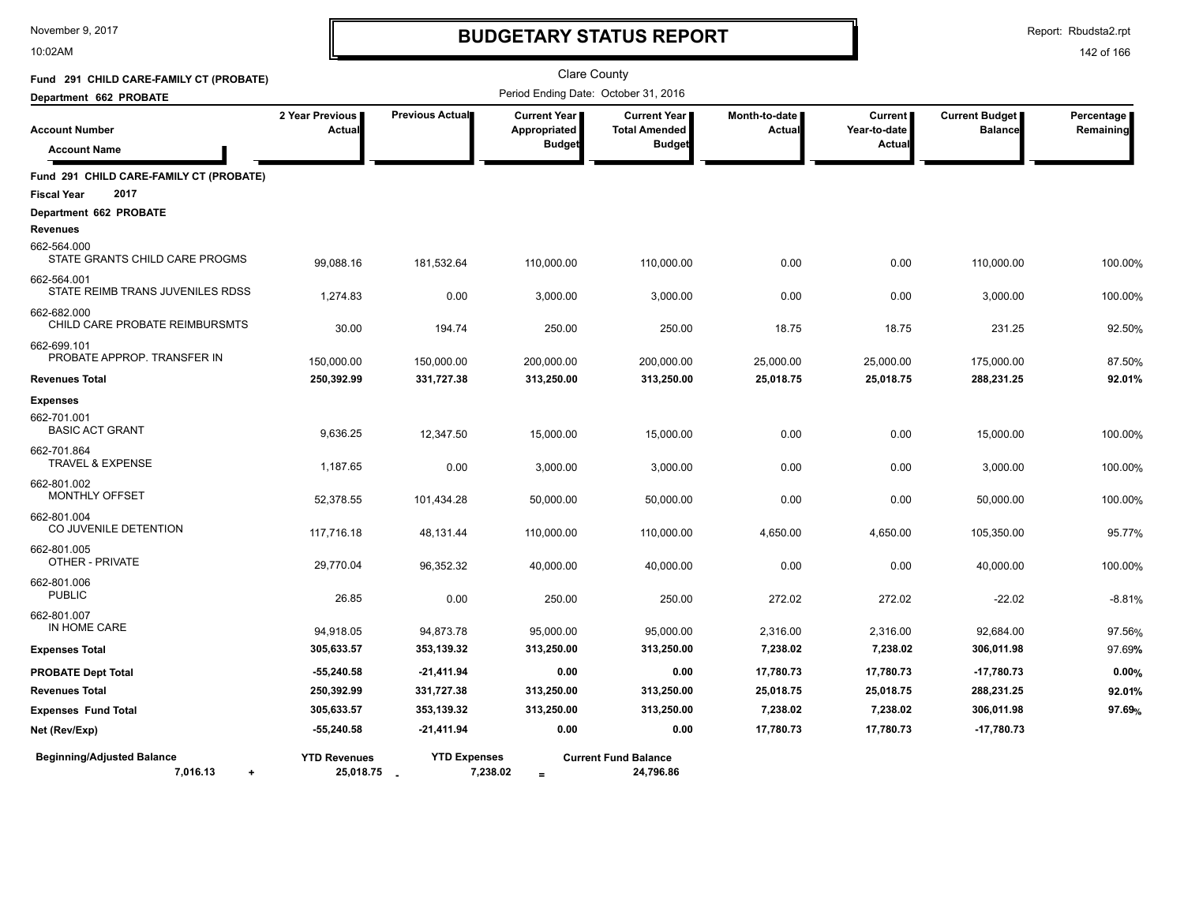10:02AM

# **BUDGETARY STATUS REPORT**

Report: Rbudsta2.rpt

| Fund 291 CHILD CARE-FAMILY CT (PROBATE)                    |                                      |                                 | <b>Clare County</b>                                  |                                                              |                                |                                         |                                         |                         |
|------------------------------------------------------------|--------------------------------------|---------------------------------|------------------------------------------------------|--------------------------------------------------------------|--------------------------------|-----------------------------------------|-----------------------------------------|-------------------------|
| Department 662 PROBATE                                     | Period Ending Date: October 31, 2016 |                                 |                                                      |                                                              |                                |                                         |                                         |                         |
| <b>Account Number</b><br><b>Account Name</b>               | 2 Year Previous<br>Actual            | Previous Actual                 | <b>Current Year</b><br>Appropriated<br><b>Budget</b> | <b>Current Year</b><br><b>Total Amended</b><br><b>Budget</b> | Month-to-date<br><b>Actual</b> | <b>Current</b><br>Year-to-date<br>Actua | <b>Current Budget</b><br><b>Balance</b> | Percentage<br>Remaining |
| Fund 291 CHILD CARE-FAMILY CT (PROBATE)                    |                                      |                                 |                                                      |                                                              |                                |                                         |                                         |                         |
| 2017<br><b>Fiscal Year</b>                                 |                                      |                                 |                                                      |                                                              |                                |                                         |                                         |                         |
| Department 662 PROBATE<br><b>Revenues</b>                  |                                      |                                 |                                                      |                                                              |                                |                                         |                                         |                         |
| 662-564.000<br>STATE GRANTS CHILD CARE PROGMS              | 99,088.16                            | 181,532.64                      | 110,000.00                                           | 110,000.00                                                   | 0.00                           | 0.00                                    | 110,000.00                              | 100.00%                 |
| 662-564.001<br>STATE REIMB TRANS JUVENILES RDSS            | 1,274.83                             | 0.00                            | 3,000.00                                             | 3,000.00                                                     | 0.00                           | 0.00                                    | 3,000.00                                | 100.00%                 |
| 662-682.000<br>CHILD CARE PROBATE REIMBURSMTS              | 30.00                                | 194.74                          | 250.00                                               | 250.00                                                       | 18.75                          | 18.75                                   | 231.25                                  | 92.50%                  |
| 662-699.101<br>PROBATE APPROP. TRANSFER IN                 | 150,000.00                           | 150,000.00                      | 200,000.00                                           | 200,000.00                                                   | 25,000.00                      | 25,000.00                               | 175,000.00                              | 87.50%                  |
| <b>Revenues Total</b>                                      | 250,392.99                           | 331,727.38                      | 313,250.00                                           | 313,250.00                                                   | 25,018.75                      | 25,018.75                               | 288,231.25                              | 92.01%                  |
| <b>Expenses</b><br>662-701.001<br><b>BASIC ACT GRANT</b>   | 9,636.25                             | 12,347.50                       | 15,000.00                                            | 15,000.00                                                    | 0.00                           | 0.00                                    | 15,000.00                               | 100.00%                 |
| 662-701.864<br><b>TRAVEL &amp; EXPENSE</b>                 | 1,187.65                             | 0.00                            | 3,000.00                                             | 3,000.00                                                     | 0.00                           | 0.00                                    | 3,000.00                                | 100.00%                 |
| 662-801.002<br><b>MONTHLY OFFSET</b>                       | 52,378.55                            | 101,434.28                      | 50,000.00                                            | 50,000.00                                                    | 0.00                           | 0.00                                    | 50,000.00                               | 100.00%                 |
| 662-801.004<br>CO JUVENILE DETENTION                       | 117,716.18                           | 48,131.44                       | 110,000.00                                           | 110,000.00                                                   | 4,650.00                       | 4,650.00                                | 105,350.00                              | 95.77%                  |
| 662-801.005<br>OTHER - PRIVATE                             | 29,770.04                            | 96,352.32                       | 40,000.00                                            | 40,000.00                                                    | 0.00                           | 0.00                                    | 40,000.00                               | 100.00%                 |
| 662-801.006<br><b>PUBLIC</b>                               | 26.85                                | 0.00                            | 250.00                                               | 250.00                                                       | 272.02                         | 272.02                                  | $-22.02$                                | $-8.81%$                |
| 662-801.007<br>IN HOME CARE                                | 94,918.05                            | 94,873.78                       | 95,000.00                                            | 95,000.00                                                    | 2,316.00                       | 2,316.00                                | 92,684.00                               | 97.56%                  |
| <b>Expenses Total</b>                                      | 305,633.57                           | 353,139.32                      | 313,250.00                                           | 313,250.00                                                   | 7,238.02                       | 7,238.02                                | 306,011.98                              | 97.69%                  |
| <b>PROBATE Dept Total</b>                                  | $-55,240.58$                         | $-21,411.94$                    | 0.00                                                 | 0.00                                                         | 17,780.73                      | 17,780.73                               | -17,780.73                              | 0.00%                   |
| <b>Revenues Total</b>                                      | 250,392.99                           | 331,727.38                      | 313,250.00                                           | 313,250.00                                                   | 25,018.75                      | 25,018.75                               | 288,231.25                              | 92.01%                  |
| <b>Expenses Fund Total</b>                                 | 305,633.57                           | 353,139.32                      | 313,250.00                                           | 313,250.00                                                   | 7,238.02                       | 7,238.02                                | 306,011.98                              | 97.69%                  |
| Net (Rev/Exp)                                              | $-55,240.58$                         | $-21,411.94$                    | 0.00                                                 | 0.00                                                         | 17,780.73                      | 17,780.73                               | $-17,780.73$                            |                         |
| <b>Beginning/Adjusted Balance</b><br>7,016.13<br>$\ddot{}$ | <b>YTD Revenues</b><br>25,018.75     | <b>YTD Expenses</b><br>7,238.02 | $=$                                                  | <b>Current Fund Balance</b><br>24,796.86                     |                                |                                         |                                         |                         |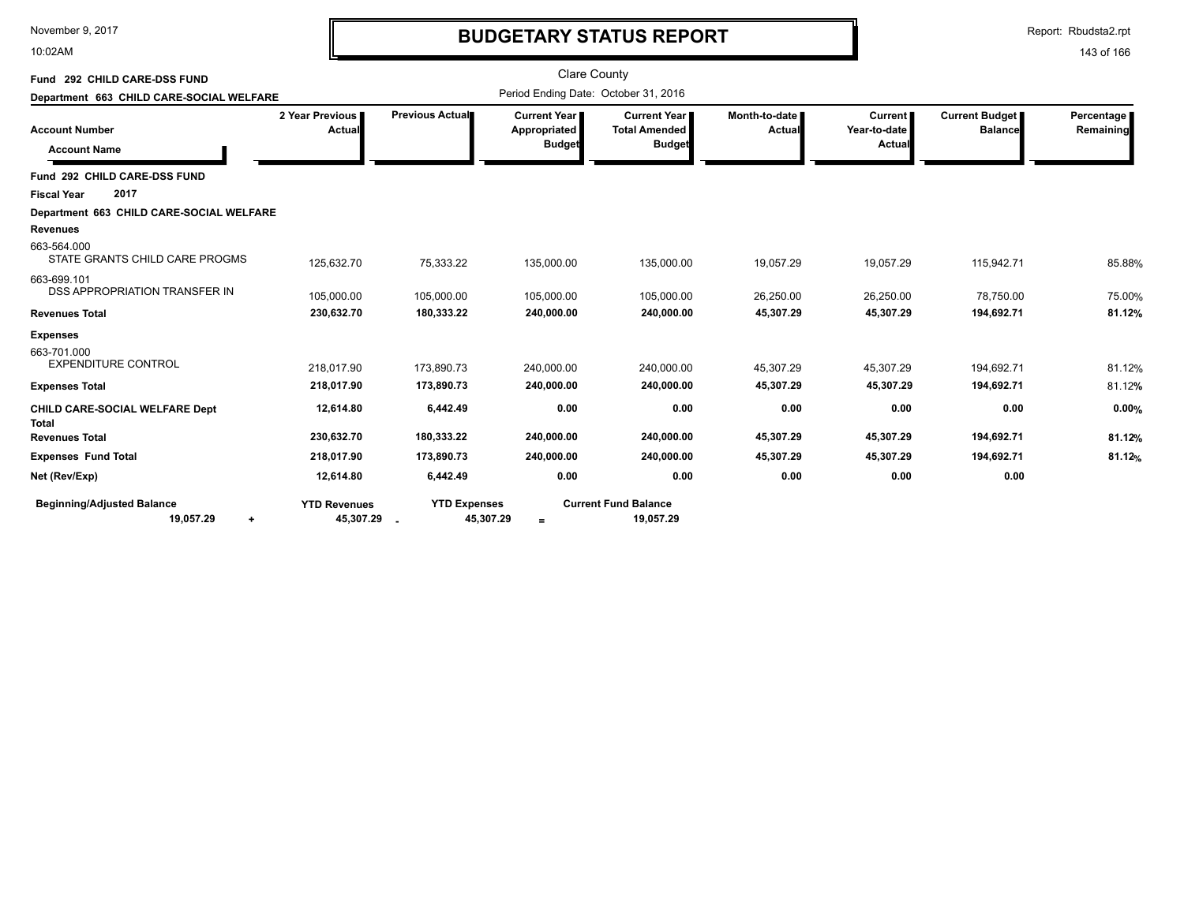10:02AM

# **BUDGETARY STATUS REPORT**

Report: Rbudsta2.rpt

| Fund 292 CHILD CARE-DSS FUND<br>Department 663 CHILD CARE-SOCIAL WELFARE |                                  |                                            | <b>Clare County</b>                                    | Period Ending Date: October 31, 2016                         |                                |                                          |                                  |                         |
|--------------------------------------------------------------------------|----------------------------------|--------------------------------------------|--------------------------------------------------------|--------------------------------------------------------------|--------------------------------|------------------------------------------|----------------------------------|-------------------------|
| <b>Account Number</b><br><b>Account Name</b>                             | 2 Year Previous<br>Actual        | Previous Actual                            | <b>Current Year I</b><br>Appropriated<br><b>Budget</b> | <b>Current Year</b><br><b>Total Amended</b><br><b>Budget</b> | Month-to-date<br><b>Actual</b> | <b>Current</b><br>Year-to-date<br>Actual | Current Budget<br><b>Balance</b> | Percentage<br>Remaining |
| Fund 292 CHILD CARE-DSS FUND                                             |                                  |                                            |                                                        |                                                              |                                |                                          |                                  |                         |
| 2017<br><b>Fiscal Year</b>                                               |                                  |                                            |                                                        |                                                              |                                |                                          |                                  |                         |
| Department 663 CHILD CARE-SOCIAL WELFARE<br><b>Revenues</b>              |                                  |                                            |                                                        |                                                              |                                |                                          |                                  |                         |
| 663-564.000<br>STATE GRANTS CHILD CARE PROGMS                            | 125,632.70                       | 75,333.22                                  | 135,000.00                                             | 135,000.00                                                   | 19,057.29                      | 19,057.29                                | 115,942.71                       | 85.88%                  |
| 663-699.101<br>DSS APPROPRIATION TRANSFER IN                             | 105,000.00                       | 105,000.00                                 | 105,000.00                                             | 105,000.00                                                   | 26,250.00                      | 26,250.00                                | 78,750.00                        | 75.00%                  |
| <b>Revenues Total</b>                                                    | 230,632.70                       | 180,333.22                                 | 240,000.00                                             | 240,000.00                                                   | 45,307.29                      | 45,307.29                                | 194,692.71                       | 81.12%                  |
| <b>Expenses</b>                                                          |                                  |                                            |                                                        |                                                              |                                |                                          |                                  |                         |
| 663-701.000<br><b>EXPENDITURE CONTROL</b>                                | 218,017.90                       | 173,890.73                                 | 240,000.00                                             | 240,000.00                                                   | 45,307.29                      | 45,307.29                                | 194,692.71                       | 81.12%                  |
| <b>Expenses Total</b>                                                    | 218,017.90                       | 173,890.73                                 | 240,000.00                                             | 240,000.00                                                   | 45,307.29                      | 45,307.29                                | 194,692.71                       | 81.12%                  |
| CHILD CARE-SOCIAL WELFARE Dept<br><b>Total</b>                           | 12,614.80                        | 6,442.49                                   | 0.00                                                   | 0.00                                                         | 0.00                           | 0.00                                     | 0.00                             | 0.00%                   |
| <b>Revenues Total</b>                                                    | 230,632.70                       | 180,333.22                                 | 240,000.00                                             | 240,000.00                                                   | 45,307.29                      | 45,307.29                                | 194,692.71                       | 81.12%                  |
| <b>Expenses Fund Total</b>                                               | 218,017.90                       | 173,890.73                                 | 240,000.00                                             | 240,000.00                                                   | 45,307.29                      | 45,307.29                                | 194,692.71                       | 81.12%                  |
| Net (Rev/Exp)                                                            | 12,614.80                        | 6,442.49                                   | 0.00                                                   | 0.00                                                         | 0.00                           | 0.00                                     | 0.00                             |                         |
| <b>Beginning/Adjusted Balance</b><br>19,057.29<br>$\ddot{}$              | <b>YTD Revenues</b><br>45,307.29 | <b>YTD Expenses</b><br>45,307.29<br>$\sim$ | $=$                                                    | <b>Current Fund Balance</b><br>19,057.29                     |                                |                                          |                                  |                         |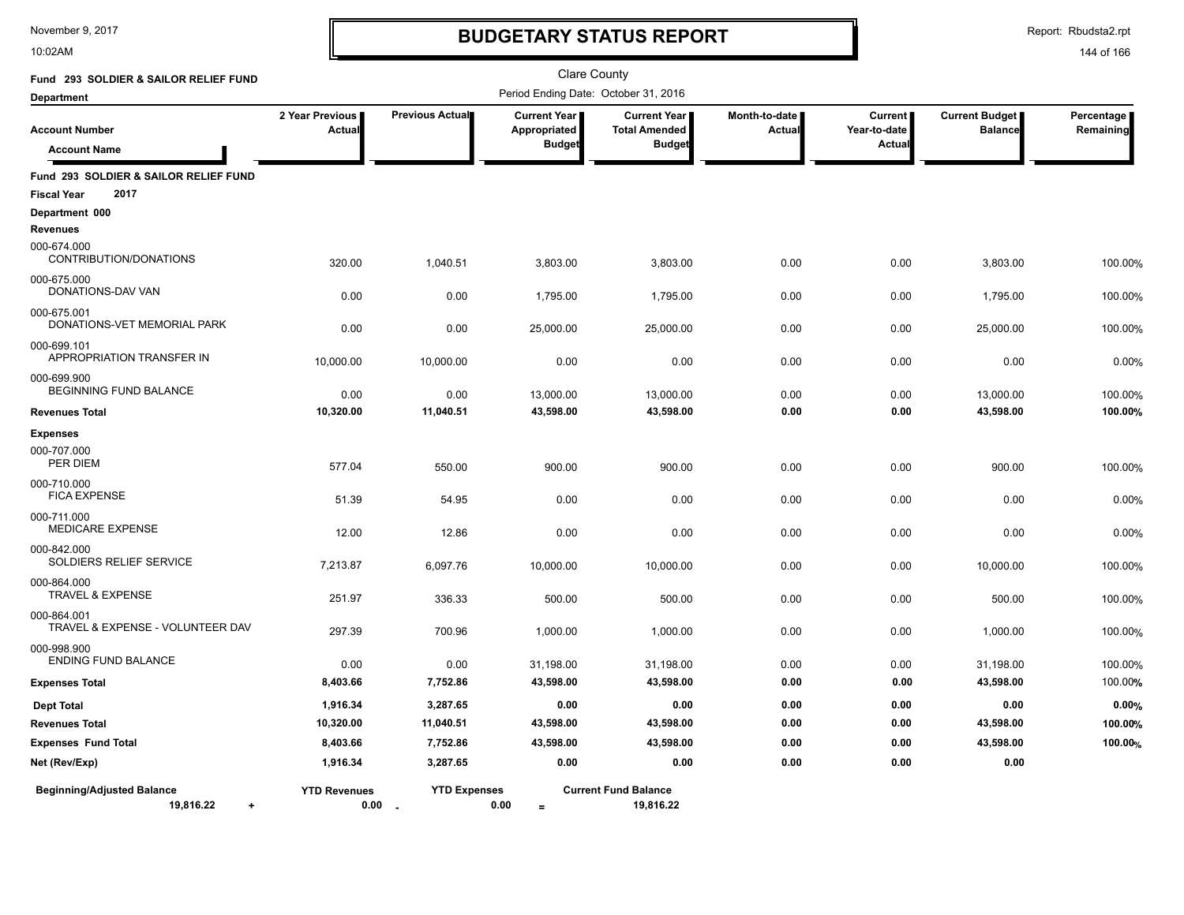10:02AM

# **BUDGETARY STATUS REPORT**

Report: Rbudsta2.rpt

| Fund 293 SOLDIER & SAILOR RELIEF FUND                               |                                  |                     | Clare County                                         |                                                                |                         |                                     |                                  |                           |
|---------------------------------------------------------------------|----------------------------------|---------------------|------------------------------------------------------|----------------------------------------------------------------|-------------------------|-------------------------------------|----------------------------------|---------------------------|
| <b>Department</b>                                                   |                                  |                     | Period Ending Date: October 31, 2016                 |                                                                |                         |                                     |                                  |                           |
| <b>Account Number</b><br><b>Account Name</b>                        | 2 Year Previous<br><b>Actual</b> | Previous Actual     | <b>Current Year</b><br>Appropriated<br><b>Budget</b> | <b>Current Year I</b><br><b>Total Amended</b><br><b>Budget</b> | Month-to-date<br>Actual | Current  <br>Year-to-date<br>Actual | Current Budget<br><b>Balance</b> | Percentage  <br>Remaining |
| Fund 293 SOLDIER & SAILOR RELIEF FUND<br>2017<br><b>Fiscal Year</b> |                                  |                     |                                                      |                                                                |                         |                                     |                                  |                           |
| Department 000                                                      |                                  |                     |                                                      |                                                                |                         |                                     |                                  |                           |
| <b>Revenues</b>                                                     |                                  |                     |                                                      |                                                                |                         |                                     |                                  |                           |
| 000-674.000<br>CONTRIBUTION/DONATIONS                               | 320.00                           | 1,040.51            | 3,803.00                                             | 3,803.00                                                       | 0.00                    | 0.00                                | 3,803.00                         | 100.00%                   |
| 000-675.000<br>DONATIONS-DAV VAN                                    | 0.00                             | 0.00                | 1,795.00                                             | 1,795.00                                                       | 0.00                    | 0.00                                | 1,795.00                         | 100.00%                   |
| 000-675.001<br>DONATIONS-VET MEMORIAL PARK                          | 0.00                             | 0.00                | 25,000.00                                            | 25,000.00                                                      | 0.00                    | 0.00                                | 25,000.00                        | 100.00%                   |
| 000-699.101<br>APPROPRIATION TRANSFER IN                            | 10,000.00                        | 10,000.00           | 0.00                                                 | 0.00                                                           | 0.00                    | 0.00                                | 0.00                             | 0.00%                     |
| 000-699.900<br><b>BEGINNING FUND BALANCE</b>                        | 0.00                             | 0.00                | 13,000.00                                            | 13,000.00                                                      | 0.00                    | 0.00                                | 13,000.00                        | 100.00%                   |
| <b>Revenues Total</b>                                               | 10,320.00                        | 11,040.51           | 43,598.00                                            | 43,598.00                                                      | 0.00                    | 0.00                                | 43,598.00                        | 100.00%                   |
| <b>Expenses</b>                                                     |                                  |                     |                                                      |                                                                |                         |                                     |                                  |                           |
| 000-707.000<br>PER DIEM                                             | 577.04                           | 550.00              | 900.00                                               | 900.00                                                         | 0.00                    | 0.00                                | 900.00                           | 100.00%                   |
| 000-710.000<br><b>FICA EXPENSE</b>                                  | 51.39                            | 54.95               | 0.00                                                 | 0.00                                                           | 0.00                    | 0.00                                | 0.00                             | 0.00%                     |
| 000-711.000<br><b>MEDICARE EXPENSE</b>                              | 12.00                            | 12.86               | 0.00                                                 | 0.00                                                           | 0.00                    | 0.00                                | 0.00                             | 0.00%                     |
| 000-842.000<br>SOLDIERS RELIEF SERVICE                              | 7,213.87                         | 6,097.76            | 10,000.00                                            | 10,000.00                                                      | 0.00                    | 0.00                                | 10,000.00                        | 100.00%                   |
| 000-864.000<br><b>TRAVEL &amp; EXPENSE</b>                          | 251.97                           | 336.33              | 500.00                                               | 500.00                                                         | 0.00                    | 0.00                                | 500.00                           | 100.00%                   |
| 000-864.001<br>TRAVEL & EXPENSE - VOLUNTEER DAV                     | 297.39                           | 700.96              | 1,000.00                                             | 1,000.00                                                       | 0.00                    | 0.00                                | 1,000.00                         | 100.00%                   |
| 000-998.900<br>ENDING FUND BALANCE                                  | 0.00                             | 0.00                | 31,198.00                                            | 31,198.00                                                      | 0.00                    | 0.00                                | 31,198.00                        | 100.00%                   |
| <b>Expenses Total</b>                                               | 8,403.66                         | 7,752.86            | 43,598.00                                            | 43,598.00                                                      | 0.00                    | 0.00                                | 43,598.00                        | 100.00%                   |
| <b>Dept Total</b>                                                   | 1,916.34                         | 3,287.65            | 0.00                                                 | 0.00                                                           | 0.00                    | 0.00                                | 0.00                             | 0.00%                     |
| <b>Revenues Total</b>                                               | 10,320.00                        | 11,040.51           | 43,598.00                                            | 43,598.00                                                      | 0.00                    | 0.00                                | 43,598.00                        | 100.00%                   |
| <b>Expenses Fund Total</b>                                          | 8,403.66                         | 7,752.86            | 43,598.00                                            | 43,598.00                                                      | 0.00                    | 0.00                                | 43,598.00                        | 100.00%                   |
| Net (Rev/Exp)                                                       | 1,916.34                         | 3,287.65            | 0.00                                                 | 0.00                                                           | 0.00                    | 0.00                                | 0.00                             |                           |
| <b>Beginning/Adjusted Balance</b><br>19,816.22<br>$\ddot{}$         | <b>YTD Revenues</b><br>0.00      | <b>YTD Expenses</b> | 0.00<br>$=$                                          | <b>Current Fund Balance</b><br>19,816.22                       |                         |                                     |                                  |                           |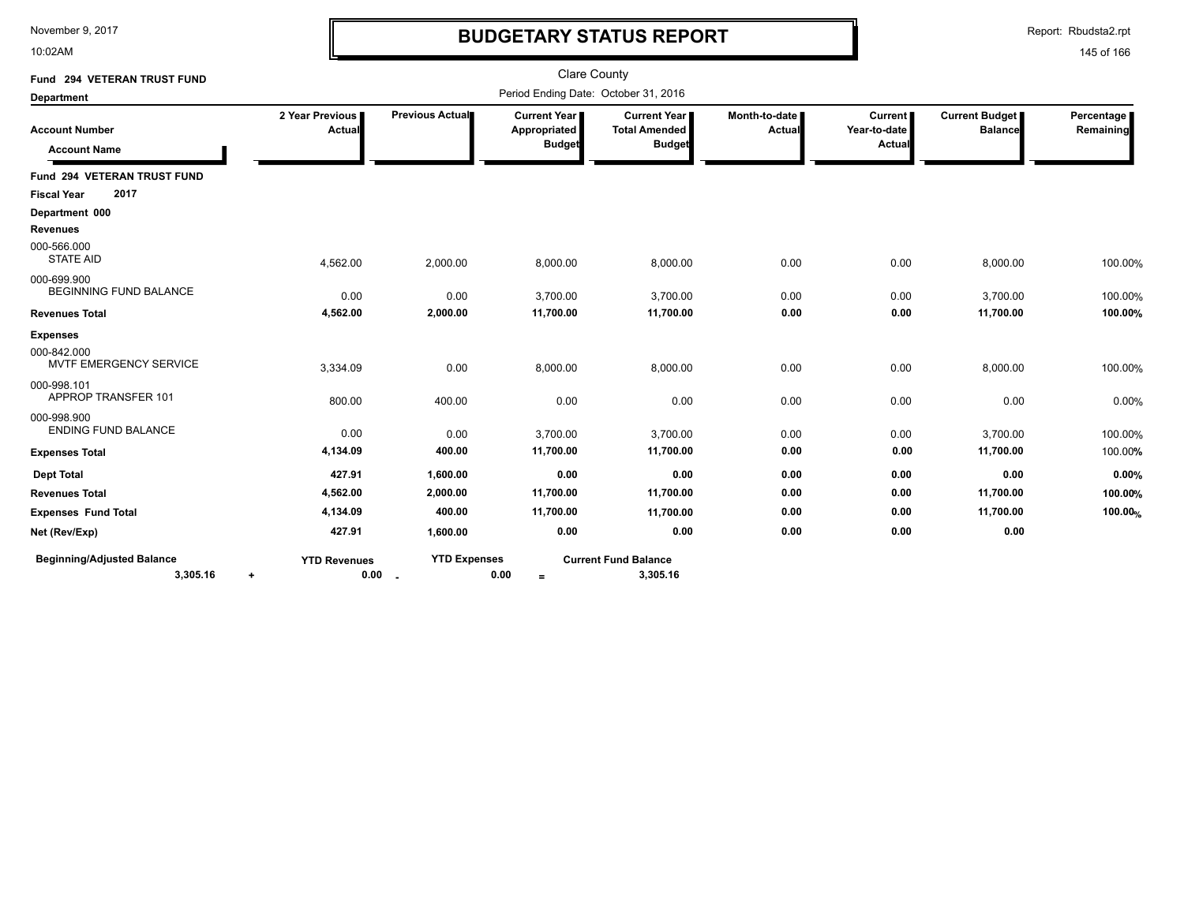10:02AM

# **BUDGETARY STATUS REPORT**

Report: Rbudsta2.rpt

| Fund 294 VETERAN TRUST FUND                  |                                  |                     | <b>Clare County</b>                  |                                                              |                                  |                                          |                                         |                         |
|----------------------------------------------|----------------------------------|---------------------|--------------------------------------|--------------------------------------------------------------|----------------------------------|------------------------------------------|-----------------------------------------|-------------------------|
| <b>Department</b>                            |                                  |                     | Period Ending Date: October 31, 2016 |                                                              |                                  |                                          |                                         |                         |
| <b>Account Number</b>                        | 2 Year Previous<br><b>Actual</b> | Previous Actual     | Current Year<br>Appropriated         | <b>Current Year</b><br><b>Total Amended</b><br><b>Budget</b> | Month-to-date  <br><b>Actual</b> | <b>Current</b><br>Year-to-date<br>Actual | <b>Current Budget</b><br><b>Balance</b> | Percentage<br>Remaining |
| <b>Account Name</b>                          |                                  |                     | <b>Budget</b>                        |                                                              |                                  |                                          |                                         |                         |
| Fund 294 VETERAN TRUST FUND                  |                                  |                     |                                      |                                                              |                                  |                                          |                                         |                         |
| 2017<br><b>Fiscal Year</b>                   |                                  |                     |                                      |                                                              |                                  |                                          |                                         |                         |
| Department 000                               |                                  |                     |                                      |                                                              |                                  |                                          |                                         |                         |
| <b>Revenues</b>                              |                                  |                     |                                      |                                                              |                                  |                                          |                                         |                         |
| 000-566.000<br><b>STATE AID</b>              | 4,562.00                         | 2,000.00            | 8,000.00                             | 8,000.00                                                     | 0.00                             | 0.00                                     | 8,000.00                                | 100.00%                 |
| 000-699.900<br><b>BEGINNING FUND BALANCE</b> | 0.00                             | 0.00                | 3,700.00                             | 3,700.00                                                     | 0.00                             | 0.00                                     | 3,700.00                                | 100.00%                 |
| <b>Revenues Total</b>                        | 4,562.00                         | 2,000.00            | 11,700.00                            | 11,700.00                                                    | 0.00                             | 0.00                                     | 11,700.00                               | 100.00%                 |
| <b>Expenses</b>                              |                                  |                     |                                      |                                                              |                                  |                                          |                                         |                         |
| 000-842.000<br>MVTF EMERGENCY SERVICE        | 3,334.09                         | 0.00                | 8,000.00                             | 8,000.00                                                     | 0.00                             | 0.00                                     | 8,000.00                                | 100.00%                 |
| 000-998.101<br>APPROP TRANSFER 101           | 800.00                           | 400.00              | 0.00                                 | 0.00                                                         | 0.00                             | 0.00                                     | 0.00                                    | 0.00%                   |
| 000-998.900<br><b>ENDING FUND BALANCE</b>    | 0.00                             | 0.00                | 3,700.00                             | 3,700.00                                                     | 0.00                             | 0.00                                     | 3,700.00                                | 100.00%                 |
| <b>Expenses Total</b>                        | 4,134.09                         | 400.00              | 11,700.00                            | 11,700.00                                                    | 0.00                             | 0.00                                     | 11,700.00                               | 100.00%                 |
| <b>Dept Total</b>                            | 427.91                           | 1,600.00            | 0.00                                 | 0.00                                                         | 0.00                             | 0.00                                     | 0.00                                    | 0.00%                   |
| <b>Revenues Total</b>                        | 4,562.00                         | 2,000.00            | 11,700.00                            | 11,700.00                                                    | 0.00                             | 0.00                                     | 11,700.00                               | 100.00%                 |
| <b>Expenses Fund Total</b>                   | 4,134.09                         | 400.00              | 11,700.00                            | 11,700.00                                                    | 0.00                             | 0.00                                     | 11,700.00                               | 100.00%                 |
| Net (Rev/Exp)                                | 427.91                           | 1,600.00            | 0.00                                 | 0.00                                                         | 0.00                             | 0.00                                     | 0.00                                    |                         |
| <b>Beginning/Adjusted Balance</b>            | <b>YTD Revenues</b>              | <b>YTD Expenses</b> |                                      | <b>Current Fund Balance</b>                                  |                                  |                                          |                                         |                         |
| 3,305.16                                     | $\cdot$                          | $0.00 -$            | 0.00<br>$=$                          | 3,305.16                                                     |                                  |                                          |                                         |                         |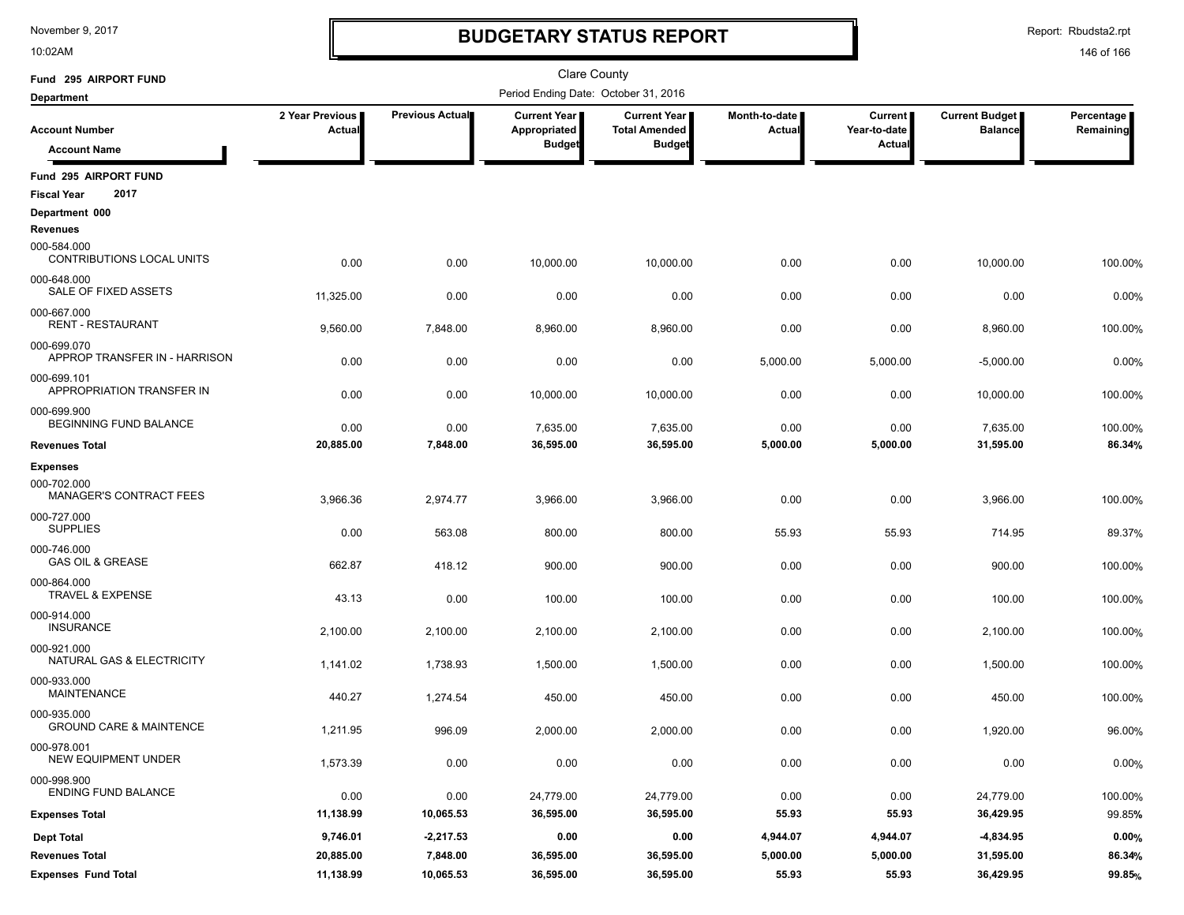10:02AM

### **BUDGETARY STATUS REPORT**

Report: Rbudsta2.rpt

| Fund 295 AIRPORT FUND                               |                           |                 | Clare County                         |                                             |                         |                                |                                         |                         |
|-----------------------------------------------------|---------------------------|-----------------|--------------------------------------|---------------------------------------------|-------------------------|--------------------------------|-----------------------------------------|-------------------------|
| <b>Department</b>                                   |                           |                 | Period Ending Date: October 31, 2016 |                                             |                         |                                |                                         |                         |
| <b>Account Number</b>                               | 2 Year Previous<br>Actual | Previous Actual | <b>Current Year</b><br>Appropriated  | <b>Current Year</b><br><b>Total Amended</b> | Month-to-date<br>Actual | <b>Current</b><br>Year-to-date | <b>Current Budget</b><br><b>Balance</b> | Percentage<br>Remaining |
| <b>Account Name</b>                                 |                           |                 | <b>Budget</b>                        | <b>Budget</b>                               |                         | Actual                         |                                         |                         |
| Fund 295 AIRPORT FUND<br>2017<br><b>Fiscal Year</b> |                           |                 |                                      |                                             |                         |                                |                                         |                         |
| Department 000<br><b>Revenues</b>                   |                           |                 |                                      |                                             |                         |                                |                                         |                         |
| 000-584.000<br>CONTRIBUTIONS LOCAL UNITS            | 0.00                      | 0.00            | 10,000.00                            | 10,000.00                                   | 0.00                    | 0.00                           | 10,000.00                               | 100.00%                 |
| 000-648.000<br>SALE OF FIXED ASSETS                 | 11,325.00                 | 0.00            | 0.00                                 | 0.00                                        | 0.00                    | 0.00                           | 0.00                                    | 0.00%                   |
| 000-667.000<br><b>RENT - RESTAURANT</b>             | 9,560.00                  | 7,848.00        | 8,960.00                             | 8,960.00                                    | 0.00                    | 0.00                           | 8,960.00                                | 100.00%                 |
| 000-699.070<br>APPROP TRANSFER IN - HARRISON        | 0.00                      | 0.00            | 0.00                                 | 0.00                                        | 5,000.00                | 5,000.00                       | $-5,000.00$                             | 0.00%                   |
| 000-699.101<br>APPROPRIATION TRANSFER IN            | 0.00                      | 0.00            | 10,000.00                            | 10,000.00                                   | 0.00                    | 0.00                           | 10,000.00                               | 100.00%                 |
| 000-699.900<br>BEGINNING FUND BALANCE               | 0.00                      | 0.00            | 7,635.00                             | 7,635.00                                    | 0.00                    | 0.00                           | 7,635.00                                | 100.00%                 |
| <b>Revenues Total</b>                               | 20,885.00                 | 7,848.00        | 36,595.00                            | 36,595.00                                   | 5,000.00                | 5,000.00                       | 31,595.00                               | 86.34%                  |
| <b>Expenses</b>                                     |                           |                 |                                      |                                             |                         |                                |                                         |                         |
| 000-702.000<br><b>MANAGER'S CONTRACT FEES</b>       | 3,966.36                  | 2,974.77        | 3,966.00                             | 3,966.00                                    | 0.00                    | 0.00                           | 3,966.00                                | 100.00%                 |
| 000-727.000<br><b>SUPPLIES</b>                      | 0.00                      | 563.08          | 800.00                               | 800.00                                      | 55.93                   | 55.93                          | 714.95                                  | 89.37%                  |
| 000-746.000<br><b>GAS OIL &amp; GREASE</b>          | 662.87                    | 418.12          | 900.00                               | 900.00                                      | 0.00                    | 0.00                           | 900.00                                  | 100.00%                 |
| 000-864.000<br><b>TRAVEL &amp; EXPENSE</b>          | 43.13                     | 0.00            | 100.00                               | 100.00                                      | 0.00                    | 0.00                           | 100.00                                  | 100.00%                 |
| 000-914.000<br><b>INSURANCE</b>                     | 2,100.00                  | 2,100.00        | 2,100.00                             | 2,100.00                                    | 0.00                    | 0.00                           | 2,100.00                                | 100.00%                 |
| 000-921.000<br>NATURAL GAS & ELECTRICITY            | 1,141.02                  | 1,738.93        | 1,500.00                             | 1,500.00                                    | 0.00                    | 0.00                           | 1,500.00                                | 100.00%                 |
| 000-933.000<br><b>MAINTENANCE</b>                   | 440.27                    | 1,274.54        | 450.00                               | 450.00                                      | 0.00                    | 0.00                           | 450.00                                  | 100.00%                 |
| 000-935.000<br><b>GROUND CARE &amp; MAINTENCE</b>   | 1,211.95                  | 996.09          | 2,000.00                             | 2,000.00                                    | 0.00                    | 0.00                           | 1,920.00                                | 96.00%                  |
| 000-978.001<br>NEW EQUIPMENT UNDER                  | 1,573.39                  | 0.00            | 0.00                                 | 0.00                                        | 0.00                    | 0.00                           | 0.00                                    | 0.00%                   |
| 000-998.900<br><b>ENDING FUND BALANCE</b>           | 0.00                      | 0.00            | 24,779.00                            | 24,779.00                                   | 0.00                    | 0.00                           | 24,779.00                               | 100.00%                 |
| <b>Expenses Total</b>                               | 11,138.99                 | 10,065.53       | 36,595.00                            | 36,595.00                                   | 55.93                   | 55.93                          | 36,429.95                               | 99.85%                  |
| <b>Dept Total</b>                                   | 9,746.01                  | $-2,217.53$     | 0.00                                 | 0.00                                        | 4,944.07                | 4,944.07                       | $-4,834.95$                             | 0.00%                   |
| <b>Revenues Total</b>                               | 20,885.00                 | 7,848.00        | 36,595.00                            | 36,595.00                                   | 5,000.00                | 5,000.00                       | 31,595.00                               | 86.34%                  |
| <b>Expenses Fund Total</b>                          | 11,138.99                 | 10,065.53       | 36,595.00                            | 36,595.00                                   | 55.93                   | 55.93                          | 36,429.95                               | 99.85%                  |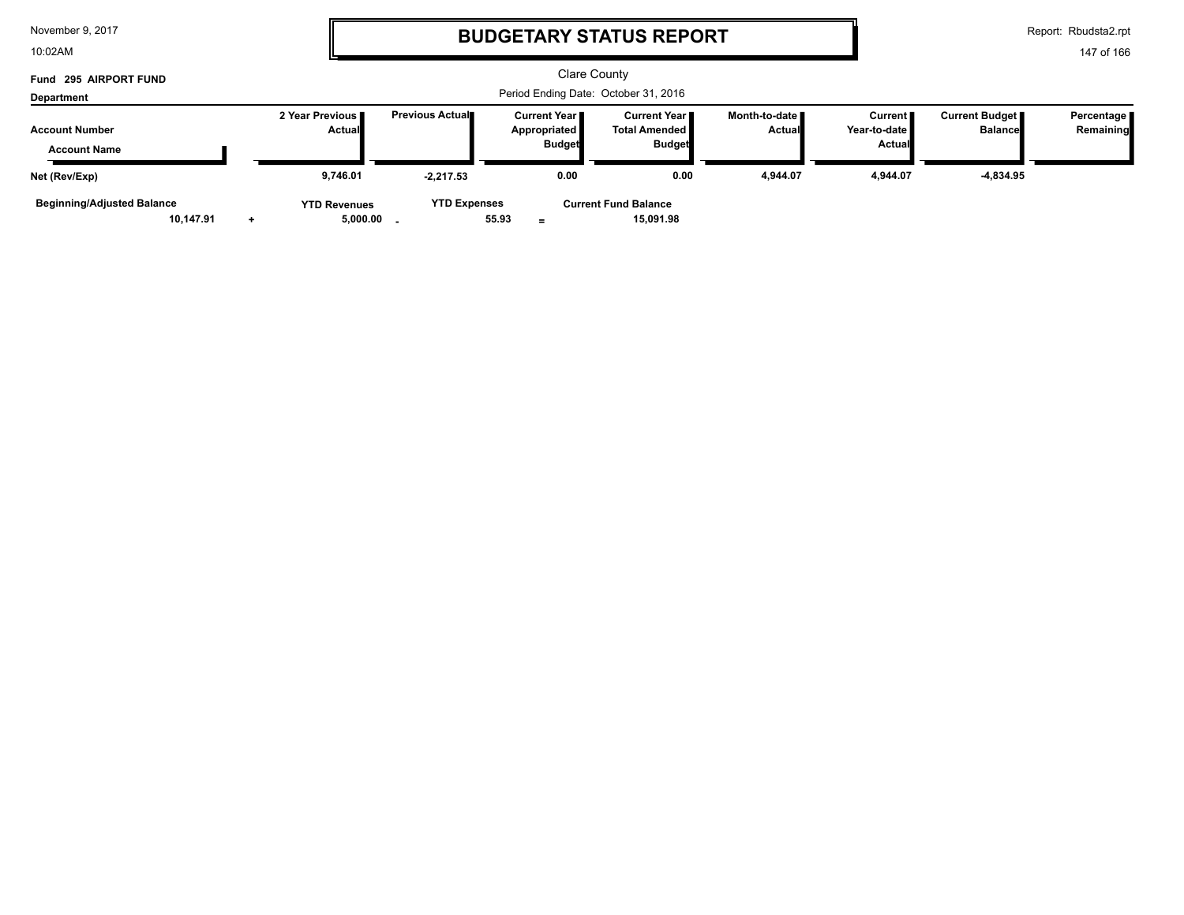| November 9, 2017 |  |  |  |
|------------------|--|--|--|
|------------------|--|--|--|

10:02AM

### **BUDGETARY STATUS REPORT**

Report: Rbudsta2.rpt

| Fund 295 AIRPORT FUND                        |           | <b>Clare County</b>                  |                                  |                         |                                       |               |                                                         |                                  |                                                 |                                         |                         |
|----------------------------------------------|-----------|--------------------------------------|----------------------------------|-------------------------|---------------------------------------|---------------|---------------------------------------------------------|----------------------------------|-------------------------------------------------|-----------------------------------------|-------------------------|
| Department                                   |           | Period Ending Date: October 31, 2016 |                                  |                         |                                       |               |                                                         |                                  |                                                 |                                         |                         |
| <b>Account Number</b><br><b>Account Name</b> |           |                                      | 2 Year Previous<br><b>Actual</b> | <b>Previous Actual■</b> | <b>Current Year</b> ■<br>Appropriated | <b>Budget</b> | Current Year I<br><b>Total Amended</b><br><b>Budget</b> | Month-to-date ∎<br><b>Actual</b> | <b>Current</b><br>Year-to-date<br><b>Actual</b> | <b>Current Budget</b><br><b>Balance</b> | Percentage<br>Remaining |
| Net (Rev/Exp)                                |           |                                      | 9.746.01                         | $-2.217.53$             |                                       | 0.00          | 0.00                                                    | 4,944.07                         | 4.944.07                                        | -4,834.95                               |                         |
| <b>Beginning/Adjusted Balance</b>            | 10.147.91 |                                      | <b>YTD Revenues</b><br>5,000.00  | <b>YTD Expenses</b>     | 55.93                                 |               | <b>Current Fund Balance</b><br>15,091.98                |                                  |                                                 |                                         |                         |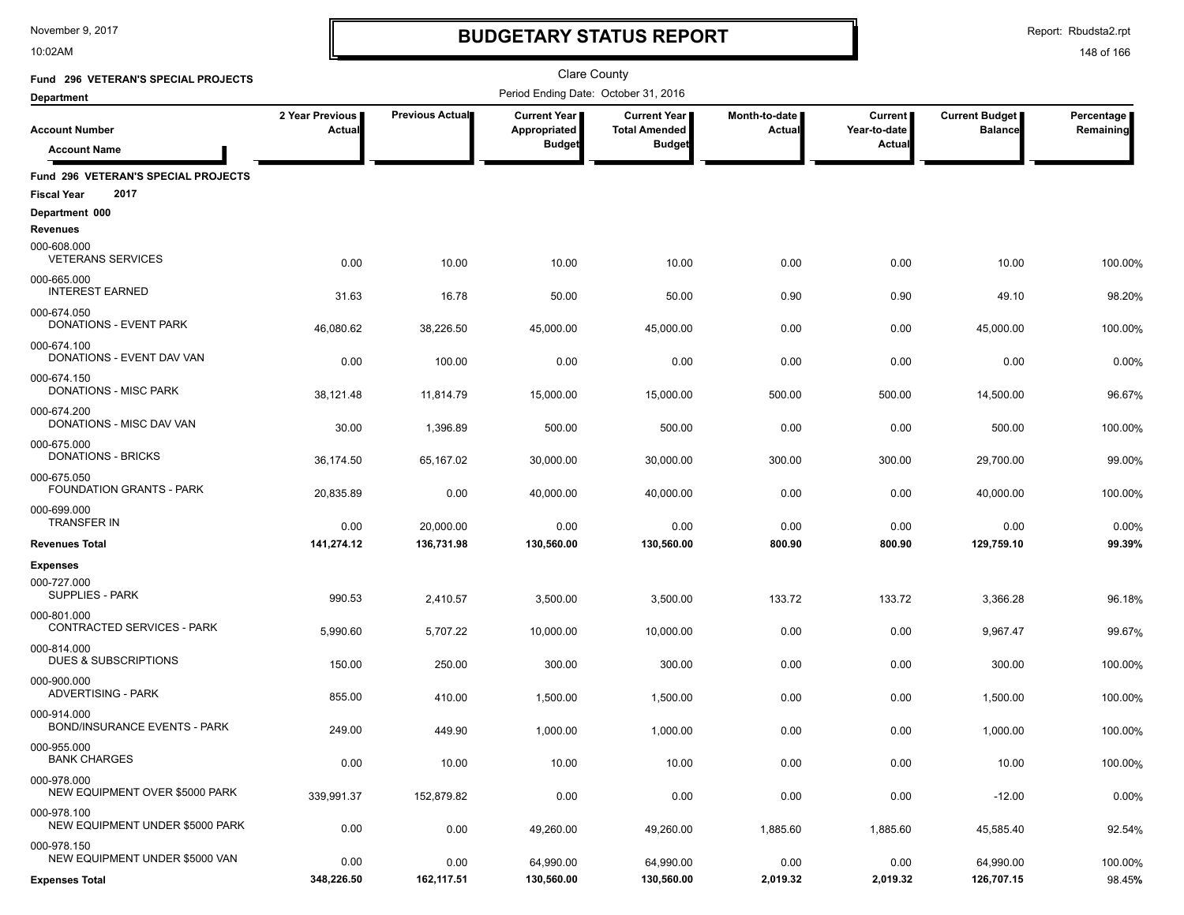10:02AM

## **BUDGETARY STATUS REPORT**

Report: Rbudsta2.rpt

| Fund 296 VETERAN'S SPECIAL PROJECTS                               |                           |                 | <b>Clare County</b>                                  |                                                                |                         |                                                 |                                  |                         |
|-------------------------------------------------------------------|---------------------------|-----------------|------------------------------------------------------|----------------------------------------------------------------|-------------------------|-------------------------------------------------|----------------------------------|-------------------------|
| <b>Department</b>                                                 |                           |                 | Period Ending Date: October 31, 2016                 |                                                                |                         |                                                 |                                  |                         |
| <b>Account Number</b><br><b>Account Name</b>                      | 2 Year Previous<br>Actual | Previous Actual | <b>Current Year</b><br>Appropriated<br><b>Budget</b> | <b>Current Year I</b><br><b>Total Amended</b><br><b>Budget</b> | Month-to-date<br>Actual | <b>Current</b><br>Year-to-date<br><b>Actual</b> | Current Budget<br><b>Balance</b> | Percentage<br>Remaining |
|                                                                   |                           |                 |                                                      |                                                                |                         |                                                 |                                  |                         |
| Fund 296 VETERAN'S SPECIAL PROJECTS<br>2017<br><b>Fiscal Year</b> |                           |                 |                                                      |                                                                |                         |                                                 |                                  |                         |
| Department 000<br><b>Revenues</b>                                 |                           |                 |                                                      |                                                                |                         |                                                 |                                  |                         |
| 000-608.000<br><b>VETERANS SERVICES</b>                           | 0.00                      | 10.00           | 10.00                                                | 10.00                                                          | 0.00                    | 0.00                                            | 10.00                            | 100.00%                 |
| 000-665.000<br><b>INTEREST EARNED</b>                             | 31.63                     | 16.78           | 50.00                                                | 50.00                                                          | 0.90                    | 0.90                                            | 49.10                            | 98.20%                  |
| 000-674.050<br><b>DONATIONS - EVENT PARK</b>                      | 46,080.62                 | 38,226.50       | 45,000.00                                            | 45,000.00                                                      | 0.00                    | 0.00                                            | 45,000.00                        | 100.00%                 |
| 000-674.100<br>DONATIONS - EVENT DAV VAN                          | 0.00                      | 100.00          | 0.00                                                 | 0.00                                                           | 0.00                    | 0.00                                            | 0.00                             | 0.00%                   |
| 000-674.150<br>DONATIONS - MISC PARK                              | 38,121.48                 | 11,814.79       | 15,000.00                                            | 15,000.00                                                      | 500.00                  | 500.00                                          | 14,500.00                        | 96.67%                  |
| 000-674.200<br>DONATIONS - MISC DAV VAN                           | 30.00                     | 1,396.89        | 500.00                                               | 500.00                                                         | 0.00                    | 0.00                                            | 500.00                           | 100.00%                 |
| 000-675.000<br>DONATIONS - BRICKS                                 | 36,174.50                 | 65,167.02       | 30,000.00                                            | 30,000.00                                                      | 300.00                  | 300.00                                          | 29,700.00                        | 99.00%                  |
| 000-675.050<br>FOUNDATION GRANTS - PARK                           | 20,835.89                 | 0.00            | 40,000.00                                            | 40,000.00                                                      | 0.00                    | 0.00                                            | 40,000.00                        | 100.00%                 |
| 000-699.000<br><b>TRANSFER IN</b>                                 | 0.00                      | 20,000.00       | 0.00                                                 | 0.00                                                           | 0.00                    | 0.00                                            | 0.00                             | 0.00%                   |
| <b>Revenues Total</b>                                             | 141,274.12                | 136,731.98      | 130,560.00                                           | 130,560.00                                                     | 800.90                  | 800.90                                          | 129,759.10                       | 99.39%                  |
| <b>Expenses</b>                                                   |                           |                 |                                                      |                                                                |                         |                                                 |                                  |                         |
| 000-727.000<br><b>SUPPLIES - PARK</b>                             | 990.53                    | 2,410.57        | 3,500.00                                             | 3,500.00                                                       | 133.72                  | 133.72                                          | 3,366.28                         | 96.18%                  |
| 000-801.000<br>CONTRACTED SERVICES - PARK                         | 5,990.60                  | 5,707.22        | 10,000.00                                            | 10,000.00                                                      | 0.00                    | 0.00                                            | 9,967.47                         | 99.67%                  |
| 000-814.000<br>DUES & SUBSCRIPTIONS                               | 150.00                    | 250.00          | 300.00                                               | 300.00                                                         | 0.00                    | 0.00                                            | 300.00                           | 100.00%                 |
| 000-900.000<br><b>ADVERTISING - PARK</b>                          | 855.00                    | 410.00          | 1,500.00                                             | 1,500.00                                                       | 0.00                    | 0.00                                            | 1,500.00                         | 100.00%                 |
| 000-914.000<br><b>BOND/INSURANCE EVENTS - PARK</b>                | 249.00                    | 449.90          | 1.000.00                                             | 1,000.00                                                       | 0.00                    | 0.00                                            | 1.000.00                         | 100.00%                 |
| 000-955.000<br><b>BANK CHARGES</b>                                | 0.00                      | 10.00           | 10.00                                                | 10.00                                                          | 0.00                    | 0.00                                            | 10.00                            | 100.00%                 |
| 000-978.000<br>NEW EQUIPMENT OVER \$5000 PARK                     | 339,991.37                | 152,879.82      | 0.00                                                 | 0.00                                                           | 0.00                    | 0.00                                            | $-12.00$                         | 0.00%                   |
| 000-978.100<br>NEW EQUIPMENT UNDER \$5000 PARK                    | 0.00                      | 0.00            | 49,260.00                                            | 49,260.00                                                      | 1,885.60                | 1,885.60                                        | 45,585.40                        | 92.54%                  |
| 000-978.150<br>NEW EQUIPMENT UNDER \$5000 VAN                     | 0.00                      | 0.00            | 64,990.00                                            | 64,990.00                                                      | 0.00                    | 0.00                                            | 64,990.00                        | 100.00%                 |
| <b>Expenses Total</b>                                             | 348,226.50                | 162,117.51      | 130,560.00                                           | 130,560.00                                                     | 2,019.32                | 2,019.32                                        | 126,707.15                       | 98.45%                  |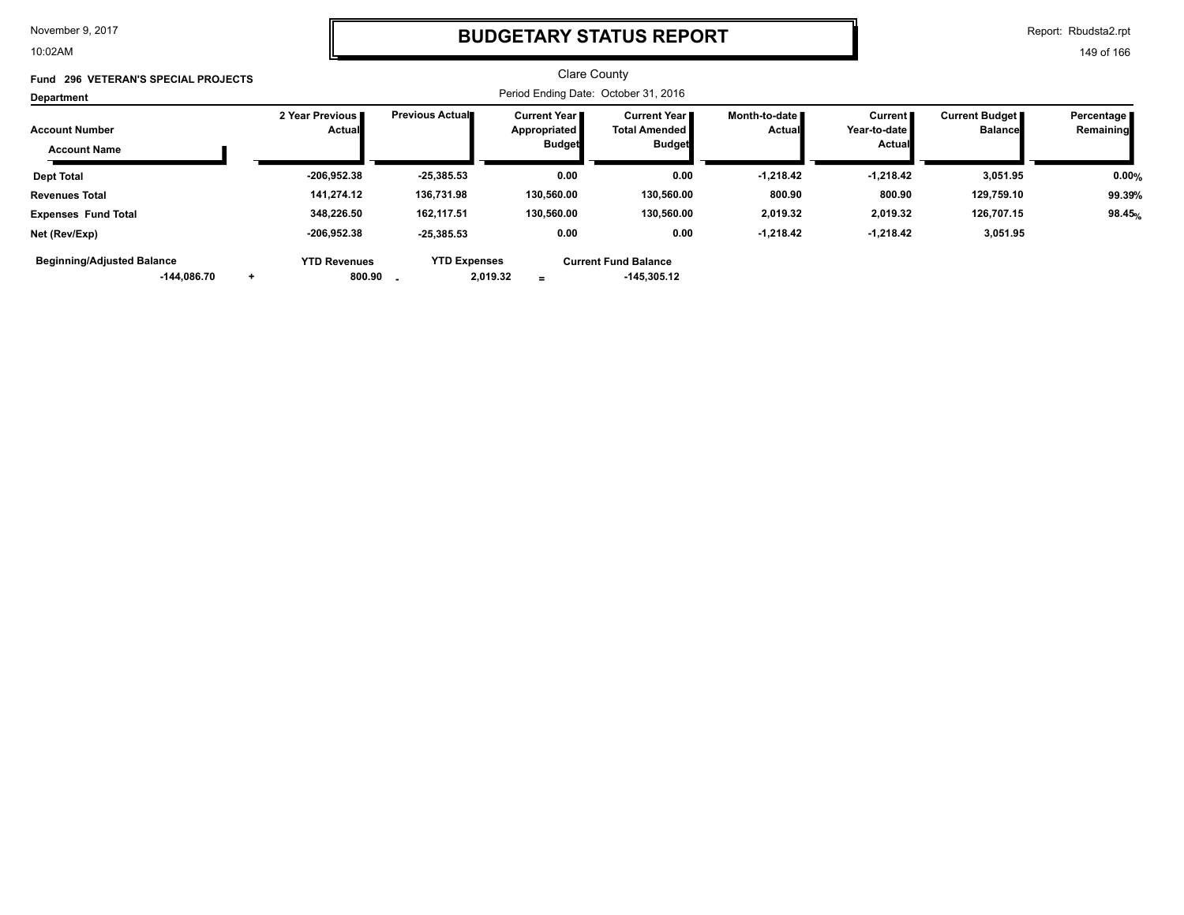10:02AM

### **BUDGETARY STATUS REPORT**

Report: Rbudsta2.rpt

| Fund 296 VETERAN'S SPECIAL PROJECTS                     |                                    |                                 | <b>Clare County</b>                                    |                                                          |                                  |                                                    |                                           |                           |
|---------------------------------------------------------|------------------------------------|---------------------------------|--------------------------------------------------------|----------------------------------------------------------|----------------------------------|----------------------------------------------------|-------------------------------------------|---------------------------|
| Department                                              |                                    |                                 | Period Ending Date: October 31, 2016                   |                                                          |                                  |                                                    |                                           |                           |
| <b>Account Number</b><br><b>Account Name</b>            | 2 Year Previous I<br><b>Actual</b> | <b>Previous Actual</b>          | <b>Current Year I</b><br>Appropriated<br><b>Budget</b> | Current Year II<br><b>Total Amended</b><br><b>Budget</b> | Month-to-date ∎<br><b>Actual</b> | Current <b>II</b><br>Year-to-date<br><b>Actual</b> | <b>Current Budget</b> ■<br><b>Balance</b> | Percentage I<br>Remaining |
| <b>Dept Total</b>                                       | $-206,952.38$                      | $-25,385.53$                    | 0.00                                                   | 0.00                                                     | $-1,218.42$                      | -1,218.42                                          | 3,051.95                                  | 0.00%                     |
| <b>Revenues Total</b>                                   | 141.274.12                         | 136,731.98                      | 130.560.00                                             | 130.560.00                                               | 800.90                           | 800.90                                             | 129,759.10                                | 99.39%                    |
| <b>Expenses Fund Total</b>                              | 348.226.50                         | 162.117.51                      | 130,560.00                                             | 130.560.00                                               | 2,019.32                         | 2,019.32                                           | 126,707.15                                | 98.45%                    |
| Net (Rev/Exp)                                           | $-206,952.38$                      | $-25,385.53$                    | 0.00                                                   | 0.00                                                     | $-1,218.42$                      | -1,218.42                                          | 3,051.95                                  |                           |
| <b>Beginning/Adjusted Balance</b><br>$-144.086.70$<br>÷ | <b>YTD Revenues</b><br>800.90      | <b>YTD Expenses</b><br>2,019.32 | $\equiv$                                               | <b>Current Fund Balance</b><br>-145,305.12               |                                  |                                                    |                                           |                           |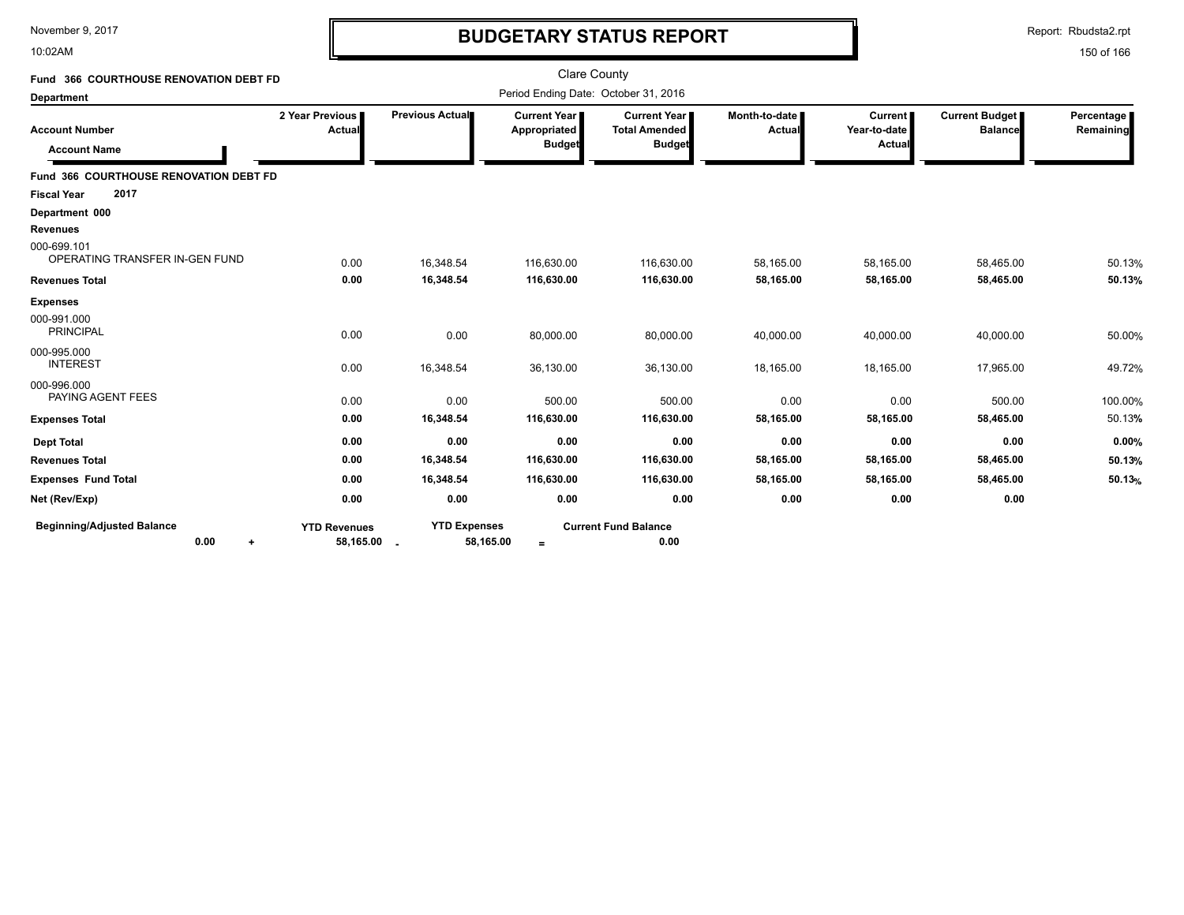10:02AM

# **BUDGETARY STATUS REPORT**

Report: Rbudsta2.rpt

| Fund 366 COURTHOUSE RENOVATION DEBT FD                 |                                    |                                  | <b>Clare County</b>                                  |                                                              |                         |                                          |                                         |                         |
|--------------------------------------------------------|------------------------------------|----------------------------------|------------------------------------------------------|--------------------------------------------------------------|-------------------------|------------------------------------------|-----------------------------------------|-------------------------|
| <b>Department</b>                                      |                                    |                                  |                                                      | Period Ending Date: October 31, 2016                         |                         |                                          |                                         |                         |
| <b>Account Number</b><br><b>Account Name</b>           | 2 Year Previous  <br>Actual        | Previous Actual                  | <b>Current Year</b><br>Appropriated<br><b>Budget</b> | <b>Current Year</b><br><b>Total Amended</b><br><b>Budget</b> | Month-to-date<br>Actual | <b>Current</b><br>Year-to-date<br>Actual | <b>Current Budget</b><br><b>Balance</b> | Percentage<br>Remaining |
| Fund 366 COURTHOUSE RENOVATION DEBT FD                 |                                    |                                  |                                                      |                                                              |                         |                                          |                                         |                         |
| 2017<br><b>Fiscal Year</b>                             |                                    |                                  |                                                      |                                                              |                         |                                          |                                         |                         |
| Department 000<br><b>Revenues</b>                      |                                    |                                  |                                                      |                                                              |                         |                                          |                                         |                         |
| 000-699.101<br>OPERATING TRANSFER IN-GEN FUND          | 0.00                               | 16,348.54                        | 116,630.00                                           | 116,630.00                                                   | 58,165.00               | 58,165.00                                | 58,465.00                               | 50.13%                  |
| <b>Revenues Total</b>                                  | 0.00                               | 16,348.54                        | 116,630.00                                           | 116,630.00                                                   | 58,165.00               | 58,165.00                                | 58,465.00                               | 50.13%                  |
| <b>Expenses</b>                                        |                                    |                                  |                                                      |                                                              |                         |                                          |                                         |                         |
| 000-991.000<br><b>PRINCIPAL</b>                        | 0.00                               | 0.00                             | 80,000.00                                            | 80,000.00                                                    | 40,000.00               | 40,000.00                                | 40,000.00                               | 50.00%                  |
| 000-995.000<br><b>INTEREST</b>                         | 0.00                               | 16,348.54                        | 36,130.00                                            | 36,130.00                                                    | 18,165.00               | 18,165.00                                | 17,965.00                               | 49.72%                  |
| 000-996.000<br>PAYING AGENT FEES                       | 0.00                               | 0.00                             | 500.00                                               | 500.00                                                       | 0.00                    | 0.00                                     | 500.00                                  | 100.00%                 |
| <b>Expenses Total</b>                                  | 0.00                               | 16,348.54                        | 116,630.00                                           | 116,630.00                                                   | 58,165.00               | 58,165.00                                | 58,465.00                               | 50.13%                  |
| <b>Dept Total</b>                                      | 0.00                               | 0.00                             | 0.00                                                 | 0.00                                                         | 0.00                    | 0.00                                     | 0.00                                    | 0.00%                   |
| <b>Revenues Total</b>                                  | 0.00                               | 16,348.54                        | 116,630.00                                           | 116,630.00                                                   | 58,165.00               | 58,165.00                                | 58,465.00                               | 50.13%                  |
| <b>Expenses Fund Total</b>                             | 0.00                               | 16,348.54                        | 116,630.00                                           | 116,630.00                                                   | 58,165.00               | 58,165.00                                | 58,465.00                               | 50.13%                  |
| Net (Rev/Exp)                                          | 0.00                               | 0.00                             | 0.00                                                 | 0.00                                                         | 0.00                    | 0.00                                     | 0.00                                    |                         |
| <b>Beginning/Adjusted Balance</b><br>0.00<br>$\ddot{}$ | <b>YTD Revenues</b><br>58,165.00 . | <b>YTD Expenses</b><br>58,165.00 | $\equiv$                                             | <b>Current Fund Balance</b><br>0.00                          |                         |                                          |                                         |                         |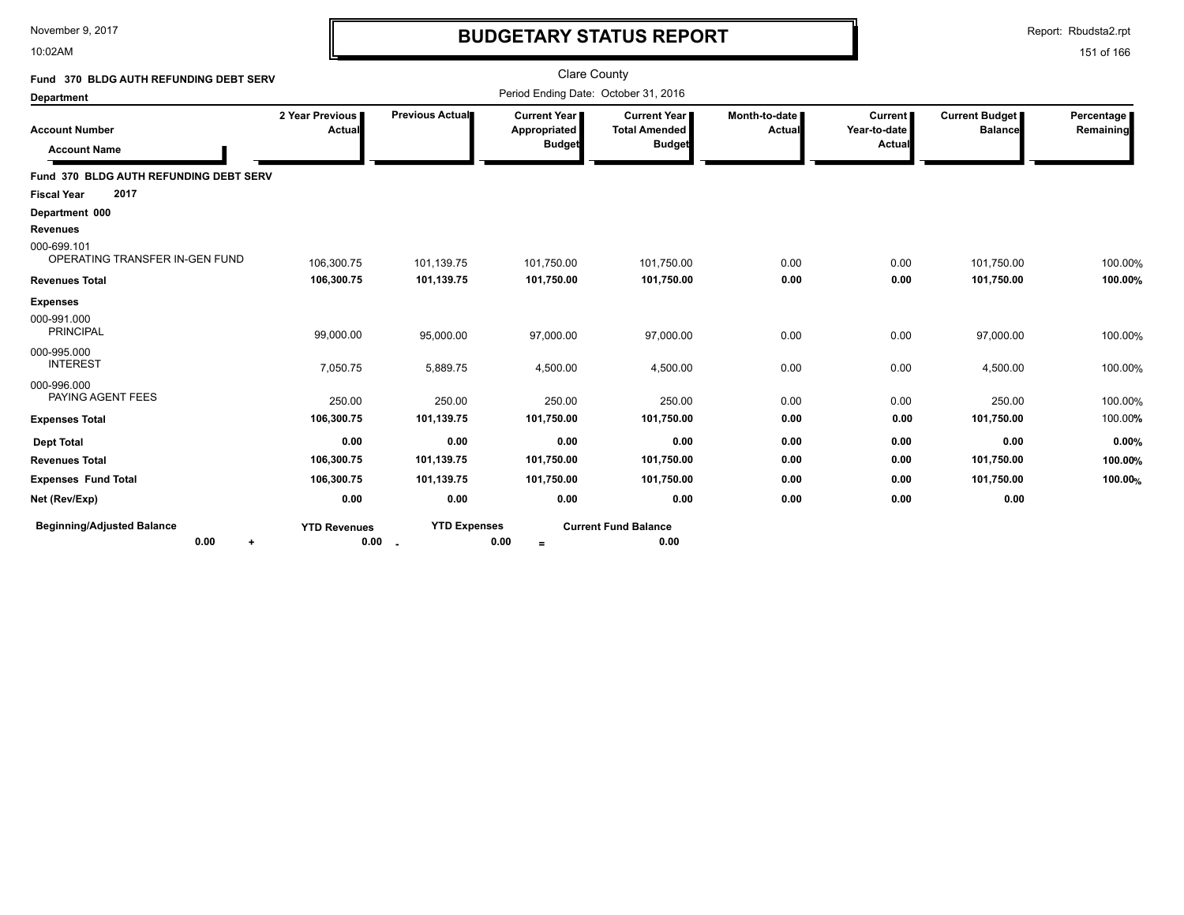10:02AM

# **BUDGETARY STATUS REPORT**

Report: Rbudsta2.rpt

| Fund 370 BLDG AUTH REFUNDING DEBT SERV         |                             |                               | <b>Clare County</b>                           |                                                                |                                  |                                          |                                         |                         |
|------------------------------------------------|-----------------------------|-------------------------------|-----------------------------------------------|----------------------------------------------------------------|----------------------------------|------------------------------------------|-----------------------------------------|-------------------------|
| <b>Department</b>                              |                             |                               | Period Ending Date: October 31, 2016          |                                                                |                                  |                                          |                                         |                         |
| <b>Account Number</b><br><b>Account Name</b>   | 2 Year Previous<br>Actual   | Previous Actual               | Current Year<br>Appropriated<br><b>Budget</b> | <b>Current Year I</b><br><b>Total Amended</b><br><b>Budget</b> | Month-to-date I<br><b>Actual</b> | <b>Current</b><br>Year-to-date<br>Actual | <b>Current Budget</b><br><b>Balance</b> | Percentage<br>Remaining |
| Fund 370 BLDG AUTH REFUNDING DEBT SERV         |                             |                               |                                               |                                                                |                                  |                                          |                                         |                         |
| 2017<br><b>Fiscal Year</b>                     |                             |                               |                                               |                                                                |                                  |                                          |                                         |                         |
| Department 000                                 |                             |                               |                                               |                                                                |                                  |                                          |                                         |                         |
| <b>Revenues</b>                                |                             |                               |                                               |                                                                |                                  |                                          |                                         |                         |
| 000-699.101<br>OPERATING TRANSFER IN-GEN FUND  | 106,300.75                  | 101,139.75                    | 101,750.00                                    | 101,750.00                                                     | 0.00                             | 0.00                                     | 101,750.00                              | 100.00%                 |
| <b>Revenues Total</b>                          | 106,300.75                  | 101,139.75                    | 101,750.00                                    | 101,750.00                                                     | 0.00                             | 0.00                                     | 101,750.00                              | 100.00%                 |
| <b>Expenses</b>                                |                             |                               |                                               |                                                                |                                  |                                          |                                         |                         |
| 000-991.000<br><b>PRINCIPAL</b>                | 99,000.00                   | 95,000.00                     | 97,000.00                                     | 97,000.00                                                      | 0.00                             | 0.00                                     | 97,000.00                               | 100.00%                 |
| 000-995.000<br><b>INTEREST</b>                 | 7,050.75                    | 5,889.75                      | 4,500.00                                      | 4,500.00                                                       | 0.00                             | 0.00                                     | 4,500.00                                | 100.00%                 |
| 000-996.000<br>PAYING AGENT FEES               | 250.00                      | 250.00                        | 250.00                                        | 250.00                                                         | 0.00                             | 0.00                                     | 250.00                                  | 100.00%                 |
| <b>Expenses Total</b>                          | 106,300.75                  | 101,139.75                    | 101,750.00                                    | 101,750.00                                                     | 0.00                             | 0.00                                     | 101,750.00                              | 100.00%                 |
| <b>Dept Total</b>                              | 0.00                        | 0.00                          | 0.00                                          | 0.00                                                           | 0.00                             | 0.00                                     | 0.00                                    | 0.00%                   |
| <b>Revenues Total</b>                          | 106,300.75                  | 101,139.75                    | 101,750.00                                    | 101,750.00                                                     | 0.00                             | 0.00                                     | 101,750.00                              | 100.00%                 |
| <b>Expenses Fund Total</b>                     | 106,300.75                  | 101,139.75                    | 101,750.00                                    | 101,750.00                                                     | 0.00                             | 0.00                                     | 101,750.00                              | 100.00%                 |
| Net (Rev/Exp)                                  | 0.00                        | 0.00                          | 0.00                                          | 0.00                                                           | 0.00                             | 0.00                                     | 0.00                                    |                         |
| <b>Beginning/Adjusted Balance</b><br>0.00<br>٠ | <b>YTD Revenues</b><br>0.00 | <b>YTD Expenses</b><br>$\sim$ | 0.00<br>$=$                                   | <b>Current Fund Balance</b><br>0.00                            |                                  |                                          |                                         |                         |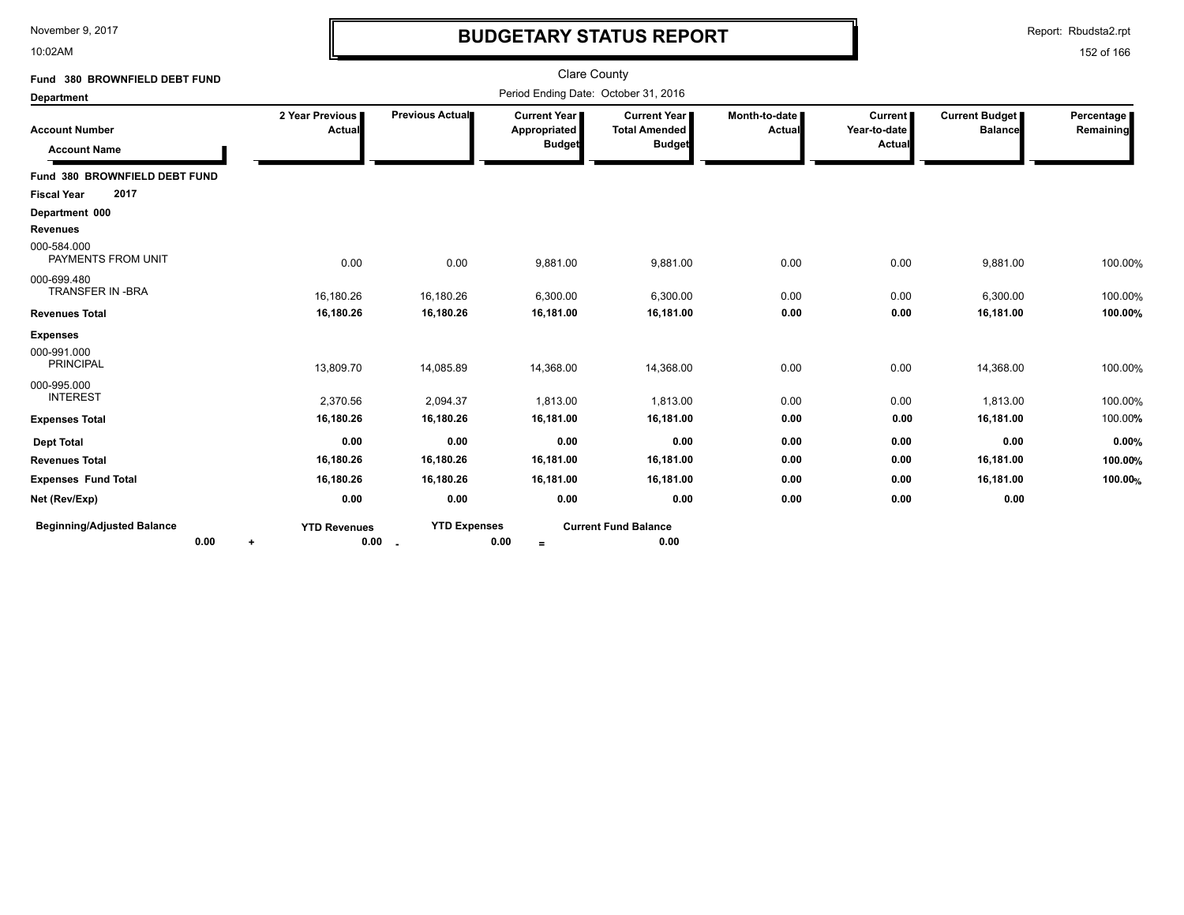10:02AM

# **BUDGETARY STATUS REPORT**

Report: Rbudsta2.rpt

| Fund 380 BROWNFIELD DEBT FUND                |                           |                                 | <b>Clare County</b>                                  |                                                       |                                |                                          |                                         |                         |
|----------------------------------------------|---------------------------|---------------------------------|------------------------------------------------------|-------------------------------------------------------|--------------------------------|------------------------------------------|-----------------------------------------|-------------------------|
| <b>Department</b>                            |                           |                                 | Period Ending Date: October 31, 2016                 |                                                       |                                |                                          |                                         |                         |
| <b>Account Number</b><br><b>Account Name</b> | 2 Year Previous<br>Actual | Previous Actual                 | <b>Current Year</b><br>Appropriated<br><b>Budget</b> | Current Year<br><b>Total Amended</b><br><b>Budget</b> | Month-to-date<br><b>Actual</b> | <b>Current</b><br>Year-to-date<br>Actual | <b>Current Budget</b><br><b>Balance</b> | Percentage<br>Remaining |
| Fund 380 BROWNFIELD DEBT FUND                |                           |                                 |                                                      |                                                       |                                |                                          |                                         |                         |
| 2017<br><b>Fiscal Year</b>                   |                           |                                 |                                                      |                                                       |                                |                                          |                                         |                         |
| Department 000                               |                           |                                 |                                                      |                                                       |                                |                                          |                                         |                         |
| <b>Revenues</b>                              |                           |                                 |                                                      |                                                       |                                |                                          |                                         |                         |
| 000-584.000<br>PAYMENTS FROM UNIT            | 0.00                      | 0.00                            | 9,881.00                                             | 9,881.00                                              | 0.00                           | 0.00                                     | 9,881.00                                | 100.00%                 |
| 000-699.480<br>TRANSFER IN -BRA              | 16,180.26                 | 16,180.26                       | 6,300.00                                             | 6,300.00                                              | 0.00                           | 0.00                                     | 6,300.00                                | 100.00%                 |
| <b>Revenues Total</b>                        | 16,180.26                 | 16,180.26                       | 16,181.00                                            | 16,181.00                                             | 0.00                           | 0.00                                     | 16,181.00                               | 100.00%                 |
| <b>Expenses</b>                              |                           |                                 |                                                      |                                                       |                                |                                          |                                         |                         |
| 000-991.000<br><b>PRINCIPAL</b>              | 13,809.70                 | 14,085.89                       | 14,368.00                                            | 14,368.00                                             | 0.00                           | 0.00                                     | 14,368.00                               | 100.00%                 |
| 000-995.000<br><b>INTEREST</b>               | 2,370.56                  | 2,094.37                        | 1,813.00                                             | 1,813.00                                              | 0.00                           | 0.00                                     | 1,813.00                                | 100.00%                 |
| <b>Expenses Total</b>                        | 16,180.26                 | 16,180.26                       | 16,181.00                                            | 16,181.00                                             | 0.00                           | 0.00                                     | 16,181.00                               | 100.00%                 |
| <b>Dept Total</b>                            | 0.00                      | 0.00                            | 0.00                                                 | 0.00                                                  | 0.00                           | 0.00                                     | 0.00                                    | 0.00%                   |
| <b>Revenues Total</b>                        | 16,180.26                 | 16,180.26                       | 16,181.00                                            | 16,181.00                                             | 0.00                           | 0.00                                     | 16,181.00                               | 100.00%                 |
| <b>Expenses Fund Total</b>                   | 16,180.26                 | 16,180.26                       | 16,181.00                                            | 16,181.00                                             | 0.00                           | 0.00                                     | 16,181.00                               | 100.00%                 |
| Net (Rev/Exp)                                | 0.00                      | 0.00                            | 0.00                                                 | 0.00                                                  | 0.00                           | 0.00                                     | 0.00                                    |                         |
| <b>Beginning/Adjusted Balance</b><br>0.00    | <b>YTD Revenues</b><br>٠  | <b>YTD Expenses</b><br>$0.00 -$ | 0.00<br>$=$                                          | <b>Current Fund Balance</b><br>0.00                   |                                |                                          |                                         |                         |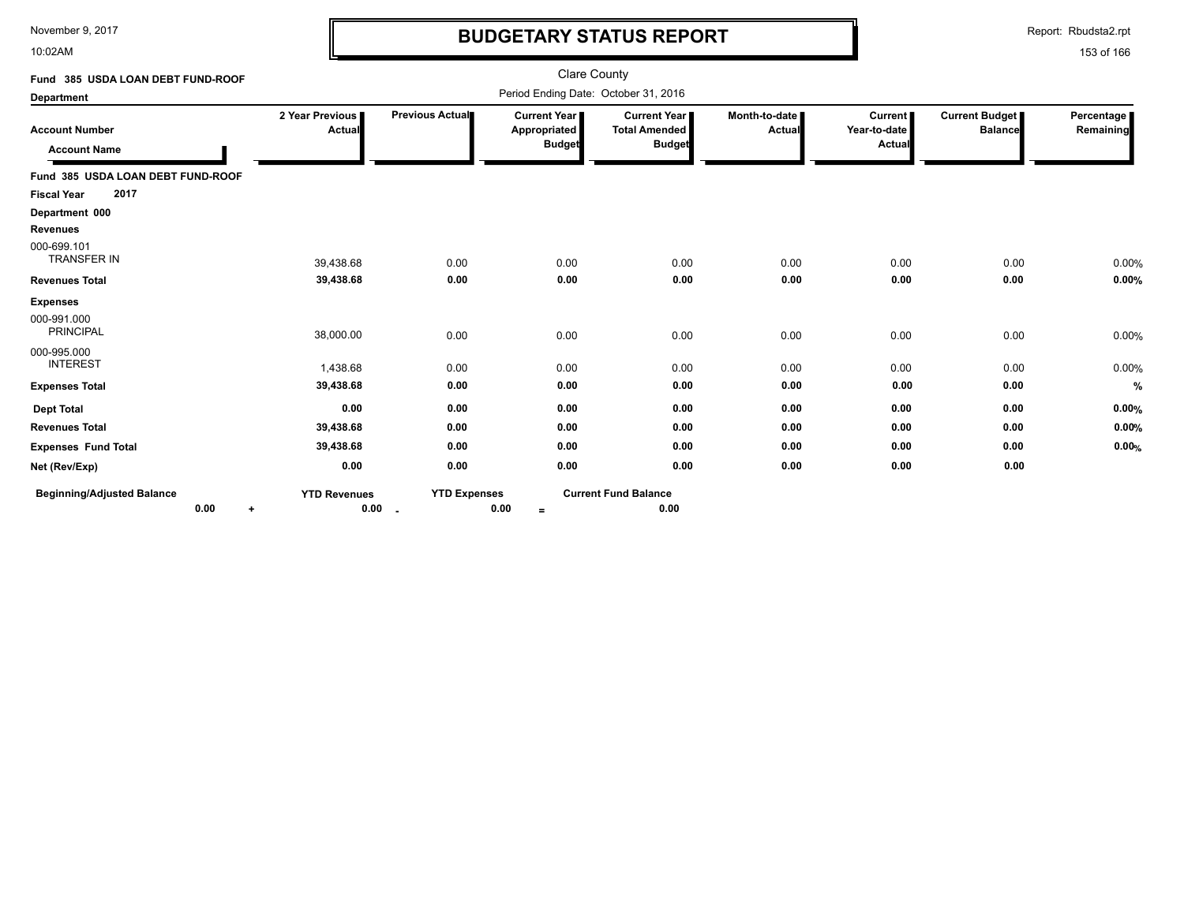10:02AM

# **BUDGETARY STATUS REPORT**

Report: Rbudsta2.rpt

| Fund 385 USDA LOAN DEBT FUND-ROOF                    |                             |                               | <b>Clare County</b>                                    |                                                              |                         |                                          |                                         |                         |
|------------------------------------------------------|-----------------------------|-------------------------------|--------------------------------------------------------|--------------------------------------------------------------|-------------------------|------------------------------------------|-----------------------------------------|-------------------------|
| <b>Department</b>                                    |                             |                               | Period Ending Date: October 31, 2016                   |                                                              |                         |                                          |                                         |                         |
| <b>Account Number</b><br><b>Account Name</b>         | 2 Year Previous<br>Actual   | Previous Actual               | <b>Current Year I</b><br>Appropriated<br><b>Budget</b> | <b>Current Year</b><br><b>Total Amended</b><br><b>Budget</b> | Month-to-date<br>Actual | <b>Current</b><br>Year-to-date<br>Actual | <b>Current Budget</b><br><b>Balance</b> | Percentage<br>Remaining |
| Fund 385 USDA LOAN DEBT FUND-ROOF                    |                             |                               |                                                        |                                                              |                         |                                          |                                         |                         |
| 2017<br><b>Fiscal Year</b>                           |                             |                               |                                                        |                                                              |                         |                                          |                                         |                         |
| Department 000                                       |                             |                               |                                                        |                                                              |                         |                                          |                                         |                         |
| <b>Revenues</b><br>000-699.101<br><b>TRANSFER IN</b> | 39,438.68                   | 0.00                          | 0.00                                                   | 0.00                                                         | 0.00                    | 0.00                                     | 0.00                                    | 0.00%                   |
| <b>Revenues Total</b>                                | 39,438.68                   | 0.00                          | 0.00                                                   | 0.00                                                         | 0.00                    | 0.00                                     | 0.00                                    | 0.00%                   |
| <b>Expenses</b>                                      |                             |                               |                                                        |                                                              |                         |                                          |                                         |                         |
| 000-991.000<br><b>PRINCIPAL</b>                      | 38,000.00                   | 0.00                          | 0.00                                                   | 0.00                                                         | 0.00                    | 0.00                                     | 0.00                                    | 0.00%                   |
| 000-995.000<br><b>INTEREST</b>                       | 1,438.68                    | 0.00                          | 0.00                                                   | 0.00                                                         | 0.00                    | 0.00                                     | 0.00                                    | 0.00%                   |
| <b>Expenses Total</b>                                | 39,438.68                   | 0.00                          | 0.00                                                   | 0.00                                                         | 0.00                    | 0.00                                     | 0.00                                    | $\%$                    |
| <b>Dept Total</b>                                    | 0.00                        | 0.00                          | 0.00                                                   | 0.00                                                         | 0.00                    | 0.00                                     | 0.00                                    | 0.00%                   |
| <b>Revenues Total</b>                                | 39,438.68                   | 0.00                          | 0.00                                                   | 0.00                                                         | 0.00                    | 0.00                                     | 0.00                                    | 0.00%                   |
| <b>Expenses Fund Total</b>                           | 39,438.68                   | 0.00                          | 0.00                                                   | 0.00                                                         | 0.00                    | 0.00                                     | 0.00                                    | 0.00%                   |
| Net (Rev/Exp)                                        | 0.00                        | 0.00                          | 0.00                                                   | 0.00                                                         | 0.00                    | 0.00                                     | 0.00                                    |                         |
| <b>Beginning/Adjusted Balance</b><br>0.00<br>÷       | <b>YTD Revenues</b><br>0.00 | <b>YTD Expenses</b><br>$\sim$ | 0.00<br>$=$                                            | <b>Current Fund Balance</b><br>0.00                          |                         |                                          |                                         |                         |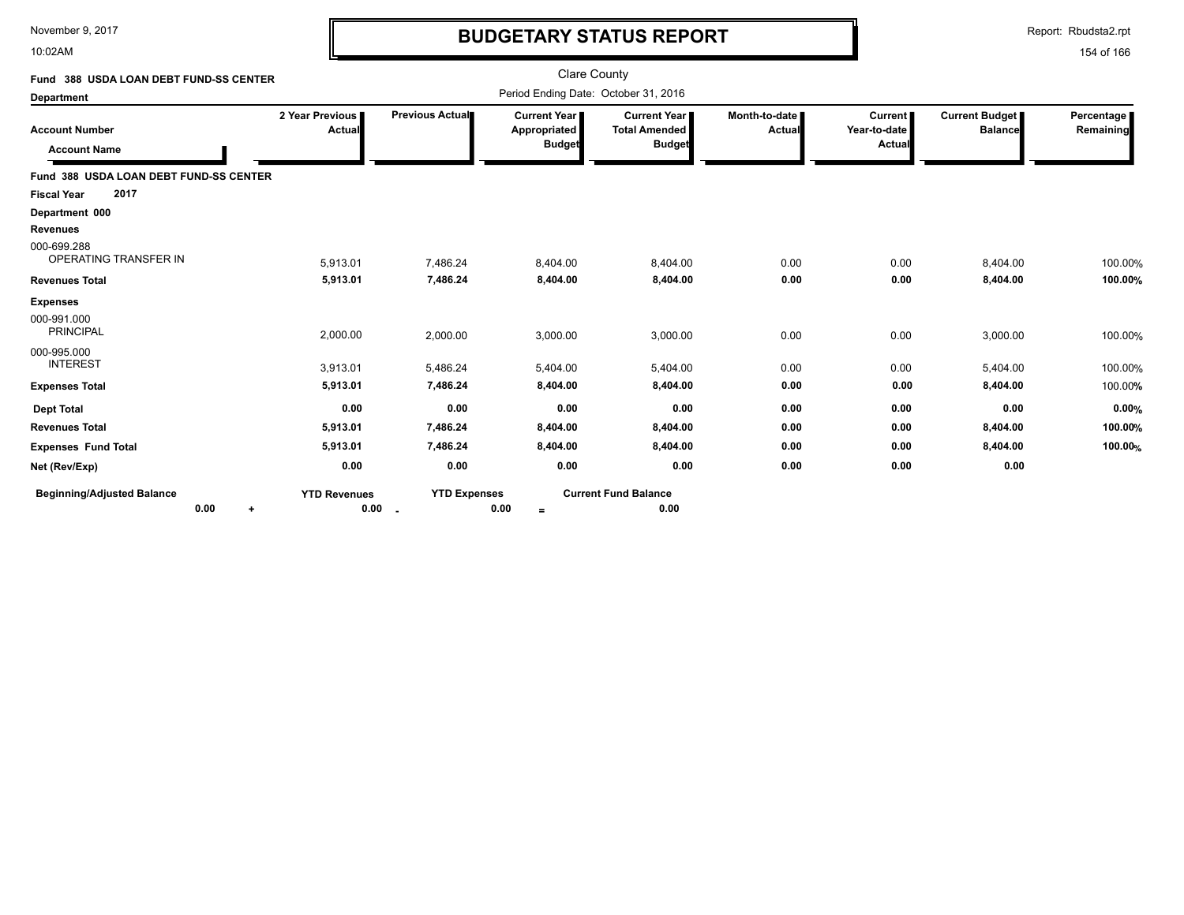10:02AM

# **BUDGETARY STATUS REPORT**

Report: Rbudsta2.rpt

| Fund 388 USDA LOAN DEBT FUND-SS CENTER       |                             |                                 | Clare County                                         |                                                                |                                |                                          |                                         |                         |
|----------------------------------------------|-----------------------------|---------------------------------|------------------------------------------------------|----------------------------------------------------------------|--------------------------------|------------------------------------------|-----------------------------------------|-------------------------|
| <b>Department</b>                            |                             |                                 | Period Ending Date: October 31, 2016                 |                                                                |                                |                                          |                                         |                         |
| <b>Account Number</b><br><b>Account Name</b> | 2 Year Previous  <br>Actual | <b>Previous Actual■</b>         | <b>Current Year</b><br>Appropriated<br><b>Budget</b> | <b>Current Year I</b><br><b>Total Amended</b><br><b>Budget</b> | Month-to-date<br><b>Actual</b> | <b>Current</b><br>Year-to-date<br>Actual | <b>Current Budget</b><br><b>Balance</b> | Percentage<br>Remaining |
| Fund 388 USDA LOAN DEBT FUND-SS CENTER       |                             |                                 |                                                      |                                                                |                                |                                          |                                         |                         |
| 2017<br><b>Fiscal Year</b>                   |                             |                                 |                                                      |                                                                |                                |                                          |                                         |                         |
| Department 000                               |                             |                                 |                                                      |                                                                |                                |                                          |                                         |                         |
| <b>Revenues</b>                              |                             |                                 |                                                      |                                                                |                                |                                          |                                         |                         |
| 000-699.288<br>OPERATING TRANSFER IN         | 5,913.01                    | 7,486.24                        | 8,404.00                                             | 8,404.00                                                       | 0.00                           | 0.00                                     | 8,404.00                                | 100.00%                 |
| <b>Revenues Total</b>                        | 5,913.01                    | 7,486.24                        | 8,404.00                                             | 8,404.00                                                       | 0.00                           | 0.00                                     | 8,404.00                                | 100.00%                 |
| <b>Expenses</b>                              |                             |                                 |                                                      |                                                                |                                |                                          |                                         |                         |
| 000-991.000<br><b>PRINCIPAL</b>              | 2,000.00                    | 2,000.00                        | 3,000.00                                             | 3,000.00                                                       | 0.00                           | 0.00                                     | 3,000.00                                | 100.00%                 |
| 000-995.000<br><b>INTEREST</b>               | 3,913.01                    | 5,486.24                        | 5,404.00                                             | 5,404.00                                                       | 0.00                           | 0.00                                     | 5,404.00                                | 100.00%                 |
| <b>Expenses Total</b>                        | 5,913.01                    | 7,486.24                        | 8,404.00                                             | 8,404.00                                                       | 0.00                           | 0.00                                     | 8,404.00                                | 100.00%                 |
| <b>Dept Total</b>                            | 0.00                        | 0.00                            | 0.00                                                 | 0.00                                                           | 0.00                           | 0.00                                     | 0.00                                    | 0.00%                   |
| <b>Revenues Total</b>                        | 5,913.01                    | 7,486.24                        | 8,404.00                                             | 8,404.00                                                       | 0.00                           | 0.00                                     | 8,404.00                                | 100.00%                 |
| <b>Expenses Fund Total</b>                   | 5,913.01                    | 7,486.24                        | 8,404.00                                             | 8,404.00                                                       | 0.00                           | 0.00                                     | 8,404.00                                | 100.00%                 |
| Net (Rev/Exp)                                | 0.00                        | 0.00                            | 0.00                                                 | 0.00                                                           | 0.00                           | 0.00                                     | 0.00                                    |                         |
| <b>Beginning/Adjusted Balance</b><br>0.00    | <b>YTD Revenues</b>         | <b>YTD Expenses</b><br>$0.00$ . | 0.00<br>$=$                                          | <b>Current Fund Balance</b><br>0.00                            |                                |                                          |                                         |                         |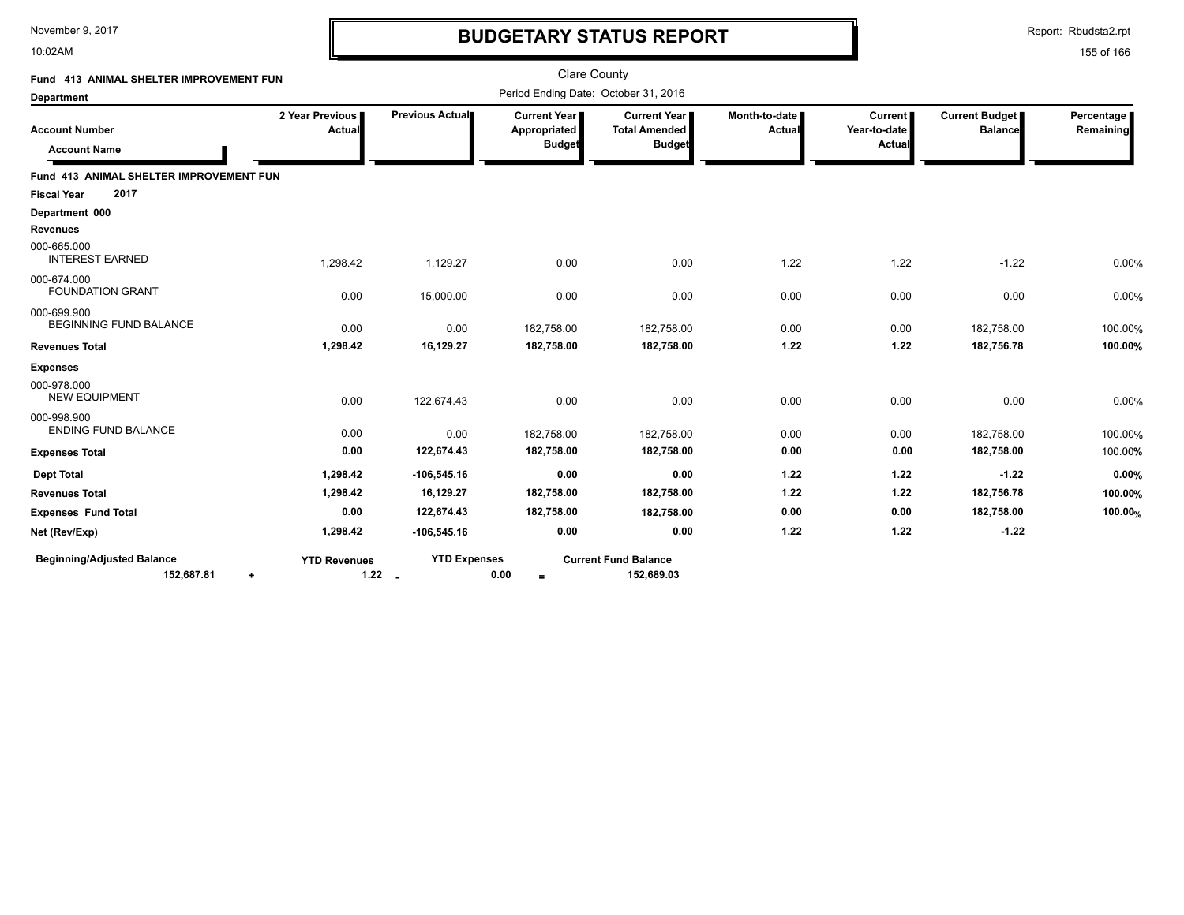10:02AM

# **BUDGETARY STATUS REPORT**

Report: Rbudsta2.rpt

| Fund 413 ANIMAL SHELTER IMPROVEMENT FUN                      |                           |                                   | <b>Clare County</b>                  |                                             |                         |                           |                                         |                         |
|--------------------------------------------------------------|---------------------------|-----------------------------------|--------------------------------------|---------------------------------------------|-------------------------|---------------------------|-----------------------------------------|-------------------------|
| <b>Department</b>                                            |                           |                                   | Period Ending Date: October 31, 2016 |                                             |                         |                           |                                         |                         |
| <b>Account Number</b>                                        | 2 Year Previous<br>Actual | Previous Actual                   | <b>Current Year</b><br>Appropriated  | <b>Current Year</b><br><b>Total Amended</b> | Month-to-date<br>Actual | Current  <br>Year-to-date | <b>Current Budget</b><br><b>Balance</b> | Percentage<br>Remaining |
| <b>Account Name</b>                                          |                           |                                   | <b>Budget</b>                        | <b>Budget</b>                               |                         | Actual                    |                                         |                         |
| Fund 413 ANIMAL SHELTER IMPROVEMENT FUN                      |                           |                                   |                                      |                                             |                         |                           |                                         |                         |
| 2017<br><b>Fiscal Year</b>                                   |                           |                                   |                                      |                                             |                         |                           |                                         |                         |
| Department 000                                               |                           |                                   |                                      |                                             |                         |                           |                                         |                         |
| Revenues                                                     |                           |                                   |                                      |                                             |                         |                           |                                         |                         |
| 000-665.000<br><b>INTEREST EARNED</b>                        | 1,298.42                  | 1,129.27                          | 0.00                                 | 0.00                                        | 1.22                    | 1.22                      | $-1.22$                                 | 0.00%                   |
| 000-674.000<br><b>FOUNDATION GRANT</b>                       | 0.00                      | 15,000.00                         | 0.00                                 | 0.00                                        | 0.00                    | 0.00                      | 0.00                                    | 0.00%                   |
| 000-699.900<br><b>BEGINNING FUND BALANCE</b>                 | 0.00                      | 0.00                              | 182,758.00                           | 182,758.00                                  | 0.00                    | 0.00                      | 182,758.00                              | 100.00%                 |
| <b>Revenues Total</b>                                        | 1,298.42                  | 16,129.27                         | 182,758.00                           | 182,758.00                                  | 1.22                    | 1.22                      | 182,756.78                              | 100.00%                 |
| <b>Expenses</b>                                              |                           |                                   |                                      |                                             |                         |                           |                                         |                         |
| 000-978.000<br><b>NEW EQUIPMENT</b>                          | 0.00                      | 122,674.43                        | 0.00                                 | 0.00                                        | 0.00                    | 0.00                      | 0.00                                    | 0.00%                   |
| 000-998.900<br><b>ENDING FUND BALANCE</b>                    | 0.00                      | 0.00                              | 182,758.00                           | 182,758.00                                  | 0.00                    | 0.00                      | 182,758.00                              | 100.00%                 |
| <b>Expenses Total</b>                                        | 0.00                      | 122,674.43                        | 182,758.00                           | 182,758.00                                  | 0.00                    | 0.00                      | 182,758.00                              | 100.00%                 |
| <b>Dept Total</b>                                            | 1,298.42                  | $-106,545.16$                     | 0.00                                 | 0.00                                        | 1.22                    | 1.22                      | $-1.22$                                 | 0.00%                   |
| <b>Revenues Total</b>                                        | 1,298.42                  | 16,129.27                         | 182,758.00                           | 182,758.00                                  | 1.22                    | 1.22                      | 182,756.78                              | 100.00%                 |
| <b>Expenses Fund Total</b>                                   | 0.00                      | 122,674.43                        | 182,758.00                           | 182,758.00                                  | 0.00                    | 0.00                      | 182,758.00                              | 100.00%                 |
| Net (Rev/Exp)                                                | 1,298.42                  | $-106,545.16$                     | 0.00                                 | 0.00                                        | 1.22                    | 1.22                      | $-1.22$                                 |                         |
| <b>Beginning/Adjusted Balance</b><br>152,687.81<br>$\ddot{}$ | <b>YTD Revenues</b>       | <b>YTD Expenses</b><br>$1.22 - 1$ | 0.00<br>$=$                          | <b>Current Fund Balance</b><br>152,689.03   |                         |                           |                                         |                         |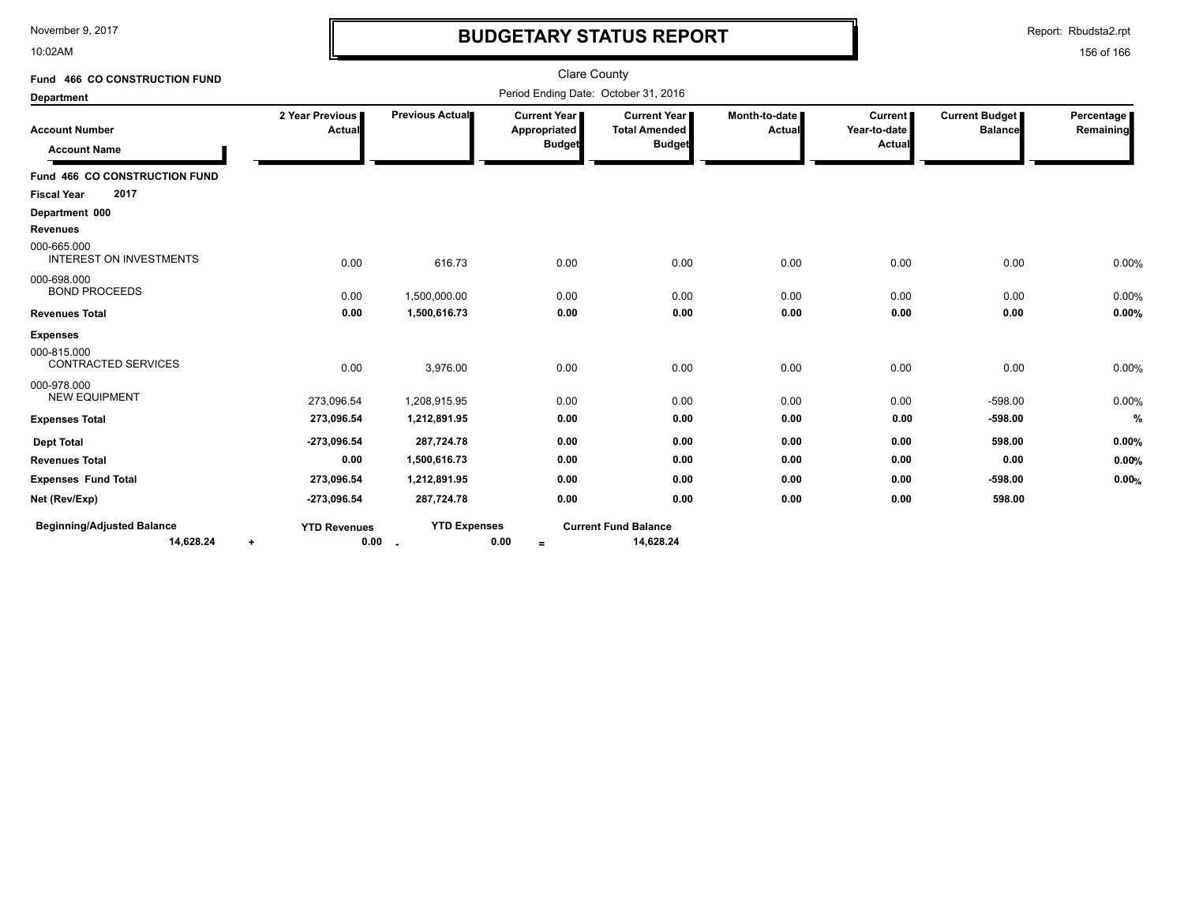10:02AM

# **BUDGETARY STATUS REPORT**

Report: Rbudsta2.rpt

| Fund 466 CO CONSTRUCTION FUND                  |                                  |                     | <b>Clare County</b>                                    |                                                       |                                |                                          |                                         |                         |
|------------------------------------------------|----------------------------------|---------------------|--------------------------------------------------------|-------------------------------------------------------|--------------------------------|------------------------------------------|-----------------------------------------|-------------------------|
| <b>Department</b>                              |                                  |                     | Period Ending Date: October 31, 2016                   |                                                       |                                |                                          |                                         |                         |
| <b>Account Number</b><br><b>Account Name</b>   | 2 Year Previous<br><b>Actual</b> | Previous Actual     | <b>Current Year I</b><br>Appropriated<br><b>Budget</b> | Current Year<br><b>Total Amended</b><br><b>Budget</b> | Month-to-date<br><b>Actual</b> | <b>Current</b><br>Year-to-date<br>Actual | <b>Current Budget</b><br><b>Balance</b> | Percentage<br>Remaining |
| Fund 466 CO CONSTRUCTION FUND                  |                                  |                     |                                                        |                                                       |                                |                                          |                                         |                         |
| 2017<br><b>Fiscal Year</b>                     |                                  |                     |                                                        |                                                       |                                |                                          |                                         |                         |
| Department 000                                 |                                  |                     |                                                        |                                                       |                                |                                          |                                         |                         |
| <b>Revenues</b>                                |                                  |                     |                                                        |                                                       |                                |                                          |                                         |                         |
| 000-665.000<br><b>INTEREST ON INVESTMENTS</b>  | 0.00                             | 616.73              | 0.00                                                   | 0.00                                                  | 0.00                           | 0.00                                     | 0.00                                    | 0.00%                   |
| 000-698.000<br><b>BOND PROCEEDS</b>            | 0.00                             | 1,500,000.00        | 0.00                                                   | 0.00                                                  | 0.00                           | 0.00                                     | 0.00                                    | 0.00%                   |
| <b>Revenues Total</b>                          | 0.00                             | 1,500,616.73        | 0.00                                                   | 0.00                                                  | 0.00                           | 0.00                                     | 0.00                                    | 0.00%                   |
| <b>Expenses</b>                                |                                  |                     |                                                        |                                                       |                                |                                          |                                         |                         |
| 000-815.000<br><b>CONTRACTED SERVICES</b>      | 0.00                             | 3,976.00            | 0.00                                                   | 0.00                                                  | 0.00                           | 0.00                                     | 0.00                                    | 0.00%                   |
| 000-978.000<br><b>NEW EQUIPMENT</b>            | 273,096.54                       | 1,208,915.95        | 0.00                                                   | 0.00                                                  | 0.00                           | 0.00                                     | $-598.00$                               | 0.00%                   |
| <b>Expenses Total</b>                          | 273,096.54                       | 1,212,891.95        | 0.00                                                   | 0.00                                                  | 0.00                           | 0.00                                     | $-598.00$                               | %                       |
| <b>Dept Total</b>                              | $-273,096.54$                    | 287,724.78          | 0.00                                                   | 0.00                                                  | 0.00                           | 0.00                                     | 598.00                                  | 0.00%                   |
| <b>Revenues Total</b>                          | 0.00                             | 1,500,616.73        | 0.00                                                   | 0.00                                                  | 0.00                           | 0.00                                     | 0.00                                    | 0.00%                   |
| <b>Expenses Fund Total</b>                     | 273,096.54                       | 1,212,891.95        | 0.00                                                   | 0.00                                                  | 0.00                           | 0.00                                     | $-598.00$                               | 0.00%                   |
| Net (Rev/Exp)                                  | $-273,096.54$                    | 287,724.78          | 0.00                                                   | 0.00                                                  | 0.00                           | 0.00                                     | 598.00                                  |                         |
| <b>Beginning/Adjusted Balance</b><br>14,628.24 | <b>YTD Revenues</b><br>0.00<br>٠ | <b>YTD Expenses</b> | 0.00<br>$=$                                            | <b>Current Fund Balance</b><br>14,628.24              |                                |                                          |                                         |                         |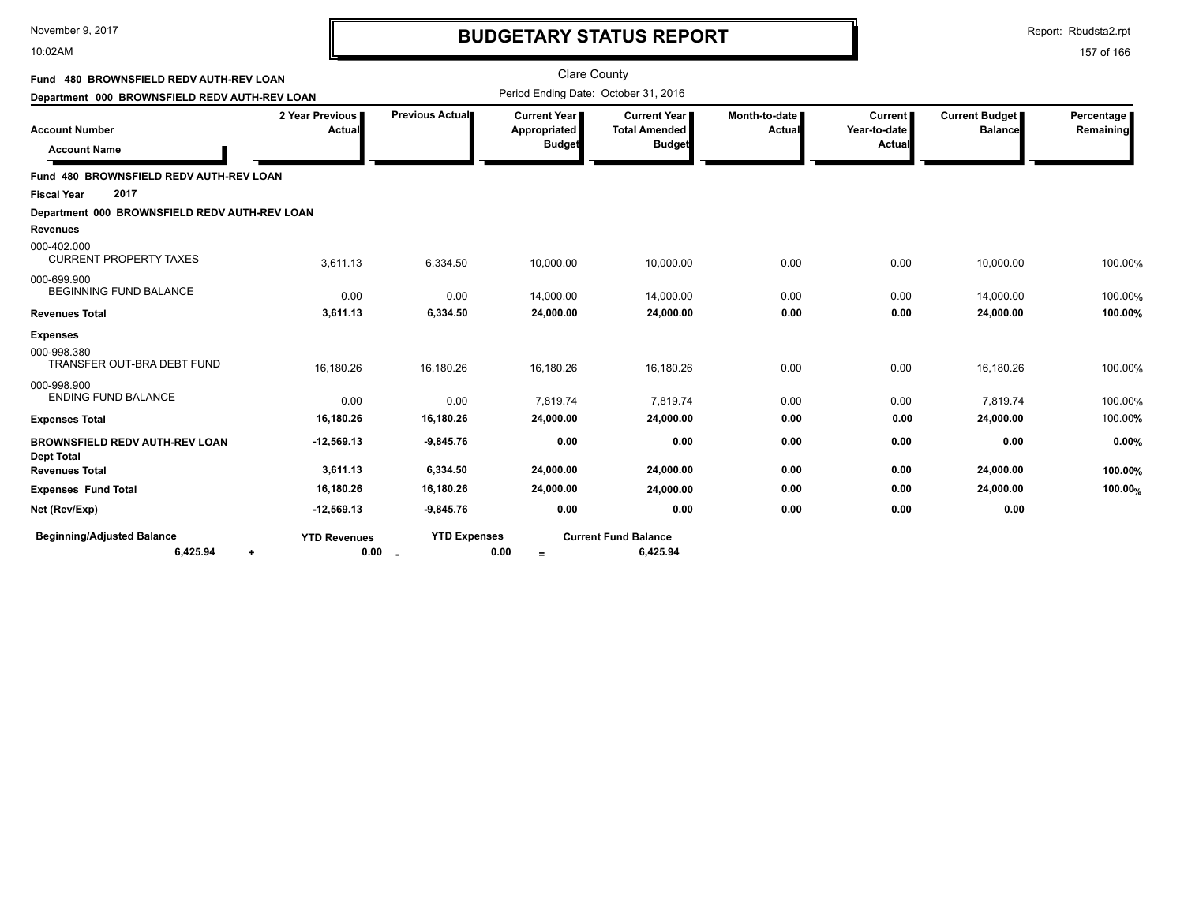### 10:02AM

## **BUDGETARY STATUS REPORT**

Report: Rbudsta2.rpt

| Fund 480 BROWNSFIELD REDV AUTH-REV LOAN                    |                             |                     | <b>Clare County</b>                                    |                                                              |                                |                                          |                                  |                           |
|------------------------------------------------------------|-----------------------------|---------------------|--------------------------------------------------------|--------------------------------------------------------------|--------------------------------|------------------------------------------|----------------------------------|---------------------------|
| Department 000 BROWNSFIELD REDV AUTH-REV LOAN              |                             |                     | Period Ending Date: October 31, 2016                   |                                                              |                                |                                          |                                  |                           |
| <b>Account Number</b><br><b>Account Name</b>               | 2 Year Previous<br>Actual   | Previous Actual     | <b>Current Year I</b><br>Appropriated<br><b>Budget</b> | <b>Current Year</b><br><b>Total Amended</b><br><b>Budget</b> | Month-to-date<br><b>Actual</b> | <b>Current</b><br>Year-to-date<br>Actual | Current Budget<br><b>Balance</b> | Percentage  <br>Remaining |
| Fund 480 BROWNSFIELD REDV AUTH-REV LOAN                    |                             |                     |                                                        |                                                              |                                |                                          |                                  |                           |
| 2017<br><b>Fiscal Year</b>                                 |                             |                     |                                                        |                                                              |                                |                                          |                                  |                           |
| Department 000 BROWNSFIELD REDV AUTH-REV LOAN              |                             |                     |                                                        |                                                              |                                |                                          |                                  |                           |
| <b>Revenues</b>                                            |                             |                     |                                                        |                                                              |                                |                                          |                                  |                           |
| 000-402.000<br><b>CURRENT PROPERTY TAXES</b>               | 3.611.13                    | 6,334.50            | 10,000.00                                              | 10,000.00                                                    | 0.00                           | 0.00                                     | 10,000.00                        | 100.00%                   |
| 000-699.900<br><b>BEGINNING FUND BALANCE</b>               | 0.00                        | 0.00                | 14,000.00                                              | 14,000.00                                                    | 0.00                           | 0.00                                     | 14,000.00                        | 100.00%                   |
| <b>Revenues Total</b>                                      | 3,611.13                    | 6,334.50            | 24,000.00                                              | 24,000.00                                                    | 0.00                           | 0.00                                     | 24,000.00                        | 100.00%                   |
| <b>Expenses</b>                                            |                             |                     |                                                        |                                                              |                                |                                          |                                  |                           |
| 000-998.380<br>TRANSFER OUT-BRA DEBT FUND                  | 16,180.26                   | 16,180.26           | 16.180.26                                              | 16,180.26                                                    | 0.00                           | 0.00                                     | 16,180.26                        | 100.00%                   |
| 000-998.900<br><b>ENDING FUND BALANCE</b>                  | 0.00                        | 0.00                | 7,819.74                                               | 7,819.74                                                     | 0.00                           | 0.00                                     | 7,819.74                         | 100.00%                   |
| <b>Expenses Total</b>                                      | 16,180.26                   | 16,180.26           | 24,000.00                                              | 24,000.00                                                    | 0.00                           | 0.00                                     | 24,000.00                        | 100.00%                   |
| <b>BROWNSFIELD REDV AUTH-REV LOAN</b><br><b>Dept Total</b> | $-12,569.13$                | $-9,845.76$         | 0.00                                                   | 0.00                                                         | 0.00                           | 0.00                                     | 0.00                             | 0.00%                     |
| <b>Revenues Total</b>                                      | 3,611.13                    | 6,334.50            | 24,000.00                                              | 24,000.00                                                    | 0.00                           | 0.00                                     | 24,000.00                        | 100.00%                   |
| <b>Expenses Fund Total</b>                                 | 16,180.26                   | 16,180.26           | 24,000.00                                              | 24,000.00                                                    | 0.00                           | 0.00                                     | 24,000.00                        | 100.00%                   |
| Net (Rev/Exp)                                              | $-12,569.13$                | $-9,845.76$         | 0.00                                                   | 0.00                                                         | 0.00                           | 0.00                                     | 0.00                             |                           |
| <b>Beginning/Adjusted Balance</b><br>6,425.94<br>$\ddot{}$ | <b>YTD Revenues</b><br>0.00 | <b>YTD Expenses</b> | 0.00<br>$=$                                            | <b>Current Fund Balance</b><br>6,425.94                      |                                |                                          |                                  |                           |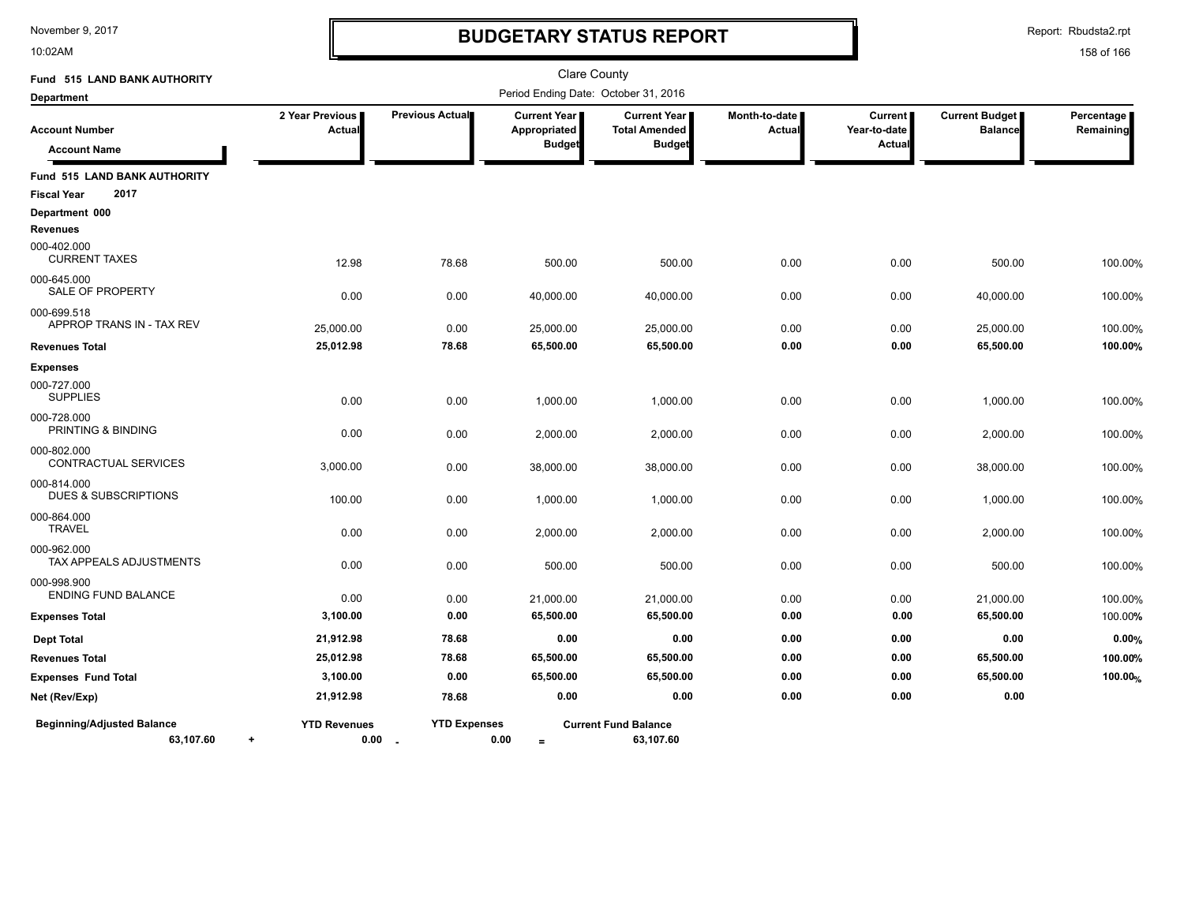10:02AM

# **BUDGETARY STATUS REPORT**

Report: Rbudsta2.rpt

| Fund 515 LAND BANK AUTHORITY                   |                                  |                                 |                                                        | <b>Clare County</b>                                   |                                |                                   |                                         |                         |
|------------------------------------------------|----------------------------------|---------------------------------|--------------------------------------------------------|-------------------------------------------------------|--------------------------------|-----------------------------------|-----------------------------------------|-------------------------|
| <b>Department</b>                              |                                  |                                 |                                                        | Period Ending Date: October 31, 2016                  |                                |                                   |                                         |                         |
| <b>Account Number</b>                          | 2 Year Previous<br>Actual        | Previous Actual                 | <b>Current Year I</b><br>Appropriated<br><b>Budget</b> | Current Year<br><b>Total Amended</b><br><b>Budget</b> | Month-to-date<br><b>Actual</b> | Current<br>Year-to-date<br>Actual | <b>Current Budget</b><br><b>Balance</b> | Percentage<br>Remaining |
| <b>Account Name</b>                            |                                  |                                 |                                                        |                                                       |                                |                                   |                                         |                         |
| Fund 515 LAND BANK AUTHORITY                   |                                  |                                 |                                                        |                                                       |                                |                                   |                                         |                         |
| 2017<br><b>Fiscal Year</b>                     |                                  |                                 |                                                        |                                                       |                                |                                   |                                         |                         |
| Department 000                                 |                                  |                                 |                                                        |                                                       |                                |                                   |                                         |                         |
| <b>Revenues</b>                                |                                  |                                 |                                                        |                                                       |                                |                                   |                                         |                         |
| 000-402.000<br><b>CURRENT TAXES</b>            | 12.98                            | 78.68                           | 500.00                                                 | 500.00                                                | 0.00                           | 0.00                              | 500.00                                  | 100.00%                 |
| 000-645.000<br>SALE OF PROPERTY                | 0.00                             | 0.00                            | 40,000.00                                              | 40,000.00                                             | 0.00                           | 0.00                              | 40,000.00                               | 100.00%                 |
| 000-699.518                                    |                                  |                                 |                                                        |                                                       |                                |                                   |                                         |                         |
| APPROP TRANS IN - TAX REV                      | 25,000.00                        | 0.00                            | 25,000.00                                              | 25,000.00                                             | 0.00                           | 0.00                              | 25,000.00                               | 100.00%                 |
| <b>Revenues Total</b>                          | 25,012.98                        | 78.68                           | 65,500.00                                              | 65,500.00                                             | 0.00                           | 0.00                              | 65,500.00                               | 100.00%                 |
| <b>Expenses</b>                                |                                  |                                 |                                                        |                                                       |                                |                                   |                                         |                         |
| 000-727.000<br><b>SUPPLIES</b>                 | 0.00                             | 0.00                            | 1,000.00                                               | 1,000.00                                              | 0.00                           | 0.00                              | 1,000.00                                | 100.00%                 |
| 000-728.000<br>PRINTING & BINDING              | 0.00                             | 0.00                            | 2,000.00                                               | 2,000.00                                              | 0.00                           | 0.00                              | 2,000.00                                | 100.00%                 |
| 000-802.000<br>CONTRACTUAL SERVICES            | 3,000.00                         | 0.00                            | 38,000.00                                              | 38,000.00                                             | 0.00                           | 0.00                              | 38,000.00                               | 100.00%                 |
| 000-814.000<br><b>DUES &amp; SUBSCRIPTIONS</b> | 100.00                           | 0.00                            | 1,000.00                                               | 1,000.00                                              | 0.00                           | 0.00                              | 1,000.00                                | 100.00%                 |
| 000-864.000<br><b>TRAVEL</b>                   | 0.00                             | 0.00                            | 2,000.00                                               | 2,000.00                                              | 0.00                           | 0.00                              | 2,000.00                                | 100.00%                 |
| 000-962.000<br>TAX APPEALS ADJUSTMENTS         | 0.00                             | 0.00                            | 500.00                                                 | 500.00                                                | 0.00                           | 0.00                              | 500.00                                  | 100.00%                 |
| 000-998.900<br><b>ENDING FUND BALANCE</b>      | 0.00                             | 0.00                            | 21,000.00                                              | 21,000.00                                             | 0.00                           | 0.00                              | 21,000.00                               | 100.00%                 |
| <b>Expenses Total</b>                          | 3,100.00                         | 0.00                            | 65,500.00                                              | 65,500.00                                             | 0.00                           | 0.00                              | 65,500.00                               | 100.00%                 |
| <b>Dept Total</b>                              | 21,912.98                        | 78.68                           | 0.00                                                   | 0.00                                                  | 0.00                           | 0.00                              | 0.00                                    | 0.00%                   |
| <b>Revenues Total</b>                          | 25,012.98                        | 78.68                           | 65,500.00                                              | 65,500.00                                             | 0.00                           | 0.00                              | 65,500.00                               | 100.00%                 |
| <b>Expenses Fund Total</b>                     | 3,100.00                         | 0.00                            | 65,500.00                                              | 65,500.00                                             | 0.00                           | 0.00                              | 65,500.00                               | 100.00%                 |
| Net (Rev/Exp)                                  | 21,912.98                        | 78.68                           | 0.00                                                   | 0.00                                                  | 0.00                           | 0.00                              | 0.00                                    |                         |
| <b>Beginning/Adjusted Balance</b><br>63,107.60 | <b>YTD Revenues</b><br>$\ddot{}$ | <b>YTD Expenses</b><br>$0.00 -$ | 0.00<br>$\equiv$                                       | <b>Current Fund Balance</b><br>63,107.60              |                                |                                   |                                         |                         |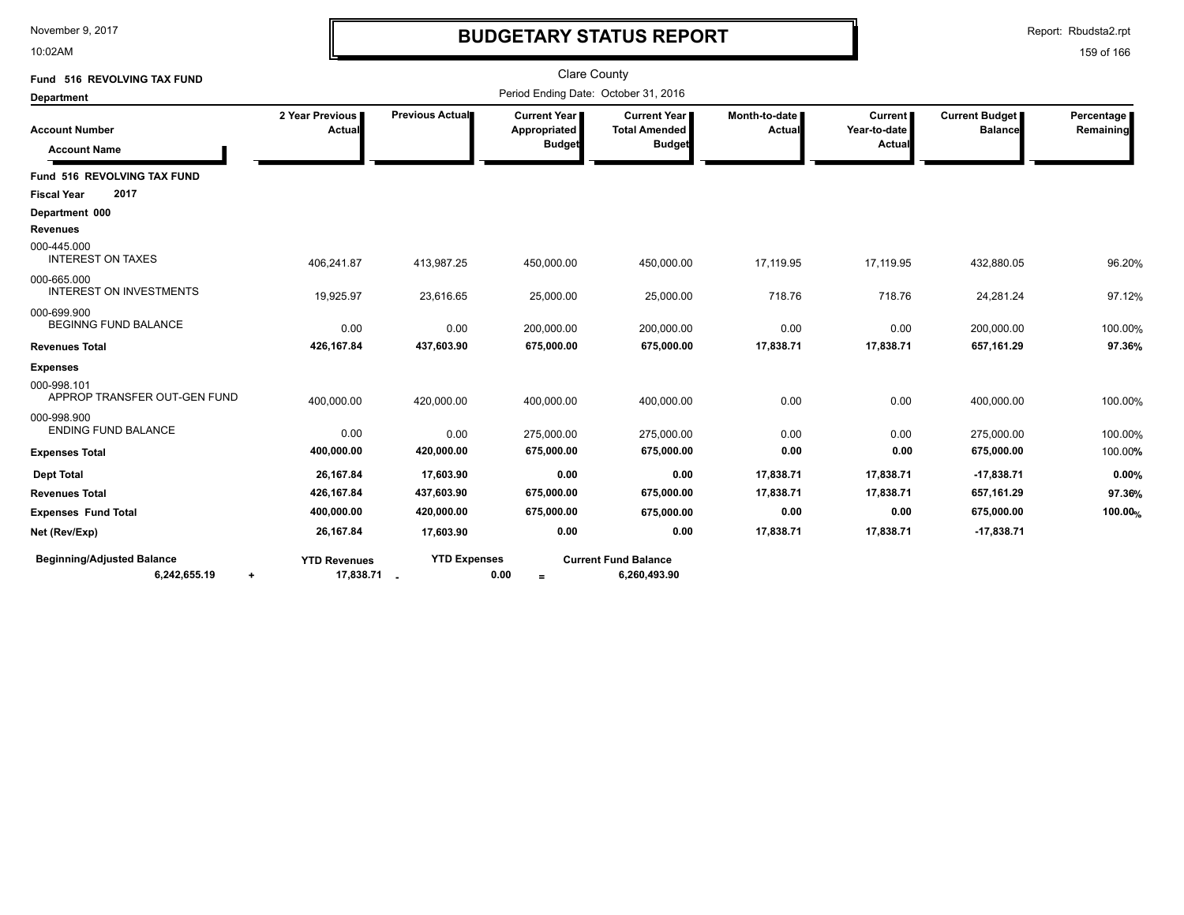10:02AM

# **BUDGETARY STATUS REPORT**

Report: Rbudsta2.rpt

| Fund 516 REVOLVING TAX FUND                                    |                                    |                     | <b>Clare County</b>                                    |                                                                |                         |                                          |                                  |                         |
|----------------------------------------------------------------|------------------------------------|---------------------|--------------------------------------------------------|----------------------------------------------------------------|-------------------------|------------------------------------------|----------------------------------|-------------------------|
| Department                                                     |                                    |                     | Period Ending Date: October 31, 2016                   |                                                                |                         |                                          |                                  |                         |
| <b>Account Number</b><br><b>Account Name</b>                   | 2 Year Previous<br>Actual          | Previous Actual     | <b>Current Year  </b><br>Appropriated<br><b>Budget</b> | <b>Current Year I</b><br><b>Total Amended</b><br><b>Budget</b> | Month-to-date<br>Actual | <b>Current</b><br>Year-to-date<br>Actual | Current Budget<br><b>Balance</b> | Percentage<br>Remaining |
| Fund 516 REVOLVING TAX FUND                                    |                                    |                     |                                                        |                                                                |                         |                                          |                                  |                         |
| 2017<br><b>Fiscal Year</b>                                     |                                    |                     |                                                        |                                                                |                         |                                          |                                  |                         |
| Department 000                                                 |                                    |                     |                                                        |                                                                |                         |                                          |                                  |                         |
| <b>Revenues</b>                                                |                                    |                     |                                                        |                                                                |                         |                                          |                                  |                         |
| 000-445.000<br><b>INTEREST ON TAXES</b>                        | 406,241.87                         | 413,987.25          | 450,000.00                                             | 450,000.00                                                     | 17,119.95               | 17,119.95                                | 432,880.05                       | 96.20%                  |
| 000-665.000<br><b>INTEREST ON INVESTMENTS</b>                  | 19,925.97                          | 23,616.65           | 25,000.00                                              | 25,000.00                                                      | 718.76                  | 718.76                                   | 24,281.24                        | 97.12%                  |
| 000-699.900<br><b>BEGINNG FUND BALANCE</b>                     | 0.00                               | 0.00                | 200,000.00                                             | 200,000.00                                                     | 0.00                    | 0.00                                     | 200,000.00                       | 100.00%                 |
| <b>Revenues Total</b>                                          | 426,167.84                         | 437,603.90          | 675,000.00                                             | 675,000.00                                                     | 17,838.71               | 17,838.71                                | 657,161.29                       | 97.36%                  |
| <b>Expenses</b>                                                |                                    |                     |                                                        |                                                                |                         |                                          |                                  |                         |
| 000-998.101<br>APPROP TRANSFER OUT-GEN FUND                    | 400,000.00                         | 420,000.00          | 400,000.00                                             | 400,000.00                                                     | 0.00                    | 0.00                                     | 400,000.00                       | 100.00%                 |
| 000-998.900<br><b>ENDING FUND BALANCE</b>                      | 0.00                               | 0.00                | 275,000.00                                             | 275,000.00                                                     | 0.00                    | 0.00                                     | 275,000.00                       | 100.00%                 |
| <b>Expenses Total</b>                                          | 400,000.00                         | 420,000.00          | 675,000.00                                             | 675,000.00                                                     | 0.00                    | 0.00                                     | 675,000.00                       | 100.00%                 |
| <b>Dept Total</b>                                              | 26,167.84                          | 17,603.90           | 0.00                                                   | 0.00                                                           | 17,838.71               | 17,838.71                                | $-17,838.71$                     | 0.00%                   |
| <b>Revenues Total</b>                                          | 426,167.84                         | 437,603.90          | 675,000.00                                             | 675,000.00                                                     | 17,838.71               | 17,838.71                                | 657,161.29                       | 97.36%                  |
| <b>Expenses Fund Total</b>                                     | 400,000.00                         | 420,000.00          | 675,000.00                                             | 675,000.00                                                     | 0.00                    | 0.00                                     | 675,000.00                       | 100.00%                 |
| Net (Rev/Exp)                                                  | 26,167.84                          | 17,603.90           | 0.00                                                   | 0.00                                                           | 17,838.71               | 17,838.71                                | $-17,838.71$                     |                         |
| <b>Beginning/Adjusted Balance</b><br>6,242,655.19<br>$\ddot{}$ | <b>YTD Revenues</b><br>17,838.71 . | <b>YTD Expenses</b> | 0.00<br>$=$                                            | <b>Current Fund Balance</b><br>6,260,493.90                    |                         |                                          |                                  |                         |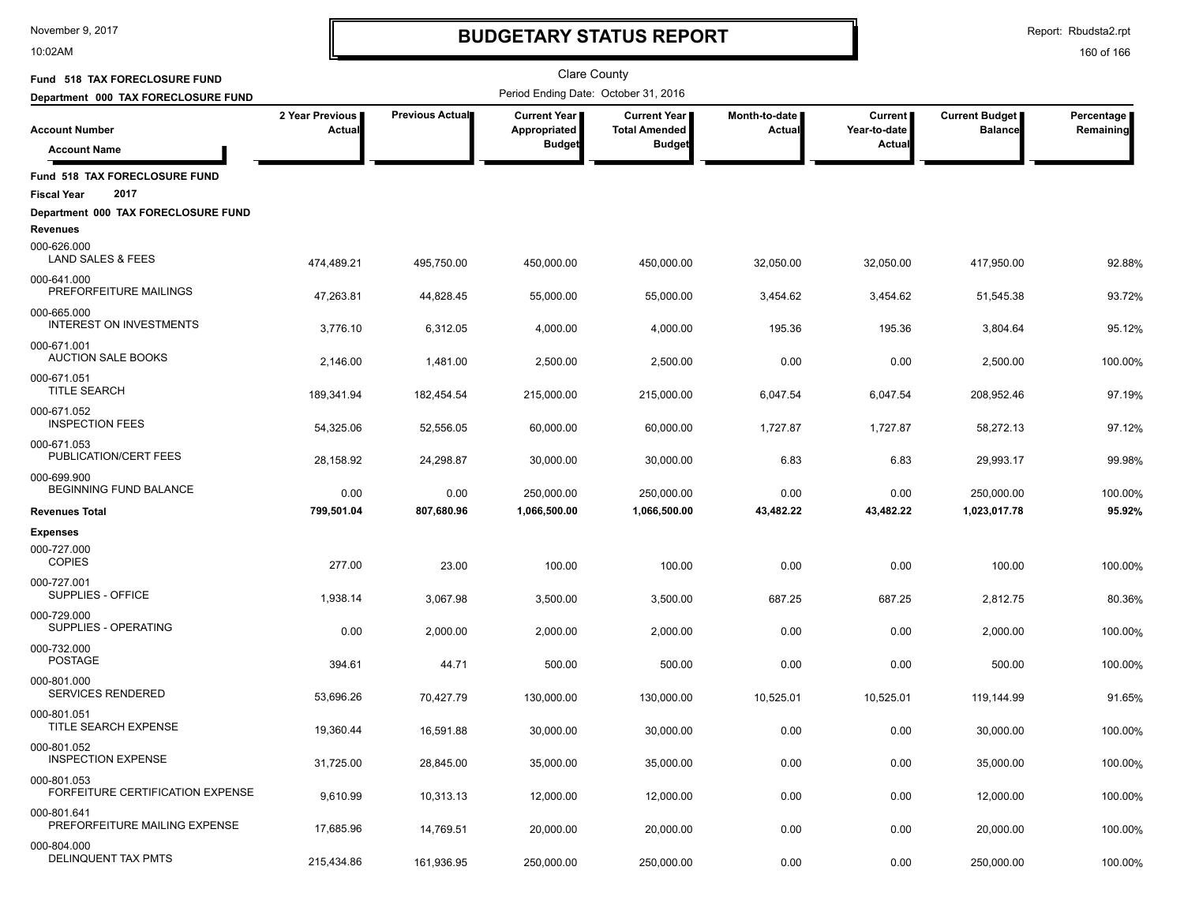10:02AM

# **BUDGETARY STATUS REPORT**

Report: Rbudsta2.rpt

| Fund 518 TAX FORECLOSURE FUND                               |                           |                        | <b>Clare County</b>                   |                                             |                                |                         |                                  |                         |
|-------------------------------------------------------------|---------------------------|------------------------|---------------------------------------|---------------------------------------------|--------------------------------|-------------------------|----------------------------------|-------------------------|
| Department 000 TAX FORECLOSURE FUND                         |                           |                        | Period Ending Date: October 31, 2016  |                                             |                                |                         |                                  |                         |
| <b>Account Number</b>                                       | 2 Year Previous<br>Actual | <b>Previous Actual</b> | <b>Current Year I</b><br>Appropriated | <b>Current Year</b><br><b>Total Amended</b> | Month-to-date<br><b>Actual</b> | Current<br>Year-to-date | Current Budget<br><b>Balance</b> | Percentage<br>Remaining |
| <b>Account Name</b>                                         |                           |                        | <b>Budget</b>                         | <b>Budget</b>                               |                                | Actual                  |                                  |                         |
| Fund 518 TAX FORECLOSURE FUND<br>2017<br><b>Fiscal Year</b> |                           |                        |                                       |                                             |                                |                         |                                  |                         |
| Department 000 TAX FORECLOSURE FUND                         |                           |                        |                                       |                                             |                                |                         |                                  |                         |
| <b>Revenues</b><br>000-626.000<br>LAND SALES & FEES         | 474,489.21                | 495,750.00             | 450,000.00                            | 450,000.00                                  | 32,050.00                      | 32,050.00               | 417,950.00                       | 92.88%                  |
| 000-641.000<br>PREFORFEITURE MAILINGS                       | 47,263.81                 | 44,828.45              | 55,000.00                             | 55,000.00                                   | 3,454.62                       | 3,454.62                | 51,545.38                        | 93.72%                  |
| 000-665.000<br><b>INTEREST ON INVESTMENTS</b>               | 3,776.10                  | 6,312.05               | 4,000.00                              | 4,000.00                                    | 195.36                         | 195.36                  | 3,804.64                         | 95.12%                  |
| 000-671.001<br><b>AUCTION SALE BOOKS</b>                    | 2,146.00                  | 1,481.00               | 2,500.00                              | 2,500.00                                    | 0.00                           | 0.00                    | 2,500.00                         | 100.00%                 |
| 000-671.051<br><b>TITLE SEARCH</b>                          | 189,341.94                | 182,454.54             | 215,000.00                            | 215,000.00                                  | 6,047.54                       | 6,047.54                | 208,952.46                       | 97.19%                  |
| 000-671.052<br><b>INSPECTION FEES</b>                       | 54,325.06                 | 52,556.05              | 60,000.00                             | 60,000.00                                   | 1,727.87                       | 1,727.87                | 58,272.13                        | 97.12%                  |
| 000-671.053<br>PUBLICATION/CERT FEES                        | 28,158.92                 | 24,298.87              | 30,000.00                             | 30,000.00                                   | 6.83                           | 6.83                    | 29,993.17                        | 99.98%                  |
| 000-699.900<br>BEGINNING FUND BALANCE                       | 0.00                      | 0.00                   | 250,000.00                            | 250,000.00                                  | 0.00                           | 0.00                    | 250.000.00                       | 100.00%                 |
| <b>Revenues Total</b>                                       | 799,501.04                | 807,680.96             | 1,066,500.00                          | 1,066,500.00                                | 43,482.22                      | 43,482.22               | 1,023,017.78                     | 95.92%                  |
| <b>Expenses</b><br>000-727.000<br><b>COPIES</b>             | 277.00                    | 23.00                  | 100.00                                | 100.00                                      | 0.00                           | 0.00                    | 100.00                           | 100.00%                 |
| 000-727.001<br>SUPPLIES - OFFICE                            | 1,938.14                  | 3,067.98               | 3,500.00                              | 3,500.00                                    | 687.25                         | 687.25                  | 2,812.75                         | 80.36%                  |
| 000-729.000<br>SUPPLIES - OPERATING                         | 0.00                      | 2,000.00               | 2,000.00                              | 2,000.00                                    | 0.00                           | 0.00                    | 2,000.00                         | 100.00%                 |
| 000-732.000<br><b>POSTAGE</b>                               | 394.61                    | 44.71                  | 500.00                                | 500.00                                      | 0.00                           | 0.00                    | 500.00                           | 100.00%                 |
| 000-801.000<br>SERVICES RENDERED                            | 53,696.26                 | 70,427.79              | 130,000.00                            | 130,000.00                                  | 10,525.01                      | 10,525.01               | 119,144.99                       | 91.65%                  |
| 000-801.051<br><b>TITLE SEARCH EXPENSE</b>                  | 19,360.44                 | 16.591.88              | 30,000.00                             | 30.000.00                                   | 0.00                           | 0.00                    | 30,000.00                        | 100.00%                 |
| 000-801.052<br><b>INSPECTION EXPENSE</b>                    | 31,725.00                 | 28,845.00              | 35,000.00                             | 35,000.00                                   | 0.00                           | 0.00                    | 35,000.00                        | 100.00%                 |
| 000-801.053<br>FORFEITURE CERTIFICATION EXPENSE             | 9,610.99                  | 10,313.13              | 12,000.00                             | 12,000.00                                   | 0.00                           | 0.00                    | 12,000.00                        | 100.00%                 |
| 000-801.641<br>PREFORFEITURE MAILING EXPENSE                | 17,685.96                 | 14,769.51              | 20,000.00                             | 20,000.00                                   | 0.00                           | 0.00                    | 20,000.00                        | 100.00%                 |
| 000-804.000<br>DELINQUENT TAX PMTS                          | 215,434.86                | 161,936.95             | 250,000.00                            | 250,000.00                                  | 0.00                           | 0.00                    | 250,000.00                       | 100.00%                 |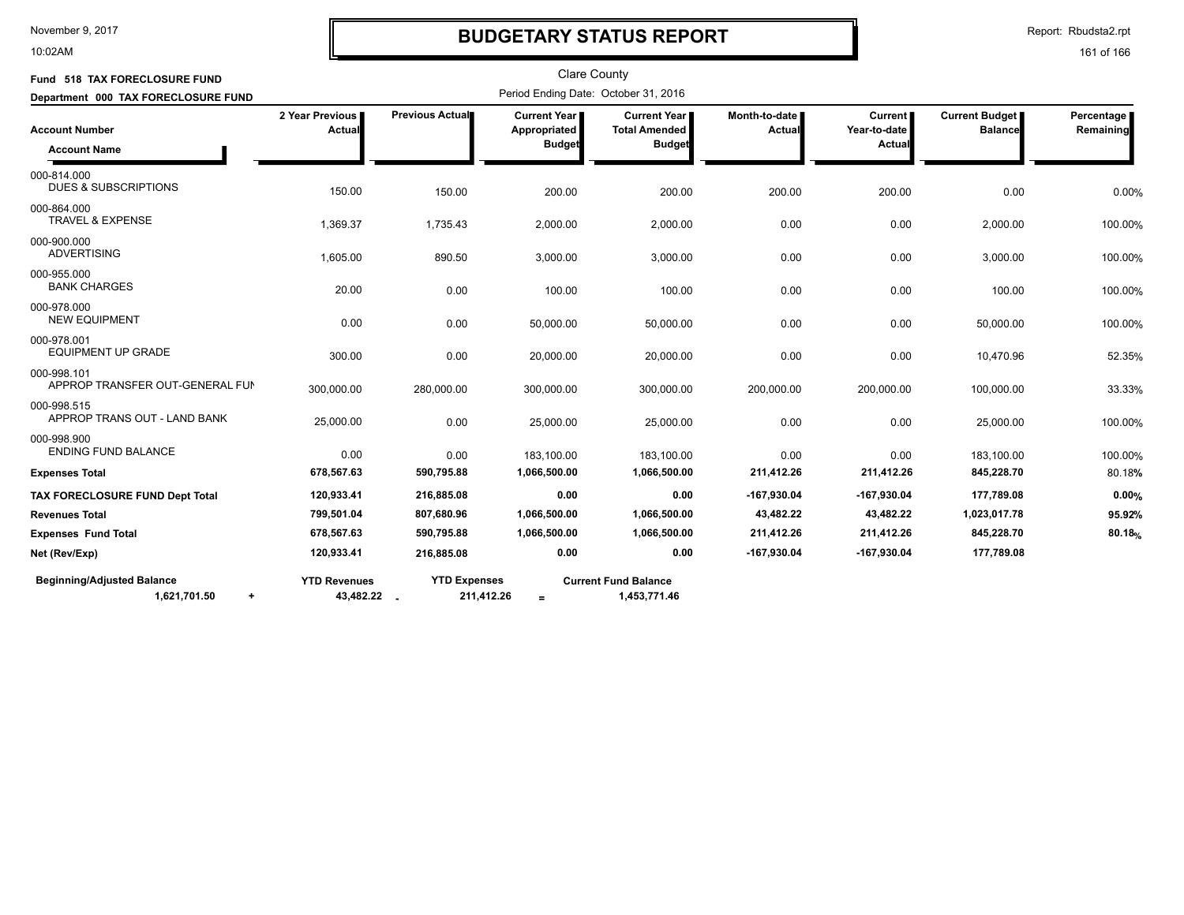#### 10:02AM

### **BUDGETARY STATUS REPORT**

Report: Rbudsta2.rpt

| Fund 518 TAX FORECLOSURE FUND                                  |                                    |                                   | <b>Clare County</b>                                  |                                                                |                                |                                     |                                         |                                |
|----------------------------------------------------------------|------------------------------------|-----------------------------------|------------------------------------------------------|----------------------------------------------------------------|--------------------------------|-------------------------------------|-----------------------------------------|--------------------------------|
| Department 000 TAX FORECLOSURE FUND                            |                                    |                                   | Period Ending Date: October 31, 2016                 |                                                                |                                |                                     |                                         |                                |
| <b>Account Number</b><br><b>Account Name</b>                   | 2 Year Previous<br>Actual          | Previous Actual                   | <b>Current Year</b><br>Appropriated<br><b>Budget</b> | <b>Current Year I</b><br><b>Total Amended</b><br><b>Budget</b> | Month-to-date<br><b>Actual</b> | Current  <br>Year-to-date<br>Actual | <b>Current Budget</b><br><b>Balance</b> | Percentage<br><b>Remaining</b> |
| 000-814.000<br><b>DUES &amp; SUBSCRIPTIONS</b>                 | 150.00                             | 150.00                            | 200.00                                               | 200.00                                                         | 200.00                         | 200.00                              | 0.00                                    | 0.00%                          |
| 000-864.000<br><b>TRAVEL &amp; EXPENSE</b>                     | 1,369.37                           | 1,735.43                          | 2,000.00                                             | 2,000.00                                                       | 0.00                           | 0.00                                | 2,000.00                                | 100.00%                        |
| 000-900.000<br><b>ADVERTISING</b>                              | 1,605.00                           | 890.50                            | 3,000.00                                             | 3,000.00                                                       | 0.00                           | 0.00                                | 3,000.00                                | 100.00%                        |
| 000-955.000<br><b>BANK CHARGES</b>                             | 20.00                              | 0.00                              | 100.00                                               | 100.00                                                         | 0.00                           | 0.00                                | 100.00                                  | 100.00%                        |
| 000-978.000<br><b>NEW EQUIPMENT</b>                            | 0.00                               | 0.00                              | 50,000.00                                            | 50,000.00                                                      | 0.00                           | 0.00                                | 50,000.00                               | 100.00%                        |
| 000-978.001<br><b>EQUIPMENT UP GRADE</b>                       | 300.00                             | 0.00                              | 20,000.00                                            | 20,000.00                                                      | 0.00                           | 0.00                                | 10,470.96                               | 52.35%                         |
| 000-998.101<br>APPROP TRANSFER OUT-GENERAL FUN                 | 300,000.00                         | 280,000.00                        | 300,000.00                                           | 300,000.00                                                     | 200,000.00                     | 200,000.00                          | 100,000.00                              | 33.33%                         |
| 000-998.515<br>APPROP TRANS OUT - LAND BANK                    | 25,000.00                          | 0.00                              | 25,000.00                                            | 25,000.00                                                      | 0.00                           | 0.00                                | 25,000.00                               | 100.00%                        |
| 000-998.900<br><b>ENDING FUND BALANCE</b>                      | 0.00                               | 0.00                              | 183,100.00                                           | 183,100.00                                                     | 0.00                           | 0.00                                | 183,100.00                              | 100.00%                        |
| <b>Expenses Total</b>                                          | 678,567.63                         | 590,795.88                        | 1,066,500.00                                         | 1,066,500.00                                                   | 211,412.26                     | 211,412.26                          | 845,228.70                              | 80.18%                         |
| TAX FORECLOSURE FUND Dept Total                                | 120,933.41                         | 216,885.08                        | 0.00                                                 | 0.00                                                           | -167,930.04                    | $-167,930.04$                       | 177,789.08                              | 0.00%                          |
| <b>Revenues Total</b>                                          | 799,501.04                         | 807,680.96                        | 1,066,500.00                                         | 1,066,500.00                                                   | 43,482.22                      | 43,482.22                           | 1,023,017.78                            | 95.92%                         |
| <b>Expenses Fund Total</b>                                     | 678,567.63                         | 590,795.88                        | 1,066,500.00                                         | 1,066,500.00                                                   | 211,412.26                     | 211,412.26                          | 845,228.70                              | 80.18%                         |
| Net (Rev/Exp)                                                  | 120,933.41                         | 216,885.08                        | 0.00                                                 | 0.00                                                           | -167,930.04                    | -167,930.04                         | 177,789.08                              |                                |
| <b>Beginning/Adjusted Balance</b><br>1,621,701.50<br>$\ddot{}$ | <b>YTD Revenues</b><br>43,482.22 . | <b>YTD Expenses</b><br>211,412.26 | $=$                                                  | <b>Current Fund Balance</b><br>1,453,771.46                    |                                |                                     |                                         |                                |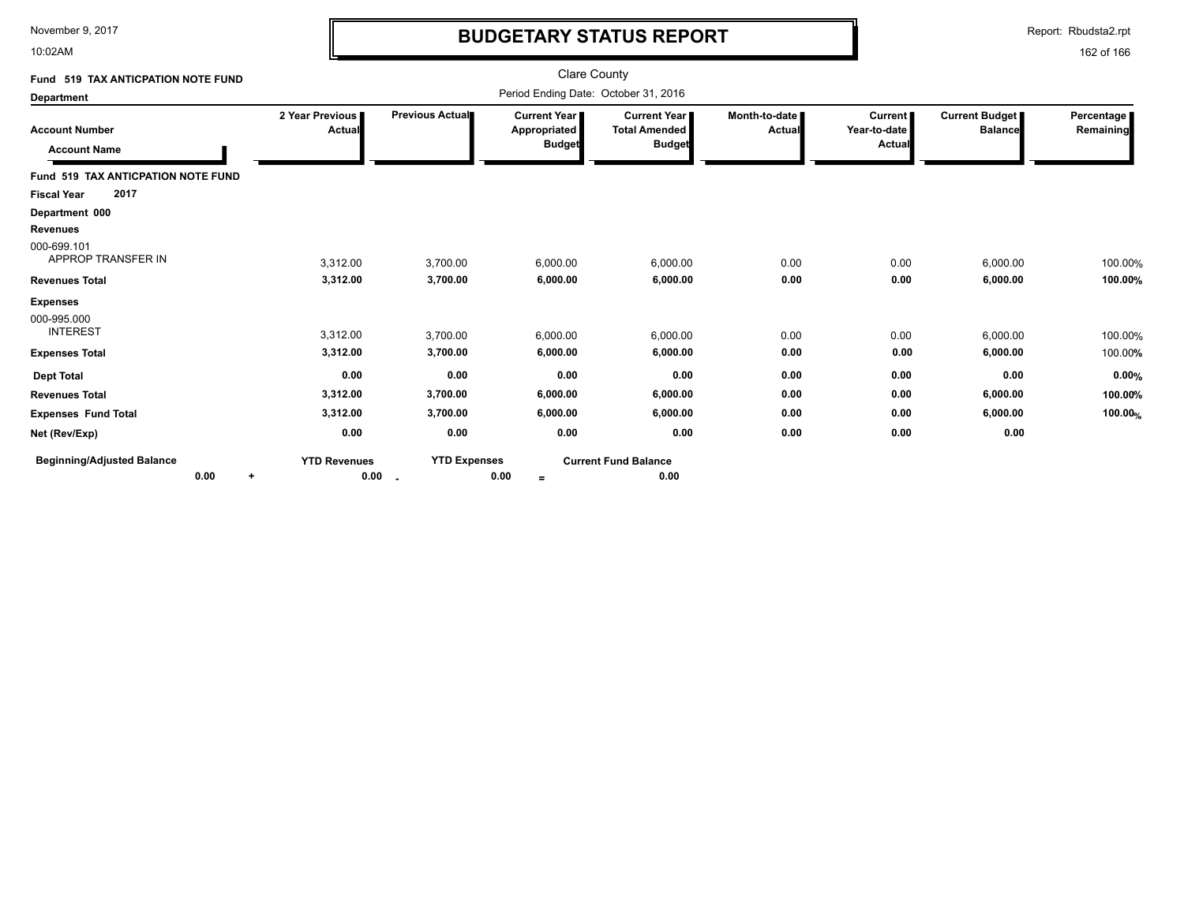10:02AM

# **BUDGETARY STATUS REPORT**

Report: Rbudsta2.rpt

| Fund 519 TAX ANTICPATION NOTE FUND                |                                      |                               |                                               | Clare County                                          |                         |                                          |                                  |                         |
|---------------------------------------------------|--------------------------------------|-------------------------------|-----------------------------------------------|-------------------------------------------------------|-------------------------|------------------------------------------|----------------------------------|-------------------------|
| <b>Department</b>                                 | Period Ending Date: October 31, 2016 |                               |                                               |                                                       |                         |                                          |                                  |                         |
| <b>Account Number</b><br><b>Account Name</b>      | 2 Year Previous<br>Actual            | Previous Actual               | Current Year<br>Appropriated<br><b>Budget</b> | Current Year<br><b>Total Amended</b><br><b>Budget</b> | Month-to-date<br>Actual | <b>Current</b><br>Year-to-date<br>Actual | Current Budget<br><b>Balance</b> | Percentage<br>Remaining |
| Fund 519 TAX ANTICPATION NOTE FUND                |                                      |                               |                                               |                                                       |                         |                                          |                                  |                         |
| 2017<br><b>Fiscal Year</b>                        |                                      |                               |                                               |                                                       |                         |                                          |                                  |                         |
| Department 000                                    |                                      |                               |                                               |                                                       |                         |                                          |                                  |                         |
| <b>Revenues</b>                                   |                                      |                               |                                               |                                                       |                         |                                          |                                  |                         |
| 000-699.101<br>APPROP TRANSFER IN                 | 3,312.00                             | 3,700.00                      | 6,000.00                                      | 6,000.00                                              | 0.00                    | 0.00                                     | 6,000.00                         | 100.00%                 |
| <b>Revenues Total</b>                             | 3,312.00                             | 3,700.00                      | 6,000.00                                      | 6,000.00                                              | 0.00                    | 0.00                                     | 6,000.00                         | 100.00%                 |
| <b>Expenses</b><br>000-995.000<br><b>INTEREST</b> | 3,312.00                             | 3,700.00                      | 6,000.00                                      | 6,000.00                                              | 0.00                    | 0.00                                     | 6,000.00                         | 100.00%                 |
| <b>Expenses Total</b>                             | 3,312.00                             | 3,700.00                      | 6,000.00                                      | 6,000.00                                              | 0.00                    | 0.00                                     | 6,000.00                         | 100.00%                 |
| <b>Dept Total</b>                                 | 0.00                                 | 0.00                          | 0.00                                          | 0.00                                                  | 0.00                    | 0.00                                     | 0.00                             | 0.00%                   |
| <b>Revenues Total</b>                             | 3,312.00                             | 3,700.00                      | 6,000.00                                      | 6,000.00                                              | 0.00                    | 0.00                                     | 6,000.00                         | 100.00%                 |
| <b>Expenses Fund Total</b>                        | 3,312.00                             | 3,700.00                      | 6,000.00                                      | 6,000.00                                              | 0.00                    | 0.00                                     | 6,000.00                         | 100.00%                 |
| Net (Rev/Exp)                                     | 0.00                                 | 0.00                          | 0.00                                          | 0.00                                                  | 0.00                    | 0.00                                     | 0.00                             |                         |
| <b>Beginning/Adjusted Balance</b><br>0.00<br>÷    | <b>YTD Revenues</b><br>0.00          | <b>YTD Expenses</b><br>$\sim$ | 0.00<br>$=$                                   | <b>Current Fund Balance</b><br>0.00                   |                         |                                          |                                  |                         |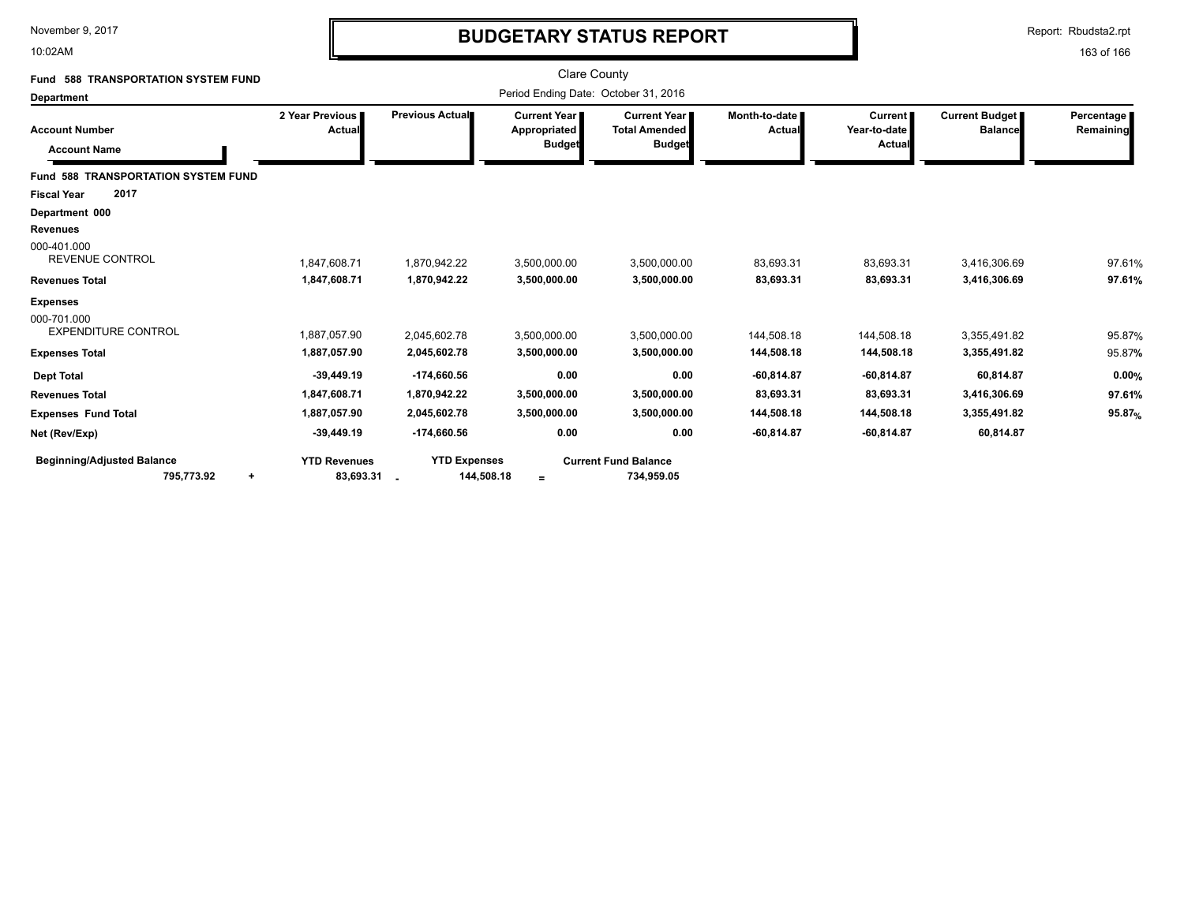10:02AM

# **BUDGETARY STATUS REPORT**

Report: Rbudsta2.rpt

| <b>588 TRANSPORTATION SYSTEM FUND</b><br>Fund                                             |                                                              |                                                                | <b>Clare County</b>                                    |                                                                |                                                         |                                                         |                                                        |                              |
|-------------------------------------------------------------------------------------------|--------------------------------------------------------------|----------------------------------------------------------------|--------------------------------------------------------|----------------------------------------------------------------|---------------------------------------------------------|---------------------------------------------------------|--------------------------------------------------------|------------------------------|
| <b>Department</b>                                                                         |                                                              |                                                                | Period Ending Date: October 31, 2016                   |                                                                |                                                         |                                                         |                                                        |                              |
| <b>Account Number</b><br><b>Account Name</b>                                              | 2 Year Previous  <br>Actual                                  | Previous Actual                                                | <b>Current Year I</b><br>Appropriated<br><b>Budget</b> | <b>Current Year I</b><br><b>Total Amended</b><br><b>Budget</b> | Month-to-date  <br>Actual                               | <b>Current</b><br>Year-to-date<br><b>Actual</b>         | Current Budget<br><b>Balance</b>                       | Percentage  <br>Remaining    |
| <b>Fund 588 TRANSPORTATION SYSTEM FUND</b><br>2017<br><b>Fiscal Year</b>                  |                                                              |                                                                |                                                        |                                                                |                                                         |                                                         |                                                        |                              |
| Department 000<br><b>Revenues</b><br>000-401.000<br><b>REVENUE CONTROL</b>                | 1,847,608.71                                                 | 1,870,942.22                                                   | 3,500,000.00                                           | 3,500,000.00                                                   | 83,693.31                                               | 83,693.31                                               | 3,416,306.69                                           | 97.61%                       |
| <b>Revenues Total</b>                                                                     | 1,847,608.71                                                 | 1,870,942.22                                                   | 3,500,000.00                                           | 3,500,000.00                                                   | 83,693.31                                               | 83,693.31                                               | 3,416,306.69                                           | 97.61%                       |
| <b>Expenses</b><br>000-701.000<br><b>EXPENDITURE CONTROL</b>                              | 1.887.057.90                                                 | 2,045,602.78                                                   | 3,500,000.00                                           | 3.500.000.00                                                   | 144.508.18                                              | 144.508.18                                              | 3.355.491.82                                           | 95.87%                       |
| <b>Expenses Total</b>                                                                     | 1,887,057.90                                                 | 2,045,602.78                                                   | 3,500,000.00                                           | 3,500,000.00                                                   | 144,508.18                                              | 144,508.18                                              | 3,355,491.82                                           | 95.87%                       |
| <b>Dept Total</b><br><b>Revenues Total</b><br><b>Expenses Fund Total</b><br>Net (Rev/Exp) | $-39,449.19$<br>1,847,608.71<br>1,887,057.90<br>$-39,449.19$ | $-174,660.56$<br>1,870,942.22<br>2,045,602.78<br>$-174,660.56$ | 0.00<br>3,500,000.00<br>3,500,000.00<br>0.00           | 0.00<br>3,500,000.00<br>3,500,000.00<br>0.00                   | $-60,814.87$<br>83,693.31<br>144,508.18<br>$-60,814.87$ | $-60,814.87$<br>83,693.31<br>144,508.18<br>$-60,814.87$ | 60,814.87<br>3,416,306.69<br>3,355,491.82<br>60,814.87 | 0.00%<br>97.61%<br>$95.87$ % |
| <b>Beginning/Adjusted Balance</b><br>795,773.92<br>$\ddot{}$                              | <b>YTD Revenues</b><br>83,693.31                             | <b>YTD Expenses</b><br>144,508.18                              | $\equiv$                                               | <b>Current Fund Balance</b><br>734,959.05                      |                                                         |                                                         |                                                        |                              |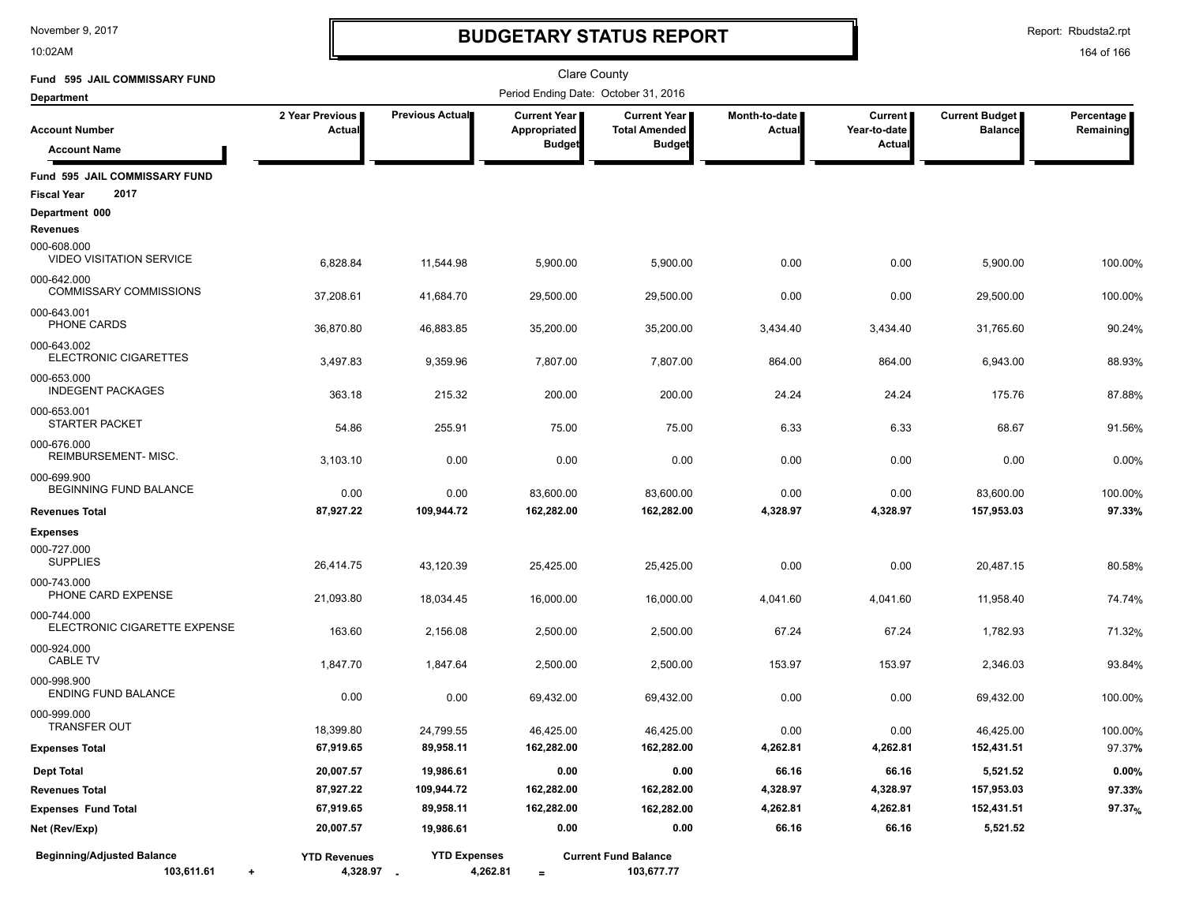10:02AM

## **BUDGETARY STATUS REPORT**

Report: Rbudsta2.rpt

| Fund 595 JAIL COMMISSARY FUND                                |                                   |                     | <b>Clare County</b>                  |                                             |                                |                                |                                         |                         |
|--------------------------------------------------------------|-----------------------------------|---------------------|--------------------------------------|---------------------------------------------|--------------------------------|--------------------------------|-----------------------------------------|-------------------------|
| <b>Department</b>                                            |                                   |                     | Period Ending Date: October 31, 2016 |                                             |                                |                                |                                         |                         |
| <b>Account Number</b>                                        | 2 Year Previous<br>Actual         | Previous Actual     | <b>Current Year</b><br>Appropriated  | <b>Current Year</b><br><b>Total Amended</b> | Month-to-date<br><b>Actual</b> | <b>Current</b><br>Year-to-date | <b>Current Budget</b><br><b>Balance</b> | Percentage<br>Remaining |
| <b>Account Name</b>                                          |                                   |                     | <b>Budget</b>                        | <b>Budget</b>                               |                                | <b>Actual</b>                  |                                         |                         |
| Fund 595 JAIL COMMISSARY FUND<br>2017<br><b>Fiscal Year</b>  |                                   |                     |                                      |                                             |                                |                                |                                         |                         |
| Department 000<br>Revenues                                   |                                   |                     |                                      |                                             |                                |                                |                                         |                         |
| 000-608.000<br><b>VIDEO VISITATION SERVICE</b>               | 6,828.84                          | 11,544.98           | 5,900.00                             | 5,900.00                                    | 0.00                           | 0.00                           | 5,900.00                                | 100.00%                 |
| 000-642.000<br><b>COMMISSARY COMMISSIONS</b>                 | 37,208.61                         | 41,684.70           | 29,500.00                            | 29,500.00                                   | 0.00                           | 0.00                           | 29,500.00                               | 100.00%                 |
| 000-643.001<br>PHONE CARDS                                   | 36,870.80                         | 46,883.85           | 35,200.00                            | 35,200.00                                   | 3,434.40                       | 3,434.40                       | 31,765.60                               | 90.24%                  |
| 000-643.002<br>ELECTRONIC CIGARETTES                         | 3,497.83                          | 9,359.96            | 7,807.00                             | 7,807.00                                    | 864.00                         | 864.00                         | 6,943.00                                | 88.93%                  |
| 000-653.000<br><b>INDEGENT PACKAGES</b>                      | 363.18                            | 215.32              | 200.00                               | 200.00                                      | 24.24                          | 24.24                          | 175.76                                  | 87.88%                  |
| 000-653.001<br><b>STARTER PACKET</b>                         | 54.86                             | 255.91              | 75.00                                | 75.00                                       | 6.33                           | 6.33                           | 68.67                                   | 91.56%                  |
| 000-676.000<br>REIMBURSEMENT-MISC.                           | 3,103.10                          | 0.00                | 0.00                                 | 0.00                                        | 0.00                           | 0.00                           | 0.00                                    | 0.00%                   |
| 000-699.900<br>BEGINNING FUND BALANCE                        | 0.00                              | 0.00                | 83,600.00                            | 83,600.00                                   | 0.00                           | 0.00                           | 83,600.00                               | 100.00%                 |
| <b>Revenues Total</b>                                        | 87,927.22                         | 109,944.72          | 162,282.00                           | 162,282.00                                  | 4,328.97                       | 4,328.97                       | 157,953.03                              | 97.33%                  |
| <b>Expenses</b>                                              |                                   |                     |                                      |                                             |                                |                                |                                         |                         |
| 000-727.000<br><b>SUPPLIES</b>                               | 26,414.75                         | 43,120.39           | 25,425.00                            | 25,425.00                                   | 0.00                           | 0.00                           | 20,487.15                               | 80.58%                  |
| 000-743.000<br>PHONE CARD EXPENSE                            | 21,093.80                         | 18,034.45           | 16,000.00                            | 16,000.00                                   | 4,041.60                       | 4,041.60                       | 11,958.40                               | 74.74%                  |
| 000-744.000<br>ELECTRONIC CIGARETTE EXPENSE                  | 163.60                            | 2,156.08            | 2,500.00                             | 2,500.00                                    | 67.24                          | 67.24                          | 1,782.93                                | 71.32%                  |
| 000-924.000<br><b>CABLE TV</b>                               | 1,847.70                          | 1,847.64            | 2,500.00                             | 2,500.00                                    | 153.97                         | 153.97                         | 2,346.03                                | 93.84%                  |
| 000-998.900<br><b>ENDING FUND BALANCE</b>                    | 0.00                              | 0.00                | 69,432.00                            | 69,432.00                                   | 0.00                           | 0.00                           | 69,432.00                               | 100.00%                 |
| 000-999.000<br><b>TRANSFER OUT</b>                           | 18,399.80                         | 24,799.55           | 46,425.00                            | 46,425.00                                   | 0.00                           | 0.00                           | 46,425.00                               | 100.00%                 |
| <b>Expenses Total</b>                                        | 67,919.65                         | 89,958.11           | 162,282.00                           | 162,282.00                                  | 4,262.81                       | 4,262.81                       | 152,431.51                              | 97.37%                  |
| <b>Dept Total</b>                                            | 20,007.57                         | 19,986.61           | 0.00                                 | 0.00                                        | 66.16                          | 66.16                          | 5,521.52                                | 0.00%                   |
| <b>Revenues Total</b>                                        | 87,927.22                         | 109,944.72          | 162,282.00                           | 162,282.00                                  | 4,328.97                       | 4,328.97                       | 157,953.03                              | 97.33%                  |
| <b>Expenses Fund Total</b>                                   | 67,919.65                         | 89,958.11           | 162,282.00                           | 162,282.00                                  | 4,262.81                       | 4,262.81                       | 152,431.51                              | 97.37%                  |
| Net (Rev/Exp)                                                | 20,007.57                         | 19,986.61           | 0.00                                 | 0.00                                        | 66.16                          | 66.16                          | 5,521.52                                |                         |
| <b>Beginning/Adjusted Balance</b><br>103,611.61<br>$\ddot{}$ | <b>YTD Revenues</b><br>4,328.97 . | <b>YTD Expenses</b> | 4,262.81<br>$\equiv$                 | <b>Current Fund Balance</b><br>103,677.77   |                                |                                |                                         |                         |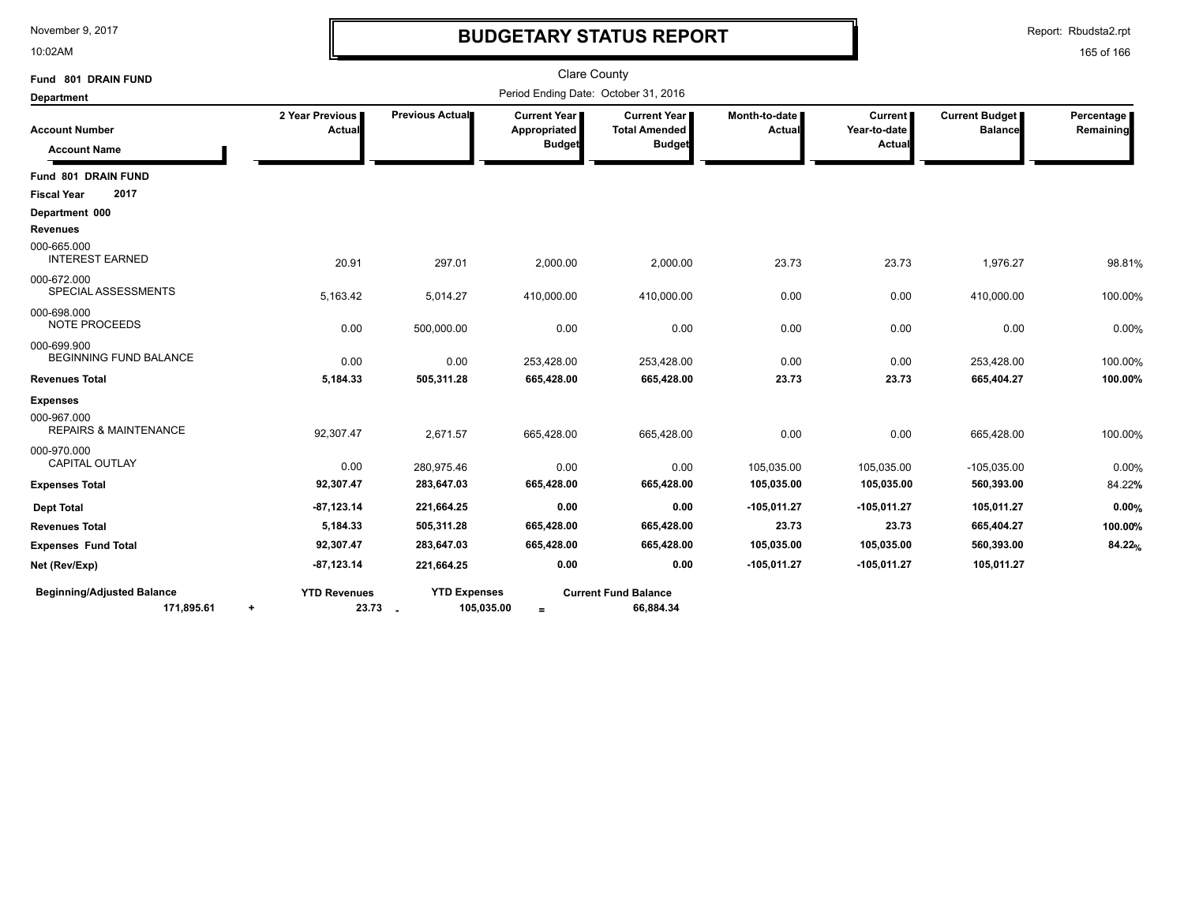10:02AM

# **BUDGETARY STATUS REPORT**

Report: Rbudsta2.rpt

| Fund 801 DRAIN FUND                             |                                  |                                | <b>Clare County</b>                           |                                                       |                                |                                          |                                         |                         |
|-------------------------------------------------|----------------------------------|--------------------------------|-----------------------------------------------|-------------------------------------------------------|--------------------------------|------------------------------------------|-----------------------------------------|-------------------------|
| <b>Department</b>                               |                                  |                                | Period Ending Date: October 31, 2016          |                                                       |                                |                                          |                                         |                         |
| <b>Account Number</b><br><b>Account Name</b>    | 2 Year Previous<br><b>Actual</b> | Previous Actual                | Current Year<br>Appropriated<br><b>Budget</b> | Current Year<br><b>Total Amended</b><br><b>Budget</b> | Month-to-date<br><b>Actual</b> | <b>Current</b><br>Year-to-date<br>Actual | <b>Current Budget</b><br><b>Balance</b> | Percentage<br>Remaining |
| Fund 801 DRAIN FUND                             |                                  |                                |                                               |                                                       |                                |                                          |                                         |                         |
| 2017<br><b>Fiscal Year</b>                      |                                  |                                |                                               |                                                       |                                |                                          |                                         |                         |
| Department 000                                  |                                  |                                |                                               |                                                       |                                |                                          |                                         |                         |
| <b>Revenues</b>                                 |                                  |                                |                                               |                                                       |                                |                                          |                                         |                         |
| 000-665.000<br><b>INTEREST EARNED</b>           | 20.91                            | 297.01                         | 2,000.00                                      | 2,000.00                                              | 23.73                          | 23.73                                    | 1,976.27                                | 98.81%                  |
| 000-672.000<br>SPECIAL ASSESSMENTS              | 5,163.42                         | 5,014.27                       | 410,000.00                                    | 410,000.00                                            | 0.00                           | 0.00                                     | 410,000.00                              | 100.00%                 |
| 000-698.000<br><b>NOTE PROCEEDS</b>             | 0.00                             | 500,000.00                     | 0.00                                          | 0.00                                                  | 0.00                           | 0.00                                     | 0.00                                    | 0.00%                   |
| 000-699.900<br>BEGINNING FUND BALANCE           | 0.00                             | 0.00                           | 253,428.00                                    | 253,428.00                                            | 0.00                           | 0.00                                     | 253,428.00                              | 100.00%                 |
| <b>Revenues Total</b>                           | 5,184.33                         | 505,311.28                     | 665,428.00                                    | 665,428.00                                            | 23.73                          | 23.73                                    | 665,404.27                              | 100.00%                 |
| <b>Expenses</b>                                 |                                  |                                |                                               |                                                       |                                |                                          |                                         |                         |
| 000-967.000<br><b>REPAIRS &amp; MAINTENANCE</b> | 92,307.47                        | 2,671.57                       | 665,428.00                                    | 665,428.00                                            | 0.00                           | 0.00                                     | 665,428.00                              | 100.00%                 |
| 000-970.000<br><b>CAPITAL OUTLAY</b>            | 0.00                             | 280,975.46                     | 0.00                                          | 0.00                                                  | 105,035.00                     | 105,035.00                               | $-105,035.00$                           | 0.00%                   |
| <b>Expenses Total</b>                           | 92,307.47                        | 283,647.03                     | 665,428.00                                    | 665,428.00                                            | 105,035.00                     | 105,035.00                               | 560,393.00                              | 84.22%                  |
| <b>Dept Total</b>                               | $-87,123.14$                     | 221,664.25                     | 0.00                                          | 0.00                                                  | $-105,011.27$                  | $-105,011.27$                            | 105,011.27                              | 0.00%                   |
| <b>Revenues Total</b>                           | 5,184.33                         | 505,311.28                     | 665,428.00                                    | 665,428.00                                            | 23.73                          | 23.73                                    | 665,404.27                              | 100.00%                 |
| <b>Expenses Fund Total</b>                      | 92,307.47                        | 283,647.03                     | 665,428.00                                    | 665,428.00                                            | 105,035.00                     | 105,035.00                               | 560,393.00                              | 84.22%                  |
| Net (Rev/Exp)                                   | $-87,123.14$                     | 221,664.25                     | 0.00                                          | 0.00                                                  | $-105,011.27$                  | $-105,011.27$                            | 105,011.27                              |                         |
| <b>Beginning/Adjusted Balance</b><br>171,895.61 | <b>YTD Revenues</b><br>$\ddot{}$ | <b>YTD Expenses</b><br>23.73 - | 105,035.00<br>$\equiv$                        | <b>Current Fund Balance</b><br>66,884.34              |                                |                                          |                                         |                         |